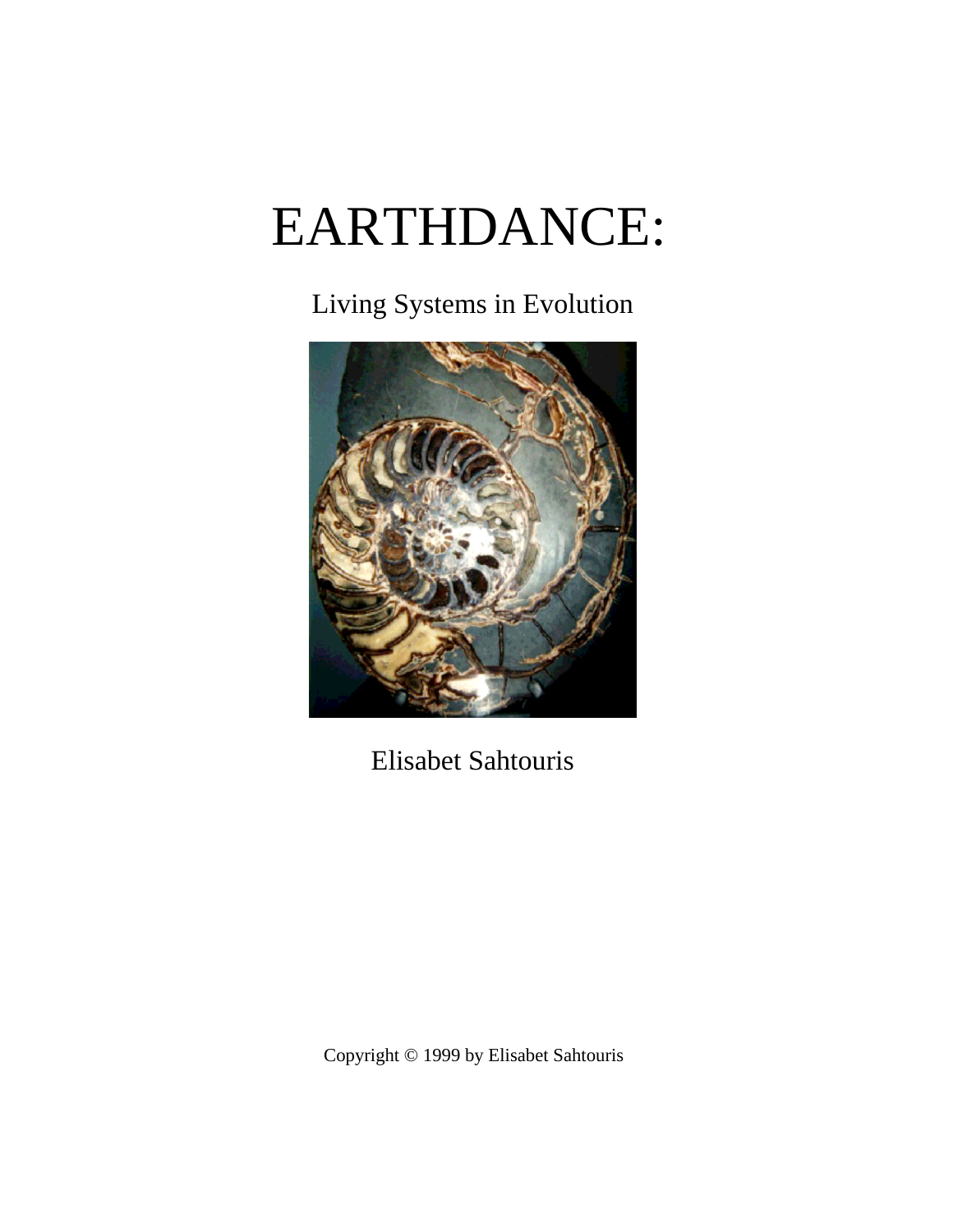# EARTHDANCE:

Living Systems in Evolution



Elisabet Sahtouris

Copyright © 1999 by Elisabet Sahtouris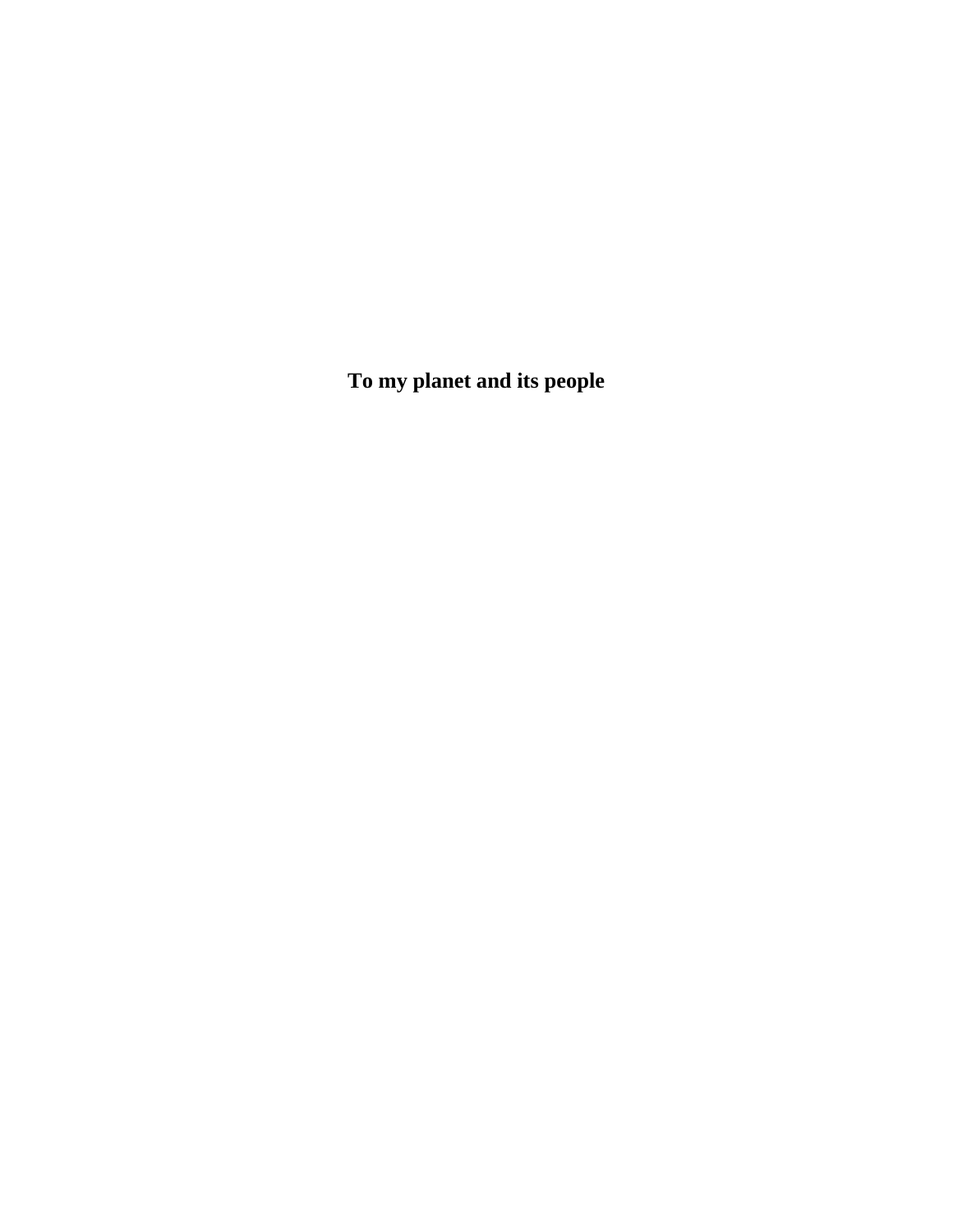**To my planet and its people**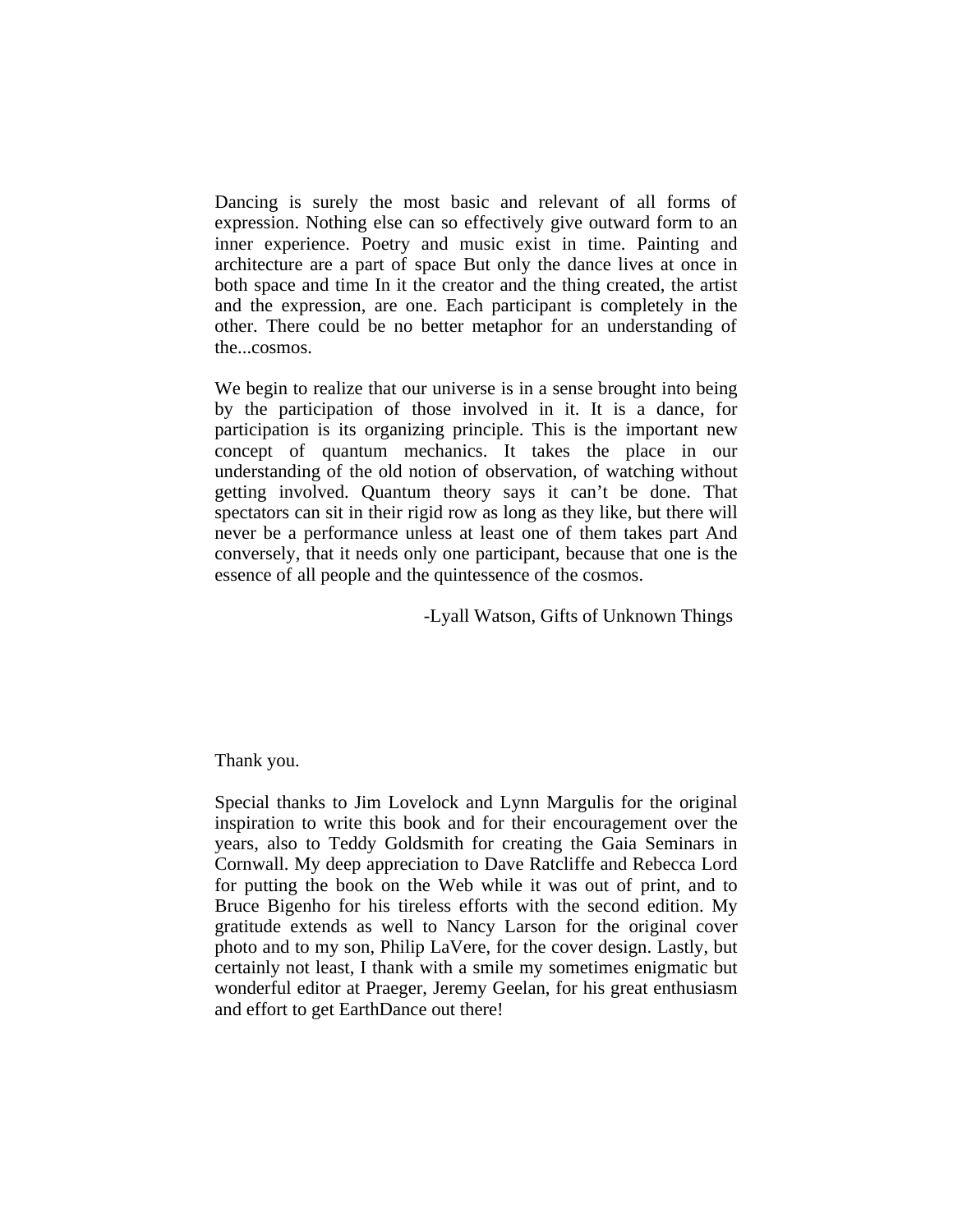Dancing is surely the most basic and relevant of all forms of expression. Nothing else can so effectively give outward form to an inner experience. Poetry and music exist in time. Painting and architecture are a part of space But only the dance lives at once in both space and time In it the creator and the thing created, the artist and the expression, are one. Each participant is completely in the other. There could be no better metaphor for an understanding of the...cosmos.

We begin to realize that our universe is in a sense brought into being by the participation of those involved in it. It is a dance, for participation is its organizing principle. This is the important new concept of quantum mechanics. It takes the place in our understanding of the old notion of observation, of watching without getting involved. Quantum theory says it can't be done. That spectators can sit in their rigid row as long as they like, but there will never be a performance unless at least one of them takes part And conversely, that it needs only one participant, because that one is the essence of all people and the quintessence of the cosmos.

-Lyall Watson, Gifts of Unknown Things

Thank you.

Special thanks to Jim Lovelock and Lynn Margulis for the original inspiration to write this book and for their encouragement over the years, also to Teddy Goldsmith for creating the Gaia Seminars in Cornwall. My deep appreciation to Dave Ratcliffe and Rebecca Lord for putting the book on the Web while it was out of print, and to Bruce Bigenho for his tireless efforts with the second edition. My gratitude extends as well to Nancy Larson for the original cover photo and to my son, Philip LaVere, for the cover design. Lastly, but certainly not least, I thank with a smile my sometimes enigmatic but wonderful editor at Praeger, Jeremy Geelan, for his great enthusiasm and effort to get EarthDance out there!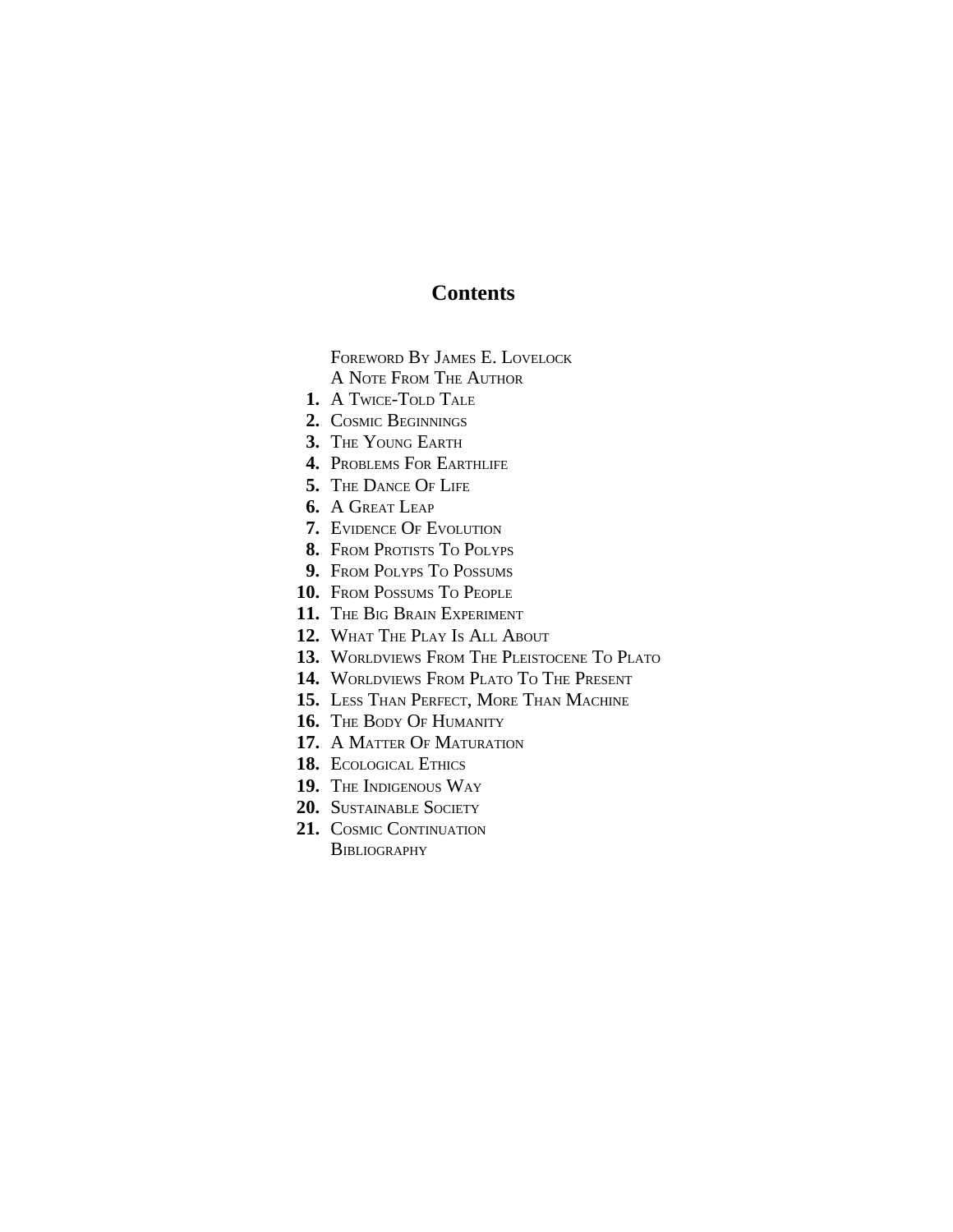### **Contents**

FOREWORD BY JAMES E. LOVELOCK A NOTE FROM THE AUTHOR

- **1.** A TWICE-TOLD TALE
- **2.** COSMIC BEGINNINGS
- **3.** THE YOUNG EARTH
- **4.** PROBLEMS FOR EARTHLIFE
- **5.** THE DANCE OF LIFE
- **6.** A GREAT LEAP
- **7.** EVIDENCE OF EVOLUTION
- **8.** FROM PROTISTS TO POLYPS
- **9.** FROM POLYPS TO POSSUMS
- **10.** FROM POSSUMS TO PEOPLE
- 11. THE BIG BRAIN EXPERIMENT
- 12. WHAT THE PLAY IS ALL ABOUT
- **13.** WORLDVIEWS FROM THE PLEISTOCENE TO PLATO
- **14.** WORLDVIEWS FROM PLATO TO THE PRESENT
- **15.** LESS THAN PERFECT, MORE THAN MACHINE
- 16. THE BODY OF HUMANITY
- **17.** A MATTER OF MATURATION
- **18.** ECOLOGICAL ETHICS
- 19. THE INDIGENOUS WAY
- **20.** SUSTAINABLE SOCIETY
- 21. COSMIC CONTINUATION **BIBLIOGRAPHY**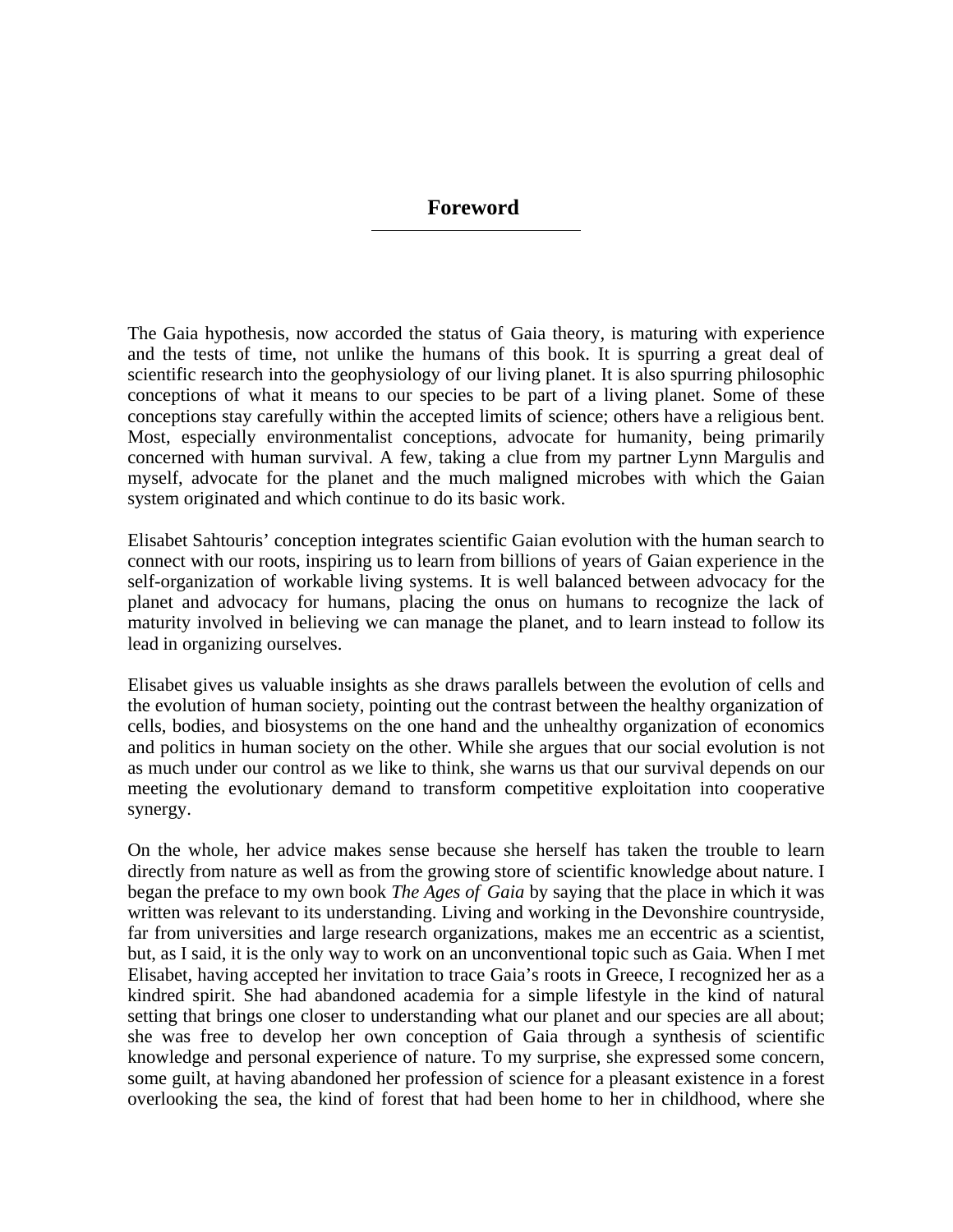#### **Foreword**

The Gaia hypothesis, now accorded the status of Gaia theory, is maturing with experience and the tests of time, not unlike the humans of this book. It is spurring a great deal of scientific research into the geophysiology of our living planet. It is also spurring philosophic conceptions of what it means to our species to be part of a living planet. Some of these conceptions stay carefully within the accepted limits of science; others have a religious bent. Most, especially environmentalist conceptions, advocate for humanity, being primarily concerned with human survival. A few, taking a clue from my partner Lynn Margulis and myself, advocate for the planet and the much maligned microbes with which the Gaian system originated and which continue to do its basic work.

Elisabet Sahtouris' conception integrates scientific Gaian evolution with the human search to connect with our roots, inspiring us to learn from billions of years of Gaian experience in the self-organization of workable living systems. It is well balanced between advocacy for the planet and advocacy for humans, placing the onus on humans to recognize the lack of maturity involved in believing we can manage the planet, and to learn instead to follow its lead in organizing ourselves.

Elisabet gives us valuable insights as she draws parallels between the evolution of cells and the evolution of human society, pointing out the contrast between the healthy organization of cells, bodies, and biosystems on the one hand and the unhealthy organization of economics and politics in human society on the other. While she argues that our social evolution is not as much under our control as we like to think, she warns us that our survival depends on our meeting the evolutionary demand to transform competitive exploitation into cooperative synergy.

On the whole, her advice makes sense because she herself has taken the trouble to learn directly from nature as well as from the growing store of scientific knowledge about nature. I began the preface to my own book *The Ages of Gaia* by saying that the place in which it was written was relevant to its understanding. Living and working in the Devonshire countryside, far from universities and large research organizations, makes me an eccentric as a scientist, but, as I said, it is the only way to work on an unconventional topic such as Gaia. When I met Elisabet, having accepted her invitation to trace Gaia's roots in Greece, I recognized her as a kindred spirit. She had abandoned academia for a simple lifestyle in the kind of natural setting that brings one closer to understanding what our planet and our species are all about; she was free to develop her own conception of Gaia through a synthesis of scientific knowledge and personal experience of nature. To my surprise, she expressed some concern, some guilt, at having abandoned her profession of science for a pleasant existence in a forest overlooking the sea, the kind of forest that had been home to her in childhood, where she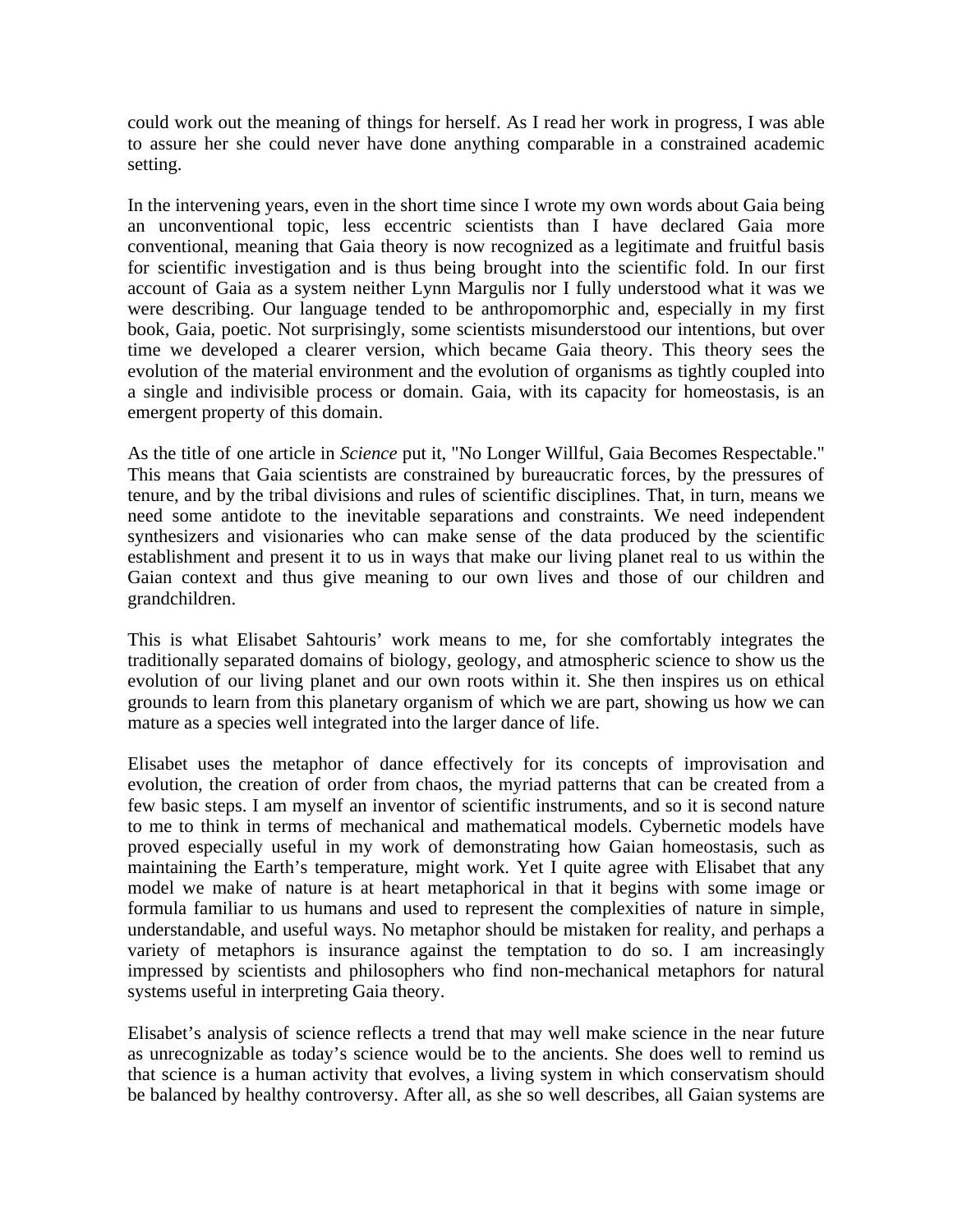could work out the meaning of things for herself. As I read her work in progress, I was able to assure her she could never have done anything comparable in a constrained academic setting.

In the intervening years, even in the short time since I wrote my own words about Gaia being an unconventional topic, less eccentric scientists than I have declared Gaia more conventional, meaning that Gaia theory is now recognized as a legitimate and fruitful basis for scientific investigation and is thus being brought into the scientific fold. In our first account of Gaia as a system neither Lynn Margulis nor I fully understood what it was we were describing. Our language tended to be anthropomorphic and, especially in my first book, Gaia, poetic. Not surprisingly, some scientists misunderstood our intentions, but over time we developed a clearer version, which became Gaia theory. This theory sees the evolution of the material environment and the evolution of organisms as tightly coupled into a single and indivisible process or domain. Gaia, with its capacity for homeostasis, is an emergent property of this domain.

As the title of one article in *Science* put it, "No Longer Willful, Gaia Becomes Respectable." This means that Gaia scientists are constrained by bureaucratic forces, by the pressures of tenure, and by the tribal divisions and rules of scientific disciplines. That, in turn, means we need some antidote to the inevitable separations and constraints. We need independent synthesizers and visionaries who can make sense of the data produced by the scientific establishment and present it to us in ways that make our living planet real to us within the Gaian context and thus give meaning to our own lives and those of our children and grandchildren.

This is what Elisabet Sahtouris' work means to me, for she comfortably integrates the traditionally separated domains of biology, geology, and atmospheric science to show us the evolution of our living planet and our own roots within it. She then inspires us on ethical grounds to learn from this planetary organism of which we are part, showing us how we can mature as a species well integrated into the larger dance of life.

Elisabet uses the metaphor of dance effectively for its concepts of improvisation and evolution, the creation of order from chaos, the myriad patterns that can be created from a few basic steps. I am myself an inventor of scientific instruments, and so it is second nature to me to think in terms of mechanical and mathematical models. Cybernetic models have proved especially useful in my work of demonstrating how Gaian homeostasis, such as maintaining the Earth's temperature, might work. Yet I quite agree with Elisabet that any model we make of nature is at heart metaphorical in that it begins with some image or formula familiar to us humans and used to represent the complexities of nature in simple, understandable, and useful ways. No metaphor should be mistaken for reality, and perhaps a variety of metaphors is insurance against the temptation to do so. I am increasingly impressed by scientists and philosophers who find non-mechanical metaphors for natural systems useful in interpreting Gaia theory.

Elisabet's analysis of science reflects a trend that may well make science in the near future as unrecognizable as today's science would be to the ancients. She does well to remind us that science is a human activity that evolves, a living system in which conservatism should be balanced by healthy controversy. After all, as she so well describes, all Gaian systems are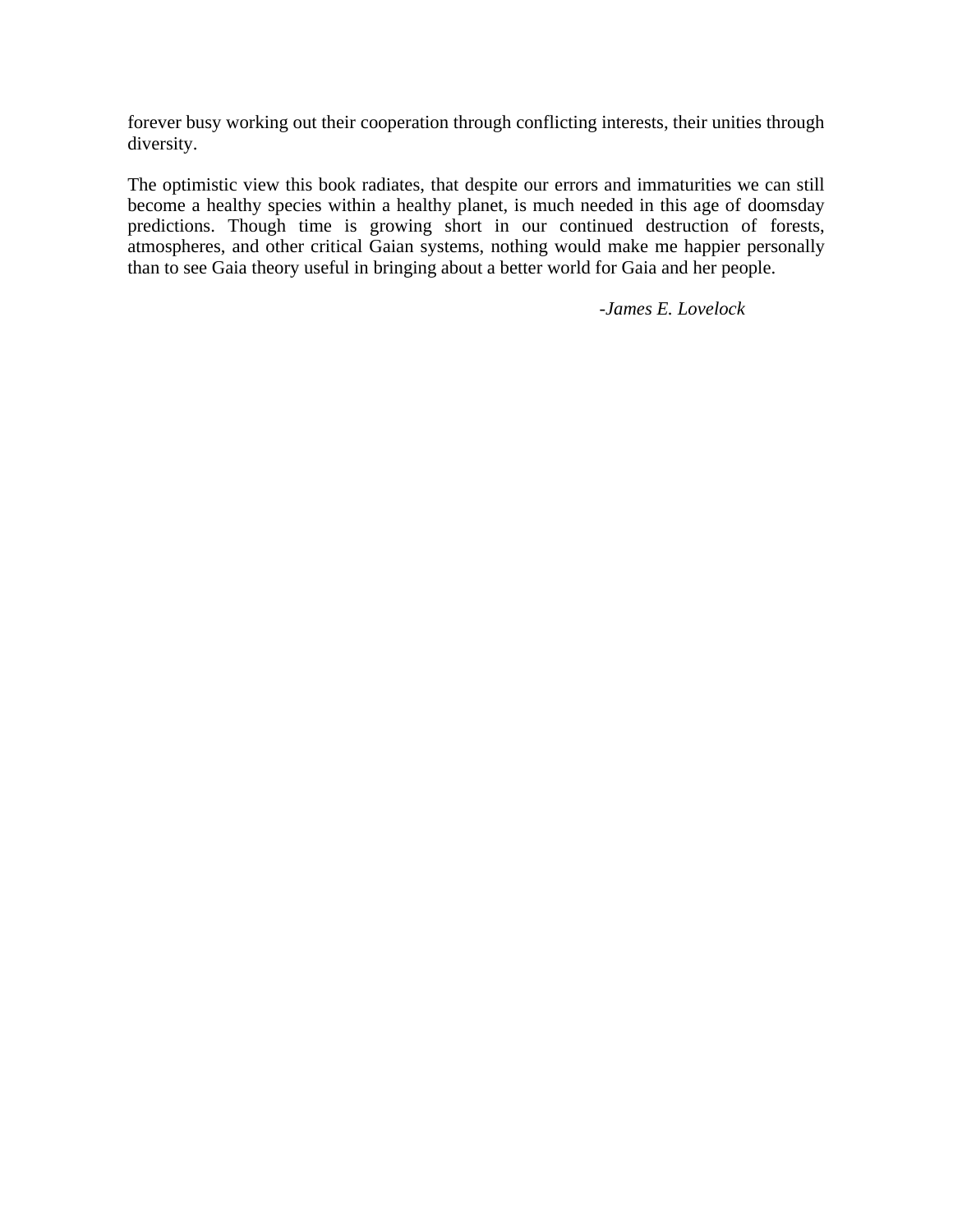forever busy working out their cooperation through conflicting interests, their unities through diversity.

The optimistic view this book radiates, that despite our errors and immaturities we can still become a healthy species within a healthy planet, is much needed in this age of doomsday predictions. Though time is growing short in our continued destruction of forests, atmospheres, and other critical Gaian systems, nothing would make me happier personally than to see Gaia theory useful in bringing about a better world for Gaia and her people.

-*James E. Lovelock*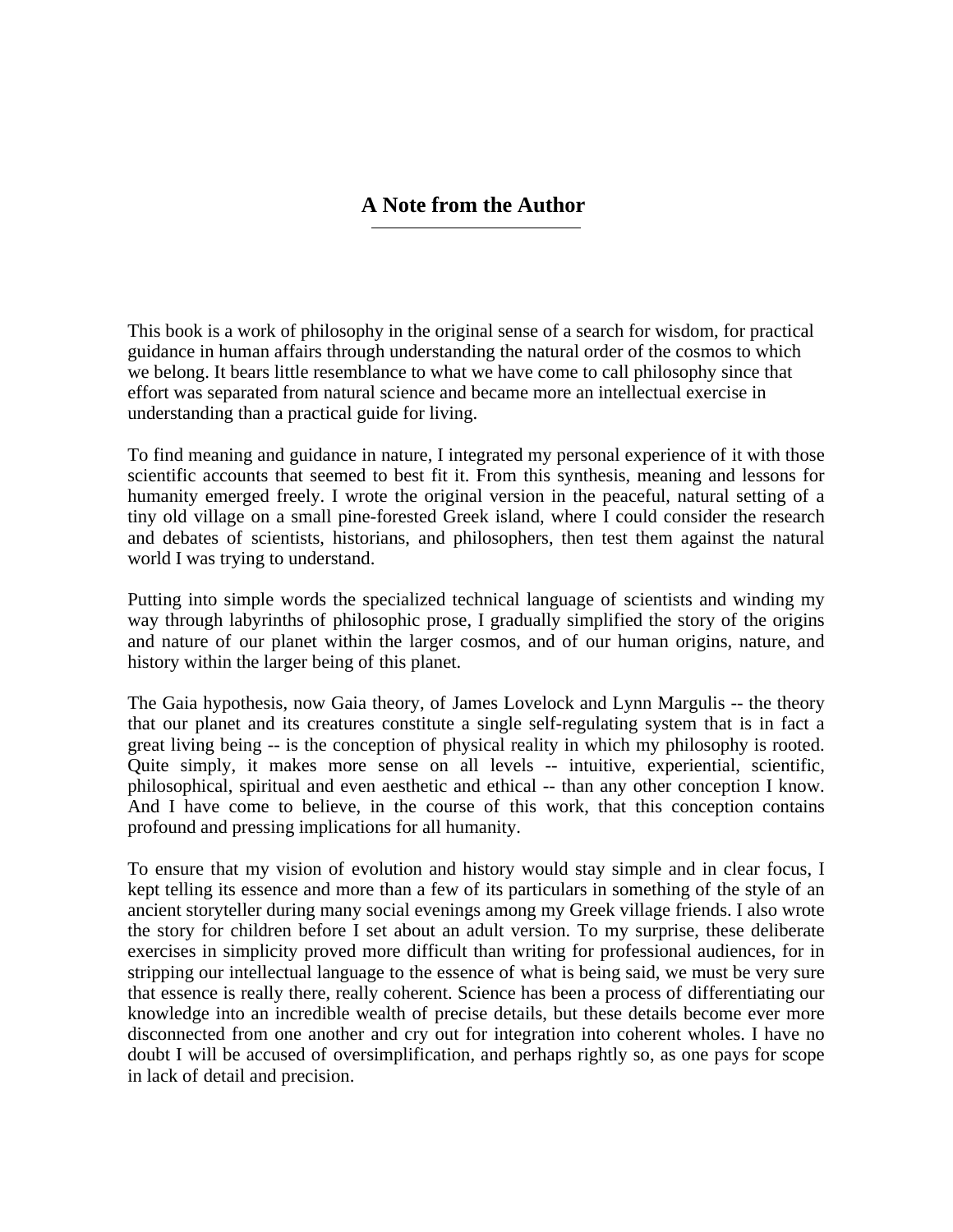## **A Note from the Author**

This book is a work of philosophy in the original sense of a search for wisdom, for practical guidance in human affairs through understanding the natural order of the cosmos to which we belong. It bears little resemblance to what we have come to call philosophy since that effort was separated from natural science and became more an intellectual exercise in understanding than a practical guide for living.

To find meaning and guidance in nature, I integrated my personal experience of it with those scientific accounts that seemed to best fit it. From this synthesis, meaning and lessons for humanity emerged freely. I wrote the original version in the peaceful, natural setting of a tiny old village on a small pine-forested Greek island, where I could consider the research and debates of scientists, historians, and philosophers, then test them against the natural world I was trying to understand.

Putting into simple words the specialized technical language of scientists and winding my way through labyrinths of philosophic prose, I gradually simplified the story of the origins and nature of our planet within the larger cosmos, and of our human origins, nature, and history within the larger being of this planet.

The Gaia hypothesis, now Gaia theory, of James Lovelock and Lynn Margulis -- the theory that our planet and its creatures constitute a single self-regulating system that is in fact a great living being -- is the conception of physical reality in which my philosophy is rooted. Quite simply, it makes more sense on all levels -- intuitive, experiential, scientific, philosophical, spiritual and even aesthetic and ethical -- than any other conception I know. And I have come to believe, in the course of this work, that this conception contains profound and pressing implications for all humanity.

To ensure that my vision of evolution and history would stay simple and in clear focus, I kept telling its essence and more than a few of its particulars in something of the style of an ancient storyteller during many social evenings among my Greek village friends. I also wrote the story for children before I set about an adult version. To my surprise, these deliberate exercises in simplicity proved more difficult than writing for professional audiences, for in stripping our intellectual language to the essence of what is being said, we must be very sure that essence is really there, really coherent. Science has been a process of differentiating our knowledge into an incredible wealth of precise details, but these details become ever more disconnected from one another and cry out for integration into coherent wholes. I have no doubt I will be accused of oversimplification, and perhaps rightly so, as one pays for scope in lack of detail and precision.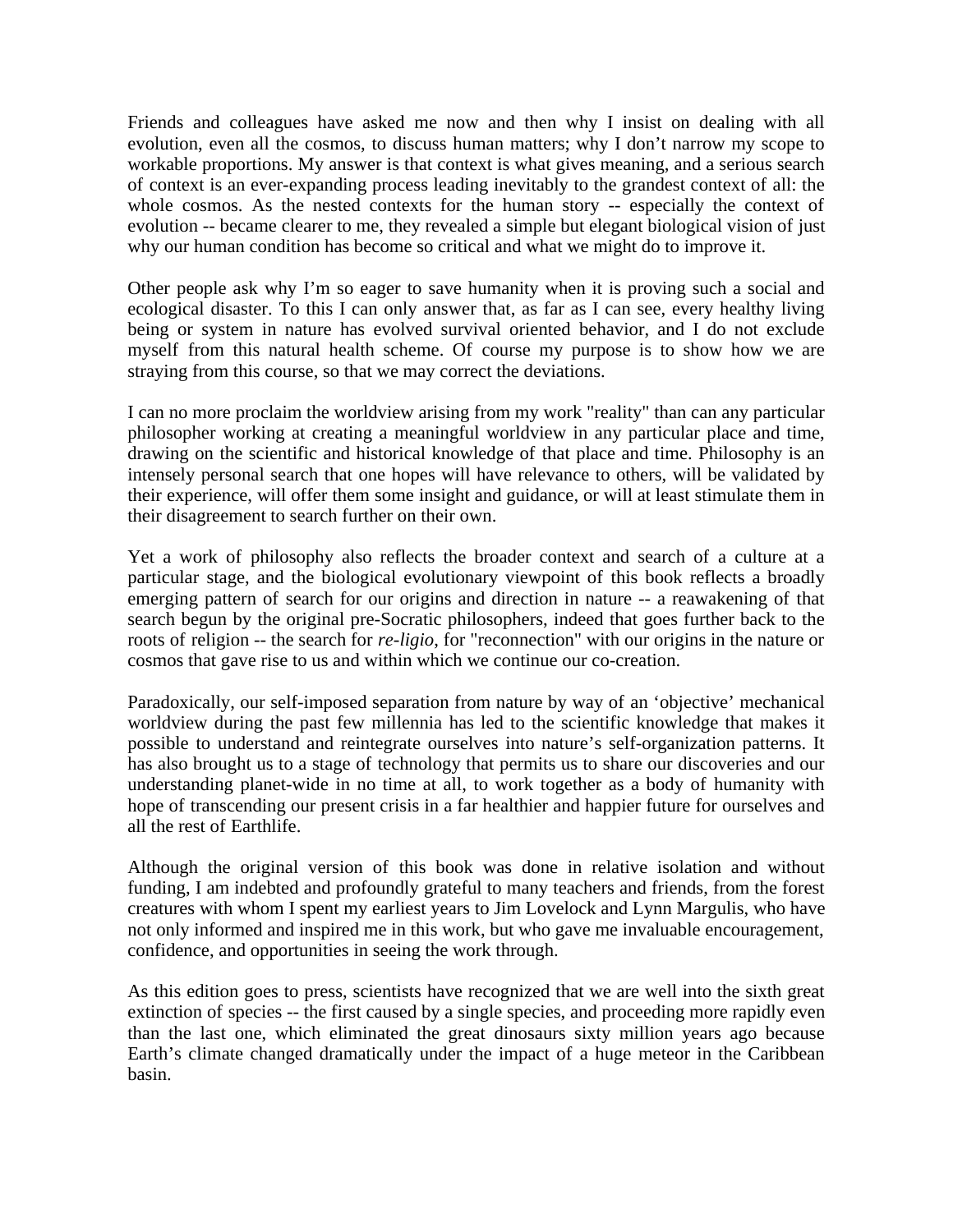Friends and colleagues have asked me now and then why I insist on dealing with all evolution, even all the cosmos, to discuss human matters; why I don't narrow my scope to workable proportions. My answer is that context is what gives meaning, and a serious search of context is an ever-expanding process leading inevitably to the grandest context of all: the whole cosmos. As the nested contexts for the human story -- especially the context of evolution -- became clearer to me, they revealed a simple but elegant biological vision of just why our human condition has become so critical and what we might do to improve it.

Other people ask why I'm so eager to save humanity when it is proving such a social and ecological disaster. To this I can only answer that, as far as I can see, every healthy living being or system in nature has evolved survival oriented behavior, and I do not exclude myself from this natural health scheme. Of course my purpose is to show how we are straying from this course, so that we may correct the deviations.

I can no more proclaim the worldview arising from my work "reality" than can any particular philosopher working at creating a meaningful worldview in any particular place and time, drawing on the scientific and historical knowledge of that place and time. Philosophy is an intensely personal search that one hopes will have relevance to others, will be validated by their experience, will offer them some insight and guidance, or will at least stimulate them in their disagreement to search further on their own.

Yet a work of philosophy also reflects the broader context and search of a culture at a particular stage, and the biological evolutionary viewpoint of this book reflects a broadly emerging pattern of search for our origins and direction in nature -- a reawakening of that search begun by the original pre-Socratic philosophers, indeed that goes further back to the roots of religion -- the search for *re-ligio*, for "reconnection" with our origins in the nature or cosmos that gave rise to us and within which we continue our co-creation.

Paradoxically, our self-imposed separation from nature by way of an 'objective' mechanical worldview during the past few millennia has led to the scientific knowledge that makes it possible to understand and reintegrate ourselves into nature's self-organization patterns. It has also brought us to a stage of technology that permits us to share our discoveries and our understanding planet-wide in no time at all, to work together as a body of humanity with hope of transcending our present crisis in a far healthier and happier future for ourselves and all the rest of Earthlife.

Although the original version of this book was done in relative isolation and without funding, I am indebted and profoundly grateful to many teachers and friends, from the forest creatures with whom I spent my earliest years to Jim Lovelock and Lynn Margulis, who have not only informed and inspired me in this work, but who gave me invaluable encouragement, confidence, and opportunities in seeing the work through.

As this edition goes to press, scientists have recognized that we are well into the sixth great extinction of species -- the first caused by a single species, and proceeding more rapidly even than the last one, which eliminated the great dinosaurs sixty million years ago because Earth's climate changed dramatically under the impact of a huge meteor in the Caribbean basin.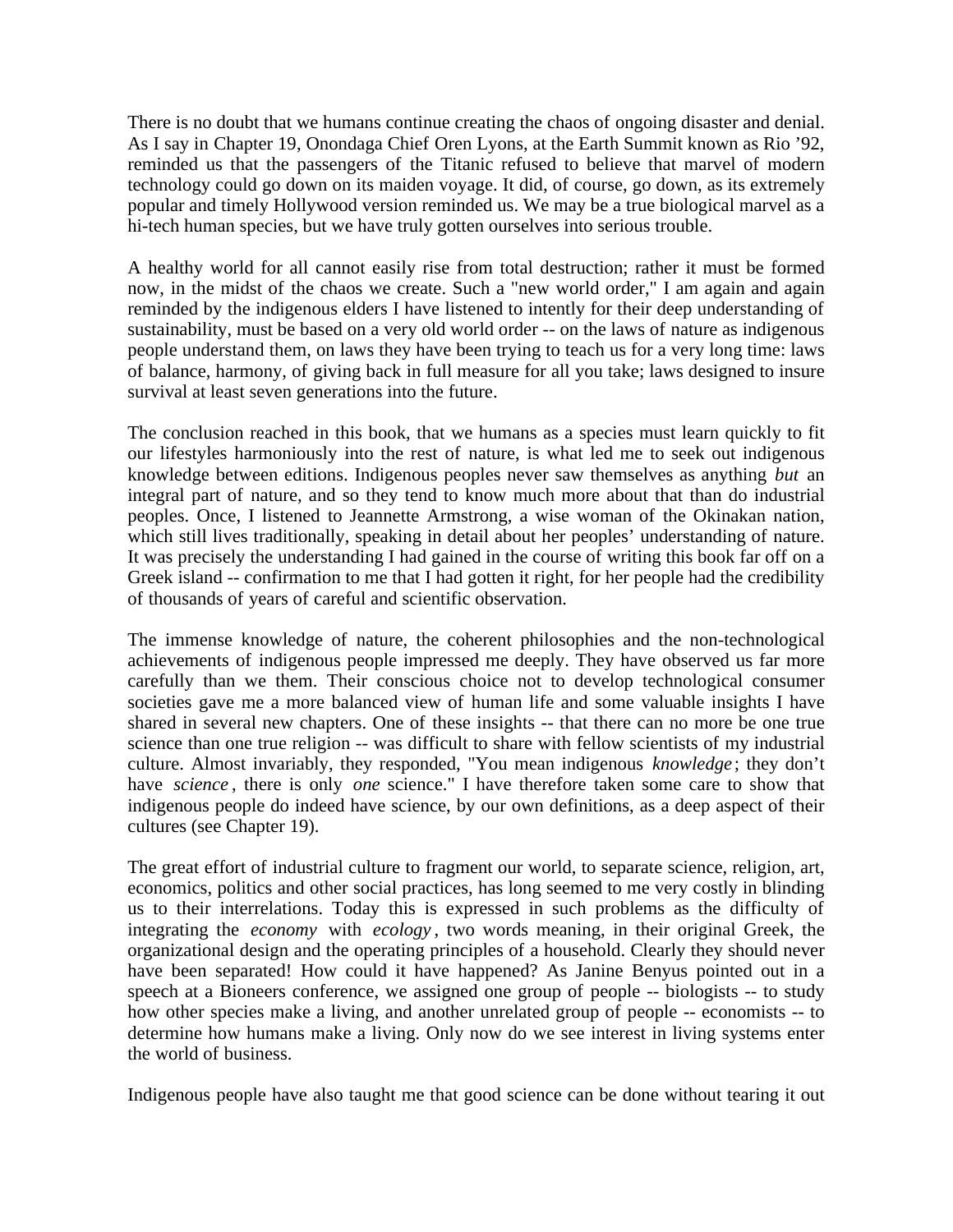There is no doubt that we humans continue creating the chaos of ongoing disaster and denial. As I say in Chapter 19, Onondaga Chief Oren Lyons, at the Earth Summit known as Rio '92, reminded us that the passengers of the Titanic refused to believe that marvel of modern technology could go down on its maiden voyage. It did, of course, go down, as its extremely popular and timely Hollywood version reminded us. We may be a true biological marvel as a hi-tech human species, but we have truly gotten ourselves into serious trouble.

A healthy world for all cannot easily rise from total destruction; rather it must be formed now, in the midst of the chaos we create. Such a "new world order," I am again and again reminded by the indigenous elders I have listened to intently for their deep understanding of sustainability, must be based on a very old world order -- on the laws of nature as indigenous people understand them, on laws they have been trying to teach us for a very long time: laws of balance, harmony, of giving back in full measure for all you take; laws designed to insure survival at least seven generations into the future.

The conclusion reached in this book, that we humans as a species must learn quickly to fit our lifestyles harmoniously into the rest of nature, is what led me to seek out indigenous knowledge between editions. Indigenous peoples never saw themselves as anything *but* an integral part of nature, and so they tend to know much more about that than do industrial peoples. Once, I listened to Jeannette Armstrong, a wise woman of the Okinakan nation, which still lives traditionally, speaking in detail about her peoples' understanding of nature. It was precisely the understanding I had gained in the course of writing this book far off on a Greek island -- confirmation to me that I had gotten it right, for her people had the credibility of thousands of years of careful and scientific observation.

The immense knowledge of nature, the coherent philosophies and the non-technological achievements of indigenous people impressed me deeply. They have observed us far more carefully than we them. Their conscious choice not to develop technological consumer societies gave me a more balanced view of human life and some valuable insights I have shared in several new chapters. One of these insights -- that there can no more be one true science than one true religion -- was difficult to share with fellow scientists of my industrial culture. Almost invariably, they responded, "You mean indigenous *knowledge* ; they don't have *science* , there is only *one* science." I have therefore taken some care to show that indigenous people do indeed have science, by our own definitions, as a deep aspect of their cultures (see Chapter 19).

The great effort of industrial culture to fragment our world, to separate science, religion, art, economics, politics and other social practices, has long seemed to me very costly in blinding us to their interrelations. Today this is expressed in such problems as the difficulty of integrating the *economy* with *ecology* , two words meaning, in their original Greek, the organizational design and the operating principles of a household. Clearly they should never have been separated! How could it have happened? As Janine Benyus pointed out in a speech at a Bioneers conference, we assigned one group of people -- biologists -- to study how other species make a living, and another unrelated group of people -- economists -- to determine how humans make a living. Only now do we see interest in living systems enter the world of business.

Indigenous people have also taught me that good science can be done without tearing it out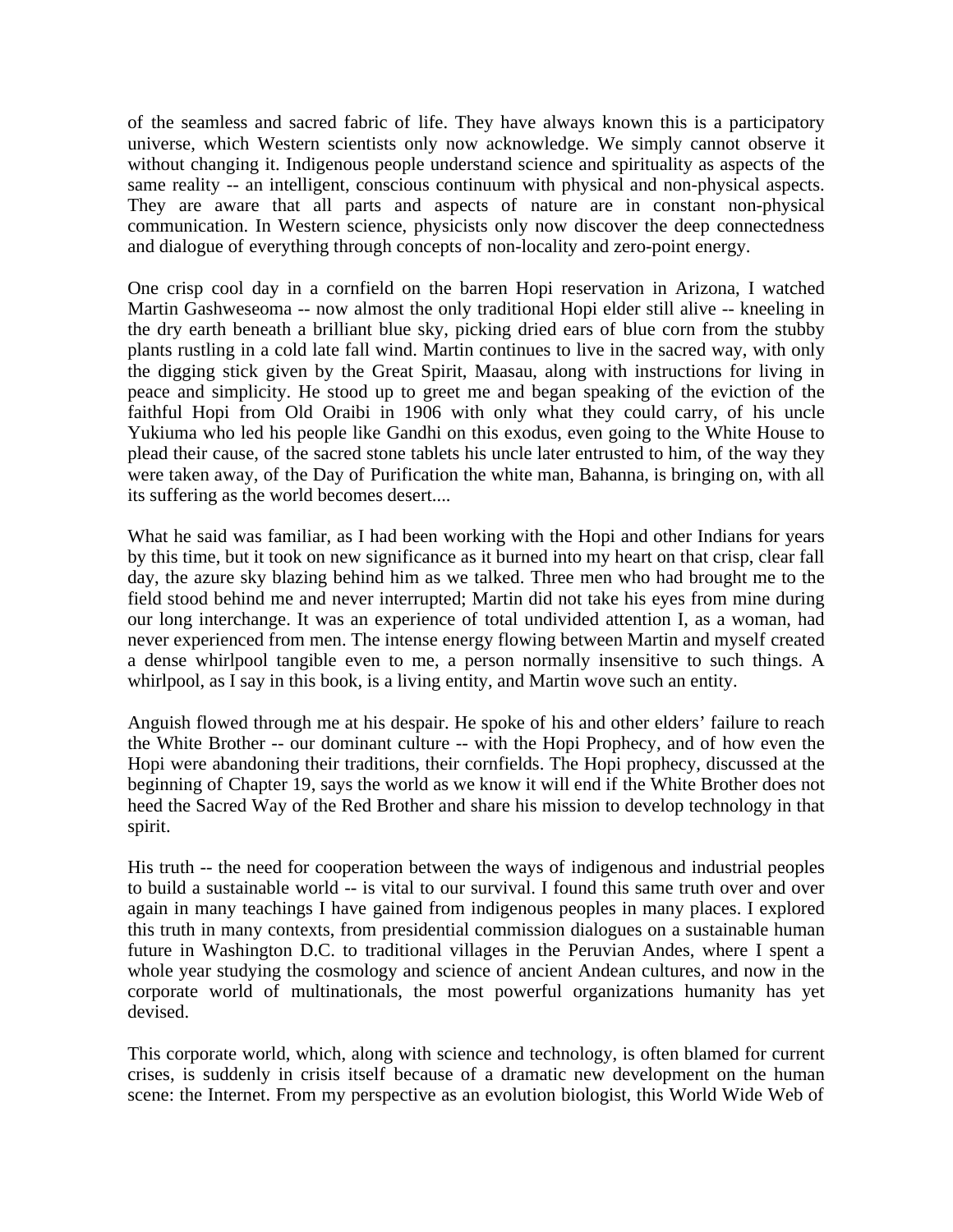of the seamless and sacred fabric of life. They have always known this is a participatory universe, which Western scientists only now acknowledge. We simply cannot observe it without changing it. Indigenous people understand science and spirituality as aspects of the same reality -- an intelligent, conscious continuum with physical and non-physical aspects. They are aware that all parts and aspects of nature are in constant non-physical communication. In Western science, physicists only now discover the deep connectedness and dialogue of everything through concepts of non-locality and zero-point energy.

One crisp cool day in a cornfield on the barren Hopi reservation in Arizona, I watched Martin Gashweseoma -- now almost the only traditional Hopi elder still alive -- kneeling in the dry earth beneath a brilliant blue sky, picking dried ears of blue corn from the stubby plants rustling in a cold late fall wind. Martin continues to live in the sacred way, with only the digging stick given by the Great Spirit, Maasau, along with instructions for living in peace and simplicity. He stood up to greet me and began speaking of the eviction of the faithful Hopi from Old Oraibi in 1906 with only what they could carry, of his uncle Yukiuma who led his people like Gandhi on this exodus, even going to the White House to plead their cause, of the sacred stone tablets his uncle later entrusted to him, of the way they were taken away, of the Day of Purification the white man, Bahanna, is bringing on, with all its suffering as the world becomes desert....

What he said was familiar, as I had been working with the Hopi and other Indians for years by this time, but it took on new significance as it burned into my heart on that crisp, clear fall day, the azure sky blazing behind him as we talked. Three men who had brought me to the field stood behind me and never interrupted; Martin did not take his eyes from mine during our long interchange. It was an experience of total undivided attention I, as a woman, had never experienced from men. The intense energy flowing between Martin and myself created a dense whirlpool tangible even to me, a person normally insensitive to such things. A whirlpool, as I say in this book, is a living entity, and Martin wove such an entity.

Anguish flowed through me at his despair. He spoke of his and other elders' failure to reach the White Brother -- our dominant culture -- with the Hopi Prophecy, and of how even the Hopi were abandoning their traditions, their cornfields. The Hopi prophecy, discussed at the beginning of Chapter 19, says the world as we know it will end if the White Brother does not heed the Sacred Way of the Red Brother and share his mission to develop technology in that spirit.

His truth -- the need for cooperation between the ways of indigenous and industrial peoples to build a sustainable world -- is vital to our survival. I found this same truth over and over again in many teachings I have gained from indigenous peoples in many places. I explored this truth in many contexts, from presidential commission dialogues on a sustainable human future in Washington D.C. to traditional villages in the Peruvian Andes, where I spent a whole year studying the cosmology and science of ancient Andean cultures, and now in the corporate world of multinationals, the most powerful organizations humanity has yet devised.

This corporate world, which, along with science and technology, is often blamed for current crises, is suddenly in crisis itself because of a dramatic new development on the human scene: the Internet. From my perspective as an evolution biologist, this World Wide Web of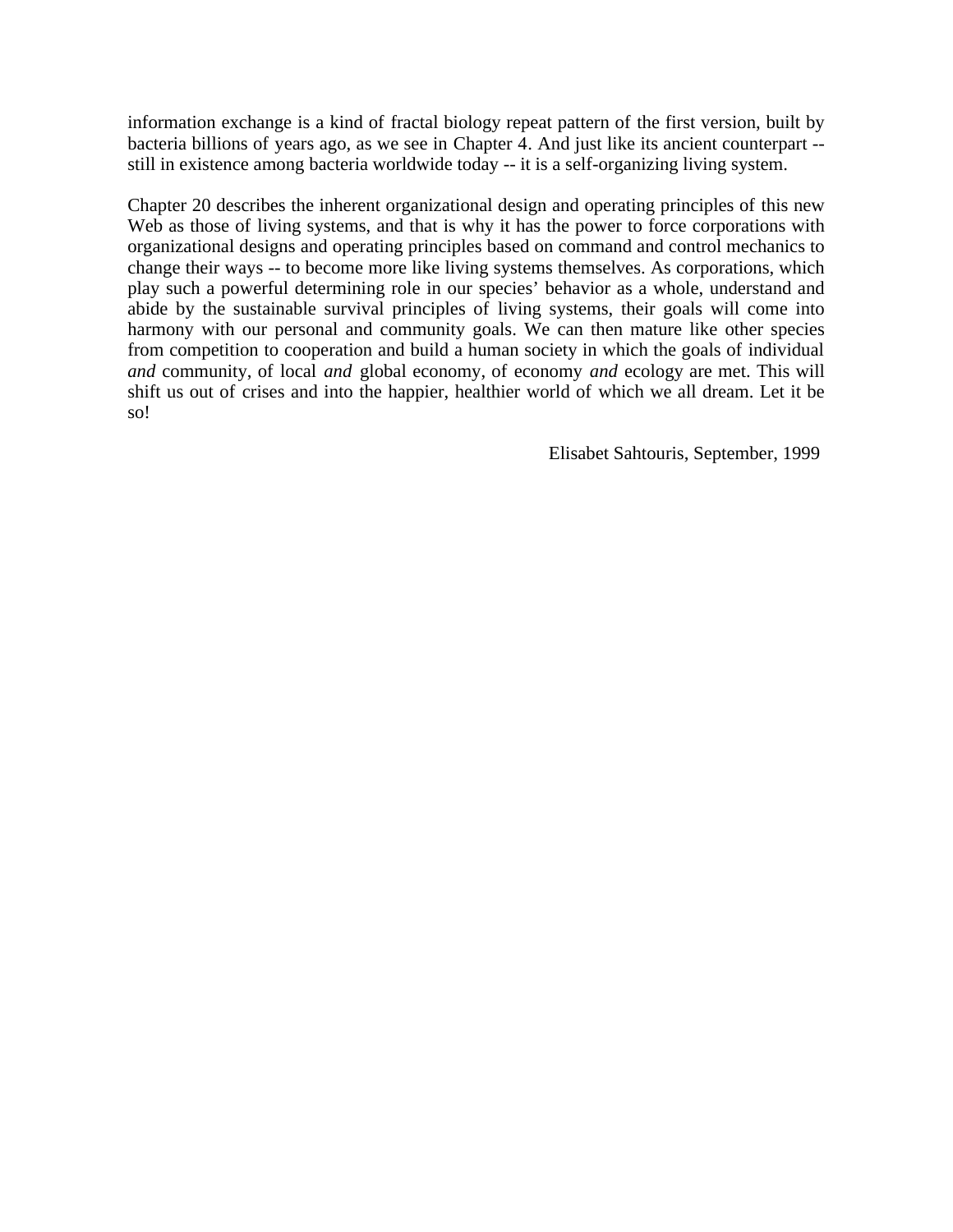information exchange is a kind of fractal biology repeat pattern of the first version, built by bacteria billions of years ago, as we see in Chapter 4. And just like its ancient counterpart - still in existence among bacteria worldwide today -- it is a self-organizing living system.

Chapter 20 describes the inherent organizational design and operating principles of this new Web as those of living systems, and that is why it has the power to force corporations with organizational designs and operating principles based on command and control mechanics to change their ways -- to become more like living systems themselves. As corporations, which play such a powerful determining role in our species' behavior as a whole, understand and abide by the sustainable survival principles of living systems, their goals will come into harmony with our personal and community goals. We can then mature like other species from competition to cooperation and build a human society in which the goals of individual *and* community, of local *and* global economy, of economy *and* ecology are met. This will shift us out of crises and into the happier, healthier world of which we all dream. Let it be so!

Elisabet Sahtouris, September, 1999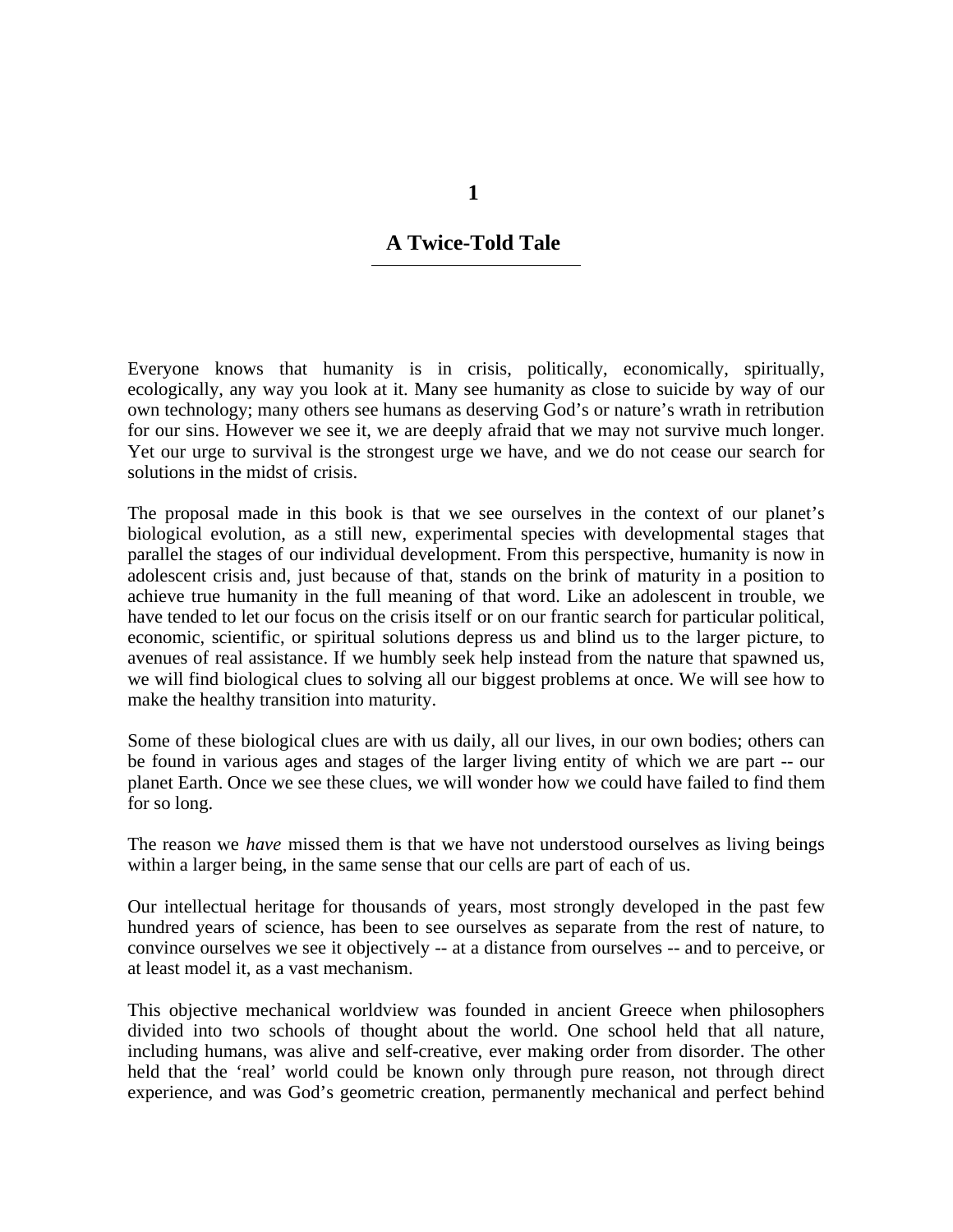## **A Twice-Told Tale**

Everyone knows that humanity is in crisis, politically, economically, spiritually, ecologically, any way you look at it. Many see humanity as close to suicide by way of our own technology; many others see humans as deserving God's or nature's wrath in retribution for our sins. However we see it, we are deeply afraid that we may not survive much longer. Yet our urge to survival is the strongest urge we have, and we do not cease our search for solutions in the midst of crisis.

The proposal made in this book is that we see ourselves in the context of our planet's biological evolution, as a still new, experimental species with developmental stages that parallel the stages of our individual development. From this perspective, humanity is now in adolescent crisis and, just because of that, stands on the brink of maturity in a position to achieve true humanity in the full meaning of that word. Like an adolescent in trouble, we have tended to let our focus on the crisis itself or on our frantic search for particular political, economic, scientific, or spiritual solutions depress us and blind us to the larger picture, to avenues of real assistance. If we humbly seek help instead from the nature that spawned us, we will find biological clues to solving all our biggest problems at once. We will see how to make the healthy transition into maturity.

Some of these biological clues are with us daily, all our lives, in our own bodies; others can be found in various ages and stages of the larger living entity of which we are part -- our planet Earth. Once we see these clues, we will wonder how we could have failed to find them for so long.

The reason we *have* missed them is that we have not understood ourselves as living beings within a larger being, in the same sense that our cells are part of each of us.

Our intellectual heritage for thousands of years, most strongly developed in the past few hundred years of science, has been to see ourselves as separate from the rest of nature, to convince ourselves we see it objectively -- at a distance from ourselves -- and to perceive, or at least model it, as a vast mechanism.

This objective mechanical worldview was founded in ancient Greece when philosophers divided into two schools of thought about the world. One school held that all nature, including humans, was alive and self-creative, ever making order from disorder. The other held that the 'real' world could be known only through pure reason, not through direct experience, and was God's geometric creation, permanently mechanical and perfect behind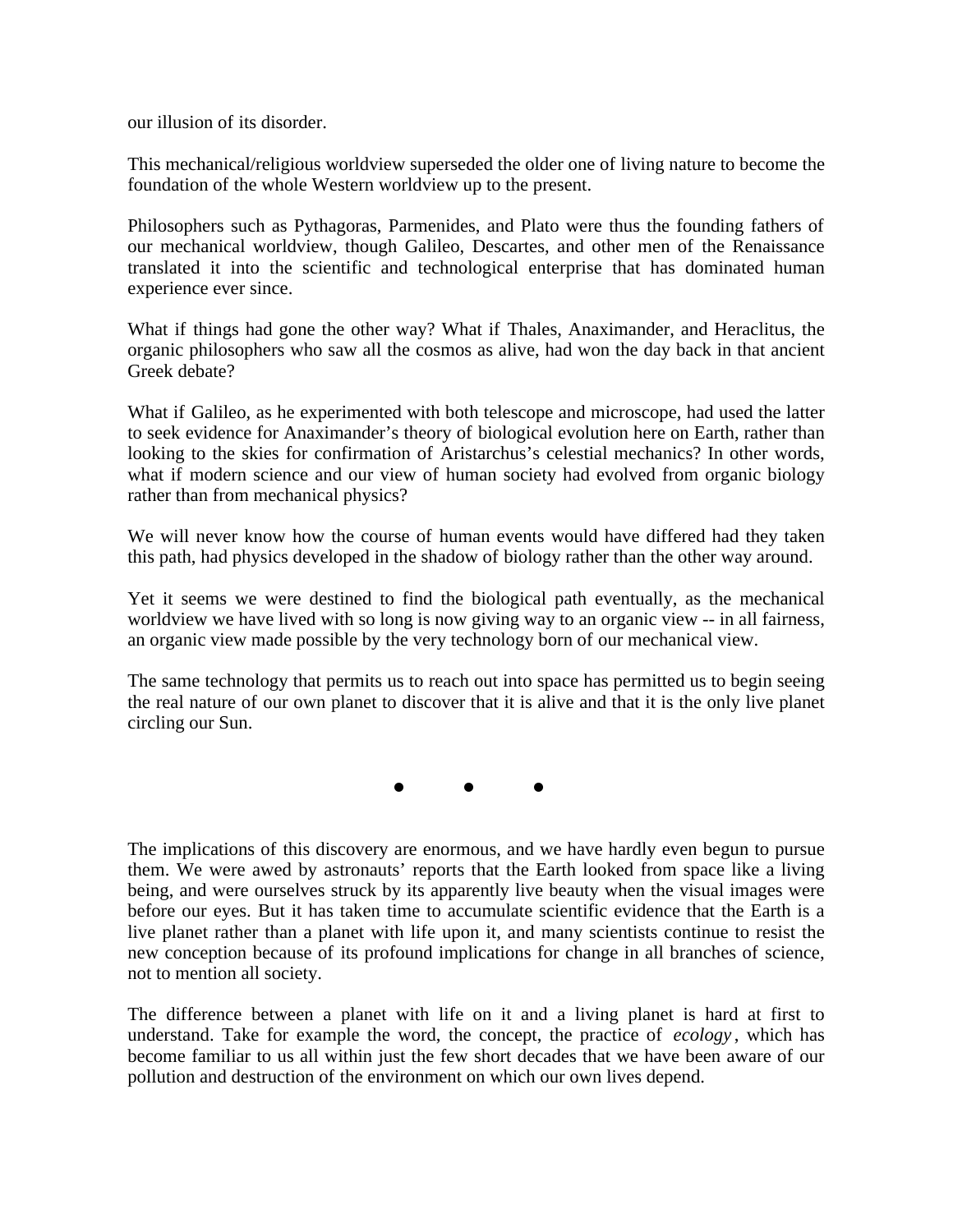our illusion of its disorder.

This mechanical/religious worldview superseded the older one of living nature to become the foundation of the whole Western worldview up to the present.

Philosophers such as Pythagoras, Parmenides, and Plato were thus the founding fathers of our mechanical worldview, though Galileo, Descartes, and other men of the Renaissance translated it into the scientific and technological enterprise that has dominated human experience ever since.

What if things had gone the other way? What if Thales, Anaximander, and Heraclitus, the organic philosophers who saw all the cosmos as alive, had won the day back in that ancient Greek debate?

What if Galileo, as he experimented with both telescope and microscope, had used the latter to seek evidence for Anaximander's theory of biological evolution here on Earth, rather than looking to the skies for confirmation of Aristarchus's celestial mechanics? In other words, what if modern science and our view of human society had evolved from organic biology rather than from mechanical physics?

We will never know how the course of human events would have differed had they taken this path, had physics developed in the shadow of biology rather than the other way around.

Yet it seems we were destined to find the biological path eventually, as the mechanical worldview we have lived with so long is now giving way to an organic view -- in all fairness, an organic view made possible by the very technology born of our mechanical view.

The same technology that permits us to reach out into space has permitted us to begin seeing the real nature of our own planet to discover that it is alive and that it is the only live planet circling our Sun.

**· · ·** 

The implications of this discovery are enormous, and we have hardly even begun to pursue them. We were awed by astronauts' reports that the Earth looked from space like a living being, and were ourselves struck by its apparently live beauty when the visual images were before our eyes. But it has taken time to accumulate scientific evidence that the Earth is a live planet rather than a planet with life upon it, and many scientists continue to resist the new conception because of its profound implications for change in all branches of science, not to mention all society.

The difference between a planet with life on it and a living planet is hard at first to understand. Take for example the word, the concept, the practice of *ecology* , which has become familiar to us all within just the few short decades that we have been aware of our pollution and destruction of the environment on which our own lives depend.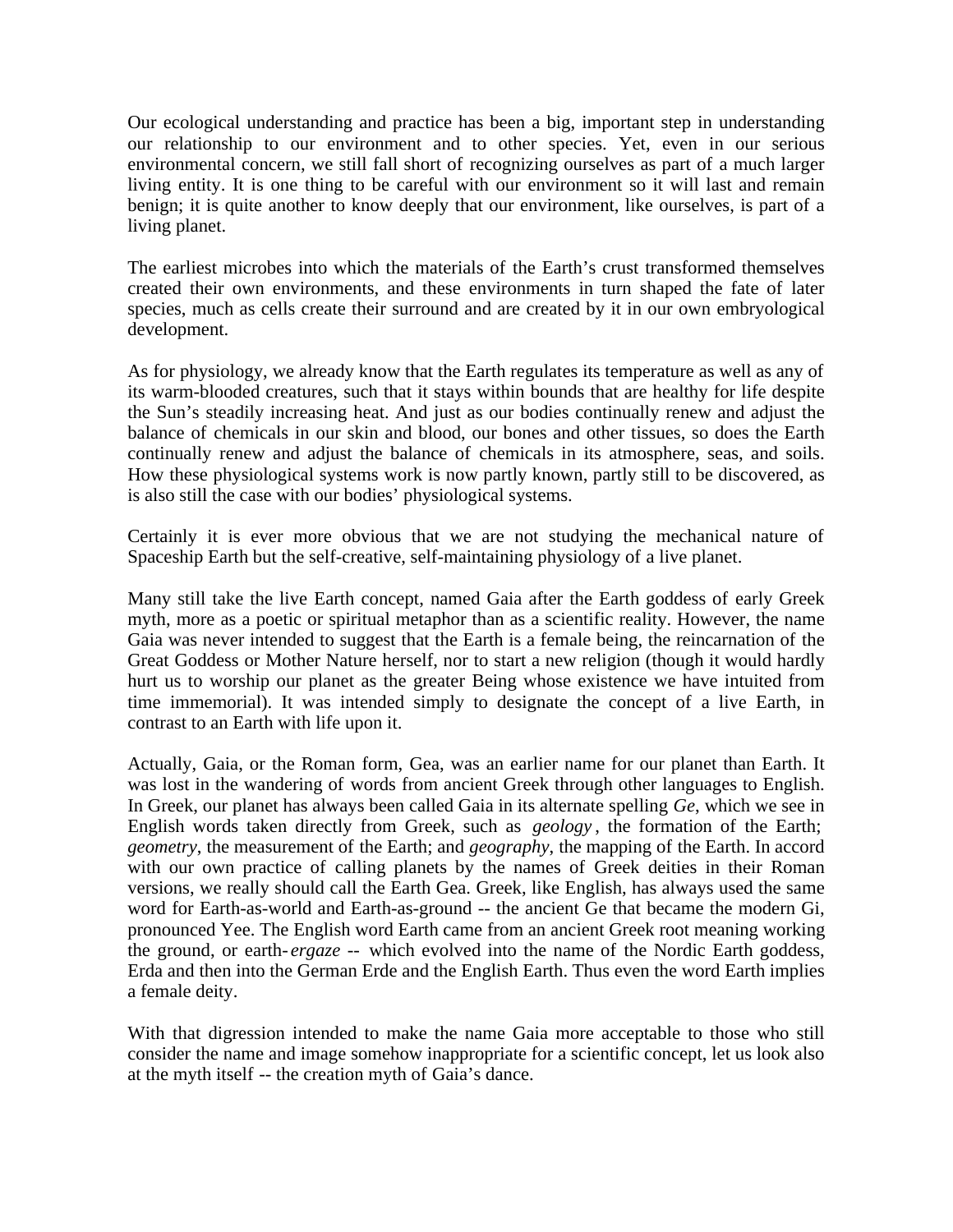Our ecological understanding and practice has been a big, important step in understanding our relationship to our environment and to other species. Yet, even in our serious environmental concern, we still fall short of recognizing ourselves as part of a much larger living entity. It is one thing to be careful with our environment so it will last and remain benign; it is quite another to know deeply that our environment, like ourselves, is part of a living planet.

The earliest microbes into which the materials of the Earth's crust transformed themselves created their own environments, and these environments in turn shaped the fate of later species, much as cells create their surround and are created by it in our own embryological development.

As for physiology, we already know that the Earth regulates its temperature as well as any of its warm-blooded creatures, such that it stays within bounds that are healthy for life despite the Sun's steadily increasing heat. And just as our bodies continually renew and adjust the balance of chemicals in our skin and blood, our bones and other tissues, so does the Earth continually renew and adjust the balance of chemicals in its atmosphere, seas, and soils. How these physiological systems work is now partly known, partly still to be discovered, as is also still the case with our bodies' physiological systems.

Certainly it is ever more obvious that we are not studying the mechanical nature of Spaceship Earth but the self-creative, self-maintaining physiology of a live planet.

Many still take the live Earth concept, named Gaia after the Earth goddess of early Greek myth, more as a poetic or spiritual metaphor than as a scientific reality. However, the name Gaia was never intended to suggest that the Earth is a female being, the reincarnation of the Great Goddess or Mother Nature herself, nor to start a new religion (though it would hardly hurt us to worship our planet as the greater Being whose existence we have intuited from time immemorial). It was intended simply to designate the concept of a live Earth, in contrast to an Earth with life upon it.

Actually, Gaia, or the Roman form, Gea, was an earlier name for our planet than Earth. It was lost in the wandering of words from ancient Greek through other languages to English. In Greek, our planet has always been called Gaia in its alternate spelling *Ge*, which we see in English words taken directly from Greek, such as *geology* , the formation of the Earth; *geometry*, the measurement of the Earth; and *geography*, the mapping of the Earth. In accord with our own practice of calling planets by the names of Greek deities in their Roman versions, we really should call the Earth Gea. Greek, like English, has always used the same word for Earth-as-world and Earth-as-ground -- the ancient Ge that became the modern Gi, pronounced Yee. The English word Earth came from an ancient Greek root meaning working the ground, or earth- *ergaze --* which evolved into the name of the Nordic Earth goddess, Erda and then into the German Erde and the English Earth. Thus even the word Earth implies a female deity.

With that digression intended to make the name Gaia more acceptable to those who still consider the name and image somehow inappropriate for a scientific concept, let us look also at the myth itself -- the creation myth of Gaia's dance.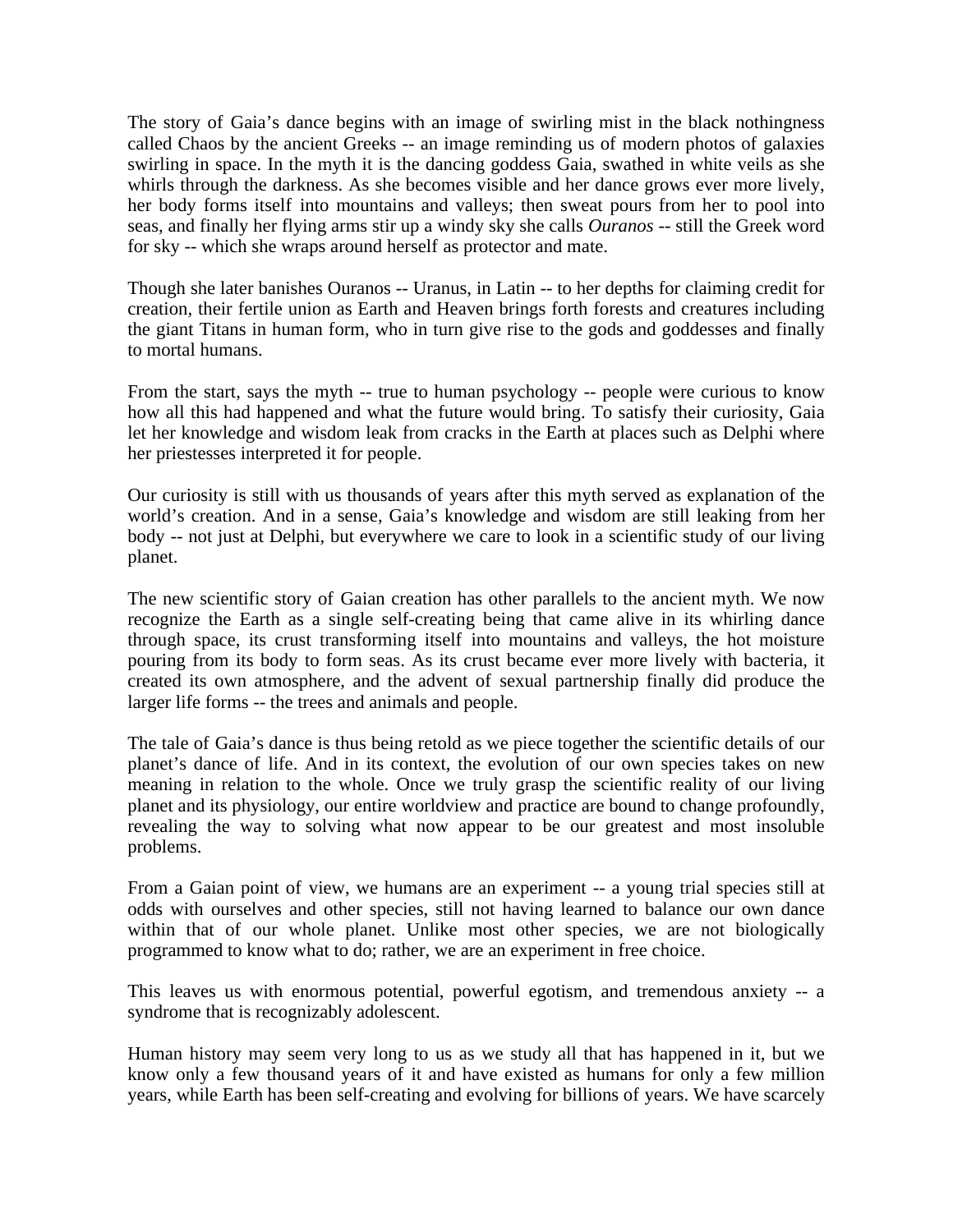The story of Gaia's dance begins with an image of swirling mist in the black nothingness called Chaos by the ancient Greeks -- an image reminding us of modern photos of galaxies swirling in space. In the myth it is the dancing goddess Gaia, swathed in white veils as she whirls through the darkness. As she becomes visible and her dance grows ever more lively, her body forms itself into mountains and valleys; then sweat pours from her to pool into seas, and finally her flying arms stir up a windy sky she calls *Ouranos* -- still the Greek word for sky -- which she wraps around herself as protector and mate.

Though she later banishes Ouranos -- Uranus, in Latin -- to her depths for claiming credit for creation, their fertile union as Earth and Heaven brings forth forests and creatures including the giant Titans in human form, who in turn give rise to the gods and goddesses and finally to mortal humans.

From the start, says the myth -- true to human psychology -- people were curious to know how all this had happened and what the future would bring. To satisfy their curiosity, Gaia let her knowledge and wisdom leak from cracks in the Earth at places such as Delphi where her priestesses interpreted it for people.

Our curiosity is still with us thousands of years after this myth served as explanation of the world's creation. And in a sense, Gaia's knowledge and wisdom are still leaking from her body -- not just at Delphi, but everywhere we care to look in a scientific study of our living planet.

The new scientific story of Gaian creation has other parallels to the ancient myth. We now recognize the Earth as a single self-creating being that came alive in its whirling dance through space, its crust transforming itself into mountains and valleys, the hot moisture pouring from its body to form seas. As its crust became ever more lively with bacteria, it created its own atmosphere, and the advent of sexual partnership finally did produce the larger life forms -- the trees and animals and people.

The tale of Gaia's dance is thus being retold as we piece together the scientific details of our planet's dance of life. And in its context, the evolution of our own species takes on new meaning in relation to the whole. Once we truly grasp the scientific reality of our living planet and its physiology, our entire worldview and practice are bound to change profoundly, revealing the way to solving what now appear to be our greatest and most insoluble problems.

From a Gaian point of view, we humans are an experiment -- a young trial species still at odds with ourselves and other species, still not having learned to balance our own dance within that of our whole planet. Unlike most other species, we are not biologically programmed to know what to do; rather, we are an experiment in free choice.

This leaves us with enormous potential, powerful egotism, and tremendous anxiety -- a syndrome that is recognizably adolescent.

Human history may seem very long to us as we study all that has happened in it, but we know only a few thousand years of it and have existed as humans for only a few million years, while Earth has been self-creating and evolving for billions of years. We have scarcely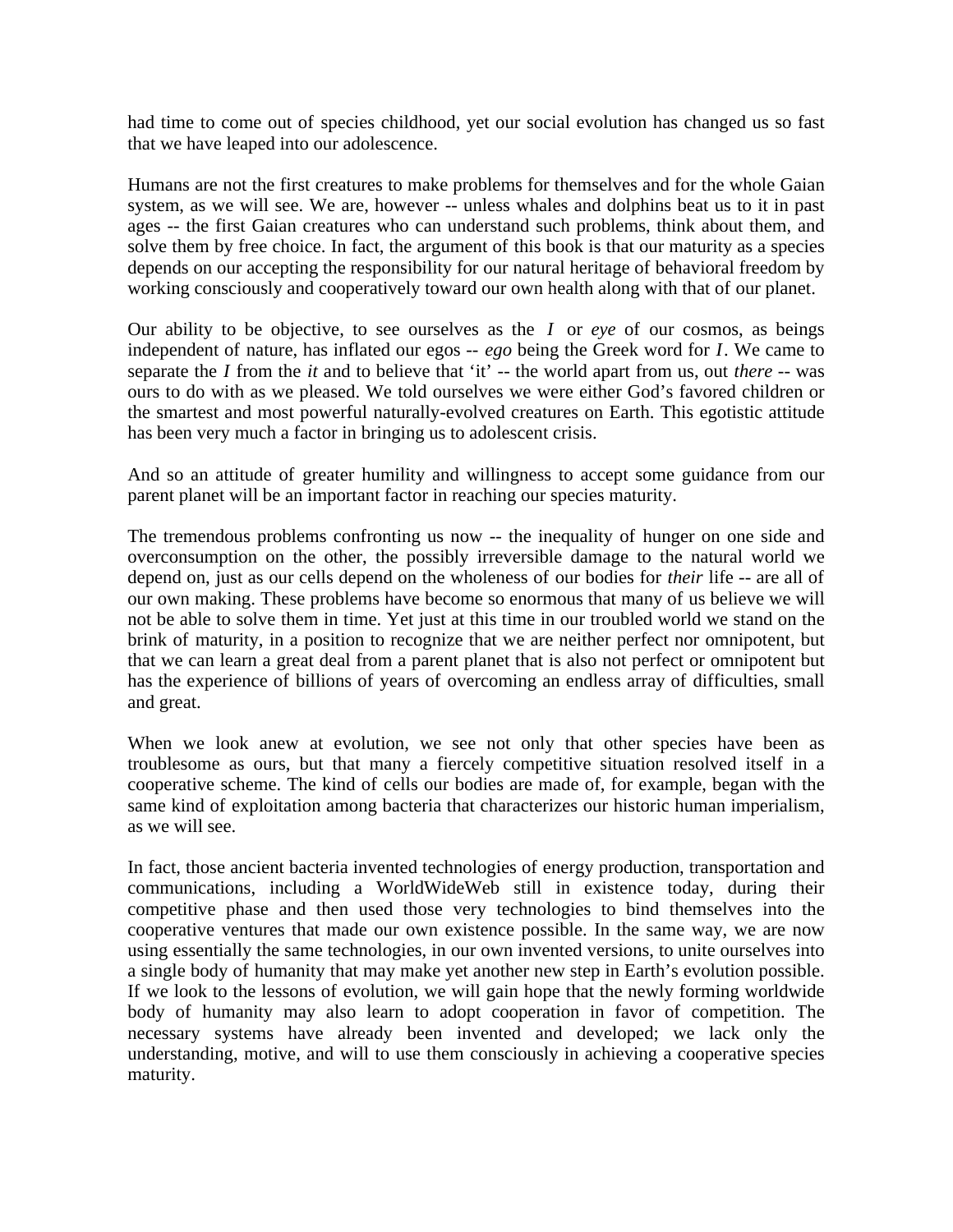had time to come out of species childhood, yet our social evolution has changed us so fast that we have leaped into our adolescence.

Humans are not the first creatures to make problems for themselves and for the whole Gaian system, as we will see. We are, however -- unless whales and dolphins beat us to it in past ages -- the first Gaian creatures who can understand such problems, think about them, and solve them by free choice. In fact, the argument of this book is that our maturity as a species depends on our accepting the responsibility for our natural heritage of behavioral freedom by working consciously and cooperatively toward our own health along with that of our planet.

Our ability to be objective, to see ourselves as the *I* or *eye* of our cosmos, as beings independent of nature, has inflated our egos *-- ego* being the Greek word for *I*. We came to separate the *I* from the *it* and to believe that 'it' -- the world apart from us, out *there*  $-$  was ours to do with as we pleased. We told ourselves we were either God's favored children or the smartest and most powerful naturally-evolved creatures on Earth. This egotistic attitude has been very much a factor in bringing us to adolescent crisis.

And so an attitude of greater humility and willingness to accept some guidance from our parent planet will be an important factor in reaching our species maturity.

The tremendous problems confronting us now -- the inequality of hunger on one side and overconsumption on the other, the possibly irreversible damage to the natural world we depend on, just as our cells depend on the wholeness of our bodies for *their* life -- are all of our own making. These problems have become so enormous that many of us believe we will not be able to solve them in time. Yet just at this time in our troubled world we stand on the brink of maturity, in a position to recognize that we are neither perfect nor omnipotent, but that we can learn a great deal from a parent planet that is also not perfect or omnipotent but has the experience of billions of years of overcoming an endless array of difficulties, small and great.

When we look anew at evolution, we see not only that other species have been as troublesome as ours, but that many a fiercely competitive situation resolved itself in a cooperative scheme. The kind of cells our bodies are made of, for example, began with the same kind of exploitation among bacteria that characterizes our historic human imperialism, as we will see.

In fact, those ancient bacteria invented technologies of energy production, transportation and communications, including a WorldWideWeb still in existence today, during their competitive phase and then used those very technologies to bind themselves into the cooperative ventures that made our own existence possible. In the same way, we are now using essentially the same technologies, in our own invented versions, to unite ourselves into a single body of humanity that may make yet another new step in Earth's evolution possible. If we look to the lessons of evolution, we will gain hope that the newly forming worldwide body of humanity may also learn to adopt cooperation in favor of competition. The necessary systems have already been invented and developed; we lack only the understanding, motive, and will to use them consciously in achieving a cooperative species maturity.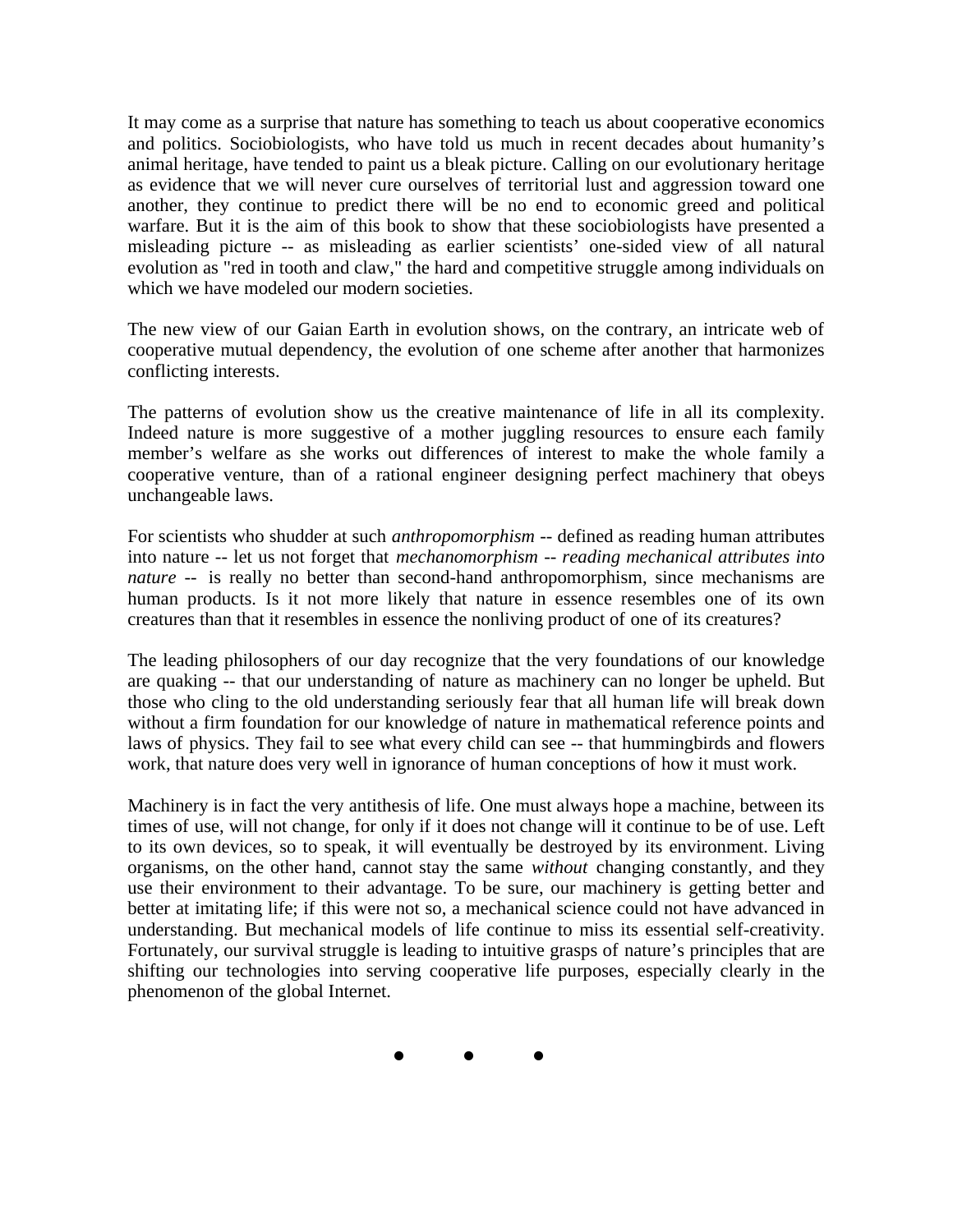It may come as a surprise that nature has something to teach us about cooperative economics and politics. Sociobiologists, who have told us much in recent decades about humanity's animal heritage, have tended to paint us a bleak picture. Calling on our evolutionary heritage as evidence that we will never cure ourselves of territorial lust and aggression toward one another, they continue to predict there will be no end to economic greed and political warfare. But it is the aim of this book to show that these sociobiologists have presented a misleading picture -- as misleading as earlier scientists' one-sided view of all natural evolution as "red in tooth and claw," the hard and competitive struggle among individuals on which we have modeled our modern societies.

The new view of our Gaian Earth in evolution shows, on the contrary, an intricate web of cooperative mutual dependency, the evolution of one scheme after another that harmonizes conflicting interests.

The patterns of evolution show us the creative maintenance of life in all its complexity. Indeed nature is more suggestive of a mother juggling resources to ensure each family member's welfare as she works out differences of interest to make the whole family a cooperative venture, than of a rational engineer designing perfect machinery that obeys unchangeable laws.

For scientists who shudder at such *anthropomorphism* -- defined as reading human attributes into nature -- let us not forget that *mechanomorphism -- reading mechanical attributes into nature* -- is really no better than second-hand anthropomorphism, since mechanisms are human products. Is it not more likely that nature in essence resembles one of its own creatures than that it resembles in essence the nonliving product of one of its creatures?

The leading philosophers of our day recognize that the very foundations of our knowledge are quaking -- that our understanding of nature as machinery can no longer be upheld. But those who cling to the old understanding seriously fear that all human life will break down without a firm foundation for our knowledge of nature in mathematical reference points and laws of physics. They fail to see what every child can see -- that hummingbirds and flowers work, that nature does very well in ignorance of human conceptions of how it must work.

Machinery is in fact the very antithesis of life. One must always hope a machine, between its times of use, will not change, for only if it does not change will it continue to be of use. Left to its own devices, so to speak, it will eventually be destroyed by its environment. Living organisms, on the other hand, cannot stay the same *without* changing constantly, and they use their environment to their advantage. To be sure, our machinery is getting better and better at imitating life; if this were not so, a mechanical science could not have advanced in understanding. But mechanical models of life continue to miss its essential self-creativity. Fortunately, our survival struggle is leading to intuitive grasps of nature's principles that are shifting our technologies into serving cooperative life purposes, especially clearly in the phenomenon of the global Internet.

**· · ·**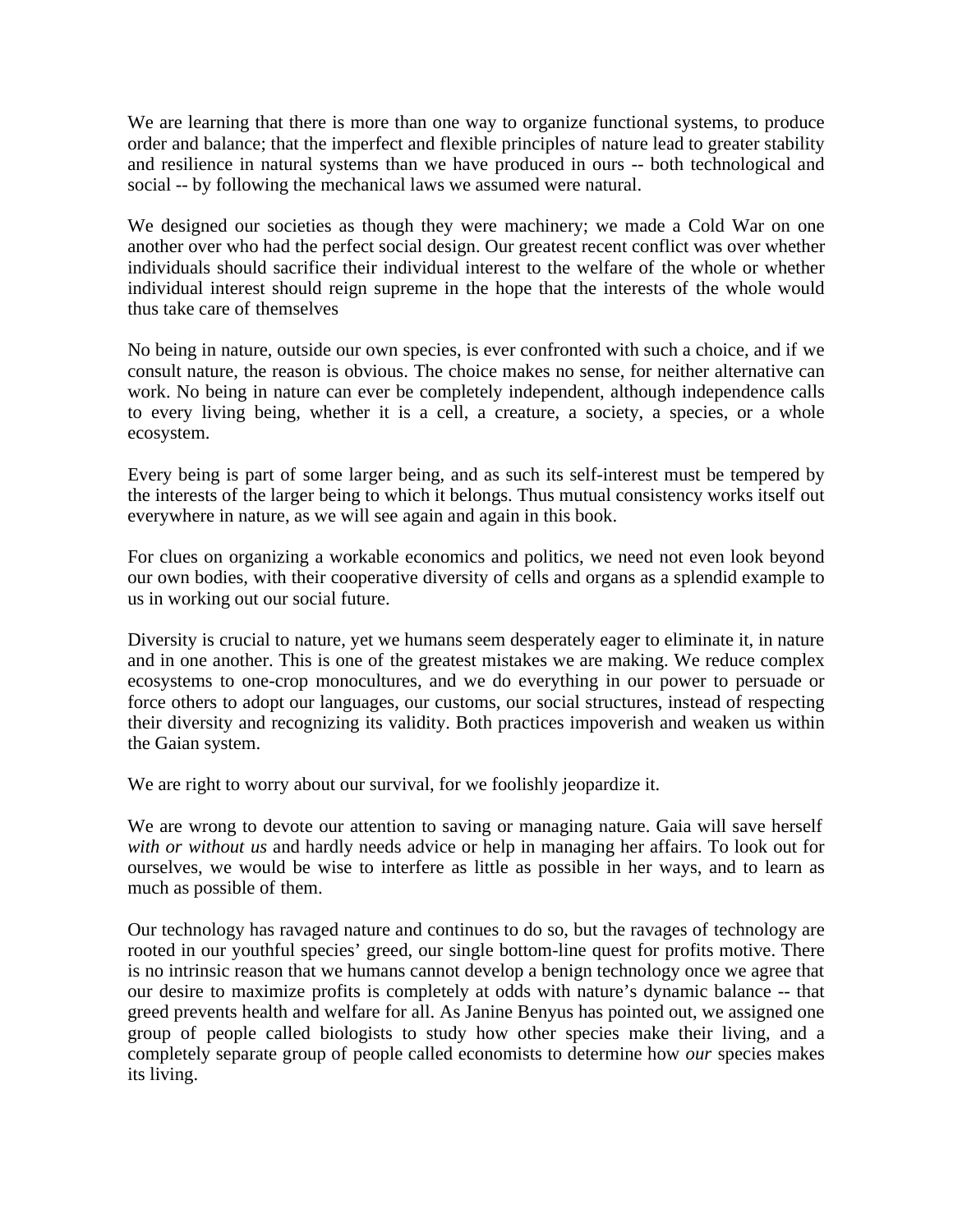We are learning that there is more than one way to organize functional systems, to produce order and balance; that the imperfect and flexible principles of nature lead to greater stability and resilience in natural systems than we have produced in ours -- both technological and social -- by following the mechanical laws we assumed were natural.

We designed our societies as though they were machinery; we made a Cold War on one another over who had the perfect social design. Our greatest recent conflict was over whether individuals should sacrifice their individual interest to the welfare of the whole or whether individual interest should reign supreme in the hope that the interests of the whole would thus take care of themselves

No being in nature, outside our own species, is ever confronted with such a choice, and if we consult nature, the reason is obvious. The choice makes no sense, for neither alternative can work. No being in nature can ever be completely independent, although independence calls to every living being, whether it is a cell, a creature, a society, a species, or a whole ecosystem.

Every being is part of some larger being, and as such its self-interest must be tempered by the interests of the larger being to which it belongs. Thus mutual consistency works itself out everywhere in nature, as we will see again and again in this book.

For clues on organizing a workable economics and politics, we need not even look beyond our own bodies, with their cooperative diversity of cells and organs as a splendid example to us in working out our social future.

Diversity is crucial to nature, yet we humans seem desperately eager to eliminate it, in nature and in one another. This is one of the greatest mistakes we are making. We reduce complex ecosystems to one-crop monocultures, and we do everything in our power to persuade or force others to adopt our languages, our customs, our social structures, instead of respecting their diversity and recognizing its validity. Both practices impoverish and weaken us within the Gaian system.

We are right to worry about our survival, for we foolishly jeopardize it.

We are wrong to devote our attention to saving or managing nature. Gaia will save herself *with or without us* and hardly needs advice or help in managing her affairs. To look out for ourselves, we would be wise to interfere as little as possible in her ways, and to learn as much as possible of them.

Our technology has ravaged nature and continues to do so, but the ravages of technology are rooted in our youthful species' greed, our single bottom-line quest for profits motive. There is no intrinsic reason that we humans cannot develop a benign technology once we agree that our desire to maximize profits is completely at odds with nature's dynamic balance -- that greed prevents health and welfare for all. As Janine Benyus has pointed out, we assigned one group of people called biologists to study how other species make their living, and a completely separate group of people called economists to determine how *our* species makes its living.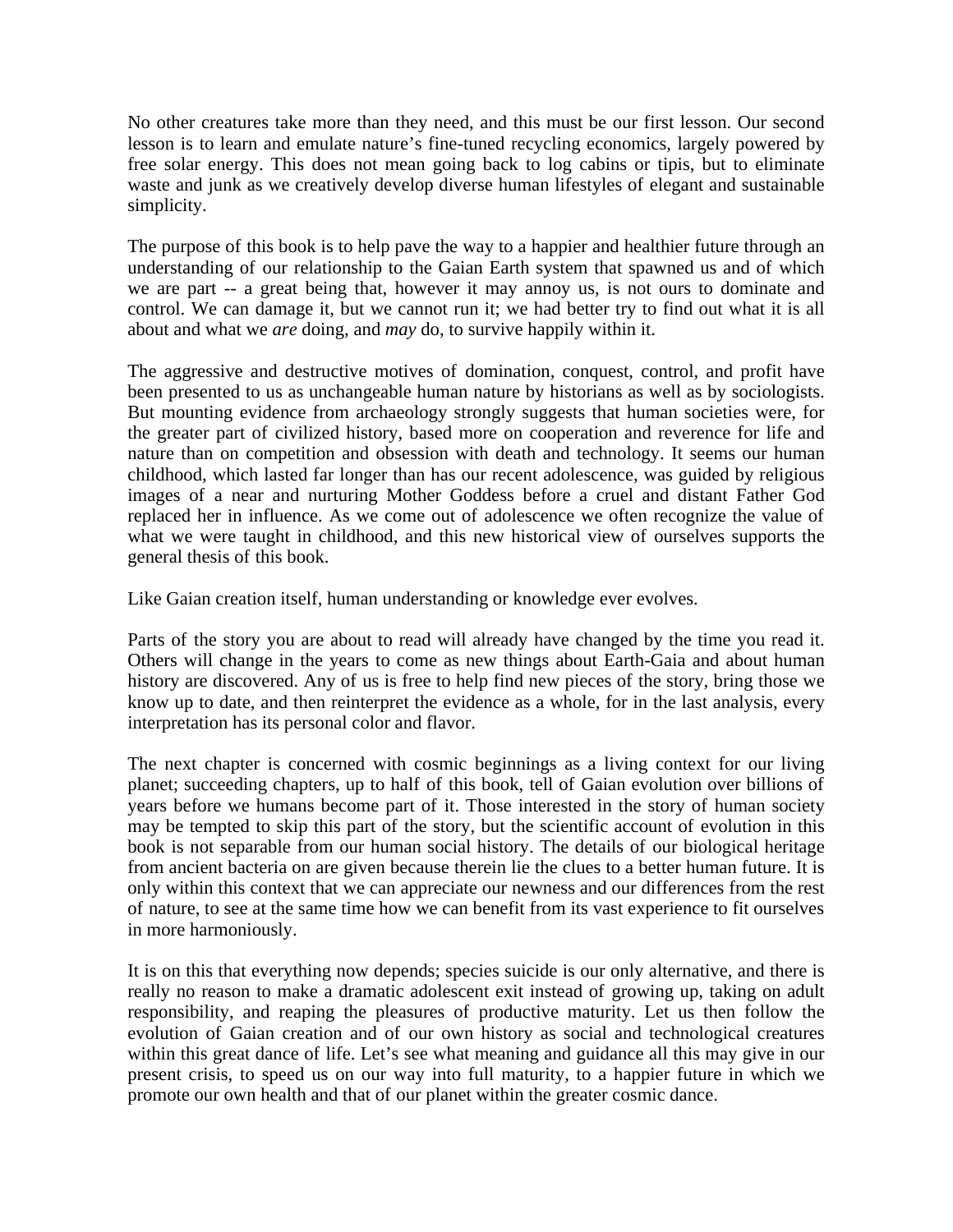No other creatures take more than they need, and this must be our first lesson. Our second lesson is to learn and emulate nature's fine-tuned recycling economics, largely powered by free solar energy. This does not mean going back to log cabins or tipis, but to eliminate waste and junk as we creatively develop diverse human lifestyles of elegant and sustainable simplicity.

The purpose of this book is to help pave the way to a happier and healthier future through an understanding of our relationship to the Gaian Earth system that spawned us and of which we are part -- a great being that, however it may annoy us, is not ours to dominate and control. We can damage it, but we cannot run it; we had better try to find out what it is all about and what we *are* doing, and *may* do, to survive happily within it.

The aggressive and destructive motives of domination, conquest, control, and profit have been presented to us as unchangeable human nature by historians as well as by sociologists. But mounting evidence from archaeology strongly suggests that human societies were, for the greater part of civilized history, based more on cooperation and reverence for life and nature than on competition and obsession with death and technology. It seems our human childhood, which lasted far longer than has our recent adolescence, was guided by religious images of a near and nurturing Mother Goddess before a cruel and distant Father God replaced her in influence. As we come out of adolescence we often recognize the value of what we were taught in childhood, and this new historical view of ourselves supports the general thesis of this book.

Like Gaian creation itself, human understanding or knowledge ever evolves.

Parts of the story you are about to read will already have changed by the time you read it. Others will change in the years to come as new things about Earth-Gaia and about human history are discovered. Any of us is free to help find new pieces of the story, bring those we know up to date, and then reinterpret the evidence as a whole, for in the last analysis, every interpretation has its personal color and flavor.

The next chapter is concerned with cosmic beginnings as a living context for our living planet; succeeding chapters, up to half of this book, tell of Gaian evolution over billions of years before we humans become part of it. Those interested in the story of human society may be tempted to skip this part of the story, but the scientific account of evolution in this book is not separable from our human social history. The details of our biological heritage from ancient bacteria on are given because therein lie the clues to a better human future. It is only within this context that we can appreciate our newness and our differences from the rest of nature, to see at the same time how we can benefit from its vast experience to fit ourselves in more harmoniously.

It is on this that everything now depends; species suicide is our only alternative, and there is really no reason to make a dramatic adolescent exit instead of growing up, taking on adult responsibility, and reaping the pleasures of productive maturity. Let us then follow the evolution of Gaian creation and of our own history as social and technological creatures within this great dance of life. Let's see what meaning and guidance all this may give in our present crisis, to speed us on our way into full maturity, to a happier future in which we promote our own health and that of our planet within the greater cosmic dance.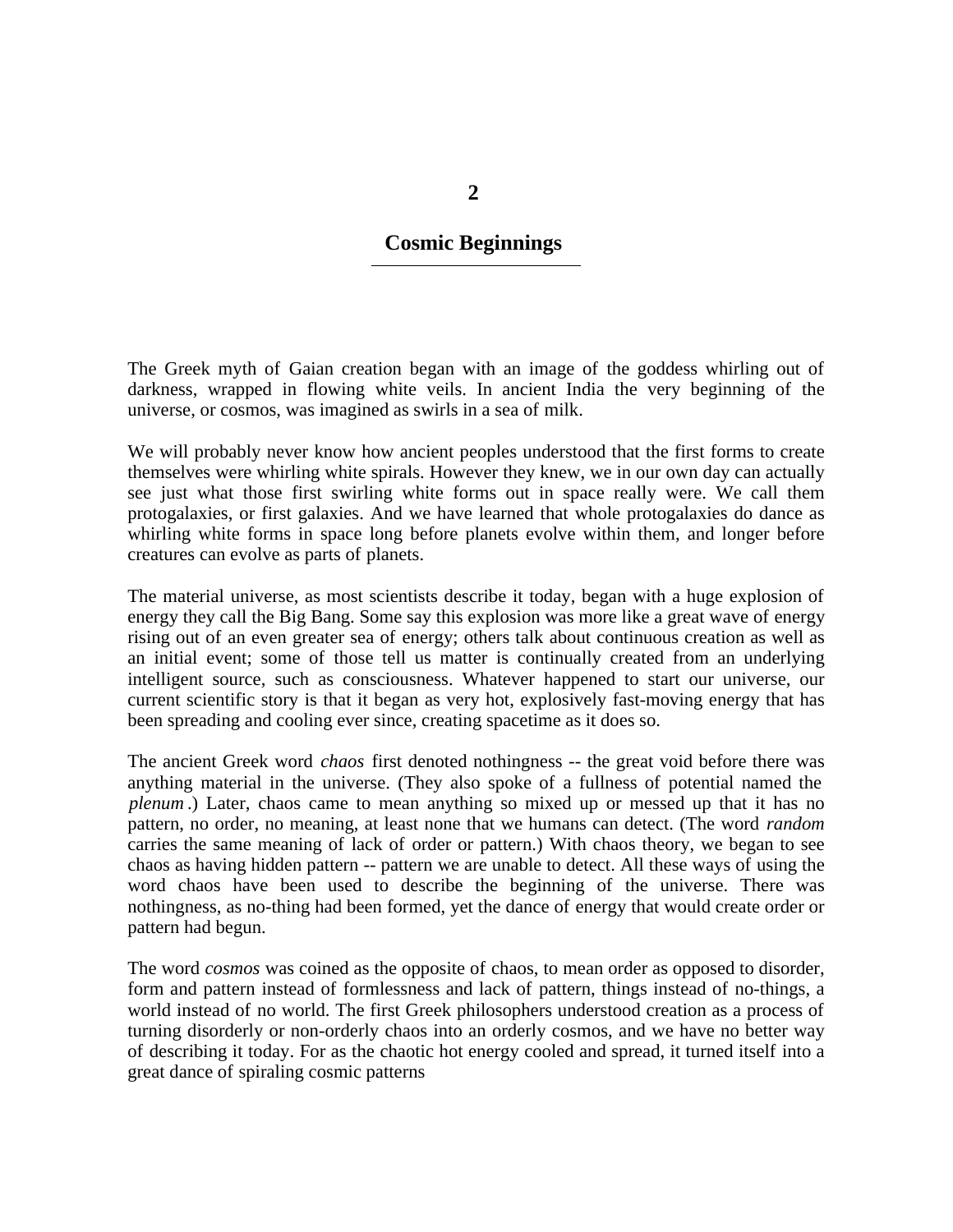## **Cosmic Beginnings**

The Greek myth of Gaian creation began with an image of the goddess whirling out of darkness, wrapped in flowing white veils. In ancient India the very beginning of the universe, or cosmos, was imagined as swirls in a sea of milk.

We will probably never know how ancient peoples understood that the first forms to create themselves were whirling white spirals. However they knew, we in our own day can actually see just what those first swirling white forms out in space really were. We call them protogalaxies, or first galaxies. And we have learned that whole protogalaxies do dance as whirling white forms in space long before planets evolve within them, and longer before creatures can evolve as parts of planets.

The material universe, as most scientists describe it today, began with a huge explosion of energy they call the Big Bang. Some say this explosion was more like a great wave of energy rising out of an even greater sea of energy; others talk about continuous creation as well as an initial event; some of those tell us matter is continually created from an underlying intelligent source, such as consciousness. Whatever happened to start our universe, our current scientific story is that it began as very hot, explosively fast-moving energy that has been spreading and cooling ever since, creating spacetime as it does so.

The ancient Greek word *chaos* first denoted nothingness -- the great void before there was anything material in the universe. (They also spoke of a fullness of potential named the *plenum* .) Later, chaos came to mean anything so mixed up or messed up that it has no pattern, no order, no meaning, at least none that we humans can detect. (The word *random* carries the same meaning of lack of order or pattern.) With chaos theory, we began to see chaos as having hidden pattern -- pattern we are unable to detect. All these ways of using the word chaos have been used to describe the beginning of the universe. There was nothingness, as no-thing had been formed, yet the dance of energy that would create order or pattern had begun.

The word *cosmos* was coined as the opposite of chaos, to mean order as opposed to disorder, form and pattern instead of formlessness and lack of pattern, things instead of no-things, a world instead of no world. The first Greek philosophers understood creation as a process of turning disorderly or non-orderly chaos into an orderly cosmos, and we have no better way of describing it today. For as the chaotic hot energy cooled and spread, it turned itself into a great dance of spiraling cosmic patterns

**2**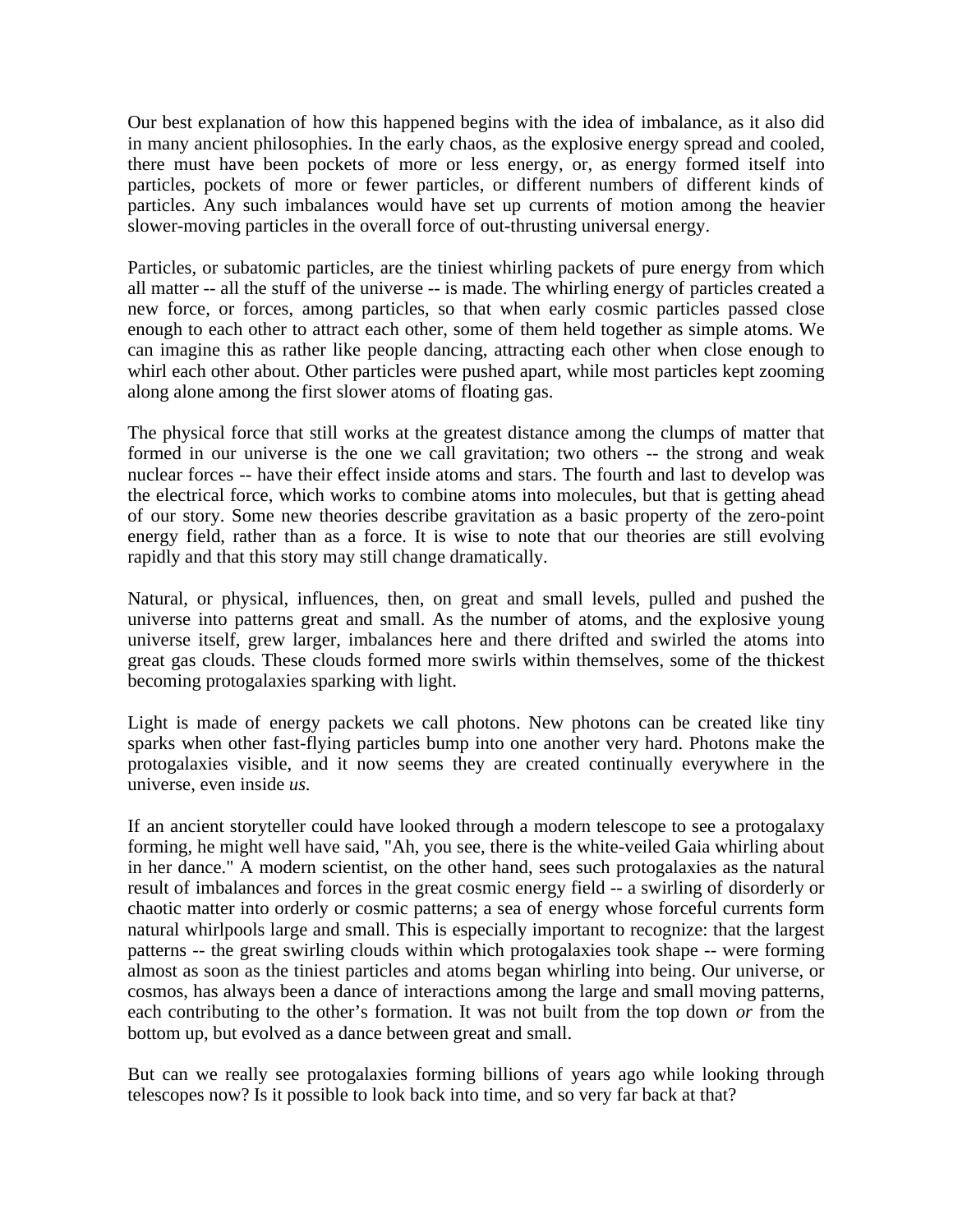Our best explanation of how this happened begins with the idea of imbalance, as it also did in many ancient philosophies. In the early chaos, as the explosive energy spread and cooled, there must have been pockets of more or less energy, or, as energy formed itself into particles, pockets of more or fewer particles, or different numbers of different kinds of particles. Any such imbalances would have set up currents of motion among the heavier slower-moving particles in the overall force of out-thrusting universal energy.

Particles, or subatomic particles, are the tiniest whirling packets of pure energy from which all matter -- all the stuff of the universe -- is made. The whirling energy of particles created a new force, or forces, among particles, so that when early cosmic particles passed close enough to each other to attract each other, some of them held together as simple atoms. We can imagine this as rather like people dancing, attracting each other when close enough to whirl each other about. Other particles were pushed apart, while most particles kept zooming along alone among the first slower atoms of floating gas.

The physical force that still works at the greatest distance among the clumps of matter that formed in our universe is the one we call gravitation; two others -- the strong and weak nuclear forces -- have their effect inside atoms and stars. The fourth and last to develop was the electrical force, which works to combine atoms into molecules, but that is getting ahead of our story. Some new theories describe gravitation as a basic property of the zero-point energy field, rather than as a force. It is wise to note that our theories are still evolving rapidly and that this story may still change dramatically.

Natural, or physical, influences, then, on great and small levels, pulled and pushed the universe into patterns great and small. As the number of atoms, and the explosive young universe itself, grew larger, imbalances here and there drifted and swirled the atoms into great gas clouds. These clouds formed more swirls within themselves, some of the thickest becoming protogalaxies sparking with light.

Light is made of energy packets we call photons. New photons can be created like tiny sparks when other fast-flying particles bump into one another very hard. Photons make the protogalaxies visible, and it now seems they are created continually everywhere in the universe, even inside *us*.

If an ancient storyteller could have looked through a modern telescope to see a protogalaxy forming, he might well have said, "Ah, you see, there is the white-veiled Gaia whirling about in her dance." A modern scientist, on the other hand, sees such protogalaxies as the natural result of imbalances and forces in the great cosmic energy field -- a swirling of disorderly or chaotic matter into orderly or cosmic patterns; a sea of energy whose forceful currents form natural whirlpools large and small. This is especially important to recognize: that the largest patterns -- the great swirling clouds within which protogalaxies took shape -- were forming almost as soon as the tiniest particles and atoms began whirling into being. Our universe, or cosmos, has always been a dance of interactions among the large and small moving patterns, each contributing to the other's formation. It was not built from the top down *or* from the bottom up, but evolved as a dance between great and small.

But can we really see protogalaxies forming billions of years ago while looking through telescopes now? Is it possible to look back into time, and so very far back at that?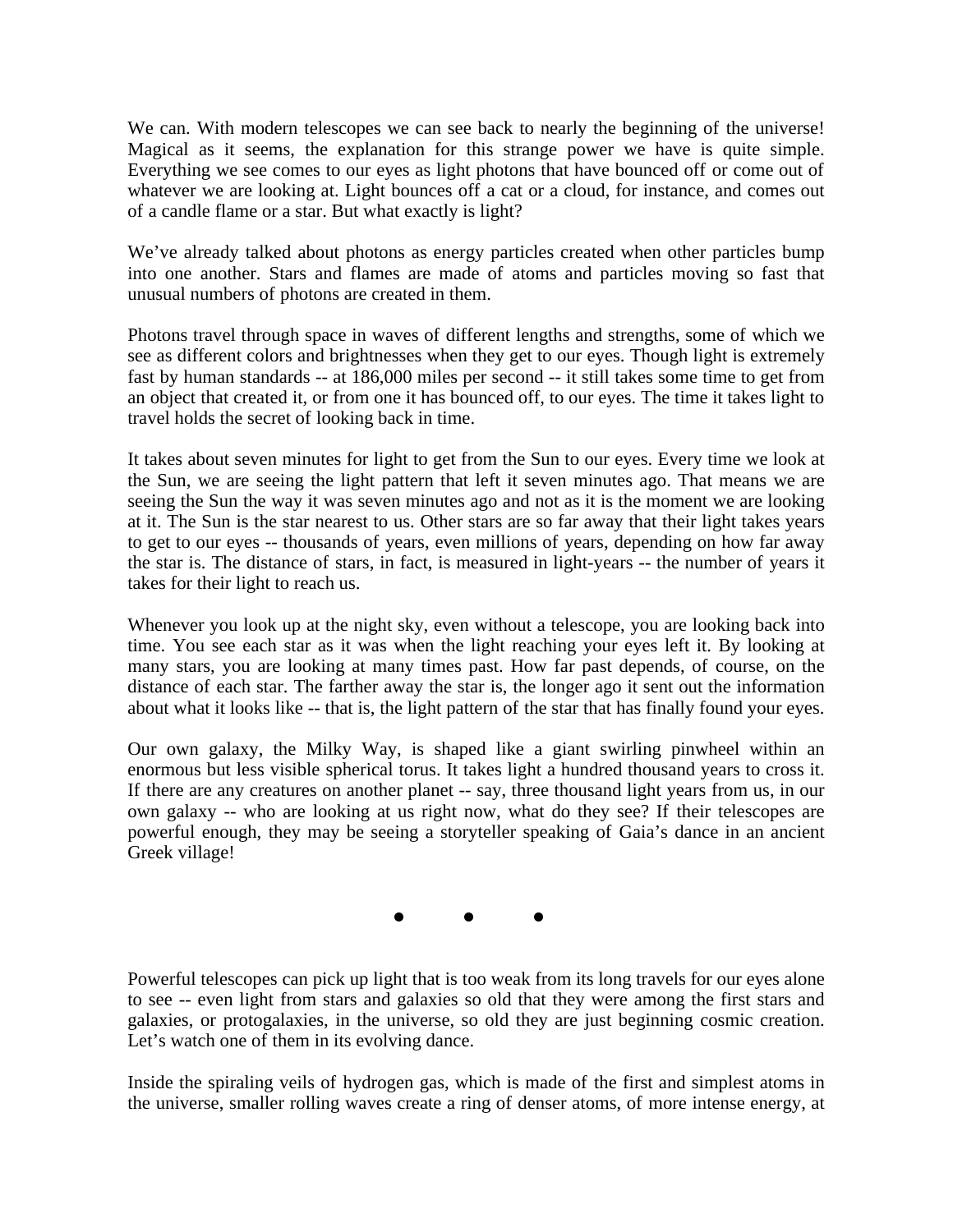We can. With modern telescopes we can see back to nearly the beginning of the universe! Magical as it seems, the explanation for this strange power we have is quite simple. Everything we see comes to our eyes as light photons that have bounced off or come out of whatever we are looking at. Light bounces off a cat or a cloud, for instance, and comes out of a candle flame or a star. But what exactly is light?

We've already talked about photons as energy particles created when other particles bump into one another. Stars and flames are made of atoms and particles moving so fast that unusual numbers of photons are created in them.

Photons travel through space in waves of different lengths and strengths, some of which we see as different colors and brightnesses when they get to our eyes. Though light is extremely fast by human standards -- at 186,000 miles per second -- it still takes some time to get from an object that created it, or from one it has bounced off, to our eyes. The time it takes light to travel holds the secret of looking back in time.

It takes about seven minutes for light to get from the Sun to our eyes. Every time we look at the Sun, we are seeing the light pattern that left it seven minutes ago. That means we are seeing the Sun the way it was seven minutes ago and not as it is the moment we are looking at it. The Sun is the star nearest to us. Other stars are so far away that their light takes years to get to our eyes -- thousands of years, even millions of years, depending on how far away the star is. The distance of stars, in fact, is measured in light-years -- the number of years it takes for their light to reach us.

Whenever you look up at the night sky, even without a telescope, you are looking back into time. You see each star as it was when the light reaching your eyes left it. By looking at many stars, you are looking at many times past. How far past depends, of course, on the distance of each star. The farther away the star is, the longer ago it sent out the information about what it looks like -- that is, the light pattern of the star that has finally found your eyes.

Our own galaxy, the Milky Way, is shaped like a giant swirling pinwheel within an enormous but less visible spherical torus. It takes light a hundred thousand years to cross it. If there are any creatures on another planet -- say, three thousand light years from us, in our own galaxy -- who are looking at us right now, what do they see? If their telescopes are powerful enough, they may be seeing a storyteller speaking of Gaia's dance in an ancient Greek village!

**· · ·** 

Powerful telescopes can pick up light that is too weak from its long travels for our eyes alone to see -- even light from stars and galaxies so old that they were among the first stars and galaxies, or protogalaxies, in the universe, so old they are just beginning cosmic creation. Let's watch one of them in its evolving dance.

Inside the spiraling veils of hydrogen gas, which is made of the first and simplest atoms in the universe, smaller rolling waves create a ring of denser atoms, of more intense energy, at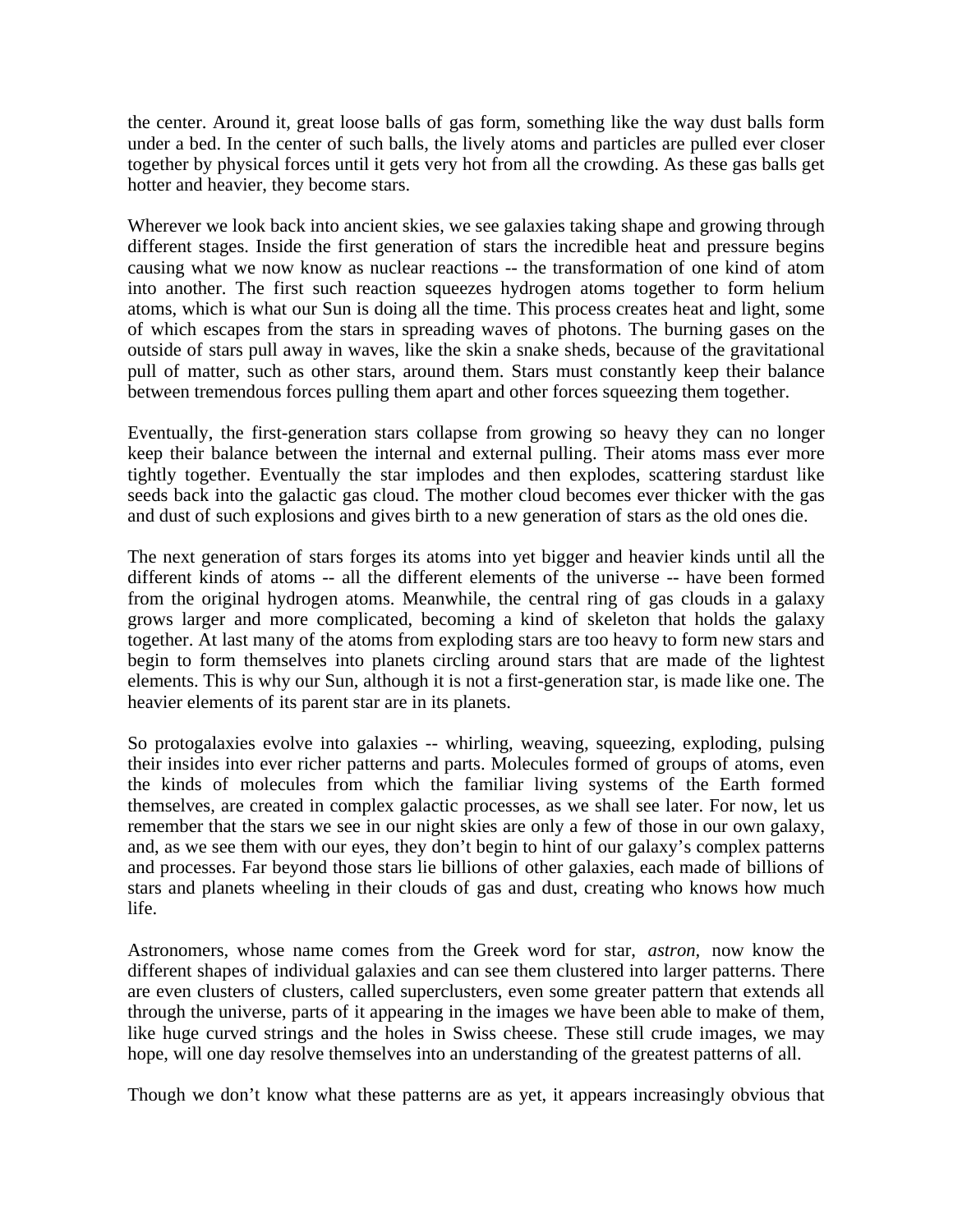the center. Around it, great loose balls of gas form, something like the way dust balls form under a bed. In the center of such balls, the lively atoms and particles are pulled ever closer together by physical forces until it gets very hot from all the crowding. As these gas balls get hotter and heavier, they become stars.

Wherever we look back into ancient skies, we see galaxies taking shape and growing through different stages. Inside the first generation of stars the incredible heat and pressure begins causing what we now know as nuclear reactions -- the transformation of one kind of atom into another. The first such reaction squeezes hydrogen atoms together to form helium atoms, which is what our Sun is doing all the time. This process creates heat and light, some of which escapes from the stars in spreading waves of photons. The burning gases on the outside of stars pull away in waves, like the skin a snake sheds, because of the gravitational pull of matter, such as other stars, around them. Stars must constantly keep their balance between tremendous forces pulling them apart and other forces squeezing them together.

Eventually, the first-generation stars collapse from growing so heavy they can no longer keep their balance between the internal and external pulling. Their atoms mass ever more tightly together. Eventually the star implodes and then explodes, scattering stardust like seeds back into the galactic gas cloud. The mother cloud becomes ever thicker with the gas and dust of such explosions and gives birth to a new generation of stars as the old ones die.

The next generation of stars forges its atoms into yet bigger and heavier kinds until all the different kinds of atoms -- all the different elements of the universe -- have been formed from the original hydrogen atoms. Meanwhile, the central ring of gas clouds in a galaxy grows larger and more complicated, becoming a kind of skeleton that holds the galaxy together. At last many of the atoms from exploding stars are too heavy to form new stars and begin to form themselves into planets circling around stars that are made of the lightest elements. This is why our Sun, although it is not a first-generation star, is made like one. The heavier elements of its parent star are in its planets.

So protogalaxies evolve into galaxies -- whirling, weaving, squeezing, exploding, pulsing their insides into ever richer patterns and parts. Molecules formed of groups of atoms, even the kinds of molecules from which the familiar living systems of the Earth formed themselves, are created in complex galactic processes, as we shall see later. For now, let us remember that the stars we see in our night skies are only a few of those in our own galaxy, and, as we see them with our eyes, they don't begin to hint of our galaxy's complex patterns and processes. Far beyond those stars lie billions of other galaxies, each made of billions of stars and planets wheeling in their clouds of gas and dust, creating who knows how much life.

Astronomers, whose name comes from the Greek word for star, *astron,* now know the different shapes of individual galaxies and can see them clustered into larger patterns. There are even clusters of clusters, called superclusters, even some greater pattern that extends all through the universe, parts of it appearing in the images we have been able to make of them, like huge curved strings and the holes in Swiss cheese. These still crude images, we may hope, will one day resolve themselves into an understanding of the greatest patterns of all.

Though we don't know what these patterns are as yet, it appears increasingly obvious that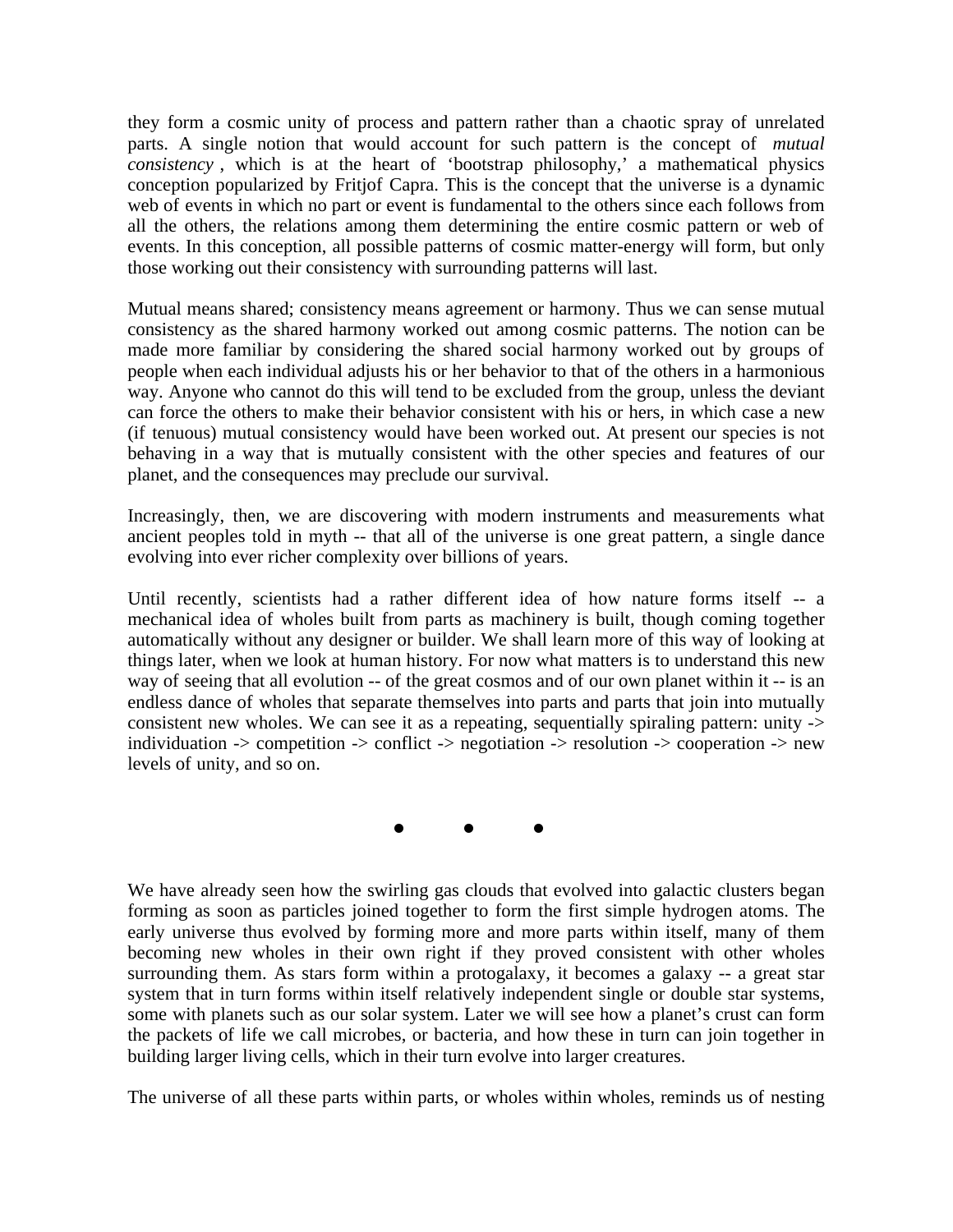they form a cosmic unity of process and pattern rather than a chaotic spray of unrelated parts. A single notion that would account for such pattern is the concept of *mutual consistency*, which is at the heart of 'bootstrap philosophy,' a mathematical physics conception popularized by Fritjof Capra. This is the concept that the universe is a dynamic web of events in which no part or event is fundamental to the others since each follows from all the others, the relations among them determining the entire cosmic pattern or web of events. In this conception, all possible patterns of cosmic matter-energy will form, but only those working out their consistency with surrounding patterns will last.

Mutual means shared; consistency means agreement or harmony. Thus we can sense mutual consistency as the shared harmony worked out among cosmic patterns. The notion can be made more familiar by considering the shared social harmony worked out by groups of people when each individual adjusts his or her behavior to that of the others in a harmonious way. Anyone who cannot do this will tend to be excluded from the group, unless the deviant can force the others to make their behavior consistent with his or hers, in which case a new (if tenuous) mutual consistency would have been worked out. At present our species is not behaving in a way that is mutually consistent with the other species and features of our planet, and the consequences may preclude our survival.

Increasingly, then, we are discovering with modern instruments and measurements what ancient peoples told in myth -- that all of the universe is one great pattern, a single dance evolving into ever richer complexity over billions of years.

Until recently, scientists had a rather different idea of how nature forms itself -- a mechanical idea of wholes built from parts as machinery is built, though coming together automatically without any designer or builder. We shall learn more of this way of looking at things later, when we look at human history. For now what matters is to understand this new way of seeing that all evolution -- of the great cosmos and of our own planet within it -- is an endless dance of wholes that separate themselves into parts and parts that join into mutually consistent new wholes. We can see it as a repeating, sequentially spiraling pattern: unity -> individuation -> competition -> conflict -> negotiation -> resolution -> cooperation -> new levels of unity, and so on.

**· · ·** 

We have already seen how the swirling gas clouds that evolved into galactic clusters began forming as soon as particles joined together to form the first simple hydrogen atoms. The early universe thus evolved by forming more and more parts within itself, many of them becoming new wholes in their own right if they proved consistent with other wholes surrounding them. As stars form within a protogalaxy, it becomes a galaxy -- a great star system that in turn forms within itself relatively independent single or double star systems, some with planets such as our solar system. Later we will see how a planet's crust can form the packets of life we call microbes, or bacteria, and how these in turn can join together in building larger living cells, which in their turn evolve into larger creatures.

The universe of all these parts within parts, or wholes within wholes, reminds us of nesting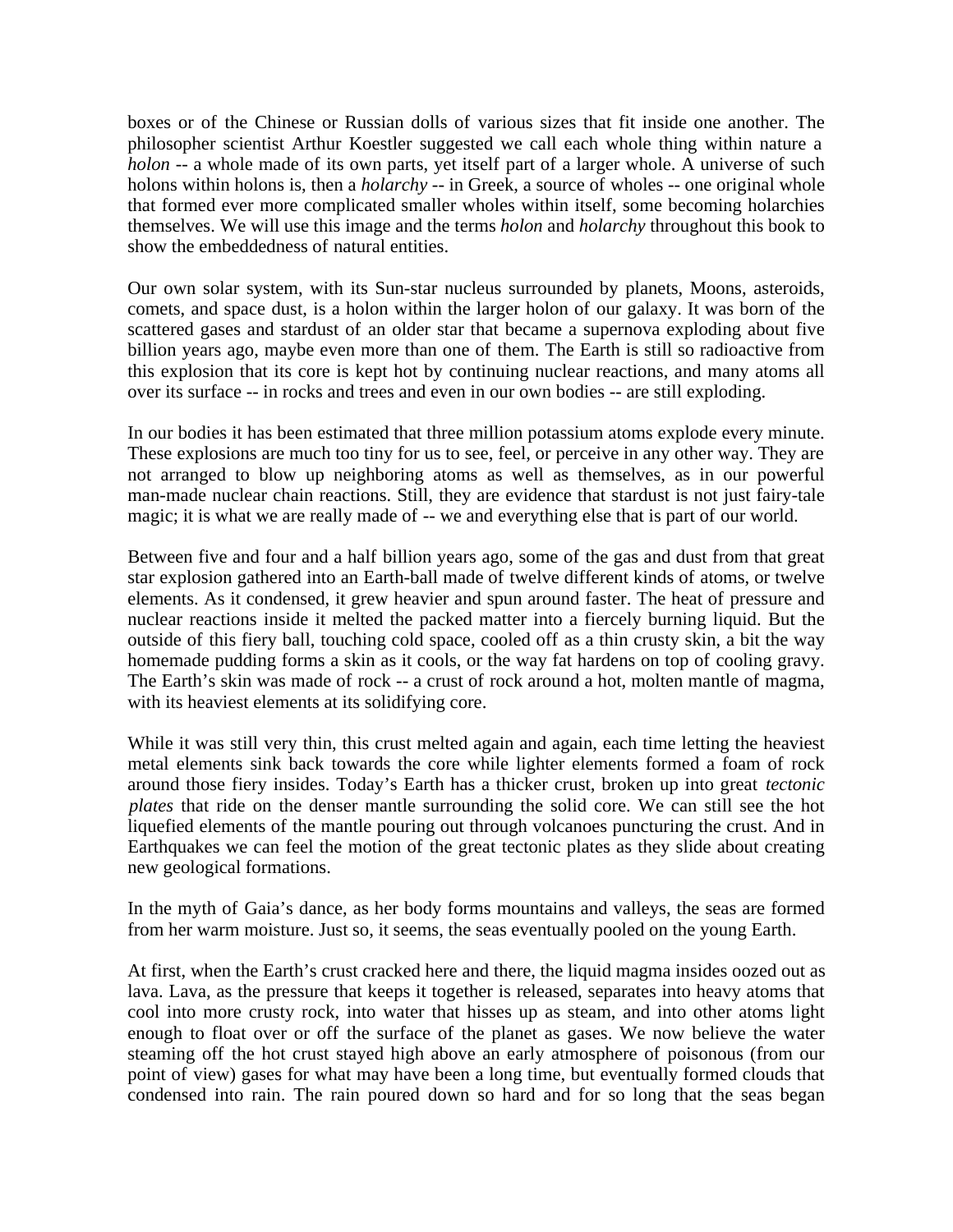boxes or of the Chinese or Russian dolls of various sizes that fit inside one another. The philosopher scientist Arthur Koestler suggested we call each whole thing within nature a *holon* -- a whole made of its own parts, yet itself part of a larger whole. A universe of such holons within holons is, then a *holarchy* -- in Greek, a source of wholes -- one original whole that formed ever more complicated smaller wholes within itself, some becoming holarchies themselves. We will use this image and the terms *holon* and *holarchy* throughout this book to show the embeddedness of natural entities.

Our own solar system, with its Sun-star nucleus surrounded by planets, Moons, asteroids, comets, and space dust, is a holon within the larger holon of our galaxy. It was born of the scattered gases and stardust of an older star that became a supernova exploding about five billion years ago, maybe even more than one of them. The Earth is still so radioactive from this explosion that its core is kept hot by continuing nuclear reactions, and many atoms all over its surface -- in rocks and trees and even in our own bodies -- are still exploding.

In our bodies it has been estimated that three million potassium atoms explode every minute. These explosions are much too tiny for us to see, feel, or perceive in any other way. They are not arranged to blow up neighboring atoms as well as themselves, as in our powerful man-made nuclear chain reactions. Still, they are evidence that stardust is not just fairy-tale magic; it is what we are really made of -- we and everything else that is part of our world.

Between five and four and a half billion years ago, some of the gas and dust from that great star explosion gathered into an Earth-ball made of twelve different kinds of atoms, or twelve elements. As it condensed, it grew heavier and spun around faster. The heat of pressure and nuclear reactions inside it melted the packed matter into a fiercely burning liquid. But the outside of this fiery ball, touching cold space, cooled off as a thin crusty skin, a bit the way homemade pudding forms a skin as it cools, or the way fat hardens on top of cooling gravy. The Earth's skin was made of rock -- a crust of rock around a hot, molten mantle of magma, with its heaviest elements at its solidifying core.

While it was still very thin, this crust melted again and again, each time letting the heaviest metal elements sink back towards the core while lighter elements formed a foam of rock around those fiery insides. Today's Earth has a thicker crust, broken up into great *tectonic plates* that ride on the denser mantle surrounding the solid core. We can still see the hot liquefied elements of the mantle pouring out through volcanoes puncturing the crust. And in Earthquakes we can feel the motion of the great tectonic plates as they slide about creating new geological formations.

In the myth of Gaia's dance, as her body forms mountains and valleys, the seas are formed from her warm moisture. Just so, it seems, the seas eventually pooled on the young Earth.

At first, when the Earth's crust cracked here and there, the liquid magma insides oozed out as lava. Lava, as the pressure that keeps it together is released, separates into heavy atoms that cool into more crusty rock, into water that hisses up as steam, and into other atoms light enough to float over or off the surface of the planet as gases. We now believe the water steaming off the hot crust stayed high above an early atmosphere of poisonous (from our point of view) gases for what may have been a long time, but eventually formed clouds that condensed into rain. The rain poured down so hard and for so long that the seas began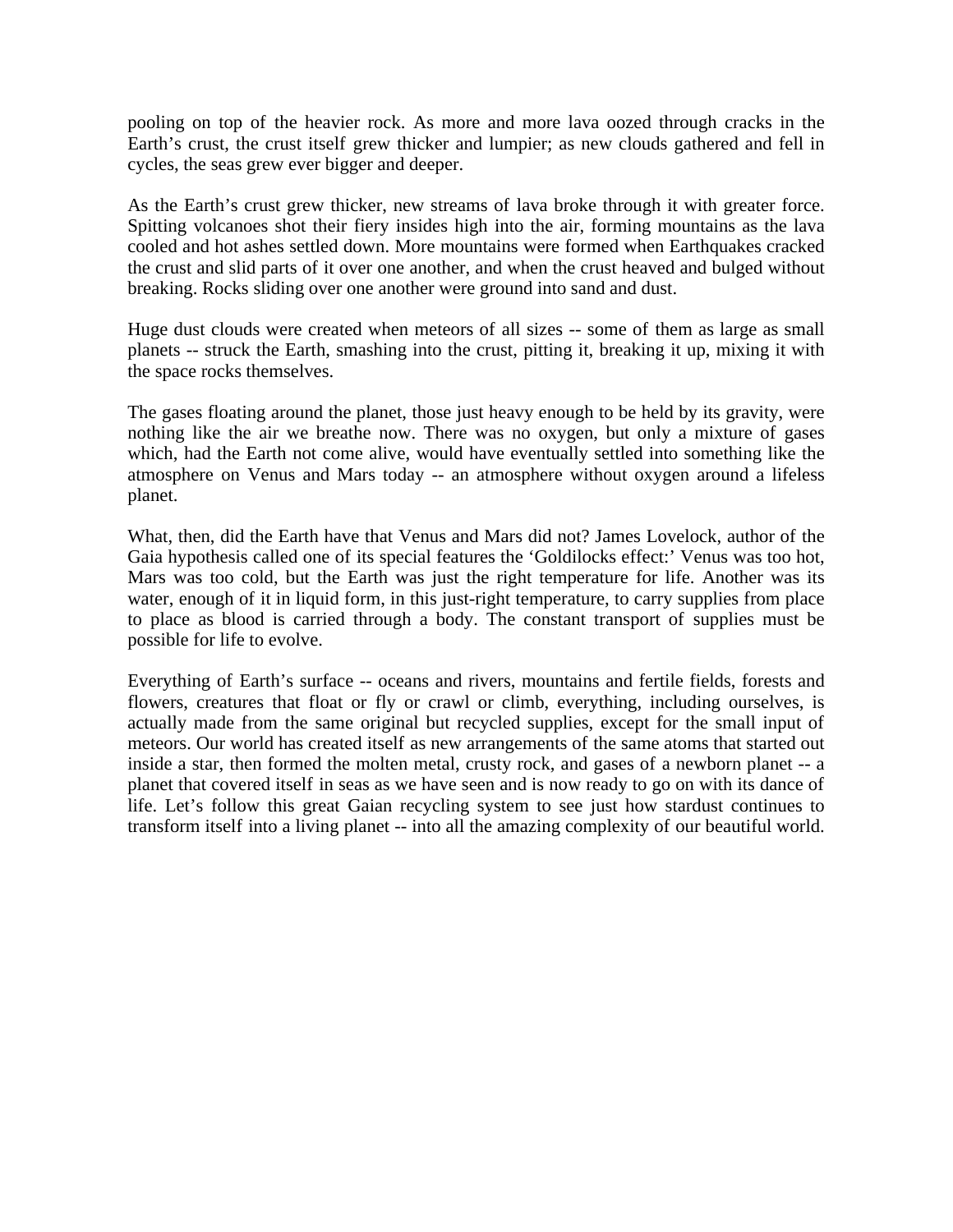pooling on top of the heavier rock. As more and more lava oozed through cracks in the Earth's crust, the crust itself grew thicker and lumpier; as new clouds gathered and fell in cycles, the seas grew ever bigger and deeper.

As the Earth's crust grew thicker, new streams of lava broke through it with greater force. Spitting volcanoes shot their fiery insides high into the air, forming mountains as the lava cooled and hot ashes settled down. More mountains were formed when Earthquakes cracked the crust and slid parts of it over one another, and when the crust heaved and bulged without breaking. Rocks sliding over one another were ground into sand and dust.

Huge dust clouds were created when meteors of all sizes -- some of them as large as small planets -- struck the Earth, smashing into the crust, pitting it, breaking it up, mixing it with the space rocks themselves.

The gases floating around the planet, those just heavy enough to be held by its gravity, were nothing like the air we breathe now. There was no oxygen, but only a mixture of gases which, had the Earth not come alive, would have eventually settled into something like the atmosphere on Venus and Mars today -- an atmosphere without oxygen around a lifeless planet.

What, then, did the Earth have that Venus and Mars did not? James Lovelock, author of the Gaia hypothesis called one of its special features the 'Goldilocks effect:' Venus was too hot, Mars was too cold, but the Earth was just the right temperature for life. Another was its water, enough of it in liquid form, in this just-right temperature, to carry supplies from place to place as blood is carried through a body. The constant transport of supplies must be possible for life to evolve.

Everything of Earth's surface -- oceans and rivers, mountains and fertile fields, forests and flowers, creatures that float or fly or crawl or climb, everything, including ourselves, is actually made from the same original but recycled supplies, except for the small input of meteors. Our world has created itself as new arrangements of the same atoms that started out inside a star, then formed the molten metal, crusty rock, and gases of a newborn planet -- a planet that covered itself in seas as we have seen and is now ready to go on with its dance of life. Let's follow this great Gaian recycling system to see just how stardust continues to transform itself into a living planet -- into all the amazing complexity of our beautiful world.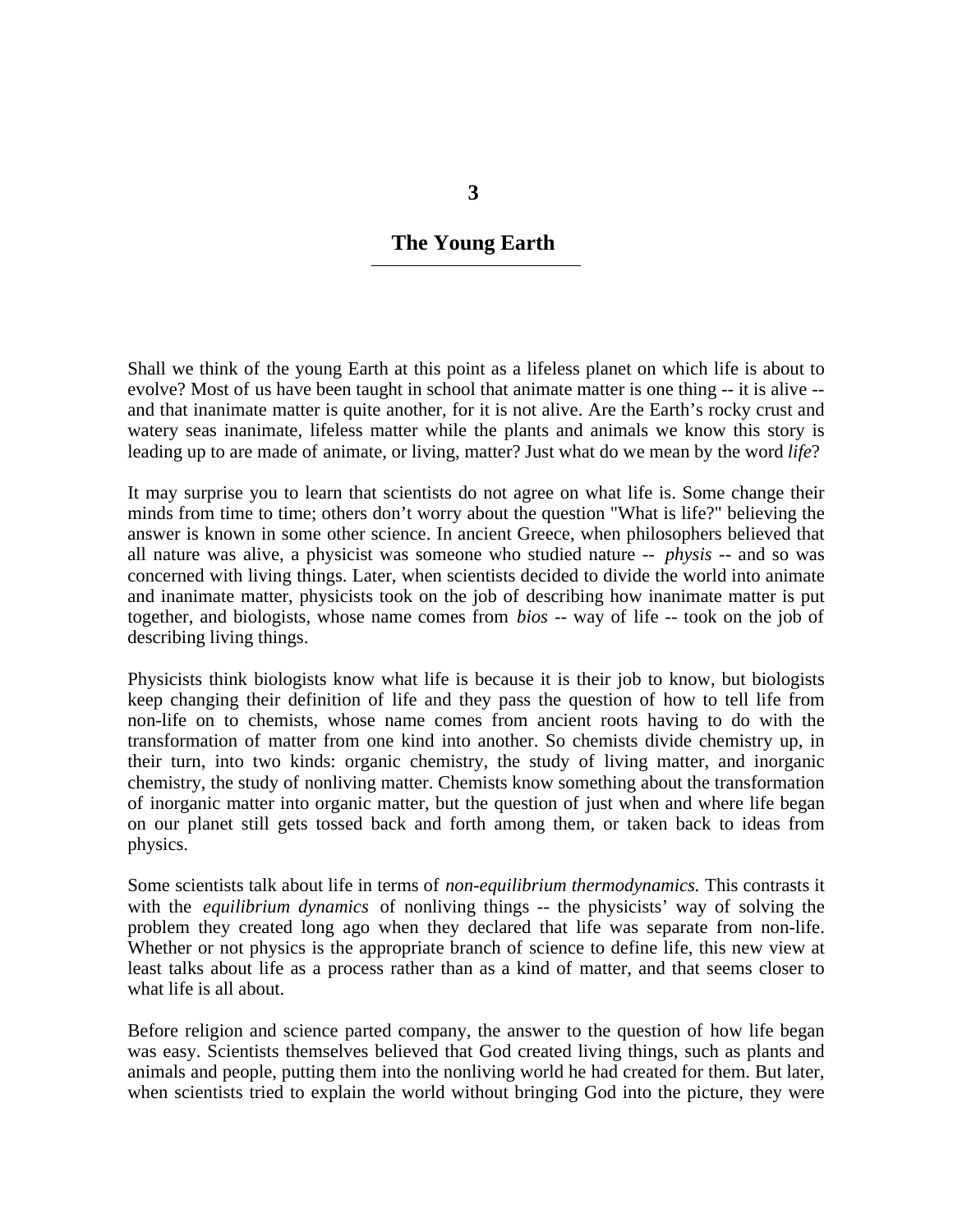## **The Young Earth**

Shall we think of the young Earth at this point as a lifeless planet on which life is about to evolve? Most of us have been taught in school that animate matter is one thing -- it is alive - and that inanimate matter is quite another, for it is not alive. Are the Earth's rocky crust and watery seas inanimate, lifeless matter while the plants and animals we know this story is leading up to are made of animate, or living, matter? Just what do we mean by the word *life*?

It may surprise you to learn that scientists do not agree on what life is. Some change their minds from time to time; others don't worry about the question "What is life?" believing the answer is known in some other science. In ancient Greece, when philosophers believed that all nature was alive, a physicist was someone who studied nature -- *physis* -- and so was concerned with living things. Later, when scientists decided to divide the world into animate and inanimate matter, physicists took on the job of describing how inanimate matter is put together, and biologists, whose name comes from *bios* -- way of life -- took on the job of describing living things.

Physicists think biologists know what life is because it is their job to know, but biologists keep changing their definition of life and they pass the question of how to tell life from non-life on to chemists, whose name comes from ancient roots having to do with the transformation of matter from one kind into another. So chemists divide chemistry up, in their turn, into two kinds: organic chemistry, the study of living matter, and inorganic chemistry, the study of nonliving matter. Chemists know something about the transformation of inorganic matter into organic matter, but the question of just when and where life began on our planet still gets tossed back and forth among them, or taken back to ideas from physics.

Some scientists talk about life in terms of *non-equilibrium thermodynamics.* This contrasts it with the *equilibrium dynamics* of nonliving things -- the physicists' way of solving the problem they created long ago when they declared that life was separate from non-life. Whether or not physics is the appropriate branch of science to define life, this new view at least talks about life as a process rather than as a kind of matter, and that seems closer to what life is all about.

Before religion and science parted company, the answer to the question of how life began was easy. Scientists themselves believed that God created living things, such as plants and animals and people, putting them into the nonliving world he had created for them. But later, when scientists tried to explain the world without bringing God into the picture, they were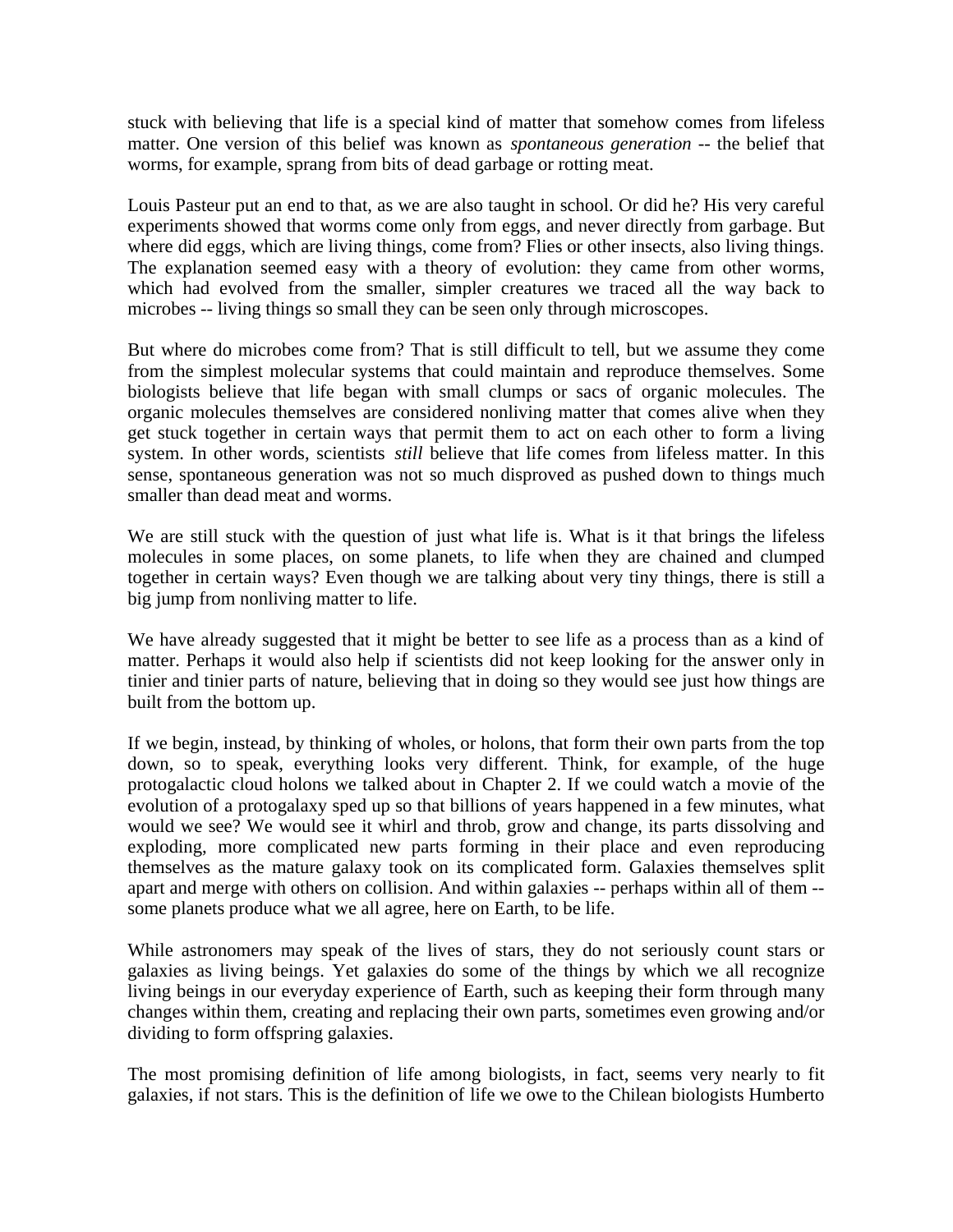stuck with believing that life is a special kind of matter that somehow comes from lifeless matter. One version of this belief was known as *spontaneous generation* -- the belief that worms, for example, sprang from bits of dead garbage or rotting meat.

Louis Pasteur put an end to that, as we are also taught in school. Or did he? His very careful experiments showed that worms come only from eggs, and never directly from garbage. But where did eggs, which are living things, come from? Flies or other insects, also living things. The explanation seemed easy with a theory of evolution: they came from other worms, which had evolved from the smaller, simpler creatures we traced all the way back to microbes -- living things so small they can be seen only through microscopes.

But where do microbes come from? That is still difficult to tell, but we assume they come from the simplest molecular systems that could maintain and reproduce themselves. Some biologists believe that life began with small clumps or sacs of organic molecules. The organic molecules themselves are considered nonliving matter that comes alive when they get stuck together in certain ways that permit them to act on each other to form a living system. In other words, scientists *still* believe that life comes from lifeless matter. In this sense, spontaneous generation was not so much disproved as pushed down to things much smaller than dead meat and worms.

We are still stuck with the question of just what life is. What is it that brings the lifeless molecules in some places, on some planets, to life when they are chained and clumped together in certain ways? Even though we are talking about very tiny things, there is still a big jump from nonliving matter to life.

We have already suggested that it might be better to see life as a process than as a kind of matter. Perhaps it would also help if scientists did not keep looking for the answer only in tinier and tinier parts of nature, believing that in doing so they would see just how things are built from the bottom up.

If we begin, instead, by thinking of wholes, or holons, that form their own parts from the top down, so to speak, everything looks very different. Think, for example, of the huge protogalactic cloud holons we talked about in Chapter 2. If we could watch a movie of the evolution of a protogalaxy sped up so that billions of years happened in a few minutes, what would we see? We would see it whirl and throb, grow and change, its parts dissolving and exploding, more complicated new parts forming in their place and even reproducing themselves as the mature galaxy took on its complicated form. Galaxies themselves split apart and merge with others on collision. And within galaxies -- perhaps within all of them - some planets produce what we all agree, here on Earth, to be life.

While astronomers may speak of the lives of stars, they do not seriously count stars or galaxies as living beings. Yet galaxies do some of the things by which we all recognize living beings in our everyday experience of Earth, such as keeping their form through many changes within them, creating and replacing their own parts, sometimes even growing and/or dividing to form offspring galaxies.

The most promising definition of life among biologists, in fact, seems very nearly to fit galaxies, if not stars. This is the definition of life we owe to the Chilean biologists Humberto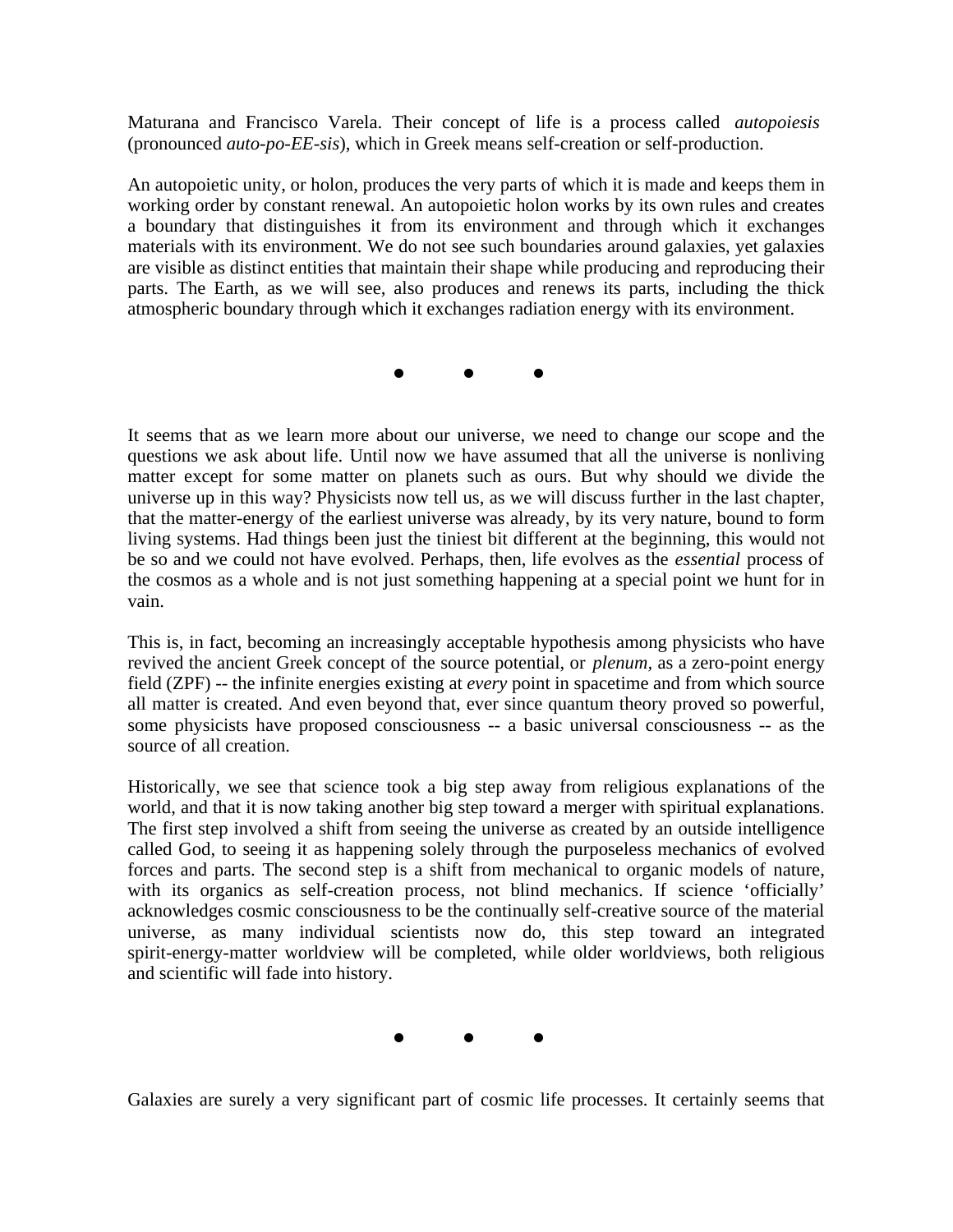Maturana and Francisco Varela. Their concept of life is a process called *autopoiesis* (pronounced *auto-po-EE-sis*), which in Greek means self-creation or self-production.

An autopoietic unity, or holon, produces the very parts of which it is made and keeps them in working order by constant renewal. An autopoietic holon works by its own rules and creates a boundary that distinguishes it from its environment and through which it exchanges materials with its environment. We do not see such boundaries around galaxies, yet galaxies are visible as distinct entities that maintain their shape while producing and reproducing their parts. The Earth, as we will see, also produces and renews its parts, including the thick atmospheric boundary through which it exchanges radiation energy with its environment.

**· · ·** 

It seems that as we learn more about our universe, we need to change our scope and the questions we ask about life. Until now we have assumed that all the universe is nonliving matter except for some matter on planets such as ours. But why should we divide the universe up in this way? Physicists now tell us, as we will discuss further in the last chapter, that the matter-energy of the earliest universe was already, by its very nature, bound to form living systems. Had things been just the tiniest bit different at the beginning, this would not be so and we could not have evolved. Perhaps, then, life evolves as the *essential* process of the cosmos as a whole and is not just something happening at a special point we hunt for in vain.

This is, in fact, becoming an increasingly acceptable hypothesis among physicists who have revived the ancient Greek concept of the source potential, or *plenum,* as a zero-point energy field (ZPF) -- the infinite energies existing at *every* point in spacetime and from which source all matter is created. And even beyond that, ever since quantum theory proved so powerful, some physicists have proposed consciousness -- a basic universal consciousness -- as the source of all creation.

Historically, we see that science took a big step away from religious explanations of the world, and that it is now taking another big step toward a merger with spiritual explanations. The first step involved a shift from seeing the universe as created by an outside intelligence called God, to seeing it as happening solely through the purposeless mechanics of evolved forces and parts. The second step is a shift from mechanical to organic models of nature, with its organics as self-creation process, not blind mechanics. If science 'officially' acknowledges cosmic consciousness to be the continually self-creative source of the material universe, as many individual scientists now do, this step toward an integrated spirit-energy-matter worldview will be completed, while older worldviews, both religious and scientific will fade into history.



Galaxies are surely a very significant part of cosmic life processes. It certainly seems that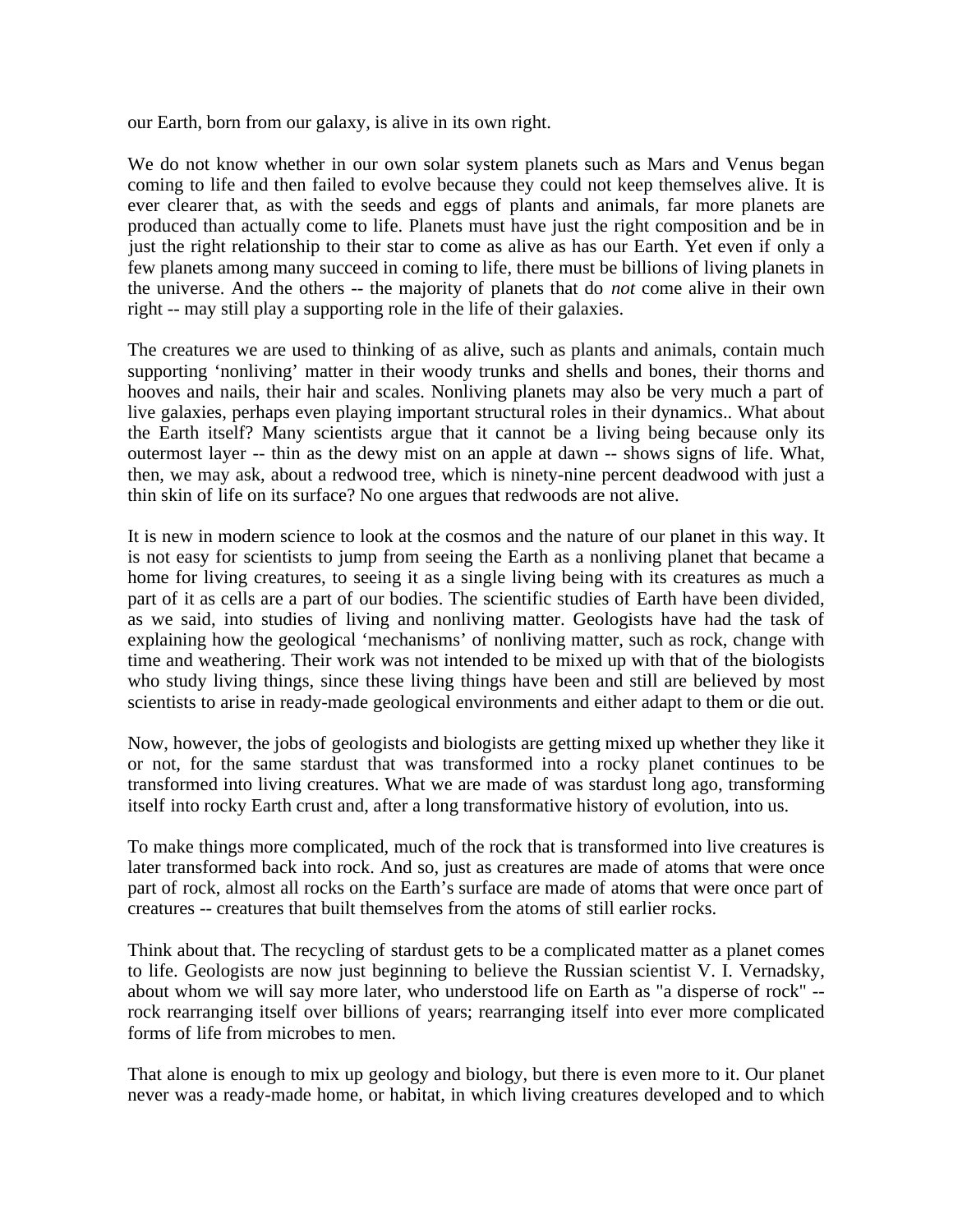our Earth, born from our galaxy, is alive in its own right.

We do not know whether in our own solar system planets such as Mars and Venus began coming to life and then failed to evolve because they could not keep themselves alive. It is ever clearer that, as with the seeds and eggs of plants and animals, far more planets are produced than actually come to life. Planets must have just the right composition and be in just the right relationship to their star to come as alive as has our Earth. Yet even if only a few planets among many succeed in coming to life, there must be billions of living planets in the universe. And the others -- the majority of planets that do *not* come alive in their own right -- may still play a supporting role in the life of their galaxies.

The creatures we are used to thinking of as alive, such as plants and animals, contain much supporting 'nonliving' matter in their woody trunks and shells and bones, their thorns and hooves and nails, their hair and scales. Nonliving planets may also be very much a part of live galaxies, perhaps even playing important structural roles in their dynamics.. What about the Earth itself? Many scientists argue that it cannot be a living being because only its outermost layer -- thin as the dewy mist on an apple at dawn -- shows signs of life. What, then, we may ask, about a redwood tree, which is ninety-nine percent deadwood with just a thin skin of life on its surface? No one argues that redwoods are not alive.

It is new in modern science to look at the cosmos and the nature of our planet in this way. It is not easy for scientists to jump from seeing the Earth as a nonliving planet that became a home for living creatures, to seeing it as a single living being with its creatures as much a part of it as cells are a part of our bodies. The scientific studies of Earth have been divided, as we said, into studies of living and nonliving matter. Geologists have had the task of explaining how the geological 'mechanisms' of nonliving matter, such as rock, change with time and weathering. Their work was not intended to be mixed up with that of the biologists who study living things, since these living things have been and still are believed by most scientists to arise in ready-made geological environments and either adapt to them or die out.

Now, however, the jobs of geologists and biologists are getting mixed up whether they like it or not, for the same stardust that was transformed into a rocky planet continues to be transformed into living creatures. What we are made of was stardust long ago, transforming itself into rocky Earth crust and, after a long transformative history of evolution, into us.

To make things more complicated, much of the rock that is transformed into live creatures is later transformed back into rock. And so, just as creatures are made of atoms that were once part of rock, almost all rocks on the Earth's surface are made of atoms that were once part of creatures -- creatures that built themselves from the atoms of still earlier rocks.

Think about that. The recycling of stardust gets to be a complicated matter as a planet comes to life. Geologists are now just beginning to believe the Russian scientist V. I. Vernadsky, about whom we will say more later, who understood life on Earth as "a disperse of rock" - rock rearranging itself over billions of years; rearranging itself into ever more complicated forms of life from microbes to men.

That alone is enough to mix up geology and biology, but there is even more to it. Our planet never was a ready-made home, or habitat, in which living creatures developed and to which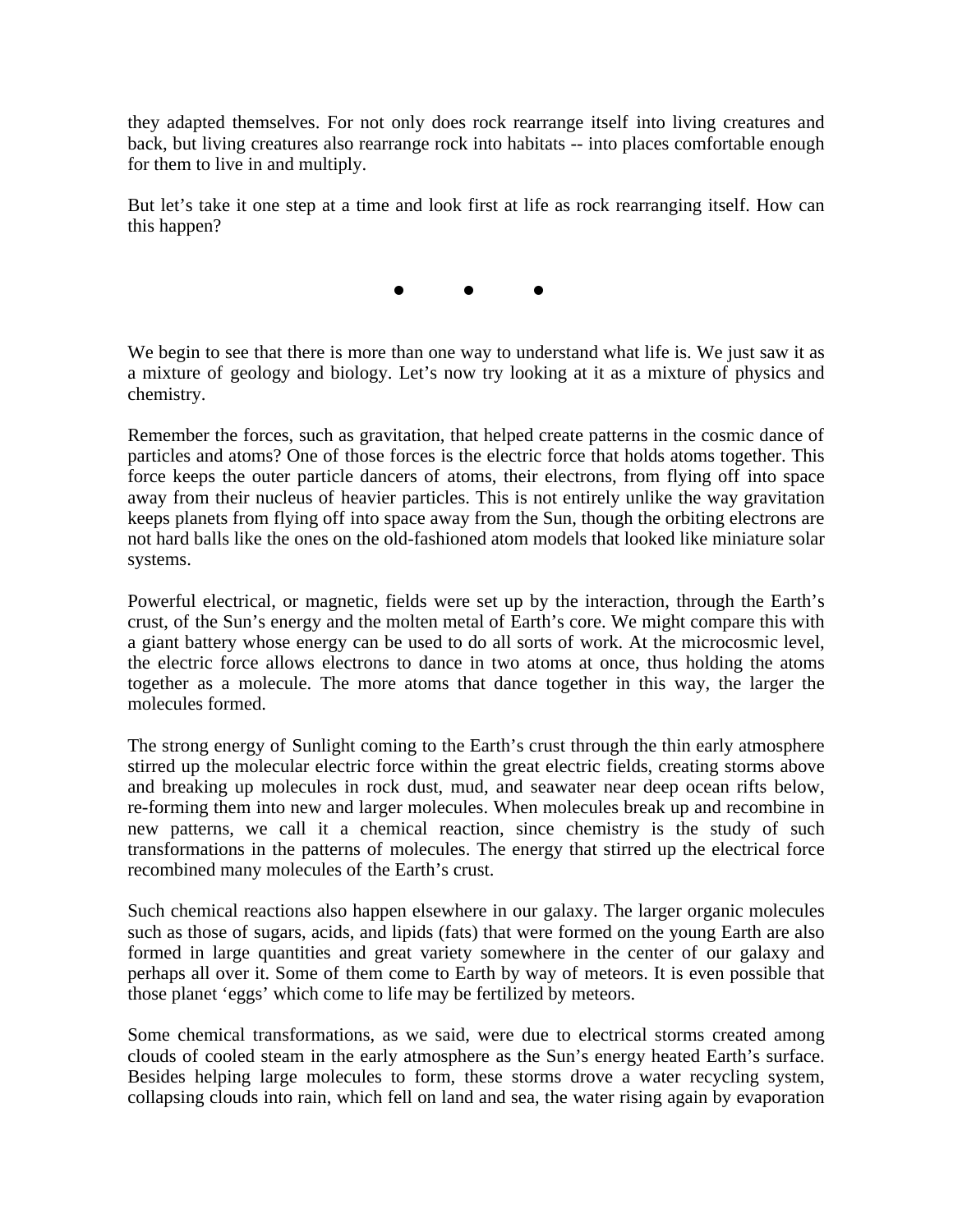they adapted themselves. For not only does rock rearrange itself into living creatures and back, but living creatures also rearrange rock into habitats -- into places comfortable enough for them to live in and multiply.

But let's take it one step at a time and look first at life as rock rearranging itself. How can this happen?

**· · ·** 

We begin to see that there is more than one way to understand what life is. We just saw it as a mixture of geology and biology. Let's now try looking at it as a mixture of physics and chemistry.

Remember the forces, such as gravitation, that helped create patterns in the cosmic dance of particles and atoms? One of those forces is the electric force that holds atoms together. This force keeps the outer particle dancers of atoms, their electrons, from flying off into space away from their nucleus of heavier particles. This is not entirely unlike the way gravitation keeps planets from flying off into space away from the Sun, though the orbiting electrons are not hard balls like the ones on the old-fashioned atom models that looked like miniature solar systems.

Powerful electrical, or magnetic, fields were set up by the interaction, through the Earth's crust, of the Sun's energy and the molten metal of Earth's core. We might compare this with a giant battery whose energy can be used to do all sorts of work. At the microcosmic level, the electric force allows electrons to dance in two atoms at once, thus holding the atoms together as a molecule. The more atoms that dance together in this way, the larger the molecules formed.

The strong energy of Sunlight coming to the Earth's crust through the thin early atmosphere stirred up the molecular electric force within the great electric fields, creating storms above and breaking up molecules in rock dust, mud, and seawater near deep ocean rifts below, re-forming them into new and larger molecules. When molecules break up and recombine in new patterns, we call it a chemical reaction, since chemistry is the study of such transformations in the patterns of molecules. The energy that stirred up the electrical force recombined many molecules of the Earth's crust.

Such chemical reactions also happen elsewhere in our galaxy. The larger organic molecules such as those of sugars, acids, and lipids (fats) that were formed on the young Earth are also formed in large quantities and great variety somewhere in the center of our galaxy and perhaps all over it. Some of them come to Earth by way of meteors. It is even possible that those planet 'eggs' which come to life may be fertilized by meteors.

Some chemical transformations, as we said, were due to electrical storms created among clouds of cooled steam in the early atmosphere as the Sun's energy heated Earth's surface. Besides helping large molecules to form, these storms drove a water recycling system, collapsing clouds into rain, which fell on land and sea, the water rising again by evaporation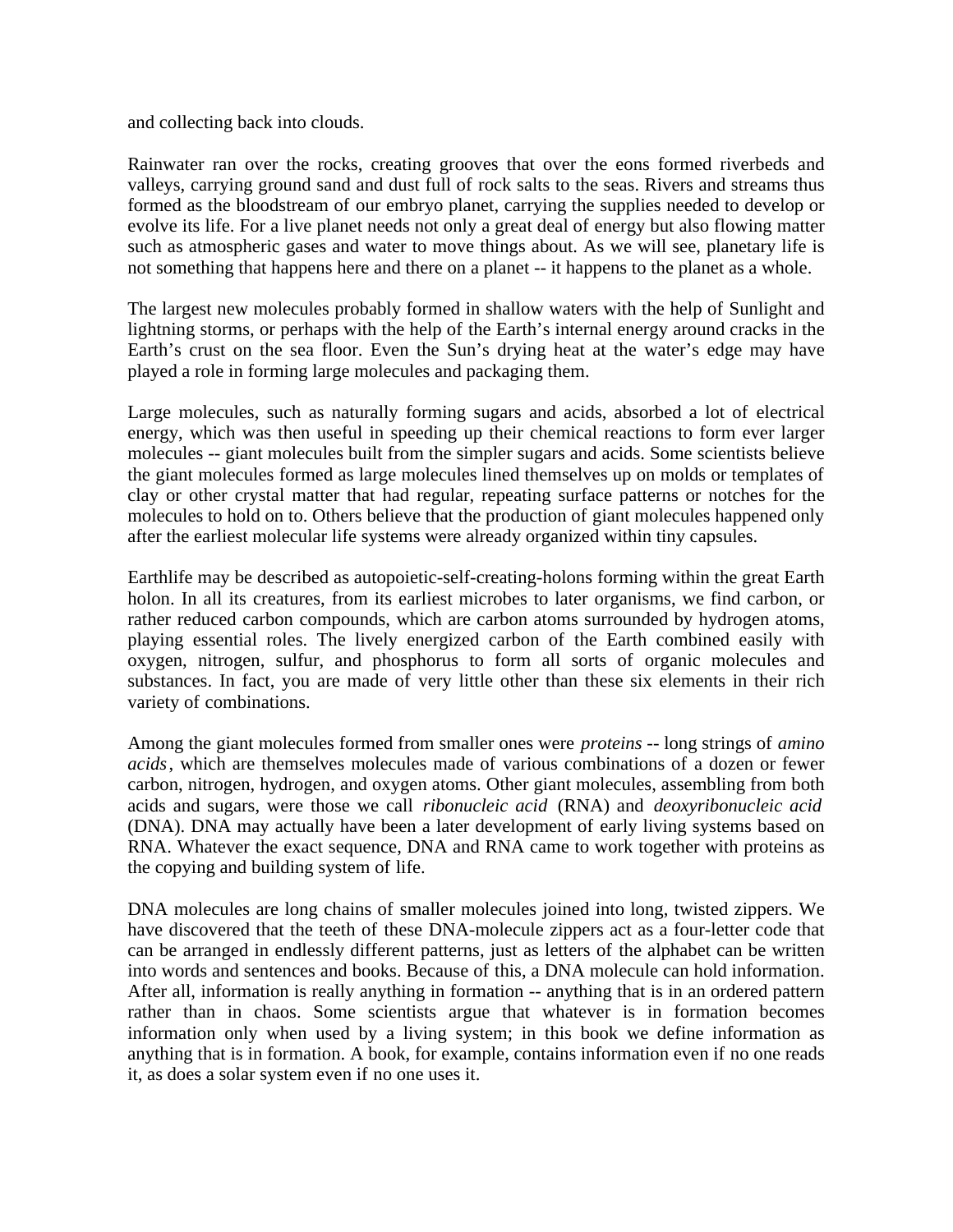and collecting back into clouds.

Rainwater ran over the rocks, creating grooves that over the eons formed riverbeds and valleys, carrying ground sand and dust full of rock salts to the seas. Rivers and streams thus formed as the bloodstream of our embryo planet, carrying the supplies needed to develop or evolve its life. For a live planet needs not only a great deal of energy but also flowing matter such as atmospheric gases and water to move things about. As we will see, planetary life is not something that happens here and there on a planet  $-$  it happens to the planet as a whole.

The largest new molecules probably formed in shallow waters with the help of Sunlight and lightning storms, or perhaps with the help of the Earth's internal energy around cracks in the Earth's crust on the sea floor. Even the Sun's drying heat at the water's edge may have played a role in forming large molecules and packaging them.

Large molecules, such as naturally forming sugars and acids, absorbed a lot of electrical energy, which was then useful in speeding up their chemical reactions to form ever larger molecules -- giant molecules built from the simpler sugars and acids. Some scientists believe the giant molecules formed as large molecules lined themselves up on molds or templates of clay or other crystal matter that had regular, repeating surface patterns or notches for the molecules to hold on to. Others believe that the production of giant molecules happened only after the earliest molecular life systems were already organized within tiny capsules.

Earthlife may be described as autopoietic-self-creating-holons forming within the great Earth holon. In all its creatures, from its earliest microbes to later organisms, we find carbon, or rather reduced carbon compounds, which are carbon atoms surrounded by hydrogen atoms, playing essential roles. The lively energized carbon of the Earth combined easily with oxygen, nitrogen, sulfur, and phosphorus to form all sorts of organic molecules and substances. In fact, you are made of very little other than these six elements in their rich variety of combinations.

Among the giant molecules formed from smaller ones were *proteins* -- long strings of *amino acids*, which are themselves molecules made of various combinations of a dozen or fewer carbon, nitrogen, hydrogen, and oxygen atoms. Other giant molecules, assembling from both acids and sugars, were those we call *ribonucleic acid* (RNA) and *deoxyribonucleic acid* (DNA). DNA may actually have been a later development of early living systems based on RNA. Whatever the exact sequence, DNA and RNA came to work together with proteins as the copying and building system of life.

DNA molecules are long chains of smaller molecules joined into long, twisted zippers. We have discovered that the teeth of these DNA-molecule zippers act as a four-letter code that can be arranged in endlessly different patterns, just as letters of the alphabet can be written into words and sentences and books. Because of this, a DNA molecule can hold information. After all, information is really anything in formation -- anything that is in an ordered pattern rather than in chaos. Some scientists argue that whatever is in formation becomes information only when used by a living system; in this book we define information as anything that is in formation. A book, for example, contains information even if no one reads it, as does a solar system even if no one uses it.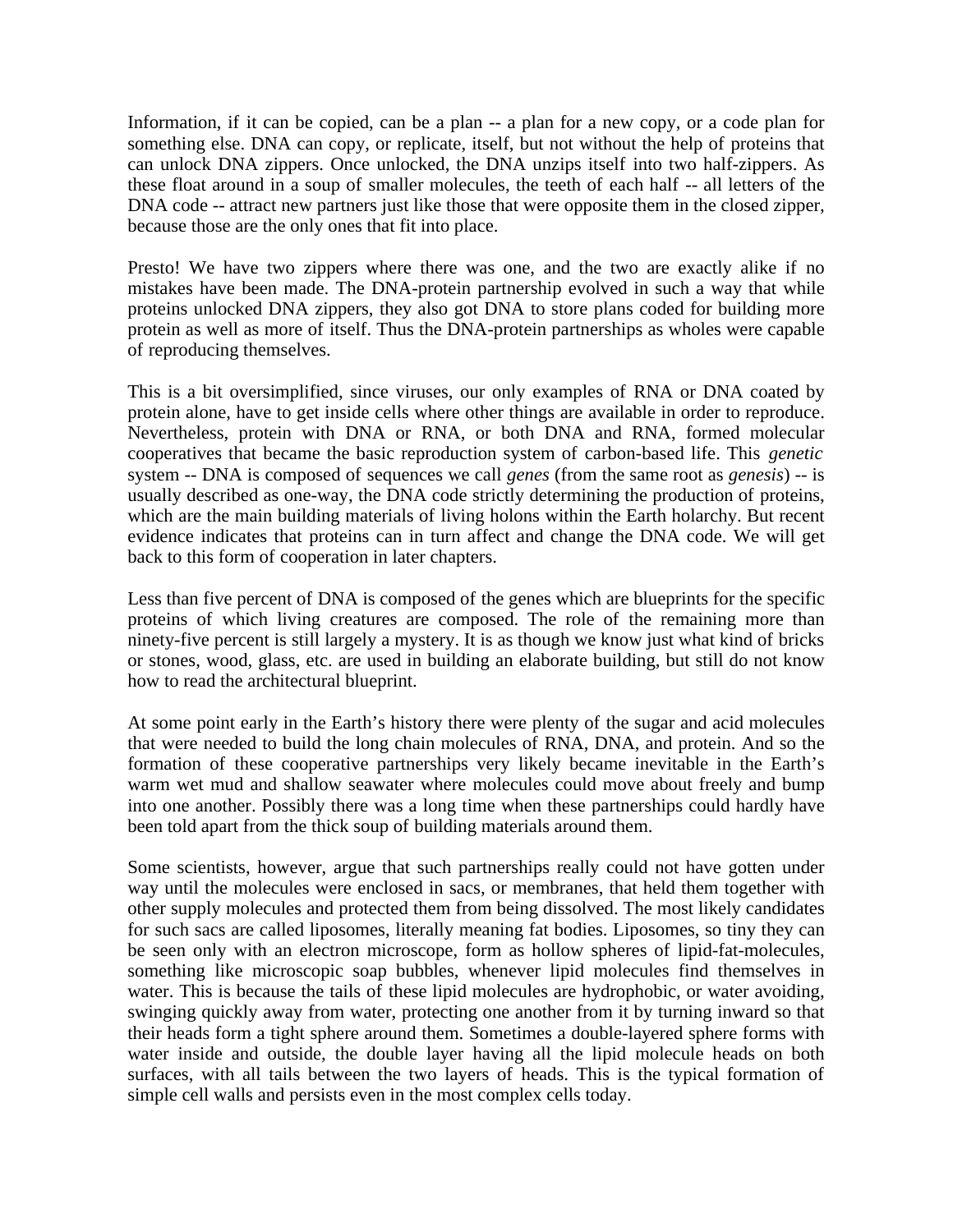Information, if it can be copied, can be a plan -- a plan for a new copy, or a code plan for something else. DNA can copy, or replicate, itself, but not without the help of proteins that can unlock DNA zippers. Once unlocked, the DNA unzips itself into two half-zippers. As these float around in a soup of smaller molecules, the teeth of each half -- all letters of the DNA code -- attract new partners just like those that were opposite them in the closed zipper, because those are the only ones that fit into place.

Presto! We have two zippers where there was one, and the two are exactly alike if no mistakes have been made. The DNA-protein partnership evolved in such a way that while proteins unlocked DNA zippers, they also got DNA to store plans coded for building more protein as well as more of itself. Thus the DNA-protein partnerships as wholes were capable of reproducing themselves.

This is a bit oversimplified, since viruses, our only examples of RNA or DNA coated by protein alone, have to get inside cells where other things are available in order to reproduce. Nevertheless, protein with DNA or RNA, or both DNA and RNA, formed molecular cooperatives that became the basic reproduction system of carbon-based life. This *genetic* system -- DNA is composed of sequences we call *genes* (from the same root as *genesis*) -- is usually described as one-way, the DNA code strictly determining the production of proteins, which are the main building materials of living holons within the Earth holarchy. But recent evidence indicates that proteins can in turn affect and change the DNA code. We will get back to this form of cooperation in later chapters.

Less than five percent of DNA is composed of the genes which are blueprints for the specific proteins of which living creatures are composed. The role of the remaining more than ninety-five percent is still largely a mystery. It is as though we know just what kind of bricks or stones, wood, glass, etc. are used in building an elaborate building, but still do not know how to read the architectural blueprint.

At some point early in the Earth's history there were plenty of the sugar and acid molecules that were needed to build the long chain molecules of RNA, DNA, and protein. And so the formation of these cooperative partnerships very likely became inevitable in the Earth's warm wet mud and shallow seawater where molecules could move about freely and bump into one another. Possibly there was a long time when these partnerships could hardly have been told apart from the thick soup of building materials around them.

Some scientists, however, argue that such partnerships really could not have gotten under way until the molecules were enclosed in sacs, or membranes, that held them together with other supply molecules and protected them from being dissolved. The most likely candidates for such sacs are called liposomes, literally meaning fat bodies. Liposomes, so tiny they can be seen only with an electron microscope, form as hollow spheres of lipid-fat-molecules, something like microscopic soap bubbles, whenever lipid molecules find themselves in water. This is because the tails of these lipid molecules are hydrophobic, or water avoiding, swinging quickly away from water, protecting one another from it by turning inward so that their heads form a tight sphere around them. Sometimes a double-layered sphere forms with water inside and outside, the double layer having all the lipid molecule heads on both surfaces, with all tails between the two layers of heads. This is the typical formation of simple cell walls and persists even in the most complex cells today.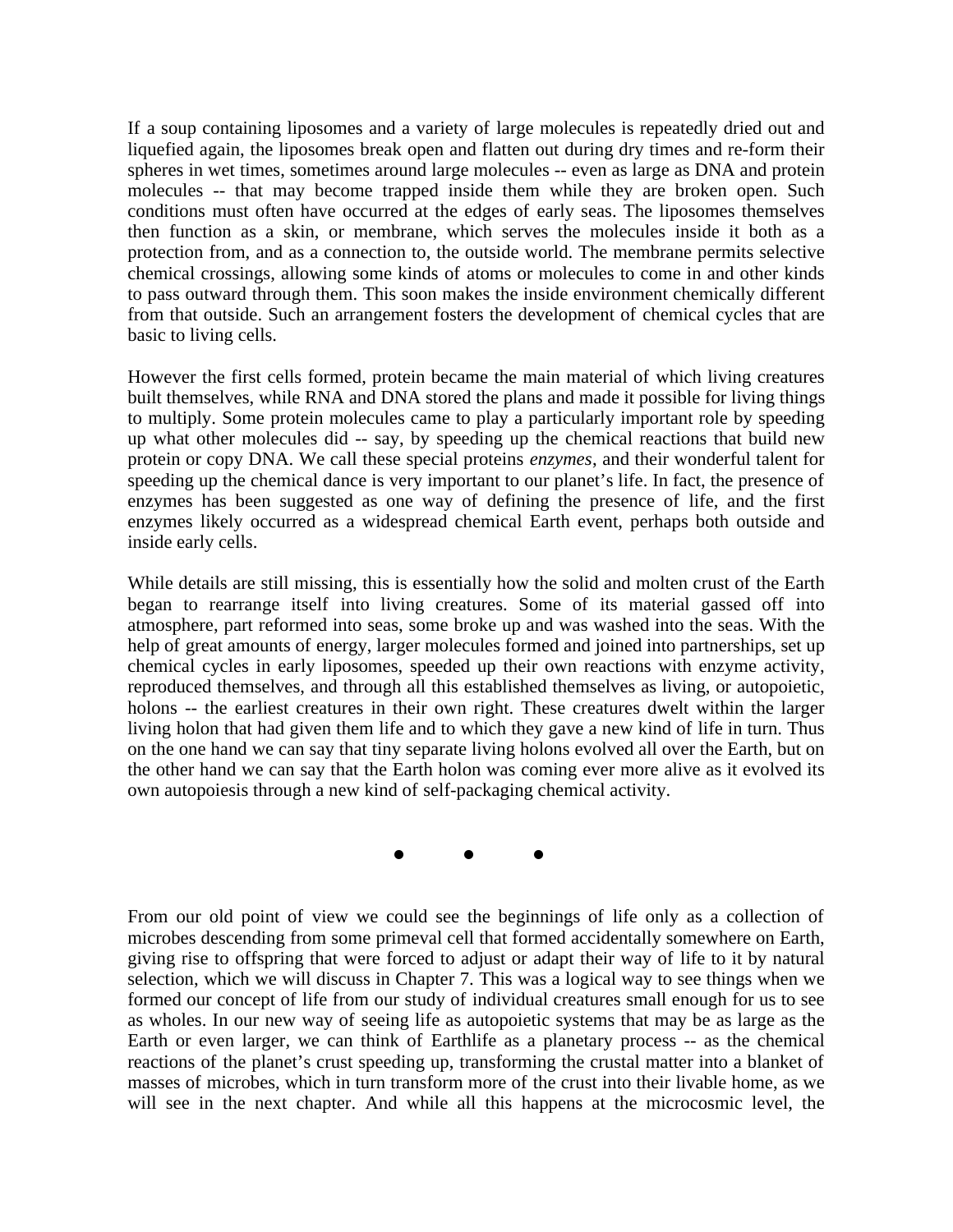If a soup containing liposomes and a variety of large molecules is repeatedly dried out and liquefied again, the liposomes break open and flatten out during dry times and re-form their spheres in wet times, sometimes around large molecules -- even as large as DNA and protein molecules -- that may become trapped inside them while they are broken open. Such conditions must often have occurred at the edges of early seas. The liposomes themselves then function as a skin, or membrane, which serves the molecules inside it both as a protection from, and as a connection to, the outside world. The membrane permits selective chemical crossings, allowing some kinds of atoms or molecules to come in and other kinds to pass outward through them. This soon makes the inside environment chemically different from that outside. Such an arrangement fosters the development of chemical cycles that are basic to living cells.

However the first cells formed, protein became the main material of which living creatures built themselves, while RNA and DNA stored the plans and made it possible for living things to multiply. Some protein molecules came to play a particularly important role by speeding up what other molecules did -- say, by speeding up the chemical reactions that build new protein or copy DNA. We call these special proteins *enzymes*, and their wonderful talent for speeding up the chemical dance is very important to our planet's life. In fact, the presence of enzymes has been suggested as one way of defining the presence of life, and the first enzymes likely occurred as a widespread chemical Earth event, perhaps both outside and inside early cells.

While details are still missing, this is essentially how the solid and molten crust of the Earth began to rearrange itself into living creatures. Some of its material gassed off into atmosphere, part reformed into seas, some broke up and was washed into the seas. With the help of great amounts of energy, larger molecules formed and joined into partnerships, set up chemical cycles in early liposomes, speeded up their own reactions with enzyme activity, reproduced themselves, and through all this established themselves as living, or autopoietic, holons -- the earliest creatures in their own right. These creatures dwelt within the larger living holon that had given them life and to which they gave a new kind of life in turn. Thus on the one hand we can say that tiny separate living holons evolved all over the Earth, but on the other hand we can say that the Earth holon was coming ever more alive as it evolved its own autopoiesis through a new kind of self-packaging chemical activity.

**· · ·** 

From our old point of view we could see the beginnings of life only as a collection of microbes descending from some primeval cell that formed accidentally somewhere on Earth, giving rise to offspring that were forced to adjust or adapt their way of life to it by natural selection, which we will discuss in Chapter 7. This was a logical way to see things when we formed our concept of life from our study of individual creatures small enough for us to see as wholes. In our new way of seeing life as autopoietic systems that may be as large as the Earth or even larger, we can think of Earthlife as a planetary process -- as the chemical reactions of the planet's crust speeding up, transforming the crustal matter into a blanket of masses of microbes, which in turn transform more of the crust into their livable home, as we will see in the next chapter. And while all this happens at the microcosmic level, the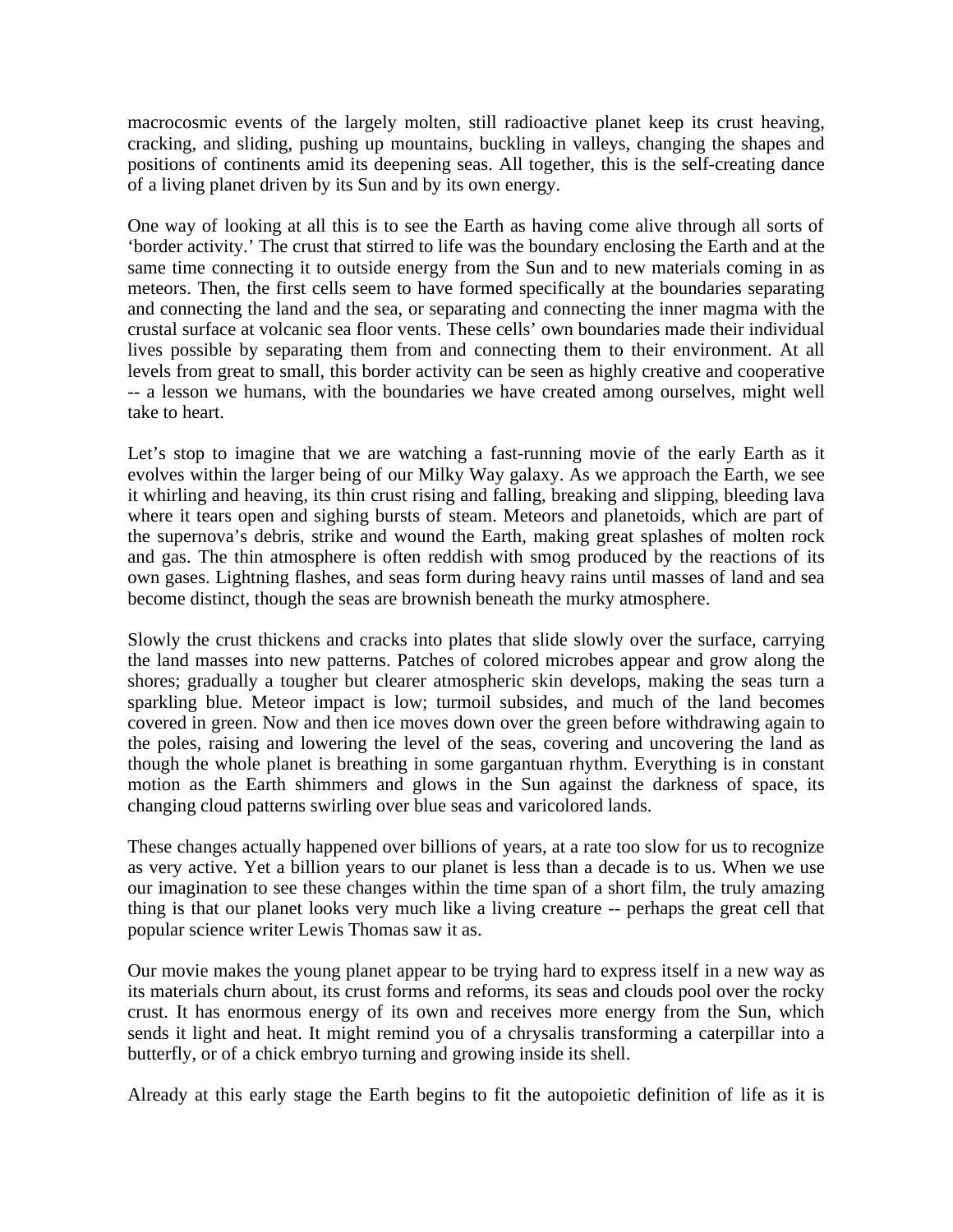macrocosmic events of the largely molten, still radioactive planet keep its crust heaving, cracking, and sliding, pushing up mountains, buckling in valleys, changing the shapes and positions of continents amid its deepening seas. All together, this is the self-creating dance of a living planet driven by its Sun and by its own energy.

One way of looking at all this is to see the Earth as having come alive through all sorts of 'border activity.' The crust that stirred to life was the boundary enclosing the Earth and at the same time connecting it to outside energy from the Sun and to new materials coming in as meteors. Then, the first cells seem to have formed specifically at the boundaries separating and connecting the land and the sea, or separating and connecting the inner magma with the crustal surface at volcanic sea floor vents. These cells' own boundaries made their individual lives possible by separating them from and connecting them to their environment. At all levels from great to small, this border activity can be seen as highly creative and cooperative -- a lesson we humans, with the boundaries we have created among ourselves, might well take to heart.

Let's stop to imagine that we are watching a fast-running movie of the early Earth as it evolves within the larger being of our Milky Way galaxy. As we approach the Earth, we see it whirling and heaving, its thin crust rising and falling, breaking and slipping, bleeding lava where it tears open and sighing bursts of steam. Meteors and planetoids, which are part of the supernova's debris, strike and wound the Earth, making great splashes of molten rock and gas. The thin atmosphere is often reddish with smog produced by the reactions of its own gases. Lightning flashes, and seas form during heavy rains until masses of land and sea become distinct, though the seas are brownish beneath the murky atmosphere.

Slowly the crust thickens and cracks into plates that slide slowly over the surface, carrying the land masses into new patterns. Patches of colored microbes appear and grow along the shores; gradually a tougher but clearer atmospheric skin develops, making the seas turn a sparkling blue. Meteor impact is low; turmoil subsides, and much of the land becomes covered in green. Now and then ice moves down over the green before withdrawing again to the poles, raising and lowering the level of the seas, covering and uncovering the land as though the whole planet is breathing in some gargantuan rhythm. Everything is in constant motion as the Earth shimmers and glows in the Sun against the darkness of space, its changing cloud patterns swirling over blue seas and varicolored lands.

These changes actually happened over billions of years, at a rate too slow for us to recognize as very active. Yet a billion years to our planet is less than a decade is to us. When we use our imagination to see these changes within the time span of a short film, the truly amazing thing is that our planet looks very much like a living creature -- perhaps the great cell that popular science writer Lewis Thomas saw it as.

Our movie makes the young planet appear to be trying hard to express itself in a new way as its materials churn about, its crust forms and reforms, its seas and clouds pool over the rocky crust. It has enormous energy of its own and receives more energy from the Sun, which sends it light and heat. It might remind you of a chrysalis transforming a caterpillar into a butterfly, or of a chick embryo turning and growing inside its shell.

Already at this early stage the Earth begins to fit the autopoietic definition of life as it is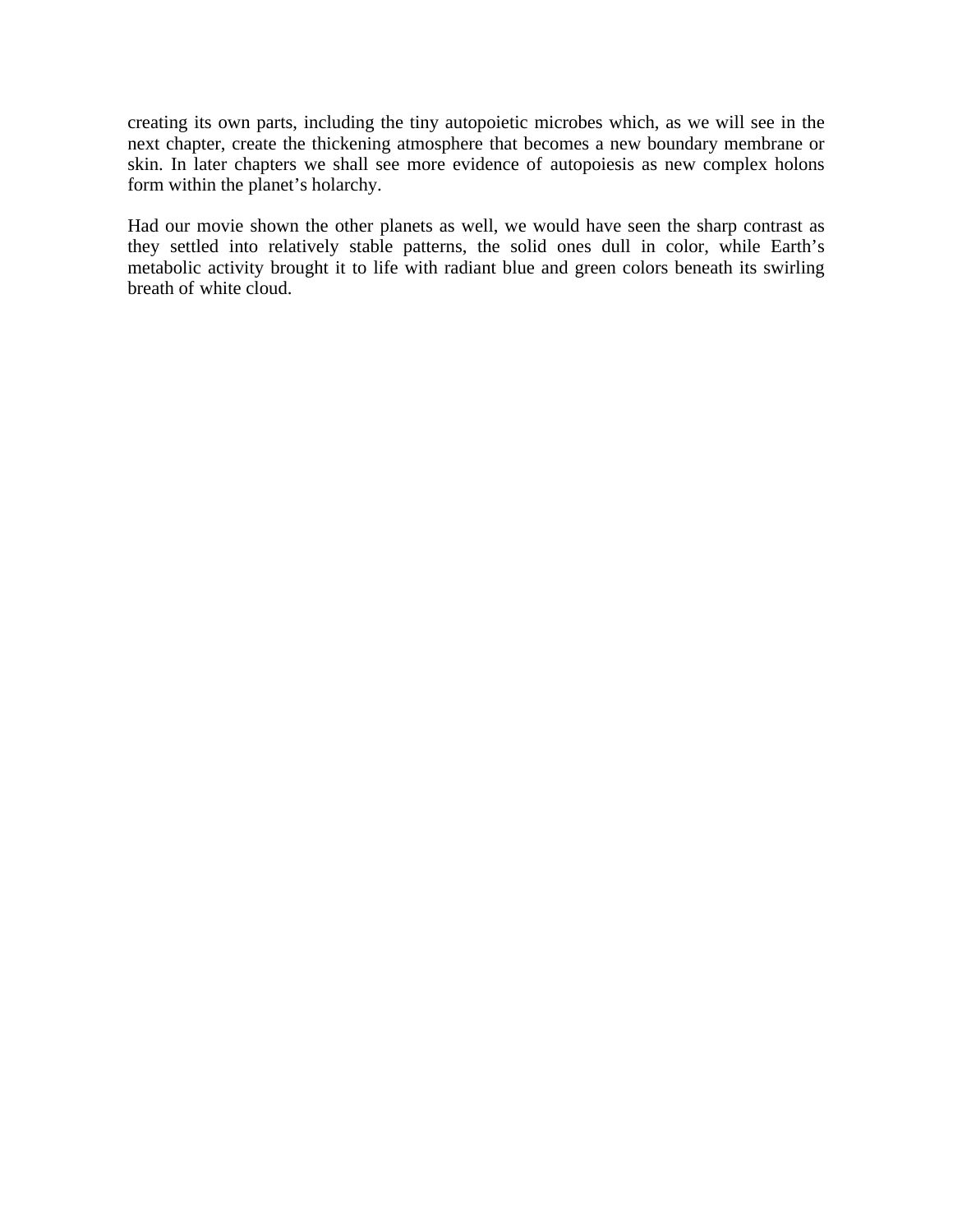creating its own parts, including the tiny autopoietic microbes which, as we will see in the next chapter, create the thickening atmosphere that becomes a new boundary membrane or skin. In later chapters we shall see more evidence of autopoiesis as new complex holons form within the planet's holarchy.

Had our movie shown the other planets as well, we would have seen the sharp contrast as they settled into relatively stable patterns, the solid ones dull in color, while Earth's metabolic activity brought it to life with radiant blue and green colors beneath its swirling breath of white cloud.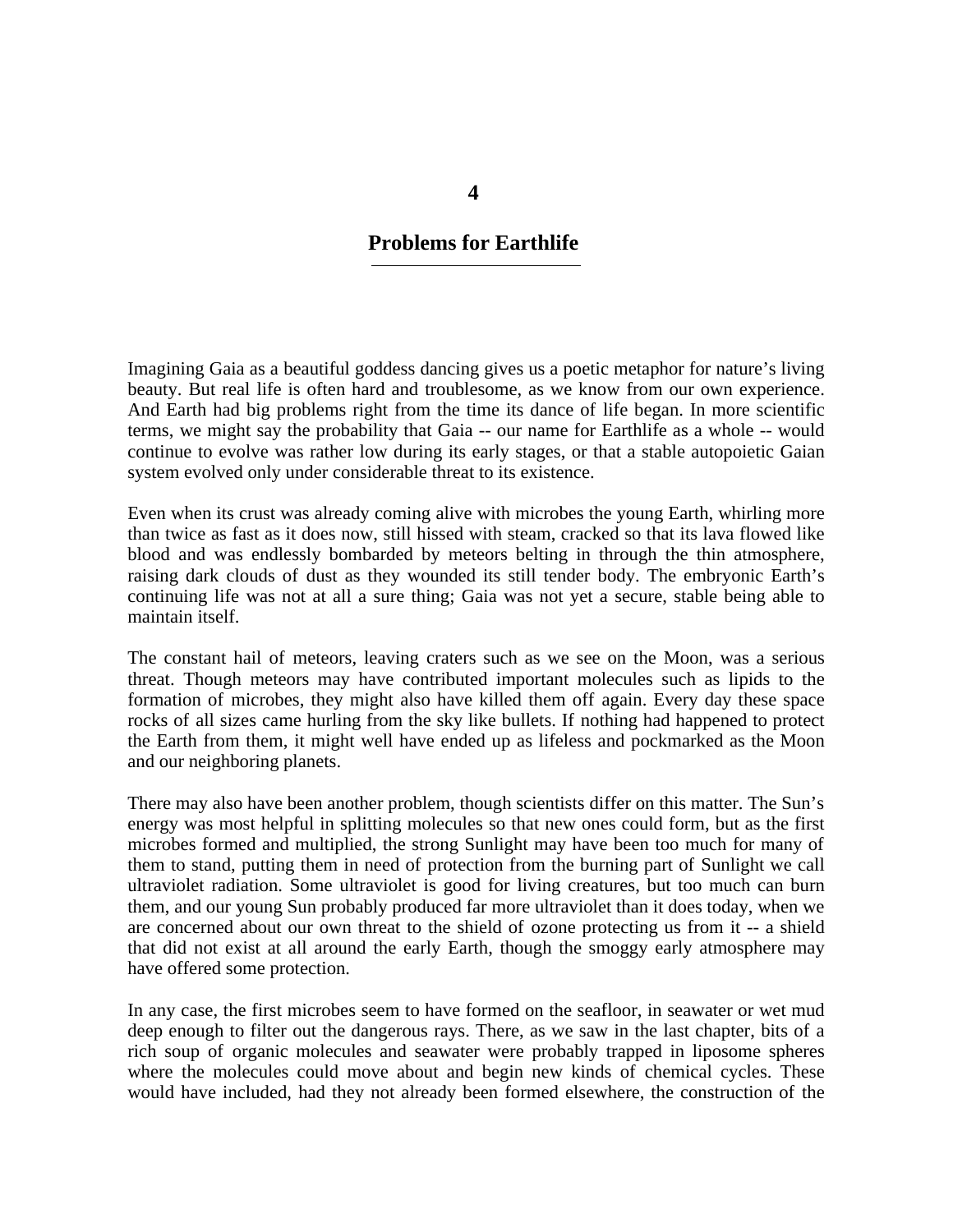## **Problems for Earthlife**

Imagining Gaia as a beautiful goddess dancing gives us a poetic metaphor for nature's living beauty. But real life is often hard and troublesome, as we know from our own experience. And Earth had big problems right from the time its dance of life began. In more scientific terms, we might say the probability that Gaia -- our name for Earthlife as a whole -- would continue to evolve was rather low during its early stages, or that a stable autopoietic Gaian system evolved only under considerable threat to its existence.

Even when its crust was already coming alive with microbes the young Earth, whirling more than twice as fast as it does now, still hissed with steam, cracked so that its lava flowed like blood and was endlessly bombarded by meteors belting in through the thin atmosphere, raising dark clouds of dust as they wounded its still tender body. The embryonic Earth's continuing life was not at all a sure thing; Gaia was not yet a secure, stable being able to maintain itself.

The constant hail of meteors, leaving craters such as we see on the Moon, was a serious threat. Though meteors may have contributed important molecules such as lipids to the formation of microbes, they might also have killed them off again. Every day these space rocks of all sizes came hurling from the sky like bullets. If nothing had happened to protect the Earth from them, it might well have ended up as lifeless and pockmarked as the Moon and our neighboring planets.

There may also have been another problem, though scientists differ on this matter. The Sun's energy was most helpful in splitting molecules so that new ones could form, but as the first microbes formed and multiplied, the strong Sunlight may have been too much for many of them to stand, putting them in need of protection from the burning part of Sunlight we call ultraviolet radiation. Some ultraviolet is good for living creatures, but too much can burn them, and our young Sun probably produced far more ultraviolet than it does today, when we are concerned about our own threat to the shield of ozone protecting us from it -- a shield that did not exist at all around the early Earth, though the smoggy early atmosphere may have offered some protection.

In any case, the first microbes seem to have formed on the seafloor, in seawater or wet mud deep enough to filter out the dangerous rays. There, as we saw in the last chapter, bits of a rich soup of organic molecules and seawater were probably trapped in liposome spheres where the molecules could move about and begin new kinds of chemical cycles. These would have included, had they not already been formed elsewhere, the construction of the

**4**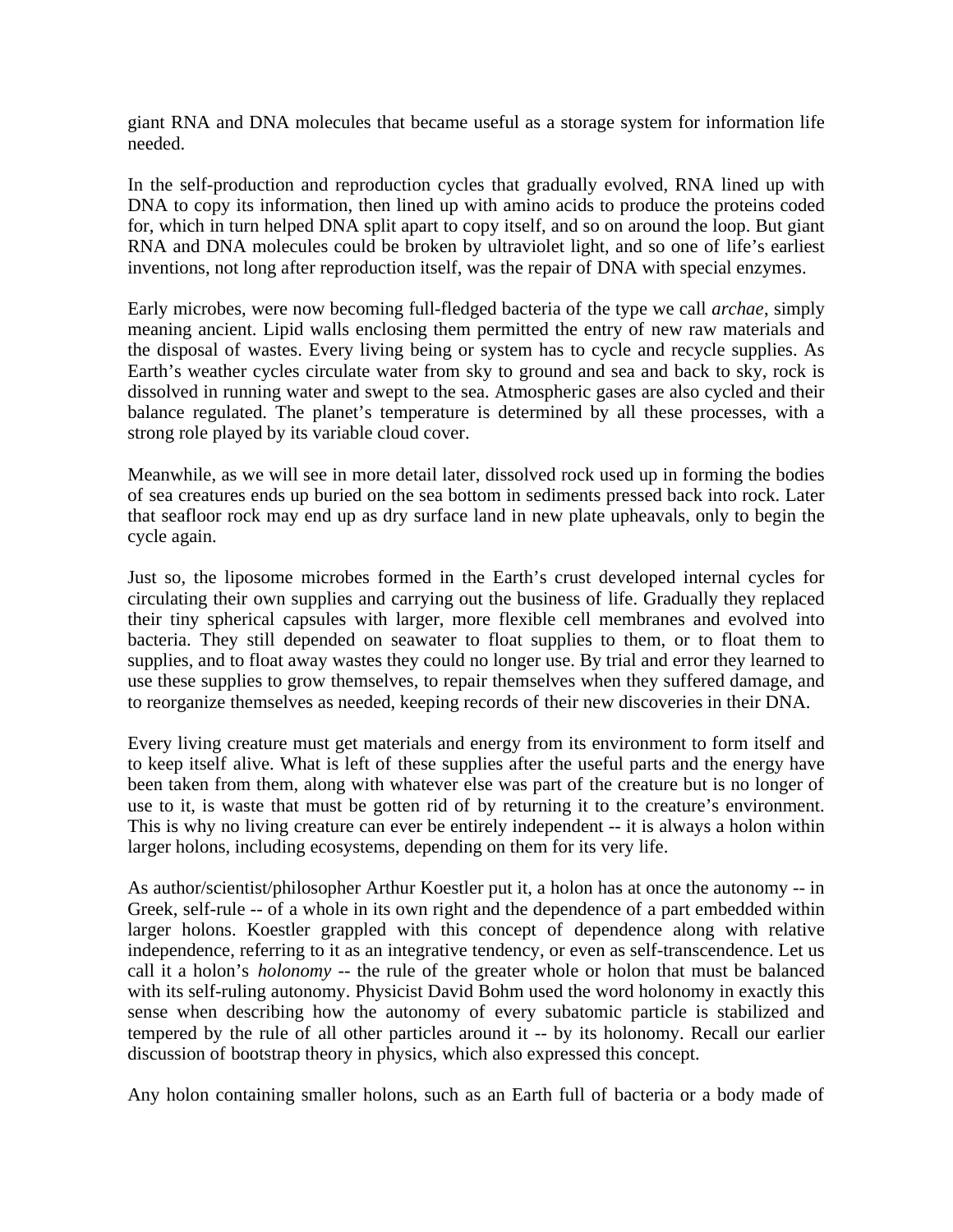giant RNA and DNA molecules that became useful as a storage system for information life needed.

In the self-production and reproduction cycles that gradually evolved, RNA lined up with DNA to copy its information, then lined up with amino acids to produce the proteins coded for, which in turn helped DNA split apart to copy itself, and so on around the loop. But giant RNA and DNA molecules could be broken by ultraviolet light, and so one of life's earliest inventions, not long after reproduction itself, was the repair of DNA with special enzymes.

Early microbes, were now becoming full-fledged bacteria of the type we call *archae*, simply meaning ancient. Lipid walls enclosing them permitted the entry of new raw materials and the disposal of wastes. Every living being or system has to cycle and recycle supplies. As Earth's weather cycles circulate water from sky to ground and sea and back to sky, rock is dissolved in running water and swept to the sea. Atmospheric gases are also cycled and their balance regulated. The planet's temperature is determined by all these processes, with a strong role played by its variable cloud cover.

Meanwhile, as we will see in more detail later, dissolved rock used up in forming the bodies of sea creatures ends up buried on the sea bottom in sediments pressed back into rock. Later that seafloor rock may end up as dry surface land in new plate upheavals, only to begin the cycle again.

Just so, the liposome microbes formed in the Earth's crust developed internal cycles for circulating their own supplies and carrying out the business of life. Gradually they replaced their tiny spherical capsules with larger, more flexible cell membranes and evolved into bacteria. They still depended on seawater to float supplies to them, or to float them to supplies, and to float away wastes they could no longer use. By trial and error they learned to use these supplies to grow themselves, to repair themselves when they suffered damage, and to reorganize themselves as needed, keeping records of their new discoveries in their DNA.

Every living creature must get materials and energy from its environment to form itself and to keep itself alive. What is left of these supplies after the useful parts and the energy have been taken from them, along with whatever else was part of the creature but is no longer of use to it, is waste that must be gotten rid of by returning it to the creature's environment. This is why no living creature can ever be entirely independent -- it is always a holon within larger holons, including ecosystems, depending on them for its very life.

As author/scientist/philosopher Arthur Koestler put it, a holon has at once the autonomy -- in Greek, self-rule -- of a whole in its own right and the dependence of a part embedded within larger holons. Koestler grappled with this concept of dependence along with relative independence, referring to it as an integrative tendency, or even as self-transcendence. Let us call it a holon's *holonomy* -- the rule of the greater whole or holon that must be balanced with its self-ruling autonomy. Physicist David Bohm used the word holonomy in exactly this sense when describing how the autonomy of every subatomic particle is stabilized and tempered by the rule of all other particles around it -- by its holonomy. Recall our earlier discussion of bootstrap theory in physics, which also expressed this concept.

Any holon containing smaller holons, such as an Earth full of bacteria or a body made of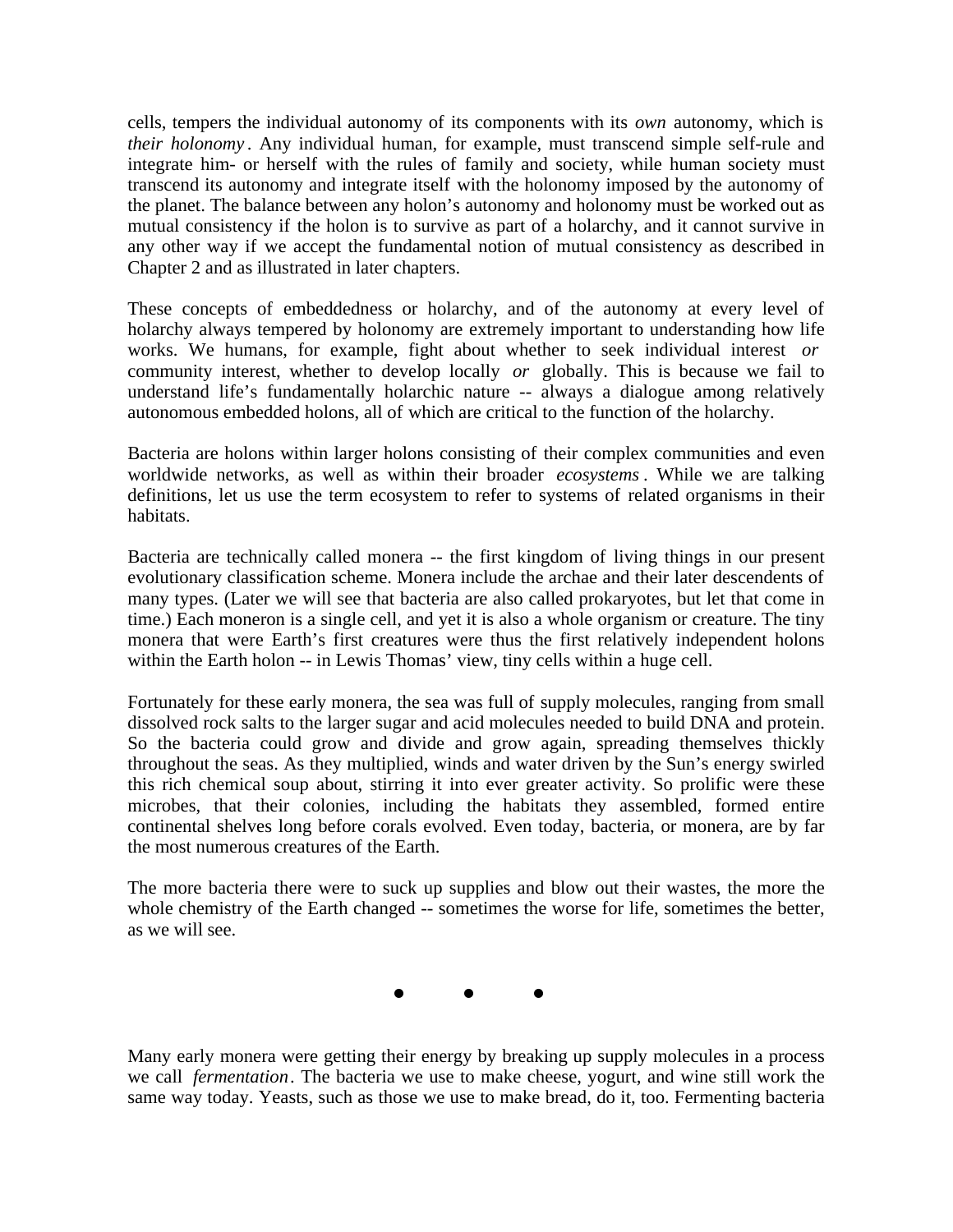cells, tempers the individual autonomy of its components with its *own* autonomy, which is *their holonomy* . Any individual human, for example, must transcend simple self-rule and integrate him- or herself with the rules of family and society, while human society must transcend its autonomy and integrate itself with the holonomy imposed by the autonomy of the planet. The balance between any holon's autonomy and holonomy must be worked out as mutual consistency if the holon is to survive as part of a holarchy, and it cannot survive in any other way if we accept the fundamental notion of mutual consistency as described in Chapter 2 and as illustrated in later chapters.

These concepts of embeddedness or holarchy, and of the autonomy at every level of holarchy always tempered by holonomy are extremely important to understanding how life works. We humans, for example, fight about whether to seek individual interest *or* community interest, whether to develop locally *or* globally. This is because we fail to understand life's fundamentally holarchic nature -- always a dialogue among relatively autonomous embedded holons, all of which are critical to the function of the holarchy.

Bacteria are holons within larger holons consisting of their complex communities and even worldwide networks, as well as within their broader *ecosystems* . While we are talking definitions, let us use the term ecosystem to refer to systems of related organisms in their habitats.

Bacteria are technically called monera -- the first kingdom of living things in our present evolutionary classification scheme. Monera include the archae and their later descendents of many types. (Later we will see that bacteria are also called prokaryotes, but let that come in time.) Each moneron is a single cell, and yet it is also a whole organism or creature. The tiny monera that were Earth's first creatures were thus the first relatively independent holons within the Earth holon -- in Lewis Thomas' view, tiny cells within a huge cell.

Fortunately for these early monera, the sea was full of supply molecules, ranging from small dissolved rock salts to the larger sugar and acid molecules needed to build DNA and protein. So the bacteria could grow and divide and grow again, spreading themselves thickly throughout the seas. As they multiplied, winds and water driven by the Sun's energy swirled this rich chemical soup about, stirring it into ever greater activity. So prolific were these microbes, that their colonies, including the habitats they assembled, formed entire continental shelves long before corals evolved. Even today, bacteria, or monera, are by far the most numerous creatures of the Earth.

The more bacteria there were to suck up supplies and blow out their wastes, the more the whole chemistry of the Earth changed -- sometimes the worse for life, sometimes the better, as we will see.

**· · ·** 

Many early monera were getting their energy by breaking up supply molecules in a process we call *fermentation*. The bacteria we use to make cheese, yogurt, and wine still work the same way today. Yeasts, such as those we use to make bread, do it, too. Fermenting bacteria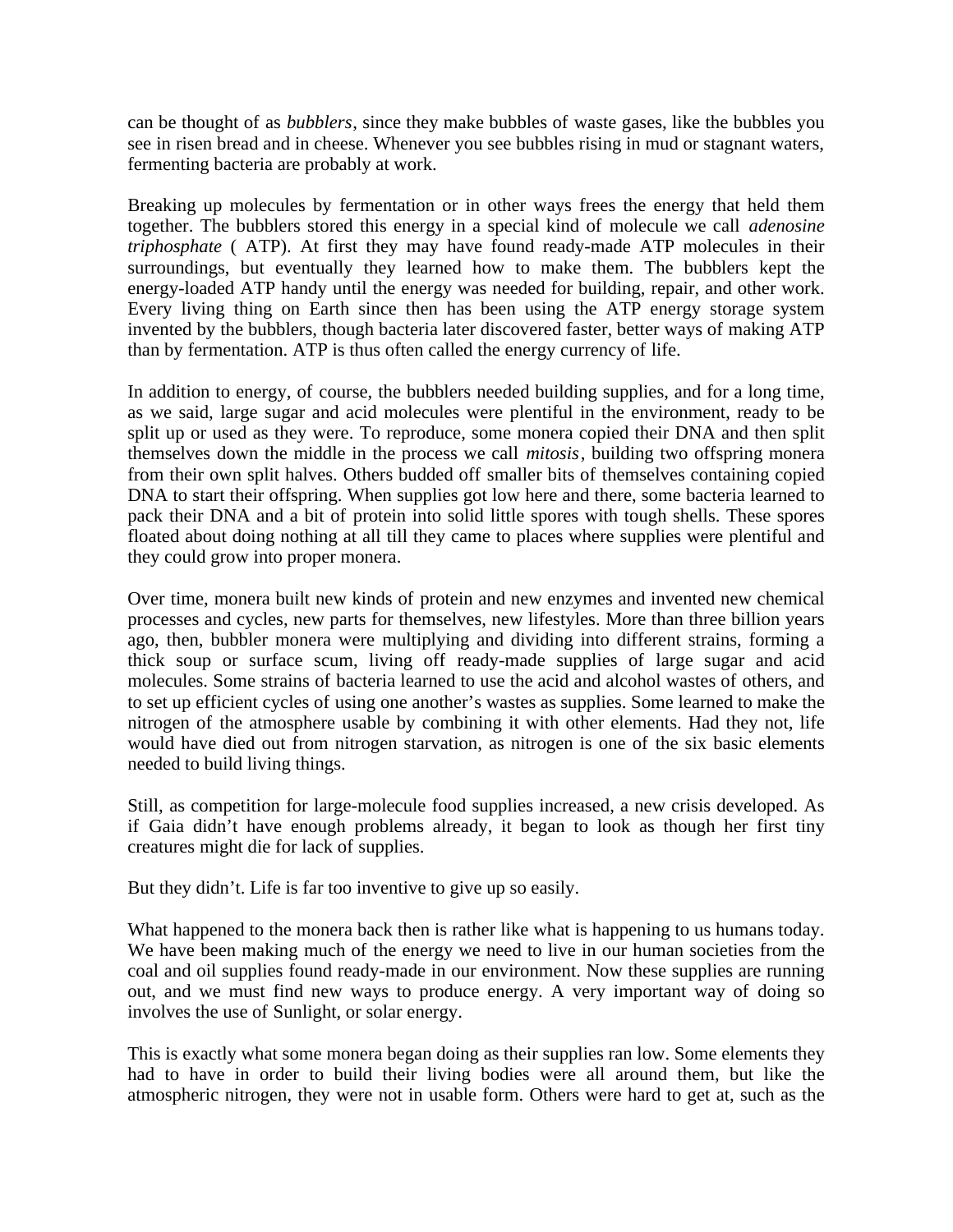can be thought of as *bubblers*, since they make bubbles of waste gases, like the bubbles you see in risen bread and in cheese. Whenever you see bubbles rising in mud or stagnant waters, fermenting bacteria are probably at work.

Breaking up molecules by fermentation or in other ways frees the energy that held them together. The bubblers stored this energy in a special kind of molecule we call *adenosine triphosphate* ( ATP). At first they may have found ready-made ATP molecules in their surroundings, but eventually they learned how to make them. The bubblers kept the energy-loaded ATP handy until the energy was needed for building, repair, and other work. Every living thing on Earth since then has been using the ATP energy storage system invented by the bubblers, though bacteria later discovered faster, better ways of making ATP than by fermentation. ATP is thus often called the energy currency of life.

In addition to energy, of course, the bubblers needed building supplies, and for a long time, as we said, large sugar and acid molecules were plentiful in the environment, ready to be split up or used as they were. To reproduce, some monera copied their DNA and then split themselves down the middle in the process we call *mitosis*, building two offspring monera from their own split halves. Others budded off smaller bits of themselves containing copied DNA to start their offspring. When supplies got low here and there, some bacteria learned to pack their DNA and a bit of protein into solid little spores with tough shells. These spores floated about doing nothing at all till they came to places where supplies were plentiful and they could grow into proper monera.

Over time, monera built new kinds of protein and new enzymes and invented new chemical processes and cycles, new parts for themselves, new lifestyles. More than three billion years ago, then, bubbler monera were multiplying and dividing into different strains, forming a thick soup or surface scum, living off ready-made supplies of large sugar and acid molecules. Some strains of bacteria learned to use the acid and alcohol wastes of others, and to set up efficient cycles of using one another's wastes as supplies. Some learned to make the nitrogen of the atmosphere usable by combining it with other elements. Had they not, life would have died out from nitrogen starvation, as nitrogen is one of the six basic elements needed to build living things.

Still, as competition for large-molecule food supplies increased, a new crisis developed. As if Gaia didn't have enough problems already, it began to look as though her first tiny creatures might die for lack of supplies.

But they didn't. Life is far too inventive to give up so easily.

What happened to the monera back then is rather like what is happening to us humans today. We have been making much of the energy we need to live in our human societies from the coal and oil supplies found ready-made in our environment. Now these supplies are running out, and we must find new ways to produce energy. A very important way of doing so involves the use of Sunlight, or solar energy.

This is exactly what some monera began doing as their supplies ran low. Some elements they had to have in order to build their living bodies were all around them, but like the atmospheric nitrogen, they were not in usable form. Others were hard to get at, such as the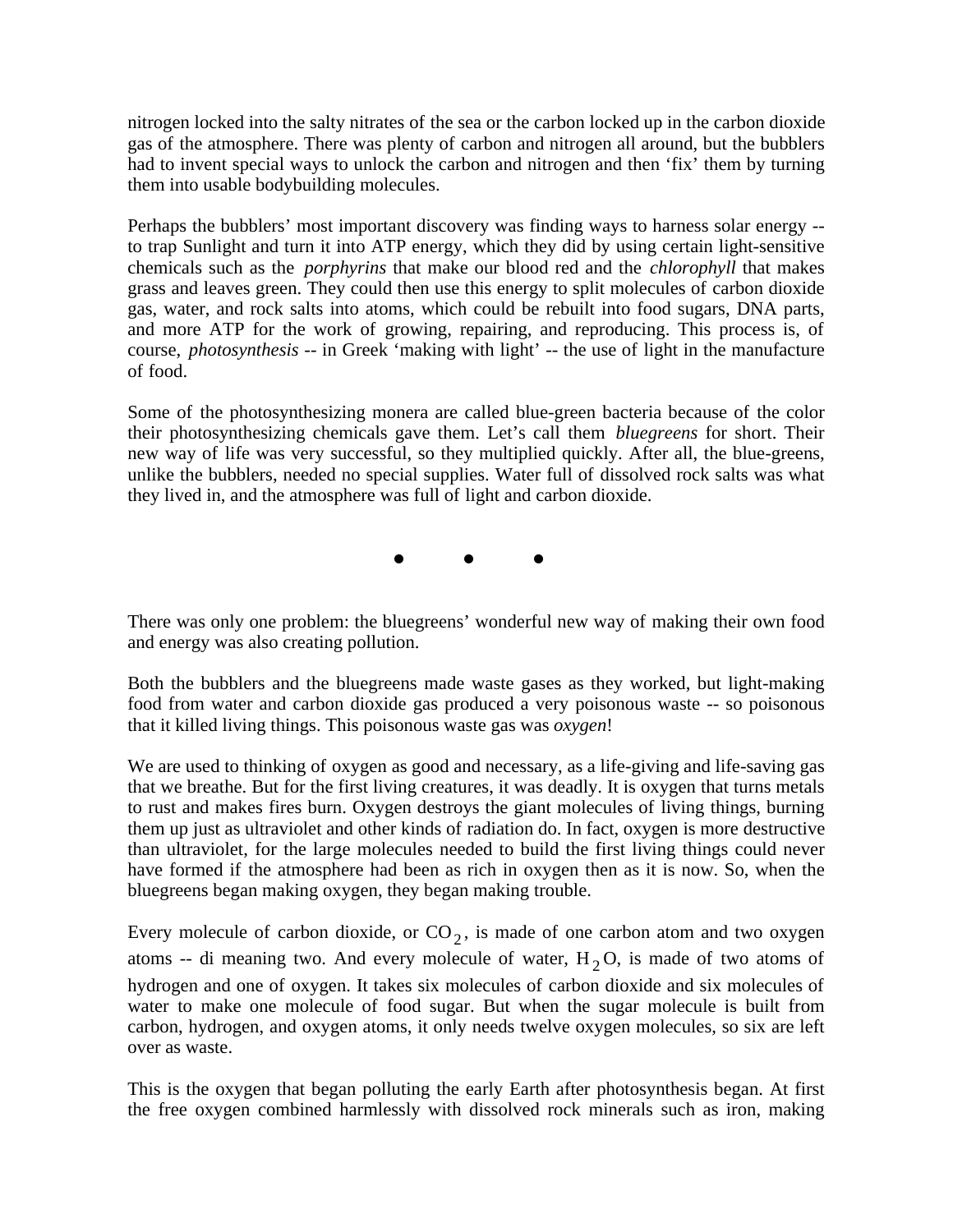nitrogen locked into the salty nitrates of the sea or the carbon locked up in the carbon dioxide gas of the atmosphere. There was plenty of carbon and nitrogen all around, but the bubblers had to invent special ways to unlock the carbon and nitrogen and then 'fix' them by turning them into usable bodybuilding molecules.

Perhaps the bubblers' most important discovery was finding ways to harness solar energy - to trap Sunlight and turn it into ATP energy, which they did by using certain light-sensitive chemicals such as the *porphyrins* that make our blood red and the *chlorophyll* that makes grass and leaves green. They could then use this energy to split molecules of carbon dioxide gas, water, and rock salts into atoms, which could be rebuilt into food sugars, DNA parts, and more ATP for the work of growing, repairing, and reproducing. This process is, of course, *photosynthesis* -- in Greek 'making with light' -- the use of light in the manufacture of food.

Some of the photosynthesizing monera are called blue-green bacteria because of the color their photosynthesizing chemicals gave them. Let's call them *bluegreens* for short. Their new way of life was very successful, so they multiplied quickly. After all, the blue-greens, unlike the bubblers, needed no special supplies. Water full of dissolved rock salts was what they lived in, and the atmosphere was full of light and carbon dioxide.

**· · ·** 

There was only one problem: the bluegreens' wonderful new way of making their own food and energy was also creating pollution.

Both the bubblers and the bluegreens made waste gases as they worked, but light-making food from water and carbon dioxide gas produced a very poisonous waste -- so poisonous that it killed living things. This poisonous waste gas was *oxygen*!

We are used to thinking of oxygen as good and necessary, as a life-giving and life-saving gas that we breathe. But for the first living creatures, it was deadly. It is oxygen that turns metals to rust and makes fires burn. Oxygen destroys the giant molecules of living things, burning them up just as ultraviolet and other kinds of radiation do. In fact, oxygen is more destructive than ultraviolet, for the large molecules needed to build the first living things could never have formed if the atmosphere had been as rich in oxygen then as it is now. So, when the bluegreens began making oxygen, they began making trouble.

Every molecule of carbon dioxide, or  $CO_2$ , is made of one carbon atom and two oxygen atoms -- di meaning two. And every molecule of water,  $H_2O$ , is made of two atoms of hydrogen and one of oxygen. It takes six molecules of carbon dioxide and six molecules of water to make one molecule of food sugar. But when the sugar molecule is built from carbon, hydrogen, and oxygen atoms, it only needs twelve oxygen molecules, so six are left over as waste.

This is the oxygen that began polluting the early Earth after photosynthesis began. At first the free oxygen combined harmlessly with dissolved rock minerals such as iron, making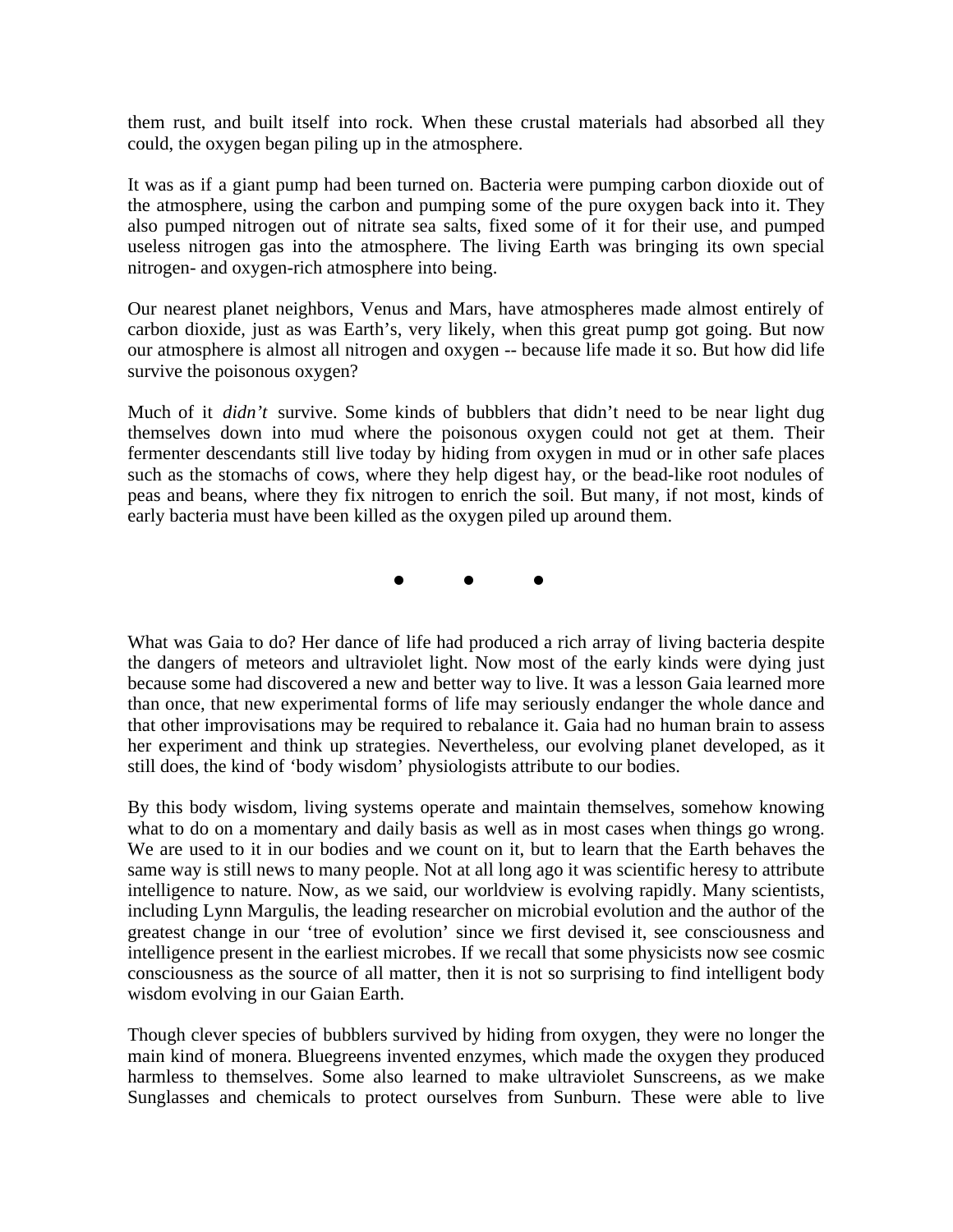them rust, and built itself into rock. When these crustal materials had absorbed all they could, the oxygen began piling up in the atmosphere.

It was as if a giant pump had been turned on. Bacteria were pumping carbon dioxide out of the atmosphere, using the carbon and pumping some of the pure oxygen back into it. They also pumped nitrogen out of nitrate sea salts, fixed some of it for their use, and pumped useless nitrogen gas into the atmosphere. The living Earth was bringing its own special nitrogen- and oxygen-rich atmosphere into being.

Our nearest planet neighbors, Venus and Mars, have atmospheres made almost entirely of carbon dioxide, just as was Earth's, very likely, when this great pump got going. But now our atmosphere is almost all nitrogen and oxygen -- because life made it so. But how did life survive the poisonous oxygen?

Much of it *didn't* survive. Some kinds of bubblers that didn't need to be near light dug themselves down into mud where the poisonous oxygen could not get at them. Their fermenter descendants still live today by hiding from oxygen in mud or in other safe places such as the stomachs of cows, where they help digest hay, or the bead-like root nodules of peas and beans, where they fix nitrogen to enrich the soil. But many, if not most, kinds of early bacteria must have been killed as the oxygen piled up around them.

**· · ·** 

What was Gaia to do? Her dance of life had produced a rich array of living bacteria despite the dangers of meteors and ultraviolet light. Now most of the early kinds were dying just because some had discovered a new and better way to live. It was a lesson Gaia learned more than once, that new experimental forms of life may seriously endanger the whole dance and that other improvisations may be required to rebalance it. Gaia had no human brain to assess her experiment and think up strategies. Nevertheless, our evolving planet developed, as it still does, the kind of 'body wisdom' physiologists attribute to our bodies.

By this body wisdom, living systems operate and maintain themselves, somehow knowing what to do on a momentary and daily basis as well as in most cases when things go wrong. We are used to it in our bodies and we count on it, but to learn that the Earth behaves the same way is still news to many people. Not at all long ago it was scientific heresy to attribute intelligence to nature. Now, as we said, our worldview is evolving rapidly. Many scientists, including Lynn Margulis, the leading researcher on microbial evolution and the author of the greatest change in our 'tree of evolution' since we first devised it, see consciousness and intelligence present in the earliest microbes. If we recall that some physicists now see cosmic consciousness as the source of all matter, then it is not so surprising to find intelligent body wisdom evolving in our Gaian Earth.

Though clever species of bubblers survived by hiding from oxygen, they were no longer the main kind of monera. Bluegreens invented enzymes, which made the oxygen they produced harmless to themselves. Some also learned to make ultraviolet Sunscreens, as we make Sunglasses and chemicals to protect ourselves from Sunburn. These were able to live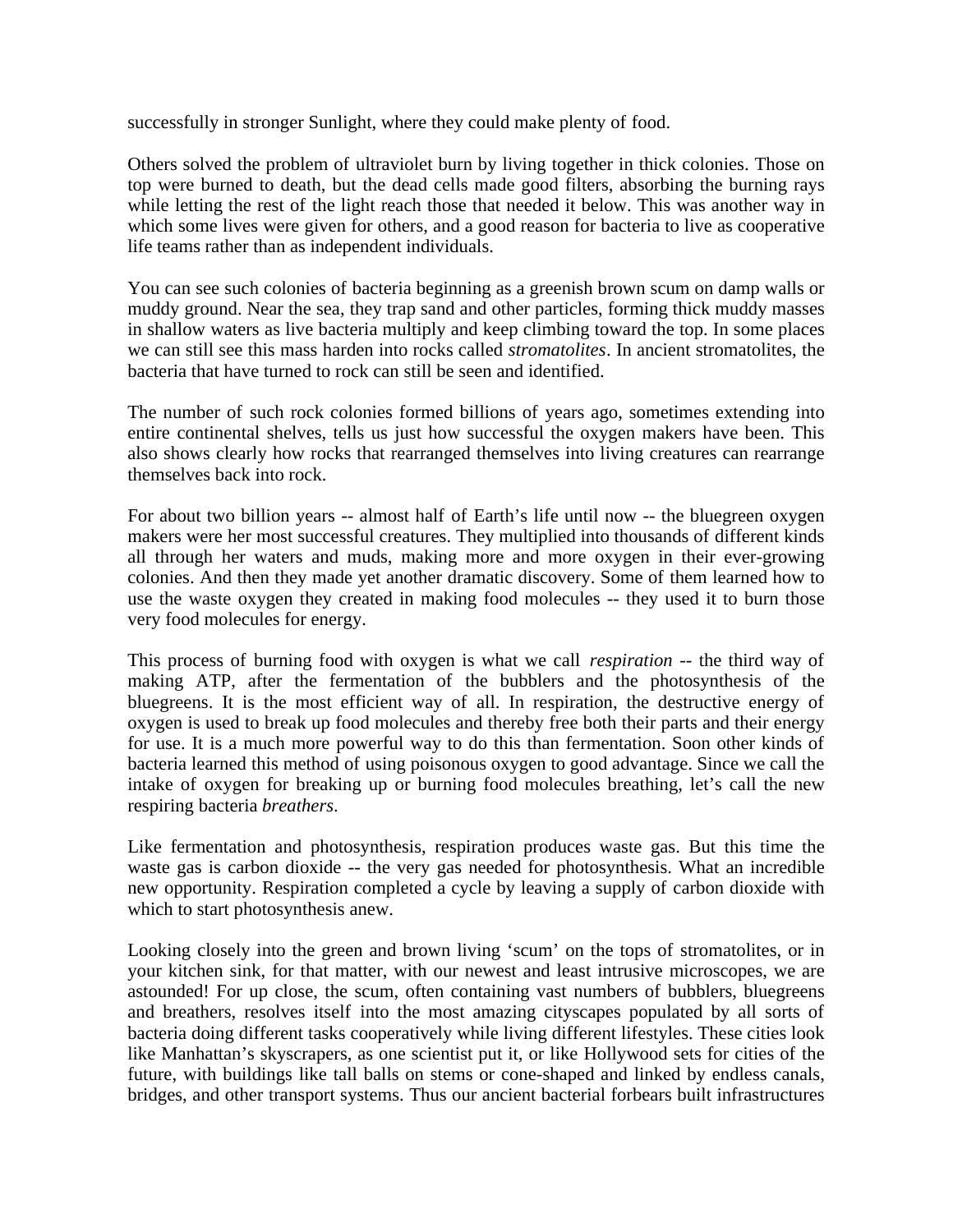successfully in stronger Sunlight, where they could make plenty of food.

Others solved the problem of ultraviolet burn by living together in thick colonies. Those on top were burned to death, but the dead cells made good filters, absorbing the burning rays while letting the rest of the light reach those that needed it below. This was another way in which some lives were given for others, and a good reason for bacteria to live as cooperative life teams rather than as independent individuals.

You can see such colonies of bacteria beginning as a greenish brown scum on damp walls or muddy ground. Near the sea, they trap sand and other particles, forming thick muddy masses in shallow waters as live bacteria multiply and keep climbing toward the top. In some places we can still see this mass harden into rocks called *stromatolites*. In ancient stromatolites, the bacteria that have turned to rock can still be seen and identified.

The number of such rock colonies formed billions of years ago, sometimes extending into entire continental shelves, tells us just how successful the oxygen makers have been. This also shows clearly how rocks that rearranged themselves into living creatures can rearrange themselves back into rock.

For about two billion years -- almost half of Earth's life until now -- the bluegreen oxygen makers were her most successful creatures. They multiplied into thousands of different kinds all through her waters and muds, making more and more oxygen in their ever-growing colonies. And then they made yet another dramatic discovery. Some of them learned how to use the waste oxygen they created in making food molecules -- they used it to burn those very food molecules for energy.

This process of burning food with oxygen is what we call *respiration* -- the third way of making ATP, after the fermentation of the bubblers and the photosynthesis of the bluegreens. It is the most efficient way of all. In respiration, the destructive energy of oxygen is used to break up food molecules and thereby free both their parts and their energy for use. It is a much more powerful way to do this than fermentation. Soon other kinds of bacteria learned this method of using poisonous oxygen to good advantage. Since we call the intake of oxygen for breaking up or burning food molecules breathing, let's call the new respiring bacteria *breathers*.

Like fermentation and photosynthesis, respiration produces waste gas. But this time the waste gas is carbon dioxide -- the very gas needed for photosynthesis. What an incredible new opportunity. Respiration completed a cycle by leaving a supply of carbon dioxide with which to start photosynthesis anew.

Looking closely into the green and brown living 'scum' on the tops of stromatolites, or in your kitchen sink, for that matter, with our newest and least intrusive microscopes, we are astounded! For up close, the scum, often containing vast numbers of bubblers, bluegreens and breathers, resolves itself into the most amazing cityscapes populated by all sorts of bacteria doing different tasks cooperatively while living different lifestyles. These cities look like Manhattan's skyscrapers, as one scientist put it, or like Hollywood sets for cities of the future, with buildings like tall balls on stems or cone-shaped and linked by endless canals, bridges, and other transport systems. Thus our ancient bacterial forbears built infrastructures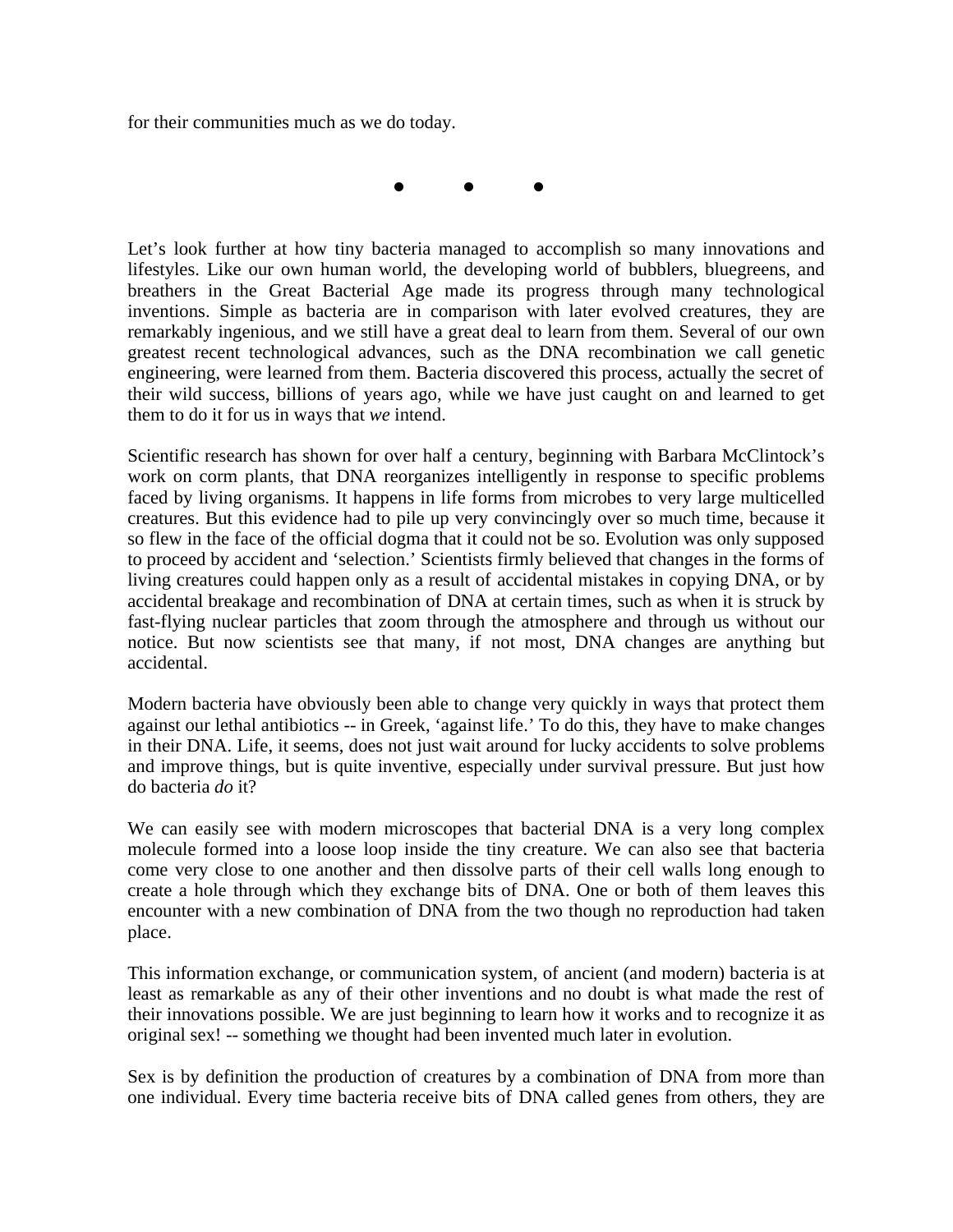for their communities much as we do today.

**· · ·** 

Let's look further at how tiny bacteria managed to accomplish so many innovations and lifestyles. Like our own human world, the developing world of bubblers, bluegreens, and breathers in the Great Bacterial Age made its progress through many technological inventions. Simple as bacteria are in comparison with later evolved creatures, they are remarkably ingenious, and we still have a great deal to learn from them. Several of our own greatest recent technological advances, such as the DNA recombination we call genetic engineering, were learned from them. Bacteria discovered this process, actually the secret of their wild success, billions of years ago, while we have just caught on and learned to get them to do it for us in ways that *we* intend.

Scientific research has shown for over half a century, beginning with Barbara McClintock's work on corm plants, that DNA reorganizes intelligently in response to specific problems faced by living organisms. It happens in life forms from microbes to very large multicelled creatures. But this evidence had to pile up very convincingly over so much time, because it so flew in the face of the official dogma that it could not be so. Evolution was only supposed to proceed by accident and 'selection.' Scientists firmly believed that changes in the forms of living creatures could happen only as a result of accidental mistakes in copying DNA, or by accidental breakage and recombination of DNA at certain times, such as when it is struck by fast-flying nuclear particles that zoom through the atmosphere and through us without our notice. But now scientists see that many, if not most, DNA changes are anything but accidental.

Modern bacteria have obviously been able to change very quickly in ways that protect them against our lethal antibiotics -- in Greek, 'against life.' To do this, they have to make changes in their DNA. Life, it seems, does not just wait around for lucky accidents to solve problems and improve things, but is quite inventive, especially under survival pressure. But just how do bacteria *do* it?

We can easily see with modern microscopes that bacterial DNA is a very long complex molecule formed into a loose loop inside the tiny creature. We can also see that bacteria come very close to one another and then dissolve parts of their cell walls long enough to create a hole through which they exchange bits of DNA. One or both of them leaves this encounter with a new combination of DNA from the two though no reproduction had taken place.

This information exchange, or communication system, of ancient (and modern) bacteria is at least as remarkable as any of their other inventions and no doubt is what made the rest of their innovations possible. We are just beginning to learn how it works and to recognize it as original sex! -- something we thought had been invented much later in evolution.

Sex is by definition the production of creatures by a combination of DNA from more than one individual. Every time bacteria receive bits of DNA called genes from others, they are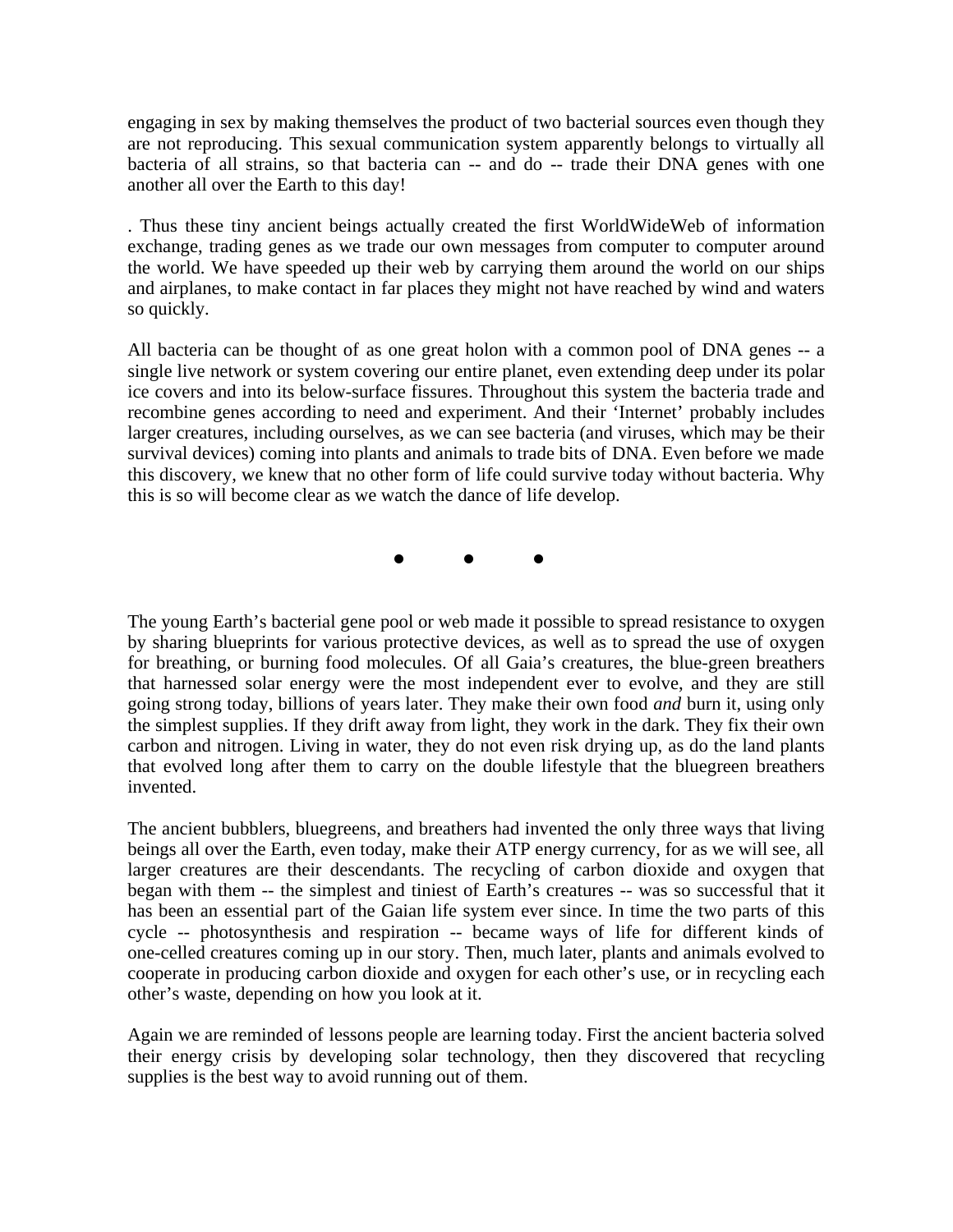engaging in sex by making themselves the product of two bacterial sources even though they are not reproducing. This sexual communication system apparently belongs to virtually all bacteria of all strains, so that bacteria can -- and do -- trade their DNA genes with one another all over the Earth to this day!

. Thus these tiny ancient beings actually created the first WorldWideWeb of information exchange, trading genes as we trade our own messages from computer to computer around the world. We have speeded up their web by carrying them around the world on our ships and airplanes, to make contact in far places they might not have reached by wind and waters so quickly.

All bacteria can be thought of as one great holon with a common pool of DNA genes -- a single live network or system covering our entire planet, even extending deep under its polar ice covers and into its below-surface fissures. Throughout this system the bacteria trade and recombine genes according to need and experiment. And their 'Internet' probably includes larger creatures, including ourselves, as we can see bacteria (and viruses, which may be their survival devices) coming into plants and animals to trade bits of DNA. Even before we made this discovery, we knew that no other form of life could survive today without bacteria. Why this is so will become clear as we watch the dance of life develop.

**· · ·** 

The young Earth's bacterial gene pool or web made it possible to spread resistance to oxygen by sharing blueprints for various protective devices, as well as to spread the use of oxygen for breathing, or burning food molecules. Of all Gaia's creatures, the blue-green breathers that harnessed solar energy were the most independent ever to evolve, and they are still going strong today, billions of years later. They make their own food *and* burn it, using only the simplest supplies. If they drift away from light, they work in the dark. They fix their own carbon and nitrogen. Living in water, they do not even risk drying up, as do the land plants that evolved long after them to carry on the double lifestyle that the bluegreen breathers invented.

The ancient bubblers, bluegreens, and breathers had invented the only three ways that living beings all over the Earth, even today, make their ATP energy currency, for as we will see, all larger creatures are their descendants. The recycling of carbon dioxide and oxygen that began with them -- the simplest and tiniest of Earth's creatures -- was so successful that it has been an essential part of the Gaian life system ever since. In time the two parts of this cycle -- photosynthesis and respiration -- became ways of life for different kinds of one-celled creatures coming up in our story. Then, much later, plants and animals evolved to cooperate in producing carbon dioxide and oxygen for each other's use, or in recycling each other's waste, depending on how you look at it.

Again we are reminded of lessons people are learning today. First the ancient bacteria solved their energy crisis by developing solar technology, then they discovered that recycling supplies is the best way to avoid running out of them.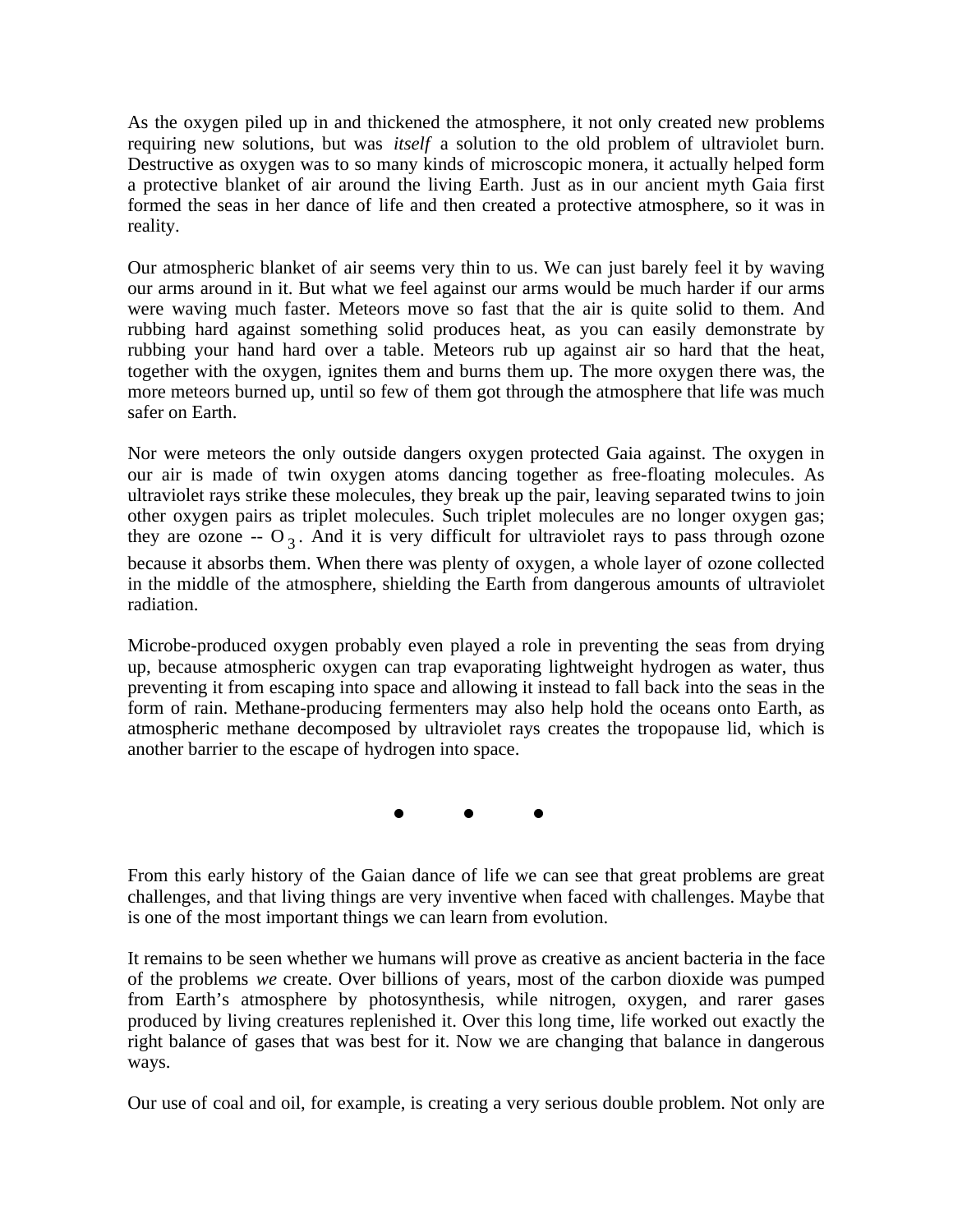As the oxygen piled up in and thickened the atmosphere, it not only created new problems requiring new solutions, but was *itself* a solution to the old problem of ultraviolet burn. Destructive as oxygen was to so many kinds of microscopic monera, it actually helped form a protective blanket of air around the living Earth. Just as in our ancient myth Gaia first formed the seas in her dance of life and then created a protective atmosphere, so it was in reality.

Our atmospheric blanket of air seems very thin to us. We can just barely feel it by waving our arms around in it. But what we feel against our arms would be much harder if our arms were waving much faster. Meteors move so fast that the air is quite solid to them. And rubbing hard against something solid produces heat, as you can easily demonstrate by rubbing your hand hard over a table. Meteors rub up against air so hard that the heat, together with the oxygen, ignites them and burns them up. The more oxygen there was, the more meteors burned up, until so few of them got through the atmosphere that life was much safer on Earth.

Nor were meteors the only outside dangers oxygen protected Gaia against. The oxygen in our air is made of twin oxygen atoms dancing together as free-floating molecules. As ultraviolet rays strike these molecules, they break up the pair, leaving separated twins to join other oxygen pairs as triplet molecules. Such triplet molecules are no longer oxygen gas; they are ozone --  $O_3$ . And it is very difficult for ultraviolet rays to pass through ozone because it absorbs them. When there was plenty of oxygen, a whole layer of ozone collected in the middle of the atmosphere, shielding the Earth from dangerous amounts of ultraviolet radiation.

Microbe-produced oxygen probably even played a role in preventing the seas from drying up, because atmospheric oxygen can trap evaporating lightweight hydrogen as water, thus preventing it from escaping into space and allowing it instead to fall back into the seas in the form of rain. Methane-producing fermenters may also help hold the oceans onto Earth, as atmospheric methane decomposed by ultraviolet rays creates the tropopause lid, which is another barrier to the escape of hydrogen into space.

**· · ·** 

From this early history of the Gaian dance of life we can see that great problems are great challenges, and that living things are very inventive when faced with challenges. Maybe that is one of the most important things we can learn from evolution.

It remains to be seen whether we humans will prove as creative as ancient bacteria in the face of the problems *we* create. Over billions of years, most of the carbon dioxide was pumped from Earth's atmosphere by photosynthesis, while nitrogen, oxygen, and rarer gases produced by living creatures replenished it. Over this long time, life worked out exactly the right balance of gases that was best for it. Now we are changing that balance in dangerous ways.

Our use of coal and oil, for example, is creating a very serious double problem. Not only are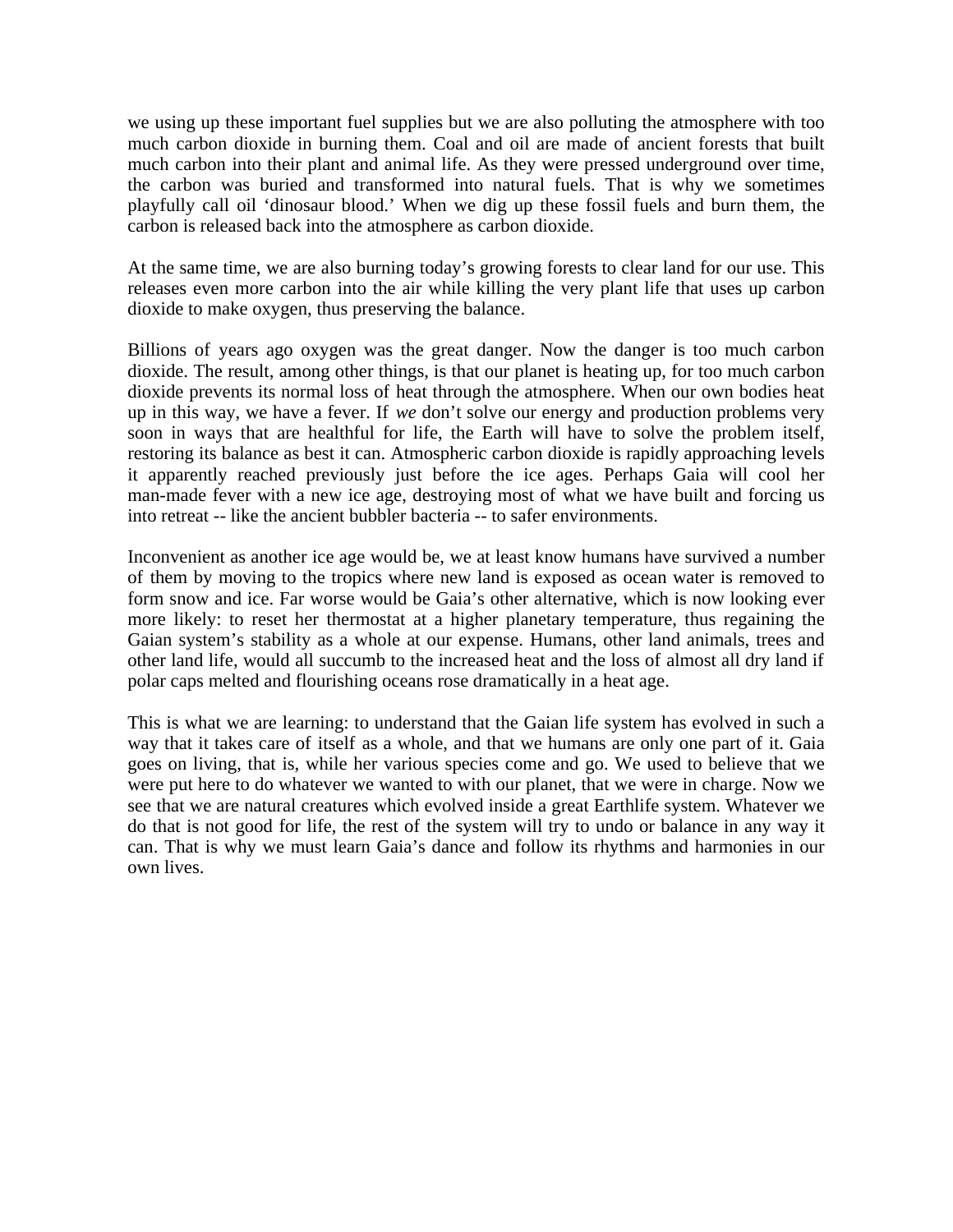we using up these important fuel supplies but we are also polluting the atmosphere with too much carbon dioxide in burning them. Coal and oil are made of ancient forests that built much carbon into their plant and animal life. As they were pressed underground over time, the carbon was buried and transformed into natural fuels. That is why we sometimes playfully call oil 'dinosaur blood.' When we dig up these fossil fuels and burn them, the carbon is released back into the atmosphere as carbon dioxide.

At the same time, we are also burning today's growing forests to clear land for our use. This releases even more carbon into the air while killing the very plant life that uses up carbon dioxide to make oxygen, thus preserving the balance.

Billions of years ago oxygen was the great danger. Now the danger is too much carbon dioxide. The result, among other things, is that our planet is heating up, for too much carbon dioxide prevents its normal loss of heat through the atmosphere. When our own bodies heat up in this way, we have a fever. If *we* don't solve our energy and production problems very soon in ways that are healthful for life, the Earth will have to solve the problem itself, restoring its balance as best it can. Atmospheric carbon dioxide is rapidly approaching levels it apparently reached previously just before the ice ages. Perhaps Gaia will cool her man-made fever with a new ice age, destroying most of what we have built and forcing us into retreat -- like the ancient bubbler bacteria -- to safer environments.

Inconvenient as another ice age would be, we at least know humans have survived a number of them by moving to the tropics where new land is exposed as ocean water is removed to form snow and ice. Far worse would be Gaia's other alternative, which is now looking ever more likely: to reset her thermostat at a higher planetary temperature, thus regaining the Gaian system's stability as a whole at our expense. Humans, other land animals, trees and other land life, would all succumb to the increased heat and the loss of almost all dry land if polar caps melted and flourishing oceans rose dramatically in a heat age.

This is what we are learning: to understand that the Gaian life system has evolved in such a way that it takes care of itself as a whole, and that we humans are only one part of it. Gaia goes on living, that is, while her various species come and go. We used to believe that we were put here to do whatever we wanted to with our planet, that we were in charge. Now we see that we are natural creatures which evolved inside a great Earthlife system. Whatever we do that is not good for life, the rest of the system will try to undo or balance in any way it can. That is why we must learn Gaia's dance and follow its rhythms and harmonies in our own lives.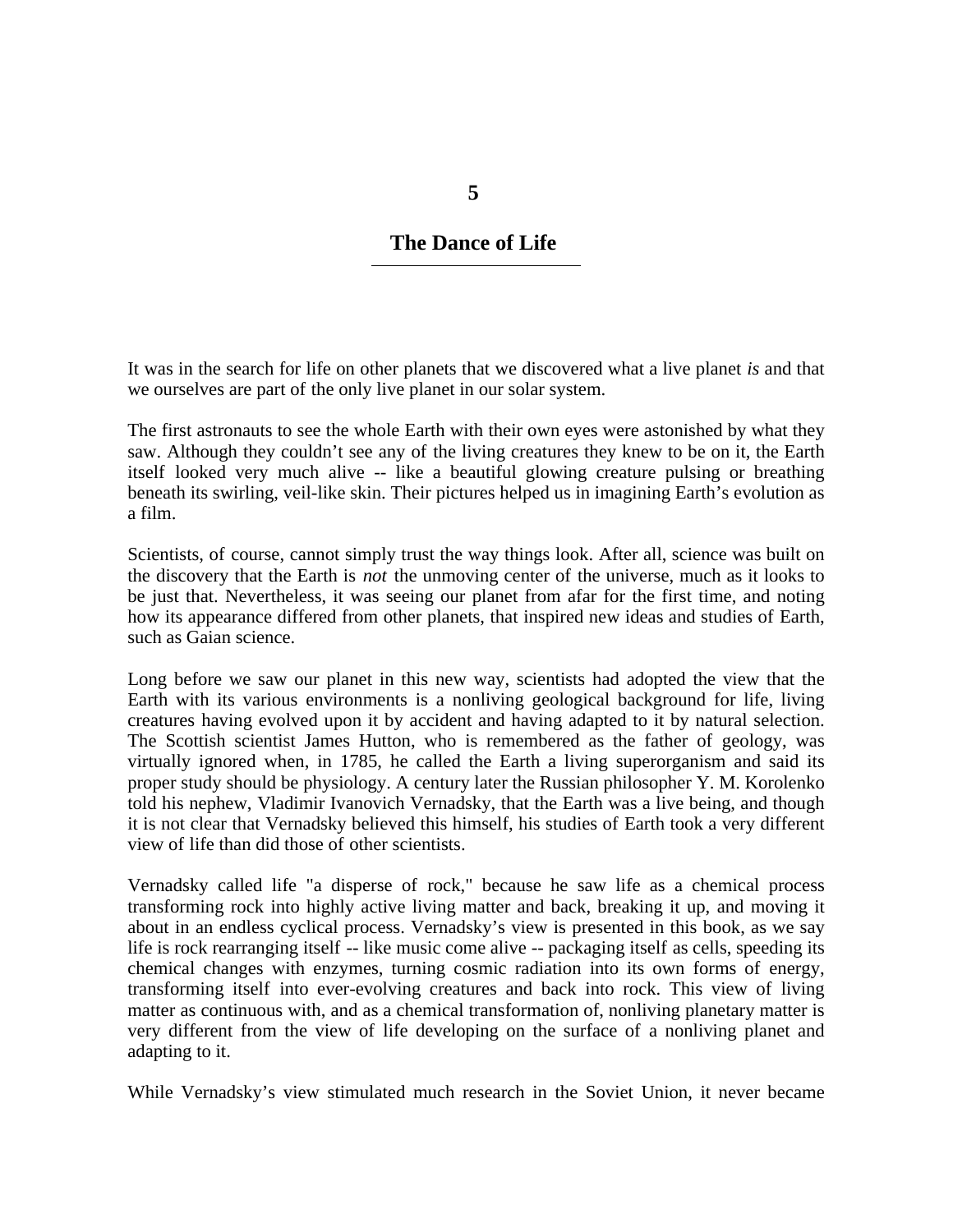## **The Dance of Life**

It was in the search for life on other planets that we discovered what a live planet *is* and that we ourselves are part of the only live planet in our solar system.

The first astronauts to see the whole Earth with their own eyes were astonished by what they saw. Although they couldn't see any of the living creatures they knew to be on it, the Earth itself looked very much alive -- like a beautiful glowing creature pulsing or breathing beneath its swirling, veil-like skin. Their pictures helped us in imagining Earth's evolution as a film.

Scientists, of course, cannot simply trust the way things look. After all, science was built on the discovery that the Earth is *not* the unmoving center of the universe, much as it looks to be just that. Nevertheless, it was seeing our planet from afar for the first time, and noting how its appearance differed from other planets, that inspired new ideas and studies of Earth, such as Gaian science.

Long before we saw our planet in this new way, scientists had adopted the view that the Earth with its various environments is a nonliving geological background for life, living creatures having evolved upon it by accident and having adapted to it by natural selection. The Scottish scientist James Hutton, who is remembered as the father of geology, was virtually ignored when, in 1785, he called the Earth a living superorganism and said its proper study should be physiology. A century later the Russian philosopher Y. M. Korolenko told his nephew, Vladimir Ivanovich Vernadsky, that the Earth was a live being, and though it is not clear that Vernadsky believed this himself, his studies of Earth took a very different view of life than did those of other scientists.

Vernadsky called life "a disperse of rock," because he saw life as a chemical process transforming rock into highly active living matter and back, breaking it up, and moving it about in an endless cyclical process. Vernadsky's view is presented in this book, as we say life is rock rearranging itself -- like music come alive -- packaging itself as cells, speeding its chemical changes with enzymes, turning cosmic radiation into its own forms of energy, transforming itself into ever-evolving creatures and back into rock. This view of living matter as continuous with, and as a chemical transformation of, nonliving planetary matter is very different from the view of life developing on the surface of a nonliving planet and adapting to it.

While Vernadsky's view stimulated much research in the Soviet Union, it never became

**5**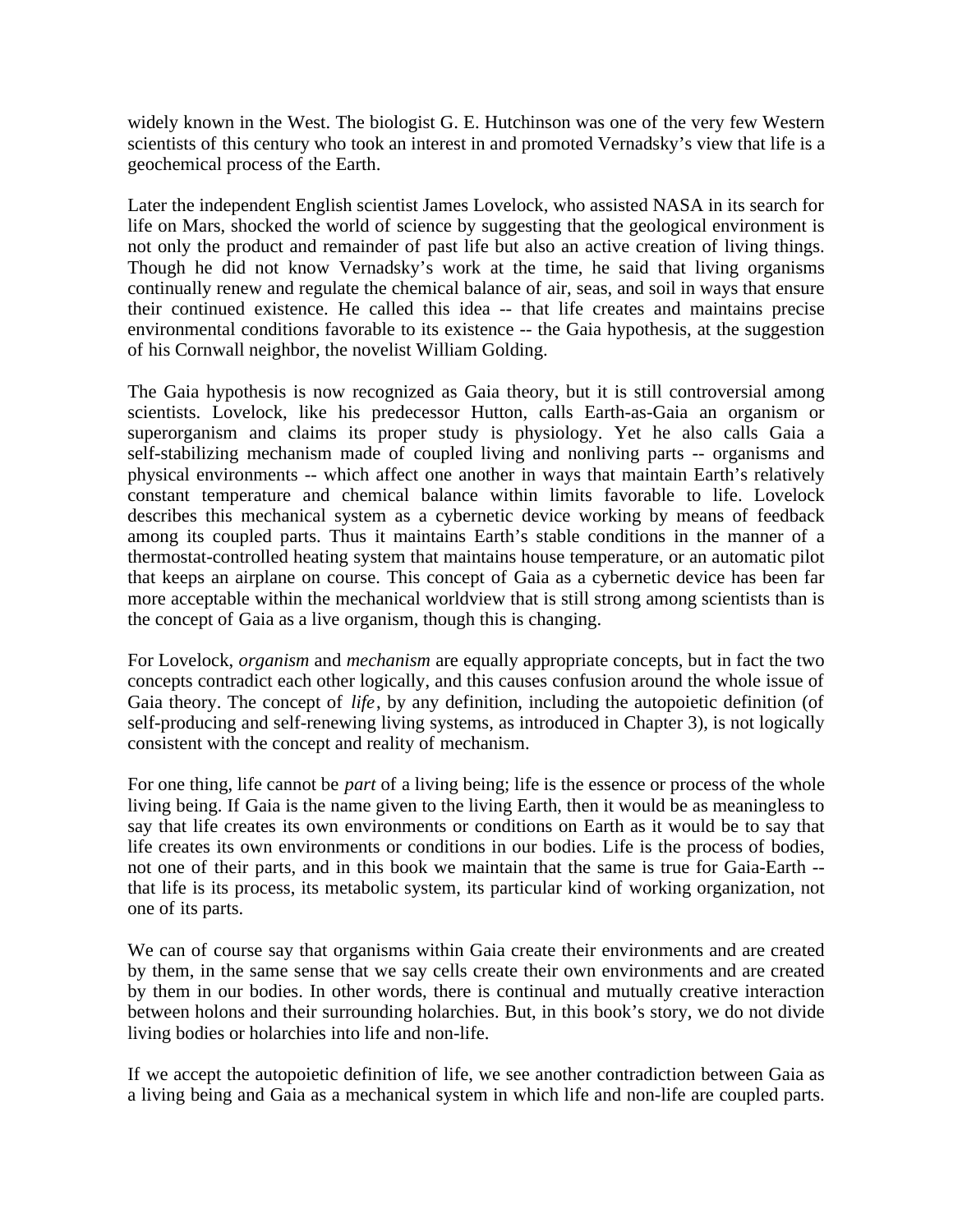widely known in the West. The biologist G. E. Hutchinson was one of the very few Western scientists of this century who took an interest in and promoted Vernadsky's view that life is a geochemical process of the Earth.

Later the independent English scientist James Lovelock, who assisted NASA in its search for life on Mars, shocked the world of science by suggesting that the geological environment is not only the product and remainder of past life but also an active creation of living things. Though he did not know Vernadsky's work at the time, he said that living organisms continually renew and regulate the chemical balance of air, seas, and soil in ways that ensure their continued existence. He called this idea -- that life creates and maintains precise environmental conditions favorable to its existence -- the Gaia hypothesis, at the suggestion of his Cornwall neighbor, the novelist William Golding.

The Gaia hypothesis is now recognized as Gaia theory, but it is still controversial among scientists. Lovelock, like his predecessor Hutton, calls Earth-as-Gaia an organism or superorganism and claims its proper study is physiology. Yet he also calls Gaia a self-stabilizing mechanism made of coupled living and nonliving parts -- organisms and physical environments -- which affect one another in ways that maintain Earth's relatively constant temperature and chemical balance within limits favorable to life. Lovelock describes this mechanical system as a cybernetic device working by means of feedback among its coupled parts. Thus it maintains Earth's stable conditions in the manner of a thermostat-controlled heating system that maintains house temperature, or an automatic pilot that keeps an airplane on course. This concept of Gaia as a cybernetic device has been far more acceptable within the mechanical worldview that is still strong among scientists than is the concept of Gaia as a live organism, though this is changing.

For Lovelock, *organism* and *mechanism* are equally appropriate concepts, but in fact the two concepts contradict each other logically, and this causes confusion around the whole issue of Gaia theory. The concept of *life*, by any definition, including the autopoietic definition (of self-producing and self-renewing living systems, as introduced in Chapter 3), is not logically consistent with the concept and reality of mechanism.

For one thing, life cannot be *part* of a living being; life is the essence or process of the whole living being. If Gaia is the name given to the living Earth, then it would be as meaningless to say that life creates its own environments or conditions on Earth as it would be to say that life creates its own environments or conditions in our bodies. Life is the process of bodies, not one of their parts, and in this book we maintain that the same is true for Gaia-Earth - that life is its process, its metabolic system, its particular kind of working organization, not one of its parts.

We can of course say that organisms within Gaia create their environments and are created by them, in the same sense that we say cells create their own environments and are created by them in our bodies. In other words, there is continual and mutually creative interaction between holons and their surrounding holarchies. But, in this book's story, we do not divide living bodies or holarchies into life and non-life.

If we accept the autopoietic definition of life, we see another contradiction between Gaia as a living being and Gaia as a mechanical system in which life and non-life are coupled parts.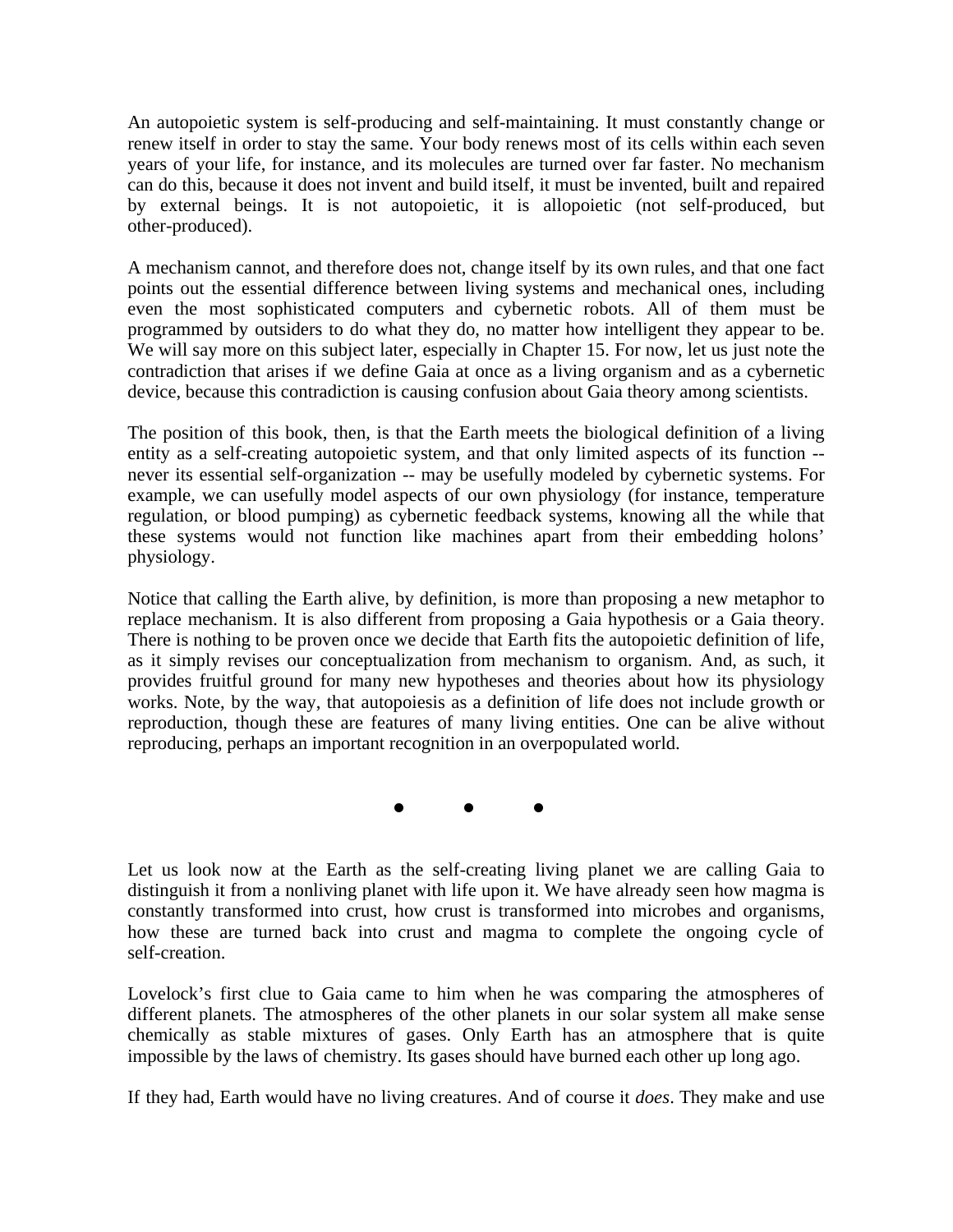An autopoietic system is self-producing and self-maintaining. It must constantly change or renew itself in order to stay the same. Your body renews most of its cells within each seven years of your life, for instance, and its molecules are turned over far faster. No mechanism can do this, because it does not invent and build itself, it must be invented, built and repaired by external beings. It is not autopoietic, it is allopoietic (not self-produced, but other-produced).

A mechanism cannot, and therefore does not, change itself by its own rules, and that one fact points out the essential difference between living systems and mechanical ones, including even the most sophisticated computers and cybernetic robots. All of them must be programmed by outsiders to do what they do, no matter how intelligent they appear to be. We will say more on this subject later, especially in Chapter 15. For now, let us just note the contradiction that arises if we define Gaia at once as a living organism and as a cybernetic device, because this contradiction is causing confusion about Gaia theory among scientists.

The position of this book, then, is that the Earth meets the biological definition of a living entity as a self-creating autopoietic system, and that only limited aspects of its function - never its essential self-organization -- may be usefully modeled by cybernetic systems. For example, we can usefully model aspects of our own physiology (for instance, temperature regulation, or blood pumping) as cybernetic feedback systems, knowing all the while that these systems would not function like machines apart from their embedding holons' physiology.

Notice that calling the Earth alive, by definition, is more than proposing a new metaphor to replace mechanism. It is also different from proposing a Gaia hypothesis or a Gaia theory. There is nothing to be proven once we decide that Earth fits the autopoietic definition of life, as it simply revises our conceptualization from mechanism to organism. And, as such, it provides fruitful ground for many new hypotheses and theories about how its physiology works. Note, by the way, that autopoiesis as a definition of life does not include growth or reproduction, though these are features of many living entities. One can be alive without reproducing, perhaps an important recognition in an overpopulated world.

**· · ·** 

Let us look now at the Earth as the self-creating living planet we are calling Gaia to distinguish it from a nonliving planet with life upon it. We have already seen how magma is constantly transformed into crust, how crust is transformed into microbes and organisms, how these are turned back into crust and magma to complete the ongoing cycle of self-creation.

Lovelock's first clue to Gaia came to him when he was comparing the atmospheres of different planets. The atmospheres of the other planets in our solar system all make sense chemically as stable mixtures of gases. Only Earth has an atmosphere that is quite impossible by the laws of chemistry. Its gases should have burned each other up long ago.

If they had, Earth would have no living creatures. And of course it *does*. They make and use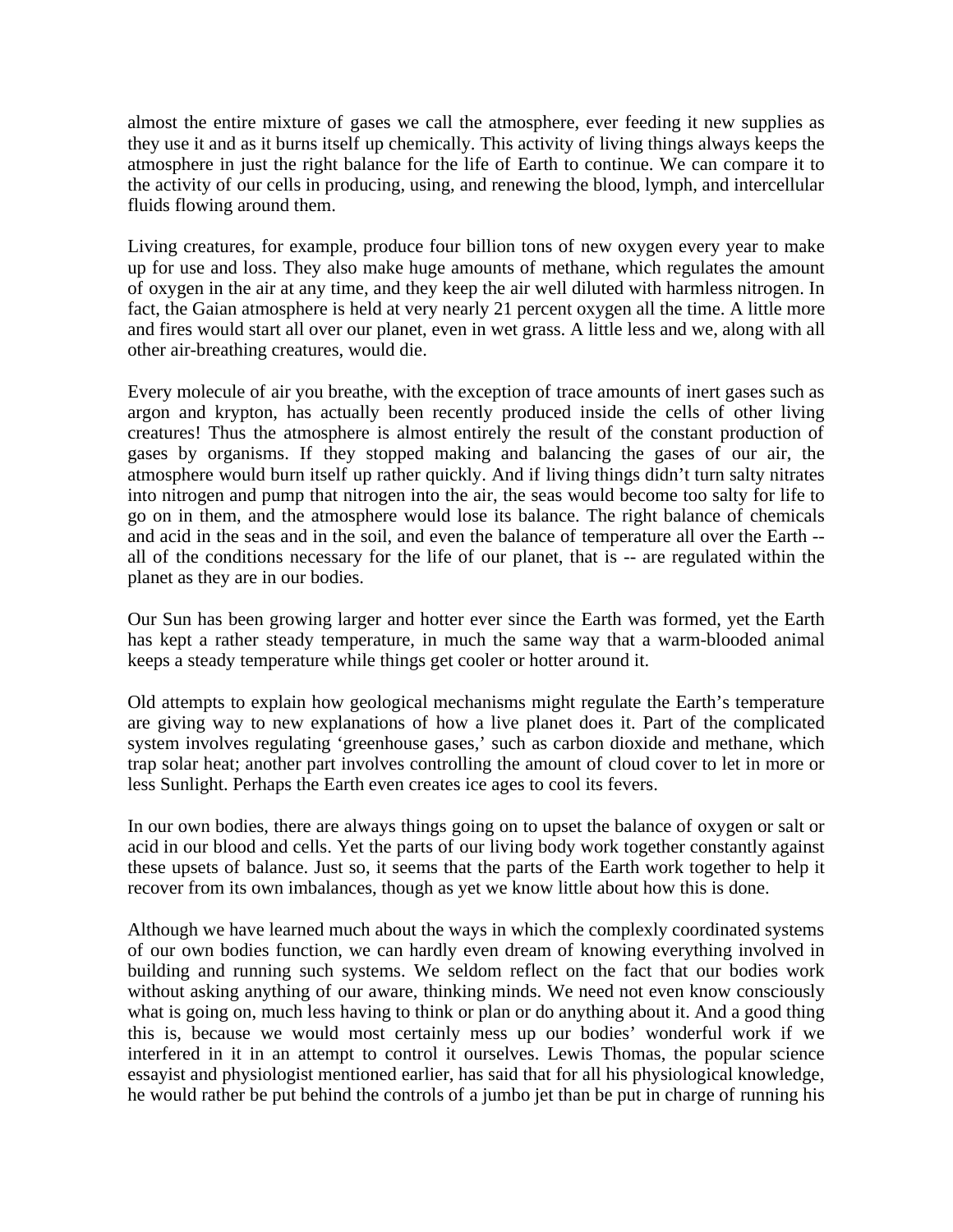almost the entire mixture of gases we call the atmosphere, ever feeding it new supplies as they use it and as it burns itself up chemically. This activity of living things always keeps the atmosphere in just the right balance for the life of Earth to continue. We can compare it to the activity of our cells in producing, using, and renewing the blood, lymph, and intercellular fluids flowing around them.

Living creatures, for example, produce four billion tons of new oxygen every year to make up for use and loss. They also make huge amounts of methane, which regulates the amount of oxygen in the air at any time, and they keep the air well diluted with harmless nitrogen. In fact, the Gaian atmosphere is held at very nearly 21 percent oxygen all the time. A little more and fires would start all over our planet, even in wet grass. A little less and we, along with all other air-breathing creatures, would die.

Every molecule of air you breathe, with the exception of trace amounts of inert gases such as argon and krypton, has actually been recently produced inside the cells of other living creatures! Thus the atmosphere is almost entirely the result of the constant production of gases by organisms. If they stopped making and balancing the gases of our air, the atmosphere would burn itself up rather quickly. And if living things didn't turn salty nitrates into nitrogen and pump that nitrogen into the air, the seas would become too salty for life to go on in them, and the atmosphere would lose its balance. The right balance of chemicals and acid in the seas and in the soil, and even the balance of temperature all over the Earth - all of the conditions necessary for the life of our planet, that is -- are regulated within the planet as they are in our bodies.

Our Sun has been growing larger and hotter ever since the Earth was formed, yet the Earth has kept a rather steady temperature, in much the same way that a warm-blooded animal keeps a steady temperature while things get cooler or hotter around it.

Old attempts to explain how geological mechanisms might regulate the Earth's temperature are giving way to new explanations of how a live planet does it. Part of the complicated system involves regulating 'greenhouse gases,' such as carbon dioxide and methane, which trap solar heat; another part involves controlling the amount of cloud cover to let in more or less Sunlight. Perhaps the Earth even creates ice ages to cool its fevers.

In our own bodies, there are always things going on to upset the balance of oxygen or salt or acid in our blood and cells. Yet the parts of our living body work together constantly against these upsets of balance. Just so, it seems that the parts of the Earth work together to help it recover from its own imbalances, though as yet we know little about how this is done.

Although we have learned much about the ways in which the complexly coordinated systems of our own bodies function, we can hardly even dream of knowing everything involved in building and running such systems. We seldom reflect on the fact that our bodies work without asking anything of our aware, thinking minds. We need not even know consciously what is going on, much less having to think or plan or do anything about it. And a good thing this is, because we would most certainly mess up our bodies' wonderful work if we interfered in it in an attempt to control it ourselves. Lewis Thomas, the popular science essayist and physiologist mentioned earlier, has said that for all his physiological knowledge, he would rather be put behind the controls of a jumbo jet than be put in charge of running his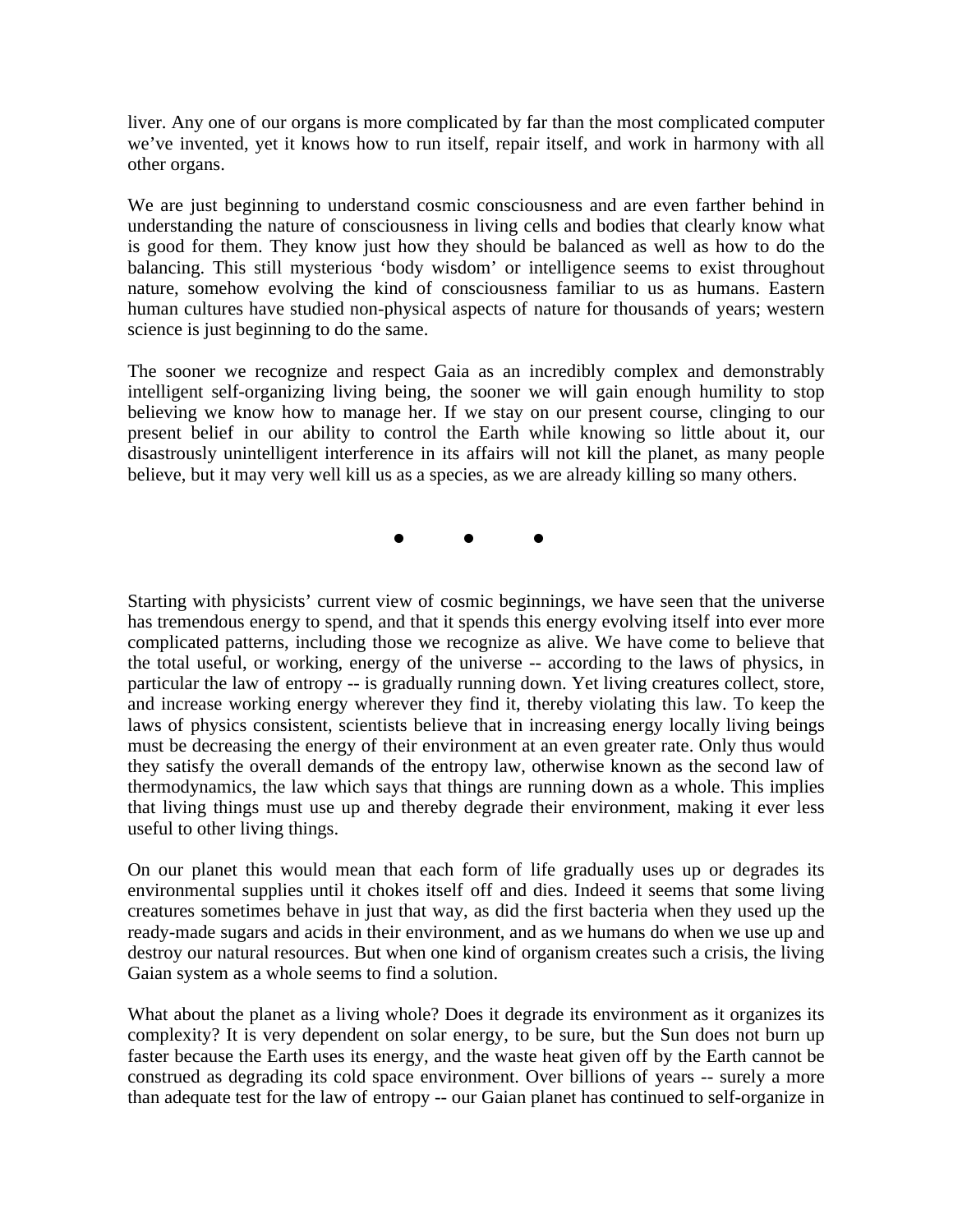liver. Any one of our organs is more complicated by far than the most complicated computer we've invented, yet it knows how to run itself, repair itself, and work in harmony with all other organs.

We are just beginning to understand cosmic consciousness and are even farther behind in understanding the nature of consciousness in living cells and bodies that clearly know what is good for them. They know just how they should be balanced as well as how to do the balancing. This still mysterious 'body wisdom' or intelligence seems to exist throughout nature, somehow evolving the kind of consciousness familiar to us as humans. Eastern human cultures have studied non-physical aspects of nature for thousands of years; western science is just beginning to do the same.

The sooner we recognize and respect Gaia as an incredibly complex and demonstrably intelligent self-organizing living being, the sooner we will gain enough humility to stop believing we know how to manage her. If we stay on our present course, clinging to our present belief in our ability to control the Earth while knowing so little about it, our disastrously unintelligent interference in its affairs will not kill the planet, as many people believe, but it may very well kill us as a species, as we are already killing so many others.

**· · ·** 

Starting with physicists' current view of cosmic beginnings, we have seen that the universe has tremendous energy to spend, and that it spends this energy evolving itself into ever more complicated patterns, including those we recognize as alive. We have come to believe that the total useful, or working, energy of the universe -- according to the laws of physics, in particular the law of entropy -- is gradually running down. Yet living creatures collect, store, and increase working energy wherever they find it, thereby violating this law. To keep the laws of physics consistent, scientists believe that in increasing energy locally living beings must be decreasing the energy of their environment at an even greater rate. Only thus would they satisfy the overall demands of the entropy law, otherwise known as the second law of thermodynamics, the law which says that things are running down as a whole. This implies that living things must use up and thereby degrade their environment, making it ever less useful to other living things.

On our planet this would mean that each form of life gradually uses up or degrades its environmental supplies until it chokes itself off and dies. Indeed it seems that some living creatures sometimes behave in just that way, as did the first bacteria when they used up the ready-made sugars and acids in their environment, and as we humans do when we use up and destroy our natural resources. But when one kind of organism creates such a crisis, the living Gaian system as a whole seems to find a solution.

What about the planet as a living whole? Does it degrade its environment as it organizes its complexity? It is very dependent on solar energy, to be sure, but the Sun does not burn up faster because the Earth uses its energy, and the waste heat given off by the Earth cannot be construed as degrading its cold space environment. Over billions of years -- surely a more than adequate test for the law of entropy -- our Gaian planet has continued to self-organize in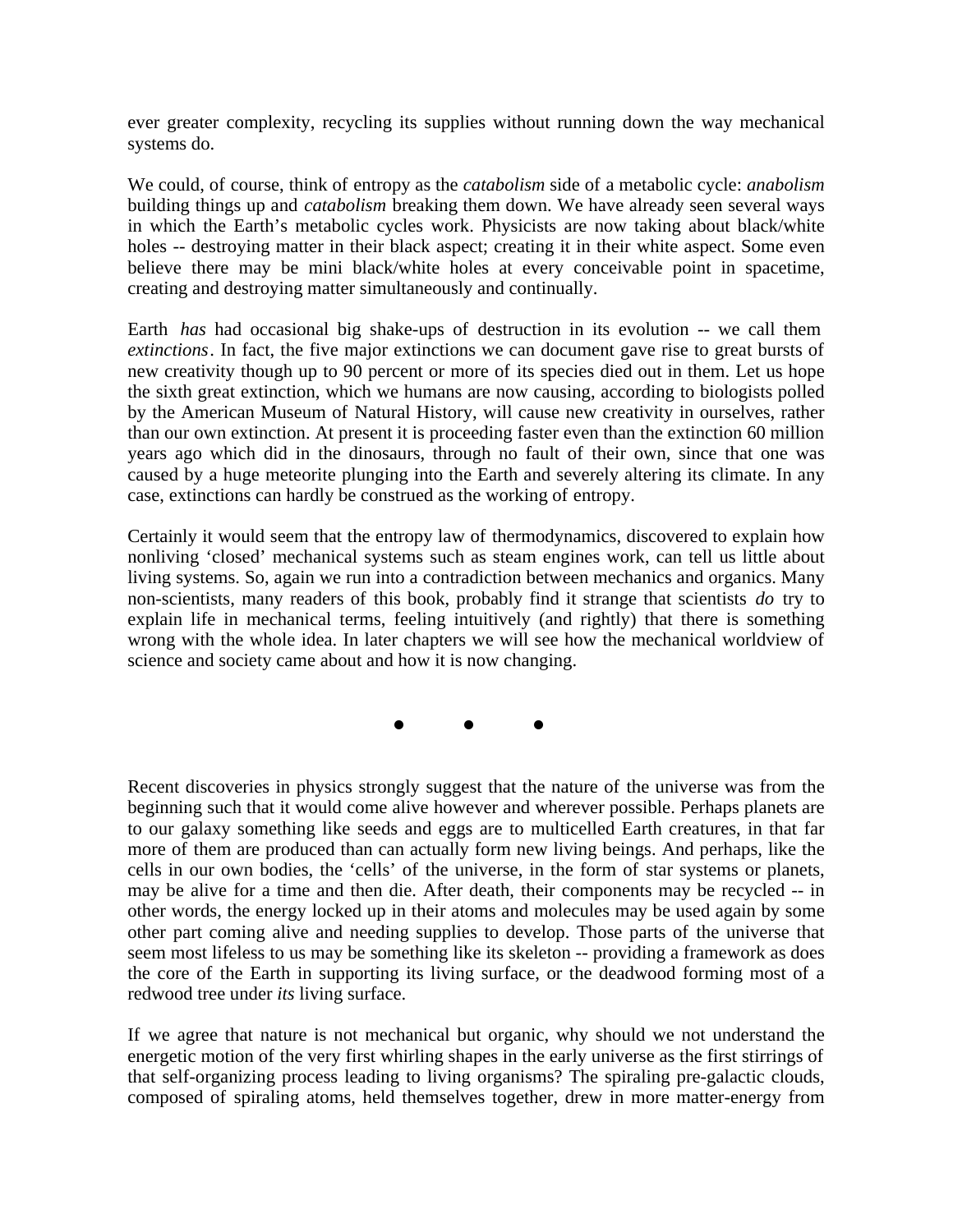ever greater complexity, recycling its supplies without running down the way mechanical systems do.

We could, of course, think of entropy as the *catabolism* side of a metabolic cycle: *anabolism* building things up and *catabolism* breaking them down. We have already seen several ways in which the Earth's metabolic cycles work. Physicists are now taking about black/white holes -- destroying matter in their black aspect; creating it in their white aspect. Some even believe there may be mini black/white holes at every conceivable point in spacetime, creating and destroying matter simultaneously and continually.

Earth *has* had occasional big shake-ups of destruction in its evolution -- we call them *extinctions*. In fact, the five major extinctions we can document gave rise to great bursts of new creativity though up to 90 percent or more of its species died out in them. Let us hope the sixth great extinction, which we humans are now causing, according to biologists polled by the American Museum of Natural History, will cause new creativity in ourselves, rather than our own extinction. At present it is proceeding faster even than the extinction 60 million years ago which did in the dinosaurs, through no fault of their own, since that one was caused by a huge meteorite plunging into the Earth and severely altering its climate. In any case, extinctions can hardly be construed as the working of entropy.

Certainly it would seem that the entropy law of thermodynamics, discovered to explain how nonliving 'closed' mechanical systems such as steam engines work, can tell us little about living systems. So, again we run into a contradiction between mechanics and organics. Many non-scientists, many readers of this book, probably find it strange that scientists *do* try to explain life in mechanical terms, feeling intuitively (and rightly) that there is something wrong with the whole idea. In later chapters we will see how the mechanical worldview of science and society came about and how it is now changing.

**· · ·** 

Recent discoveries in physics strongly suggest that the nature of the universe was from the beginning such that it would come alive however and wherever possible. Perhaps planets are to our galaxy something like seeds and eggs are to multicelled Earth creatures, in that far more of them are produced than can actually form new living beings. And perhaps, like the cells in our own bodies, the 'cells' of the universe, in the form of star systems or planets, may be alive for a time and then die. After death, their components may be recycled -- in other words, the energy locked up in their atoms and molecules may be used again by some other part coming alive and needing supplies to develop. Those parts of the universe that seem most lifeless to us may be something like its skeleton -- providing a framework as does the core of the Earth in supporting its living surface, or the deadwood forming most of a redwood tree under *its* living surface.

If we agree that nature is not mechanical but organic, why should we not understand the energetic motion of the very first whirling shapes in the early universe as the first stirrings of that self-organizing process leading to living organisms? The spiraling pre-galactic clouds, composed of spiraling atoms, held themselves together, drew in more matter-energy from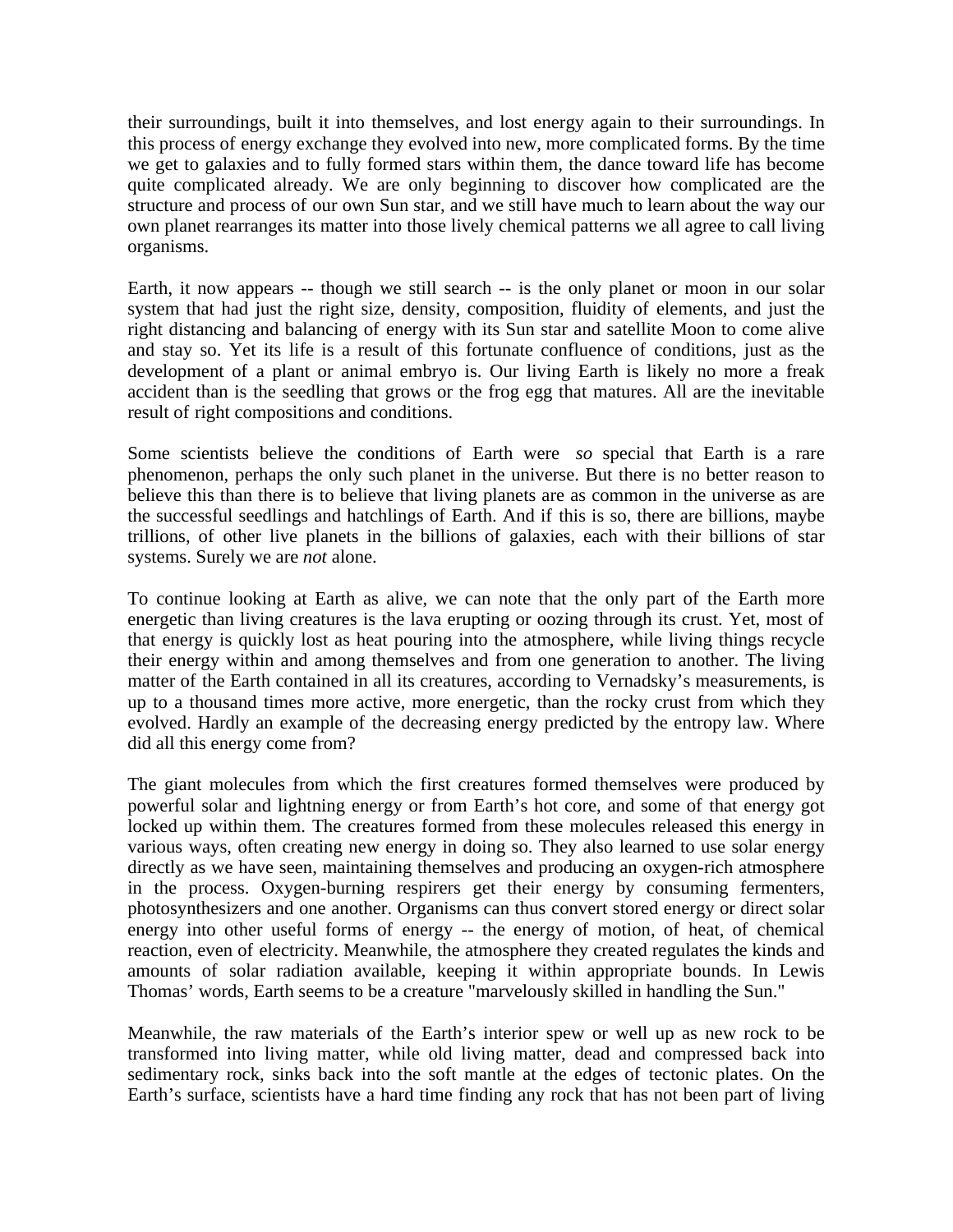their surroundings, built it into themselves, and lost energy again to their surroundings. In this process of energy exchange they evolved into new, more complicated forms. By the time we get to galaxies and to fully formed stars within them, the dance toward life has become quite complicated already. We are only beginning to discover how complicated are the structure and process of our own Sun star, and we still have much to learn about the way our own planet rearranges its matter into those lively chemical patterns we all agree to call living organisms.

Earth, it now appears -- though we still search -- is the only planet or moon in our solar system that had just the right size, density, composition, fluidity of elements, and just the right distancing and balancing of energy with its Sun star and satellite Moon to come alive and stay so. Yet its life is a result of this fortunate confluence of conditions, just as the development of a plant or animal embryo is. Our living Earth is likely no more a freak accident than is the seedling that grows or the frog egg that matures. All are the inevitable result of right compositions and conditions.

Some scientists believe the conditions of Earth were *so* special that Earth is a rare phenomenon, perhaps the only such planet in the universe. But there is no better reason to believe this than there is to believe that living planets are as common in the universe as are the successful seedlings and hatchlings of Earth. And if this is so, there are billions, maybe trillions, of other live planets in the billions of galaxies, each with their billions of star systems. Surely we are *not* alone.

To continue looking at Earth as alive, we can note that the only part of the Earth more energetic than living creatures is the lava erupting or oozing through its crust. Yet, most of that energy is quickly lost as heat pouring into the atmosphere, while living things recycle their energy within and among themselves and from one generation to another. The living matter of the Earth contained in all its creatures, according to Vernadsky's measurements, is up to a thousand times more active, more energetic, than the rocky crust from which they evolved. Hardly an example of the decreasing energy predicted by the entropy law. Where did all this energy come from?

The giant molecules from which the first creatures formed themselves were produced by powerful solar and lightning energy or from Earth's hot core, and some of that energy got locked up within them. The creatures formed from these molecules released this energy in various ways, often creating new energy in doing so. They also learned to use solar energy directly as we have seen, maintaining themselves and producing an oxygen-rich atmosphere in the process. Oxygen-burning respirers get their energy by consuming fermenters, photosynthesizers and one another. Organisms can thus convert stored energy or direct solar energy into other useful forms of energy -- the energy of motion, of heat, of chemical reaction, even of electricity. Meanwhile, the atmosphere they created regulates the kinds and amounts of solar radiation available, keeping it within appropriate bounds. In Lewis Thomas' words, Earth seems to be a creature "marvelously skilled in handling the Sun."

Meanwhile, the raw materials of the Earth's interior spew or well up as new rock to be transformed into living matter, while old living matter, dead and compressed back into sedimentary rock, sinks back into the soft mantle at the edges of tectonic plates. On the Earth's surface, scientists have a hard time finding any rock that has not been part of living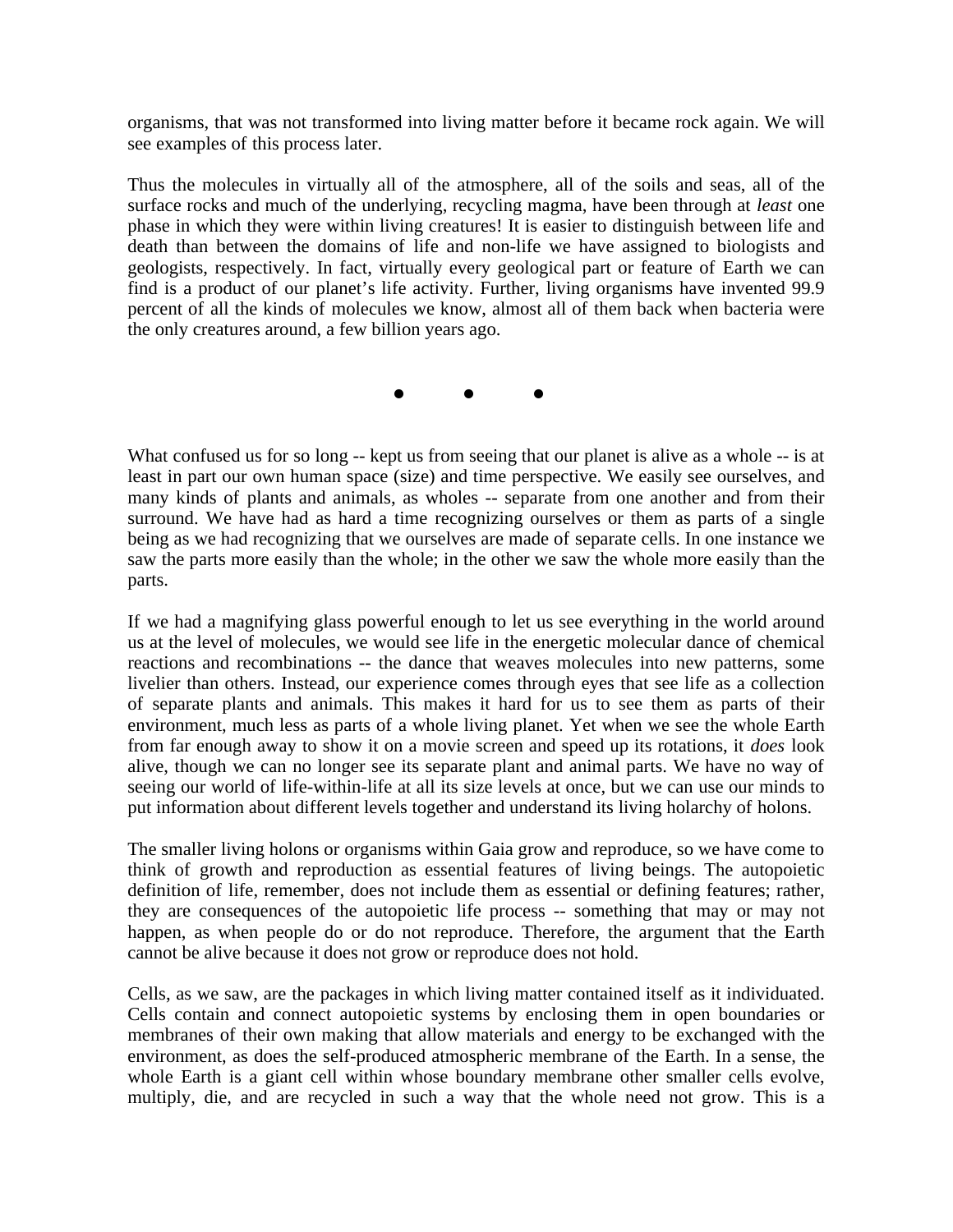organisms, that was not transformed into living matter before it became rock again. We will see examples of this process later.

Thus the molecules in virtually all of the atmosphere, all of the soils and seas, all of the surface rocks and much of the underlying, recycling magma, have been through at *least* one phase in which they were within living creatures! It is easier to distinguish between life and death than between the domains of life and non-life we have assigned to biologists and geologists, respectively. In fact, virtually every geological part or feature of Earth we can find is a product of our planet's life activity. Further, living organisms have invented 99.9 percent of all the kinds of molecules we know, almost all of them back when bacteria were the only creatures around, a few billion years ago.

**· · ·** 

What confused us for so long -- kept us from seeing that our planet is alive as a whole -- is at least in part our own human space (size) and time perspective. We easily see ourselves, and many kinds of plants and animals, as wholes -- separate from one another and from their surround. We have had as hard a time recognizing ourselves or them as parts of a single being as we had recognizing that we ourselves are made of separate cells. In one instance we saw the parts more easily than the whole; in the other we saw the whole more easily than the parts.

If we had a magnifying glass powerful enough to let us see everything in the world around us at the level of molecules, we would see life in the energetic molecular dance of chemical reactions and recombinations -- the dance that weaves molecules into new patterns, some livelier than others. Instead, our experience comes through eyes that see life as a collection of separate plants and animals. This makes it hard for us to see them as parts of their environment, much less as parts of a whole living planet. Yet when we see the whole Earth from far enough away to show it on a movie screen and speed up its rotations, it *does* look alive, though we can no longer see its separate plant and animal parts. We have no way of seeing our world of life-within-life at all its size levels at once, but we can use our minds to put information about different levels together and understand its living holarchy of holons.

The smaller living holons or organisms within Gaia grow and reproduce, so we have come to think of growth and reproduction as essential features of living beings. The autopoietic definition of life, remember, does not include them as essential or defining features; rather, they are consequences of the autopoietic life process -- something that may or may not happen, as when people do or do not reproduce. Therefore, the argument that the Earth cannot be alive because it does not grow or reproduce does not hold.

Cells, as we saw, are the packages in which living matter contained itself as it individuated. Cells contain and connect autopoietic systems by enclosing them in open boundaries or membranes of their own making that allow materials and energy to be exchanged with the environment, as does the self-produced atmospheric membrane of the Earth. In a sense, the whole Earth is a giant cell within whose boundary membrane other smaller cells evolve, multiply, die, and are recycled in such a way that the whole need not grow. This is a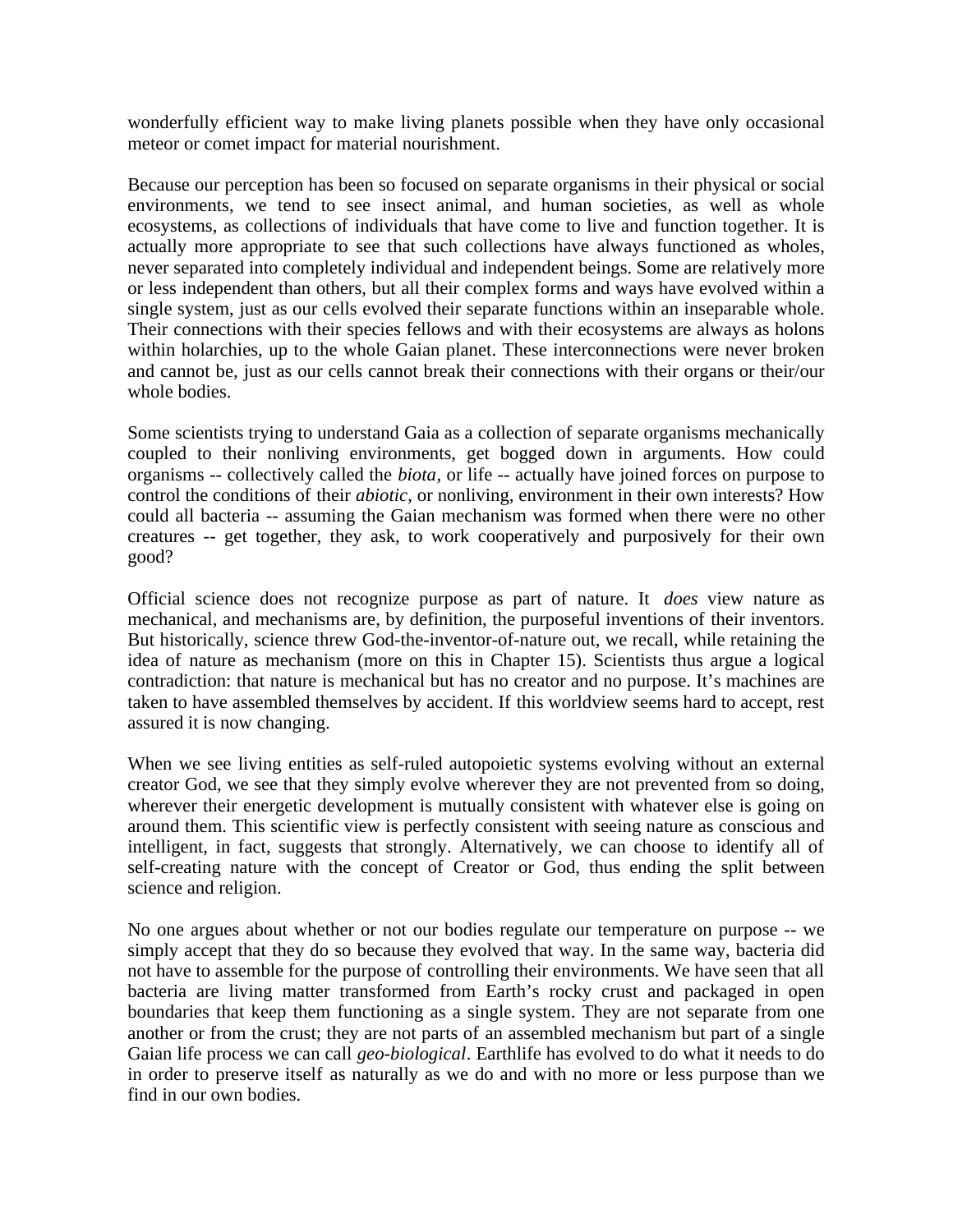wonderfully efficient way to make living planets possible when they have only occasional meteor or comet impact for material nourishment.

Because our perception has been so focused on separate organisms in their physical or social environments, we tend to see insect animal, and human societies, as well as whole ecosystems, as collections of individuals that have come to live and function together. It is actually more appropriate to see that such collections have always functioned as wholes, never separated into completely individual and independent beings. Some are relatively more or less independent than others, but all their complex forms and ways have evolved within a single system, just as our cells evolved their separate functions within an inseparable whole. Their connections with their species fellows and with their ecosystems are always as holons within holarchies, up to the whole Gaian planet. These interconnections were never broken and cannot be, just as our cells cannot break their connections with their organs or their/our whole bodies.

Some scientists trying to understand Gaia as a collection of separate organisms mechanically coupled to their nonliving environments, get bogged down in arguments. How could organisms -- collectively called the *biota*, or life -- actually have joined forces on purpose to control the conditions of their *abiotic*, or nonliving, environment in their own interests? How could all bacteria -- assuming the Gaian mechanism was formed when there were no other creatures -- get together, they ask, to work cooperatively and purposively for their own good?

Official science does not recognize purpose as part of nature. It *does* view nature as mechanical, and mechanisms are, by definition, the purposeful inventions of their inventors. But historically, science threw God-the-inventor-of-nature out, we recall, while retaining the idea of nature as mechanism (more on this in Chapter 15). Scientists thus argue a logical contradiction: that nature is mechanical but has no creator and no purpose. It's machines are taken to have assembled themselves by accident. If this worldview seems hard to accept, rest assured it is now changing.

When we see living entities as self-ruled autopoietic systems evolving without an external creator God, we see that they simply evolve wherever they are not prevented from so doing, wherever their energetic development is mutually consistent with whatever else is going on around them. This scientific view is perfectly consistent with seeing nature as conscious and intelligent, in fact, suggests that strongly. Alternatively, we can choose to identify all of self-creating nature with the concept of Creator or God, thus ending the split between science and religion.

No one argues about whether or not our bodies regulate our temperature on purpose -- we simply accept that they do so because they evolved that way. In the same way, bacteria did not have to assemble for the purpose of controlling their environments. We have seen that all bacteria are living matter transformed from Earth's rocky crust and packaged in open boundaries that keep them functioning as a single system. They are not separate from one another or from the crust; they are not parts of an assembled mechanism but part of a single Gaian life process we can call *geo-biological*. Earthlife has evolved to do what it needs to do in order to preserve itself as naturally as we do and with no more or less purpose than we find in our own bodies.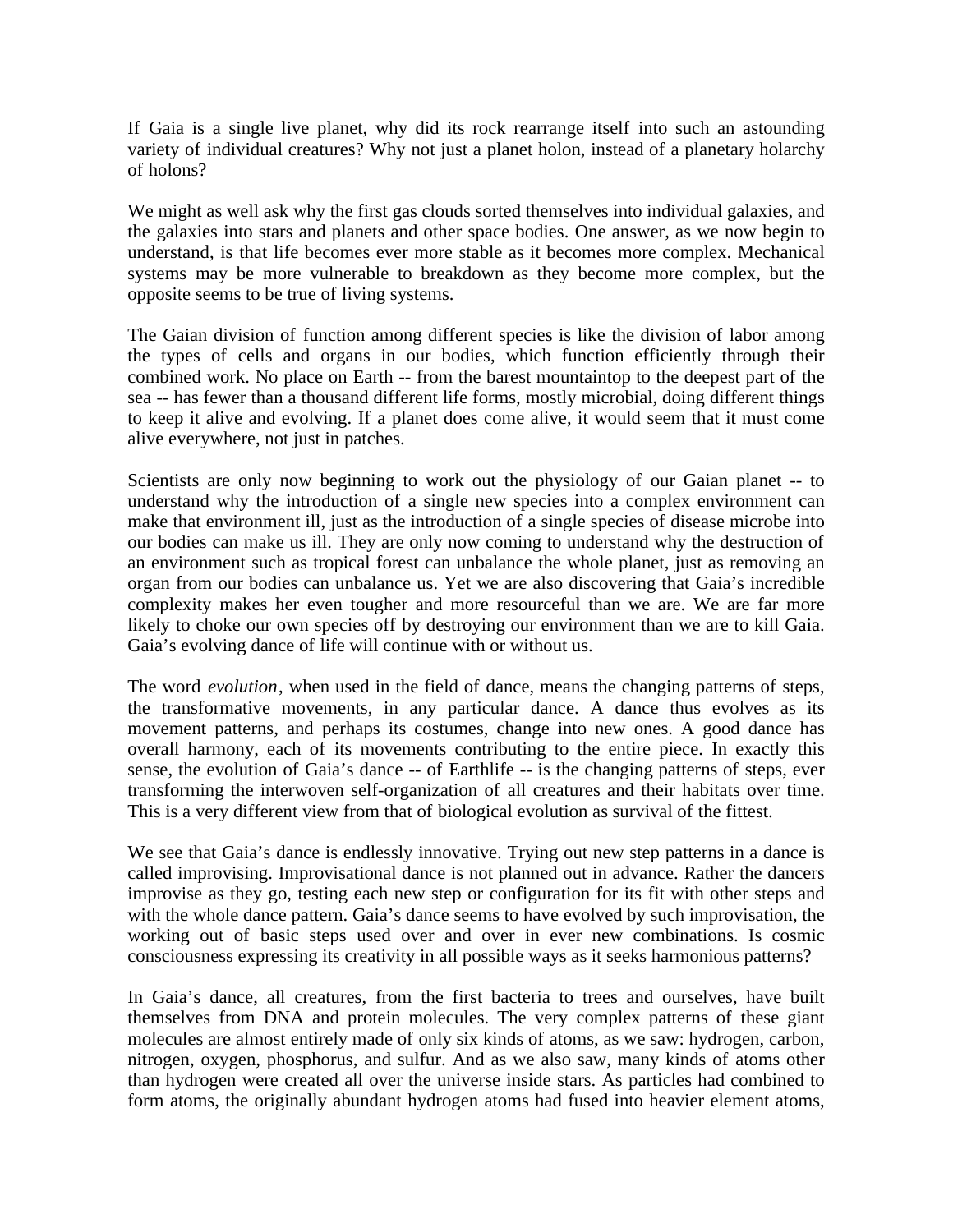If Gaia is a single live planet, why did its rock rearrange itself into such an astounding variety of individual creatures? Why not just a planet holon, instead of a planetary holarchy of holons?

We might as well ask why the first gas clouds sorted themselves into individual galaxies, and the galaxies into stars and planets and other space bodies. One answer, as we now begin to understand, is that life becomes ever more stable as it becomes more complex. Mechanical systems may be more vulnerable to breakdown as they become more complex, but the opposite seems to be true of living systems.

The Gaian division of function among different species is like the division of labor among the types of cells and organs in our bodies, which function efficiently through their combined work. No place on Earth -- from the barest mountaintop to the deepest part of the sea -- has fewer than a thousand different life forms, mostly microbial, doing different things to keep it alive and evolving. If a planet does come alive, it would seem that it must come alive everywhere, not just in patches.

Scientists are only now beginning to work out the physiology of our Gaian planet -- to understand why the introduction of a single new species into a complex environment can make that environment ill, just as the introduction of a single species of disease microbe into our bodies can make us ill. They are only now coming to understand why the destruction of an environment such as tropical forest can unbalance the whole planet, just as removing an organ from our bodies can unbalance us. Yet we are also discovering that Gaia's incredible complexity makes her even tougher and more resourceful than we are. We are far more likely to choke our own species off by destroying our environment than we are to kill Gaia. Gaia's evolving dance of life will continue with or without us.

The word *evolution*, when used in the field of dance, means the changing patterns of steps, the transformative movements, in any particular dance. A dance thus evolves as its movement patterns, and perhaps its costumes, change into new ones. A good dance has overall harmony, each of its movements contributing to the entire piece. In exactly this sense, the evolution of Gaia's dance -- of Earthlife -- is the changing patterns of steps, ever transforming the interwoven self-organization of all creatures and their habitats over time. This is a very different view from that of biological evolution as survival of the fittest.

We see that Gaia's dance is endlessly innovative. Trying out new step patterns in a dance is called improvising. Improvisational dance is not planned out in advance. Rather the dancers improvise as they go, testing each new step or configuration for its fit with other steps and with the whole dance pattern. Gaia's dance seems to have evolved by such improvisation, the working out of basic steps used over and over in ever new combinations. Is cosmic consciousness expressing its creativity in all possible ways as it seeks harmonious patterns?

In Gaia's dance, all creatures, from the first bacteria to trees and ourselves, have built themselves from DNA and protein molecules. The very complex patterns of these giant molecules are almost entirely made of only six kinds of atoms, as we saw: hydrogen, carbon, nitrogen, oxygen, phosphorus, and sulfur. And as we also saw, many kinds of atoms other than hydrogen were created all over the universe inside stars. As particles had combined to form atoms, the originally abundant hydrogen atoms had fused into heavier element atoms,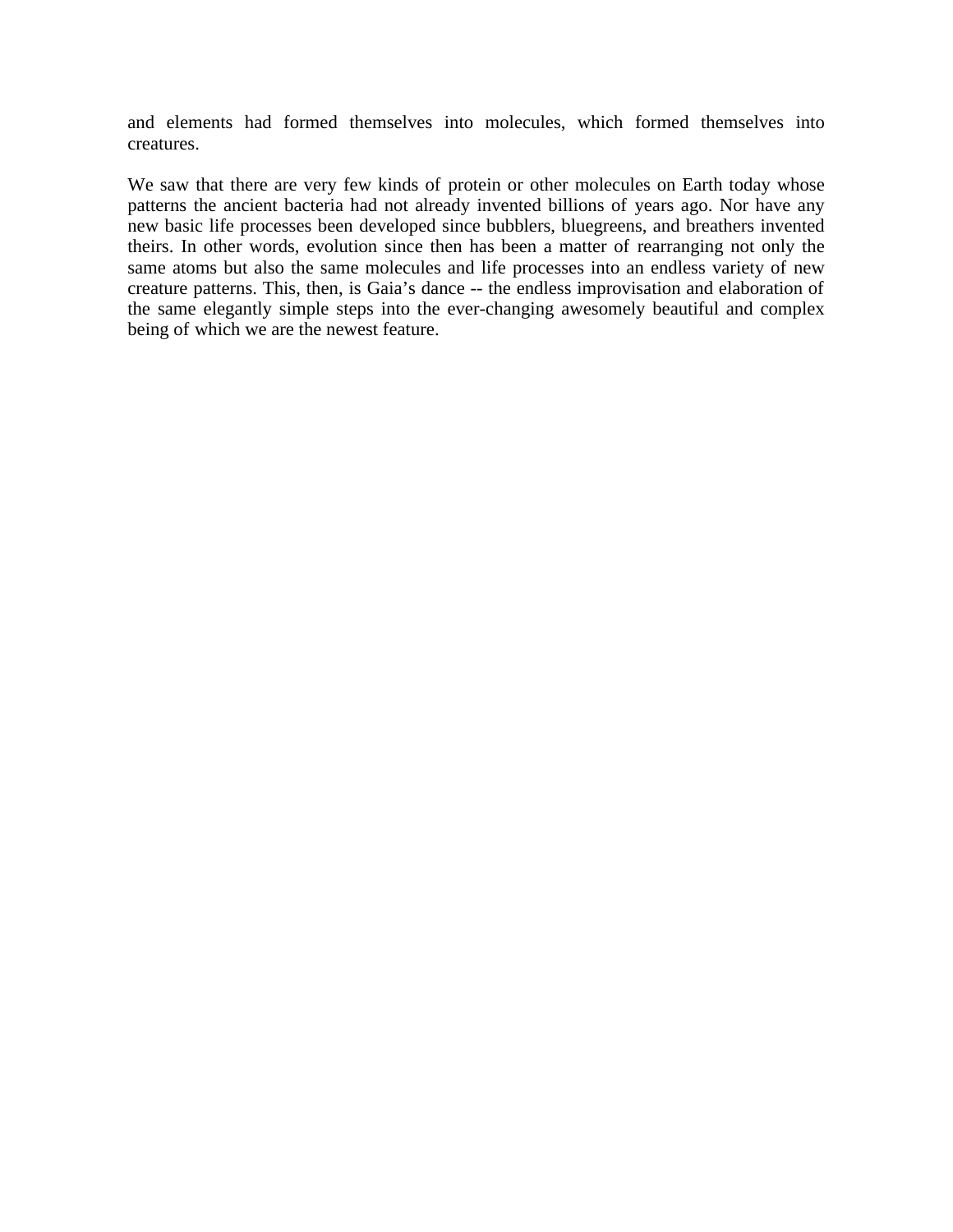and elements had formed themselves into molecules, which formed themselves into creatures.

We saw that there are very few kinds of protein or other molecules on Earth today whose patterns the ancient bacteria had not already invented billions of years ago. Nor have any new basic life processes been developed since bubblers, bluegreens, and breathers invented theirs. In other words, evolution since then has been a matter of rearranging not only the same atoms but also the same molecules and life processes into an endless variety of new creature patterns. This, then, is Gaia's dance -- the endless improvisation and elaboration of the same elegantly simple steps into the ever-changing awesomely beautiful and complex being of which we are the newest feature.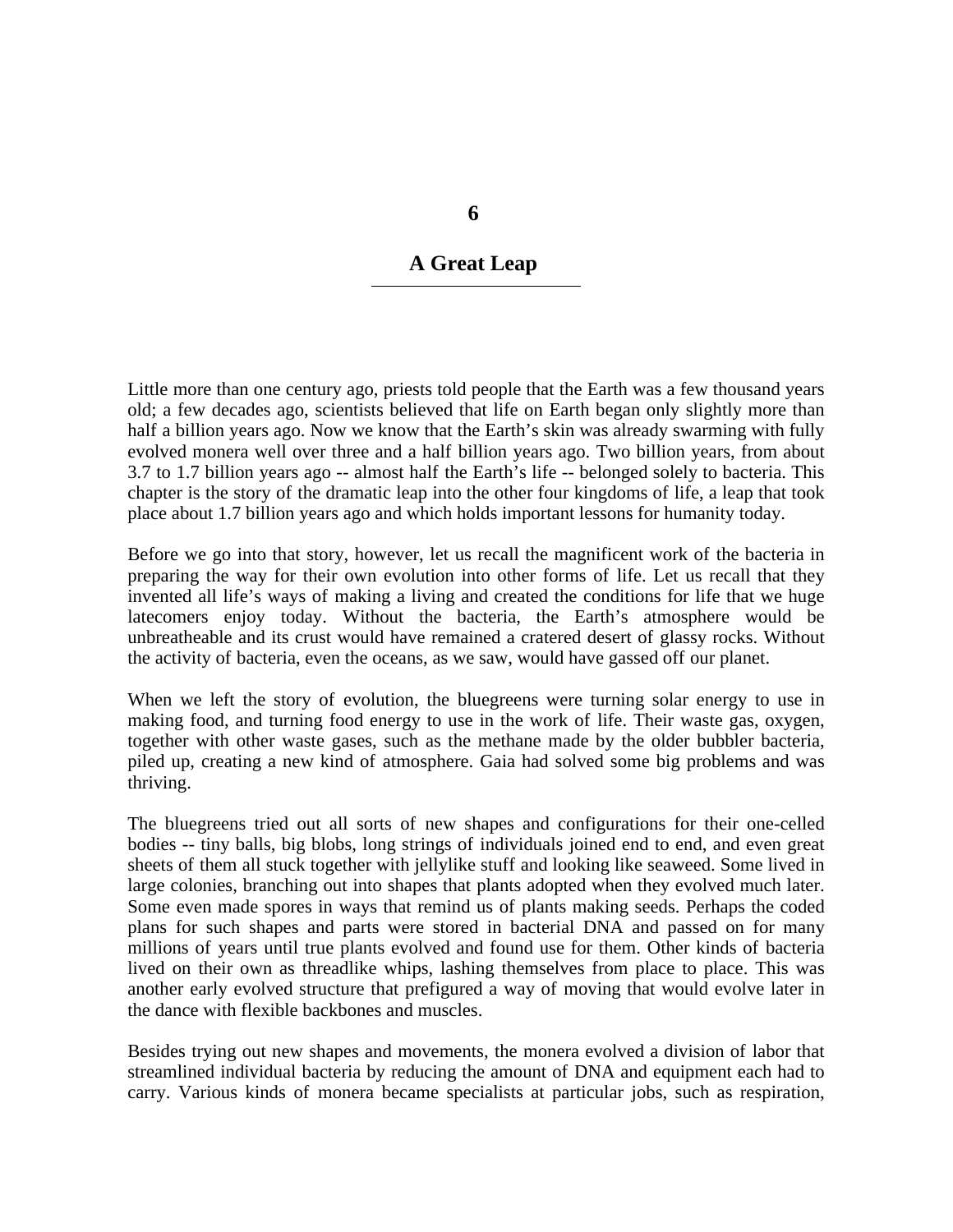## **A Great Leap**

Little more than one century ago, priests told people that the Earth was a few thousand years old; a few decades ago, scientists believed that life on Earth began only slightly more than half a billion years ago. Now we know that the Earth's skin was already swarming with fully evolved monera well over three and a half billion years ago. Two billion years, from about 3.7 to 1.7 billion years ago -- almost half the Earth's life -- belonged solely to bacteria. This chapter is the story of the dramatic leap into the other four kingdoms of life, a leap that took place about 1.7 billion years ago and which holds important lessons for humanity today.

Before we go into that story, however, let us recall the magnificent work of the bacteria in preparing the way for their own evolution into other forms of life. Let us recall that they invented all life's ways of making a living and created the conditions for life that we huge latecomers enjoy today. Without the bacteria, the Earth's atmosphere would be unbreatheable and its crust would have remained a cratered desert of glassy rocks. Without the activity of bacteria, even the oceans, as we saw, would have gassed off our planet.

When we left the story of evolution, the bluegreens were turning solar energy to use in making food, and turning food energy to use in the work of life. Their waste gas, oxygen, together with other waste gases, such as the methane made by the older bubbler bacteria, piled up, creating a new kind of atmosphere. Gaia had solved some big problems and was thriving.

The bluegreens tried out all sorts of new shapes and configurations for their one-celled bodies -- tiny balls, big blobs, long strings of individuals joined end to end, and even great sheets of them all stuck together with jellylike stuff and looking like seaweed. Some lived in large colonies, branching out into shapes that plants adopted when they evolved much later. Some even made spores in ways that remind us of plants making seeds. Perhaps the coded plans for such shapes and parts were stored in bacterial DNA and passed on for many millions of years until true plants evolved and found use for them. Other kinds of bacteria lived on their own as threadlike whips, lashing themselves from place to place. This was another early evolved structure that prefigured a way of moving that would evolve later in the dance with flexible backbones and muscles.

Besides trying out new shapes and movements, the monera evolved a division of labor that streamlined individual bacteria by reducing the amount of DNA and equipment each had to carry. Various kinds of monera became specialists at particular jobs, such as respiration,

**6**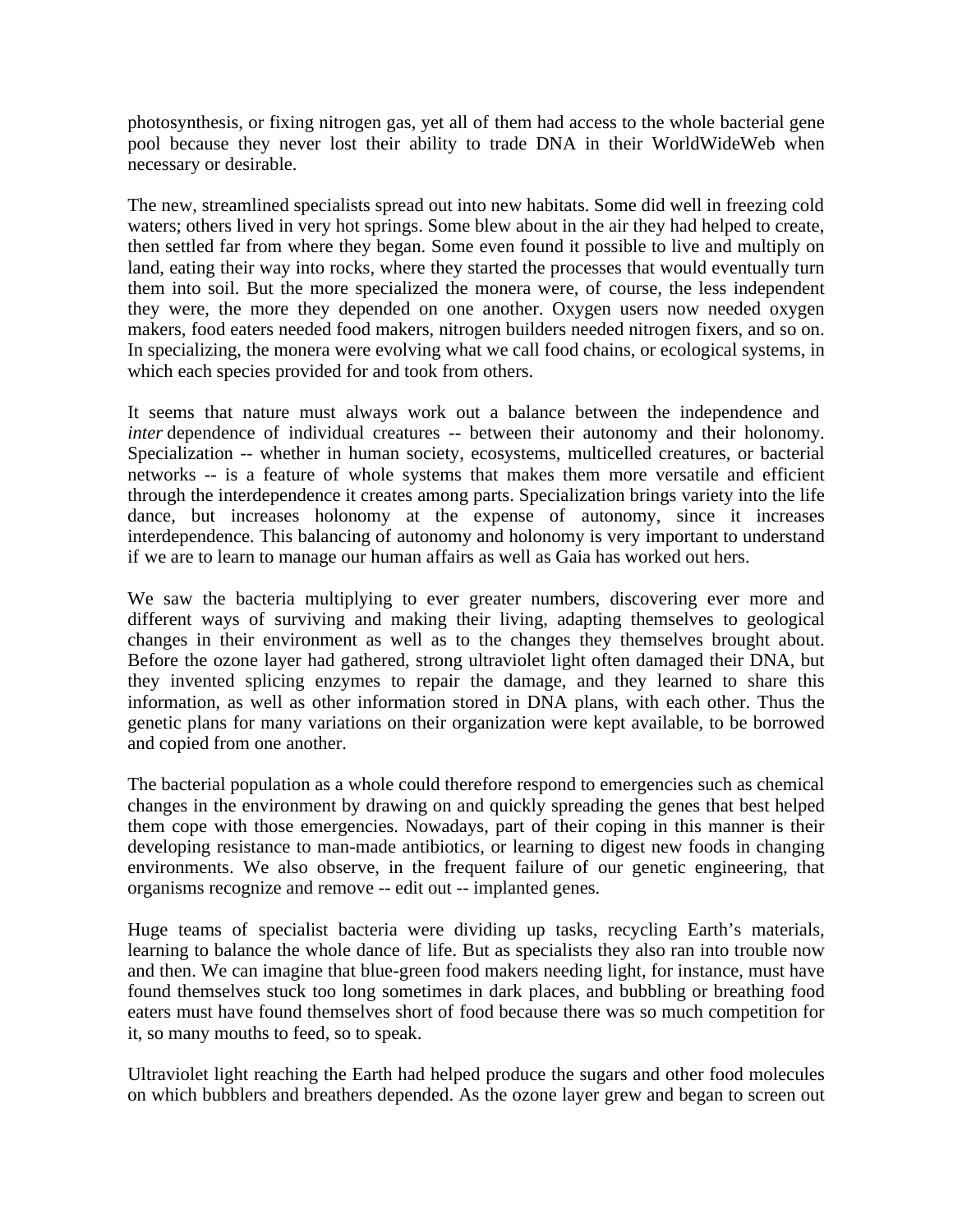photosynthesis, or fixing nitrogen gas, yet all of them had access to the whole bacterial gene pool because they never lost their ability to trade DNA in their WorldWideWeb when necessary or desirable.

The new, streamlined specialists spread out into new habitats. Some did well in freezing cold waters; others lived in very hot springs. Some blew about in the air they had helped to create, then settled far from where they began. Some even found it possible to live and multiply on land, eating their way into rocks, where they started the processes that would eventually turn them into soil. But the more specialized the monera were, of course, the less independent they were, the more they depended on one another. Oxygen users now needed oxygen makers, food eaters needed food makers, nitrogen builders needed nitrogen fixers, and so on. In specializing, the monera were evolving what we call food chains, or ecological systems, in which each species provided for and took from others.

It seems that nature must always work out a balance between the independence and *inter* dependence of individual creatures -- between their autonomy and their holonomy. Specialization -- whether in human society, ecosystems, multicelled creatures, or bacterial networks -- is a feature of whole systems that makes them more versatile and efficient through the interdependence it creates among parts. Specialization brings variety into the life dance, but increases holonomy at the expense of autonomy, since it increases interdependence. This balancing of autonomy and holonomy is very important to understand if we are to learn to manage our human affairs as well as Gaia has worked out hers.

We saw the bacteria multiplying to ever greater numbers, discovering ever more and different ways of surviving and making their living, adapting themselves to geological changes in their environment as well as to the changes they themselves brought about. Before the ozone layer had gathered, strong ultraviolet light often damaged their DNA, but they invented splicing enzymes to repair the damage, and they learned to share this information, as well as other information stored in DNA plans, with each other. Thus the genetic plans for many variations on their organization were kept available, to be borrowed and copied from one another.

The bacterial population as a whole could therefore respond to emergencies such as chemical changes in the environment by drawing on and quickly spreading the genes that best helped them cope with those emergencies. Nowadays, part of their coping in this manner is their developing resistance to man-made antibiotics, or learning to digest new foods in changing environments. We also observe, in the frequent failure of our genetic engineering, that organisms recognize and remove -- edit out -- implanted genes.

Huge teams of specialist bacteria were dividing up tasks, recycling Earth's materials, learning to balance the whole dance of life. But as specialists they also ran into trouble now and then. We can imagine that blue-green food makers needing light, for instance, must have found themselves stuck too long sometimes in dark places, and bubbling or breathing food eaters must have found themselves short of food because there was so much competition for it, so many mouths to feed, so to speak.

Ultraviolet light reaching the Earth had helped produce the sugars and other food molecules on which bubblers and breathers depended. As the ozone layer grew and began to screen out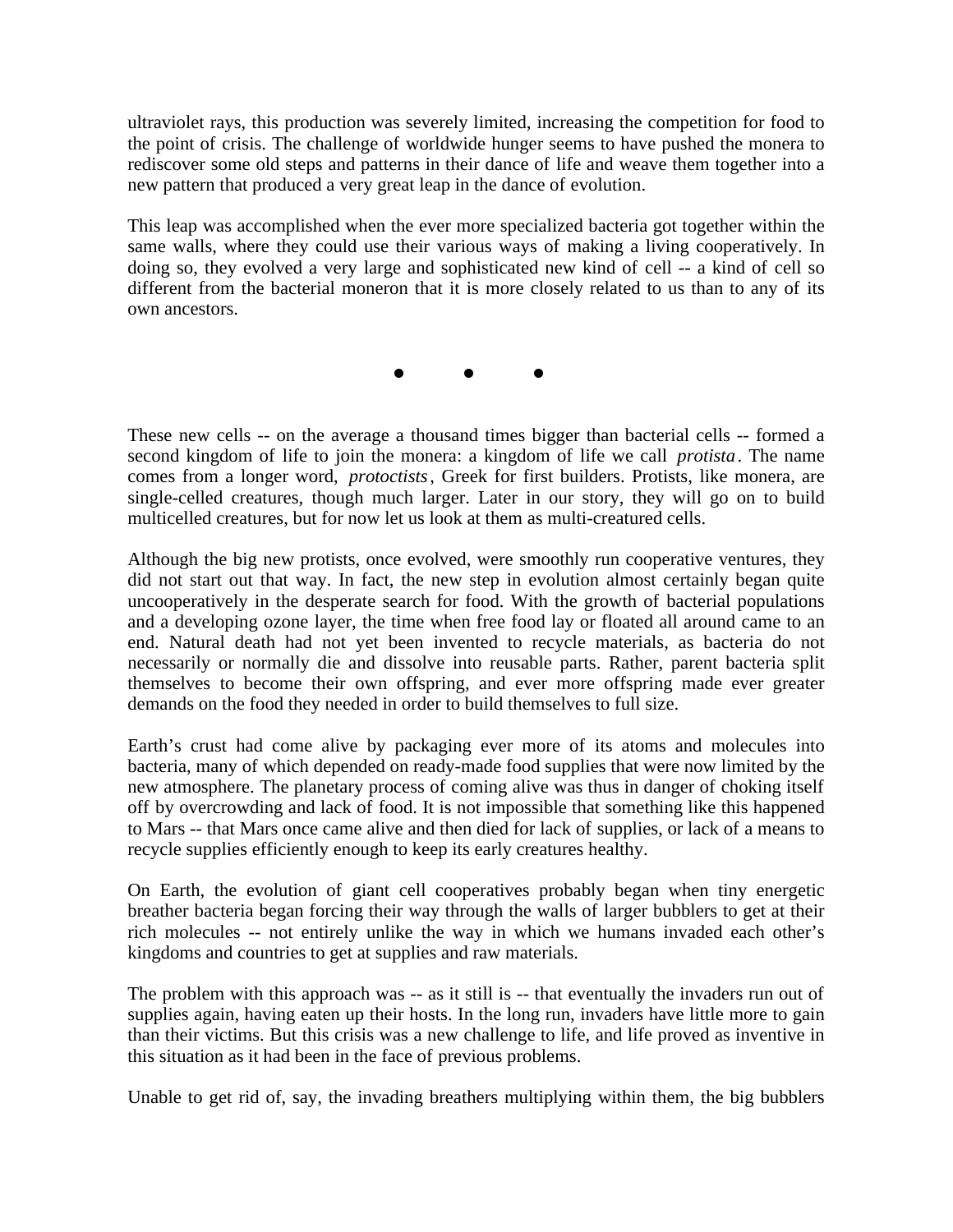ultraviolet rays, this production was severely limited, increasing the competition for food to the point of crisis. The challenge of worldwide hunger seems to have pushed the monera to rediscover some old steps and patterns in their dance of life and weave them together into a new pattern that produced a very great leap in the dance of evolution.

This leap was accomplished when the ever more specialized bacteria got together within the same walls, where they could use their various ways of making a living cooperatively. In doing so, they evolved a very large and sophisticated new kind of cell -- a kind of cell so different from the bacterial moneron that it is more closely related to us than to any of its own ancestors.

**· · ·** 

These new cells -- on the average a thousand times bigger than bacterial cells -- formed a second kingdom of life to join the monera: a kingdom of life we call *protista*. The name comes from a longer word, *protoctists*, Greek for first builders. Protists, like monera, are single-celled creatures, though much larger. Later in our story, they will go on to build multicelled creatures, but for now let us look at them as multi-creatured cells.

Although the big new protists, once evolved, were smoothly run cooperative ventures, they did not start out that way. In fact, the new step in evolution almost certainly began quite uncooperatively in the desperate search for food. With the growth of bacterial populations and a developing ozone layer, the time when free food lay or floated all around came to an end. Natural death had not yet been invented to recycle materials, as bacteria do not necessarily or normally die and dissolve into reusable parts. Rather, parent bacteria split themselves to become their own offspring, and ever more offspring made ever greater demands on the food they needed in order to build themselves to full size.

Earth's crust had come alive by packaging ever more of its atoms and molecules into bacteria, many of which depended on ready-made food supplies that were now limited by the new atmosphere. The planetary process of coming alive was thus in danger of choking itself off by overcrowding and lack of food. It is not impossible that something like this happened to Mars -- that Mars once came alive and then died for lack of supplies, or lack of a means to recycle supplies efficiently enough to keep its early creatures healthy.

On Earth, the evolution of giant cell cooperatives probably began when tiny energetic breather bacteria began forcing their way through the walls of larger bubblers to get at their rich molecules -- not entirely unlike the way in which we humans invaded each other's kingdoms and countries to get at supplies and raw materials.

The problem with this approach was -- as it still is -- that eventually the invaders run out of supplies again, having eaten up their hosts. In the long run, invaders have little more to gain than their victims. But this crisis was a new challenge to life, and life proved as inventive in this situation as it had been in the face of previous problems.

Unable to get rid of, say, the invading breathers multiplying within them, the big bubblers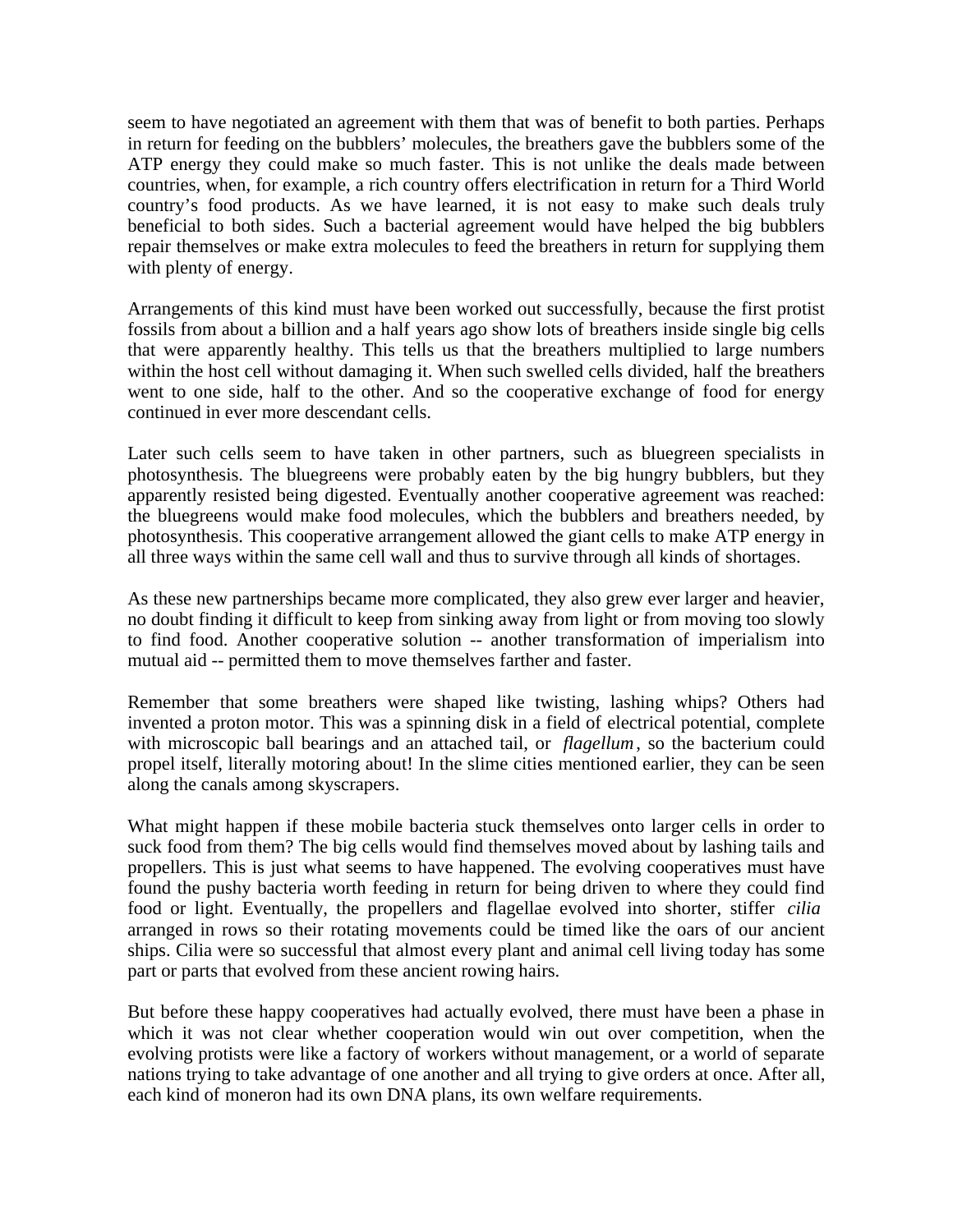seem to have negotiated an agreement with them that was of benefit to both parties. Perhaps in return for feeding on the bubblers' molecules, the breathers gave the bubblers some of the ATP energy they could make so much faster. This is not unlike the deals made between countries, when, for example, a rich country offers electrification in return for a Third World country's food products. As we have learned, it is not easy to make such deals truly beneficial to both sides. Such a bacterial agreement would have helped the big bubblers repair themselves or make extra molecules to feed the breathers in return for supplying them with plenty of energy.

Arrangements of this kind must have been worked out successfully, because the first protist fossils from about a billion and a half years ago show lots of breathers inside single big cells that were apparently healthy. This tells us that the breathers multiplied to large numbers within the host cell without damaging it. When such swelled cells divided, half the breathers went to one side, half to the other. And so the cooperative exchange of food for energy continued in ever more descendant cells.

Later such cells seem to have taken in other partners, such as bluegreen specialists in photosynthesis. The bluegreens were probably eaten by the big hungry bubblers, but they apparently resisted being digested. Eventually another cooperative agreement was reached: the bluegreens would make food molecules, which the bubblers and breathers needed, by photosynthesis. This cooperative arrangement allowed the giant cells to make ATP energy in all three ways within the same cell wall and thus to survive through all kinds of shortages.

As these new partnerships became more complicated, they also grew ever larger and heavier, no doubt finding it difficult to keep from sinking away from light or from moving too slowly to find food. Another cooperative solution -- another transformation of imperialism into mutual aid -- permitted them to move themselves farther and faster.

Remember that some breathers were shaped like twisting, lashing whips? Others had invented a proton motor. This was a spinning disk in a field of electrical potential, complete with microscopic ball bearings and an attached tail, or *flagellum*, so the bacterium could propel itself, literally motoring about! In the slime cities mentioned earlier, they can be seen along the canals among skyscrapers.

What might happen if these mobile bacteria stuck themselves onto larger cells in order to suck food from them? The big cells would find themselves moved about by lashing tails and propellers. This is just what seems to have happened. The evolving cooperatives must have found the pushy bacteria worth feeding in return for being driven to where they could find food or light. Eventually, the propellers and flagellae evolved into shorter, stiffer *cilia* arranged in rows so their rotating movements could be timed like the oars of our ancient ships. Cilia were so successful that almost every plant and animal cell living today has some part or parts that evolved from these ancient rowing hairs.

But before these happy cooperatives had actually evolved, there must have been a phase in which it was not clear whether cooperation would win out over competition, when the evolving protists were like a factory of workers without management, or a world of separate nations trying to take advantage of one another and all trying to give orders at once. After all, each kind of moneron had its own DNA plans, its own welfare requirements.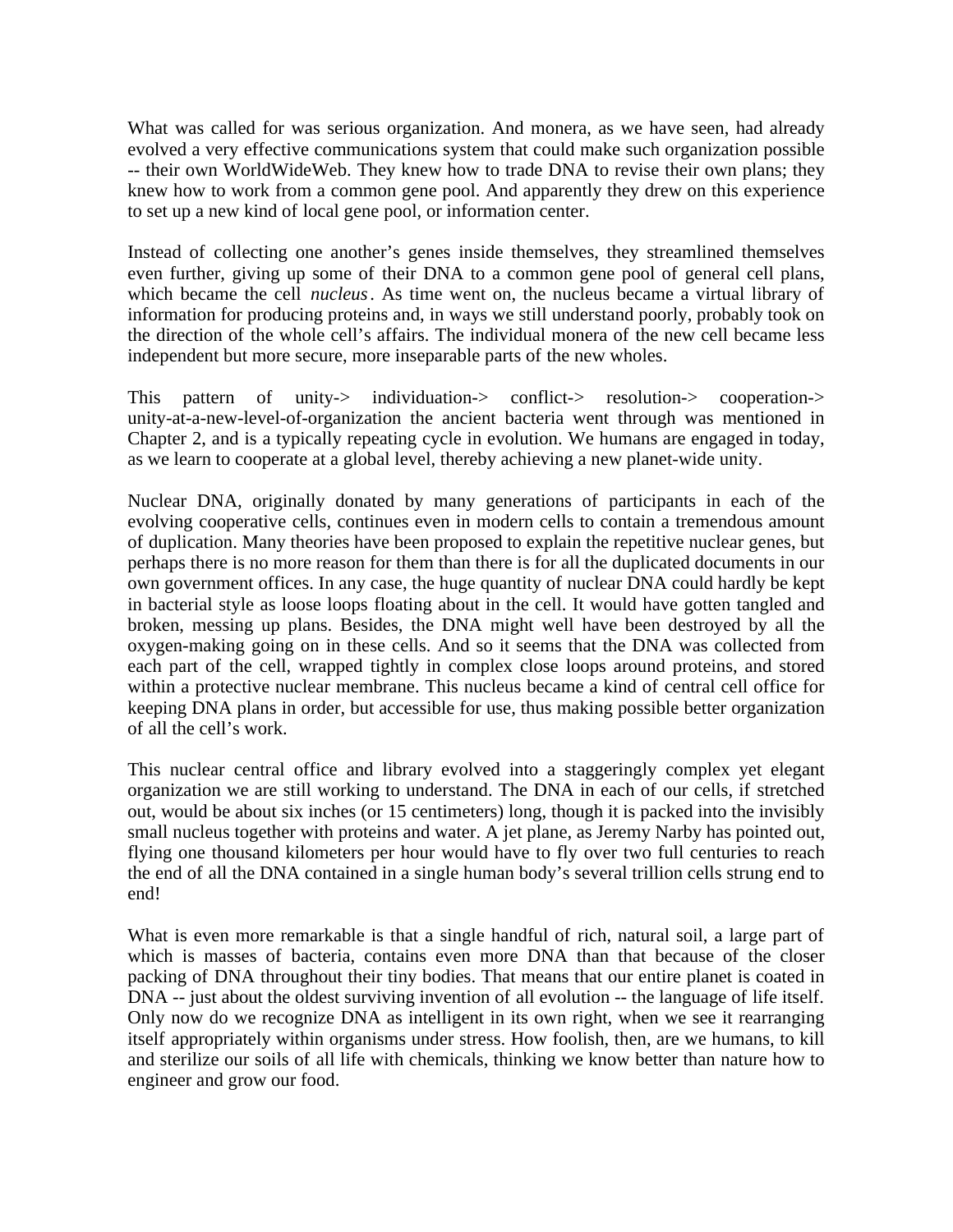What was called for was serious organization. And monera, as we have seen, had already evolved a very effective communications system that could make such organization possible -- their own WorldWideWeb. They knew how to trade DNA to revise their own plans; they knew how to work from a common gene pool. And apparently they drew on this experience to set up a new kind of local gene pool, or information center.

Instead of collecting one another's genes inside themselves, they streamlined themselves even further, giving up some of their DNA to a common gene pool of general cell plans, which became the cell *nucleus*. As time went on, the nucleus became a virtual library of information for producing proteins and, in ways we still understand poorly, probably took on the direction of the whole cell's affairs. The individual monera of the new cell became less independent but more secure, more inseparable parts of the new wholes.

This pattern of unity-> individuation-> conflict-> resolution-> cooperation-> unity-at-a-new-level-of-organization the ancient bacteria went through was mentioned in Chapter 2, and is a typically repeating cycle in evolution. We humans are engaged in today, as we learn to cooperate at a global level, thereby achieving a new planet-wide unity.

Nuclear DNA, originally donated by many generations of participants in each of the evolving cooperative cells, continues even in modern cells to contain a tremendous amount of duplication. Many theories have been proposed to explain the repetitive nuclear genes, but perhaps there is no more reason for them than there is for all the duplicated documents in our own government offices. In any case, the huge quantity of nuclear DNA could hardly be kept in bacterial style as loose loops floating about in the cell. It would have gotten tangled and broken, messing up plans. Besides, the DNA might well have been destroyed by all the oxygen-making going on in these cells. And so it seems that the DNA was collected from each part of the cell, wrapped tightly in complex close loops around proteins, and stored within a protective nuclear membrane. This nucleus became a kind of central cell office for keeping DNA plans in order, but accessible for use, thus making possible better organization of all the cell's work.

This nuclear central office and library evolved into a staggeringly complex yet elegant organization we are still working to understand. The DNA in each of our cells, if stretched out, would be about six inches (or 15 centimeters) long, though it is packed into the invisibly small nucleus together with proteins and water. A jet plane, as Jeremy Narby has pointed out, flying one thousand kilometers per hour would have to fly over two full centuries to reach the end of all the DNA contained in a single human body's several trillion cells strung end to end!

What is even more remarkable is that a single handful of rich, natural soil, a large part of which is masses of bacteria, contains even more DNA than that because of the closer packing of DNA throughout their tiny bodies. That means that our entire planet is coated in DNA -- just about the oldest surviving invention of all evolution -- the language of life itself. Only now do we recognize DNA as intelligent in its own right, when we see it rearranging itself appropriately within organisms under stress. How foolish, then, are we humans, to kill and sterilize our soils of all life with chemicals, thinking we know better than nature how to engineer and grow our food.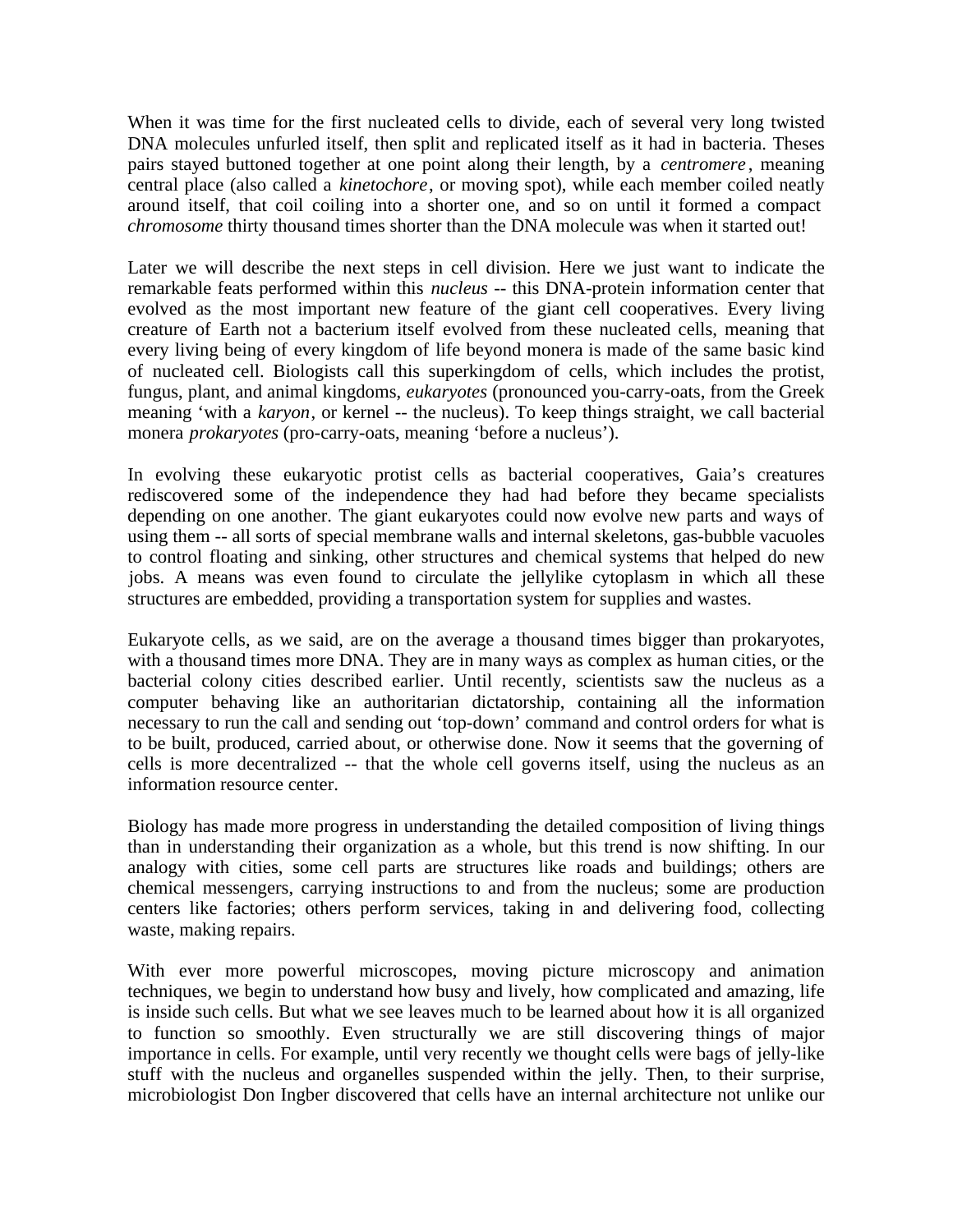When it was time for the first nucleated cells to divide, each of several very long twisted DNA molecules unfurled itself, then split and replicated itself as it had in bacteria. Theses pairs stayed buttoned together at one point along their length, by a *centromere* , meaning central place (also called a *kinetochore*, or moving spot), while each member coiled neatly around itself, that coil coiling into a shorter one, and so on until it formed a compact *chromosome* thirty thousand times shorter than the DNA molecule was when it started out!

Later we will describe the next steps in cell division. Here we just want to indicate the remarkable feats performed within this *nucleus* -- this DNA-protein information center that evolved as the most important new feature of the giant cell cooperatives. Every living creature of Earth not a bacterium itself evolved from these nucleated cells, meaning that every living being of every kingdom of life beyond monera is made of the same basic kind of nucleated cell. Biologists call this superkingdom of cells, which includes the protist, fungus, plant, and animal kingdoms, *eukaryotes* (pronounced you-carry-oats, from the Greek meaning 'with a *karyon*, or kernel -- the nucleus). To keep things straight, we call bacterial monera *prokaryotes* (pro-carry-oats, meaning 'before a nucleus').

In evolving these eukaryotic protist cells as bacterial cooperatives, Gaia's creatures rediscovered some of the independence they had had before they became specialists depending on one another. The giant eukaryotes could now evolve new parts and ways of using them -- all sorts of special membrane walls and internal skeletons, gas-bubble vacuoles to control floating and sinking, other structures and chemical systems that helped do new jobs. A means was even found to circulate the jellylike cytoplasm in which all these structures are embedded, providing a transportation system for supplies and wastes.

Eukaryote cells, as we said, are on the average a thousand times bigger than prokaryotes, with a thousand times more DNA. They are in many ways as complex as human cities, or the bacterial colony cities described earlier. Until recently, scientists saw the nucleus as a computer behaving like an authoritarian dictatorship, containing all the information necessary to run the call and sending out 'top-down' command and control orders for what is to be built, produced, carried about, or otherwise done. Now it seems that the governing of cells is more decentralized -- that the whole cell governs itself, using the nucleus as an information resource center.

Biology has made more progress in understanding the detailed composition of living things than in understanding their organization as a whole, but this trend is now shifting. In our analogy with cities, some cell parts are structures like roads and buildings; others are chemical messengers, carrying instructions to and from the nucleus; some are production centers like factories; others perform services, taking in and delivering food, collecting waste, making repairs.

With ever more powerful microscopes, moving picture microscopy and animation techniques, we begin to understand how busy and lively, how complicated and amazing, life is inside such cells. But what we see leaves much to be learned about how it is all organized to function so smoothly. Even structurally we are still discovering things of major importance in cells. For example, until very recently we thought cells were bags of jelly-like stuff with the nucleus and organelles suspended within the jelly. Then, to their surprise, microbiologist Don Ingber discovered that cells have an internal architecture not unlike our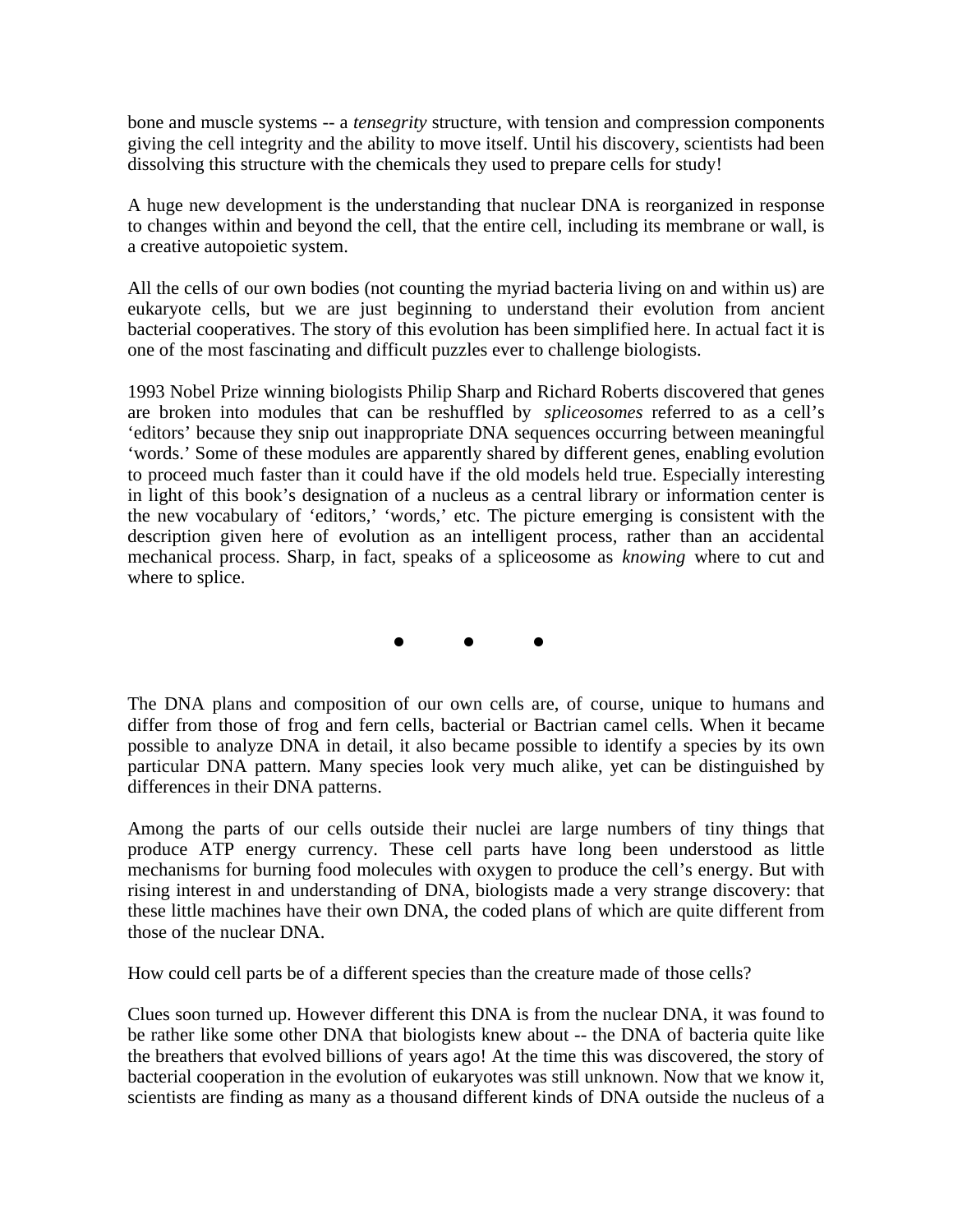bone and muscle systems -- a *tensegrity* structure, with tension and compression components giving the cell integrity and the ability to move itself. Until his discovery, scientists had been dissolving this structure with the chemicals they used to prepare cells for study!

A huge new development is the understanding that nuclear DNA is reorganized in response to changes within and beyond the cell, that the entire cell, including its membrane or wall, is a creative autopoietic system.

All the cells of our own bodies (not counting the myriad bacteria living on and within us) are eukaryote cells, but we are just beginning to understand their evolution from ancient bacterial cooperatives. The story of this evolution has been simplified here. In actual fact it is one of the most fascinating and difficult puzzles ever to challenge biologists.

1993 Nobel Prize winning biologists Philip Sharp and Richard Roberts discovered that genes are broken into modules that can be reshuffled by *spliceosomes* referred to as a cell's 'editors' because they snip out inappropriate DNA sequences occurring between meaningful 'words.' Some of these modules are apparently shared by different genes, enabling evolution to proceed much faster than it could have if the old models held true. Especially interesting in light of this book's designation of a nucleus as a central library or information center is the new vocabulary of 'editors,' 'words,' etc. The picture emerging is consistent with the description given here of evolution as an intelligent process, rather than an accidental mechanical process. Sharp, in fact, speaks of a spliceosome as *knowing* where to cut and where to splice.

**· · ·** 

The DNA plans and composition of our own cells are, of course, unique to humans and differ from those of frog and fern cells, bacterial or Bactrian camel cells. When it became possible to analyze DNA in detail, it also became possible to identify a species by its own particular DNA pattern. Many species look very much alike, yet can be distinguished by differences in their DNA patterns.

Among the parts of our cells outside their nuclei are large numbers of tiny things that produce ATP energy currency. These cell parts have long been understood as little mechanisms for burning food molecules with oxygen to produce the cell's energy. But with rising interest in and understanding of DNA, biologists made a very strange discovery: that these little machines have their own DNA, the coded plans of which are quite different from those of the nuclear DNA.

How could cell parts be of a different species than the creature made of those cells?

Clues soon turned up. However different this DNA is from the nuclear DNA, it was found to be rather like some other DNA that biologists knew about -- the DNA of bacteria quite like the breathers that evolved billions of years ago! At the time this was discovered, the story of bacterial cooperation in the evolution of eukaryotes was still unknown. Now that we know it, scientists are finding as many as a thousand different kinds of DNA outside the nucleus of a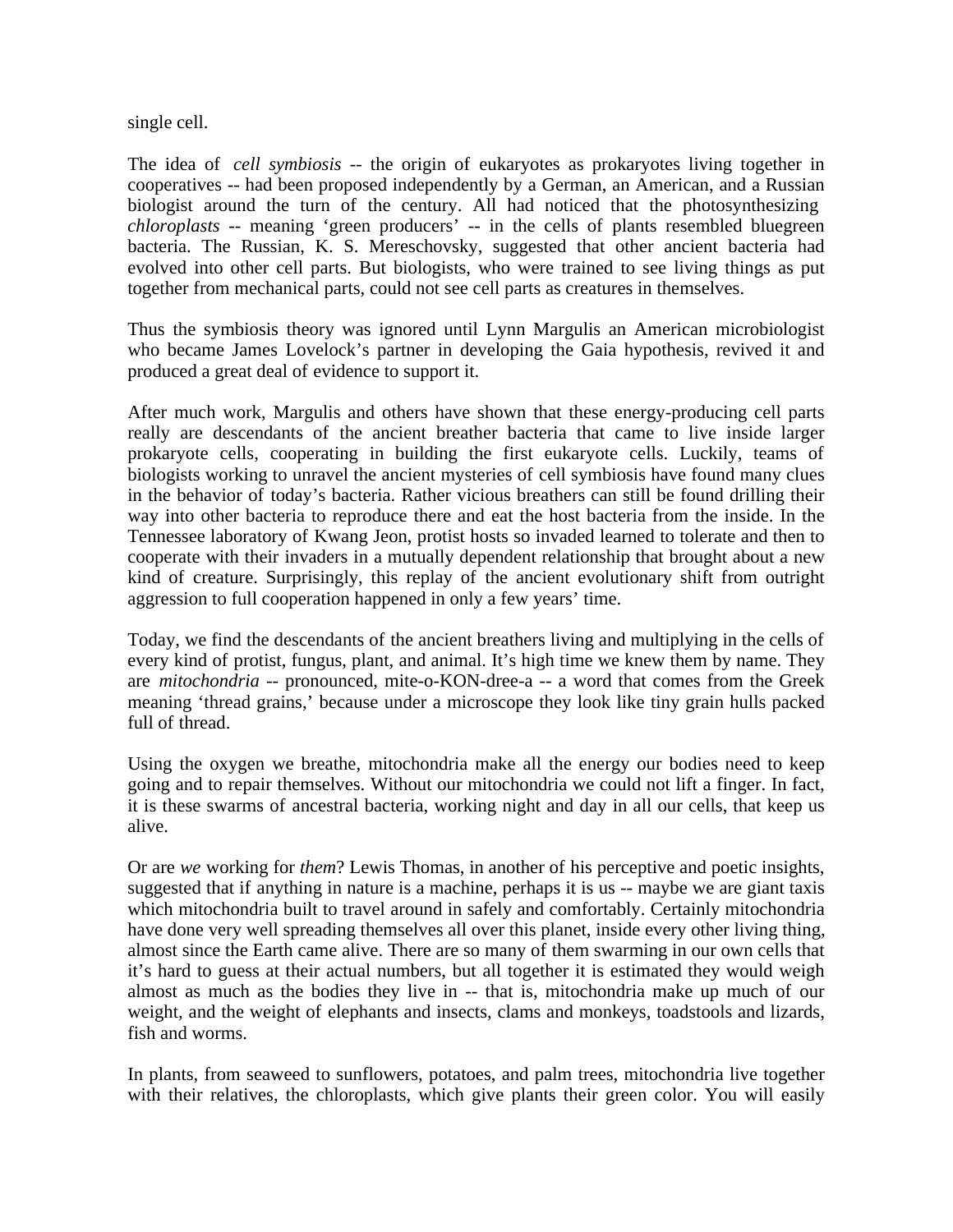single cell.

The idea of *cell symbiosis* -- the origin of eukaryotes as prokaryotes living together in cooperatives -- had been proposed independently by a German, an American, and a Russian biologist around the turn of the century. All had noticed that the photosynthesizing *chloroplasts* -- meaning 'green producers' -- in the cells of plants resembled bluegreen bacteria. The Russian, K. S. Mereschovsky, suggested that other ancient bacteria had evolved into other cell parts. But biologists, who were trained to see living things as put together from mechanical parts, could not see cell parts as creatures in themselves.

Thus the symbiosis theory was ignored until Lynn Margulis an American microbiologist who became James Lovelock's partner in developing the Gaia hypothesis, revived it and produced a great deal of evidence to support it.

After much work, Margulis and others have shown that these energy-producing cell parts really are descendants of the ancient breather bacteria that came to live inside larger prokaryote cells, cooperating in building the first eukaryote cells. Luckily, teams of biologists working to unravel the ancient mysteries of cell symbiosis have found many clues in the behavior of today's bacteria. Rather vicious breathers can still be found drilling their way into other bacteria to reproduce there and eat the host bacteria from the inside. In the Tennessee laboratory of Kwang Jeon, protist hosts so invaded learned to tolerate and then to cooperate with their invaders in a mutually dependent relationship that brought about a new kind of creature. Surprisingly, this replay of the ancient evolutionary shift from outright aggression to full cooperation happened in only a few years' time.

Today, we find the descendants of the ancient breathers living and multiplying in the cells of every kind of protist, fungus, plant, and animal. It's high time we knew them by name. They are *mitochondria* -- pronounced, mite-o-KON-dree-a -- a word that comes from the Greek meaning 'thread grains,' because under a microscope they look like tiny grain hulls packed full of thread.

Using the oxygen we breathe, mitochondria make all the energy our bodies need to keep going and to repair themselves. Without our mitochondria we could not lift a finger. In fact, it is these swarms of ancestral bacteria, working night and day in all our cells, that keep us alive.

Or are *we* working for *them*? Lewis Thomas, in another of his perceptive and poetic insights, suggested that if anything in nature is a machine, perhaps it is us -- maybe we are giant taxis which mitochondria built to travel around in safely and comfortably. Certainly mitochondria have done very well spreading themselves all over this planet, inside every other living thing, almost since the Earth came alive. There are so many of them swarming in our own cells that it's hard to guess at their actual numbers, but all together it is estimated they would weigh almost as much as the bodies they live in -- that is, mitochondria make up much of our weight, and the weight of elephants and insects, clams and monkeys, toadstools and lizards, fish and worms.

In plants, from seaweed to sunflowers, potatoes, and palm trees, mitochondria live together with their relatives, the chloroplasts, which give plants their green color. You will easily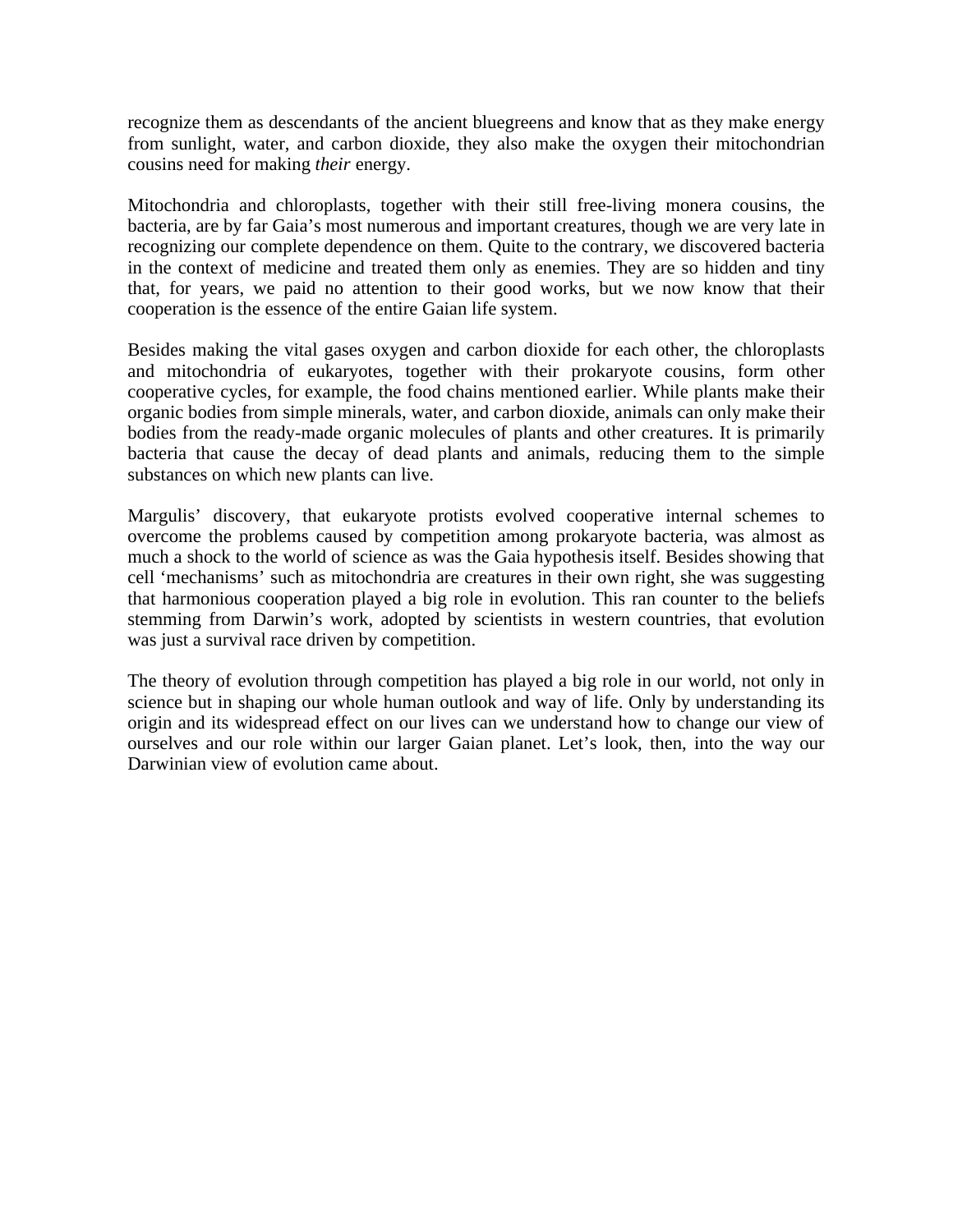recognize them as descendants of the ancient bluegreens and know that as they make energy from sunlight, water, and carbon dioxide, they also make the oxygen their mitochondrian cousins need for making *their* energy.

Mitochondria and chloroplasts, together with their still free-living monera cousins, the bacteria, are by far Gaia's most numerous and important creatures, though we are very late in recognizing our complete dependence on them. Quite to the contrary, we discovered bacteria in the context of medicine and treated them only as enemies. They are so hidden and tiny that, for years, we paid no attention to their good works, but we now know that their cooperation is the essence of the entire Gaian life system.

Besides making the vital gases oxygen and carbon dioxide for each other, the chloroplasts and mitochondria of eukaryotes, together with their prokaryote cousins, form other cooperative cycles, for example, the food chains mentioned earlier. While plants make their organic bodies from simple minerals, water, and carbon dioxide, animals can only make their bodies from the ready-made organic molecules of plants and other creatures. It is primarily bacteria that cause the decay of dead plants and animals, reducing them to the simple substances on which new plants can live.

Margulis' discovery, that eukaryote protists evolved cooperative internal schemes to overcome the problems caused by competition among prokaryote bacteria, was almost as much a shock to the world of science as was the Gaia hypothesis itself. Besides showing that cell 'mechanisms' such as mitochondria are creatures in their own right, she was suggesting that harmonious cooperation played a big role in evolution. This ran counter to the beliefs stemming from Darwin's work, adopted by scientists in western countries, that evolution was just a survival race driven by competition.

The theory of evolution through competition has played a big role in our world, not only in science but in shaping our whole human outlook and way of life. Only by understanding its origin and its widespread effect on our lives can we understand how to change our view of ourselves and our role within our larger Gaian planet. Let's look, then, into the way our Darwinian view of evolution came about.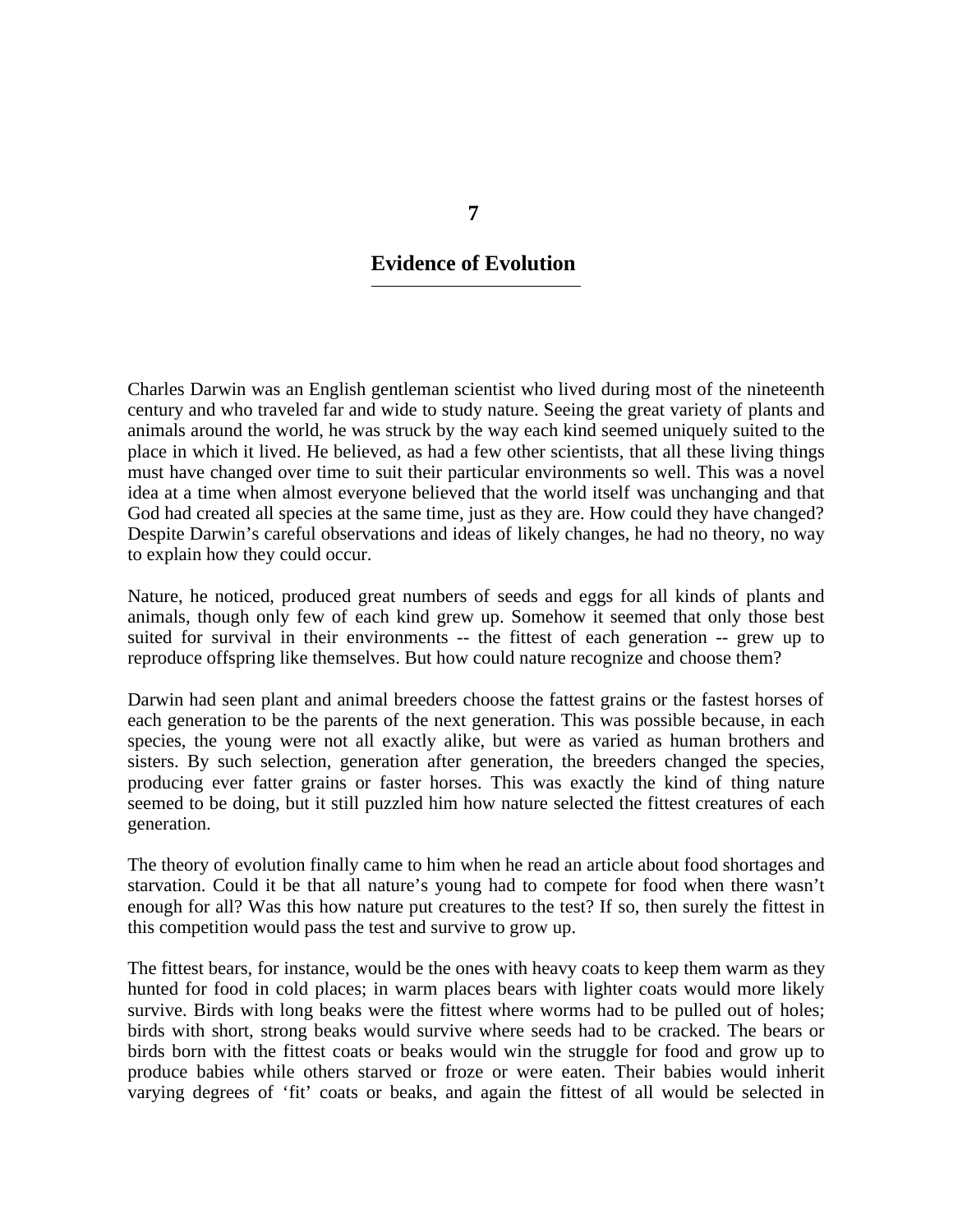## **Evidence of Evolution**

Charles Darwin was an English gentleman scientist who lived during most of the nineteenth century and who traveled far and wide to study nature. Seeing the great variety of plants and animals around the world, he was struck by the way each kind seemed uniquely suited to the place in which it lived. He believed, as had a few other scientists, that all these living things must have changed over time to suit their particular environments so well. This was a novel idea at a time when almost everyone believed that the world itself was unchanging and that God had created all species at the same time, just as they are. How could they have changed? Despite Darwin's careful observations and ideas of likely changes, he had no theory, no way to explain how they could occur.

Nature, he noticed, produced great numbers of seeds and eggs for all kinds of plants and animals, though only few of each kind grew up. Somehow it seemed that only those best suited for survival in their environments -- the fittest of each generation -- grew up to reproduce offspring like themselves. But how could nature recognize and choose them?

Darwin had seen plant and animal breeders choose the fattest grains or the fastest horses of each generation to be the parents of the next generation. This was possible because, in each species, the young were not all exactly alike, but were as varied as human brothers and sisters. By such selection, generation after generation, the breeders changed the species, producing ever fatter grains or faster horses. This was exactly the kind of thing nature seemed to be doing, but it still puzzled him how nature selected the fittest creatures of each generation.

The theory of evolution finally came to him when he read an article about food shortages and starvation. Could it be that all nature's young had to compete for food when there wasn't enough for all? Was this how nature put creatures to the test? If so, then surely the fittest in this competition would pass the test and survive to grow up.

The fittest bears, for instance, would be the ones with heavy coats to keep them warm as they hunted for food in cold places; in warm places bears with lighter coats would more likely survive. Birds with long beaks were the fittest where worms had to be pulled out of holes; birds with short, strong beaks would survive where seeds had to be cracked. The bears or birds born with the fittest coats or beaks would win the struggle for food and grow up to produce babies while others starved or froze or were eaten. Their babies would inherit varying degrees of 'fit' coats or beaks, and again the fittest of all would be selected in

**7**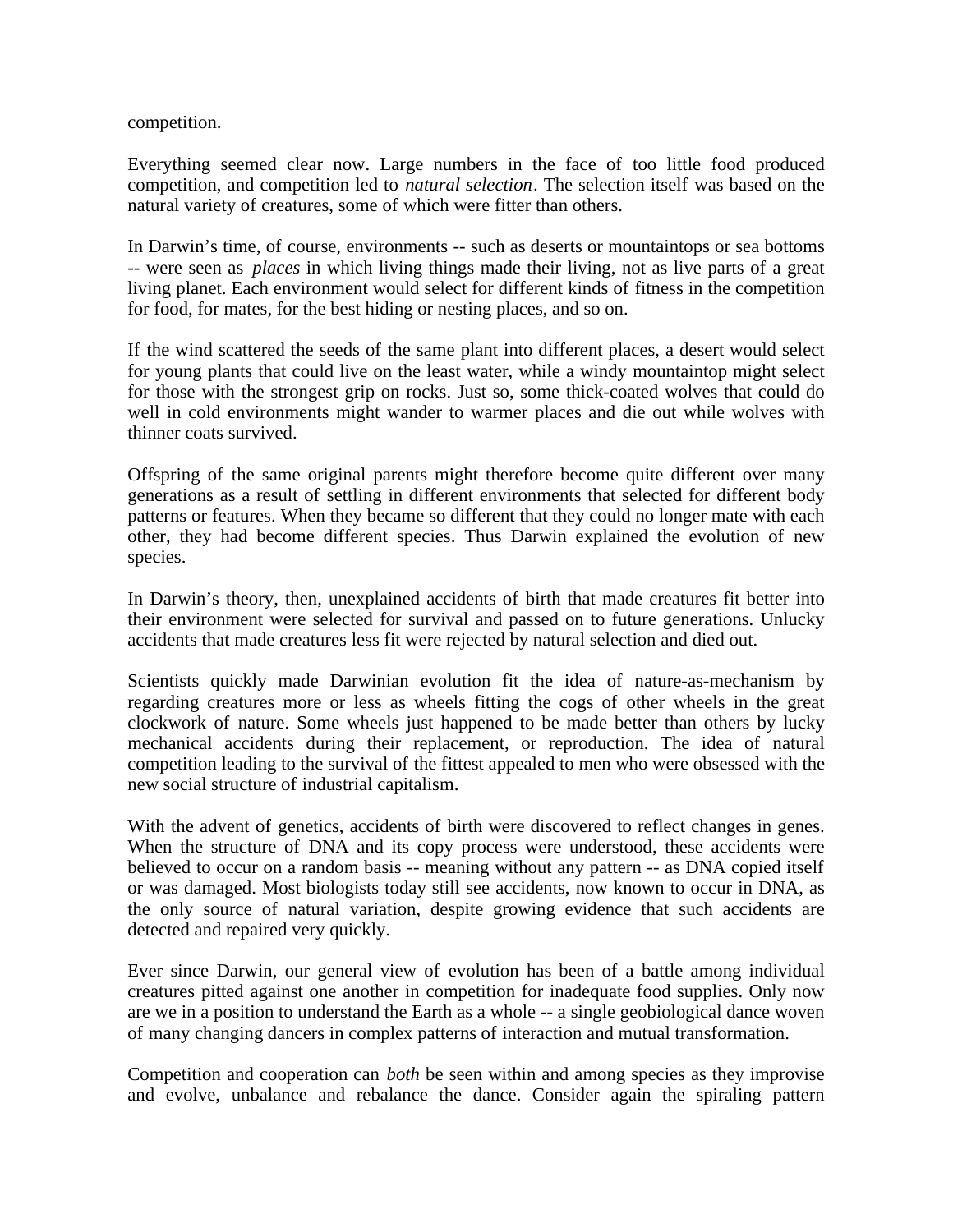competition.

Everything seemed clear now. Large numbers in the face of too little food produced competition, and competition led to *natural selection*. The selection itself was based on the natural variety of creatures, some of which were fitter than others.

In Darwin's time, of course, environments -- such as deserts or mountaintops or sea bottoms -- were seen as *places* in which living things made their living, not as live parts of a great living planet. Each environment would select for different kinds of fitness in the competition for food, for mates, for the best hiding or nesting places, and so on.

If the wind scattered the seeds of the same plant into different places, a desert would select for young plants that could live on the least water, while a windy mountaintop might select for those with the strongest grip on rocks. Just so, some thick-coated wolves that could do well in cold environments might wander to warmer places and die out while wolves with thinner coats survived.

Offspring of the same original parents might therefore become quite different over many generations as a result of settling in different environments that selected for different body patterns or features. When they became so different that they could no longer mate with each other, they had become different species. Thus Darwin explained the evolution of new species.

In Darwin's theory, then, unexplained accidents of birth that made creatures fit better into their environment were selected for survival and passed on to future generations. Unlucky accidents that made creatures less fit were rejected by natural selection and died out.

Scientists quickly made Darwinian evolution fit the idea of nature-as-mechanism by regarding creatures more or less as wheels fitting the cogs of other wheels in the great clockwork of nature. Some wheels just happened to be made better than others by lucky mechanical accidents during their replacement, or reproduction. The idea of natural competition leading to the survival of the fittest appealed to men who were obsessed with the new social structure of industrial capitalism.

With the advent of genetics, accidents of birth were discovered to reflect changes in genes. When the structure of DNA and its copy process were understood, these accidents were believed to occur on a random basis -- meaning without any pattern -- as DNA copied itself or was damaged. Most biologists today still see accidents, now known to occur in DNA, as the only source of natural variation, despite growing evidence that such accidents are detected and repaired very quickly.

Ever since Darwin, our general view of evolution has been of a battle among individual creatures pitted against one another in competition for inadequate food supplies. Only now are we in a position to understand the Earth as a whole -- a single geobiological dance woven of many changing dancers in complex patterns of interaction and mutual transformation.

Competition and cooperation can *both* be seen within and among species as they improvise and evolve, unbalance and rebalance the dance. Consider again the spiraling pattern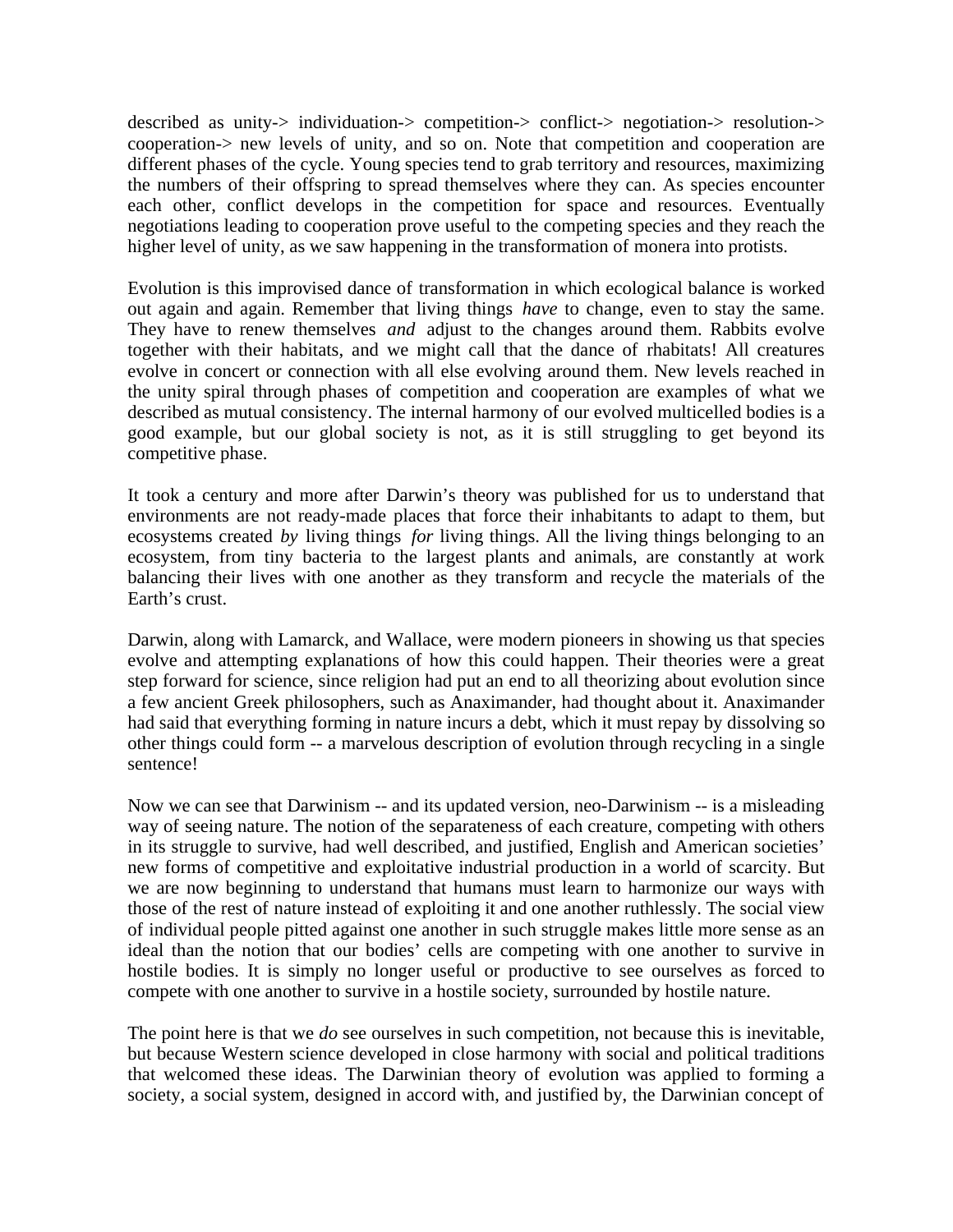described as unity-> individuation-> competition-> conflict-> negotiation-> resolution-> cooperation-> new levels of unity, and so on. Note that competition and cooperation are different phases of the cycle. Young species tend to grab territory and resources, maximizing the numbers of their offspring to spread themselves where they can. As species encounter each other, conflict develops in the competition for space and resources. Eventually negotiations leading to cooperation prove useful to the competing species and they reach the higher level of unity, as we saw happening in the transformation of monera into protists.

Evolution is this improvised dance of transformation in which ecological balance is worked out again and again. Remember that living things *have* to change, even to stay the same. They have to renew themselves *and* adjust to the changes around them. Rabbits evolve together with their habitats, and we might call that the dance of rhabitats! All creatures evolve in concert or connection with all else evolving around them. New levels reached in the unity spiral through phases of competition and cooperation are examples of what we described as mutual consistency. The internal harmony of our evolved multicelled bodies is a good example, but our global society is not, as it is still struggling to get beyond its competitive phase.

It took a century and more after Darwin's theory was published for us to understand that environments are not ready-made places that force their inhabitants to adapt to them, but ecosystems created *by* living things *for* living things. All the living things belonging to an ecosystem, from tiny bacteria to the largest plants and animals, are constantly at work balancing their lives with one another as they transform and recycle the materials of the Earth's crust.

Darwin, along with Lamarck, and Wallace, were modern pioneers in showing us that species evolve and attempting explanations of how this could happen. Their theories were a great step forward for science, since religion had put an end to all theorizing about evolution since a few ancient Greek philosophers, such as Anaximander, had thought about it. Anaximander had said that everything forming in nature incurs a debt, which it must repay by dissolving so other things could form -- a marvelous description of evolution through recycling in a single sentence!

Now we can see that Darwinism -- and its updated version, neo-Darwinism -- is a misleading way of seeing nature. The notion of the separateness of each creature, competing with others in its struggle to survive, had well described, and justified, English and American societies' new forms of competitive and exploitative industrial production in a world of scarcity. But we are now beginning to understand that humans must learn to harmonize our ways with those of the rest of nature instead of exploiting it and one another ruthlessly. The social view of individual people pitted against one another in such struggle makes little more sense as an ideal than the notion that our bodies' cells are competing with one another to survive in hostile bodies. It is simply no longer useful or productive to see ourselves as forced to compete with one another to survive in a hostile society, surrounded by hostile nature.

The point here is that we *do* see ourselves in such competition, not because this is inevitable, but because Western science developed in close harmony with social and political traditions that welcomed these ideas. The Darwinian theory of evolution was applied to forming a society, a social system, designed in accord with, and justified by, the Darwinian concept of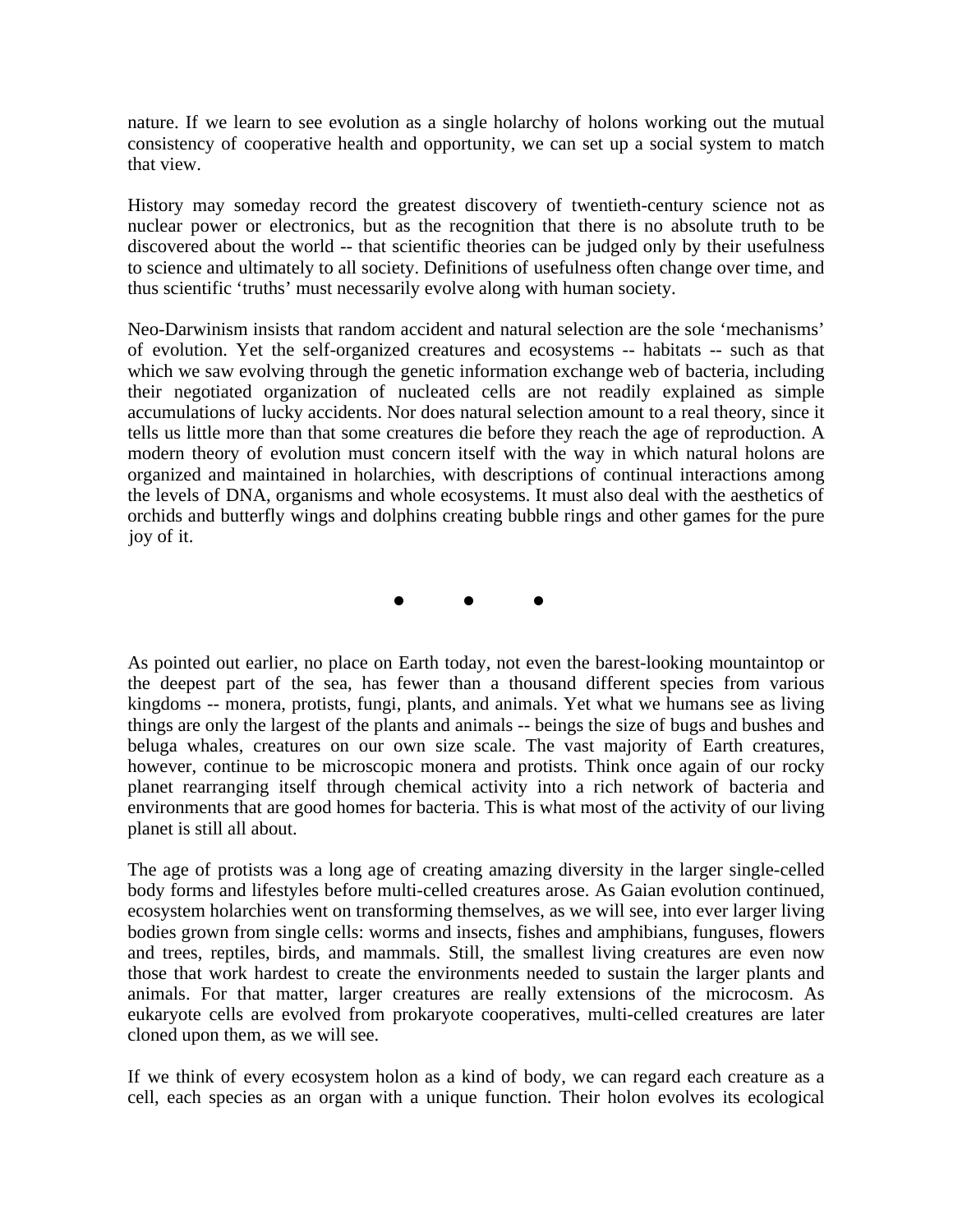nature. If we learn to see evolution as a single holarchy of holons working out the mutual consistency of cooperative health and opportunity, we can set up a social system to match that view.

History may someday record the greatest discovery of twentieth-century science not as nuclear power or electronics, but as the recognition that there is no absolute truth to be discovered about the world -- that scientific theories can be judged only by their usefulness to science and ultimately to all society. Definitions of usefulness often change over time, and thus scientific 'truths' must necessarily evolve along with human society.

Neo-Darwinism insists that random accident and natural selection are the sole 'mechanisms' of evolution. Yet the self-organized creatures and ecosystems -- habitats -- such as that which we saw evolving through the genetic information exchange web of bacteria, including their negotiated organization of nucleated cells are not readily explained as simple accumulations of lucky accidents. Nor does natural selection amount to a real theory, since it tells us little more than that some creatures die before they reach the age of reproduction. A modern theory of evolution must concern itself with the way in which natural holons are organized and maintained in holarchies, with descriptions of continual interactions among the levels of DNA, organisms and whole ecosystems. It must also deal with the aesthetics of orchids and butterfly wings and dolphins creating bubble rings and other games for the pure joy of it.

**· · ·** 

As pointed out earlier, no place on Earth today, not even the barest-looking mountaintop or the deepest part of the sea, has fewer than a thousand different species from various kingdoms -- monera, protists, fungi, plants, and animals. Yet what we humans see as living things are only the largest of the plants and animals -- beings the size of bugs and bushes and beluga whales, creatures on our own size scale. The vast majority of Earth creatures, however, continue to be microscopic monera and protists. Think once again of our rocky planet rearranging itself through chemical activity into a rich network of bacteria and environments that are good homes for bacteria. This is what most of the activity of our living planet is still all about.

The age of protists was a long age of creating amazing diversity in the larger single-celled body forms and lifestyles before multi-celled creatures arose. As Gaian evolution continued, ecosystem holarchies went on transforming themselves, as we will see, into ever larger living bodies grown from single cells: worms and insects, fishes and amphibians, funguses, flowers and trees, reptiles, birds, and mammals. Still, the smallest living creatures are even now those that work hardest to create the environments needed to sustain the larger plants and animals. For that matter, larger creatures are really extensions of the microcosm. As eukaryote cells are evolved from prokaryote cooperatives, multi-celled creatures are later cloned upon them, as we will see.

If we think of every ecosystem holon as a kind of body, we can regard each creature as a cell, each species as an organ with a unique function. Their holon evolves its ecological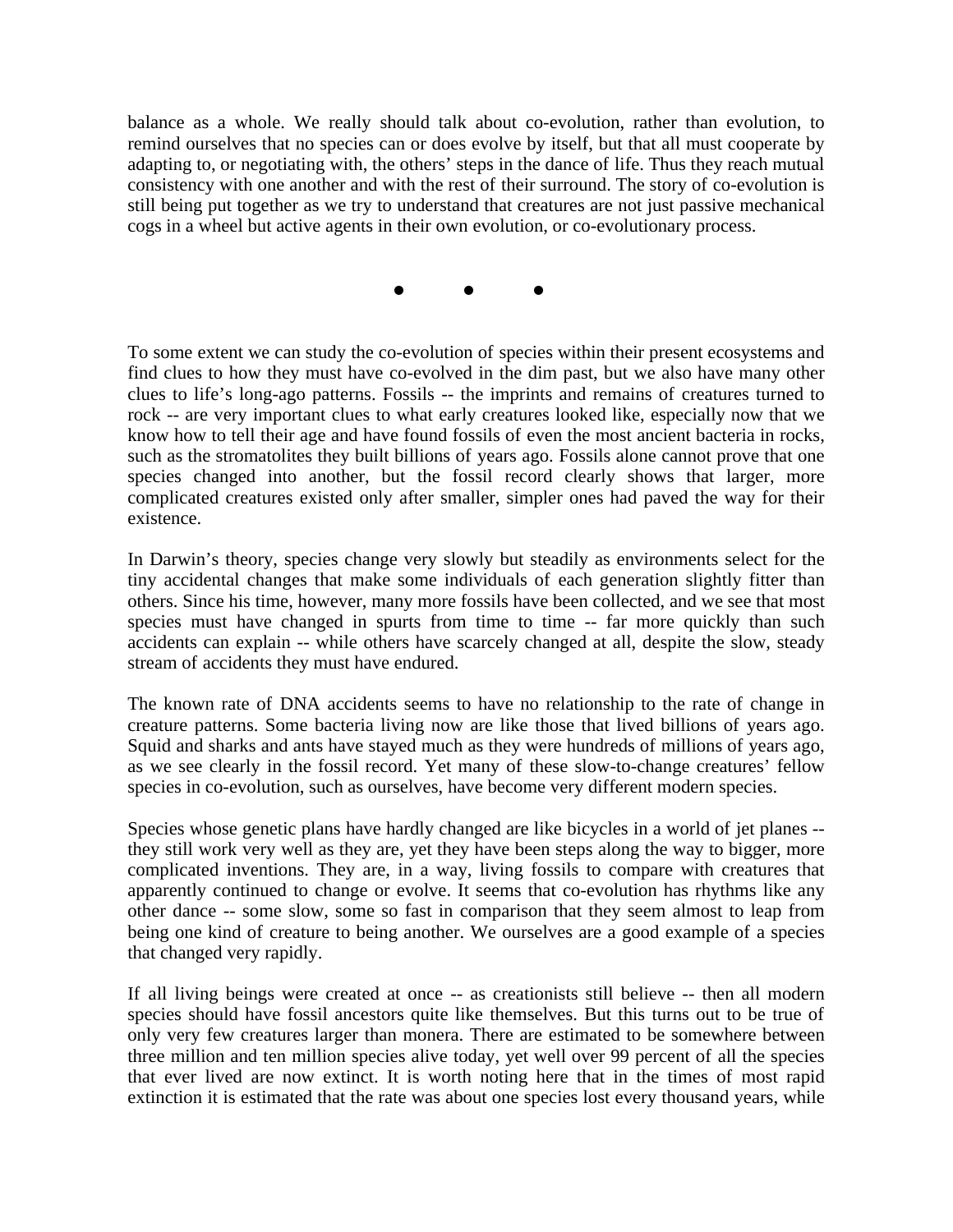balance as a whole. We really should talk about co-evolution, rather than evolution, to remind ourselves that no species can or does evolve by itself, but that all must cooperate by adapting to, or negotiating with, the others' steps in the dance of life. Thus they reach mutual consistency with one another and with the rest of their surround. The story of co-evolution is still being put together as we try to understand that creatures are not just passive mechanical cogs in a wheel but active agents in their own evolution, or co-evolutionary process.

**· · ·** 

To some extent we can study the co-evolution of species within their present ecosystems and find clues to how they must have co-evolved in the dim past, but we also have many other clues to life's long-ago patterns. Fossils -- the imprints and remains of creatures turned to rock -- are very important clues to what early creatures looked like, especially now that we know how to tell their age and have found fossils of even the most ancient bacteria in rocks, such as the stromatolites they built billions of years ago. Fossils alone cannot prove that one species changed into another, but the fossil record clearly shows that larger, more complicated creatures existed only after smaller, simpler ones had paved the way for their existence.

In Darwin's theory, species change very slowly but steadily as environments select for the tiny accidental changes that make some individuals of each generation slightly fitter than others. Since his time, however, many more fossils have been collected, and we see that most species must have changed in spurts from time to time -- far more quickly than such accidents can explain -- while others have scarcely changed at all, despite the slow, steady stream of accidents they must have endured.

The known rate of DNA accidents seems to have no relationship to the rate of change in creature patterns. Some bacteria living now are like those that lived billions of years ago. Squid and sharks and ants have stayed much as they were hundreds of millions of years ago, as we see clearly in the fossil record. Yet many of these slow-to-change creatures' fellow species in co-evolution, such as ourselves, have become very different modern species.

Species whose genetic plans have hardly changed are like bicycles in a world of jet planes - they still work very well as they are, yet they have been steps along the way to bigger, more complicated inventions. They are, in a way, living fossils to compare with creatures that apparently continued to change or evolve. It seems that co-evolution has rhythms like any other dance -- some slow, some so fast in comparison that they seem almost to leap from being one kind of creature to being another. We ourselves are a good example of a species that changed very rapidly.

If all living beings were created at once -- as creationists still believe -- then all modern species should have fossil ancestors quite like themselves. But this turns out to be true of only very few creatures larger than monera. There are estimated to be somewhere between three million and ten million species alive today, yet well over 99 percent of all the species that ever lived are now extinct. It is worth noting here that in the times of most rapid extinction it is estimated that the rate was about one species lost every thousand years, while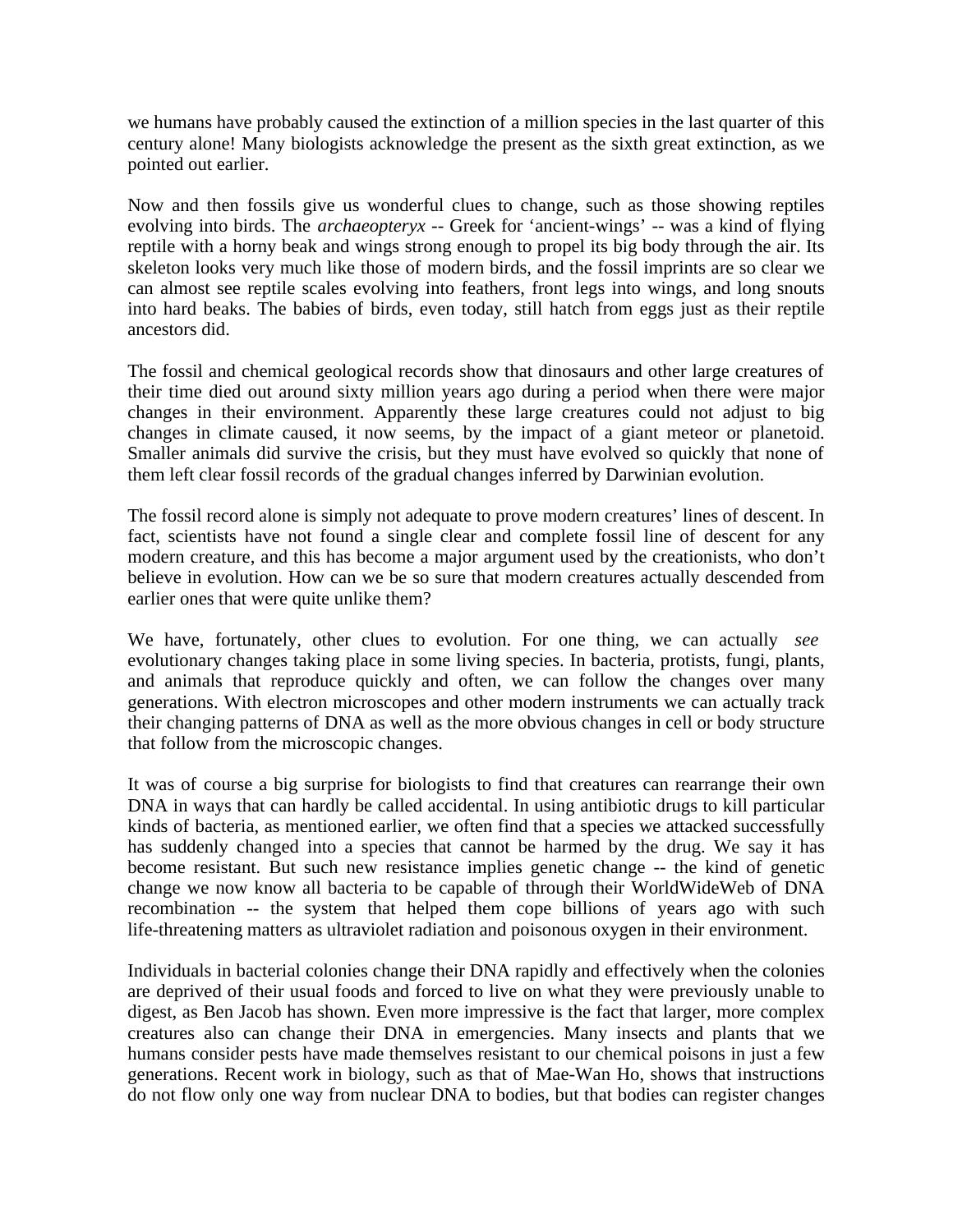we humans have probably caused the extinction of a million species in the last quarter of this century alone! Many biologists acknowledge the present as the sixth great extinction, as we pointed out earlier.

Now and then fossils give us wonderful clues to change, such as those showing reptiles evolving into birds. The *archaeopteryx* -- Greek for 'ancient-wings' -- was a kind of flying reptile with a horny beak and wings strong enough to propel its big body through the air. Its skeleton looks very much like those of modern birds, and the fossil imprints are so clear we can almost see reptile scales evolving into feathers, front legs into wings, and long snouts into hard beaks. The babies of birds, even today, still hatch from eggs just as their reptile ancestors did.

The fossil and chemical geological records show that dinosaurs and other large creatures of their time died out around sixty million years ago during a period when there were major changes in their environment. Apparently these large creatures could not adjust to big changes in climate caused, it now seems, by the impact of a giant meteor or planetoid. Smaller animals did survive the crisis, but they must have evolved so quickly that none of them left clear fossil records of the gradual changes inferred by Darwinian evolution.

The fossil record alone is simply not adequate to prove modern creatures' lines of descent. In fact, scientists have not found a single clear and complete fossil line of descent for any modern creature, and this has become a major argument used by the creationists, who don't believe in evolution. How can we be so sure that modern creatures actually descended from earlier ones that were quite unlike them?

We have, fortunately, other clues to evolution. For one thing, we can actually *see* evolutionary changes taking place in some living species. In bacteria, protists, fungi, plants, and animals that reproduce quickly and often, we can follow the changes over many generations. With electron microscopes and other modern instruments we can actually track their changing patterns of DNA as well as the more obvious changes in cell or body structure that follow from the microscopic changes.

It was of course a big surprise for biologists to find that creatures can rearrange their own DNA in ways that can hardly be called accidental. In using antibiotic drugs to kill particular kinds of bacteria, as mentioned earlier, we often find that a species we attacked successfully has suddenly changed into a species that cannot be harmed by the drug. We say it has become resistant. But such new resistance implies genetic change -- the kind of genetic change we now know all bacteria to be capable of through their WorldWideWeb of DNA recombination -- the system that helped them cope billions of years ago with such life-threatening matters as ultraviolet radiation and poisonous oxygen in their environment.

Individuals in bacterial colonies change their DNA rapidly and effectively when the colonies are deprived of their usual foods and forced to live on what they were previously unable to digest, as Ben Jacob has shown. Even more impressive is the fact that larger, more complex creatures also can change their DNA in emergencies. Many insects and plants that we humans consider pests have made themselves resistant to our chemical poisons in just a few generations. Recent work in biology, such as that of Mae-Wan Ho, shows that instructions do not flow only one way from nuclear DNA to bodies, but that bodies can register changes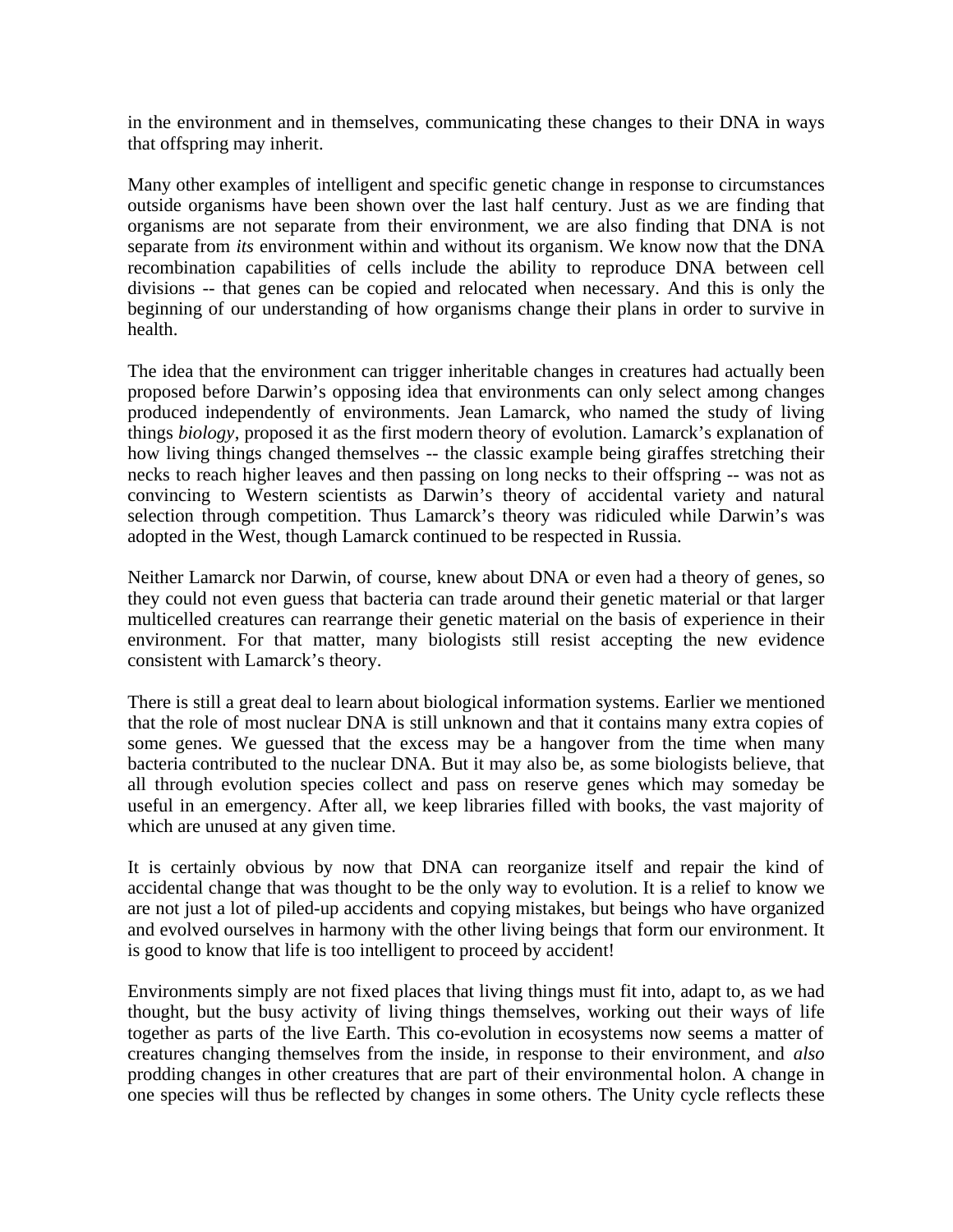in the environment and in themselves, communicating these changes to their DNA in ways that offspring may inherit.

Many other examples of intelligent and specific genetic change in response to circumstances outside organisms have been shown over the last half century. Just as we are finding that organisms are not separate from their environment, we are also finding that DNA is not separate from *its* environment within and without its organism. We know now that the DNA recombination capabilities of cells include the ability to reproduce DNA between cell divisions -- that genes can be copied and relocated when necessary. And this is only the beginning of our understanding of how organisms change their plans in order to survive in health.

The idea that the environment can trigger inheritable changes in creatures had actually been proposed before Darwin's opposing idea that environments can only select among changes produced independently of environments. Jean Lamarck, who named the study of living things *biology*, proposed it as the first modern theory of evolution. Lamarck's explanation of how living things changed themselves -- the classic example being giraffes stretching their necks to reach higher leaves and then passing on long necks to their offspring -- was not as convincing to Western scientists as Darwin's theory of accidental variety and natural selection through competition. Thus Lamarck's theory was ridiculed while Darwin's was adopted in the West, though Lamarck continued to be respected in Russia.

Neither Lamarck nor Darwin, of course, knew about DNA or even had a theory of genes, so they could not even guess that bacteria can trade around their genetic material or that larger multicelled creatures can rearrange their genetic material on the basis of experience in their environment. For that matter, many biologists still resist accepting the new evidence consistent with Lamarck's theory.

There is still a great deal to learn about biological information systems. Earlier we mentioned that the role of most nuclear DNA is still unknown and that it contains many extra copies of some genes. We guessed that the excess may be a hangover from the time when many bacteria contributed to the nuclear DNA. But it may also be, as some biologists believe, that all through evolution species collect and pass on reserve genes which may someday be useful in an emergency. After all, we keep libraries filled with books, the vast majority of which are unused at any given time.

It is certainly obvious by now that DNA can reorganize itself and repair the kind of accidental change that was thought to be the only way to evolution. It is a relief to know we are not just a lot of piled-up accidents and copying mistakes, but beings who have organized and evolved ourselves in harmony with the other living beings that form our environment. It is good to know that life is too intelligent to proceed by accident!

Environments simply are not fixed places that living things must fit into, adapt to, as we had thought, but the busy activity of living things themselves, working out their ways of life together as parts of the live Earth. This co-evolution in ecosystems now seems a matter of creatures changing themselves from the inside, in response to their environment, and *also* prodding changes in other creatures that are part of their environmental holon. A change in one species will thus be reflected by changes in some others. The Unity cycle reflects these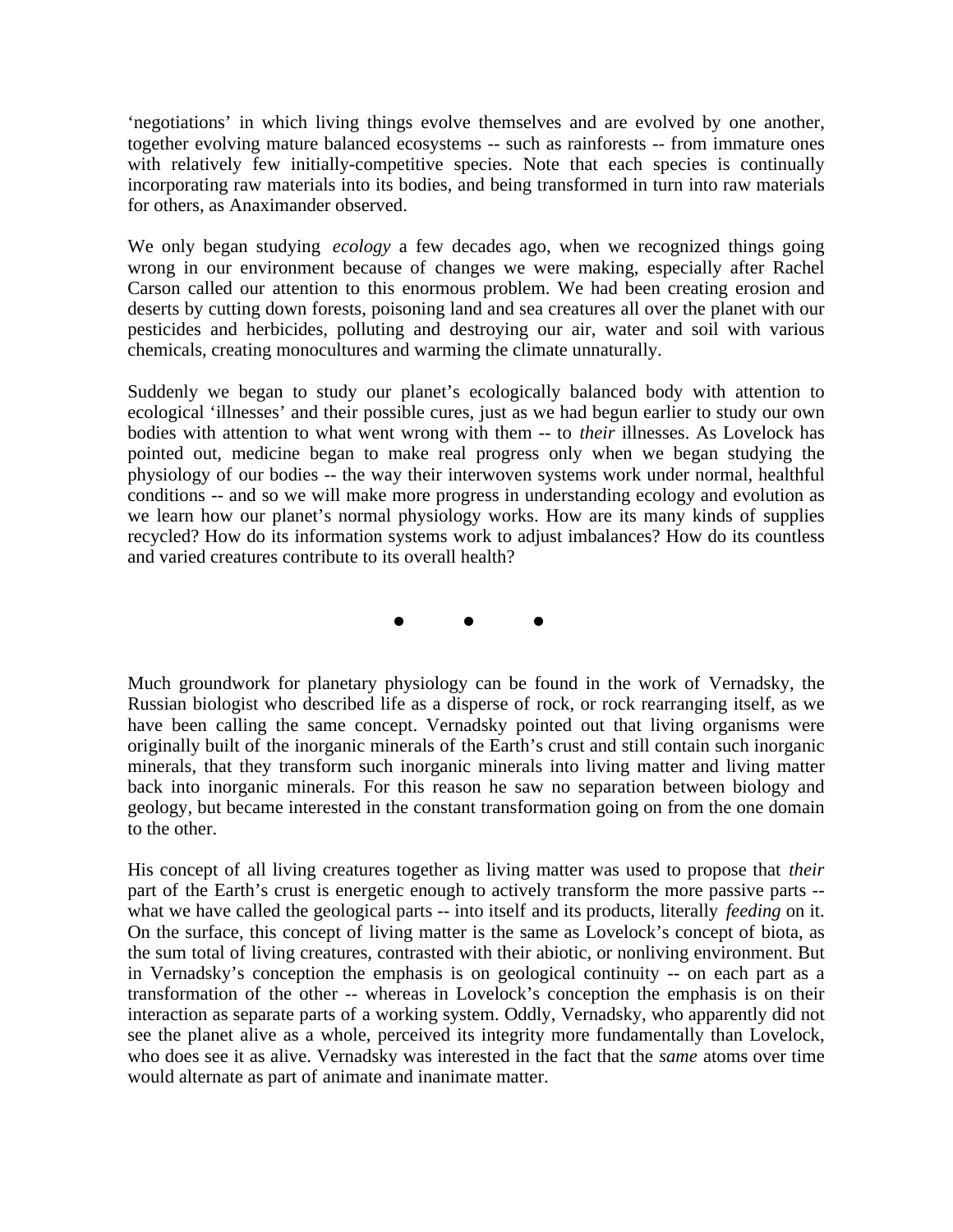'negotiations' in which living things evolve themselves and are evolved by one another, together evolving mature balanced ecosystems -- such as rainforests -- from immature ones with relatively few initially-competitive species. Note that each species is continually incorporating raw materials into its bodies, and being transformed in turn into raw materials for others, as Anaximander observed.

We only began studying *ecology* a few decades ago, when we recognized things going wrong in our environment because of changes we were making, especially after Rachel Carson called our attention to this enormous problem. We had been creating erosion and deserts by cutting down forests, poisoning land and sea creatures all over the planet with our pesticides and herbicides, polluting and destroying our air, water and soil with various chemicals, creating monocultures and warming the climate unnaturally.

Suddenly we began to study our planet's ecologically balanced body with attention to ecological 'illnesses' and their possible cures, just as we had begun earlier to study our own bodies with attention to what went wrong with them -- to *their* illnesses. As Lovelock has pointed out, medicine began to make real progress only when we began studying the physiology of our bodies -- the way their interwoven systems work under normal, healthful conditions -- and so we will make more progress in understanding ecology and evolution as we learn how our planet's normal physiology works. How are its many kinds of supplies recycled? How do its information systems work to adjust imbalances? How do its countless and varied creatures contribute to its overall health?

**· · ·** 

Much groundwork for planetary physiology can be found in the work of Vernadsky, the Russian biologist who described life as a disperse of rock, or rock rearranging itself, as we have been calling the same concept. Vernadsky pointed out that living organisms were originally built of the inorganic minerals of the Earth's crust and still contain such inorganic minerals, that they transform such inorganic minerals into living matter and living matter back into inorganic minerals. For this reason he saw no separation between biology and geology, but became interested in the constant transformation going on from the one domain to the other.

His concept of all living creatures together as living matter was used to propose that *their* part of the Earth's crust is energetic enough to actively transform the more passive parts - what we have called the geological parts -- into itself and its products, literally *feeding* on it. On the surface, this concept of living matter is the same as Lovelock's concept of biota, as the sum total of living creatures, contrasted with their abiotic, or nonliving environment. But in Vernadsky's conception the emphasis is on geological continuity -- on each part as a transformation of the other -- whereas in Lovelock's conception the emphasis is on their interaction as separate parts of a working system. Oddly, Vernadsky, who apparently did not see the planet alive as a whole, perceived its integrity more fundamentally than Lovelock, who does see it as alive. Vernadsky was interested in the fact that the *same* atoms over time would alternate as part of animate and inanimate matter.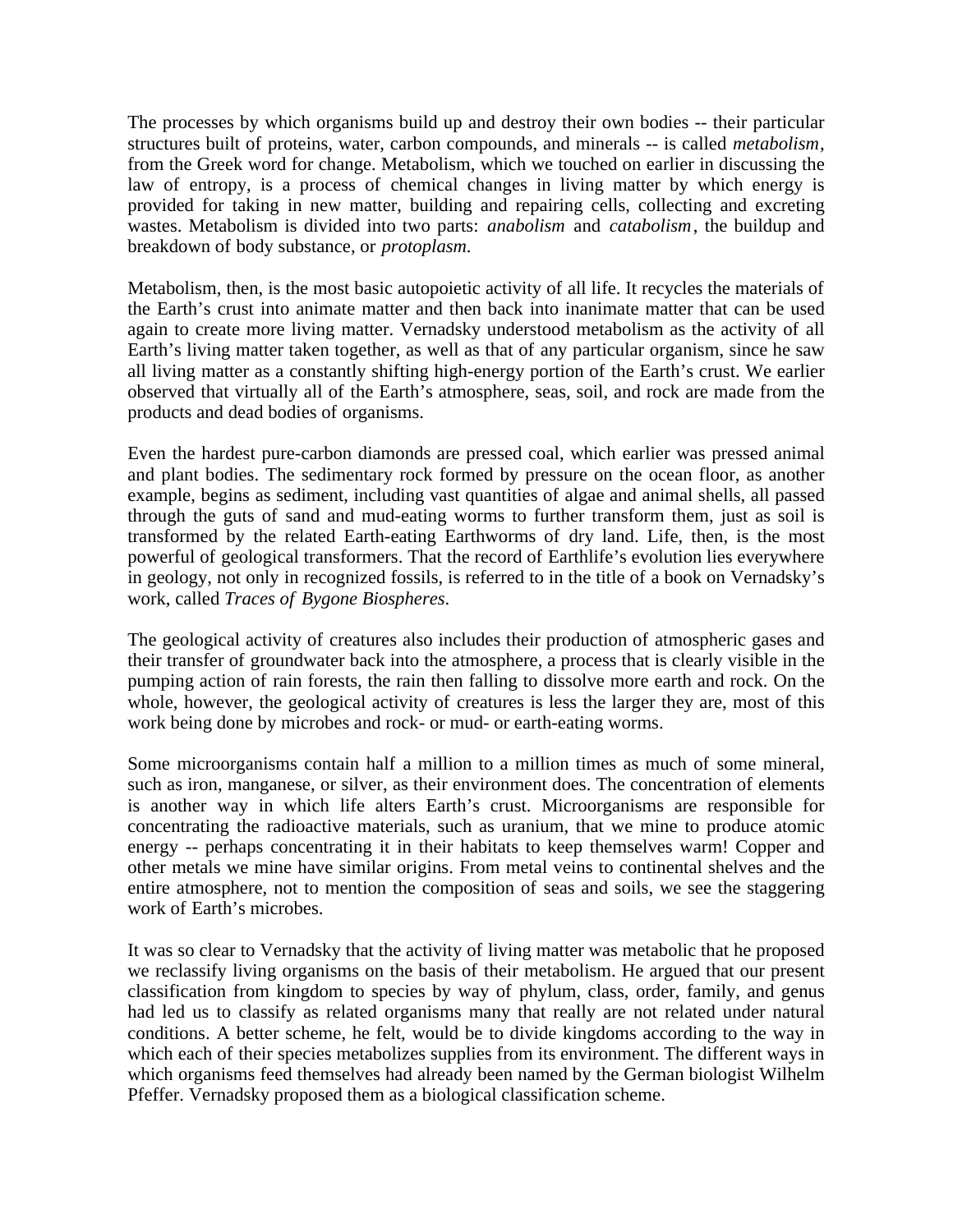The processes by which organisms build up and destroy their own bodies -- their particular structures built of proteins, water, carbon compounds, and minerals -- is called *metabolism*, from the Greek word for change. Metabolism, which we touched on earlier in discussing the law of entropy, is a process of chemical changes in living matter by which energy is provided for taking in new matter, building and repairing cells, collecting and excreting wastes. Metabolism is divided into two parts: *anabolism* and *catabolism*, the buildup and breakdown of body substance, or *protoplasm*.

Metabolism, then, is the most basic autopoietic activity of all life. It recycles the materials of the Earth's crust into animate matter and then back into inanimate matter that can be used again to create more living matter. Vernadsky understood metabolism as the activity of all Earth's living matter taken together, as well as that of any particular organism, since he saw all living matter as a constantly shifting high-energy portion of the Earth's crust. We earlier observed that virtually all of the Earth's atmosphere, seas, soil, and rock are made from the products and dead bodies of organisms.

Even the hardest pure-carbon diamonds are pressed coal, which earlier was pressed animal and plant bodies. The sedimentary rock formed by pressure on the ocean floor, as another example, begins as sediment, including vast quantities of algae and animal shells, all passed through the guts of sand and mud-eating worms to further transform them, just as soil is transformed by the related Earth-eating Earthworms of dry land. Life, then, is the most powerful of geological transformers. That the record of Earthlife's evolution lies everywhere in geology, not only in recognized fossils, is referred to in the title of a book on Vernadsky's work, called *Traces of Bygone Biospheres*.

The geological activity of creatures also includes their production of atmospheric gases and their transfer of groundwater back into the atmosphere, a process that is clearly visible in the pumping action of rain forests, the rain then falling to dissolve more earth and rock. On the whole, however, the geological activity of creatures is less the larger they are, most of this work being done by microbes and rock- or mud- or earth-eating worms.

Some microorganisms contain half a million to a million times as much of some mineral, such as iron, manganese, or silver, as their environment does. The concentration of elements is another way in which life alters Earth's crust. Microorganisms are responsible for concentrating the radioactive materials, such as uranium, that we mine to produce atomic energy -- perhaps concentrating it in their habitats to keep themselves warm! Copper and other metals we mine have similar origins. From metal veins to continental shelves and the entire atmosphere, not to mention the composition of seas and soils, we see the staggering work of Earth's microbes.

It was so clear to Vernadsky that the activity of living matter was metabolic that he proposed we reclassify living organisms on the basis of their metabolism. He argued that our present classification from kingdom to species by way of phylum, class, order, family, and genus had led us to classify as related organisms many that really are not related under natural conditions. A better scheme, he felt, would be to divide kingdoms according to the way in which each of their species metabolizes supplies from its environment. The different ways in which organisms feed themselves had already been named by the German biologist Wilhelm Pfeffer. Vernadsky proposed them as a biological classification scheme.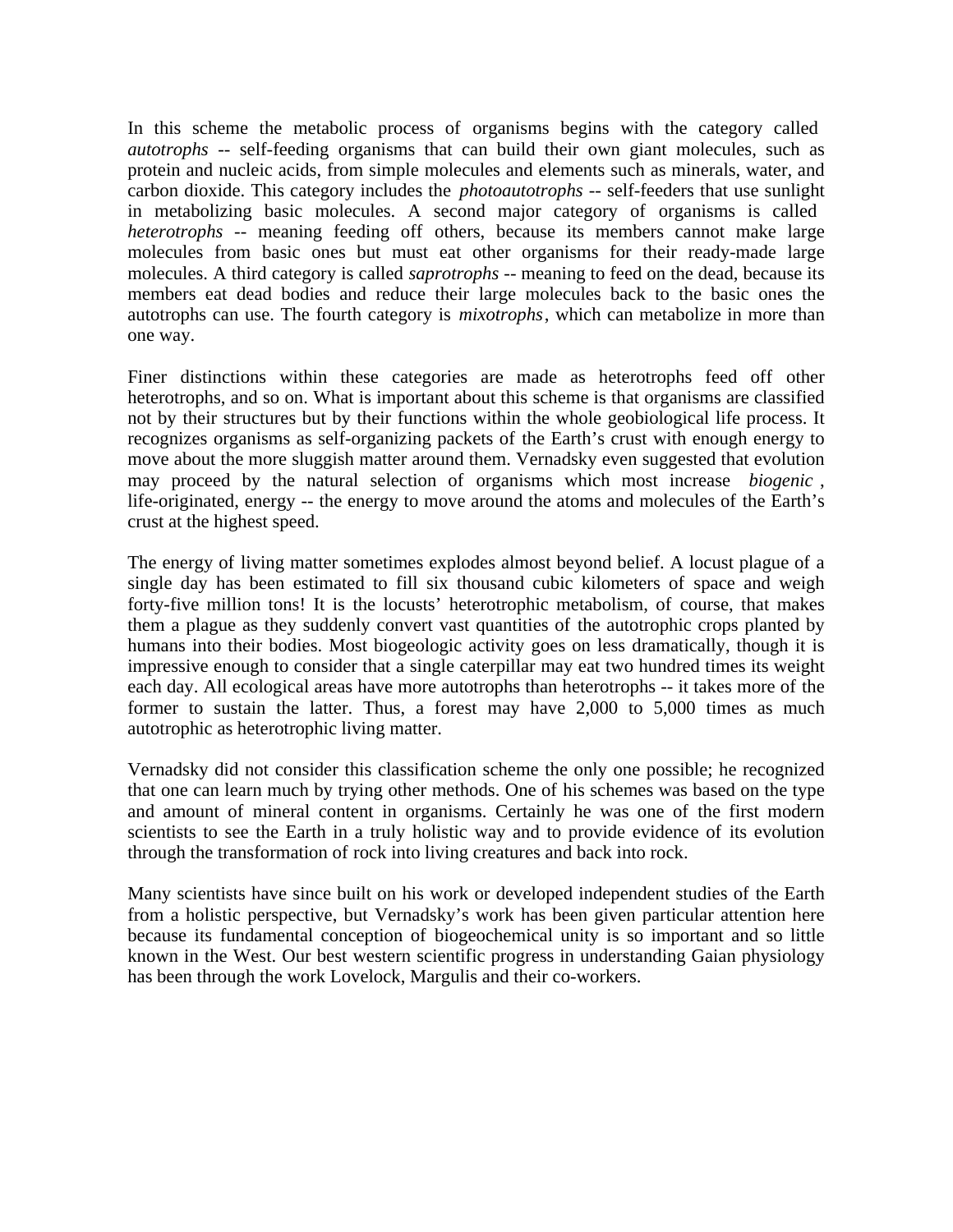In this scheme the metabolic process of organisms begins with the category called *autotrophs* -- self-feeding organisms that can build their own giant molecules, such as protein and nucleic acids, from simple molecules and elements such as minerals, water, and carbon dioxide. This category includes the *photoautotrophs* -- self-feeders that use sunlight in metabolizing basic molecules. A second major category of organisms is called *heterotrophs* -- meaning feeding off others, because its members cannot make large molecules from basic ones but must eat other organisms for their ready-made large molecules. A third category is called *saprotrophs* -- meaning to feed on the dead, because its members eat dead bodies and reduce their large molecules back to the basic ones the autotrophs can use. The fourth category is *mixotrophs*, which can metabolize in more than one way.

Finer distinctions within these categories are made as heterotrophs feed off other heterotrophs, and so on. What is important about this scheme is that organisms are classified not by their structures but by their functions within the whole geobiological life process. It recognizes organisms as self-organizing packets of the Earth's crust with enough energy to move about the more sluggish matter around them. Vernadsky even suggested that evolution may proceed by the natural selection of organisms which most increase *biogenic* , life-originated, energy -- the energy to move around the atoms and molecules of the Earth's crust at the highest speed.

The energy of living matter sometimes explodes almost beyond belief. A locust plague of a single day has been estimated to fill six thousand cubic kilometers of space and weigh forty-five million tons! It is the locusts' heterotrophic metabolism, of course, that makes them a plague as they suddenly convert vast quantities of the autotrophic crops planted by humans into their bodies. Most biogeologic activity goes on less dramatically, though it is impressive enough to consider that a single caterpillar may eat two hundred times its weight each day. All ecological areas have more autotrophs than heterotrophs -- it takes more of the former to sustain the latter. Thus, a forest may have 2,000 to 5,000 times as much autotrophic as heterotrophic living matter.

Vernadsky did not consider this classification scheme the only one possible; he recognized that one can learn much by trying other methods. One of his schemes was based on the type and amount of mineral content in organisms. Certainly he was one of the first modern scientists to see the Earth in a truly holistic way and to provide evidence of its evolution through the transformation of rock into living creatures and back into rock.

Many scientists have since built on his work or developed independent studies of the Earth from a holistic perspective, but Vernadsky's work has been given particular attention here because its fundamental conception of biogeochemical unity is so important and so little known in the West. Our best western scientific progress in understanding Gaian physiology has been through the work Lovelock, Margulis and their co-workers.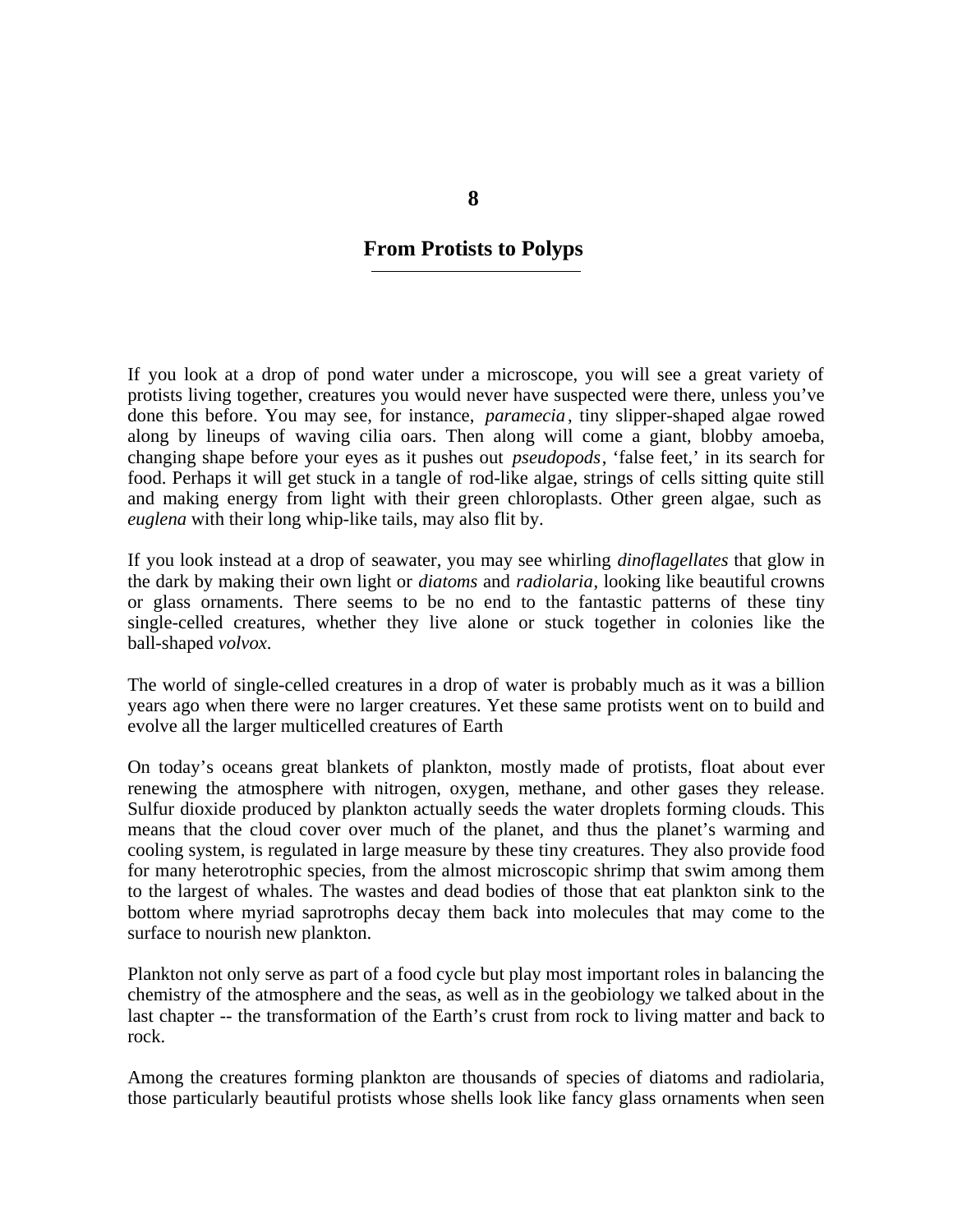## **From Protists to Polyps**

If you look at a drop of pond water under a microscope, you will see a great variety of protists living together, creatures you would never have suspected were there, unless you've done this before. You may see, for instance, *paramecia* , tiny slipper-shaped algae rowed along by lineups of waving cilia oars. Then along will come a giant, blobby amoeba, changing shape before your eyes as it pushes out *pseudopods*, 'false feet,' in its search for food. Perhaps it will get stuck in a tangle of rod-like algae, strings of cells sitting quite still and making energy from light with their green chloroplasts. Other green algae, such as *euglena* with their long whip-like tails, may also flit by.

If you look instead at a drop of seawater, you may see whirling *dinoflagellates* that glow in the dark by making their own light or *diatoms* and *radiolaria*, looking like beautiful crowns or glass ornaments. There seems to be no end to the fantastic patterns of these tiny single-celled creatures, whether they live alone or stuck together in colonies like the ball-shaped *volvox*.

The world of single-celled creatures in a drop of water is probably much as it was a billion years ago when there were no larger creatures. Yet these same protists went on to build and evolve all the larger multicelled creatures of Earth

On today's oceans great blankets of plankton, mostly made of protists, float about ever renewing the atmosphere with nitrogen, oxygen, methane, and other gases they release. Sulfur dioxide produced by plankton actually seeds the water droplets forming clouds. This means that the cloud cover over much of the planet, and thus the planet's warming and cooling system, is regulated in large measure by these tiny creatures. They also provide food for many heterotrophic species, from the almost microscopic shrimp that swim among them to the largest of whales. The wastes and dead bodies of those that eat plankton sink to the bottom where myriad saprotrophs decay them back into molecules that may come to the surface to nourish new plankton.

Plankton not only serve as part of a food cycle but play most important roles in balancing the chemistry of the atmosphere and the seas, as well as in the geobiology we talked about in the last chapter -- the transformation of the Earth's crust from rock to living matter and back to rock.

Among the creatures forming plankton are thousands of species of diatoms and radiolaria, those particularly beautiful protists whose shells look like fancy glass ornaments when seen

**8**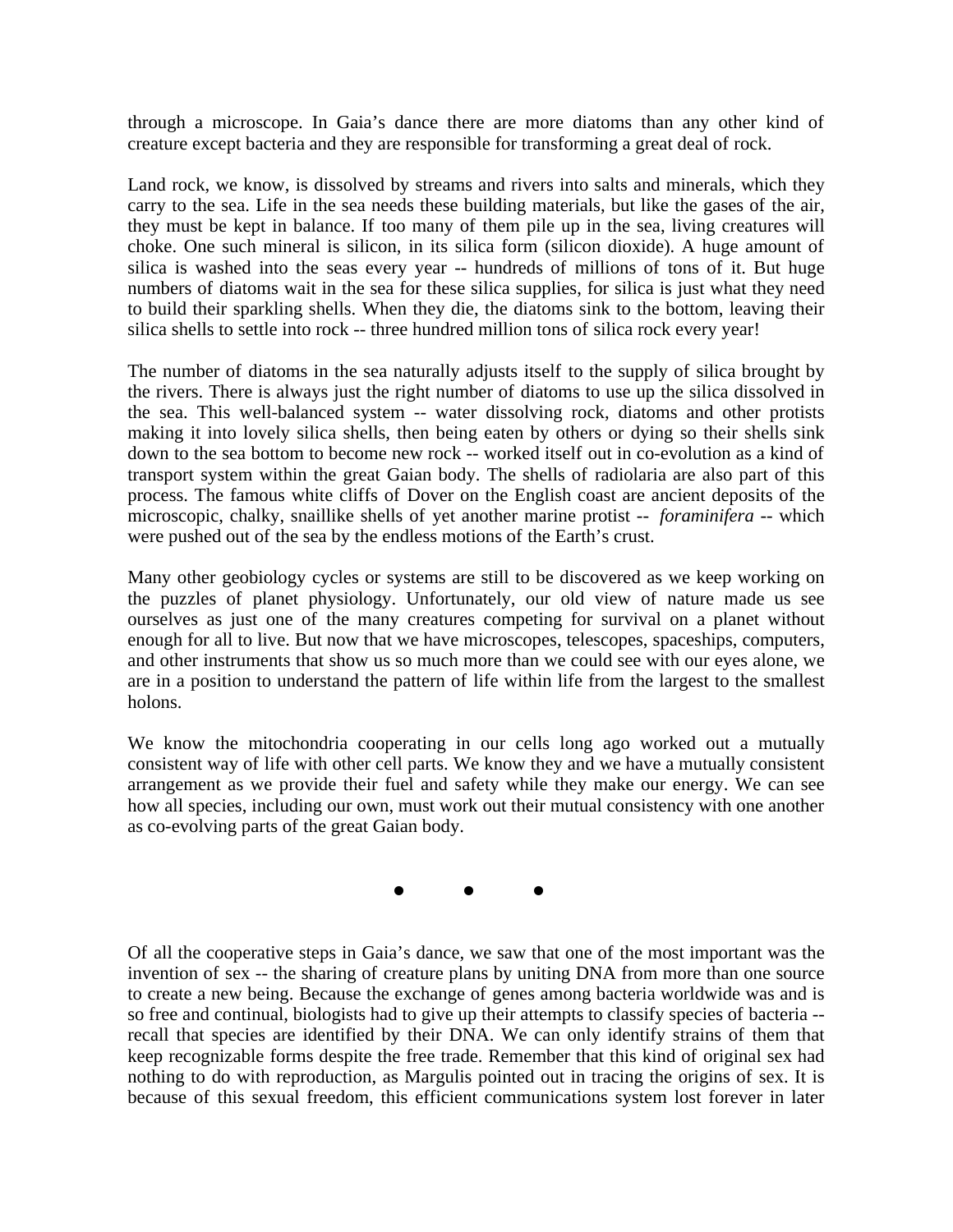through a microscope. In Gaia's dance there are more diatoms than any other kind of creature except bacteria and they are responsible for transforming a great deal of rock.

Land rock, we know, is dissolved by streams and rivers into salts and minerals, which they carry to the sea. Life in the sea needs these building materials, but like the gases of the air, they must be kept in balance. If too many of them pile up in the sea, living creatures will choke. One such mineral is silicon, in its silica form (silicon dioxide). A huge amount of silica is washed into the seas every year -- hundreds of millions of tons of it. But huge numbers of diatoms wait in the sea for these silica supplies, for silica is just what they need to build their sparkling shells. When they die, the diatoms sink to the bottom, leaving their silica shells to settle into rock -- three hundred million tons of silica rock every year!

The number of diatoms in the sea naturally adjusts itself to the supply of silica brought by the rivers. There is always just the right number of diatoms to use up the silica dissolved in the sea. This well-balanced system -- water dissolving rock, diatoms and other protists making it into lovely silica shells, then being eaten by others or dying so their shells sink down to the sea bottom to become new rock -- worked itself out in co-evolution as a kind of transport system within the great Gaian body. The shells of radiolaria are also part of this process. The famous white cliffs of Dover on the English coast are ancient deposits of the microscopic, chalky, snaillike shells of yet another marine protist -- *foraminifera* -- which were pushed out of the sea by the endless motions of the Earth's crust.

Many other geobiology cycles or systems are still to be discovered as we keep working on the puzzles of planet physiology. Unfortunately, our old view of nature made us see ourselves as just one of the many creatures competing for survival on a planet without enough for all to live. But now that we have microscopes, telescopes, spaceships, computers, and other instruments that show us so much more than we could see with our eyes alone, we are in a position to understand the pattern of life within life from the largest to the smallest holons.

We know the mitochondria cooperating in our cells long ago worked out a mutually consistent way of life with other cell parts. We know they and we have a mutually consistent arrangement as we provide their fuel and safety while they make our energy. We can see how all species, including our own, must work out their mutual consistency with one another as co-evolving parts of the great Gaian body.

**· · ·** 

Of all the cooperative steps in Gaia's dance, we saw that one of the most important was the invention of sex -- the sharing of creature plans by uniting DNA from more than one source to create a new being. Because the exchange of genes among bacteria worldwide was and is so free and continual, biologists had to give up their attempts to classify species of bacteria - recall that species are identified by their DNA. We can only identify strains of them that keep recognizable forms despite the free trade. Remember that this kind of original sex had nothing to do with reproduction, as Margulis pointed out in tracing the origins of sex. It is because of this sexual freedom, this efficient communications system lost forever in later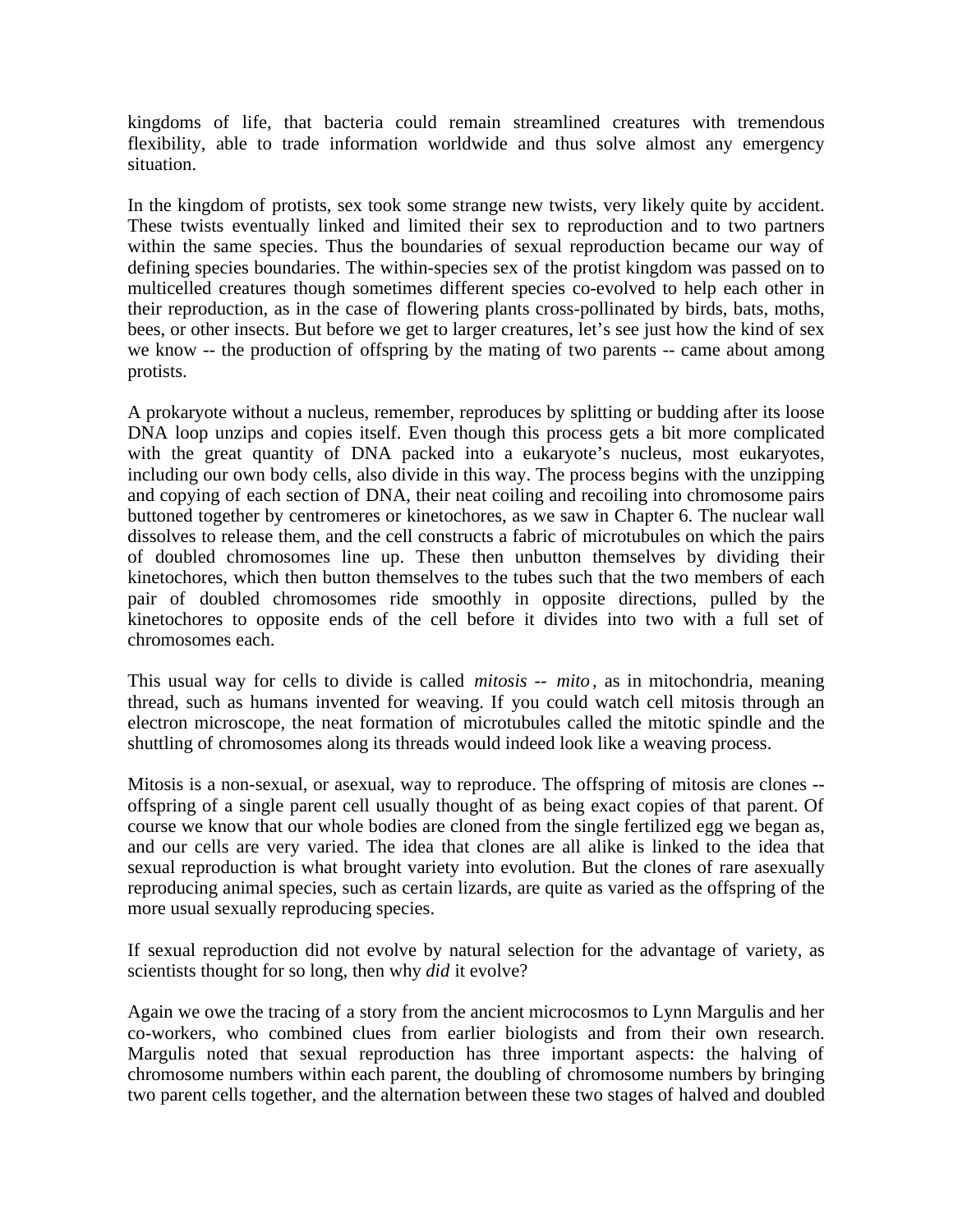kingdoms of life, that bacteria could remain streamlined creatures with tremendous flexibility, able to trade information worldwide and thus solve almost any emergency situation.

In the kingdom of protists, sex took some strange new twists, very likely quite by accident. These twists eventually linked and limited their sex to reproduction and to two partners within the same species. Thus the boundaries of sexual reproduction became our way of defining species boundaries. The within-species sex of the protist kingdom was passed on to multicelled creatures though sometimes different species co-evolved to help each other in their reproduction, as in the case of flowering plants cross-pollinated by birds, bats, moths, bees, or other insects. But before we get to larger creatures, let's see just how the kind of sex we know -- the production of offspring by the mating of two parents -- came about among protists.

A prokaryote without a nucleus, remember, reproduces by splitting or budding after its loose DNA loop unzips and copies itself. Even though this process gets a bit more complicated with the great quantity of DNA packed into a eukaryote's nucleus, most eukaryotes, including our own body cells, also divide in this way. The process begins with the unzipping and copying of each section of DNA, their neat coiling and recoiling into chromosome pairs buttoned together by centromeres or kinetochores, as we saw in Chapter 6. The nuclear wall dissolves to release them, and the cell constructs a fabric of microtubules on which the pairs of doubled chromosomes line up. These then unbutton themselves by dividing their kinetochores, which then button themselves to the tubes such that the two members of each pair of doubled chromosomes ride smoothly in opposite directions, pulled by the kinetochores to opposite ends of the cell before it divides into two with a full set of chromosomes each.

This usual way for cells to divide is called *mitosis* -- *mito* , as in mitochondria, meaning thread, such as humans invented for weaving. If you could watch cell mitosis through an electron microscope, the neat formation of microtubules called the mitotic spindle and the shuttling of chromosomes along its threads would indeed look like a weaving process.

Mitosis is a non-sexual, or asexual, way to reproduce. The offspring of mitosis are clones - offspring of a single parent cell usually thought of as being exact copies of that parent. Of course we know that our whole bodies are cloned from the single fertilized egg we began as, and our cells are very varied. The idea that clones are all alike is linked to the idea that sexual reproduction is what brought variety into evolution. But the clones of rare asexually reproducing animal species, such as certain lizards, are quite as varied as the offspring of the more usual sexually reproducing species.

If sexual reproduction did not evolve by natural selection for the advantage of variety, as scientists thought for so long, then why *did* it evolve?

Again we owe the tracing of a story from the ancient microcosmos to Lynn Margulis and her co-workers, who combined clues from earlier biologists and from their own research. Margulis noted that sexual reproduction has three important aspects: the halving of chromosome numbers within each parent, the doubling of chromosome numbers by bringing two parent cells together, and the alternation between these two stages of halved and doubled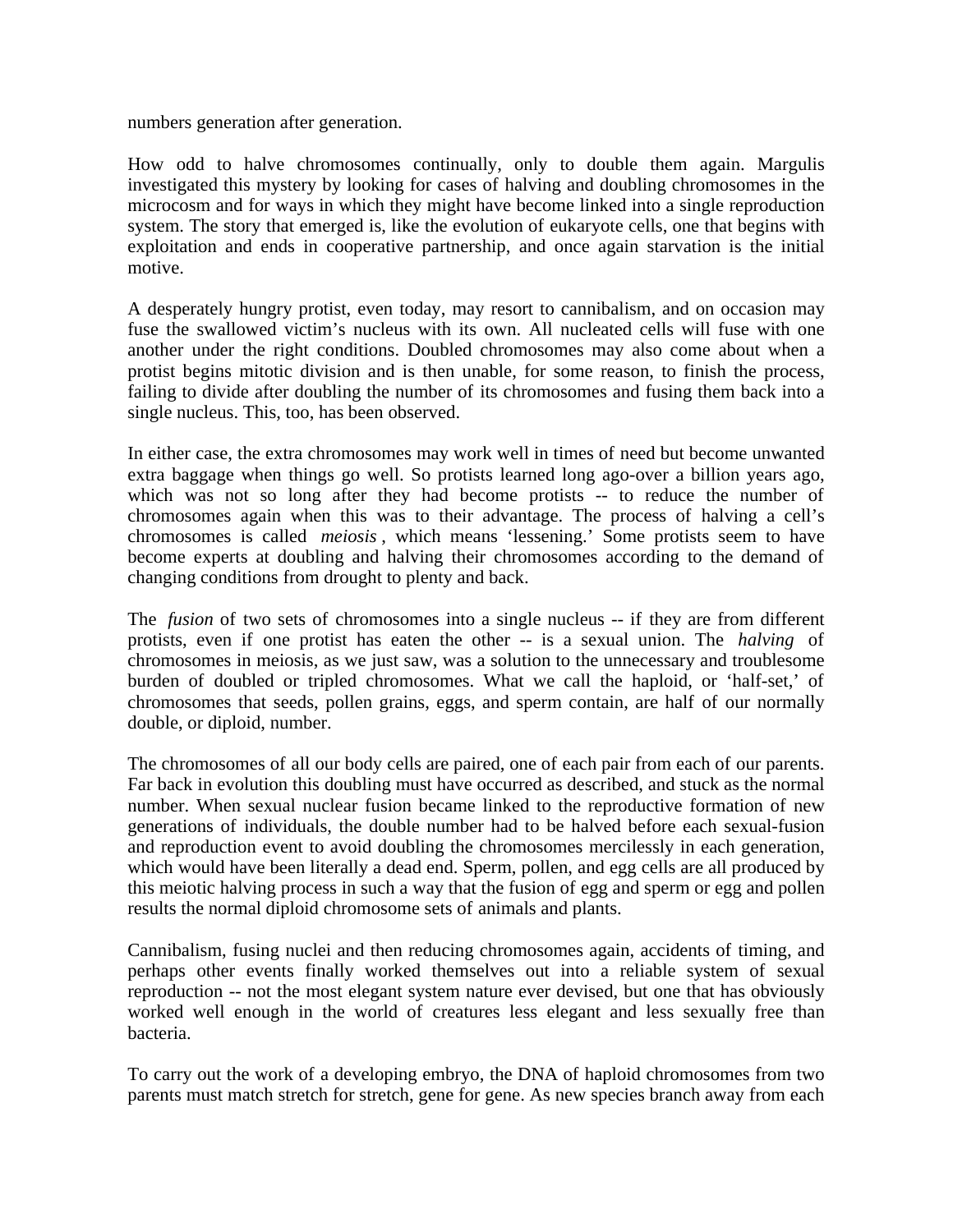numbers generation after generation.

How odd to halve chromosomes continually, only to double them again. Margulis investigated this mystery by looking for cases of halving and doubling chromosomes in the microcosm and for ways in which they might have become linked into a single reproduction system. The story that emerged is, like the evolution of eukaryote cells, one that begins with exploitation and ends in cooperative partnership, and once again starvation is the initial motive.

A desperately hungry protist, even today, may resort to cannibalism, and on occasion may fuse the swallowed victim's nucleus with its own. All nucleated cells will fuse with one another under the right conditions. Doubled chromosomes may also come about when a protist begins mitotic division and is then unable, for some reason, to finish the process, failing to divide after doubling the number of its chromosomes and fusing them back into a single nucleus. This, too, has been observed.

In either case, the extra chromosomes may work well in times of need but become unwanted extra baggage when things go well. So protists learned long ago-over a billion years ago, which was not so long after they had become protists -- to reduce the number of chromosomes again when this was to their advantage. The process of halving a cell's chromosomes is called *meiosis* , which means 'lessening.' Some protists seem to have become experts at doubling and halving their chromosomes according to the demand of changing conditions from drought to plenty and back.

The *fusion* of two sets of chromosomes into a single nucleus -- if they are from different protists, even if one protist has eaten the other -- is a sexual union. The *halving* of chromosomes in meiosis, as we just saw, was a solution to the unnecessary and troublesome burden of doubled or tripled chromosomes. What we call the haploid, or 'half-set,' of chromosomes that seeds, pollen grains, eggs, and sperm contain, are half of our normally double, or diploid, number.

The chromosomes of all our body cells are paired, one of each pair from each of our parents. Far back in evolution this doubling must have occurred as described, and stuck as the normal number. When sexual nuclear fusion became linked to the reproductive formation of new generations of individuals, the double number had to be halved before each sexual-fusion and reproduction event to avoid doubling the chromosomes mercilessly in each generation, which would have been literally a dead end. Sperm, pollen, and egg cells are all produced by this meiotic halving process in such a way that the fusion of egg and sperm or egg and pollen results the normal diploid chromosome sets of animals and plants.

Cannibalism, fusing nuclei and then reducing chromosomes again, accidents of timing, and perhaps other events finally worked themselves out into a reliable system of sexual reproduction -- not the most elegant system nature ever devised, but one that has obviously worked well enough in the world of creatures less elegant and less sexually free than bacteria.

To carry out the work of a developing embryo, the DNA of haploid chromosomes from two parents must match stretch for stretch, gene for gene. As new species branch away from each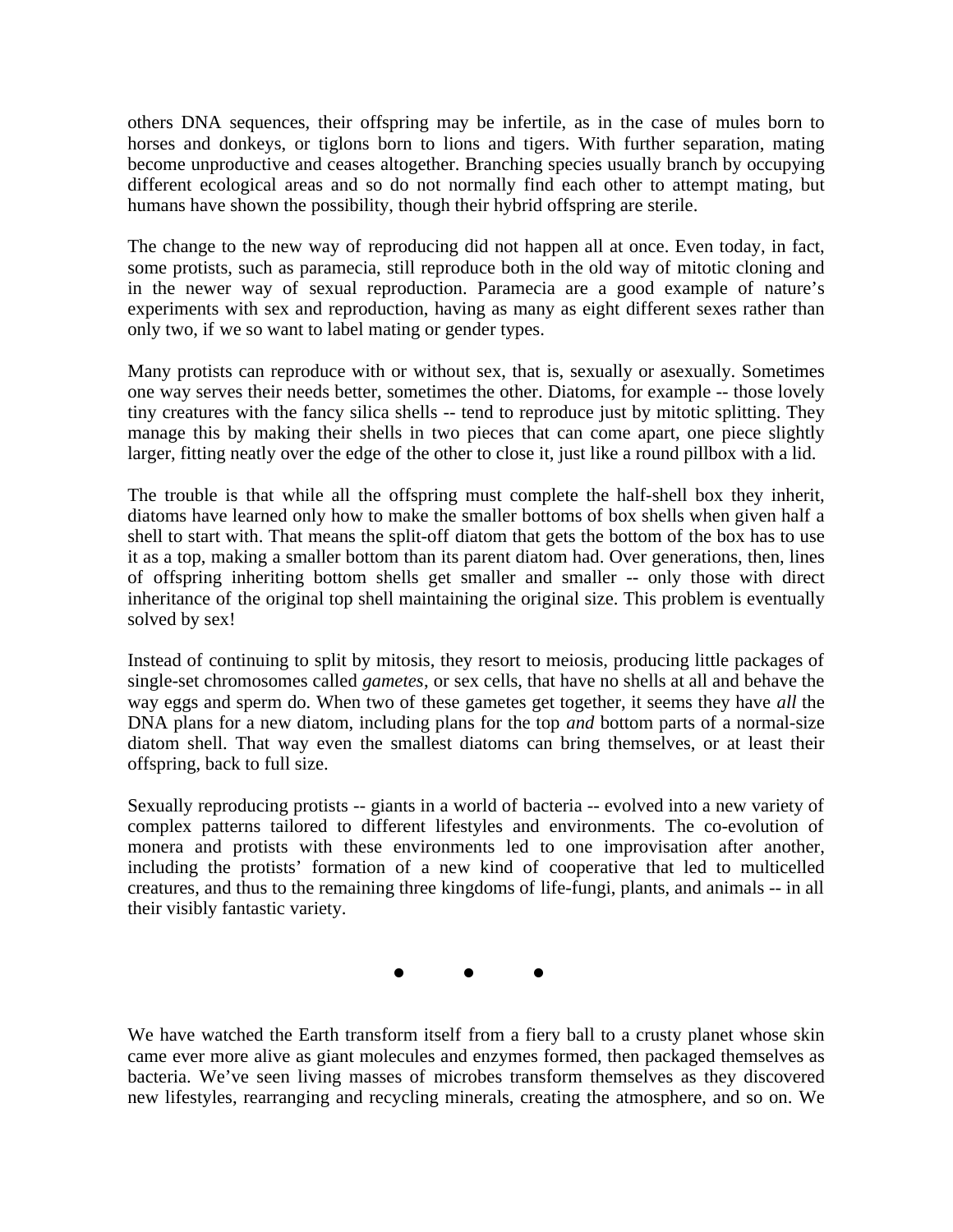others DNA sequences, their offspring may be infertile, as in the case of mules born to horses and donkeys, or tiglons born to lions and tigers. With further separation, mating become unproductive and ceases altogether. Branching species usually branch by occupying different ecological areas and so do not normally find each other to attempt mating, but humans have shown the possibility, though their hybrid offspring are sterile.

The change to the new way of reproducing did not happen all at once. Even today, in fact, some protists, such as paramecia, still reproduce both in the old way of mitotic cloning and in the newer way of sexual reproduction. Paramecia are a good example of nature's experiments with sex and reproduction, having as many as eight different sexes rather than only two, if we so want to label mating or gender types.

Many protists can reproduce with or without sex, that is, sexually or asexually. Sometimes one way serves their needs better, sometimes the other. Diatoms, for example -- those lovely tiny creatures with the fancy silica shells -- tend to reproduce just by mitotic splitting. They manage this by making their shells in two pieces that can come apart, one piece slightly larger, fitting neatly over the edge of the other to close it, just like a round pillbox with a lid.

The trouble is that while all the offspring must complete the half-shell box they inherit, diatoms have learned only how to make the smaller bottoms of box shells when given half a shell to start with. That means the split-off diatom that gets the bottom of the box has to use it as a top, making a smaller bottom than its parent diatom had. Over generations, then, lines of offspring inheriting bottom shells get smaller and smaller -- only those with direct inheritance of the original top shell maintaining the original size. This problem is eventually solved by sex!

Instead of continuing to split by mitosis, they resort to meiosis, producing little packages of single-set chromosomes called *gametes*, or sex cells, that have no shells at all and behave the way eggs and sperm do. When two of these gametes get together, it seems they have *all* the DNA plans for a new diatom, including plans for the top *and* bottom parts of a normal-size diatom shell. That way even the smallest diatoms can bring themselves, or at least their offspring, back to full size.

Sexually reproducing protists -- giants in a world of bacteria -- evolved into a new variety of complex patterns tailored to different lifestyles and environments. The co-evolution of monera and protists with these environments led to one improvisation after another, including the protists' formation of a new kind of cooperative that led to multicelled creatures, and thus to the remaining three kingdoms of life-fungi, plants, and animals -- in all their visibly fantastic variety.

**· · ·** 

We have watched the Earth transform itself from a fiery ball to a crusty planet whose skin came ever more alive as giant molecules and enzymes formed, then packaged themselves as bacteria. We've seen living masses of microbes transform themselves as they discovered new lifestyles, rearranging and recycling minerals, creating the atmosphere, and so on. We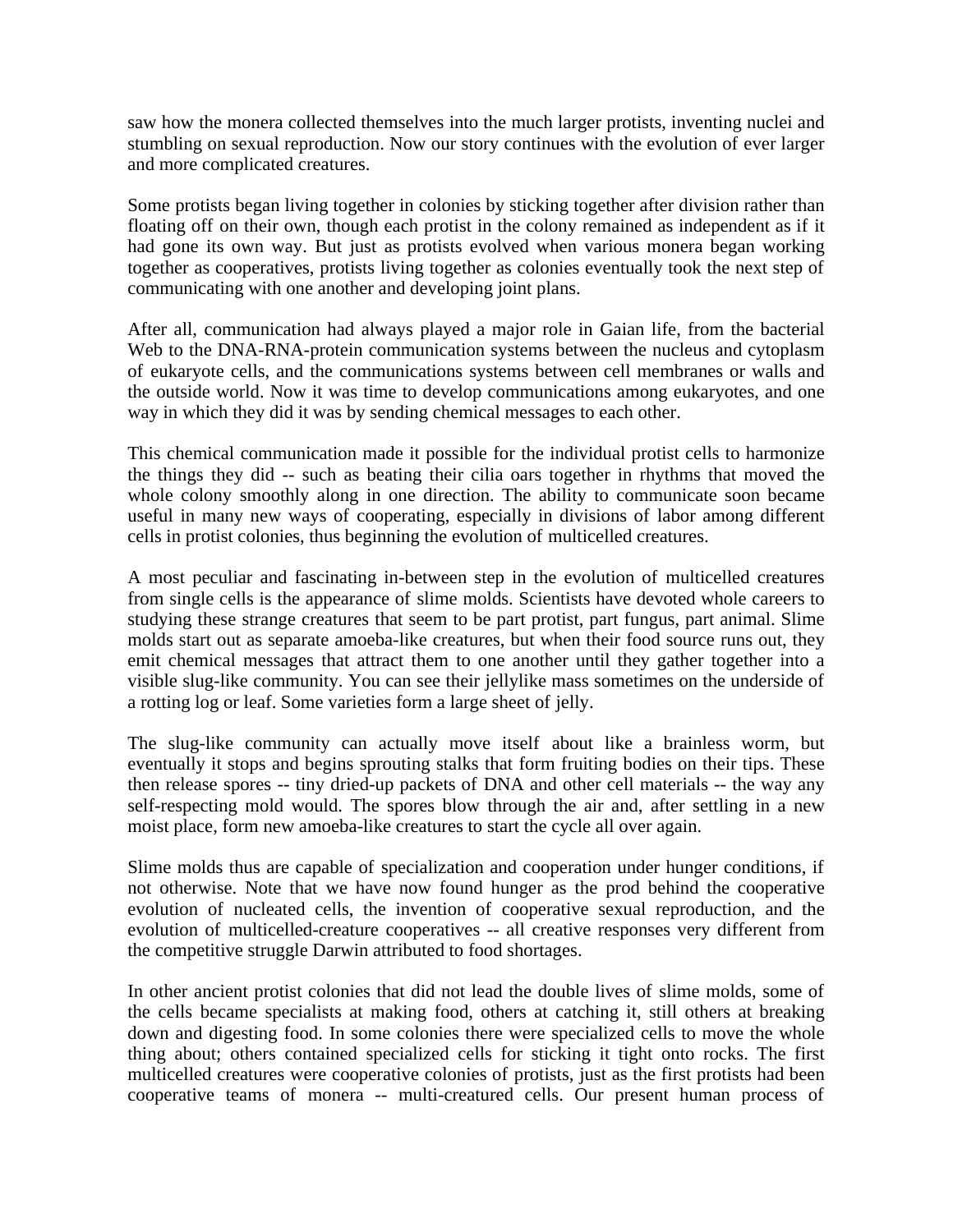saw how the monera collected themselves into the much larger protists, inventing nuclei and stumbling on sexual reproduction. Now our story continues with the evolution of ever larger and more complicated creatures.

Some protists began living together in colonies by sticking together after division rather than floating off on their own, though each protist in the colony remained as independent as if it had gone its own way. But just as protists evolved when various monera began working together as cooperatives, protists living together as colonies eventually took the next step of communicating with one another and developing joint plans.

After all, communication had always played a major role in Gaian life, from the bacterial Web to the DNA-RNA-protein communication systems between the nucleus and cytoplasm of eukaryote cells, and the communications systems between cell membranes or walls and the outside world. Now it was time to develop communications among eukaryotes, and one way in which they did it was by sending chemical messages to each other.

This chemical communication made it possible for the individual protist cells to harmonize the things they did -- such as beating their cilia oars together in rhythms that moved the whole colony smoothly along in one direction. The ability to communicate soon became useful in many new ways of cooperating, especially in divisions of labor among different cells in protist colonies, thus beginning the evolution of multicelled creatures.

A most peculiar and fascinating in-between step in the evolution of multicelled creatures from single cells is the appearance of slime molds. Scientists have devoted whole careers to studying these strange creatures that seem to be part protist, part fungus, part animal. Slime molds start out as separate amoeba-like creatures, but when their food source runs out, they emit chemical messages that attract them to one another until they gather together into a visible slug-like community. You can see their jellylike mass sometimes on the underside of a rotting log or leaf. Some varieties form a large sheet of jelly.

The slug-like community can actually move itself about like a brainless worm, but eventually it stops and begins sprouting stalks that form fruiting bodies on their tips. These then release spores -- tiny dried-up packets of DNA and other cell materials -- the way any self-respecting mold would. The spores blow through the air and, after settling in a new moist place, form new amoeba-like creatures to start the cycle all over again.

Slime molds thus are capable of specialization and cooperation under hunger conditions, if not otherwise. Note that we have now found hunger as the prod behind the cooperative evolution of nucleated cells, the invention of cooperative sexual reproduction, and the evolution of multicelled-creature cooperatives -- all creative responses very different from the competitive struggle Darwin attributed to food shortages.

In other ancient protist colonies that did not lead the double lives of slime molds, some of the cells became specialists at making food, others at catching it, still others at breaking down and digesting food. In some colonies there were specialized cells to move the whole thing about; others contained specialized cells for sticking it tight onto rocks. The first multicelled creatures were cooperative colonies of protists, just as the first protists had been cooperative teams of monera -- multi-creatured cells. Our present human process of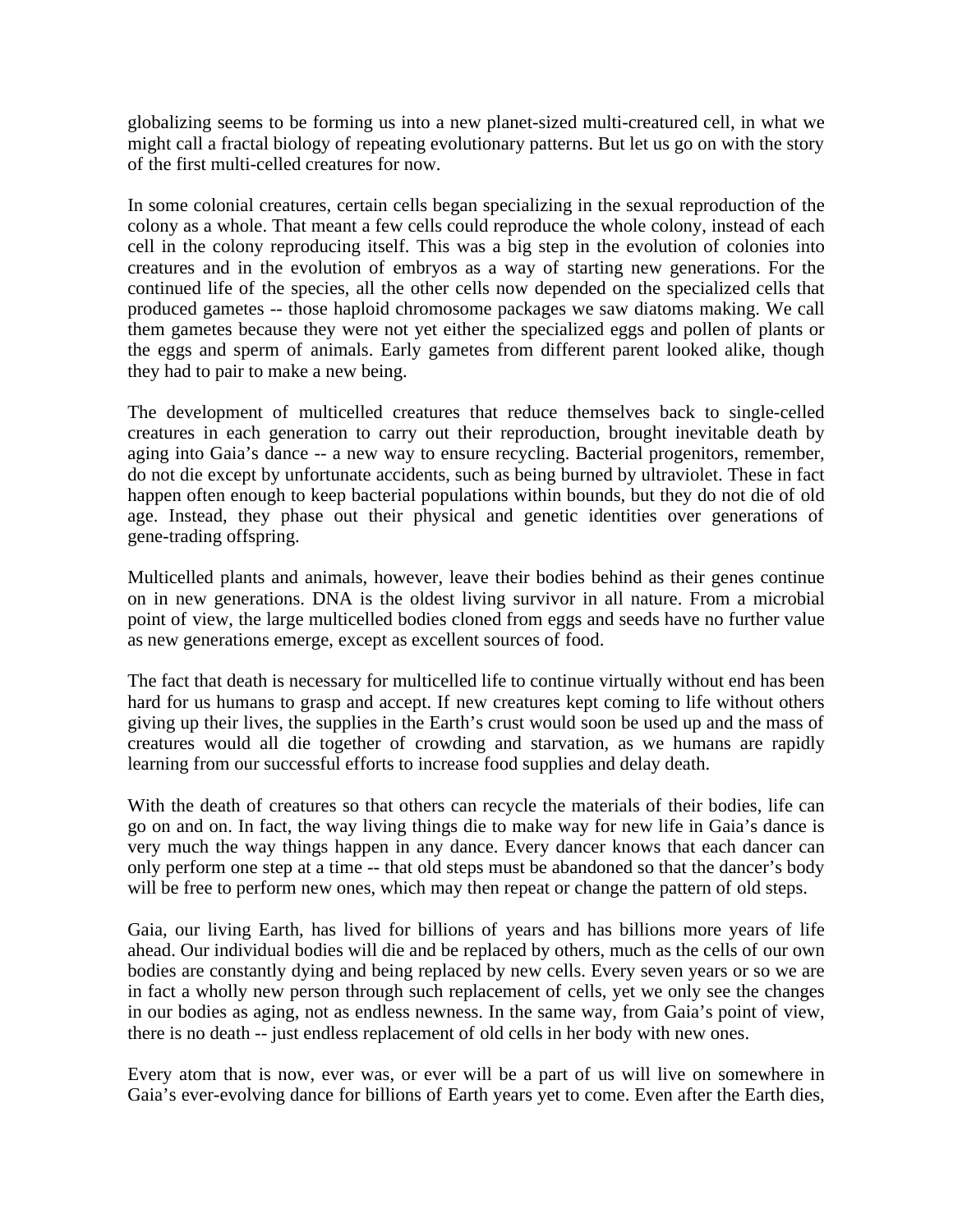globalizing seems to be forming us into a new planet-sized multi-creatured cell, in what we might call a fractal biology of repeating evolutionary patterns. But let us go on with the story of the first multi-celled creatures for now.

In some colonial creatures, certain cells began specializing in the sexual reproduction of the colony as a whole. That meant a few cells could reproduce the whole colony, instead of each cell in the colony reproducing itself. This was a big step in the evolution of colonies into creatures and in the evolution of embryos as a way of starting new generations. For the continued life of the species, all the other cells now depended on the specialized cells that produced gametes -- those haploid chromosome packages we saw diatoms making. We call them gametes because they were not yet either the specialized eggs and pollen of plants or the eggs and sperm of animals. Early gametes from different parent looked alike, though they had to pair to make a new being.

The development of multicelled creatures that reduce themselves back to single-celled creatures in each generation to carry out their reproduction, brought inevitable death by aging into Gaia's dance -- a new way to ensure recycling. Bacterial progenitors, remember, do not die except by unfortunate accidents, such as being burned by ultraviolet. These in fact happen often enough to keep bacterial populations within bounds, but they do not die of old age. Instead, they phase out their physical and genetic identities over generations of gene-trading offspring.

Multicelled plants and animals, however, leave their bodies behind as their genes continue on in new generations. DNA is the oldest living survivor in all nature. From a microbial point of view, the large multicelled bodies cloned from eggs and seeds have no further value as new generations emerge, except as excellent sources of food.

The fact that death is necessary for multicelled life to continue virtually without end has been hard for us humans to grasp and accept. If new creatures kept coming to life without others giving up their lives, the supplies in the Earth's crust would soon be used up and the mass of creatures would all die together of crowding and starvation, as we humans are rapidly learning from our successful efforts to increase food supplies and delay death.

With the death of creatures so that others can recycle the materials of their bodies, life can go on and on. In fact, the way living things die to make way for new life in Gaia's dance is very much the way things happen in any dance. Every dancer knows that each dancer can only perform one step at a time -- that old steps must be abandoned so that the dancer's body will be free to perform new ones, which may then repeat or change the pattern of old steps.

Gaia, our living Earth, has lived for billions of years and has billions more years of life ahead. Our individual bodies will die and be replaced by others, much as the cells of our own bodies are constantly dying and being replaced by new cells. Every seven years or so we are in fact a wholly new person through such replacement of cells, yet we only see the changes in our bodies as aging, not as endless newness. In the same way, from Gaia's point of view, there is no death -- just endless replacement of old cells in her body with new ones.

Every atom that is now, ever was, or ever will be a part of us will live on somewhere in Gaia's ever-evolving dance for billions of Earth years yet to come. Even after the Earth dies,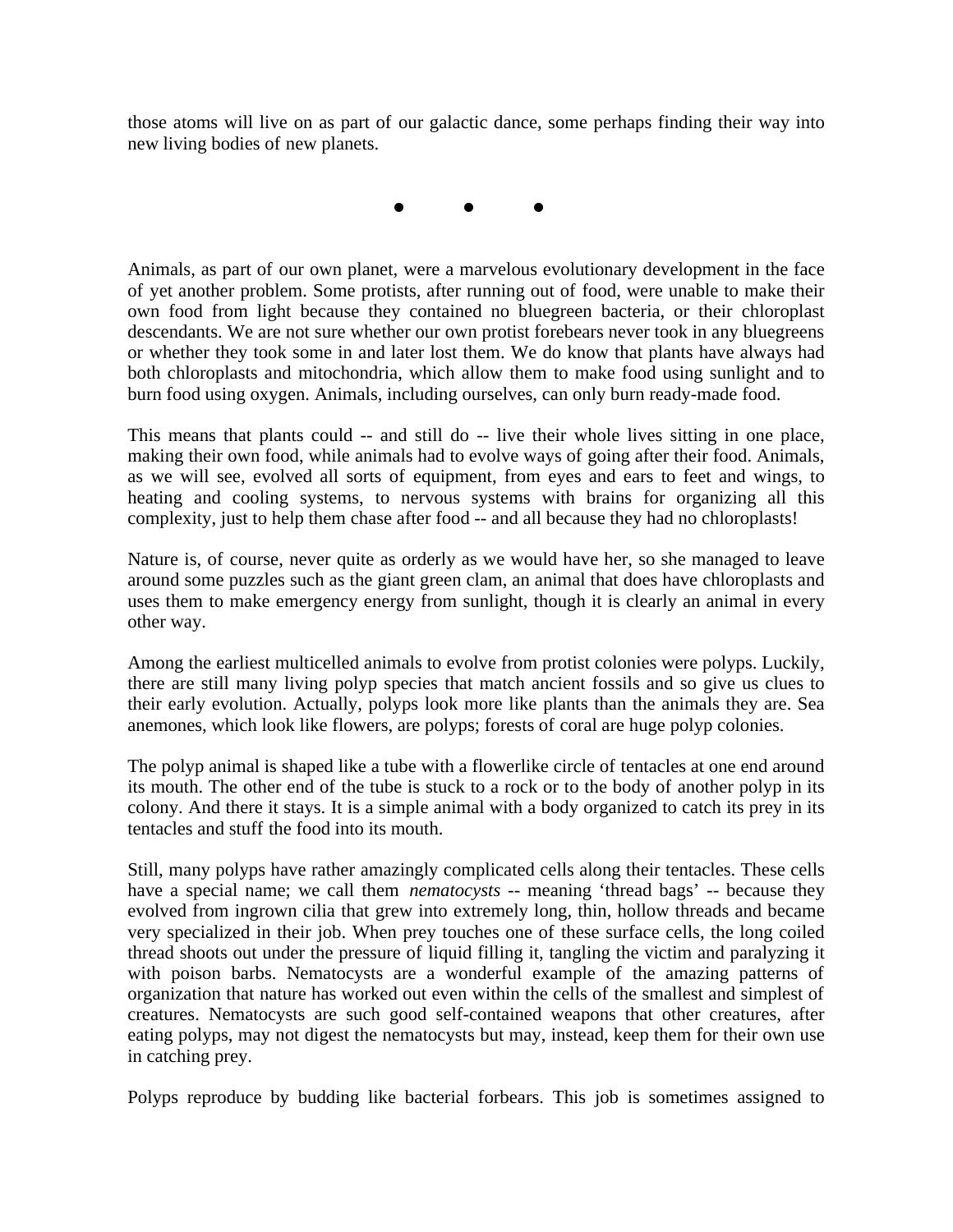those atoms will live on as part of our galactic dance, some perhaps finding their way into new living bodies of new planets.

**· · ·** 

Animals, as part of our own planet, were a marvelous evolutionary development in the face of yet another problem. Some protists, after running out of food, were unable to make their own food from light because they contained no bluegreen bacteria, or their chloroplast descendants. We are not sure whether our own protist forebears never took in any bluegreens or whether they took some in and later lost them. We do know that plants have always had both chloroplasts and mitochondria, which allow them to make food using sunlight and to burn food using oxygen. Animals, including ourselves, can only burn ready-made food.

This means that plants could -- and still do -- live their whole lives sitting in one place, making their own food, while animals had to evolve ways of going after their food. Animals, as we will see, evolved all sorts of equipment, from eyes and ears to feet and wings, to heating and cooling systems, to nervous systems with brains for organizing all this complexity, just to help them chase after food -- and all because they had no chloroplasts!

Nature is, of course, never quite as orderly as we would have her, so she managed to leave around some puzzles such as the giant green clam, an animal that does have chloroplasts and uses them to make emergency energy from sunlight, though it is clearly an animal in every other way.

Among the earliest multicelled animals to evolve from protist colonies were polyps. Luckily, there are still many living polyp species that match ancient fossils and so give us clues to their early evolution. Actually, polyps look more like plants than the animals they are. Sea anemones, which look like flowers, are polyps; forests of coral are huge polyp colonies.

The polyp animal is shaped like a tube with a flowerlike circle of tentacles at one end around its mouth. The other end of the tube is stuck to a rock or to the body of another polyp in its colony. And there it stays. It is a simple animal with a body organized to catch its prey in its tentacles and stuff the food into its mouth.

Still, many polyps have rather amazingly complicated cells along their tentacles. These cells have a special name; we call them *nematocysts* -- meaning 'thread bags' -- because they evolved from ingrown cilia that grew into extremely long, thin, hollow threads and became very specialized in their job. When prey touches one of these surface cells, the long coiled thread shoots out under the pressure of liquid filling it, tangling the victim and paralyzing it with poison barbs. Nematocysts are a wonderful example of the amazing patterns of organization that nature has worked out even within the cells of the smallest and simplest of creatures. Nematocysts are such good self-contained weapons that other creatures, after eating polyps, may not digest the nematocysts but may, instead, keep them for their own use in catching prey.

Polyps reproduce by budding like bacterial forbears. This job is sometimes assigned to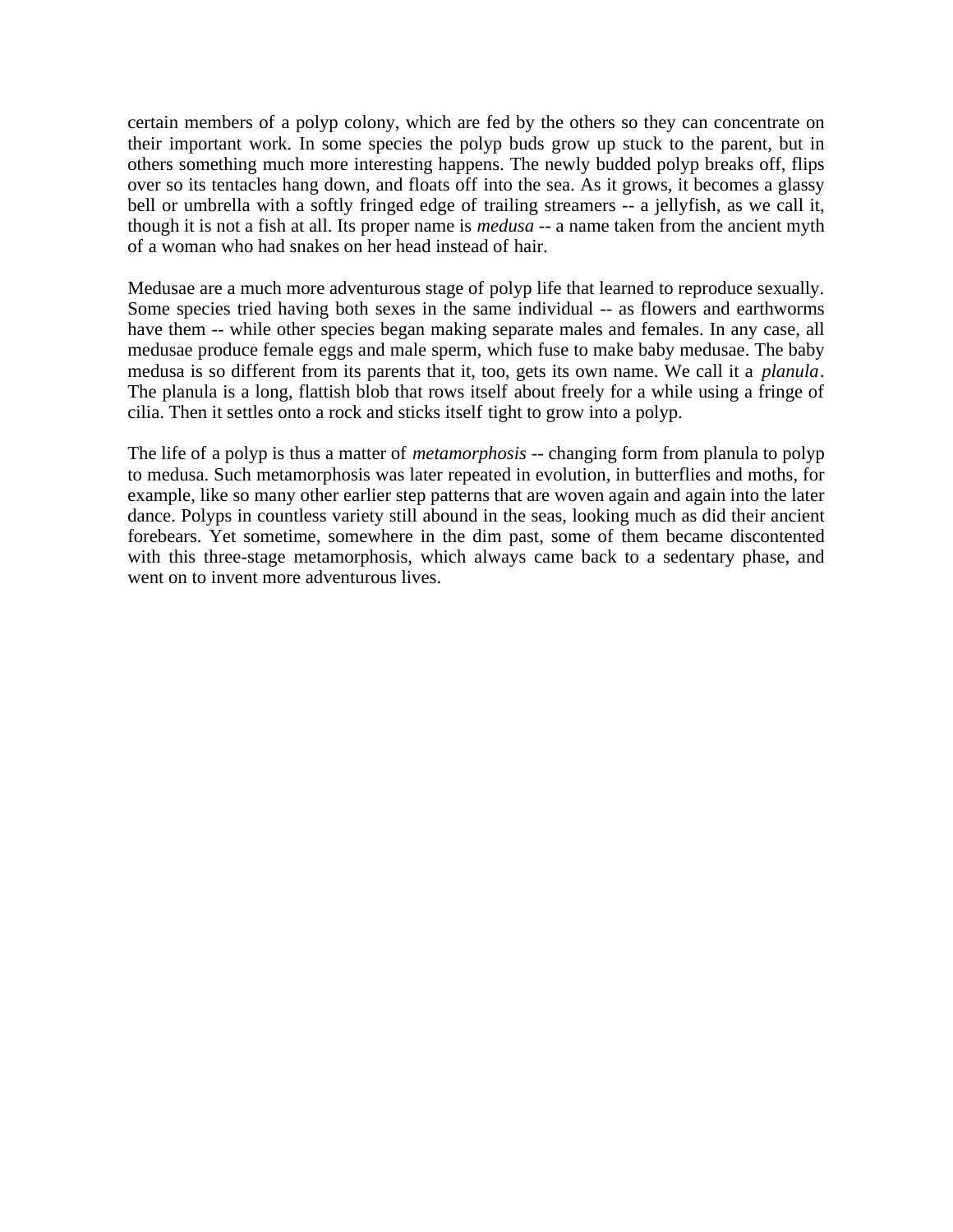certain members of a polyp colony, which are fed by the others so they can concentrate on their important work. In some species the polyp buds grow up stuck to the parent, but in others something much more interesting happens. The newly budded polyp breaks off, flips over so its tentacles hang down, and floats off into the sea. As it grows, it becomes a glassy bell or umbrella with a softly fringed edge of trailing streamers -- a jellyfish, as we call it, though it is not a fish at all. Its proper name is *medusa* -- a name taken from the ancient myth of a woman who had snakes on her head instead of hair.

Medusae are a much more adventurous stage of polyp life that learned to reproduce sexually. Some species tried having both sexes in the same individual -- as flowers and earthworms have them -- while other species began making separate males and females. In any case, all medusae produce female eggs and male sperm, which fuse to make baby medusae. The baby medusa is so different from its parents that it, too, gets its own name. We call it a *planula*. The planula is a long, flattish blob that rows itself about freely for a while using a fringe of cilia. Then it settles onto a rock and sticks itself tight to grow into a polyp.

The life of a polyp is thus a matter of *metamorphosis* -- changing form from planula to polyp to medusa. Such metamorphosis was later repeated in evolution, in butterflies and moths, for example, like so many other earlier step patterns that are woven again and again into the later dance. Polyps in countless variety still abound in the seas, looking much as did their ancient forebears. Yet sometime, somewhere in the dim past, some of them became discontented with this three-stage metamorphosis, which always came back to a sedentary phase, and went on to invent more adventurous lives.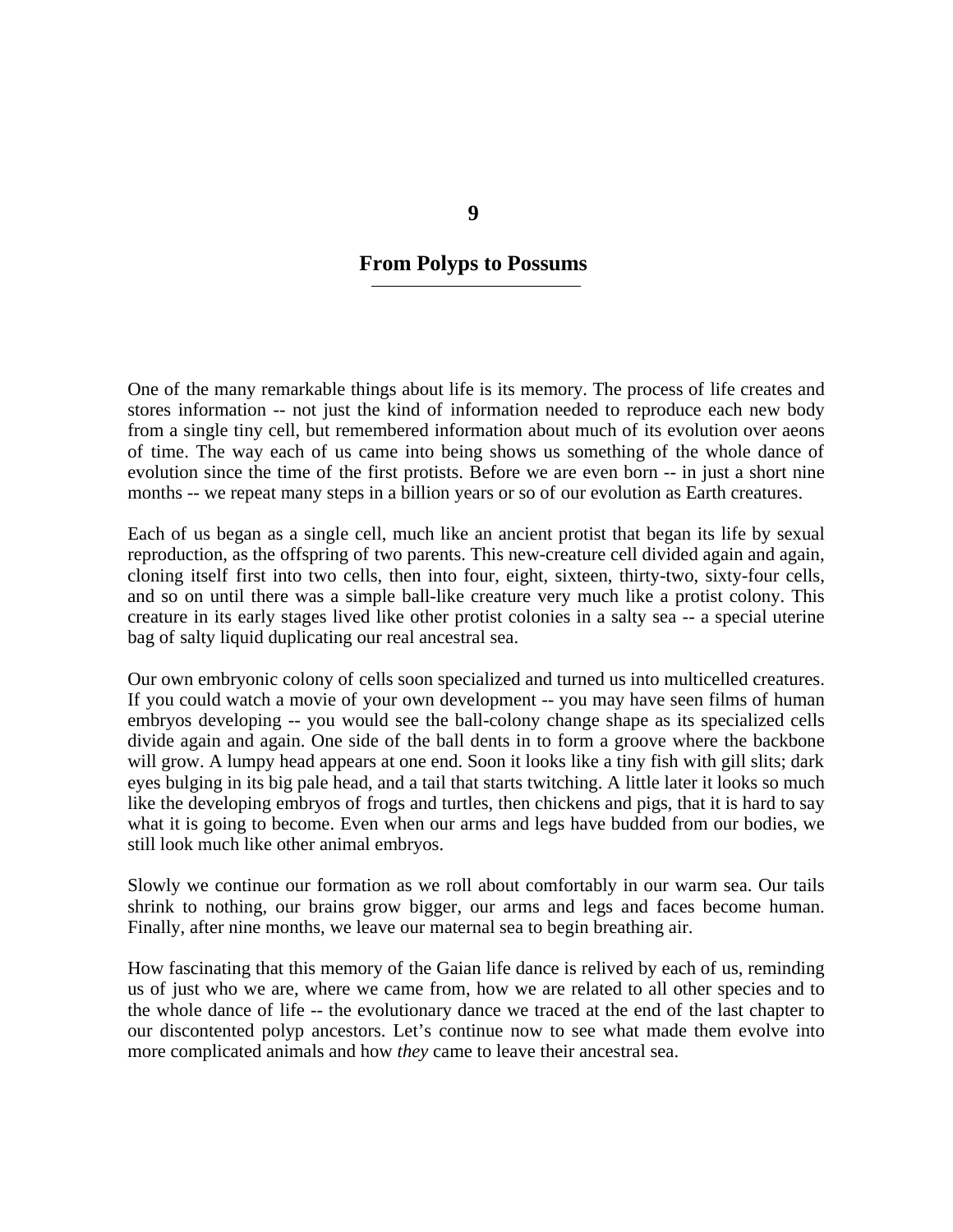## **From Polyps to Possums**

One of the many remarkable things about life is its memory. The process of life creates and stores information -- not just the kind of information needed to reproduce each new body from a single tiny cell, but remembered information about much of its evolution over aeons of time. The way each of us came into being shows us something of the whole dance of evolution since the time of the first protists. Before we are even born -- in just a short nine months -- we repeat many steps in a billion years or so of our evolution as Earth creatures.

Each of us began as a single cell, much like an ancient protist that began its life by sexual reproduction, as the offspring of two parents. This new-creature cell divided again and again, cloning itself first into two cells, then into four, eight, sixteen, thirty-two, sixty-four cells, and so on until there was a simple ball-like creature very much like a protist colony. This creature in its early stages lived like other protist colonies in a salty sea -- a special uterine bag of salty liquid duplicating our real ancestral sea.

Our own embryonic colony of cells soon specialized and turned us into multicelled creatures. If you could watch a movie of your own development -- you may have seen films of human embryos developing -- you would see the ball-colony change shape as its specialized cells divide again and again. One side of the ball dents in to form a groove where the backbone will grow. A lumpy head appears at one end. Soon it looks like a tiny fish with gill slits; dark eyes bulging in its big pale head, and a tail that starts twitching. A little later it looks so much like the developing embryos of frogs and turtles, then chickens and pigs, that it is hard to say what it is going to become. Even when our arms and legs have budded from our bodies, we still look much like other animal embryos.

Slowly we continue our formation as we roll about comfortably in our warm sea. Our tails shrink to nothing, our brains grow bigger, our arms and legs and faces become human. Finally, after nine months, we leave our maternal sea to begin breathing air.

How fascinating that this memory of the Gaian life dance is relived by each of us, reminding us of just who we are, where we came from, how we are related to all other species and to the whole dance of life -- the evolutionary dance we traced at the end of the last chapter to our discontented polyp ancestors. Let's continue now to see what made them evolve into more complicated animals and how *they* came to leave their ancestral sea.

**9**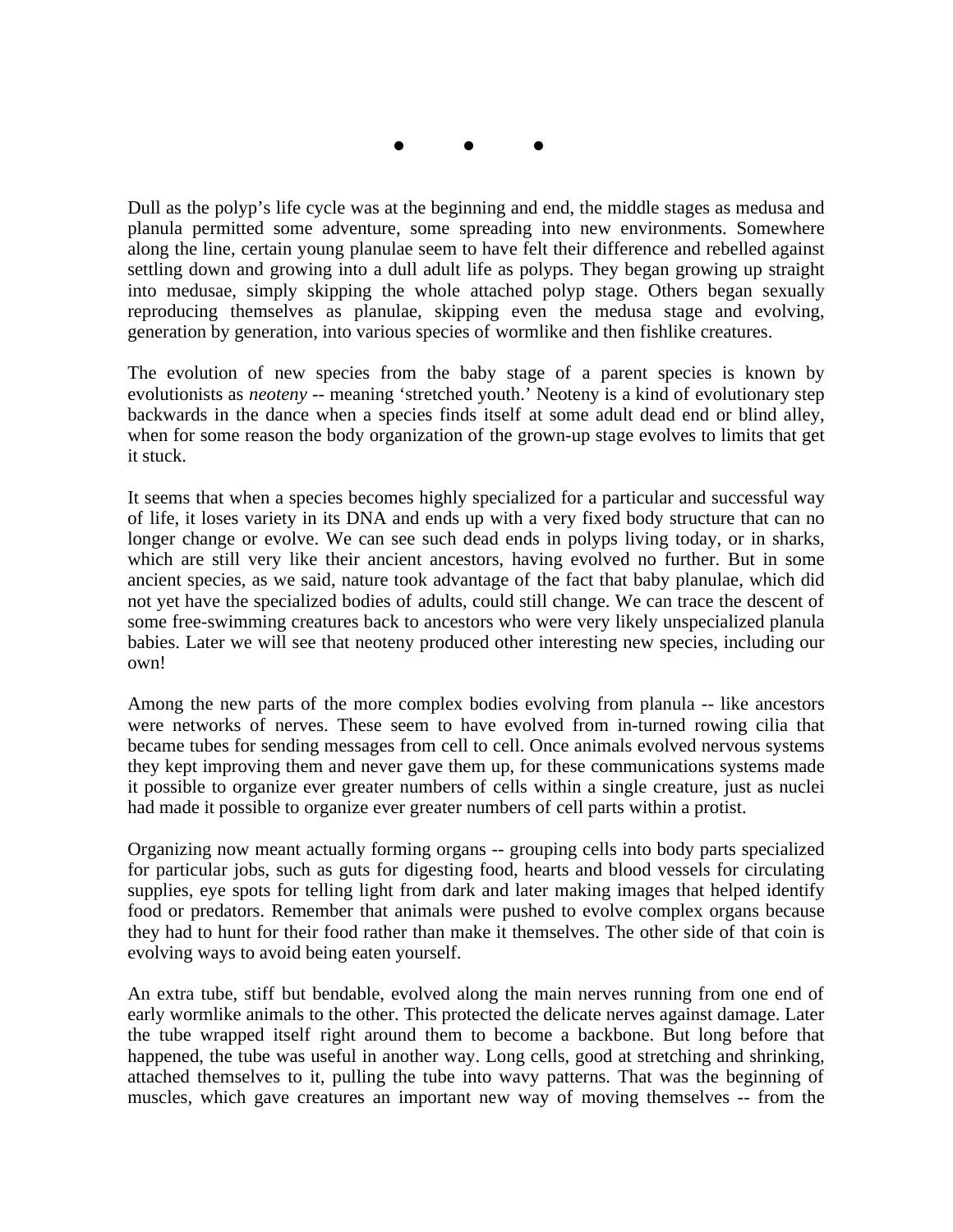

Dull as the polyp's life cycle was at the beginning and end, the middle stages as medusa and planula permitted some adventure, some spreading into new environments. Somewhere along the line, certain young planulae seem to have felt their difference and rebelled against settling down and growing into a dull adult life as polyps. They began growing up straight into medusae, simply skipping the whole attached polyp stage. Others began sexually reproducing themselves as planulae, skipping even the medusa stage and evolving, generation by generation, into various species of wormlike and then fishlike creatures.

The evolution of new species from the baby stage of a parent species is known by evolutionists as *neoteny* -- meaning 'stretched youth.' Neoteny is a kind of evolutionary step backwards in the dance when a species finds itself at some adult dead end or blind alley, when for some reason the body organization of the grown-up stage evolves to limits that get it stuck.

It seems that when a species becomes highly specialized for a particular and successful way of life, it loses variety in its DNA and ends up with a very fixed body structure that can no longer change or evolve. We can see such dead ends in polyps living today, or in sharks, which are still very like their ancient ancestors, having evolved no further. But in some ancient species, as we said, nature took advantage of the fact that baby planulae, which did not yet have the specialized bodies of adults, could still change. We can trace the descent of some free-swimming creatures back to ancestors who were very likely unspecialized planula babies. Later we will see that neoteny produced other interesting new species, including our own!

Among the new parts of the more complex bodies evolving from planula -- like ancestors were networks of nerves. These seem to have evolved from in-turned rowing cilia that became tubes for sending messages from cell to cell. Once animals evolved nervous systems they kept improving them and never gave them up, for these communications systems made it possible to organize ever greater numbers of cells within a single creature, just as nuclei had made it possible to organize ever greater numbers of cell parts within a protist.

Organizing now meant actually forming organs -- grouping cells into body parts specialized for particular jobs, such as guts for digesting food, hearts and blood vessels for circulating supplies, eye spots for telling light from dark and later making images that helped identify food or predators. Remember that animals were pushed to evolve complex organs because they had to hunt for their food rather than make it themselves. The other side of that coin is evolving ways to avoid being eaten yourself.

An extra tube, stiff but bendable, evolved along the main nerves running from one end of early wormlike animals to the other. This protected the delicate nerves against damage. Later the tube wrapped itself right around them to become a backbone. But long before that happened, the tube was useful in another way. Long cells, good at stretching and shrinking, attached themselves to it, pulling the tube into wavy patterns. That was the beginning of muscles, which gave creatures an important new way of moving themselves -- from the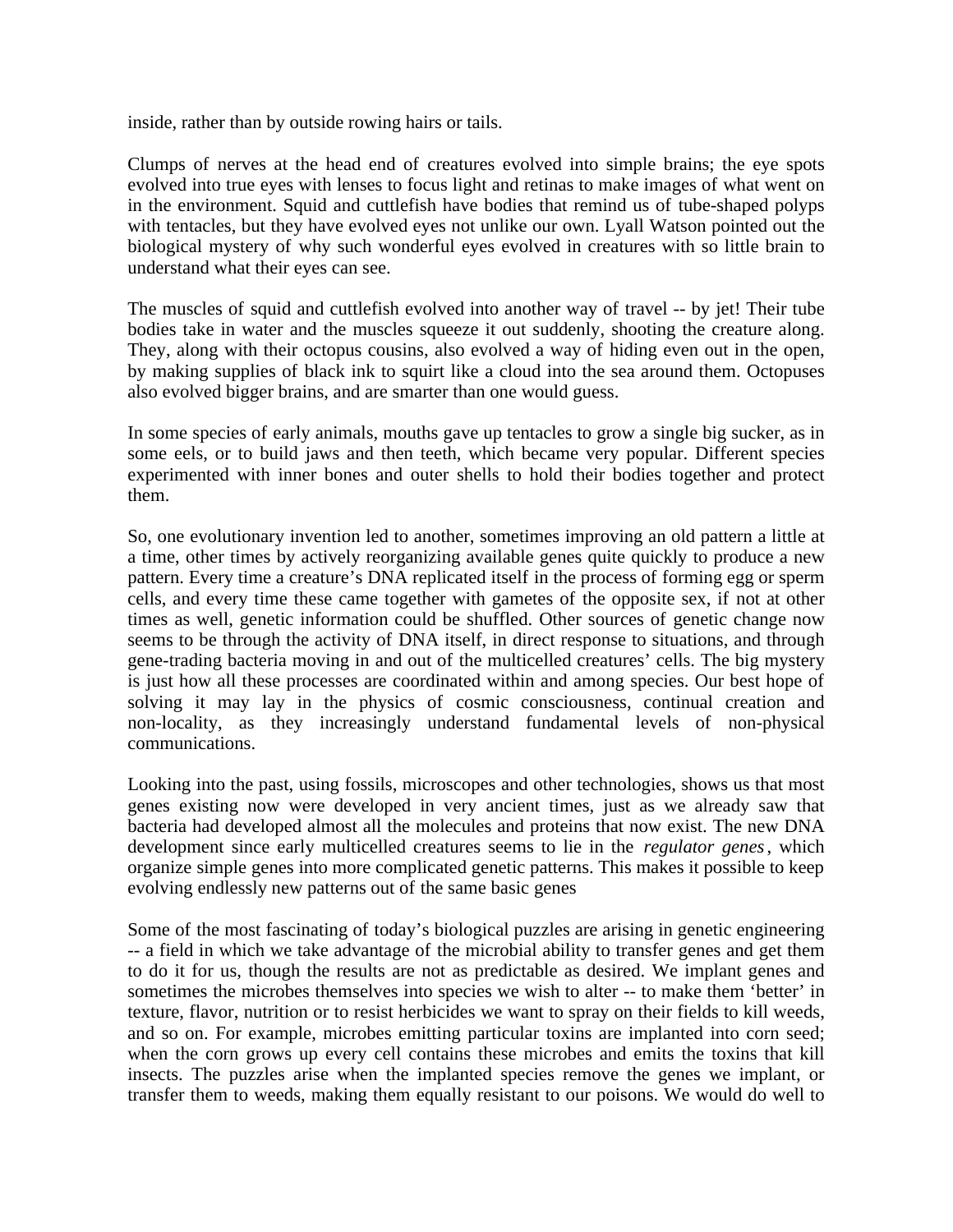inside, rather than by outside rowing hairs or tails.

Clumps of nerves at the head end of creatures evolved into simple brains; the eye spots evolved into true eyes with lenses to focus light and retinas to make images of what went on in the environment. Squid and cuttlefish have bodies that remind us of tube-shaped polyps with tentacles, but they have evolved eyes not unlike our own. Lyall Watson pointed out the biological mystery of why such wonderful eyes evolved in creatures with so little brain to understand what their eyes can see.

The muscles of squid and cuttlefish evolved into another way of travel -- by jet! Their tube bodies take in water and the muscles squeeze it out suddenly, shooting the creature along. They, along with their octopus cousins, also evolved a way of hiding even out in the open, by making supplies of black ink to squirt like a cloud into the sea around them. Octopuses also evolved bigger brains, and are smarter than one would guess.

In some species of early animals, mouths gave up tentacles to grow a single big sucker, as in some eels, or to build jaws and then teeth, which became very popular. Different species experimented with inner bones and outer shells to hold their bodies together and protect them.

So, one evolutionary invention led to another, sometimes improving an old pattern a little at a time, other times by actively reorganizing available genes quite quickly to produce a new pattern. Every time a creature's DNA replicated itself in the process of forming egg or sperm cells, and every time these came together with gametes of the opposite sex, if not at other times as well, genetic information could be shuffled. Other sources of genetic change now seems to be through the activity of DNA itself, in direct response to situations, and through gene-trading bacteria moving in and out of the multicelled creatures' cells. The big mystery is just how all these processes are coordinated within and among species. Our best hope of solving it may lay in the physics of cosmic consciousness, continual creation and non-locality, as they increasingly understand fundamental levels of non-physical communications.

Looking into the past, using fossils, microscopes and other technologies, shows us that most genes existing now were developed in very ancient times, just as we already saw that bacteria had developed almost all the molecules and proteins that now exist. The new DNA development since early multicelled creatures seems to lie in the *regulator genes*, which organize simple genes into more complicated genetic patterns. This makes it possible to keep evolving endlessly new patterns out of the same basic genes

Some of the most fascinating of today's biological puzzles are arising in genetic engineering -- a field in which we take advantage of the microbial ability to transfer genes and get them to do it for us, though the results are not as predictable as desired. We implant genes and sometimes the microbes themselves into species we wish to alter -- to make them 'better' in texture, flavor, nutrition or to resist herbicides we want to spray on their fields to kill weeds, and so on. For example, microbes emitting particular toxins are implanted into corn seed; when the corn grows up every cell contains these microbes and emits the toxins that kill insects. The puzzles arise when the implanted species remove the genes we implant, or transfer them to weeds, making them equally resistant to our poisons. We would do well to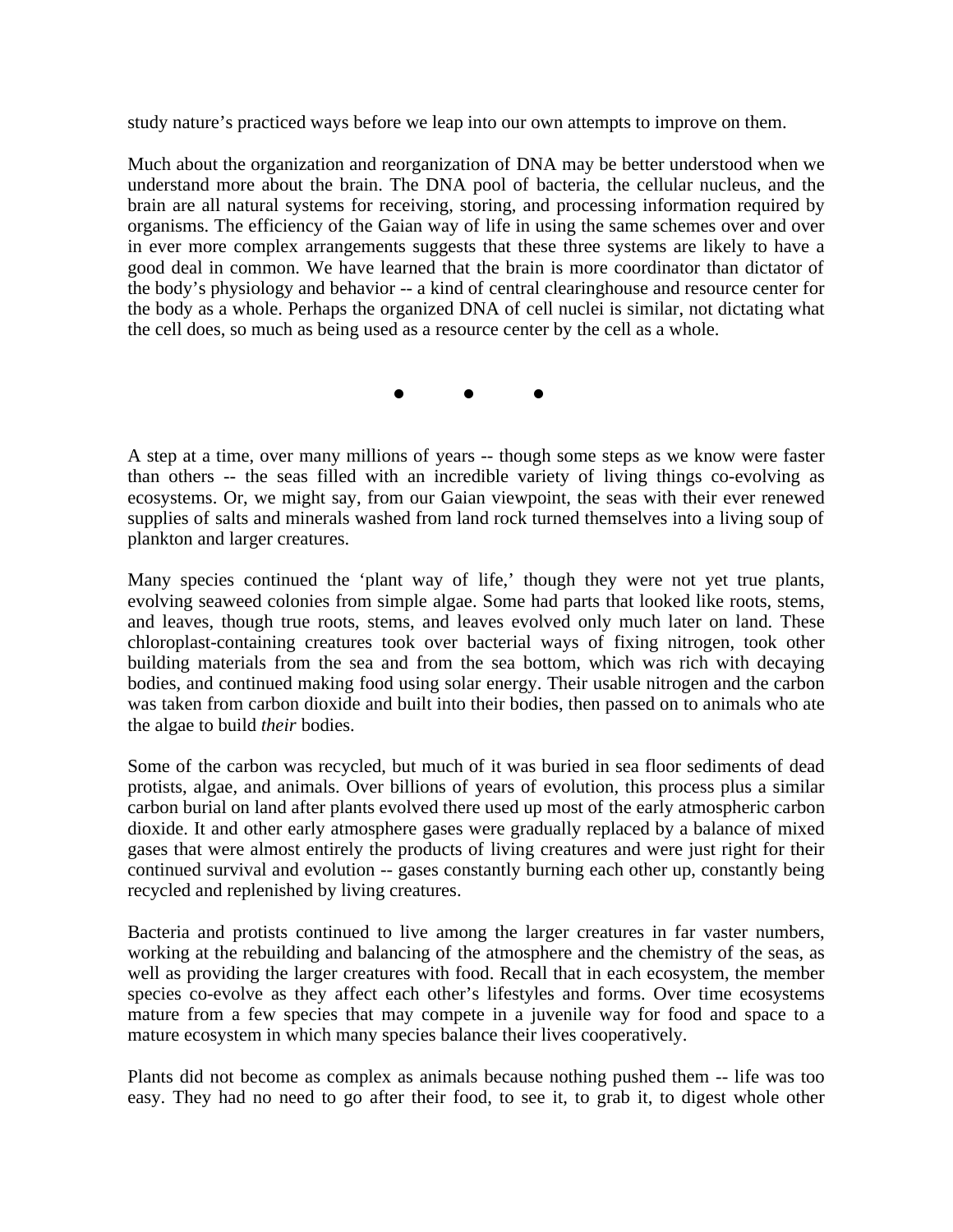study nature's practiced ways before we leap into our own attempts to improve on them.

Much about the organization and reorganization of DNA may be better understood when we understand more about the brain. The DNA pool of bacteria, the cellular nucleus, and the brain are all natural systems for receiving, storing, and processing information required by organisms. The efficiency of the Gaian way of life in using the same schemes over and over in ever more complex arrangements suggests that these three systems are likely to have a good deal in common. We have learned that the brain is more coordinator than dictator of the body's physiology and behavior -- a kind of central clearinghouse and resource center for the body as a whole. Perhaps the organized DNA of cell nuclei is similar, not dictating what the cell does, so much as being used as a resource center by the cell as a whole.

**· · ·** 

A step at a time, over many millions of years -- though some steps as we know were faster than others -- the seas filled with an incredible variety of living things co-evolving as ecosystems. Or, we might say, from our Gaian viewpoint, the seas with their ever renewed supplies of salts and minerals washed from land rock turned themselves into a living soup of plankton and larger creatures.

Many species continued the 'plant way of life,' though they were not yet true plants, evolving seaweed colonies from simple algae. Some had parts that looked like roots, stems, and leaves, though true roots, stems, and leaves evolved only much later on land. These chloroplast-containing creatures took over bacterial ways of fixing nitrogen, took other building materials from the sea and from the sea bottom, which was rich with decaying bodies, and continued making food using solar energy. Their usable nitrogen and the carbon was taken from carbon dioxide and built into their bodies, then passed on to animals who ate the algae to build *their* bodies.

Some of the carbon was recycled, but much of it was buried in sea floor sediments of dead protists, algae, and animals. Over billions of years of evolution, this process plus a similar carbon burial on land after plants evolved there used up most of the early atmospheric carbon dioxide. It and other early atmosphere gases were gradually replaced by a balance of mixed gases that were almost entirely the products of living creatures and were just right for their continued survival and evolution -- gases constantly burning each other up, constantly being recycled and replenished by living creatures.

Bacteria and protists continued to live among the larger creatures in far vaster numbers, working at the rebuilding and balancing of the atmosphere and the chemistry of the seas, as well as providing the larger creatures with food. Recall that in each ecosystem, the member species co-evolve as they affect each other's lifestyles and forms. Over time ecosystems mature from a few species that may compete in a juvenile way for food and space to a mature ecosystem in which many species balance their lives cooperatively.

Plants did not become as complex as animals because nothing pushed them -- life was too easy. They had no need to go after their food, to see it, to grab it, to digest whole other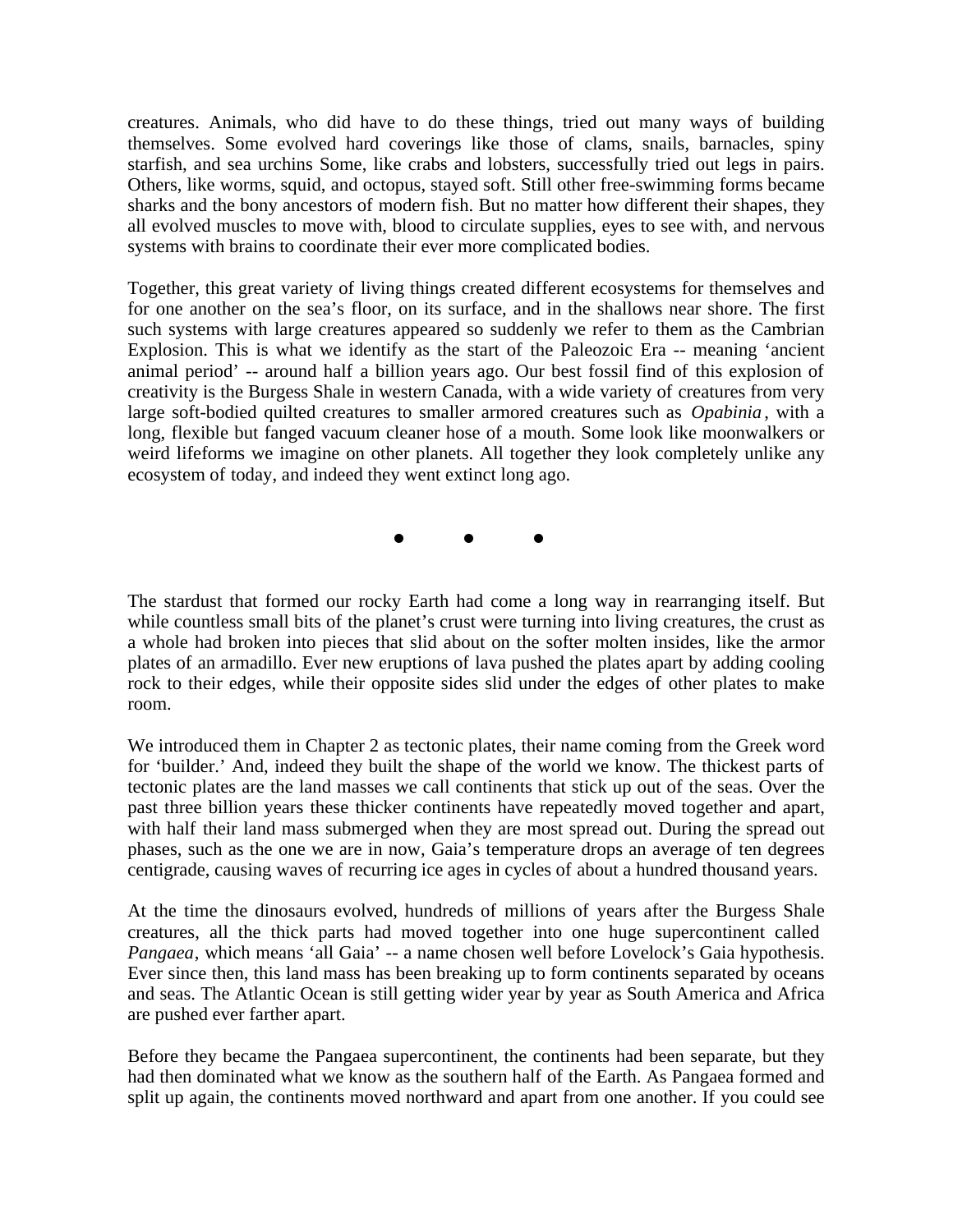creatures. Animals, who did have to do these things, tried out many ways of building themselves. Some evolved hard coverings like those of clams, snails, barnacles, spiny starfish, and sea urchins Some, like crabs and lobsters, successfully tried out legs in pairs. Others, like worms, squid, and octopus, stayed soft. Still other free-swimming forms became sharks and the bony ancestors of modern fish. But no matter how different their shapes, they all evolved muscles to move with, blood to circulate supplies, eyes to see with, and nervous systems with brains to coordinate their ever more complicated bodies.

Together, this great variety of living things created different ecosystems for themselves and for one another on the sea's floor, on its surface, and in the shallows near shore. The first such systems with large creatures appeared so suddenly we refer to them as the Cambrian Explosion. This is what we identify as the start of the Paleozoic Era -- meaning 'ancient animal period' -- around half a billion years ago. Our best fossil find of this explosion of creativity is the Burgess Shale in western Canada, with a wide variety of creatures from very large soft-bodied quilted creatures to smaller armored creatures such as *Opabinia* , with a long, flexible but fanged vacuum cleaner hose of a mouth. Some look like moonwalkers or weird lifeforms we imagine on other planets. All together they look completely unlike any ecosystem of today, and indeed they went extinct long ago.

**· · ·** 

The stardust that formed our rocky Earth had come a long way in rearranging itself. But while countless small bits of the planet's crust were turning into living creatures, the crust as a whole had broken into pieces that slid about on the softer molten insides, like the armor plates of an armadillo. Ever new eruptions of lava pushed the plates apart by adding cooling rock to their edges, while their opposite sides slid under the edges of other plates to make room.

We introduced them in Chapter 2 as tectonic plates, their name coming from the Greek word for 'builder.' And, indeed they built the shape of the world we know. The thickest parts of tectonic plates are the land masses we call continents that stick up out of the seas. Over the past three billion years these thicker continents have repeatedly moved together and apart, with half their land mass submerged when they are most spread out. During the spread out phases, such as the one we are in now, Gaia's temperature drops an average of ten degrees centigrade, causing waves of recurring ice ages in cycles of about a hundred thousand years.

At the time the dinosaurs evolved, hundreds of millions of years after the Burgess Shale creatures, all the thick parts had moved together into one huge supercontinent called *Pangaea*, which means 'all Gaia' -- a name chosen well before Lovelock's Gaia hypothesis. Ever since then, this land mass has been breaking up to form continents separated by oceans and seas. The Atlantic Ocean is still getting wider year by year as South America and Africa are pushed ever farther apart.

Before they became the Pangaea supercontinent, the continents had been separate, but they had then dominated what we know as the southern half of the Earth. As Pangaea formed and split up again, the continents moved northward and apart from one another. If you could see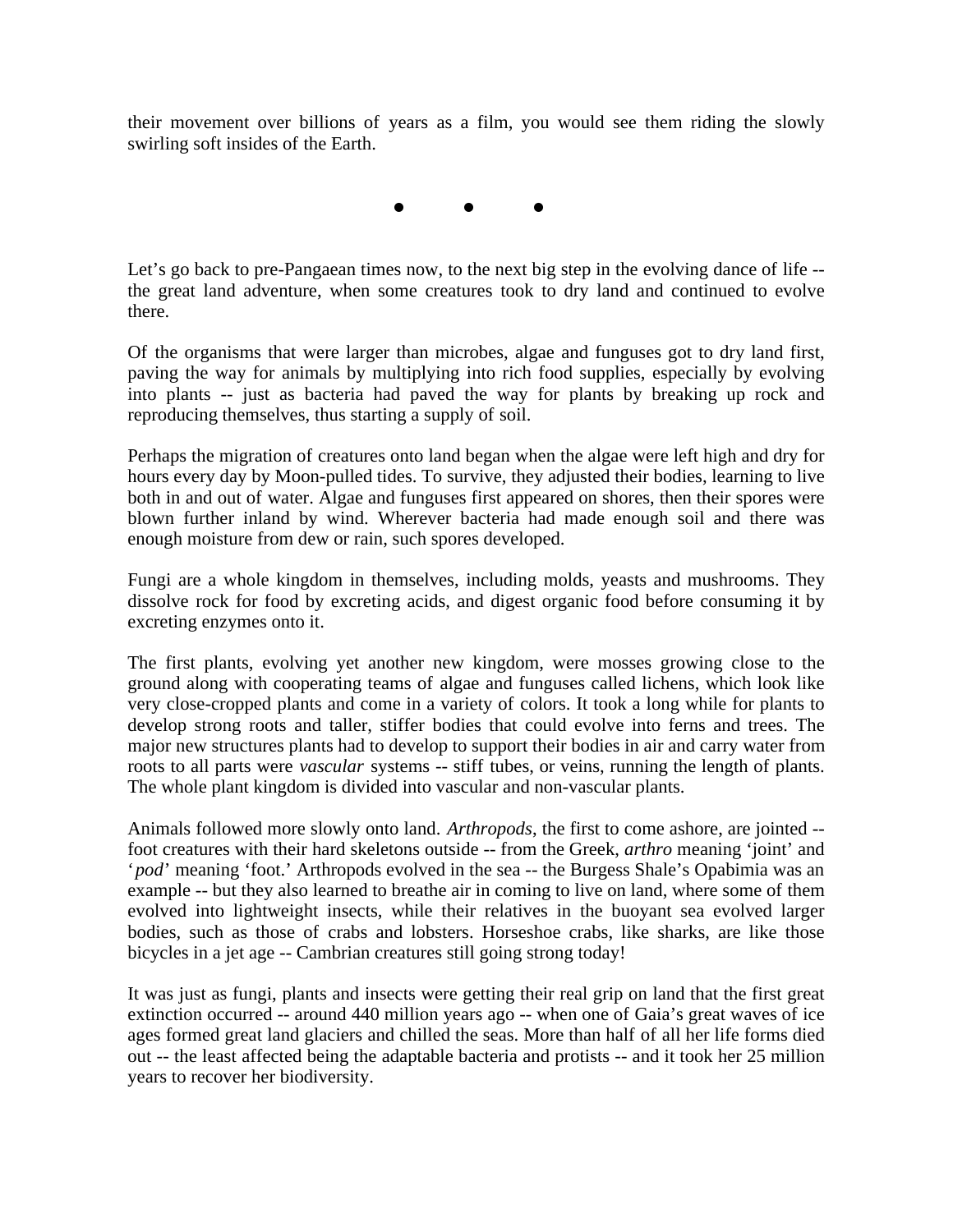their movement over billions of years as a film, you would see them riding the slowly swirling soft insides of the Earth.

**· · ·** 

Let's go back to pre-Pangaean times now, to the next big step in the evolving dance of life -the great land adventure, when some creatures took to dry land and continued to evolve there.

Of the organisms that were larger than microbes, algae and funguses got to dry land first, paving the way for animals by multiplying into rich food supplies, especially by evolving into plants -- just as bacteria had paved the way for plants by breaking up rock and reproducing themselves, thus starting a supply of soil.

Perhaps the migration of creatures onto land began when the algae were left high and dry for hours every day by Moon-pulled tides. To survive, they adjusted their bodies, learning to live both in and out of water. Algae and funguses first appeared on shores, then their spores were blown further inland by wind. Wherever bacteria had made enough soil and there was enough moisture from dew or rain, such spores developed.

Fungi are a whole kingdom in themselves, including molds, yeasts and mushrooms. They dissolve rock for food by excreting acids, and digest organic food before consuming it by excreting enzymes onto it.

The first plants, evolving yet another new kingdom, were mosses growing close to the ground along with cooperating teams of algae and funguses called lichens, which look like very close-cropped plants and come in a variety of colors. It took a long while for plants to develop strong roots and taller, stiffer bodies that could evolve into ferns and trees. The major new structures plants had to develop to support their bodies in air and carry water from roots to all parts were *vascular* systems -- stiff tubes, or veins, running the length of plants. The whole plant kingdom is divided into vascular and non-vascular plants.

Animals followed more slowly onto land. *Arthropods*, the first to come ashore, are jointed - foot creatures with their hard skeletons outside -- from the Greek, *arthro* meaning 'joint' and '*pod*' meaning 'foot.' Arthropods evolved in the sea -- the Burgess Shale's Opabimia was an example -- but they also learned to breathe air in coming to live on land, where some of them evolved into lightweight insects, while their relatives in the buoyant sea evolved larger bodies, such as those of crabs and lobsters. Horseshoe crabs, like sharks, are like those bicycles in a jet age -- Cambrian creatures still going strong today!

It was just as fungi, plants and insects were getting their real grip on land that the first great extinction occurred -- around 440 million years ago -- when one of Gaia's great waves of ice ages formed great land glaciers and chilled the seas. More than half of all her life forms died out -- the least affected being the adaptable bacteria and protists -- and it took her 25 million years to recover her biodiversity.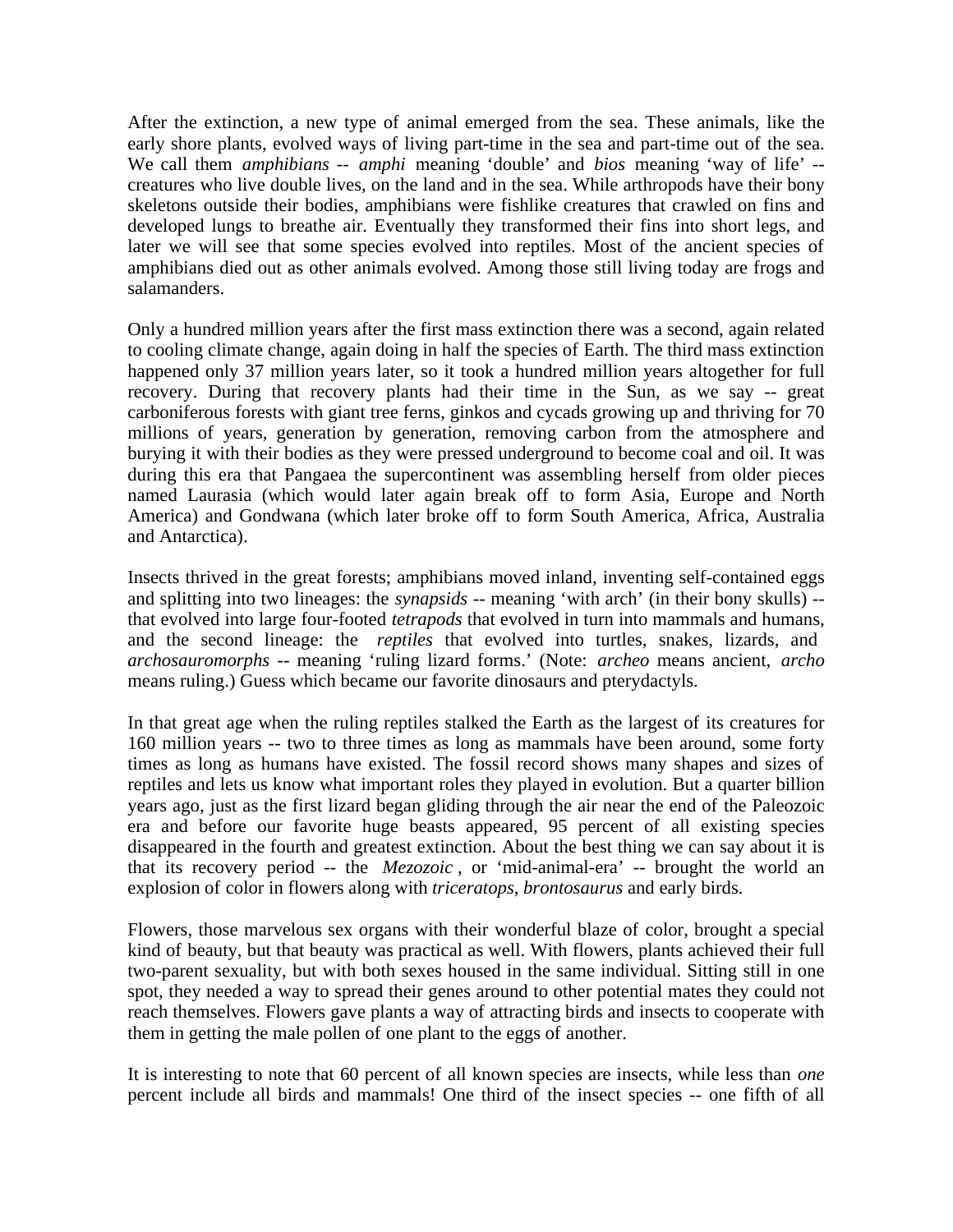After the extinction, a new type of animal emerged from the sea. These animals, like the early shore plants, evolved ways of living part-time in the sea and part-time out of the sea. We call them *amphibians* -- *amphi* meaning 'double' and *bios* meaning 'way of life' - creatures who live double lives, on the land and in the sea. While arthropods have their bony skeletons outside their bodies, amphibians were fishlike creatures that crawled on fins and developed lungs to breathe air. Eventually they transformed their fins into short legs, and later we will see that some species evolved into reptiles. Most of the ancient species of amphibians died out as other animals evolved. Among those still living today are frogs and salamanders.

Only a hundred million years after the first mass extinction there was a second, again related to cooling climate change, again doing in half the species of Earth. The third mass extinction happened only 37 million years later, so it took a hundred million years altogether for full recovery. During that recovery plants had their time in the Sun, as we say -- great carboniferous forests with giant tree ferns, ginkos and cycads growing up and thriving for 70 millions of years, generation by generation, removing carbon from the atmosphere and burying it with their bodies as they were pressed underground to become coal and oil. It was during this era that Pangaea the supercontinent was assembling herself from older pieces named Laurasia (which would later again break off to form Asia, Europe and North America) and Gondwana (which later broke off to form South America, Africa, Australia and Antarctica).

Insects thrived in the great forests; amphibians moved inland, inventing self-contained eggs and splitting into two lineages: the *synapsids* -- meaning 'with arch' (in their bony skulls) - that evolved into large four-footed *tetrapods* that evolved in turn into mammals and humans, and the second lineage: the *reptiles* that evolved into turtles, snakes, lizards, and *archosauromorphs* -- meaning 'ruling lizard forms.' (Note: *archeo* means ancient, *archo* means ruling.) Guess which became our favorite dinosaurs and pterydactyls.

In that great age when the ruling reptiles stalked the Earth as the largest of its creatures for 160 million years -- two to three times as long as mammals have been around, some forty times as long as humans have existed. The fossil record shows many shapes and sizes of reptiles and lets us know what important roles they played in evolution. But a quarter billion years ago, just as the first lizard began gliding through the air near the end of the Paleozoic era and before our favorite huge beasts appeared, 95 percent of all existing species disappeared in the fourth and greatest extinction. About the best thing we can say about it is that its recovery period -- the *Mezozoic* , or 'mid-animal-era' -- brought the world an explosion of color in flowers along with *triceratops*, *brontosaurus* and early birds.

Flowers, those marvelous sex organs with their wonderful blaze of color, brought a special kind of beauty, but that beauty was practical as well. With flowers, plants achieved their full two-parent sexuality, but with both sexes housed in the same individual. Sitting still in one spot, they needed a way to spread their genes around to other potential mates they could not reach themselves. Flowers gave plants a way of attracting birds and insects to cooperate with them in getting the male pollen of one plant to the eggs of another.

It is interesting to note that 60 percent of all known species are insects, while less than *one* percent include all birds and mammals! One third of the insect species -- one fifth of all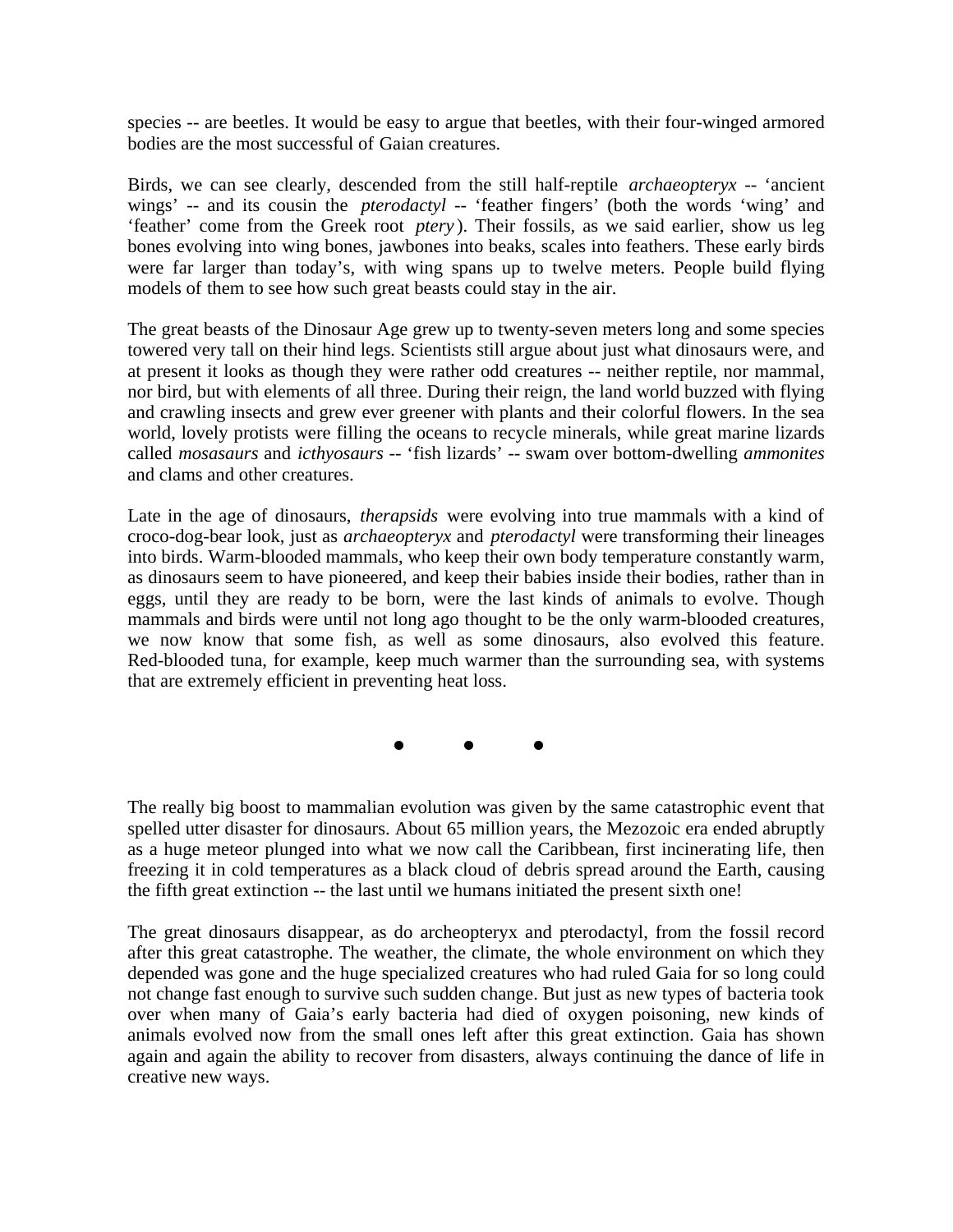species -- are beetles. It would be easy to argue that beetles, with their four-winged armored bodies are the most successful of Gaian creatures.

Birds, we can see clearly, descended from the still half-reptile *archaeopteryx* -- 'ancient wings' -- and its cousin the *pterodactyl* -- 'feather fingers' (both the words 'wing' and 'feather' come from the Greek root *ptery* ). Their fossils, as we said earlier, show us leg bones evolving into wing bones, jawbones into beaks, scales into feathers. These early birds were far larger than today's, with wing spans up to twelve meters. People build flying models of them to see how such great beasts could stay in the air.

The great beasts of the Dinosaur Age grew up to twenty-seven meters long and some species towered very tall on their hind legs. Scientists still argue about just what dinosaurs were, and at present it looks as though they were rather odd creatures -- neither reptile, nor mammal, nor bird, but with elements of all three. During their reign, the land world buzzed with flying and crawling insects and grew ever greener with plants and their colorful flowers. In the sea world, lovely protists were filling the oceans to recycle minerals, while great marine lizards called *mosasaurs* and *icthyosaurs* -- 'fish lizards' -- swam over bottom-dwelling *ammonites* and clams and other creatures.

Late in the age of dinosaurs, *therapsids* were evolving into true mammals with a kind of croco-dog-bear look, just as *archaeopteryx* and *pterodactyl* were transforming their lineages into birds. Warm-blooded mammals, who keep their own body temperature constantly warm, as dinosaurs seem to have pioneered, and keep their babies inside their bodies, rather than in eggs, until they are ready to be born, were the last kinds of animals to evolve. Though mammals and birds were until not long ago thought to be the only warm-blooded creatures, we now know that some fish, as well as some dinosaurs, also evolved this feature. Red-blooded tuna, for example, keep much warmer than the surrounding sea, with systems that are extremely efficient in preventing heat loss.

**· · ·** 

The really big boost to mammalian evolution was given by the same catastrophic event that spelled utter disaster for dinosaurs. About 65 million years, the Mezozoic era ended abruptly as a huge meteor plunged into what we now call the Caribbean, first incinerating life, then freezing it in cold temperatures as a black cloud of debris spread around the Earth, causing the fifth great extinction -- the last until we humans initiated the present sixth one!

The great dinosaurs disappear, as do archeopteryx and pterodactyl, from the fossil record after this great catastrophe. The weather, the climate, the whole environment on which they depended was gone and the huge specialized creatures who had ruled Gaia for so long could not change fast enough to survive such sudden change. But just as new types of bacteria took over when many of Gaia's early bacteria had died of oxygen poisoning, new kinds of animals evolved now from the small ones left after this great extinction. Gaia has shown again and again the ability to recover from disasters, always continuing the dance of life in creative new ways.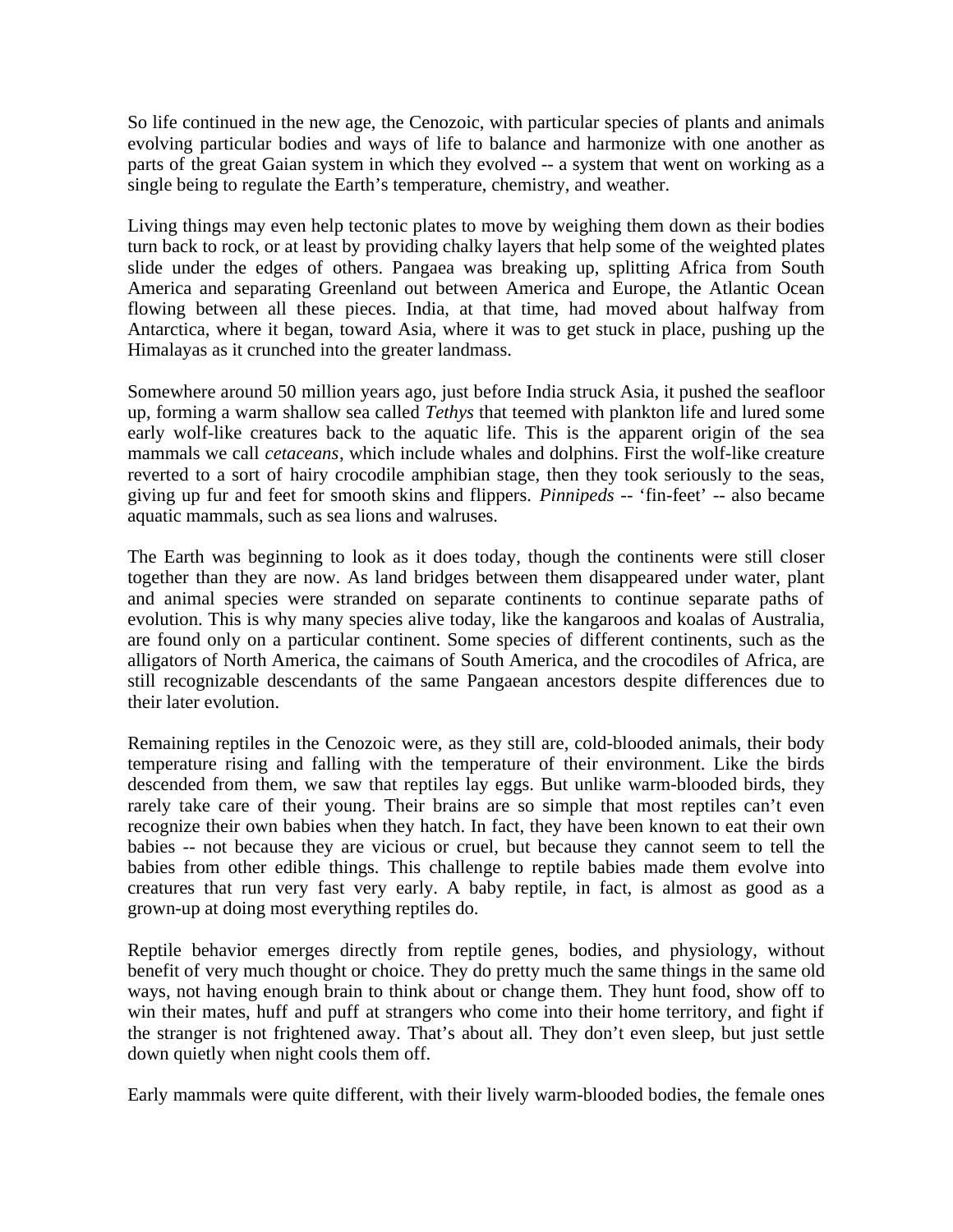So life continued in the new age, the Cenozoic, with particular species of plants and animals evolving particular bodies and ways of life to balance and harmonize with one another as parts of the great Gaian system in which they evolved -- a system that went on working as a single being to regulate the Earth's temperature, chemistry, and weather.

Living things may even help tectonic plates to move by weighing them down as their bodies turn back to rock, or at least by providing chalky layers that help some of the weighted plates slide under the edges of others. Pangaea was breaking up, splitting Africa from South America and separating Greenland out between America and Europe, the Atlantic Ocean flowing between all these pieces. India, at that time, had moved about halfway from Antarctica, where it began, toward Asia, where it was to get stuck in place, pushing up the Himalayas as it crunched into the greater landmass.

Somewhere around 50 million years ago, just before India struck Asia, it pushed the seafloor up, forming a warm shallow sea called *Tethys* that teemed with plankton life and lured some early wolf-like creatures back to the aquatic life. This is the apparent origin of the sea mammals we call *cetaceans*, which include whales and dolphins. First the wolf-like creature reverted to a sort of hairy crocodile amphibian stage, then they took seriously to the seas, giving up fur and feet for smooth skins and flippers. *Pinnipeds* -- 'fin-feet' -- also became aquatic mammals, such as sea lions and walruses.

The Earth was beginning to look as it does today, though the continents were still closer together than they are now. As land bridges between them disappeared under water, plant and animal species were stranded on separate continents to continue separate paths of evolution. This is why many species alive today, like the kangaroos and koalas of Australia, are found only on a particular continent. Some species of different continents, such as the alligators of North America, the caimans of South America, and the crocodiles of Africa, are still recognizable descendants of the same Pangaean ancestors despite differences due to their later evolution.

Remaining reptiles in the Cenozoic were, as they still are, cold-blooded animals, their body temperature rising and falling with the temperature of their environment. Like the birds descended from them, we saw that reptiles lay eggs. But unlike warm-blooded birds, they rarely take care of their young. Their brains are so simple that most reptiles can't even recognize their own babies when they hatch. In fact, they have been known to eat their own babies -- not because they are vicious or cruel, but because they cannot seem to tell the babies from other edible things. This challenge to reptile babies made them evolve into creatures that run very fast very early. A baby reptile, in fact, is almost as good as a grown-up at doing most everything reptiles do.

Reptile behavior emerges directly from reptile genes, bodies, and physiology, without benefit of very much thought or choice. They do pretty much the same things in the same old ways, not having enough brain to think about or change them. They hunt food, show off to win their mates, huff and puff at strangers who come into their home territory, and fight if the stranger is not frightened away. That's about all. They don't even sleep, but just settle down quietly when night cools them off.

Early mammals were quite different, with their lively warm-blooded bodies, the female ones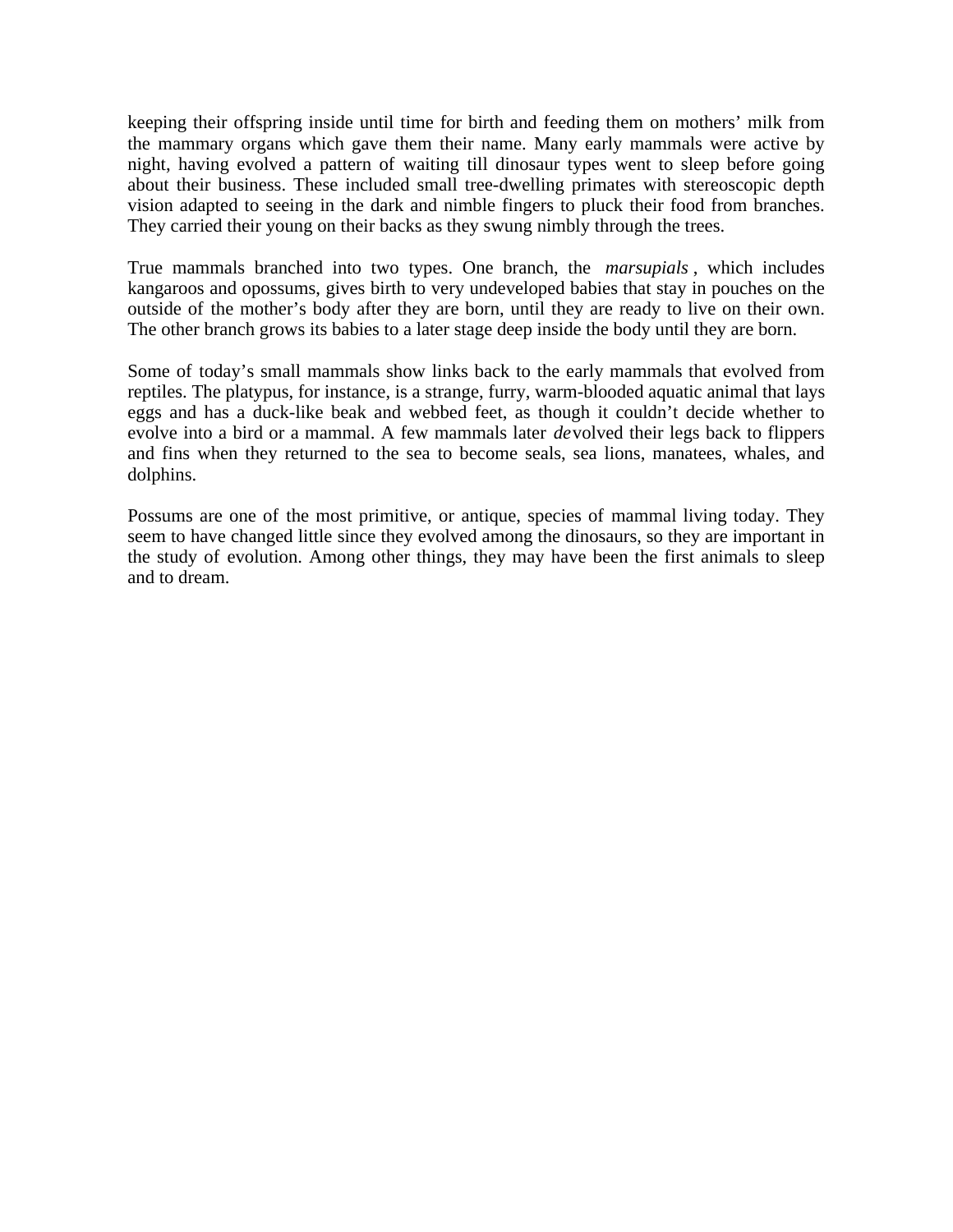keeping their offspring inside until time for birth and feeding them on mothers' milk from the mammary organs which gave them their name. Many early mammals were active by night, having evolved a pattern of waiting till dinosaur types went to sleep before going about their business. These included small tree-dwelling primates with stereoscopic depth vision adapted to seeing in the dark and nimble fingers to pluck their food from branches. They carried their young on their backs as they swung nimbly through the trees.

True mammals branched into two types. One branch, the *marsupials* , which includes kangaroos and opossums, gives birth to very undeveloped babies that stay in pouches on the outside of the mother's body after they are born, until they are ready to live on their own. The other branch grows its babies to a later stage deep inside the body until they are born.

Some of today's small mammals show links back to the early mammals that evolved from reptiles. The platypus, for instance, is a strange, furry, warm-blooded aquatic animal that lays eggs and has a duck-like beak and webbed feet, as though it couldn't decide whether to evolve into a bird or a mammal. A few mammals later *de*volved their legs back to flippers and fins when they returned to the sea to become seals, sea lions, manatees, whales, and dolphins.

Possums are one of the most primitive, or antique, species of mammal living today. They seem to have changed little since they evolved among the dinosaurs, so they are important in the study of evolution. Among other things, they may have been the first animals to sleep and to dream.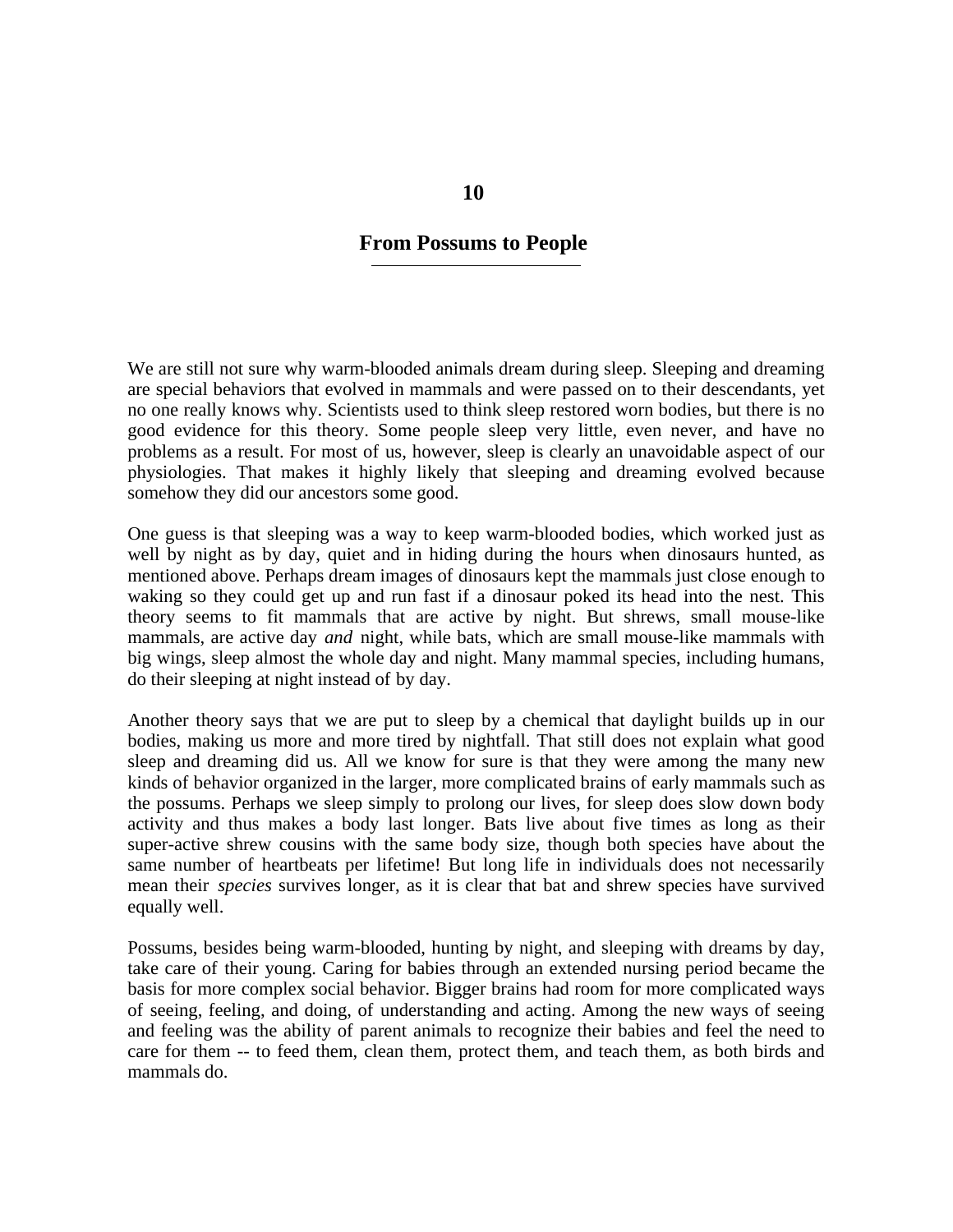## **From Possums to People**

We are still not sure why warm-blooded animals dream during sleep. Sleeping and dreaming are special behaviors that evolved in mammals and were passed on to their descendants, yet no one really knows why. Scientists used to think sleep restored worn bodies, but there is no good evidence for this theory. Some people sleep very little, even never, and have no problems as a result. For most of us, however, sleep is clearly an unavoidable aspect of our physiologies. That makes it highly likely that sleeping and dreaming evolved because somehow they did our ancestors some good.

One guess is that sleeping was a way to keep warm-blooded bodies, which worked just as well by night as by day, quiet and in hiding during the hours when dinosaurs hunted, as mentioned above. Perhaps dream images of dinosaurs kept the mammals just close enough to waking so they could get up and run fast if a dinosaur poked its head into the nest. This theory seems to fit mammals that are active by night. But shrews, small mouse-like mammals, are active day *and* night, while bats, which are small mouse-like mammals with big wings, sleep almost the whole day and night. Many mammal species, including humans, do their sleeping at night instead of by day.

Another theory says that we are put to sleep by a chemical that daylight builds up in our bodies, making us more and more tired by nightfall. That still does not explain what good sleep and dreaming did us. All we know for sure is that they were among the many new kinds of behavior organized in the larger, more complicated brains of early mammals such as the possums. Perhaps we sleep simply to prolong our lives, for sleep does slow down body activity and thus makes a body last longer. Bats live about five times as long as their super-active shrew cousins with the same body size, though both species have about the same number of heartbeats per lifetime! But long life in individuals does not necessarily mean their *species* survives longer, as it is clear that bat and shrew species have survived equally well.

Possums, besides being warm-blooded, hunting by night, and sleeping with dreams by day, take care of their young. Caring for babies through an extended nursing period became the basis for more complex social behavior. Bigger brains had room for more complicated ways of seeing, feeling, and doing, of understanding and acting. Among the new ways of seeing and feeling was the ability of parent animals to recognize their babies and feel the need to care for them -- to feed them, clean them, protect them, and teach them, as both birds and mammals do.

**10**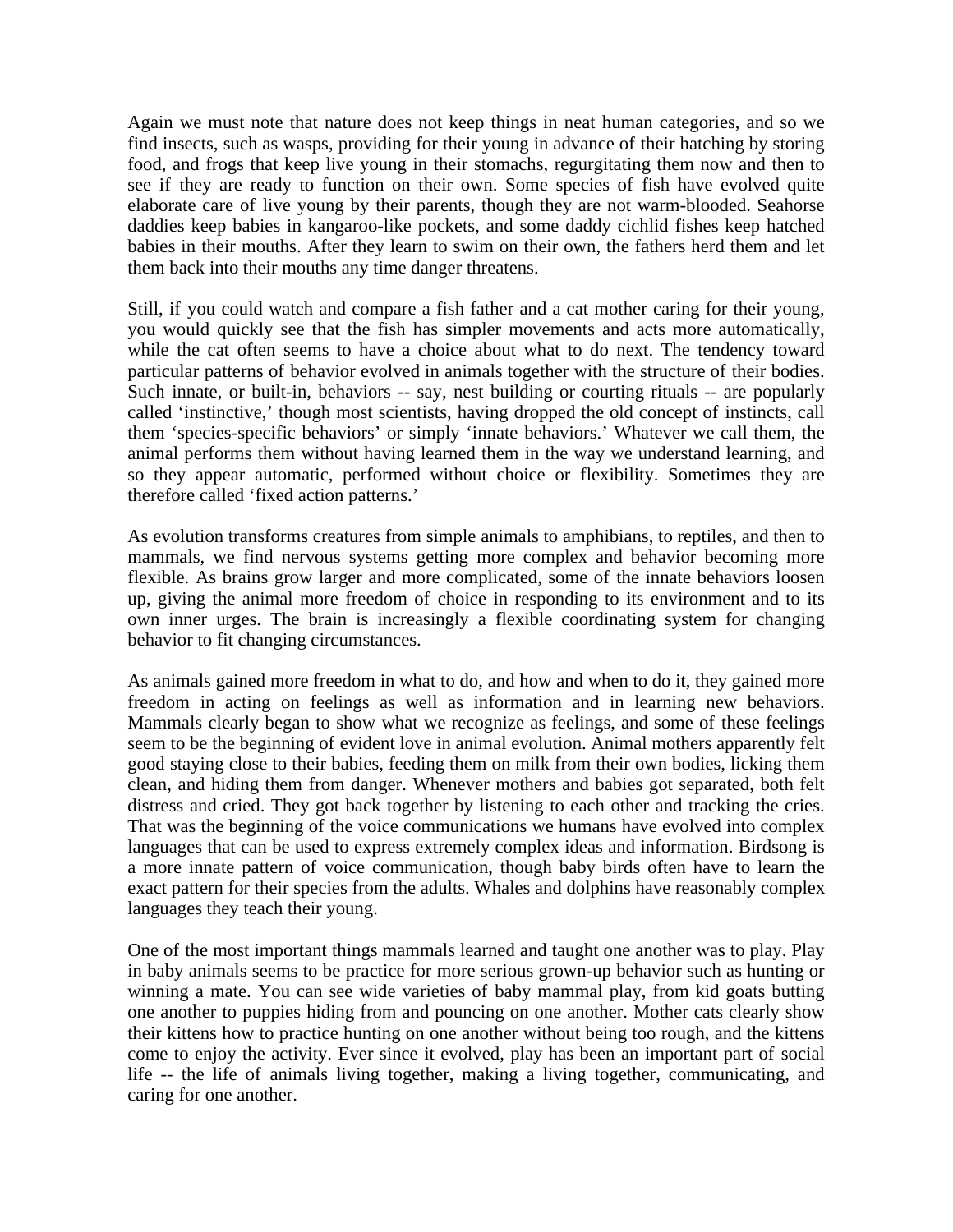Again we must note that nature does not keep things in neat human categories, and so we find insects, such as wasps, providing for their young in advance of their hatching by storing food, and frogs that keep live young in their stomachs, regurgitating them now and then to see if they are ready to function on their own. Some species of fish have evolved quite elaborate care of live young by their parents, though they are not warm-blooded. Seahorse daddies keep babies in kangaroo-like pockets, and some daddy cichlid fishes keep hatched babies in their mouths. After they learn to swim on their own, the fathers herd them and let them back into their mouths any time danger threatens.

Still, if you could watch and compare a fish father and a cat mother caring for their young, you would quickly see that the fish has simpler movements and acts more automatically, while the cat often seems to have a choice about what to do next. The tendency toward particular patterns of behavior evolved in animals together with the structure of their bodies. Such innate, or built-in, behaviors -- say, nest building or courting rituals -- are popularly called 'instinctive,' though most scientists, having dropped the old concept of instincts, call them 'species-specific behaviors' or simply 'innate behaviors.' Whatever we call them, the animal performs them without having learned them in the way we understand learning, and so they appear automatic, performed without choice or flexibility. Sometimes they are therefore called 'fixed action patterns.'

As evolution transforms creatures from simple animals to amphibians, to reptiles, and then to mammals, we find nervous systems getting more complex and behavior becoming more flexible. As brains grow larger and more complicated, some of the innate behaviors loosen up, giving the animal more freedom of choice in responding to its environment and to its own inner urges. The brain is increasingly a flexible coordinating system for changing behavior to fit changing circumstances.

As animals gained more freedom in what to do, and how and when to do it, they gained more freedom in acting on feelings as well as information and in learning new behaviors. Mammals clearly began to show what we recognize as feelings, and some of these feelings seem to be the beginning of evident love in animal evolution. Animal mothers apparently felt good staying close to their babies, feeding them on milk from their own bodies, licking them clean, and hiding them from danger. Whenever mothers and babies got separated, both felt distress and cried. They got back together by listening to each other and tracking the cries. That was the beginning of the voice communications we humans have evolved into complex languages that can be used to express extremely complex ideas and information. Birdsong is a more innate pattern of voice communication, though baby birds often have to learn the exact pattern for their species from the adults. Whales and dolphins have reasonably complex languages they teach their young.

One of the most important things mammals learned and taught one another was to play. Play in baby animals seems to be practice for more serious grown-up behavior such as hunting or winning a mate. You can see wide varieties of baby mammal play, from kid goats butting one another to puppies hiding from and pouncing on one another. Mother cats clearly show their kittens how to practice hunting on one another without being too rough, and the kittens come to enjoy the activity. Ever since it evolved, play has been an important part of social life -- the life of animals living together, making a living together, communicating, and caring for one another.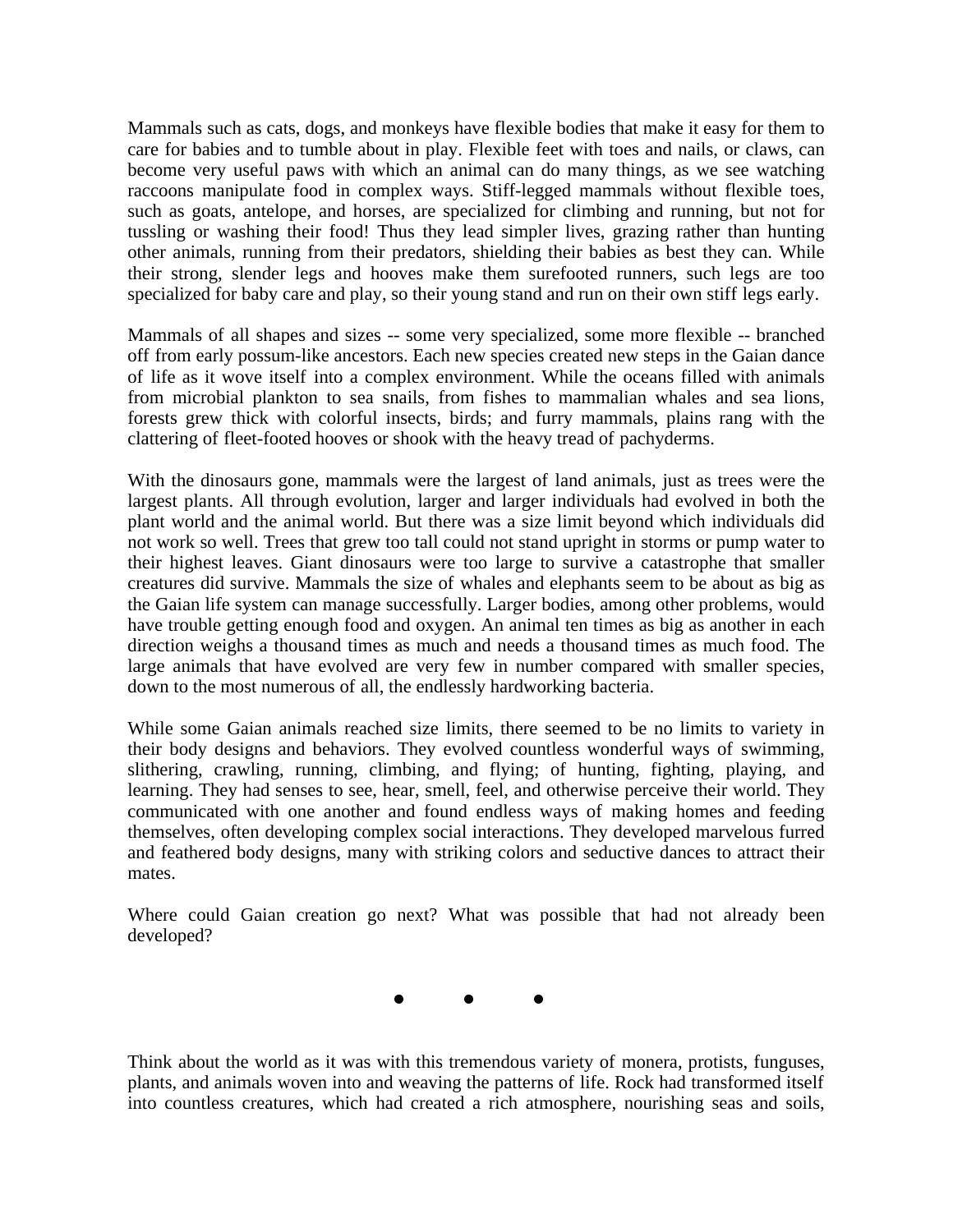Mammals such as cats, dogs, and monkeys have flexible bodies that make it easy for them to care for babies and to tumble about in play. Flexible feet with toes and nails, or claws, can become very useful paws with which an animal can do many things, as we see watching raccoons manipulate food in complex ways. Stiff-legged mammals without flexible toes, such as goats, antelope, and horses, are specialized for climbing and running, but not for tussling or washing their food! Thus they lead simpler lives, grazing rather than hunting other animals, running from their predators, shielding their babies as best they can. While their strong, slender legs and hooves make them surefooted runners, such legs are too specialized for baby care and play, so their young stand and run on their own stiff legs early.

Mammals of all shapes and sizes -- some very specialized, some more flexible -- branched off from early possum-like ancestors. Each new species created new steps in the Gaian dance of life as it wove itself into a complex environment. While the oceans filled with animals from microbial plankton to sea snails, from fishes to mammalian whales and sea lions, forests grew thick with colorful insects, birds; and furry mammals, plains rang with the clattering of fleet-footed hooves or shook with the heavy tread of pachyderms.

With the dinosaurs gone, mammals were the largest of land animals, just as trees were the largest plants. All through evolution, larger and larger individuals had evolved in both the plant world and the animal world. But there was a size limit beyond which individuals did not work so well. Trees that grew too tall could not stand upright in storms or pump water to their highest leaves. Giant dinosaurs were too large to survive a catastrophe that smaller creatures did survive. Mammals the size of whales and elephants seem to be about as big as the Gaian life system can manage successfully. Larger bodies, among other problems, would have trouble getting enough food and oxygen. An animal ten times as big as another in each direction weighs a thousand times as much and needs a thousand times as much food. The large animals that have evolved are very few in number compared with smaller species, down to the most numerous of all, the endlessly hardworking bacteria.

While some Gaian animals reached size limits, there seemed to be no limits to variety in their body designs and behaviors. They evolved countless wonderful ways of swimming, slithering, crawling, running, climbing, and flying; of hunting, fighting, playing, and learning. They had senses to see, hear, smell, feel, and otherwise perceive their world. They communicated with one another and found endless ways of making homes and feeding themselves, often developing complex social interactions. They developed marvelous furred and feathered body designs, many with striking colors and seductive dances to attract their mates.

Where could Gaian creation go next? What was possible that had not already been developed?

**· · ·** 

Think about the world as it was with this tremendous variety of monera, protists, funguses, plants, and animals woven into and weaving the patterns of life. Rock had transformed itself into countless creatures, which had created a rich atmosphere, nourishing seas and soils,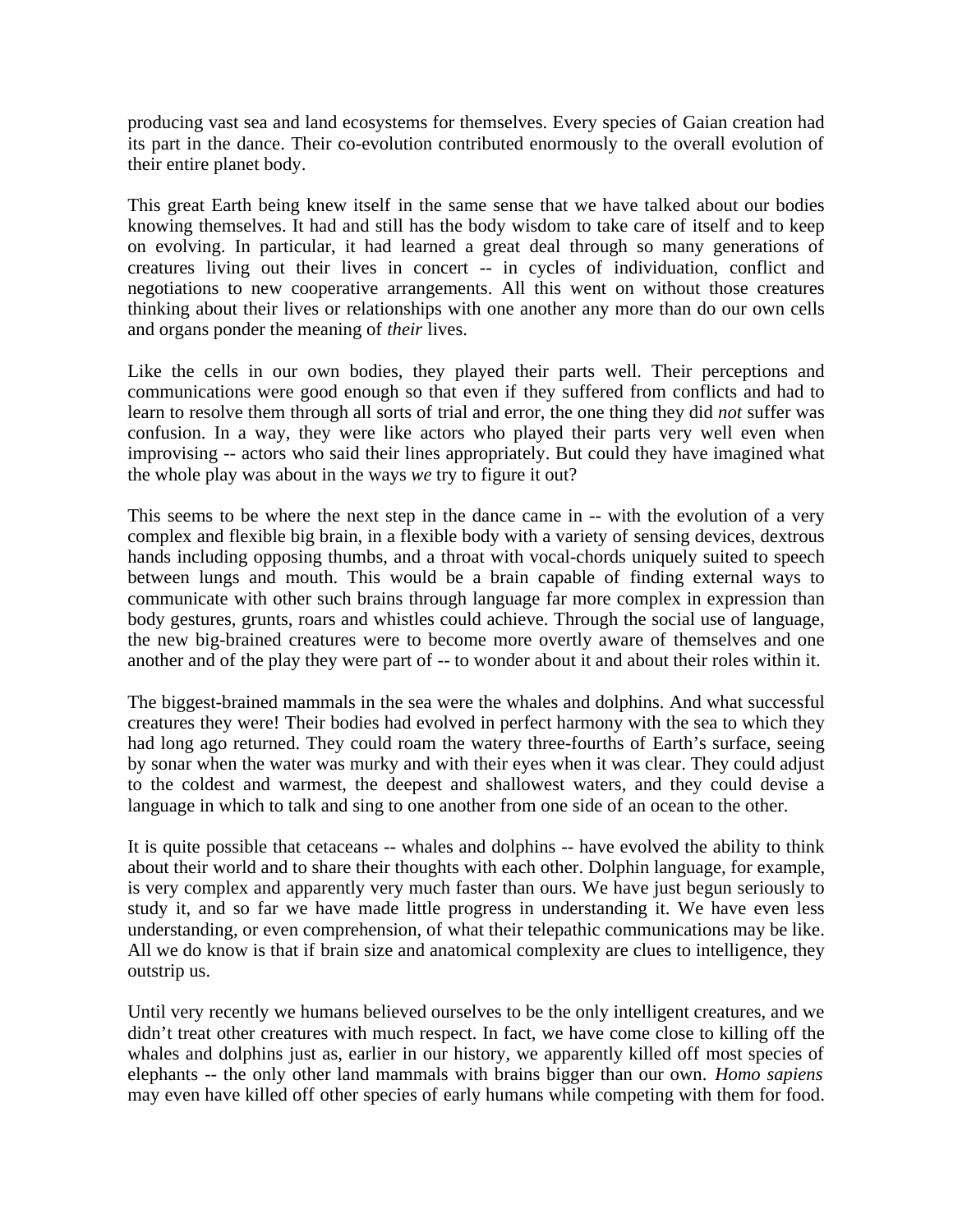producing vast sea and land ecosystems for themselves. Every species of Gaian creation had its part in the dance. Their co-evolution contributed enormously to the overall evolution of their entire planet body.

This great Earth being knew itself in the same sense that we have talked about our bodies knowing themselves. It had and still has the body wisdom to take care of itself and to keep on evolving. In particular, it had learned a great deal through so many generations of creatures living out their lives in concert -- in cycles of individuation, conflict and negotiations to new cooperative arrangements. All this went on without those creatures thinking about their lives or relationships with one another any more than do our own cells and organs ponder the meaning of *their* lives.

Like the cells in our own bodies, they played their parts well. Their perceptions and communications were good enough so that even if they suffered from conflicts and had to learn to resolve them through all sorts of trial and error, the one thing they did *not* suffer was confusion. In a way, they were like actors who played their parts very well even when improvising -- actors who said their lines appropriately. But could they have imagined what the whole play was about in the ways *we* try to figure it out?

This seems to be where the next step in the dance came in -- with the evolution of a very complex and flexible big brain, in a flexible body with a variety of sensing devices, dextrous hands including opposing thumbs, and a throat with vocal-chords uniquely suited to speech between lungs and mouth. This would be a brain capable of finding external ways to communicate with other such brains through language far more complex in expression than body gestures, grunts, roars and whistles could achieve. Through the social use of language, the new big-brained creatures were to become more overtly aware of themselves and one another and of the play they were part of -- to wonder about it and about their roles within it.

The biggest-brained mammals in the sea were the whales and dolphins. And what successful creatures they were! Their bodies had evolved in perfect harmony with the sea to which they had long ago returned. They could roam the watery three-fourths of Earth's surface, seeing by sonar when the water was murky and with their eyes when it was clear. They could adjust to the coldest and warmest, the deepest and shallowest waters, and they could devise a language in which to talk and sing to one another from one side of an ocean to the other.

It is quite possible that cetaceans -- whales and dolphins -- have evolved the ability to think about their world and to share their thoughts with each other. Dolphin language, for example, is very complex and apparently very much faster than ours. We have just begun seriously to study it, and so far we have made little progress in understanding it. We have even less understanding, or even comprehension, of what their telepathic communications may be like. All we do know is that if brain size and anatomical complexity are clues to intelligence, they outstrip us.

Until very recently we humans believed ourselves to be the only intelligent creatures, and we didn't treat other creatures with much respect. In fact, we have come close to killing off the whales and dolphins just as, earlier in our history, we apparently killed off most species of elephants -- the only other land mammals with brains bigger than our own. *Homo sapiens* may even have killed off other species of early humans while competing with them for food.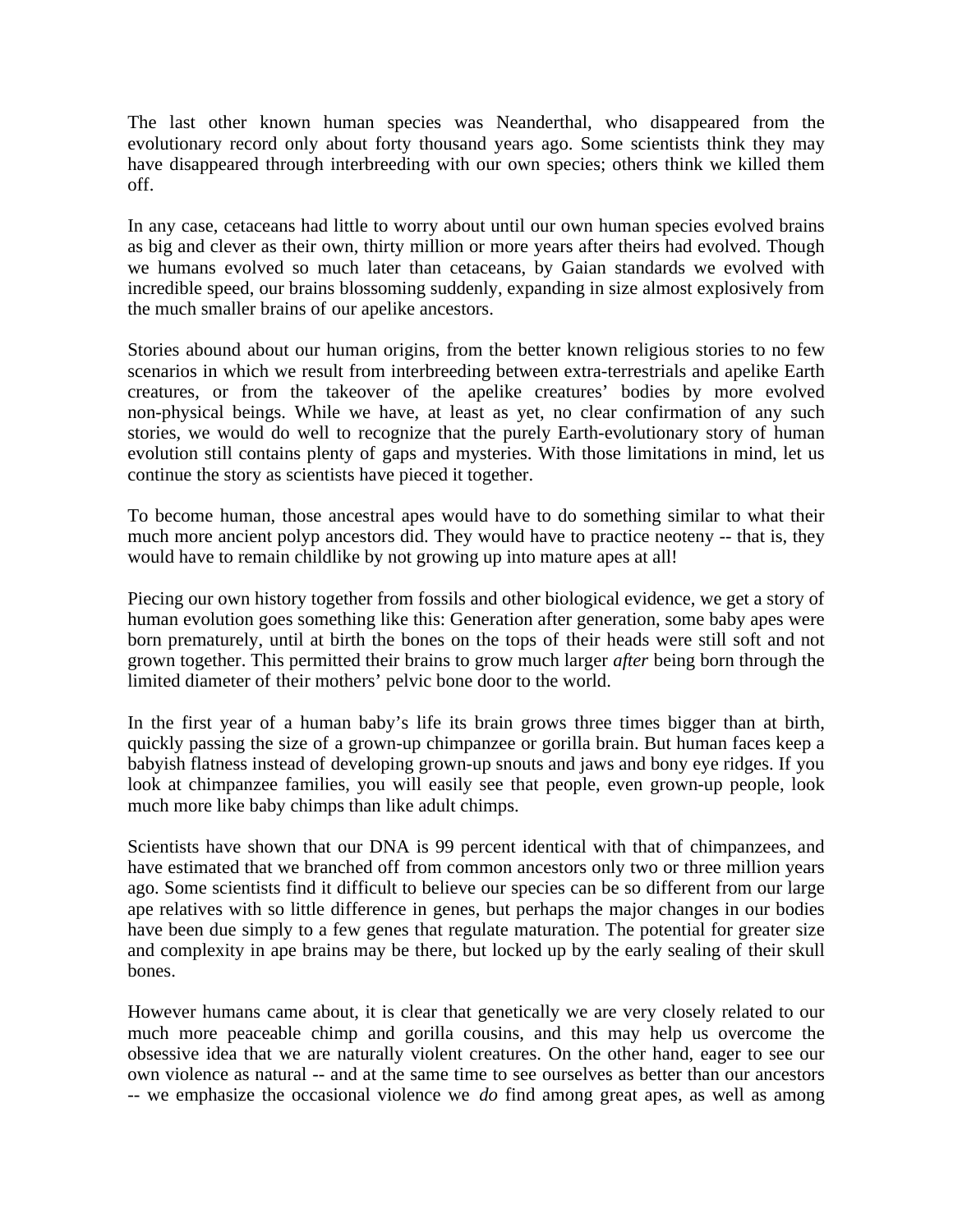The last other known human species was Neanderthal, who disappeared from the evolutionary record only about forty thousand years ago. Some scientists think they may have disappeared through interbreeding with our own species; others think we killed them off.

In any case, cetaceans had little to worry about until our own human species evolved brains as big and clever as their own, thirty million or more years after theirs had evolved. Though we humans evolved so much later than cetaceans, by Gaian standards we evolved with incredible speed, our brains blossoming suddenly, expanding in size almost explosively from the much smaller brains of our apelike ancestors.

Stories abound about our human origins, from the better known religious stories to no few scenarios in which we result from interbreeding between extra-terrestrials and apelike Earth creatures, or from the takeover of the apelike creatures' bodies by more evolved non-physical beings. While we have, at least as yet, no clear confirmation of any such stories, we would do well to recognize that the purely Earth-evolutionary story of human evolution still contains plenty of gaps and mysteries. With those limitations in mind, let us continue the story as scientists have pieced it together.

To become human, those ancestral apes would have to do something similar to what their much more ancient polyp ancestors did. They would have to practice neoteny -- that is, they would have to remain childlike by not growing up into mature apes at all!

Piecing our own history together from fossils and other biological evidence, we get a story of human evolution goes something like this: Generation after generation, some baby apes were born prematurely, until at birth the bones on the tops of their heads were still soft and not grown together. This permitted their brains to grow much larger *after* being born through the limited diameter of their mothers' pelvic bone door to the world.

In the first year of a human baby's life its brain grows three times bigger than at birth, quickly passing the size of a grown-up chimpanzee or gorilla brain. But human faces keep a babyish flatness instead of developing grown-up snouts and jaws and bony eye ridges. If you look at chimpanzee families, you will easily see that people, even grown-up people, look much more like baby chimps than like adult chimps.

Scientists have shown that our DNA is 99 percent identical with that of chimpanzees, and have estimated that we branched off from common ancestors only two or three million years ago. Some scientists find it difficult to believe our species can be so different from our large ape relatives with so little difference in genes, but perhaps the major changes in our bodies have been due simply to a few genes that regulate maturation. The potential for greater size and complexity in ape brains may be there, but locked up by the early sealing of their skull bones.

However humans came about, it is clear that genetically we are very closely related to our much more peaceable chimp and gorilla cousins, and this may help us overcome the obsessive idea that we are naturally violent creatures. On the other hand, eager to see our own violence as natural -- and at the same time to see ourselves as better than our ancestors -- we emphasize the occasional violence we *do* find among great apes, as well as among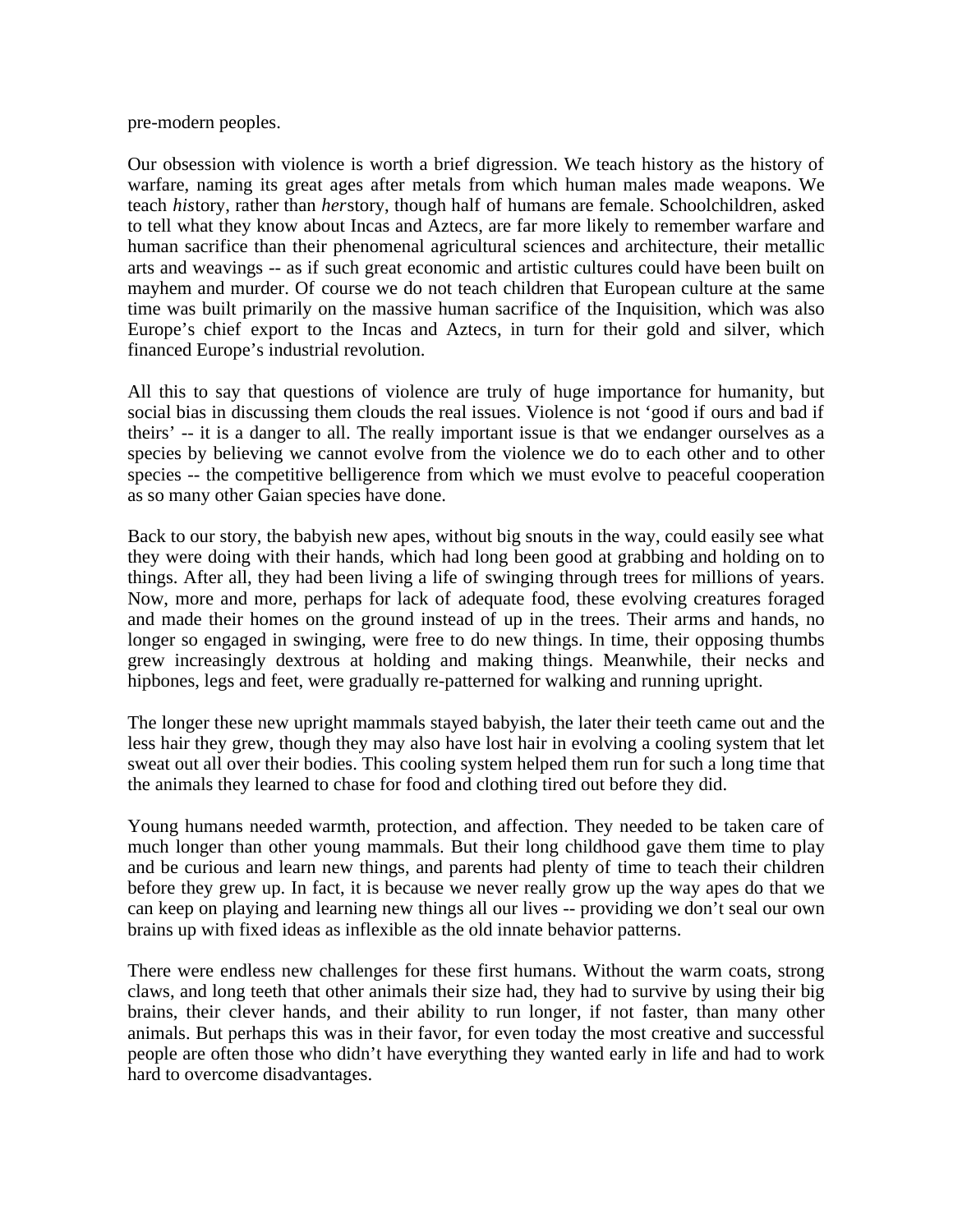pre-modern peoples.

Our obsession with violence is worth a brief digression. We teach history as the history of warfare, naming its great ages after metals from which human males made weapons. We teach *his*tory, rather than *her*story, though half of humans are female. Schoolchildren, asked to tell what they know about Incas and Aztecs, are far more likely to remember warfare and human sacrifice than their phenomenal agricultural sciences and architecture, their metallic arts and weavings -- as if such great economic and artistic cultures could have been built on mayhem and murder. Of course we do not teach children that European culture at the same time was built primarily on the massive human sacrifice of the Inquisition, which was also Europe's chief export to the Incas and Aztecs, in turn for their gold and silver, which financed Europe's industrial revolution.

All this to say that questions of violence are truly of huge importance for humanity, but social bias in discussing them clouds the real issues. Violence is not 'good if ours and bad if theirs' -- it is a danger to all. The really important issue is that we endanger ourselves as a species by believing we cannot evolve from the violence we do to each other and to other species -- the competitive belligerence from which we must evolve to peaceful cooperation as so many other Gaian species have done.

Back to our story, the babyish new apes, without big snouts in the way, could easily see what they were doing with their hands, which had long been good at grabbing and holding on to things. After all, they had been living a life of swinging through trees for millions of years. Now, more and more, perhaps for lack of adequate food, these evolving creatures foraged and made their homes on the ground instead of up in the trees. Their arms and hands, no longer so engaged in swinging, were free to do new things. In time, their opposing thumbs grew increasingly dextrous at holding and making things. Meanwhile, their necks and hipbones, legs and feet, were gradually re-patterned for walking and running upright.

The longer these new upright mammals stayed babyish, the later their teeth came out and the less hair they grew, though they may also have lost hair in evolving a cooling system that let sweat out all over their bodies. This cooling system helped them run for such a long time that the animals they learned to chase for food and clothing tired out before they did.

Young humans needed warmth, protection, and affection. They needed to be taken care of much longer than other young mammals. But their long childhood gave them time to play and be curious and learn new things, and parents had plenty of time to teach their children before they grew up. In fact, it is because we never really grow up the way apes do that we can keep on playing and learning new things all our lives -- providing we don't seal our own brains up with fixed ideas as inflexible as the old innate behavior patterns.

There were endless new challenges for these first humans. Without the warm coats, strong claws, and long teeth that other animals their size had, they had to survive by using their big brains, their clever hands, and their ability to run longer, if not faster, than many other animals. But perhaps this was in their favor, for even today the most creative and successful people are often those who didn't have everything they wanted early in life and had to work hard to overcome disadvantages.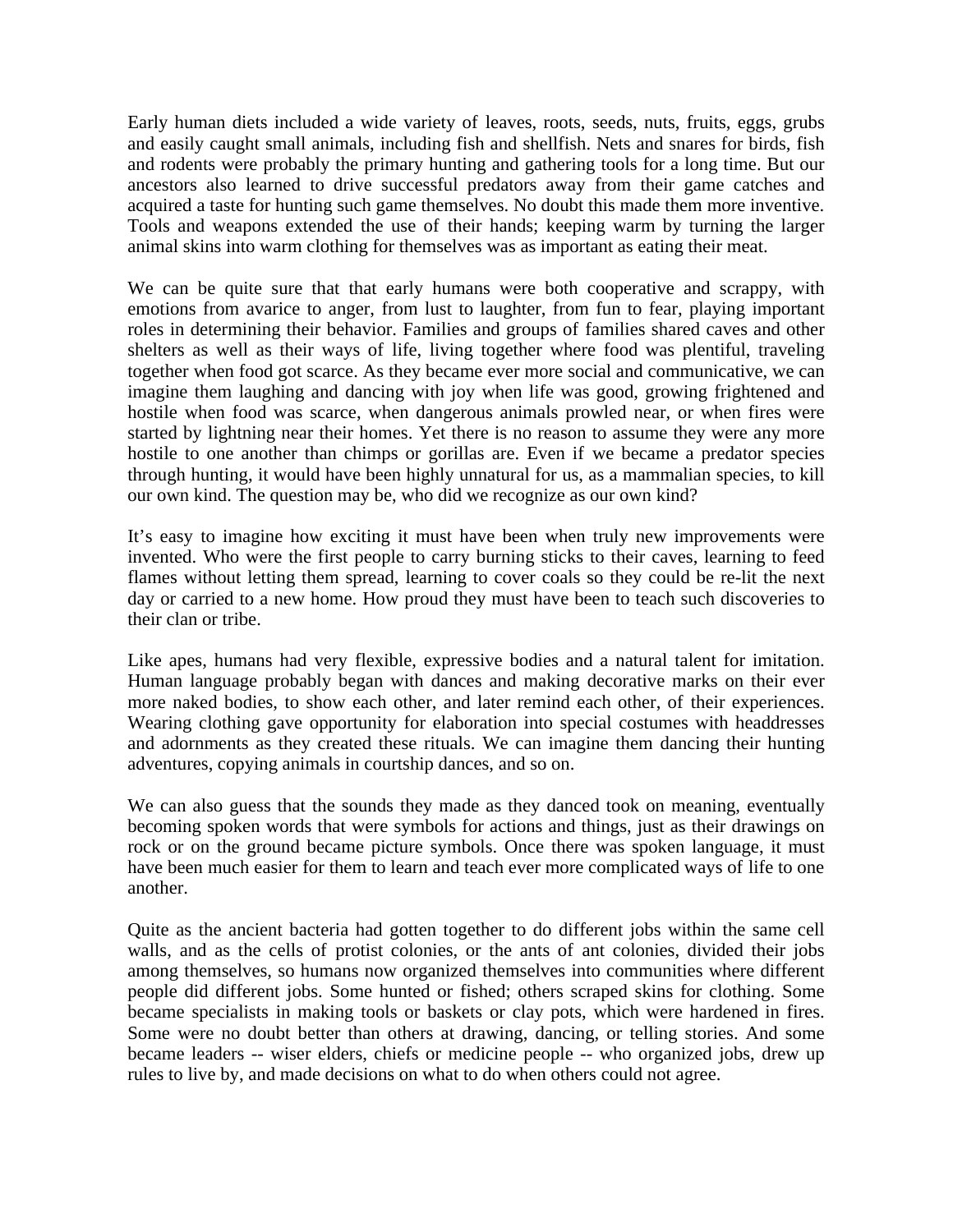Early human diets included a wide variety of leaves, roots, seeds, nuts, fruits, eggs, grubs and easily caught small animals, including fish and shellfish. Nets and snares for birds, fish and rodents were probably the primary hunting and gathering tools for a long time. But our ancestors also learned to drive successful predators away from their game catches and acquired a taste for hunting such game themselves. No doubt this made them more inventive. Tools and weapons extended the use of their hands; keeping warm by turning the larger animal skins into warm clothing for themselves was as important as eating their meat.

We can be quite sure that that early humans were both cooperative and scrappy, with emotions from avarice to anger, from lust to laughter, from fun to fear, playing important roles in determining their behavior. Families and groups of families shared caves and other shelters as well as their ways of life, living together where food was plentiful, traveling together when food got scarce. As they became ever more social and communicative, we can imagine them laughing and dancing with joy when life was good, growing frightened and hostile when food was scarce, when dangerous animals prowled near, or when fires were started by lightning near their homes. Yet there is no reason to assume they were any more hostile to one another than chimps or gorillas are. Even if we became a predator species through hunting, it would have been highly unnatural for us, as a mammalian species, to kill our own kind. The question may be, who did we recognize as our own kind?

It's easy to imagine how exciting it must have been when truly new improvements were invented. Who were the first people to carry burning sticks to their caves, learning to feed flames without letting them spread, learning to cover coals so they could be re-lit the next day or carried to a new home. How proud they must have been to teach such discoveries to their clan or tribe.

Like apes, humans had very flexible, expressive bodies and a natural talent for imitation. Human language probably began with dances and making decorative marks on their ever more naked bodies, to show each other, and later remind each other, of their experiences. Wearing clothing gave opportunity for elaboration into special costumes with headdresses and adornments as they created these rituals. We can imagine them dancing their hunting adventures, copying animals in courtship dances, and so on.

We can also guess that the sounds they made as they danced took on meaning, eventually becoming spoken words that were symbols for actions and things, just as their drawings on rock or on the ground became picture symbols. Once there was spoken language, it must have been much easier for them to learn and teach ever more complicated ways of life to one another.

Quite as the ancient bacteria had gotten together to do different jobs within the same cell walls, and as the cells of protist colonies, or the ants of ant colonies, divided their jobs among themselves, so humans now organized themselves into communities where different people did different jobs. Some hunted or fished; others scraped skins for clothing. Some became specialists in making tools or baskets or clay pots, which were hardened in fires. Some were no doubt better than others at drawing, dancing, or telling stories. And some became leaders -- wiser elders, chiefs or medicine people -- who organized jobs, drew up rules to live by, and made decisions on what to do when others could not agree.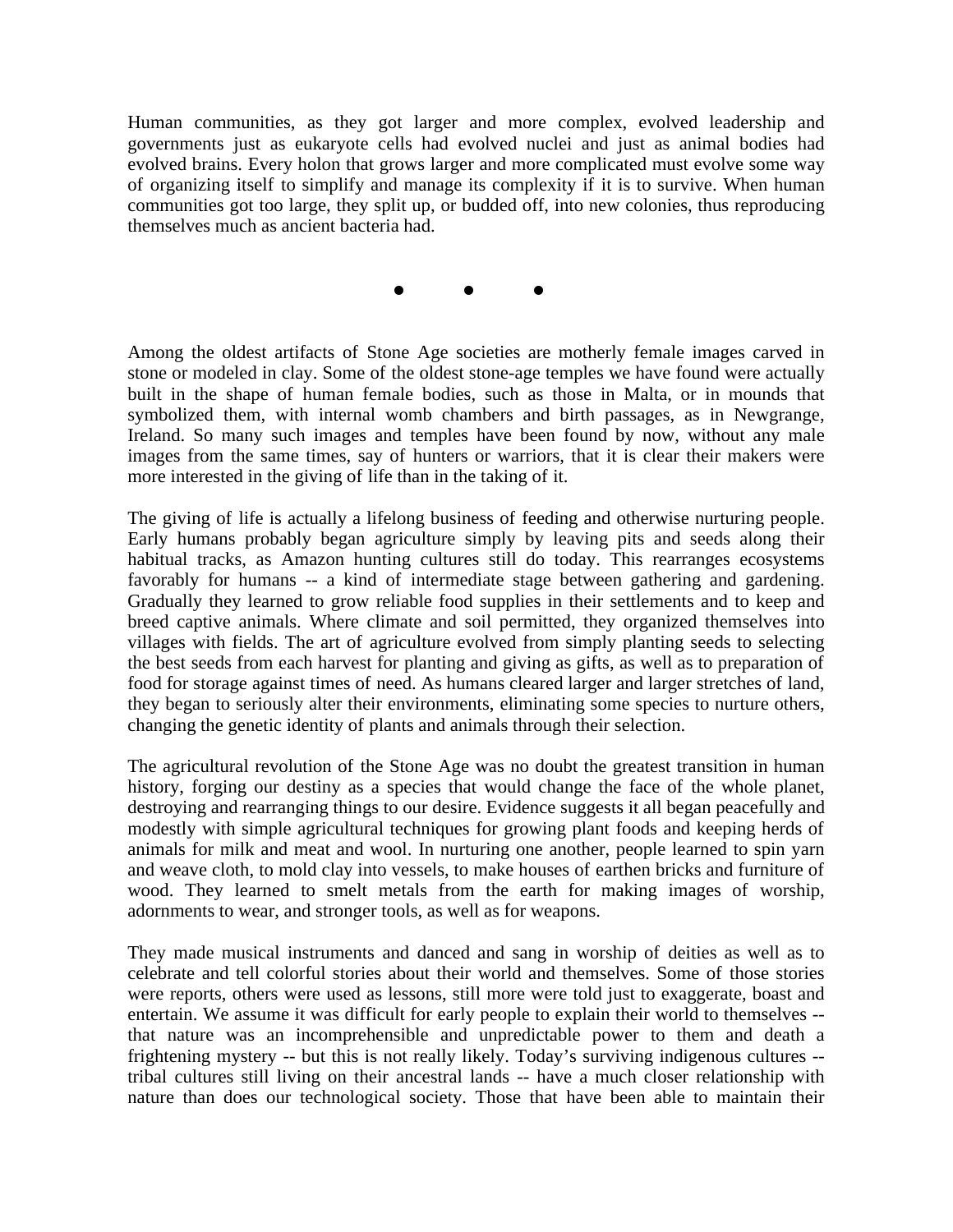Human communities, as they got larger and more complex, evolved leadership and governments just as eukaryote cells had evolved nuclei and just as animal bodies had evolved brains. Every holon that grows larger and more complicated must evolve some way of organizing itself to simplify and manage its complexity if it is to survive. When human communities got too large, they split up, or budded off, into new colonies, thus reproducing themselves much as ancient bacteria had.

**· · ·** 

Among the oldest artifacts of Stone Age societies are motherly female images carved in stone or modeled in clay. Some of the oldest stone-age temples we have found were actually built in the shape of human female bodies, such as those in Malta, or in mounds that symbolized them, with internal womb chambers and birth passages, as in Newgrange, Ireland. So many such images and temples have been found by now, without any male images from the same times, say of hunters or warriors, that it is clear their makers were more interested in the giving of life than in the taking of it.

The giving of life is actually a lifelong business of feeding and otherwise nurturing people. Early humans probably began agriculture simply by leaving pits and seeds along their habitual tracks, as Amazon hunting cultures still do today. This rearranges ecosystems favorably for humans -- a kind of intermediate stage between gathering and gardening. Gradually they learned to grow reliable food supplies in their settlements and to keep and breed captive animals. Where climate and soil permitted, they organized themselves into villages with fields. The art of agriculture evolved from simply planting seeds to selecting the best seeds from each harvest for planting and giving as gifts, as well as to preparation of food for storage against times of need. As humans cleared larger and larger stretches of land, they began to seriously alter their environments, eliminating some species to nurture others, changing the genetic identity of plants and animals through their selection.

The agricultural revolution of the Stone Age was no doubt the greatest transition in human history, forging our destiny as a species that would change the face of the whole planet, destroying and rearranging things to our desire. Evidence suggests it all began peacefully and modestly with simple agricultural techniques for growing plant foods and keeping herds of animals for milk and meat and wool. In nurturing one another, people learned to spin yarn and weave cloth, to mold clay into vessels, to make houses of earthen bricks and furniture of wood. They learned to smelt metals from the earth for making images of worship, adornments to wear, and stronger tools, as well as for weapons.

They made musical instruments and danced and sang in worship of deities as well as to celebrate and tell colorful stories about their world and themselves. Some of those stories were reports, others were used as lessons, still more were told just to exaggerate, boast and entertain. We assume it was difficult for early people to explain their world to themselves - that nature was an incomprehensible and unpredictable power to them and death a frightening mystery -- but this is not really likely. Today's surviving indigenous cultures - tribal cultures still living on their ancestral lands -- have a much closer relationship with nature than does our technological society. Those that have been able to maintain their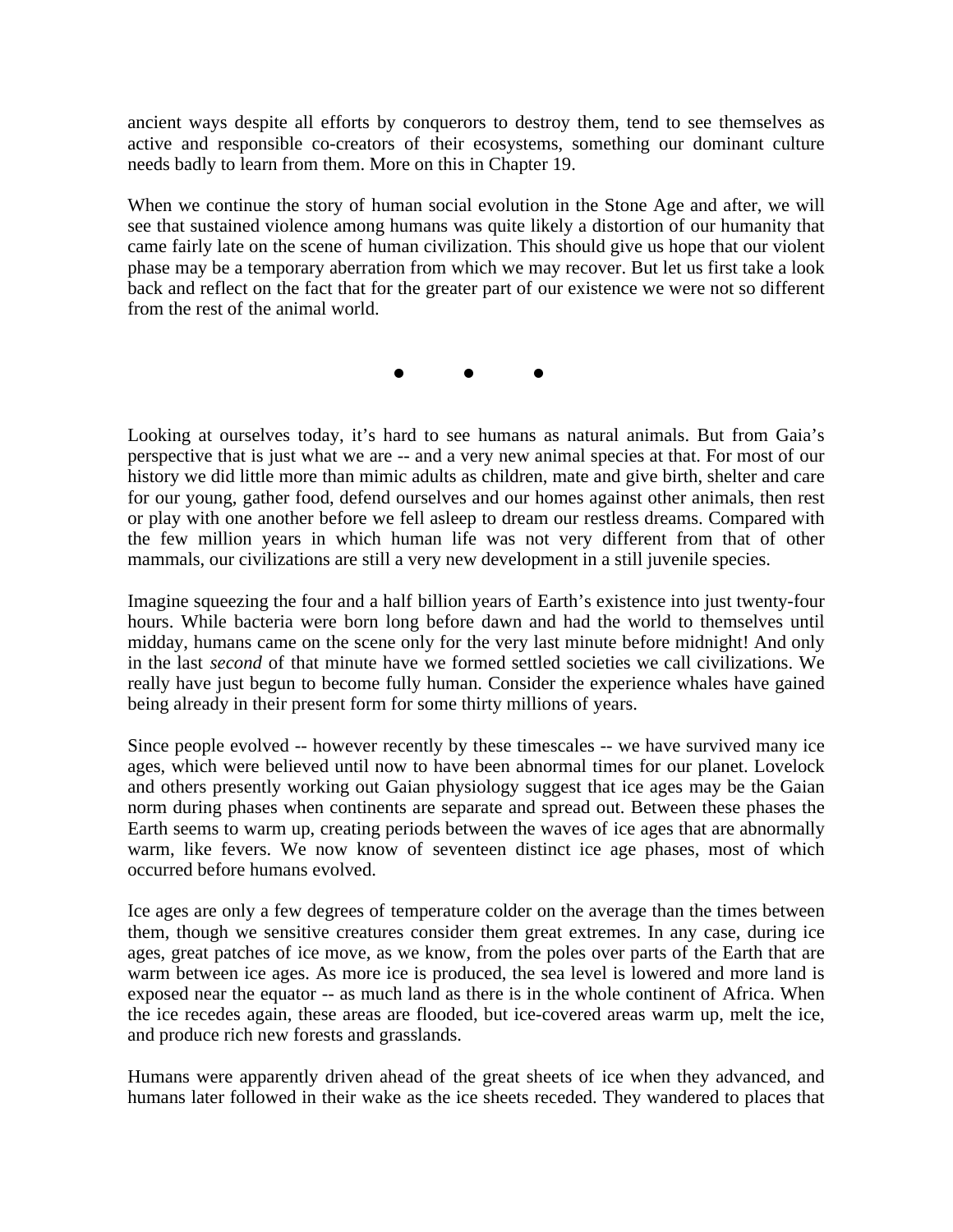ancient ways despite all efforts by conquerors to destroy them, tend to see themselves as active and responsible co-creators of their ecosystems, something our dominant culture needs badly to learn from them. More on this in Chapter 19.

When we continue the story of human social evolution in the Stone Age and after, we will see that sustained violence among humans was quite likely a distortion of our humanity that came fairly late on the scene of human civilization. This should give us hope that our violent phase may be a temporary aberration from which we may recover. But let us first take a look back and reflect on the fact that for the greater part of our existence we were not so different from the rest of the animal world.

**· · ·** 

Looking at ourselves today, it's hard to see humans as natural animals. But from Gaia's perspective that is just what we are -- and a very new animal species at that. For most of our history we did little more than mimic adults as children, mate and give birth, shelter and care for our young, gather food, defend ourselves and our homes against other animals, then rest or play with one another before we fell asleep to dream our restless dreams. Compared with the few million years in which human life was not very different from that of other mammals, our civilizations are still a very new development in a still juvenile species.

Imagine squeezing the four and a half billion years of Earth's existence into just twenty-four hours. While bacteria were born long before dawn and had the world to themselves until midday, humans came on the scene only for the very last minute before midnight! And only in the last *second* of that minute have we formed settled societies we call civilizations. We really have just begun to become fully human. Consider the experience whales have gained being already in their present form for some thirty millions of years.

Since people evolved -- however recently by these timescales -- we have survived many ice ages, which were believed until now to have been abnormal times for our planet. Lovelock and others presently working out Gaian physiology suggest that ice ages may be the Gaian norm during phases when continents are separate and spread out. Between these phases the Earth seems to warm up, creating periods between the waves of ice ages that are abnormally warm, like fevers. We now know of seventeen distinct ice age phases, most of which occurred before humans evolved.

Ice ages are only a few degrees of temperature colder on the average than the times between them, though we sensitive creatures consider them great extremes. In any case, during ice ages, great patches of ice move, as we know, from the poles over parts of the Earth that are warm between ice ages. As more ice is produced, the sea level is lowered and more land is exposed near the equator -- as much land as there is in the whole continent of Africa. When the ice recedes again, these areas are flooded, but ice-covered areas warm up, melt the ice, and produce rich new forests and grasslands.

Humans were apparently driven ahead of the great sheets of ice when they advanced, and humans later followed in their wake as the ice sheets receded. They wandered to places that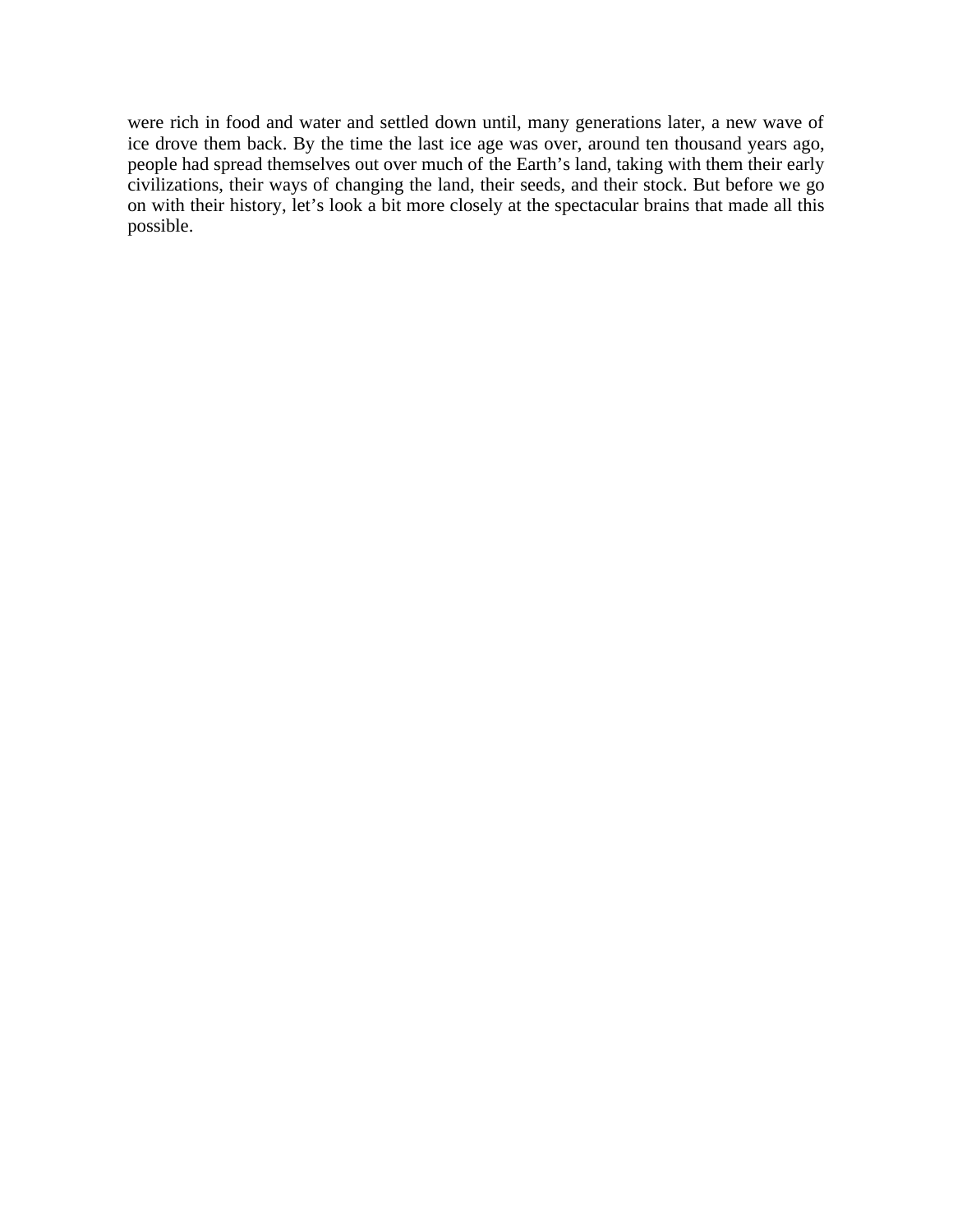were rich in food and water and settled down until, many generations later, a new wave of ice drove them back. By the time the last ice age was over, around ten thousand years ago, people had spread themselves out over much of the Earth's land, taking with them their early civilizations, their ways of changing the land, their seeds, and their stock. But before we go on with their history, let's look a bit more closely at the spectacular brains that made all this possible.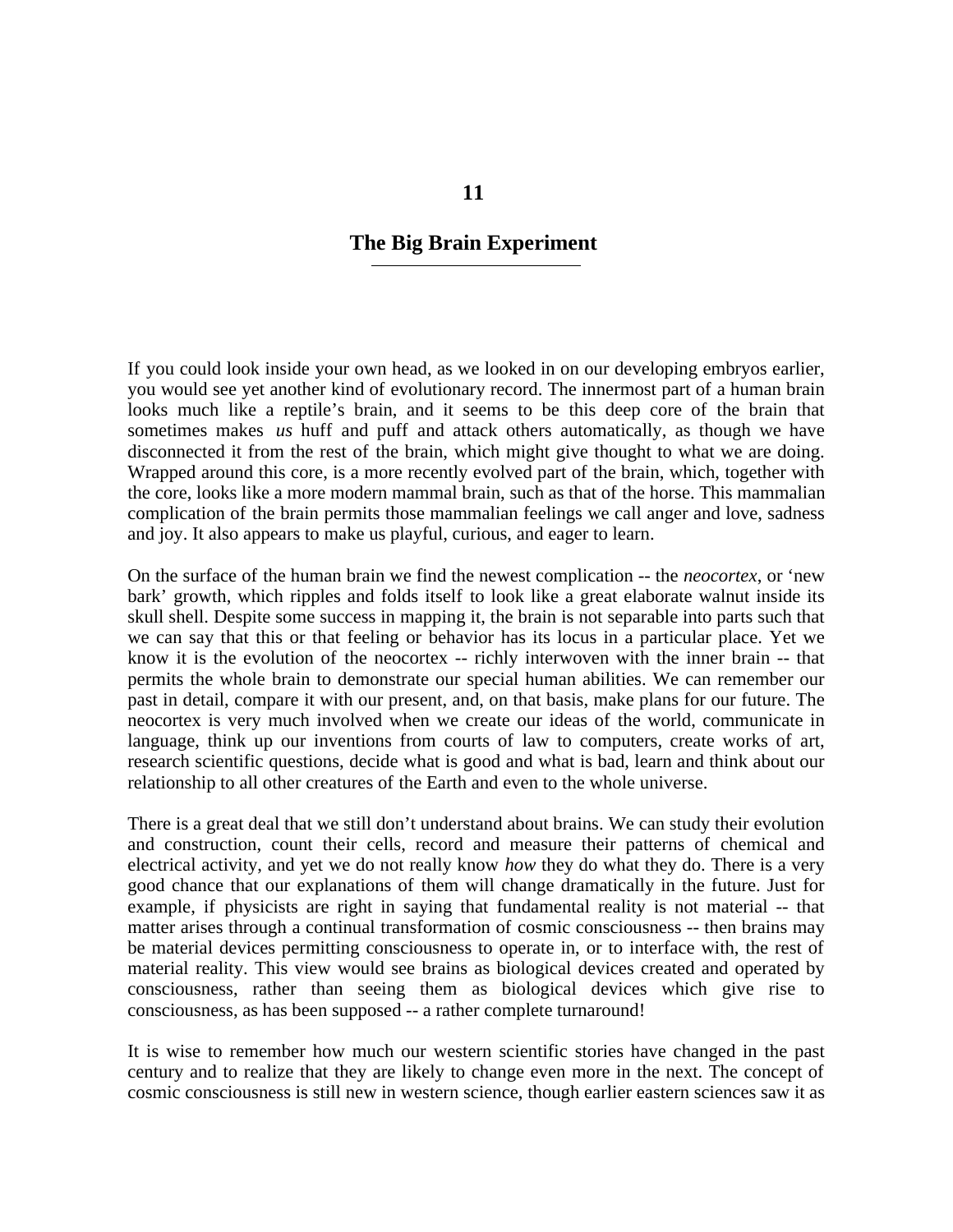## **The Big Brain Experiment**

If you could look inside your own head, as we looked in on our developing embryos earlier, you would see yet another kind of evolutionary record. The innermost part of a human brain looks much like a reptile's brain, and it seems to be this deep core of the brain that sometimes makes *us* huff and puff and attack others automatically, as though we have disconnected it from the rest of the brain, which might give thought to what we are doing. Wrapped around this core, is a more recently evolved part of the brain, which, together with the core, looks like a more modern mammal brain, such as that of the horse. This mammalian complication of the brain permits those mammalian feelings we call anger and love, sadness and joy. It also appears to make us playful, curious, and eager to learn.

On the surface of the human brain we find the newest complication -- the *neocortex*, or 'new bark' growth, which ripples and folds itself to look like a great elaborate walnut inside its skull shell. Despite some success in mapping it, the brain is not separable into parts such that we can say that this or that feeling or behavior has its locus in a particular place. Yet we know it is the evolution of the neocortex -- richly interwoven with the inner brain -- that permits the whole brain to demonstrate our special human abilities. We can remember our past in detail, compare it with our present, and, on that basis, make plans for our future. The neocortex is very much involved when we create our ideas of the world, communicate in language, think up our inventions from courts of law to computers, create works of art, research scientific questions, decide what is good and what is bad, learn and think about our relationship to all other creatures of the Earth and even to the whole universe.

There is a great deal that we still don't understand about brains. We can study their evolution and construction, count their cells, record and measure their patterns of chemical and electrical activity, and yet we do not really know *how* they do what they do. There is a very good chance that our explanations of them will change dramatically in the future. Just for example, if physicists are right in saying that fundamental reality is not material -- that matter arises through a continual transformation of cosmic consciousness -- then brains may be material devices permitting consciousness to operate in, or to interface with, the rest of material reality. This view would see brains as biological devices created and operated by consciousness, rather than seeing them as biological devices which give rise to consciousness, as has been supposed -- a rather complete turnaround!

It is wise to remember how much our western scientific stories have changed in the past century and to realize that they are likely to change even more in the next. The concept of cosmic consciousness is still new in western science, though earlier eastern sciences saw it as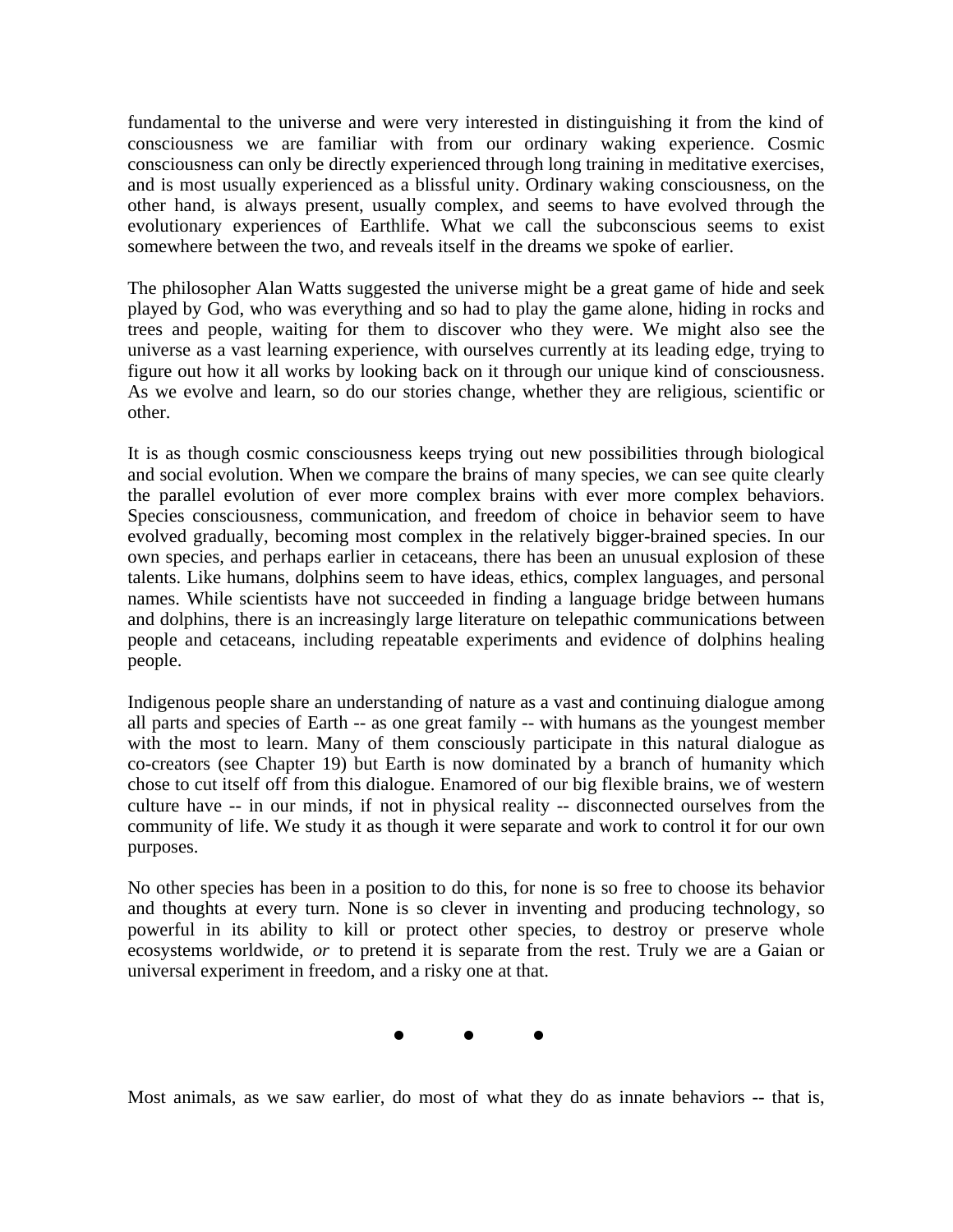fundamental to the universe and were very interested in distinguishing it from the kind of consciousness we are familiar with from our ordinary waking experience. Cosmic consciousness can only be directly experienced through long training in meditative exercises, and is most usually experienced as a blissful unity. Ordinary waking consciousness, on the other hand, is always present, usually complex, and seems to have evolved through the evolutionary experiences of Earthlife. What we call the subconscious seems to exist somewhere between the two, and reveals itself in the dreams we spoke of earlier.

The philosopher Alan Watts suggested the universe might be a great game of hide and seek played by God, who was everything and so had to play the game alone, hiding in rocks and trees and people, waiting for them to discover who they were. We might also see the universe as a vast learning experience, with ourselves currently at its leading edge, trying to figure out how it all works by looking back on it through our unique kind of consciousness. As we evolve and learn, so do our stories change, whether they are religious, scientific or other.

It is as though cosmic consciousness keeps trying out new possibilities through biological and social evolution. When we compare the brains of many species, we can see quite clearly the parallel evolution of ever more complex brains with ever more complex behaviors. Species consciousness, communication, and freedom of choice in behavior seem to have evolved gradually, becoming most complex in the relatively bigger-brained species. In our own species, and perhaps earlier in cetaceans, there has been an unusual explosion of these talents. Like humans, dolphins seem to have ideas, ethics, complex languages, and personal names. While scientists have not succeeded in finding a language bridge between humans and dolphins, there is an increasingly large literature on telepathic communications between people and cetaceans, including repeatable experiments and evidence of dolphins healing people.

Indigenous people share an understanding of nature as a vast and continuing dialogue among all parts and species of Earth -- as one great family -- with humans as the youngest member with the most to learn. Many of them consciously participate in this natural dialogue as co-creators (see Chapter 19) but Earth is now dominated by a branch of humanity which chose to cut itself off from this dialogue. Enamored of our big flexible brains, we of western culture have -- in our minds, if not in physical reality -- disconnected ourselves from the community of life. We study it as though it were separate and work to control it for our own purposes.

No other species has been in a position to do this, for none is so free to choose its behavior and thoughts at every turn. None is so clever in inventing and producing technology, so powerful in its ability to kill or protect other species, to destroy or preserve whole ecosystems worldwide, *or* to pretend it is separate from the rest. Truly we are a Gaian or universal experiment in freedom, and a risky one at that.



Most animals, as we saw earlier, do most of what they do as innate behaviors -- that is,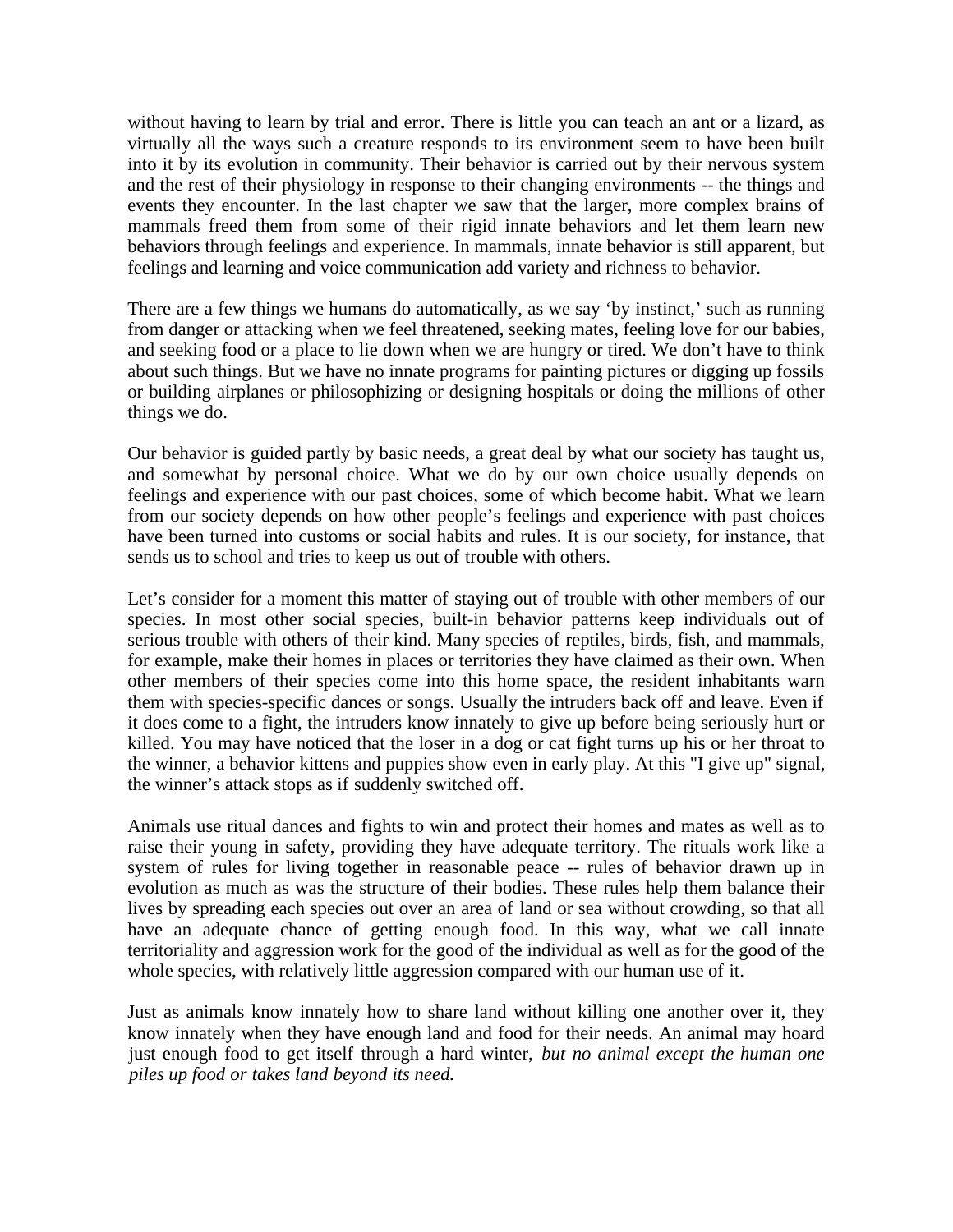without having to learn by trial and error. There is little you can teach an ant or a lizard, as virtually all the ways such a creature responds to its environment seem to have been built into it by its evolution in community. Their behavior is carried out by their nervous system and the rest of their physiology in response to their changing environments -- the things and events they encounter. In the last chapter we saw that the larger, more complex brains of mammals freed them from some of their rigid innate behaviors and let them learn new behaviors through feelings and experience. In mammals, innate behavior is still apparent, but feelings and learning and voice communication add variety and richness to behavior.

There are a few things we humans do automatically, as we say 'by instinct,' such as running from danger or attacking when we feel threatened, seeking mates, feeling love for our babies, and seeking food or a place to lie down when we are hungry or tired. We don't have to think about such things. But we have no innate programs for painting pictures or digging up fossils or building airplanes or philosophizing or designing hospitals or doing the millions of other things we do.

Our behavior is guided partly by basic needs, a great deal by what our society has taught us, and somewhat by personal choice. What we do by our own choice usually depends on feelings and experience with our past choices, some of which become habit. What we learn from our society depends on how other people's feelings and experience with past choices have been turned into customs or social habits and rules. It is our society, for instance, that sends us to school and tries to keep us out of trouble with others.

Let's consider for a moment this matter of staying out of trouble with other members of our species. In most other social species, built-in behavior patterns keep individuals out of serious trouble with others of their kind. Many species of reptiles, birds, fish, and mammals, for example, make their homes in places or territories they have claimed as their own. When other members of their species come into this home space, the resident inhabitants warn them with species-specific dances or songs. Usually the intruders back off and leave. Even if it does come to a fight, the intruders know innately to give up before being seriously hurt or killed. You may have noticed that the loser in a dog or cat fight turns up his or her throat to the winner, a behavior kittens and puppies show even in early play. At this "I give up" signal, the winner's attack stops as if suddenly switched off.

Animals use ritual dances and fights to win and protect their homes and mates as well as to raise their young in safety, providing they have adequate territory. The rituals work like a system of rules for living together in reasonable peace -- rules of behavior drawn up in evolution as much as was the structure of their bodies. These rules help them balance their lives by spreading each species out over an area of land or sea without crowding, so that all have an adequate chance of getting enough food. In this way, what we call innate territoriality and aggression work for the good of the individual as well as for the good of the whole species, with relatively little aggression compared with our human use of it.

Just as animals know innately how to share land without killing one another over it, they know innately when they have enough land and food for their needs. An animal may hoard just enough food to get itself through a hard winter, *but no animal except the human one piles up food or takes land beyond its need.*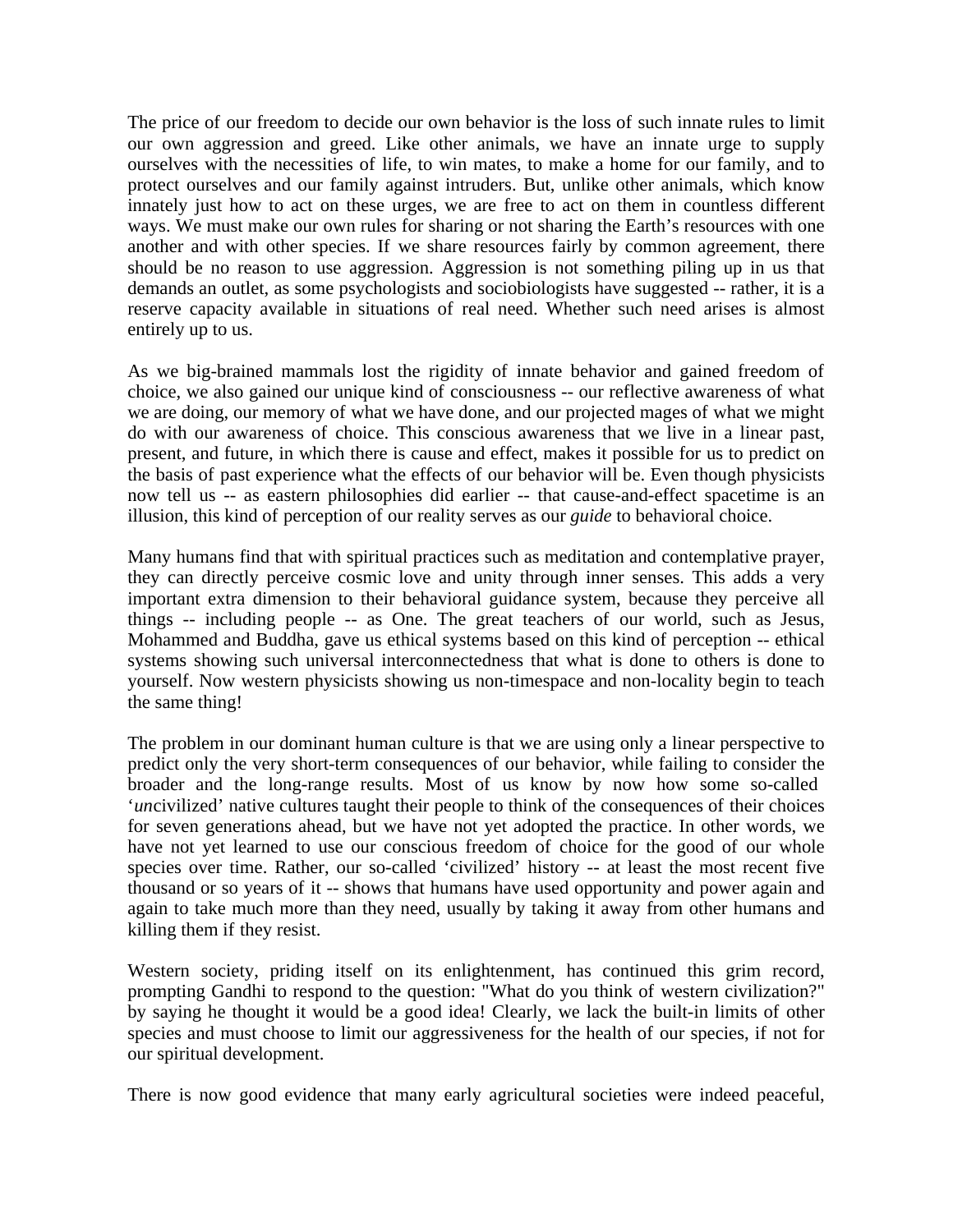The price of our freedom to decide our own behavior is the loss of such innate rules to limit our own aggression and greed. Like other animals, we have an innate urge to supply ourselves with the necessities of life, to win mates, to make a home for our family, and to protect ourselves and our family against intruders. But, unlike other animals, which know innately just how to act on these urges, we are free to act on them in countless different ways. We must make our own rules for sharing or not sharing the Earth's resources with one another and with other species. If we share resources fairly by common agreement, there should be no reason to use aggression. Aggression is not something piling up in us that demands an outlet, as some psychologists and sociobiologists have suggested -- rather, it is a reserve capacity available in situations of real need. Whether such need arises is almost entirely up to us.

As we big-brained mammals lost the rigidity of innate behavior and gained freedom of choice, we also gained our unique kind of consciousness -- our reflective awareness of what we are doing, our memory of what we have done, and our projected mages of what we might do with our awareness of choice. This conscious awareness that we live in a linear past, present, and future, in which there is cause and effect, makes it possible for us to predict on the basis of past experience what the effects of our behavior will be. Even though physicists now tell us -- as eastern philosophies did earlier -- that cause-and-effect spacetime is an illusion, this kind of perception of our reality serves as our *guide* to behavioral choice.

Many humans find that with spiritual practices such as meditation and contemplative prayer, they can directly perceive cosmic love and unity through inner senses. This adds a very important extra dimension to their behavioral guidance system, because they perceive all things -- including people -- as One. The great teachers of our world, such as Jesus, Mohammed and Buddha, gave us ethical systems based on this kind of perception -- ethical systems showing such universal interconnectedness that what is done to others is done to yourself. Now western physicists showing us non-timespace and non-locality begin to teach the same thing!

The problem in our dominant human culture is that we are using only a linear perspective to predict only the very short-term consequences of our behavior, while failing to consider the broader and the long-range results. Most of us know by now how some so-called '*un*civilized' native cultures taught their people to think of the consequences of their choices for seven generations ahead, but we have not yet adopted the practice. In other words, we have not yet learned to use our conscious freedom of choice for the good of our whole species over time. Rather, our so-called 'civilized' history -- at least the most recent five thousand or so years of it -- shows that humans have used opportunity and power again and again to take much more than they need, usually by taking it away from other humans and killing them if they resist.

Western society, priding itself on its enlightenment, has continued this grim record, prompting Gandhi to respond to the question: "What do you think of western civilization?" by saying he thought it would be a good idea! Clearly, we lack the built-in limits of other species and must choose to limit our aggressiveness for the health of our species, if not for our spiritual development.

There is now good evidence that many early agricultural societies were indeed peaceful,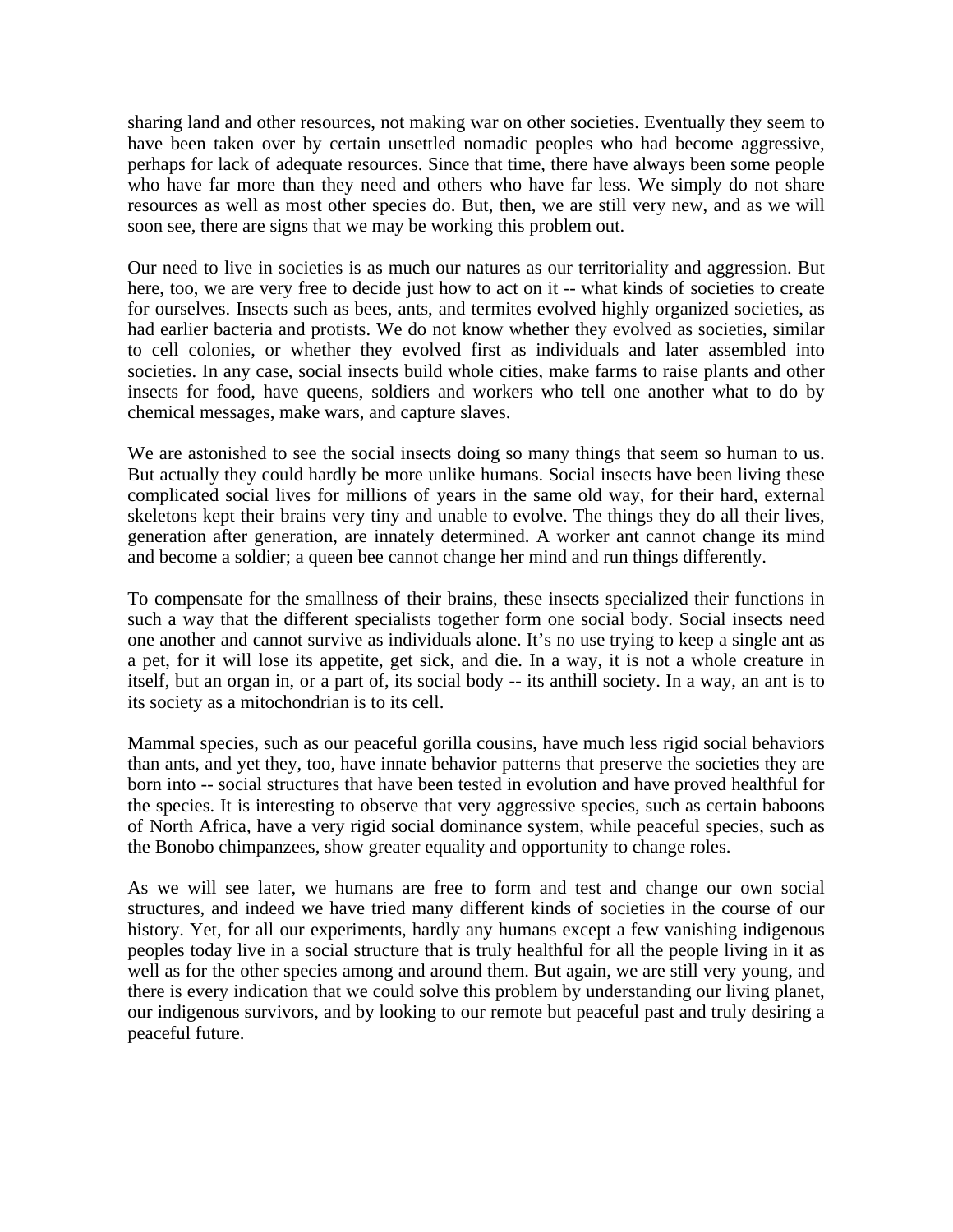sharing land and other resources, not making war on other societies. Eventually they seem to have been taken over by certain unsettled nomadic peoples who had become aggressive, perhaps for lack of adequate resources. Since that time, there have always been some people who have far more than they need and others who have far less. We simply do not share resources as well as most other species do. But, then, we are still very new, and as we will soon see, there are signs that we may be working this problem out.

Our need to live in societies is as much our natures as our territoriality and aggression. But here, too, we are very free to decide just how to act on it -- what kinds of societies to create for ourselves. Insects such as bees, ants, and termites evolved highly organized societies, as had earlier bacteria and protists. We do not know whether they evolved as societies, similar to cell colonies, or whether they evolved first as individuals and later assembled into societies. In any case, social insects build whole cities, make farms to raise plants and other insects for food, have queens, soldiers and workers who tell one another what to do by chemical messages, make wars, and capture slaves.

We are astonished to see the social insects doing so many things that seem so human to us. But actually they could hardly be more unlike humans. Social insects have been living these complicated social lives for millions of years in the same old way, for their hard, external skeletons kept their brains very tiny and unable to evolve. The things they do all their lives, generation after generation, are innately determined. A worker ant cannot change its mind and become a soldier; a queen bee cannot change her mind and run things differently.

To compensate for the smallness of their brains, these insects specialized their functions in such a way that the different specialists together form one social body. Social insects need one another and cannot survive as individuals alone. It's no use trying to keep a single ant as a pet, for it will lose its appetite, get sick, and die. In a way, it is not a whole creature in itself, but an organ in, or a part of, its social body -- its anthill society. In a way, an ant is to its society as a mitochondrian is to its cell.

Mammal species, such as our peaceful gorilla cousins, have much less rigid social behaviors than ants, and yet they, too, have innate behavior patterns that preserve the societies they are born into -- social structures that have been tested in evolution and have proved healthful for the species. It is interesting to observe that very aggressive species, such as certain baboons of North Africa, have a very rigid social dominance system, while peaceful species, such as the Bonobo chimpanzees, show greater equality and opportunity to change roles.

As we will see later, we humans are free to form and test and change our own social structures, and indeed we have tried many different kinds of societies in the course of our history. Yet, for all our experiments, hardly any humans except a few vanishing indigenous peoples today live in a social structure that is truly healthful for all the people living in it as well as for the other species among and around them. But again, we are still very young, and there is every indication that we could solve this problem by understanding our living planet, our indigenous survivors, and by looking to our remote but peaceful past and truly desiring a peaceful future.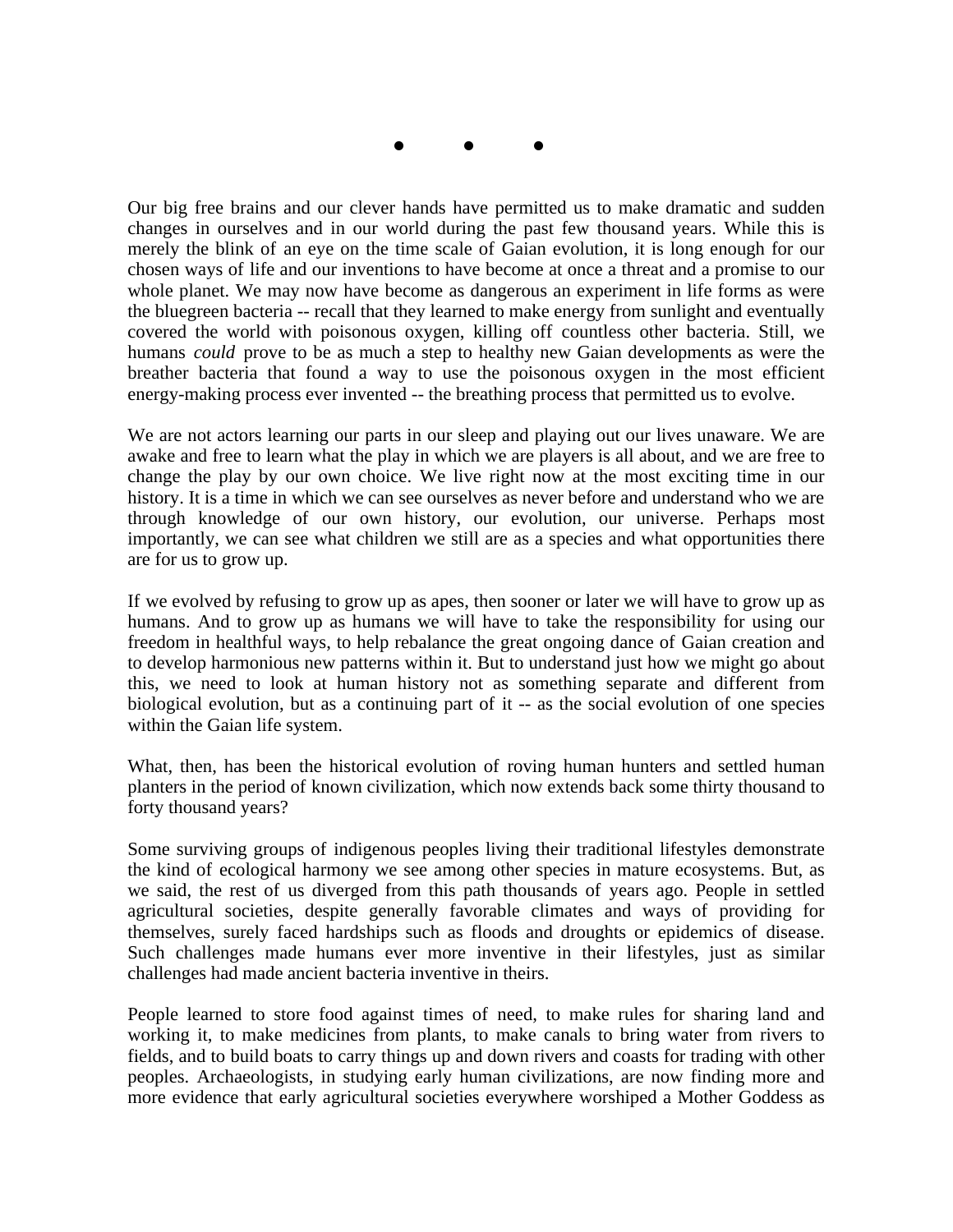

Our big free brains and our clever hands have permitted us to make dramatic and sudden changes in ourselves and in our world during the past few thousand years. While this is merely the blink of an eye on the time scale of Gaian evolution, it is long enough for our chosen ways of life and our inventions to have become at once a threat and a promise to our whole planet. We may now have become as dangerous an experiment in life forms as were the bluegreen bacteria -- recall that they learned to make energy from sunlight and eventually covered the world with poisonous oxygen, killing off countless other bacteria. Still, we humans *could* prove to be as much a step to healthy new Gaian developments as were the breather bacteria that found a way to use the poisonous oxygen in the most efficient energy-making process ever invented -- the breathing process that permitted us to evolve.

We are not actors learning our parts in our sleep and playing out our lives unaware. We are awake and free to learn what the play in which we are players is all about, and we are free to change the play by our own choice. We live right now at the most exciting time in our history. It is a time in which we can see ourselves as never before and understand who we are through knowledge of our own history, our evolution, our universe. Perhaps most importantly, we can see what children we still are as a species and what opportunities there are for us to grow up.

If we evolved by refusing to grow up as apes, then sooner or later we will have to grow up as humans. And to grow up as humans we will have to take the responsibility for using our freedom in healthful ways, to help rebalance the great ongoing dance of Gaian creation and to develop harmonious new patterns within it. But to understand just how we might go about this, we need to look at human history not as something separate and different from biological evolution, but as a continuing part of it -- as the social evolution of one species within the Gaian life system.

What, then, has been the historical evolution of roving human hunters and settled human planters in the period of known civilization, which now extends back some thirty thousand to forty thousand years?

Some surviving groups of indigenous peoples living their traditional lifestyles demonstrate the kind of ecological harmony we see among other species in mature ecosystems. But, as we said, the rest of us diverged from this path thousands of years ago. People in settled agricultural societies, despite generally favorable climates and ways of providing for themselves, surely faced hardships such as floods and droughts or epidemics of disease. Such challenges made humans ever more inventive in their lifestyles, just as similar challenges had made ancient bacteria inventive in theirs.

People learned to store food against times of need, to make rules for sharing land and working it, to make medicines from plants, to make canals to bring water from rivers to fields, and to build boats to carry things up and down rivers and coasts for trading with other peoples. Archaeologists, in studying early human civilizations, are now finding more and more evidence that early agricultural societies everywhere worshiped a Mother Goddess as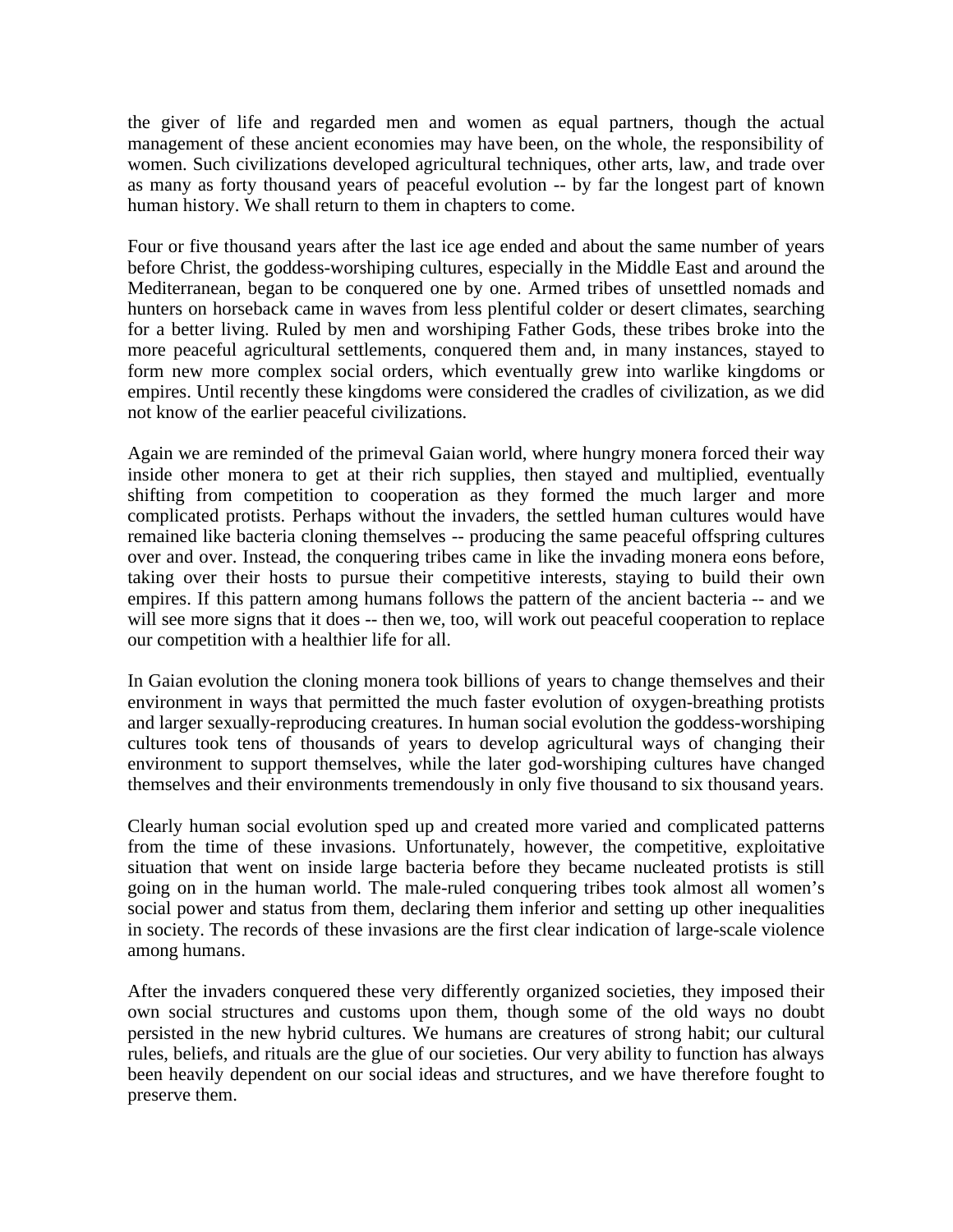the giver of life and regarded men and women as equal partners, though the actual management of these ancient economies may have been, on the whole, the responsibility of women. Such civilizations developed agricultural techniques, other arts, law, and trade over as many as forty thousand years of peaceful evolution -- by far the longest part of known human history. We shall return to them in chapters to come.

Four or five thousand years after the last ice age ended and about the same number of years before Christ, the goddess-worshiping cultures, especially in the Middle East and around the Mediterranean, began to be conquered one by one. Armed tribes of unsettled nomads and hunters on horseback came in waves from less plentiful colder or desert climates, searching for a better living. Ruled by men and worshiping Father Gods, these tribes broke into the more peaceful agricultural settlements, conquered them and, in many instances, stayed to form new more complex social orders, which eventually grew into warlike kingdoms or empires. Until recently these kingdoms were considered the cradles of civilization, as we did not know of the earlier peaceful civilizations.

Again we are reminded of the primeval Gaian world, where hungry monera forced their way inside other monera to get at their rich supplies, then stayed and multiplied, eventually shifting from competition to cooperation as they formed the much larger and more complicated protists. Perhaps without the invaders, the settled human cultures would have remained like bacteria cloning themselves -- producing the same peaceful offspring cultures over and over. Instead, the conquering tribes came in like the invading monera eons before, taking over their hosts to pursue their competitive interests, staying to build their own empires. If this pattern among humans follows the pattern of the ancient bacteria -- and we will see more signs that it does -- then we, too, will work out peaceful cooperation to replace our competition with a healthier life for all.

In Gaian evolution the cloning monera took billions of years to change themselves and their environment in ways that permitted the much faster evolution of oxygen-breathing protists and larger sexually-reproducing creatures. In human social evolution the goddess-worshiping cultures took tens of thousands of years to develop agricultural ways of changing their environment to support themselves, while the later god-worshiping cultures have changed themselves and their environments tremendously in only five thousand to six thousand years.

Clearly human social evolution sped up and created more varied and complicated patterns from the time of these invasions. Unfortunately, however, the competitive, exploitative situation that went on inside large bacteria before they became nucleated protists is still going on in the human world. The male-ruled conquering tribes took almost all women's social power and status from them, declaring them inferior and setting up other inequalities in society. The records of these invasions are the first clear indication of large-scale violence among humans.

After the invaders conquered these very differently organized societies, they imposed their own social structures and customs upon them, though some of the old ways no doubt persisted in the new hybrid cultures. We humans are creatures of strong habit; our cultural rules, beliefs, and rituals are the glue of our societies. Our very ability to function has always been heavily dependent on our social ideas and structures, and we have therefore fought to preserve them.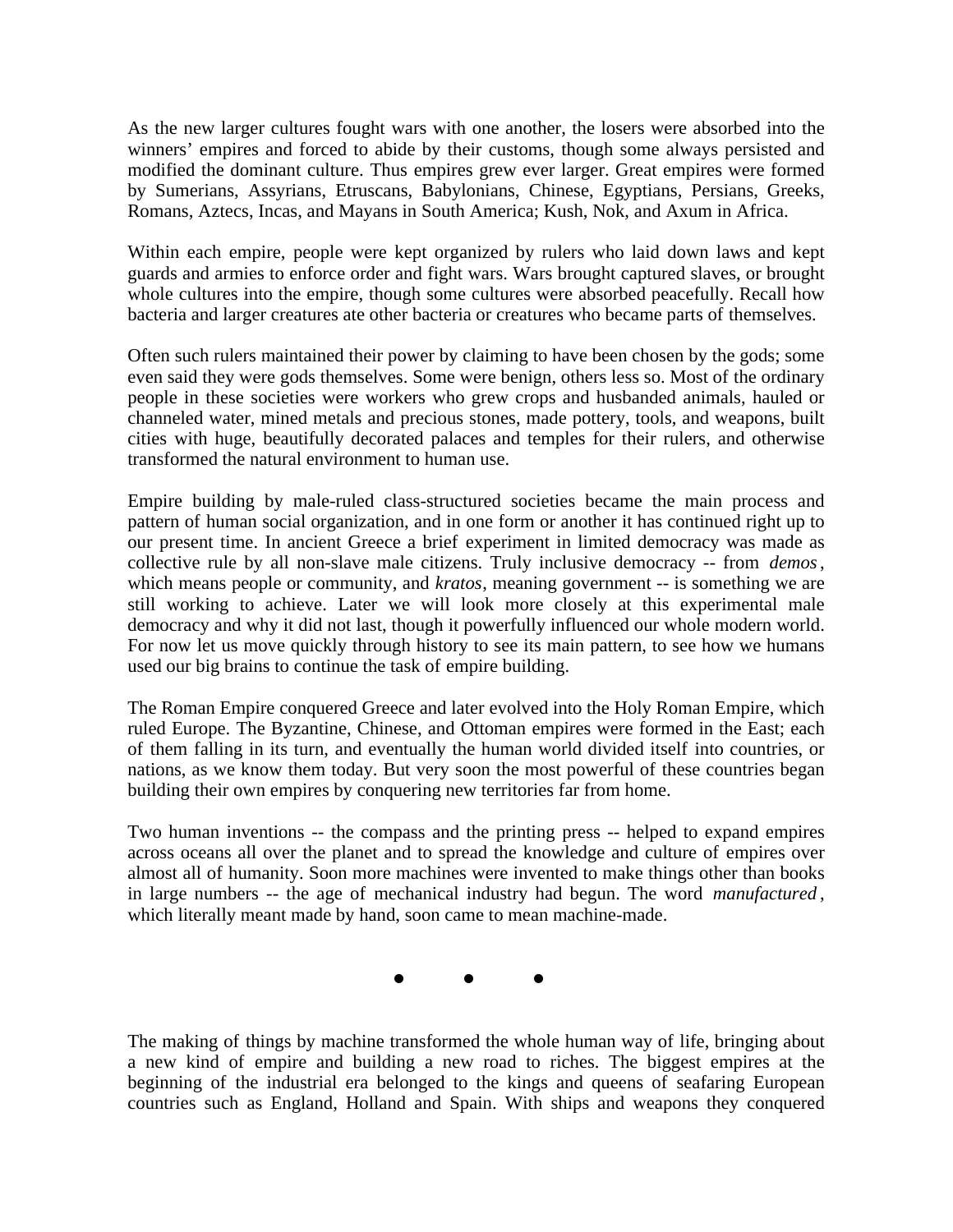As the new larger cultures fought wars with one another, the losers were absorbed into the winners' empires and forced to abide by their customs, though some always persisted and modified the dominant culture. Thus empires grew ever larger. Great empires were formed by Sumerians, Assyrians, Etruscans, Babylonians, Chinese, Egyptians, Persians, Greeks, Romans, Aztecs, Incas, and Mayans in South America; Kush, Nok, and Axum in Africa.

Within each empire, people were kept organized by rulers who laid down laws and kept guards and armies to enforce order and fight wars. Wars brought captured slaves, or brought whole cultures into the empire, though some cultures were absorbed peacefully. Recall how bacteria and larger creatures ate other bacteria or creatures who became parts of themselves.

Often such rulers maintained their power by claiming to have been chosen by the gods; some even said they were gods themselves. Some were benign, others less so. Most of the ordinary people in these societies were workers who grew crops and husbanded animals, hauled or channeled water, mined metals and precious stones, made pottery, tools, and weapons, built cities with huge, beautifully decorated palaces and temples for their rulers, and otherwise transformed the natural environment to human use.

Empire building by male-ruled class-structured societies became the main process and pattern of human social organization, and in one form or another it has continued right up to our present time. In ancient Greece a brief experiment in limited democracy was made as collective rule by all non-slave male citizens. Truly inclusive democracy -- from *demos*, which means people or community, and *kratos*, meaning government -- is something we are still working to achieve. Later we will look more closely at this experimental male democracy and why it did not last, though it powerfully influenced our whole modern world. For now let us move quickly through history to see its main pattern, to see how we humans used our big brains to continue the task of empire building.

The Roman Empire conquered Greece and later evolved into the Holy Roman Empire, which ruled Europe. The Byzantine, Chinese, and Ottoman empires were formed in the East; each of them falling in its turn, and eventually the human world divided itself into countries, or nations, as we know them today. But very soon the most powerful of these countries began building their own empires by conquering new territories far from home.

Two human inventions -- the compass and the printing press -- helped to expand empires across oceans all over the planet and to spread the knowledge and culture of empires over almost all of humanity. Soon more machines were invented to make things other than books in large numbers -- the age of mechanical industry had begun. The word *manufactured* , which literally meant made by hand, soon came to mean machine-made.

**· · ·** 

The making of things by machine transformed the whole human way of life, bringing about a new kind of empire and building a new road to riches. The biggest empires at the beginning of the industrial era belonged to the kings and queens of seafaring European countries such as England, Holland and Spain. With ships and weapons they conquered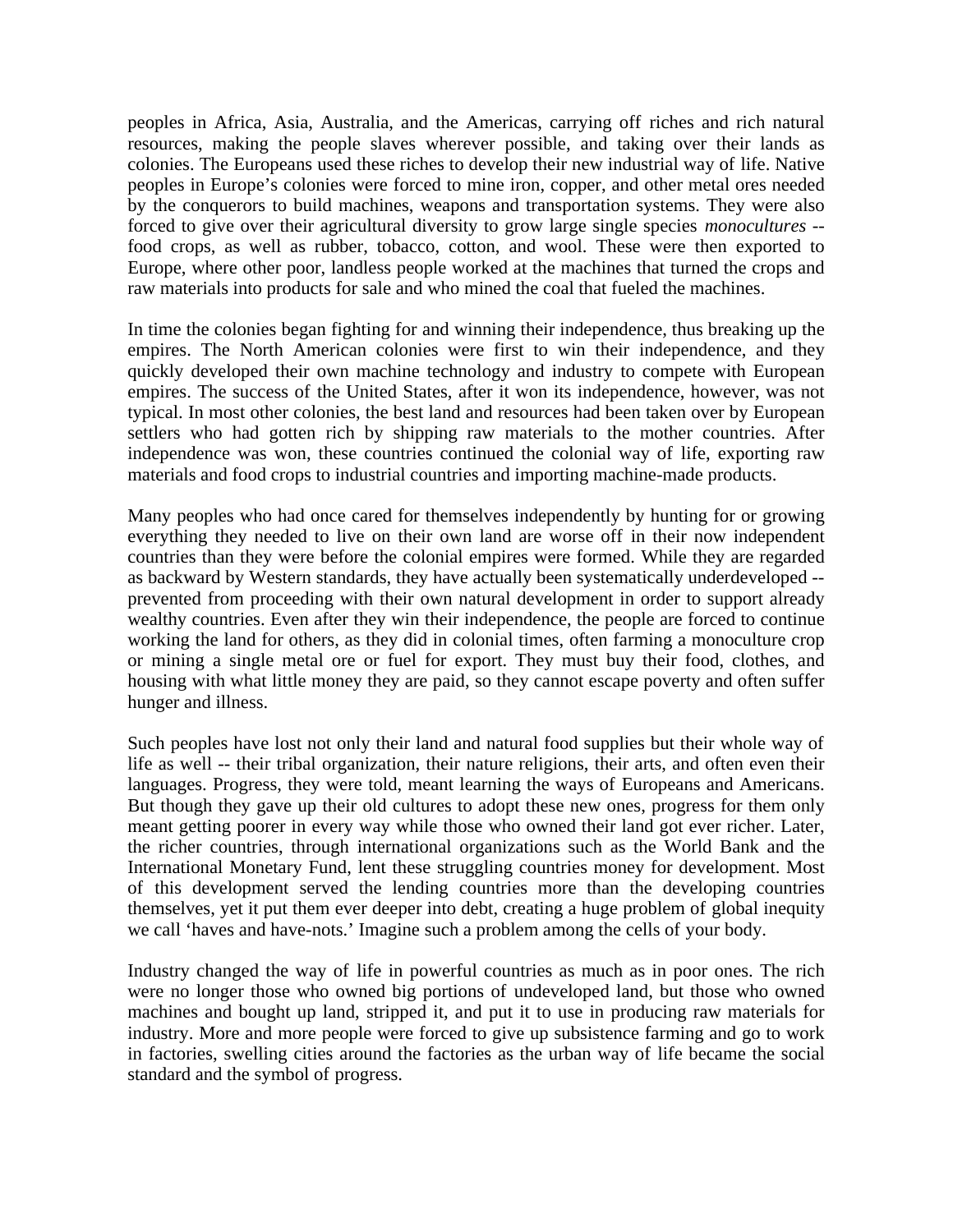peoples in Africa, Asia, Australia, and the Americas, carrying off riches and rich natural resources, making the people slaves wherever possible, and taking over their lands as colonies. The Europeans used these riches to develop their new industrial way of life. Native peoples in Europe's colonies were forced to mine iron, copper, and other metal ores needed by the conquerors to build machines, weapons and transportation systems. They were also forced to give over their agricultural diversity to grow large single species *monocultures* - food crops, as well as rubber, tobacco, cotton, and wool. These were then exported to Europe, where other poor, landless people worked at the machines that turned the crops and raw materials into products for sale and who mined the coal that fueled the machines.

In time the colonies began fighting for and winning their independence, thus breaking up the empires. The North American colonies were first to win their independence, and they quickly developed their own machine technology and industry to compete with European empires. The success of the United States, after it won its independence, however, was not typical. In most other colonies, the best land and resources had been taken over by European settlers who had gotten rich by shipping raw materials to the mother countries. After independence was won, these countries continued the colonial way of life, exporting raw materials and food crops to industrial countries and importing machine-made products.

Many peoples who had once cared for themselves independently by hunting for or growing everything they needed to live on their own land are worse off in their now independent countries than they were before the colonial empires were formed. While they are regarded as backward by Western standards, they have actually been systematically underdeveloped - prevented from proceeding with their own natural development in order to support already wealthy countries. Even after they win their independence, the people are forced to continue working the land for others, as they did in colonial times, often farming a monoculture crop or mining a single metal ore or fuel for export. They must buy their food, clothes, and housing with what little money they are paid, so they cannot escape poverty and often suffer hunger and illness.

Such peoples have lost not only their land and natural food supplies but their whole way of life as well -- their tribal organization, their nature religions, their arts, and often even their languages. Progress, they were told, meant learning the ways of Europeans and Americans. But though they gave up their old cultures to adopt these new ones, progress for them only meant getting poorer in every way while those who owned their land got ever richer. Later, the richer countries, through international organizations such as the World Bank and the International Monetary Fund, lent these struggling countries money for development. Most of this development served the lending countries more than the developing countries themselves, yet it put them ever deeper into debt, creating a huge problem of global inequity we call 'haves and have-nots.' Imagine such a problem among the cells of your body.

Industry changed the way of life in powerful countries as much as in poor ones. The rich were no longer those who owned big portions of undeveloped land, but those who owned machines and bought up land, stripped it, and put it to use in producing raw materials for industry. More and more people were forced to give up subsistence farming and go to work in factories, swelling cities around the factories as the urban way of life became the social standard and the symbol of progress.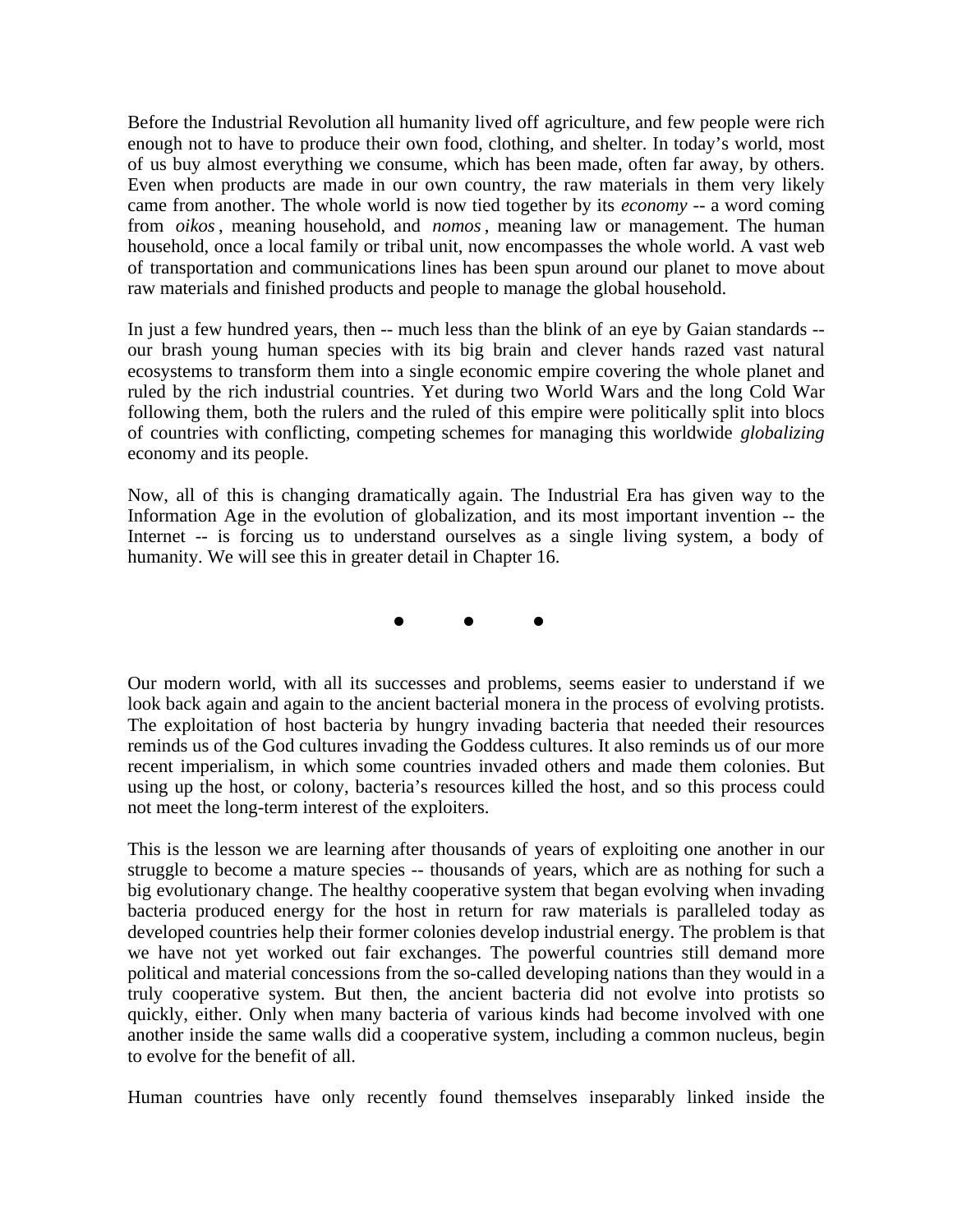Before the Industrial Revolution all humanity lived off agriculture, and few people were rich enough not to have to produce their own food, clothing, and shelter. In today's world, most of us buy almost everything we consume, which has been made, often far away, by others. Even when products are made in our own country, the raw materials in them very likely came from another. The whole world is now tied together by its *economy* -- a word coming from *oikos*, meaning household, and *nomos*, meaning law or management. The human household, once a local family or tribal unit, now encompasses the whole world. A vast web of transportation and communications lines has been spun around our planet to move about raw materials and finished products and people to manage the global household.

In just a few hundred years, then -- much less than the blink of an eye by Gaian standards - our brash young human species with its big brain and clever hands razed vast natural ecosystems to transform them into a single economic empire covering the whole planet and ruled by the rich industrial countries. Yet during two World Wars and the long Cold War following them, both the rulers and the ruled of this empire were politically split into blocs of countries with conflicting, competing schemes for managing this worldwide *globalizing* economy and its people.

Now, all of this is changing dramatically again. The Industrial Era has given way to the Information Age in the evolution of globalization, and its most important invention -- the Internet -- is forcing us to understand ourselves as a single living system, a body of humanity. We will see this in greater detail in Chapter 16.

**· · ·** 

Our modern world, with all its successes and problems, seems easier to understand if we look back again and again to the ancient bacterial monera in the process of evolving protists. The exploitation of host bacteria by hungry invading bacteria that needed their resources reminds us of the God cultures invading the Goddess cultures. It also reminds us of our more recent imperialism, in which some countries invaded others and made them colonies. But using up the host, or colony, bacteria's resources killed the host, and so this process could not meet the long-term interest of the exploiters.

This is the lesson we are learning after thousands of years of exploiting one another in our struggle to become a mature species -- thousands of years, which are as nothing for such a big evolutionary change. The healthy cooperative system that began evolving when invading bacteria produced energy for the host in return for raw materials is paralleled today as developed countries help their former colonies develop industrial energy. The problem is that we have not yet worked out fair exchanges. The powerful countries still demand more political and material concessions from the so-called developing nations than they would in a truly cooperative system. But then, the ancient bacteria did not evolve into protists so quickly, either. Only when many bacteria of various kinds had become involved with one another inside the same walls did a cooperative system, including a common nucleus, begin to evolve for the benefit of all.

Human countries have only recently found themselves inseparably linked inside the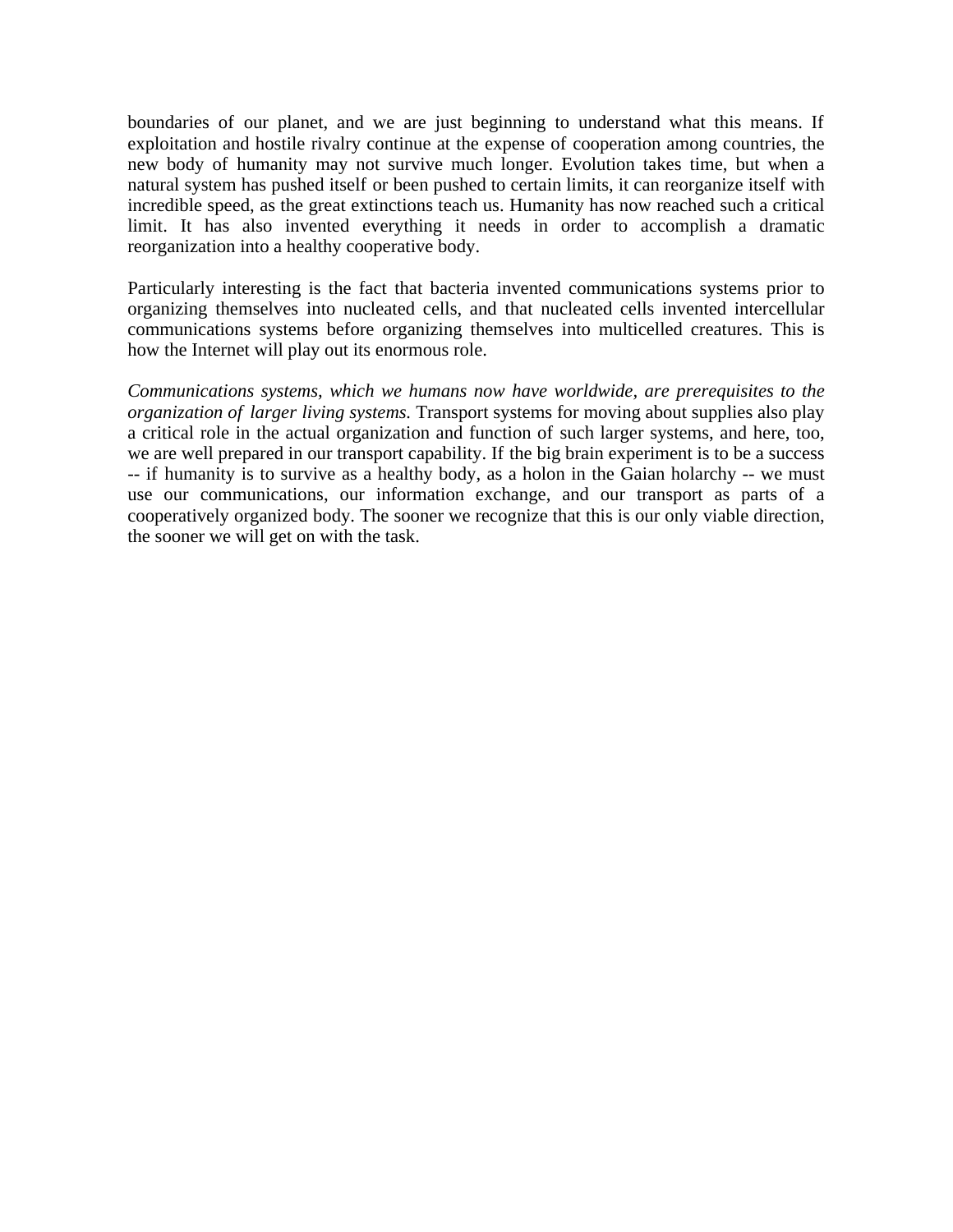boundaries of our planet, and we are just beginning to understand what this means. If exploitation and hostile rivalry continue at the expense of cooperation among countries, the new body of humanity may not survive much longer. Evolution takes time, but when a natural system has pushed itself or been pushed to certain limits, it can reorganize itself with incredible speed, as the great extinctions teach us. Humanity has now reached such a critical limit. It has also invented everything it needs in order to accomplish a dramatic reorganization into a healthy cooperative body.

Particularly interesting is the fact that bacteria invented communications systems prior to organizing themselves into nucleated cells, and that nucleated cells invented intercellular communications systems before organizing themselves into multicelled creatures. This is how the Internet will play out its enormous role.

*Communications systems, which we humans now have worldwide, are prerequisites to the organization of larger living systems.* Transport systems for moving about supplies also play a critical role in the actual organization and function of such larger systems, and here, too, we are well prepared in our transport capability. If the big brain experiment is to be a success -- if humanity is to survive as a healthy body, as a holon in the Gaian holarchy -- we must use our communications, our information exchange, and our transport as parts of a cooperatively organized body. The sooner we recognize that this is our only viable direction, the sooner we will get on with the task.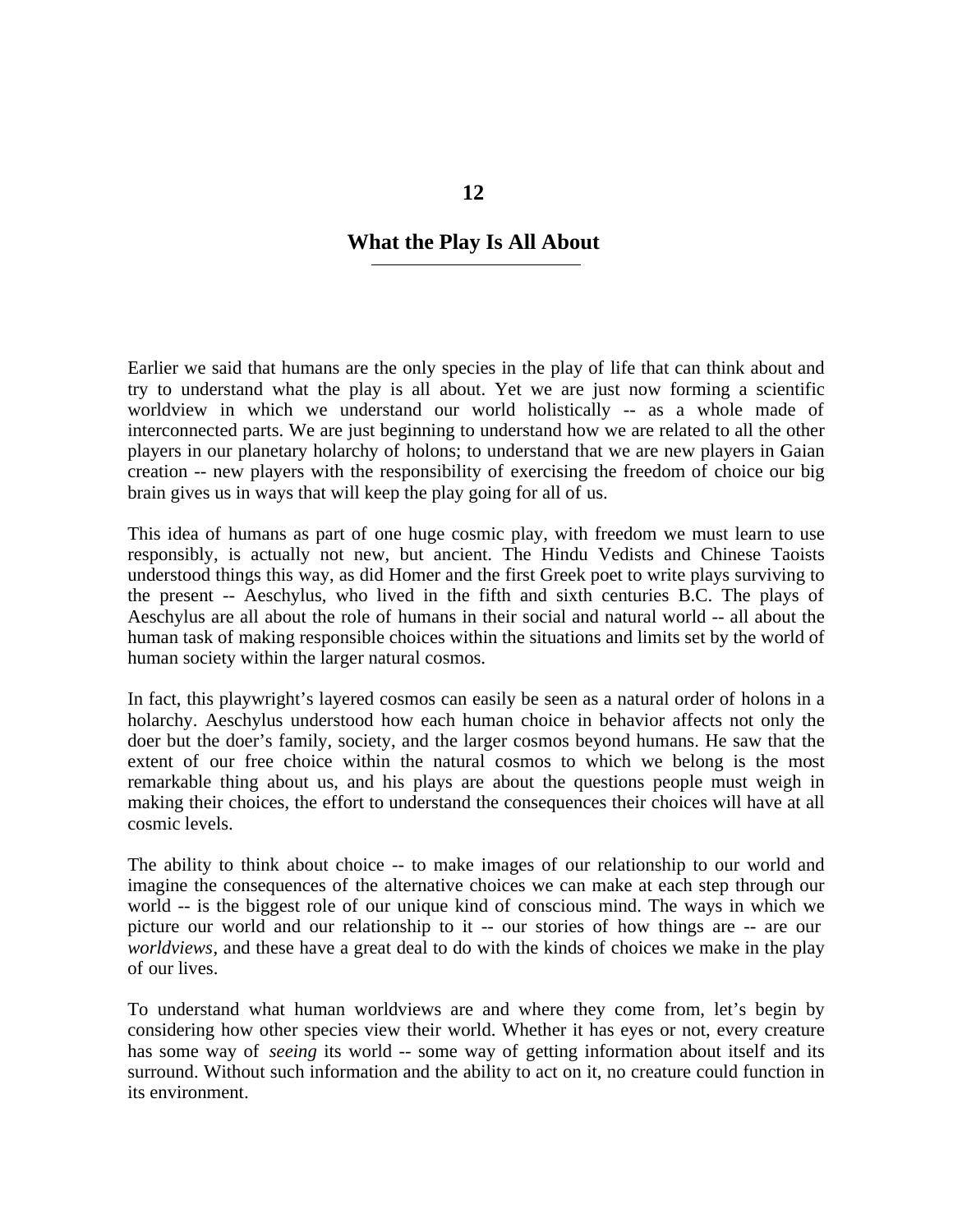## **What the Play Is All About**

Earlier we said that humans are the only species in the play of life that can think about and try to understand what the play is all about. Yet we are just now forming a scientific worldview in which we understand our world holistically -- as a whole made of interconnected parts. We are just beginning to understand how we are related to all the other players in our planetary holarchy of holons; to understand that we are new players in Gaian creation -- new players with the responsibility of exercising the freedom of choice our big brain gives us in ways that will keep the play going for all of us.

This idea of humans as part of one huge cosmic play, with freedom we must learn to use responsibly, is actually not new, but ancient. The Hindu Vedists and Chinese Taoists understood things this way, as did Homer and the first Greek poet to write plays surviving to the present -- Aeschylus, who lived in the fifth and sixth centuries B.C. The plays of Aeschylus are all about the role of humans in their social and natural world -- all about the human task of making responsible choices within the situations and limits set by the world of human society within the larger natural cosmos.

In fact, this playwright's layered cosmos can easily be seen as a natural order of holons in a holarchy. Aeschylus understood how each human choice in behavior affects not only the doer but the doer's family, society, and the larger cosmos beyond humans. He saw that the extent of our free choice within the natural cosmos to which we belong is the most remarkable thing about us, and his plays are about the questions people must weigh in making their choices, the effort to understand the consequences their choices will have at all cosmic levels.

The ability to think about choice -- to make images of our relationship to our world and imagine the consequences of the alternative choices we can make at each step through our world -- is the biggest role of our unique kind of conscious mind. The ways in which we picture our world and our relationship to it -- our stories of how things are -- are our *worldviews*, and these have a great deal to do with the kinds of choices we make in the play of our lives.

To understand what human worldviews are and where they come from, let's begin by considering how other species view their world. Whether it has eyes or not, every creature has some way of *seeing* its world -- some way of getting information about itself and its surround. Without such information and the ability to act on it, no creature could function in its environment.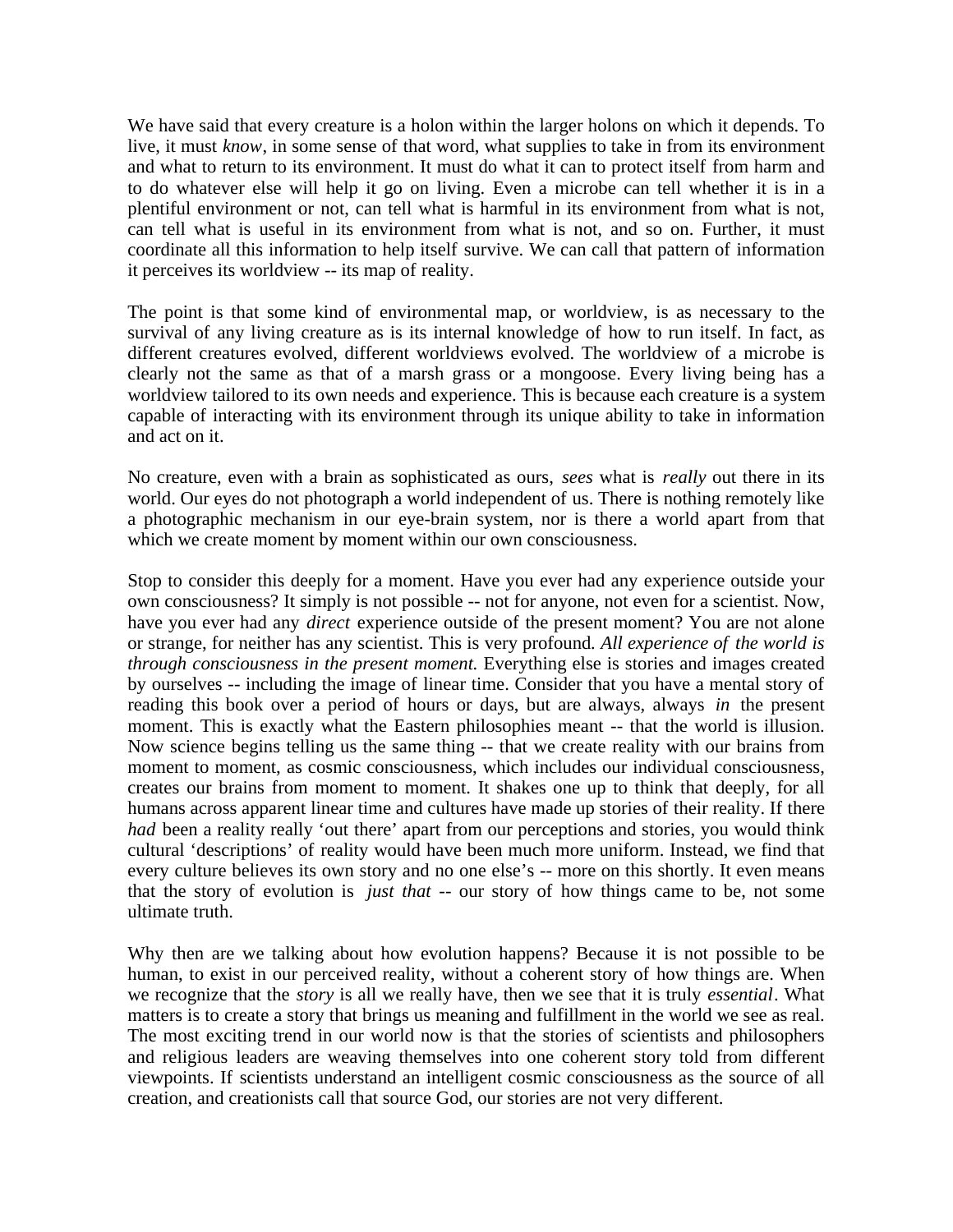We have said that every creature is a holon within the larger holons on which it depends. To live, it must *know*, in some sense of that word, what supplies to take in from its environment and what to return to its environment. It must do what it can to protect itself from harm and to do whatever else will help it go on living. Even a microbe can tell whether it is in a plentiful environment or not, can tell what is harmful in its environment from what is not, can tell what is useful in its environment from what is not, and so on. Further, it must coordinate all this information to help itself survive. We can call that pattern of information it perceives its worldview -- its map of reality.

The point is that some kind of environmental map, or worldview, is as necessary to the survival of any living creature as is its internal knowledge of how to run itself. In fact, as different creatures evolved, different worldviews evolved. The worldview of a microbe is clearly not the same as that of a marsh grass or a mongoose. Every living being has a worldview tailored to its own needs and experience. This is because each creature is a system capable of interacting with its environment through its unique ability to take in information and act on it.

No creature, even with a brain as sophisticated as ours, *sees* what is *really* out there in its world. Our eyes do not photograph a world independent of us. There is nothing remotely like a photographic mechanism in our eye-brain system, nor is there a world apart from that which we create moment by moment within our own consciousness.

Stop to consider this deeply for a moment. Have you ever had any experience outside your own consciousness? It simply is not possible -- not for anyone, not even for a scientist. Now, have you ever had any *direct* experience outside of the present moment? You are not alone or strange, for neither has any scientist. This is very profound*. All experience of the world is through consciousness in the present moment.* Everything else is stories and images created by ourselves -- including the image of linear time. Consider that you have a mental story of reading this book over a period of hours or days, but are always, always *in* the present moment. This is exactly what the Eastern philosophies meant -- that the world is illusion. Now science begins telling us the same thing -- that we create reality with our brains from moment to moment, as cosmic consciousness, which includes our individual consciousness, creates our brains from moment to moment. It shakes one up to think that deeply, for all humans across apparent linear time and cultures have made up stories of their reality. If there *had* been a reality really 'out there' apart from our perceptions and stories, you would think cultural 'descriptions' of reality would have been much more uniform. Instead, we find that every culture believes its own story and no one else's -- more on this shortly. It even means that the story of evolution is *just that* -- our story of how things came to be, not some ultimate truth.

Why then are we talking about how evolution happens? Because it is not possible to be human, to exist in our perceived reality, without a coherent story of how things are. When we recognize that the *story* is all we really have, then we see that it is truly *essential*. What matters is to create a story that brings us meaning and fulfillment in the world we see as real. The most exciting trend in our world now is that the stories of scientists and philosophers and religious leaders are weaving themselves into one coherent story told from different viewpoints. If scientists understand an intelligent cosmic consciousness as the source of all creation, and creationists call that source God, our stories are not very different.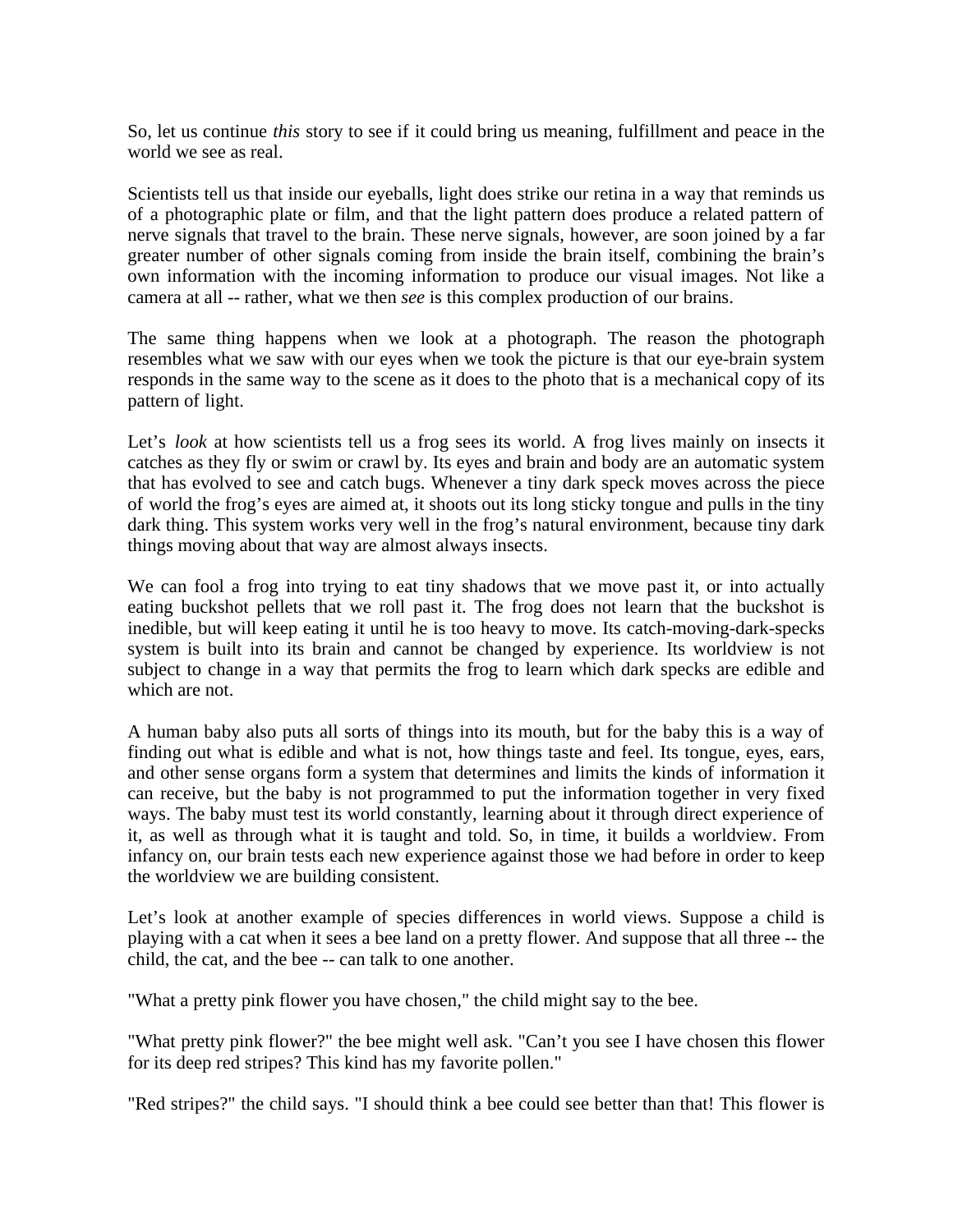So, let us continue *this* story to see if it could bring us meaning, fulfillment and peace in the world we see as real.

Scientists tell us that inside our eyeballs, light does strike our retina in a way that reminds us of a photographic plate or film, and that the light pattern does produce a related pattern of nerve signals that travel to the brain. These nerve signals, however, are soon joined by a far greater number of other signals coming from inside the brain itself, combining the brain's own information with the incoming information to produce our visual images. Not like a camera at all -- rather, what we then *see* is this complex production of our brains.

The same thing happens when we look at a photograph. The reason the photograph resembles what we saw with our eyes when we took the picture is that our eye-brain system responds in the same way to the scene as it does to the photo that is a mechanical copy of its pattern of light.

Let's *look* at how scientists tell us a frog sees its world. A frog lives mainly on insects it catches as they fly or swim or crawl by. Its eyes and brain and body are an automatic system that has evolved to see and catch bugs. Whenever a tiny dark speck moves across the piece of world the frog's eyes are aimed at, it shoots out its long sticky tongue and pulls in the tiny dark thing. This system works very well in the frog's natural environment, because tiny dark things moving about that way are almost always insects.

We can fool a frog into trying to eat tiny shadows that we move past it, or into actually eating buckshot pellets that we roll past it. The frog does not learn that the buckshot is inedible, but will keep eating it until he is too heavy to move. Its catch-moving-dark-specks system is built into its brain and cannot be changed by experience. Its worldview is not subject to change in a way that permits the frog to learn which dark specks are edible and which are not.

A human baby also puts all sorts of things into its mouth, but for the baby this is a way of finding out what is edible and what is not, how things taste and feel. Its tongue, eyes, ears, and other sense organs form a system that determines and limits the kinds of information it can receive, but the baby is not programmed to put the information together in very fixed ways. The baby must test its world constantly, learning about it through direct experience of it, as well as through what it is taught and told. So, in time, it builds a worldview. From infancy on, our brain tests each new experience against those we had before in order to keep the worldview we are building consistent.

Let's look at another example of species differences in world views. Suppose a child is playing with a cat when it sees a bee land on a pretty flower. And suppose that all three -- the child, the cat, and the bee -- can talk to one another.

"What a pretty pink flower you have chosen," the child might say to the bee.

"What pretty pink flower?" the bee might well ask. "Can't you see I have chosen this flower for its deep red stripes? This kind has my favorite pollen."

"Red stripes?" the child says. "I should think a bee could see better than that! This flower is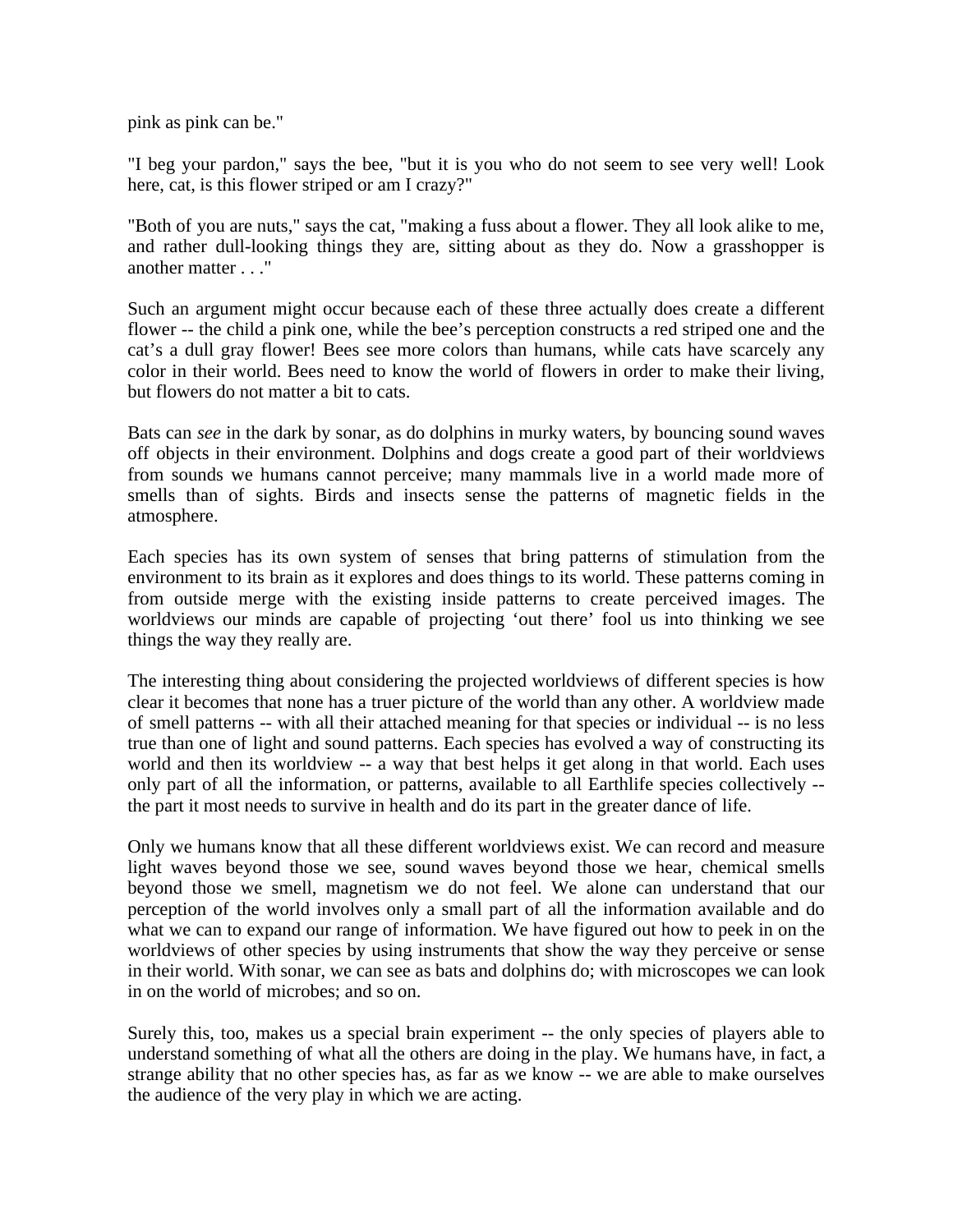pink as pink can be."

"I beg your pardon," says the bee, "but it is you who do not seem to see very well! Look here, cat, is this flower striped or am I crazy?"

"Both of you are nuts," says the cat, "making a fuss about a flower. They all look alike to me, and rather dull-looking things they are, sitting about as they do. Now a grasshopper is another matter . . ."

Such an argument might occur because each of these three actually does create a different flower -- the child a pink one, while the bee's perception constructs a red striped one and the cat's a dull gray flower! Bees see more colors than humans, while cats have scarcely any color in their world. Bees need to know the world of flowers in order to make their living, but flowers do not matter a bit to cats.

Bats can *see* in the dark by sonar, as do dolphins in murky waters, by bouncing sound waves off objects in their environment. Dolphins and dogs create a good part of their worldviews from sounds we humans cannot perceive; many mammals live in a world made more of smells than of sights. Birds and insects sense the patterns of magnetic fields in the atmosphere.

Each species has its own system of senses that bring patterns of stimulation from the environment to its brain as it explores and does things to its world. These patterns coming in from outside merge with the existing inside patterns to create perceived images. The worldviews our minds are capable of projecting 'out there' fool us into thinking we see things the way they really are.

The interesting thing about considering the projected worldviews of different species is how clear it becomes that none has a truer picture of the world than any other. A worldview made of smell patterns -- with all their attached meaning for that species or individual -- is no less true than one of light and sound patterns. Each species has evolved a way of constructing its world and then its worldview -- a way that best helps it get along in that world. Each uses only part of all the information, or patterns, available to all Earthlife species collectively - the part it most needs to survive in health and do its part in the greater dance of life.

Only we humans know that all these different worldviews exist. We can record and measure light waves beyond those we see, sound waves beyond those we hear, chemical smells beyond those we smell, magnetism we do not feel. We alone can understand that our perception of the world involves only a small part of all the information available and do what we can to expand our range of information. We have figured out how to peek in on the worldviews of other species by using instruments that show the way they perceive or sense in their world. With sonar, we can see as bats and dolphins do; with microscopes we can look in on the world of microbes; and so on.

Surely this, too, makes us a special brain experiment -- the only species of players able to understand something of what all the others are doing in the play. We humans have, in fact, a strange ability that no other species has, as far as we know -- we are able to make ourselves the audience of the very play in which we are acting.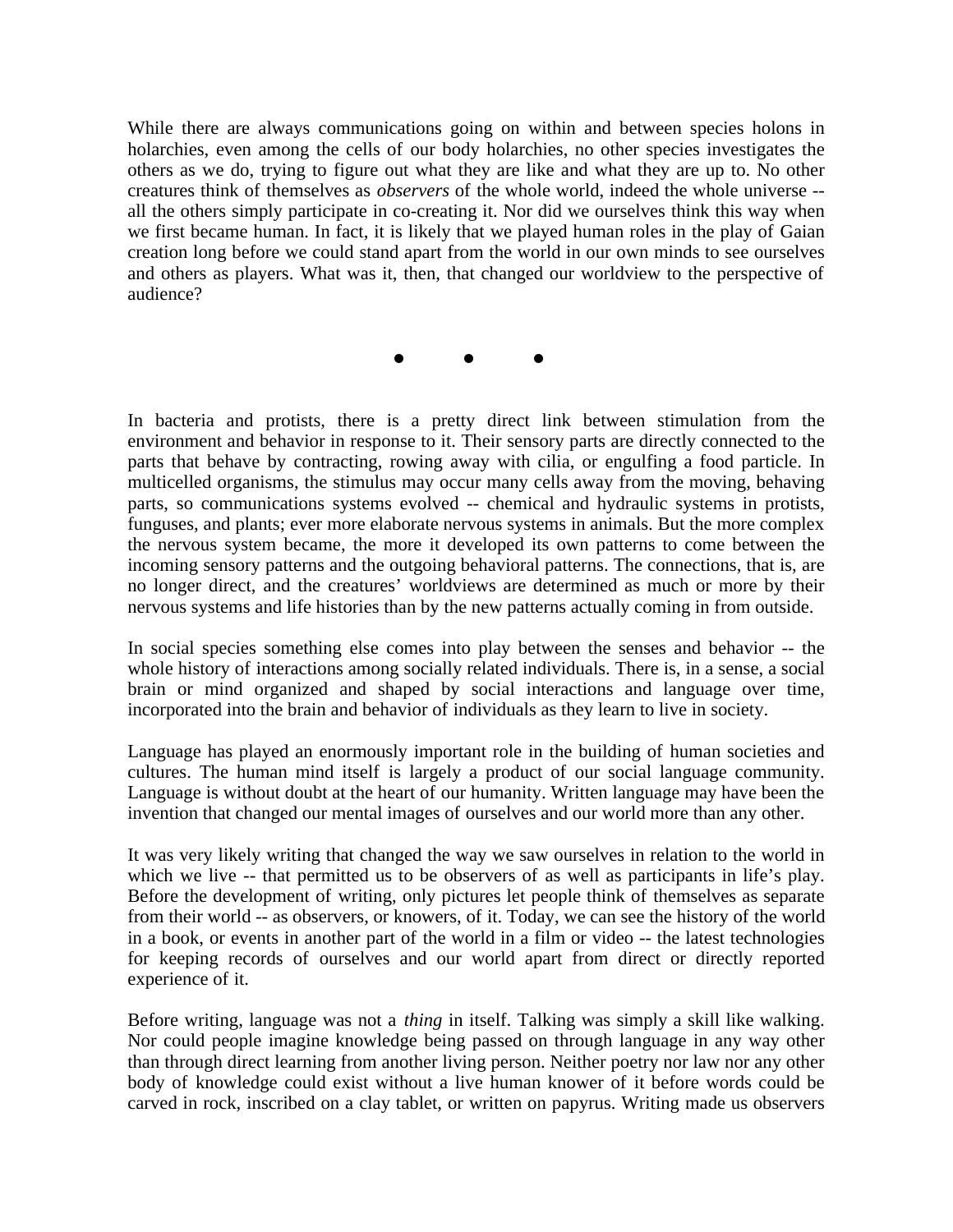While there are always communications going on within and between species holons in holarchies, even among the cells of our body holarchies, no other species investigates the others as we do, trying to figure out what they are like and what they are up to. No other creatures think of themselves as *observers* of the whole world, indeed the whole universe - all the others simply participate in co-creating it. Nor did we ourselves think this way when we first became human. In fact, it is likely that we played human roles in the play of Gaian creation long before we could stand apart from the world in our own minds to see ourselves and others as players. What was it, then, that changed our worldview to the perspective of audience?

**· · ·** 

In bacteria and protists, there is a pretty direct link between stimulation from the environment and behavior in response to it. Their sensory parts are directly connected to the parts that behave by contracting, rowing away with cilia, or engulfing a food particle. In multicelled organisms, the stimulus may occur many cells away from the moving, behaving parts, so communications systems evolved -- chemical and hydraulic systems in protists, funguses, and plants; ever more elaborate nervous systems in animals. But the more complex the nervous system became, the more it developed its own patterns to come between the incoming sensory patterns and the outgoing behavioral patterns. The connections, that is, are no longer direct, and the creatures' worldviews are determined as much or more by their nervous systems and life histories than by the new patterns actually coming in from outside.

In social species something else comes into play between the senses and behavior -- the whole history of interactions among socially related individuals. There is, in a sense, a social brain or mind organized and shaped by social interactions and language over time, incorporated into the brain and behavior of individuals as they learn to live in society.

Language has played an enormously important role in the building of human societies and cultures. The human mind itself is largely a product of our social language community. Language is without doubt at the heart of our humanity. Written language may have been the invention that changed our mental images of ourselves and our world more than any other.

It was very likely writing that changed the way we saw ourselves in relation to the world in which we live -- that permitted us to be observers of as well as participants in life's play. Before the development of writing, only pictures let people think of themselves as separate from their world -- as observers, or knowers, of it. Today, we can see the history of the world in a book, or events in another part of the world in a film or video -- the latest technologies for keeping records of ourselves and our world apart from direct or directly reported experience of it.

Before writing, language was not a *thing* in itself. Talking was simply a skill like walking. Nor could people imagine knowledge being passed on through language in any way other than through direct learning from another living person. Neither poetry nor law nor any other body of knowledge could exist without a live human knower of it before words could be carved in rock, inscribed on a clay tablet, or written on papyrus. Writing made us observers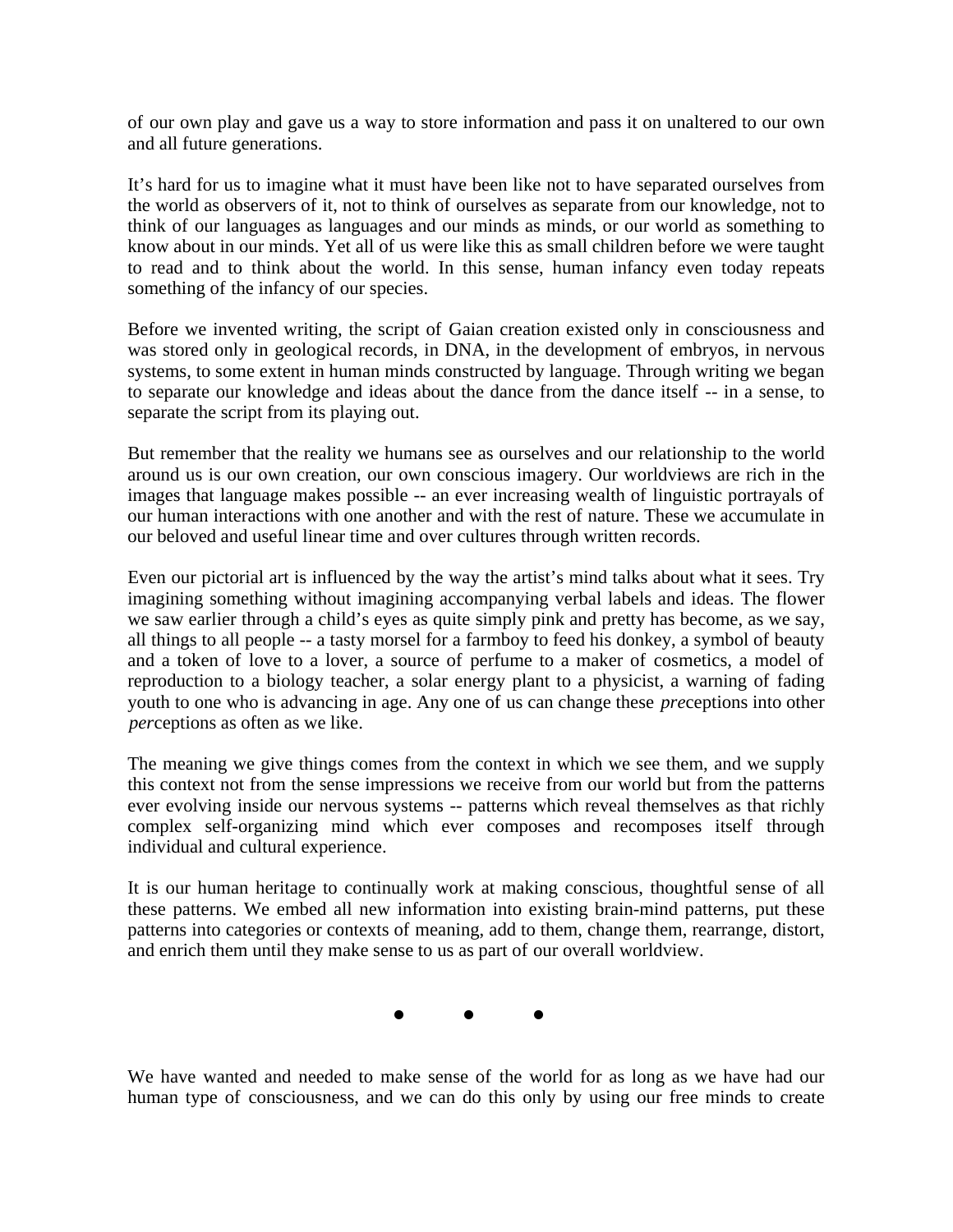of our own play and gave us a way to store information and pass it on unaltered to our own and all future generations.

It's hard for us to imagine what it must have been like not to have separated ourselves from the world as observers of it, not to think of ourselves as separate from our knowledge, not to think of our languages as languages and our minds as minds, or our world as something to know about in our minds. Yet all of us were like this as small children before we were taught to read and to think about the world. In this sense, human infancy even today repeats something of the infancy of our species.

Before we invented writing, the script of Gaian creation existed only in consciousness and was stored only in geological records, in DNA, in the development of embryos, in nervous systems, to some extent in human minds constructed by language. Through writing we began to separate our knowledge and ideas about the dance from the dance itself -- in a sense, to separate the script from its playing out.

But remember that the reality we humans see as ourselves and our relationship to the world around us is our own creation, our own conscious imagery. Our worldviews are rich in the images that language makes possible -- an ever increasing wealth of linguistic portrayals of our human interactions with one another and with the rest of nature. These we accumulate in our beloved and useful linear time and over cultures through written records.

Even our pictorial art is influenced by the way the artist's mind talks about what it sees. Try imagining something without imagining accompanying verbal labels and ideas. The flower we saw earlier through a child's eyes as quite simply pink and pretty has become, as we say, all things to all people -- a tasty morsel for a farmboy to feed his donkey, a symbol of beauty and a token of love to a lover, a source of perfume to a maker of cosmetics, a model of reproduction to a biology teacher, a solar energy plant to a physicist, a warning of fading youth to one who is advancing in age. Any one of us can change these *pre*ceptions into other *per*ceptions as often as we like.

The meaning we give things comes from the context in which we see them, and we supply this context not from the sense impressions we receive from our world but from the patterns ever evolving inside our nervous systems -- patterns which reveal themselves as that richly complex self-organizing mind which ever composes and recomposes itself through individual and cultural experience.

It is our human heritage to continually work at making conscious, thoughtful sense of all these patterns. We embed all new information into existing brain-mind patterns, put these patterns into categories or contexts of meaning, add to them, change them, rearrange, distort, and enrich them until they make sense to us as part of our overall worldview.



We have wanted and needed to make sense of the world for as long as we have had our human type of consciousness, and we can do this only by using our free minds to create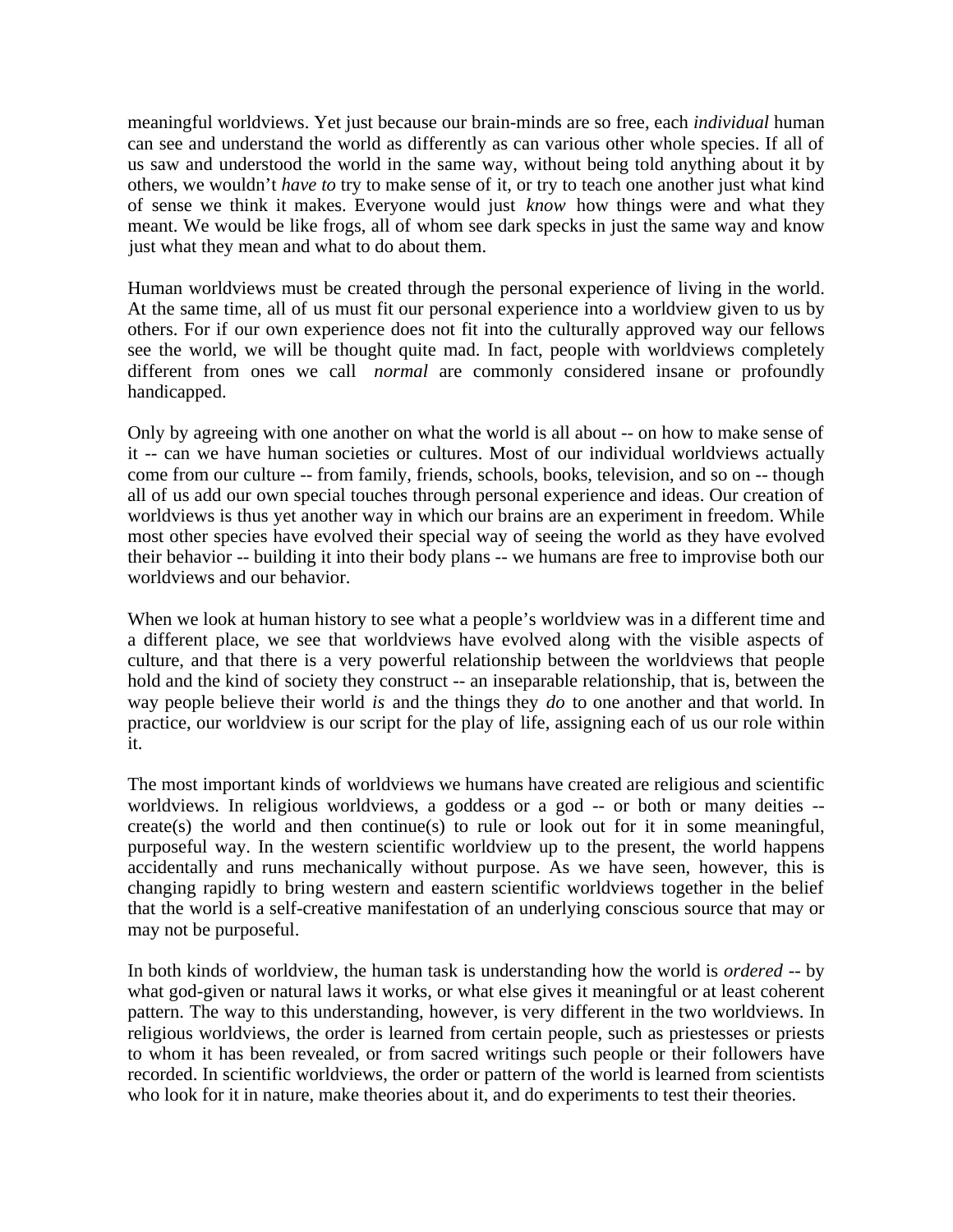meaningful worldviews. Yet just because our brain-minds are so free, each *individual* human can see and understand the world as differently as can various other whole species. If all of us saw and understood the world in the same way, without being told anything about it by others, we wouldn't *have to* try to make sense of it, or try to teach one another just what kind of sense we think it makes. Everyone would just *know* how things were and what they meant. We would be like frogs, all of whom see dark specks in just the same way and know just what they mean and what to do about them.

Human worldviews must be created through the personal experience of living in the world. At the same time, all of us must fit our personal experience into a worldview given to us by others. For if our own experience does not fit into the culturally approved way our fellows see the world, we will be thought quite mad. In fact, people with worldviews completely different from ones we call *normal* are commonly considered insane or profoundly handicapped.

Only by agreeing with one another on what the world is all about -- on how to make sense of it -- can we have human societies or cultures. Most of our individual worldviews actually come from our culture -- from family, friends, schools, books, television, and so on -- though all of us add our own special touches through personal experience and ideas. Our creation of worldviews is thus yet another way in which our brains are an experiment in freedom. While most other species have evolved their special way of seeing the world as they have evolved their behavior -- building it into their body plans -- we humans are free to improvise both our worldviews and our behavior.

When we look at human history to see what a people's worldview was in a different time and a different place, we see that worldviews have evolved along with the visible aspects of culture, and that there is a very powerful relationship between the worldviews that people hold and the kind of society they construct -- an inseparable relationship, that is, between the way people believe their world *is* and the things they *do* to one another and that world. In practice, our worldview is our script for the play of life, assigning each of us our role within it.

The most important kinds of worldviews we humans have created are religious and scientific worldviews. In religious worldviews, a goddess or a god -- or both or many deities - create(s) the world and then continue(s) to rule or look out for it in some meaningful, purposeful way. In the western scientific worldview up to the present, the world happens accidentally and runs mechanically without purpose. As we have seen, however, this is changing rapidly to bring western and eastern scientific worldviews together in the belief that the world is a self-creative manifestation of an underlying conscious source that may or may not be purposeful.

In both kinds of worldview, the human task is understanding how the world is *ordered* -- by what god-given or natural laws it works, or what else gives it meaningful or at least coherent pattern. The way to this understanding, however, is very different in the two worldviews. In religious worldviews, the order is learned from certain people, such as priestesses or priests to whom it has been revealed, or from sacred writings such people or their followers have recorded. In scientific worldviews, the order or pattern of the world is learned from scientists who look for it in nature, make theories about it, and do experiments to test their theories.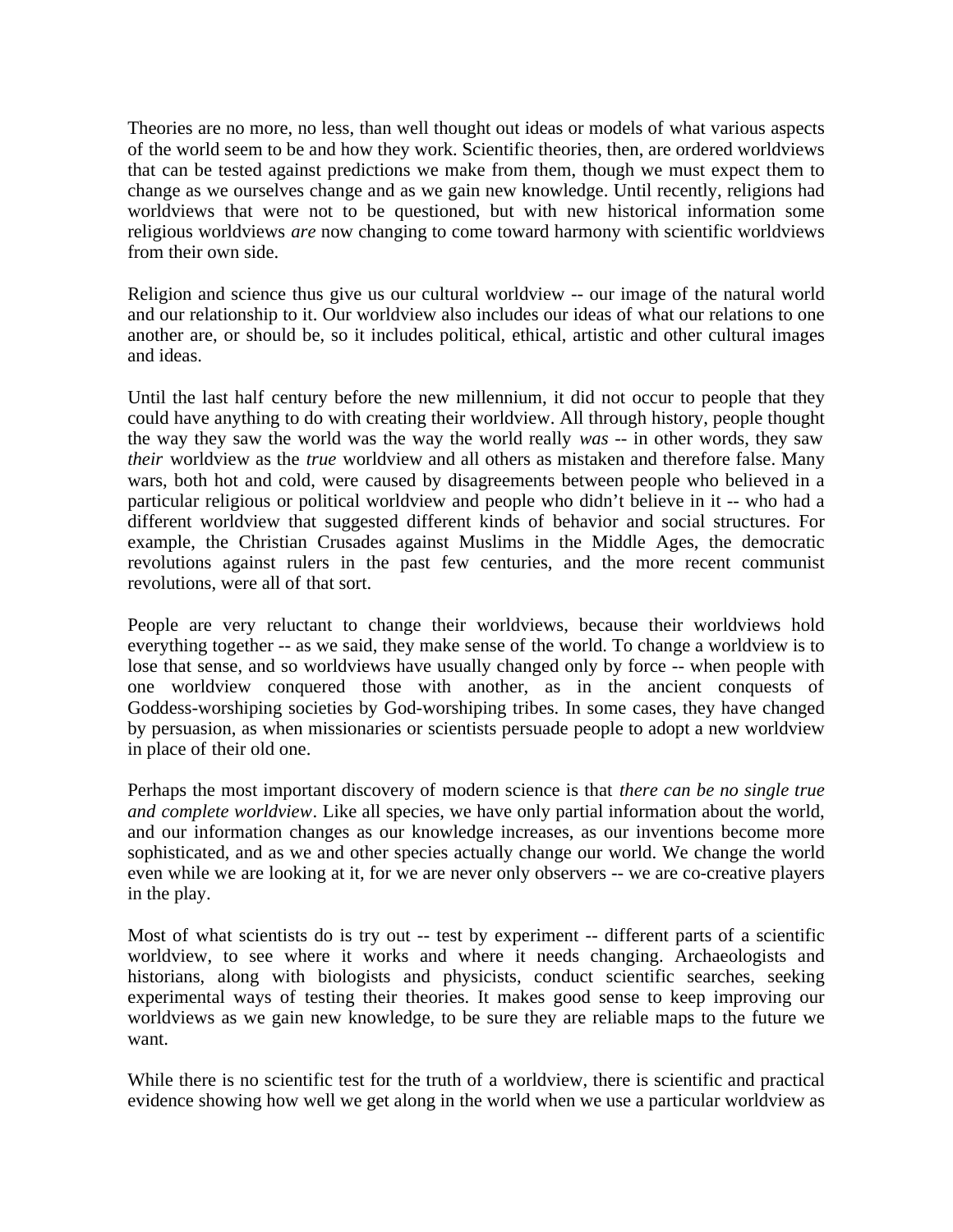Theories are no more, no less, than well thought out ideas or models of what various aspects of the world seem to be and how they work. Scientific theories, then, are ordered worldviews that can be tested against predictions we make from them, though we must expect them to change as we ourselves change and as we gain new knowledge. Until recently, religions had worldviews that were not to be questioned, but with new historical information some religious worldviews *are* now changing to come toward harmony with scientific worldviews from their own side.

Religion and science thus give us our cultural worldview -- our image of the natural world and our relationship to it. Our worldview also includes our ideas of what our relations to one another are, or should be, so it includes political, ethical, artistic and other cultural images and ideas.

Until the last half century before the new millennium, it did not occur to people that they could have anything to do with creating their worldview. All through history, people thought the way they saw the world was the way the world really *was* -- in other words, they saw *their* worldview as the *true* worldview and all others as mistaken and therefore false. Many wars, both hot and cold, were caused by disagreements between people who believed in a particular religious or political worldview and people who didn't believe in it -- who had a different worldview that suggested different kinds of behavior and social structures. For example, the Christian Crusades against Muslims in the Middle Ages, the democratic revolutions against rulers in the past few centuries, and the more recent communist revolutions, were all of that sort.

People are very reluctant to change their worldviews, because their worldviews hold everything together -- as we said, they make sense of the world. To change a worldview is to lose that sense, and so worldviews have usually changed only by force -- when people with one worldview conquered those with another, as in the ancient conquests of Goddess-worshiping societies by God-worshiping tribes. In some cases, they have changed by persuasion, as when missionaries or scientists persuade people to adopt a new worldview in place of their old one.

Perhaps the most important discovery of modern science is that *there can be no single true and complete worldview*. Like all species, we have only partial information about the world, and our information changes as our knowledge increases, as our inventions become more sophisticated, and as we and other species actually change our world. We change the world even while we are looking at it, for we are never only observers -- we are co-creative players in the play.

Most of what scientists do is try out -- test by experiment -- different parts of a scientific worldview, to see where it works and where it needs changing. Archaeologists and historians, along with biologists and physicists, conduct scientific searches, seeking experimental ways of testing their theories. It makes good sense to keep improving our worldviews as we gain new knowledge, to be sure they are reliable maps to the future we want.

While there is no scientific test for the truth of a worldview, there is scientific and practical evidence showing how well we get along in the world when we use a particular worldview as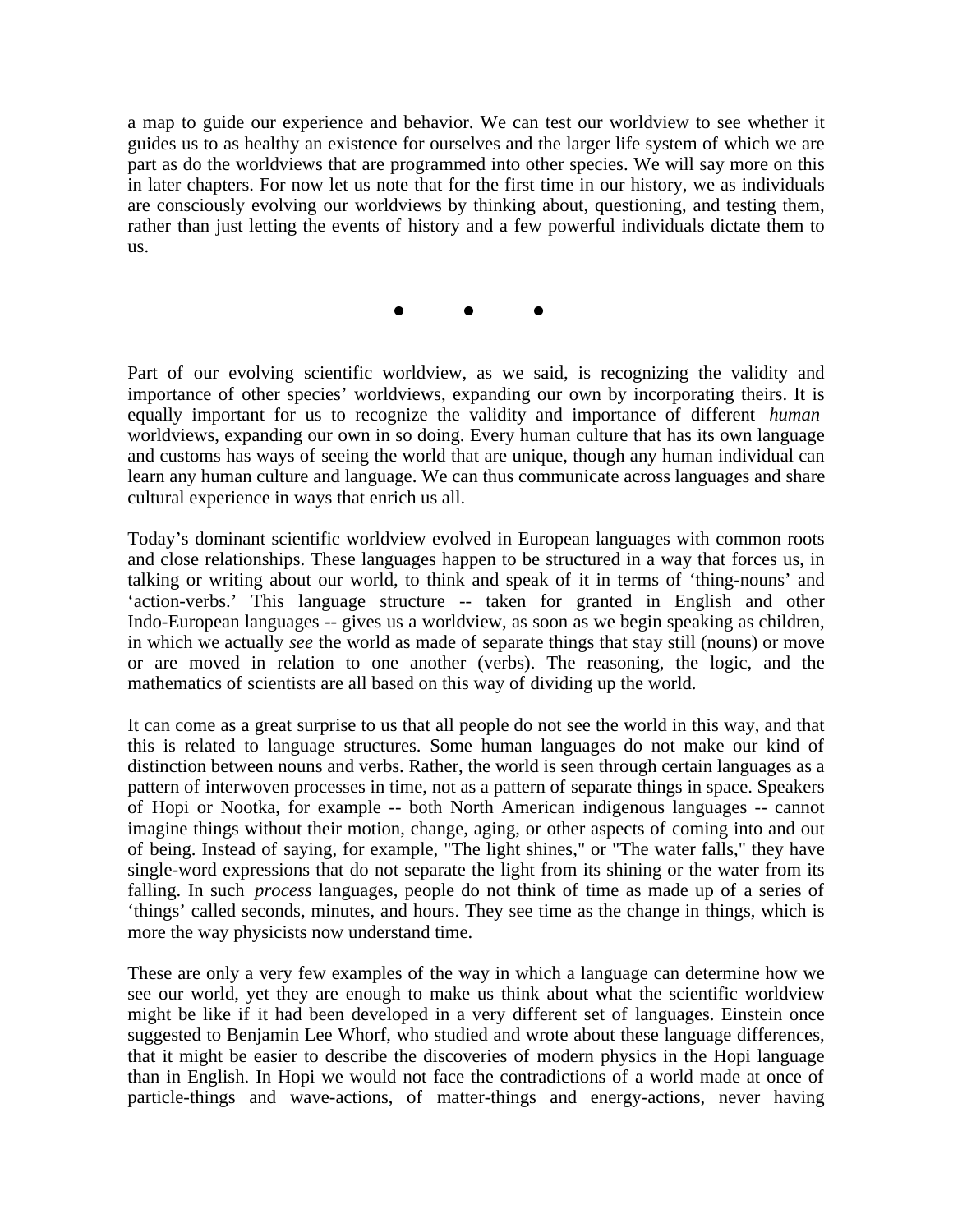a map to guide our experience and behavior. We can test our worldview to see whether it guides us to as healthy an existence for ourselves and the larger life system of which we are part as do the worldviews that are programmed into other species. We will say more on this in later chapters. For now let us note that for the first time in our history, we as individuals are consciously evolving our worldviews by thinking about, questioning, and testing them, rather than just letting the events of history and a few powerful individuals dictate them to us.

**· · ·** 

Part of our evolving scientific worldview, as we said, is recognizing the validity and importance of other species' worldviews, expanding our own by incorporating theirs. It is equally important for us to recognize the validity and importance of different *human* worldviews, expanding our own in so doing. Every human culture that has its own language and customs has ways of seeing the world that are unique, though any human individual can learn any human culture and language. We can thus communicate across languages and share cultural experience in ways that enrich us all.

Today's dominant scientific worldview evolved in European languages with common roots and close relationships. These languages happen to be structured in a way that forces us, in talking or writing about our world, to think and speak of it in terms of 'thing-nouns' and 'action-verbs.' This language structure -- taken for granted in English and other Indo-European languages -- gives us a worldview, as soon as we begin speaking as children, in which we actually *see* the world as made of separate things that stay still (nouns) or move or are moved in relation to one another (verbs). The reasoning, the logic, and the mathematics of scientists are all based on this way of dividing up the world.

It can come as a great surprise to us that all people do not see the world in this way, and that this is related to language structures. Some human languages do not make our kind of distinction between nouns and verbs. Rather, the world is seen through certain languages as a pattern of interwoven processes in time, not as a pattern of separate things in space. Speakers of Hopi or Nootka, for example -- both North American indigenous languages -- cannot imagine things without their motion, change, aging, or other aspects of coming into and out of being. Instead of saying, for example, "The light shines," or "The water falls," they have single-word expressions that do not separate the light from its shining or the water from its falling. In such *process* languages, people do not think of time as made up of a series of 'things' called seconds, minutes, and hours. They see time as the change in things, which is more the way physicists now understand time.

These are only a very few examples of the way in which a language can determine how we see our world, yet they are enough to make us think about what the scientific worldview might be like if it had been developed in a very different set of languages. Einstein once suggested to Benjamin Lee Whorf, who studied and wrote about these language differences, that it might be easier to describe the discoveries of modern physics in the Hopi language than in English. In Hopi we would not face the contradictions of a world made at once of particle-things and wave-actions, of matter-things and energy-actions, never having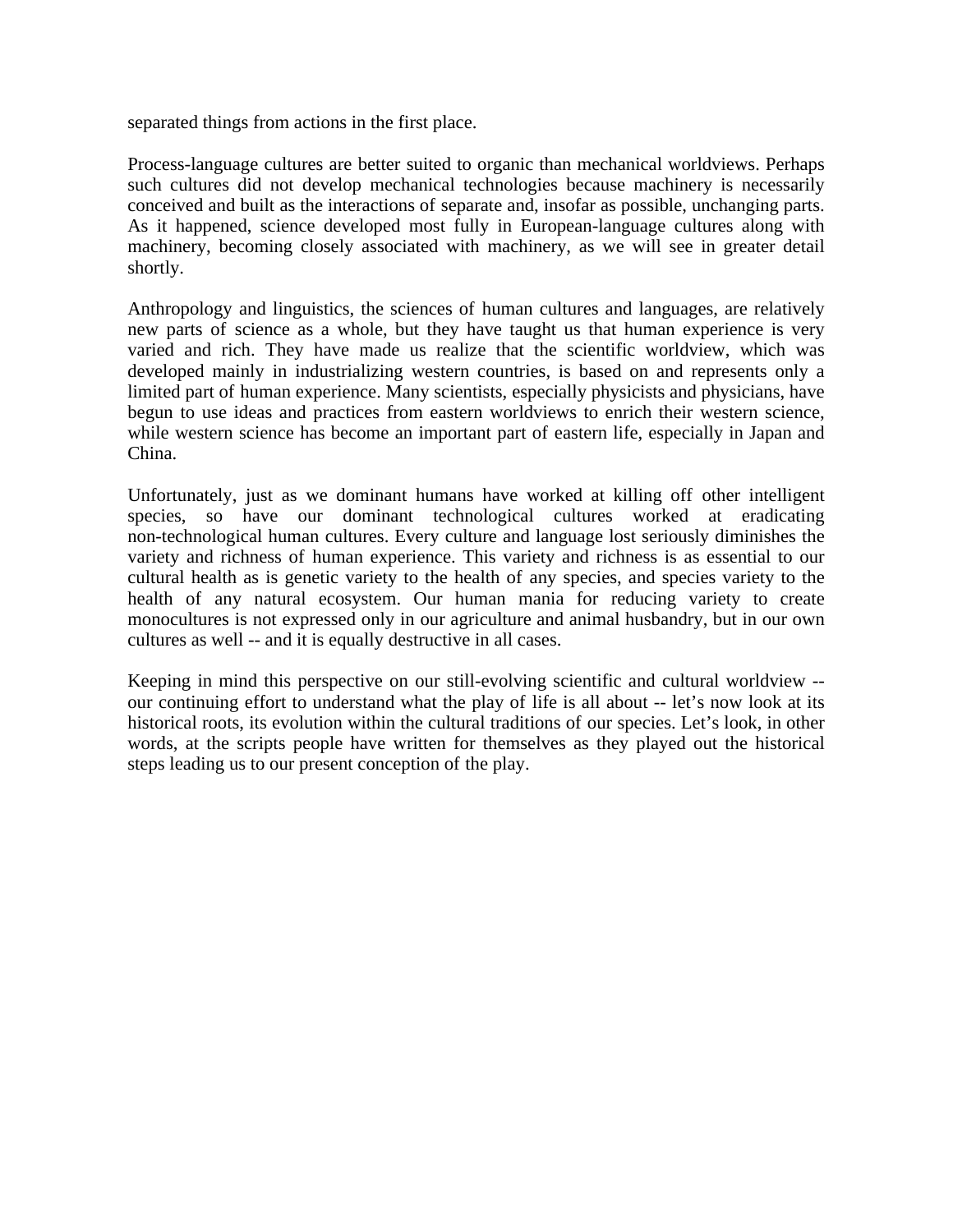separated things from actions in the first place.

Process-language cultures are better suited to organic than mechanical worldviews. Perhaps such cultures did not develop mechanical technologies because machinery is necessarily conceived and built as the interactions of separate and, insofar as possible, unchanging parts. As it happened, science developed most fully in European-language cultures along with machinery, becoming closely associated with machinery, as we will see in greater detail shortly.

Anthropology and linguistics, the sciences of human cultures and languages, are relatively new parts of science as a whole, but they have taught us that human experience is very varied and rich. They have made us realize that the scientific worldview, which was developed mainly in industrializing western countries, is based on and represents only a limited part of human experience. Many scientists, especially physicists and physicians, have begun to use ideas and practices from eastern worldviews to enrich their western science, while western science has become an important part of eastern life, especially in Japan and China.

Unfortunately, just as we dominant humans have worked at killing off other intelligent species, so have our dominant technological cultures worked at eradicating non-technological human cultures. Every culture and language lost seriously diminishes the variety and richness of human experience. This variety and richness is as essential to our cultural health as is genetic variety to the health of any species, and species variety to the health of any natural ecosystem. Our human mania for reducing variety to create monocultures is not expressed only in our agriculture and animal husbandry, but in our own cultures as well -- and it is equally destructive in all cases.

Keeping in mind this perspective on our still-evolving scientific and cultural worldview - our continuing effort to understand what the play of life is all about -- let's now look at its historical roots, its evolution within the cultural traditions of our species. Let's look, in other words, at the scripts people have written for themselves as they played out the historical steps leading us to our present conception of the play.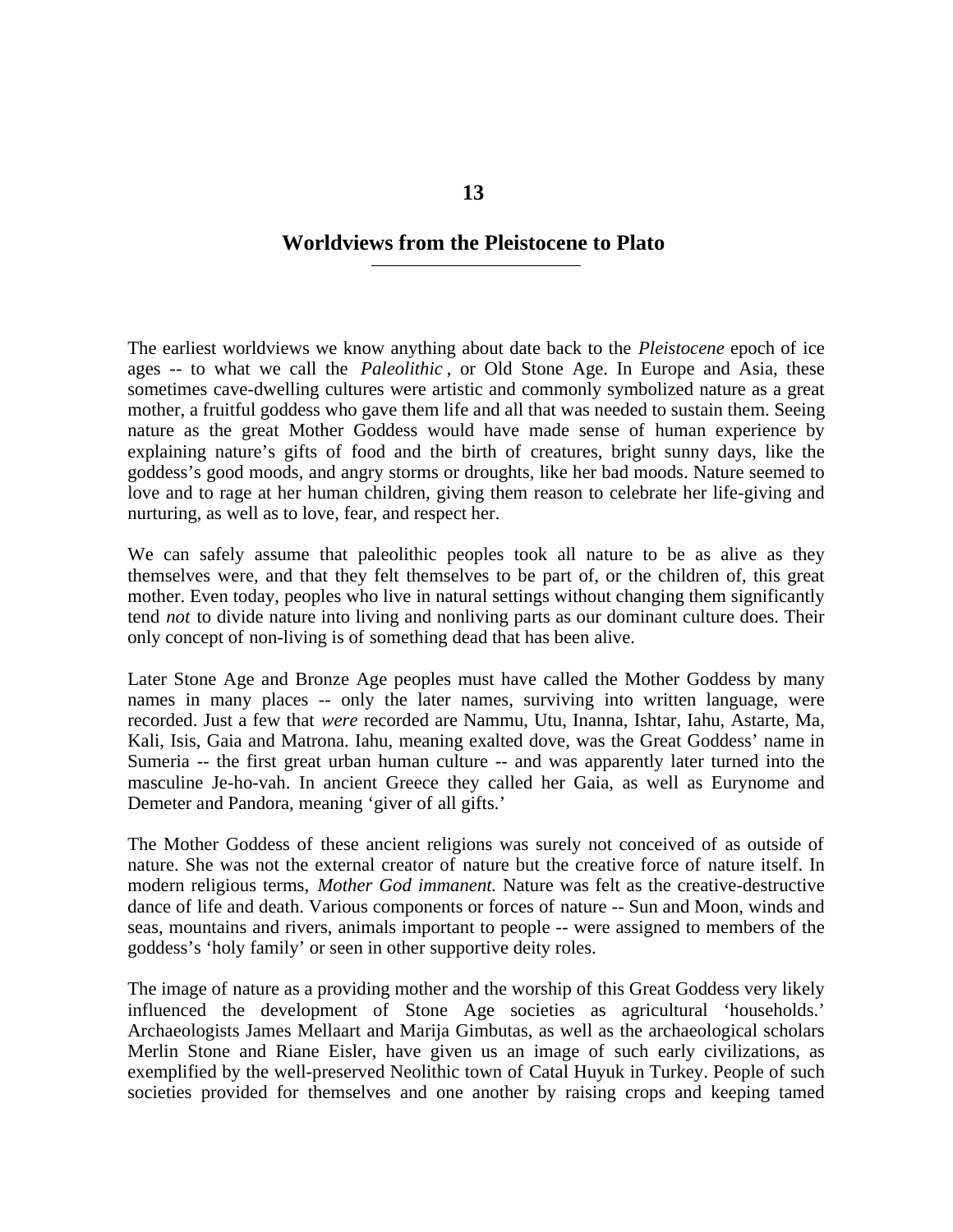## **Worldviews from the Pleistocene to Plato**

The earliest worldviews we know anything about date back to the *Pleistocene* epoch of ice ages -- to what we call the *Paleolithic* , or Old Stone Age. In Europe and Asia, these sometimes cave-dwelling cultures were artistic and commonly symbolized nature as a great mother, a fruitful goddess who gave them life and all that was needed to sustain them. Seeing nature as the great Mother Goddess would have made sense of human experience by explaining nature's gifts of food and the birth of creatures, bright sunny days, like the goddess's good moods, and angry storms or droughts, like her bad moods. Nature seemed to love and to rage at her human children, giving them reason to celebrate her life-giving and nurturing, as well as to love, fear, and respect her.

We can safely assume that paleolithic peoples took all nature to be as alive as they themselves were, and that they felt themselves to be part of, or the children of, this great mother. Even today, peoples who live in natural settings without changing them significantly tend *not* to divide nature into living and nonliving parts as our dominant culture does. Their only concept of non-living is of something dead that has been alive.

Later Stone Age and Bronze Age peoples must have called the Mother Goddess by many names in many places -- only the later names, surviving into written language, were recorded. Just a few that *were* recorded are Nammu, Utu, Inanna, Ishtar, Iahu, Astarte, Ma, Kali, Isis, Gaia and Matrona. Iahu, meaning exalted dove, was the Great Goddess' name in Sumeria -- the first great urban human culture -- and was apparently later turned into the masculine Je-ho-vah. In ancient Greece they called her Gaia, as well as Eurynome and Demeter and Pandora, meaning 'giver of all gifts.'

The Mother Goddess of these ancient religions was surely not conceived of as outside of nature. She was not the external creator of nature but the creative force of nature itself. In modern religious terms, *Mother God immanent.* Nature was felt as the creative-destructive dance of life and death. Various components or forces of nature -- Sun and Moon, winds and seas, mountains and rivers, animals important to people -- were assigned to members of the goddess's 'holy family' or seen in other supportive deity roles.

The image of nature as a providing mother and the worship of this Great Goddess very likely influenced the development of Stone Age societies as agricultural 'households.' Archaeologists James Mellaart and Marija Gimbutas, as well as the archaeological scholars Merlin Stone and Riane Eisler, have given us an image of such early civilizations, as exemplified by the well-preserved Neolithic town of Catal Huyuk in Turkey. People of such societies provided for themselves and one another by raising crops and keeping tamed

**13**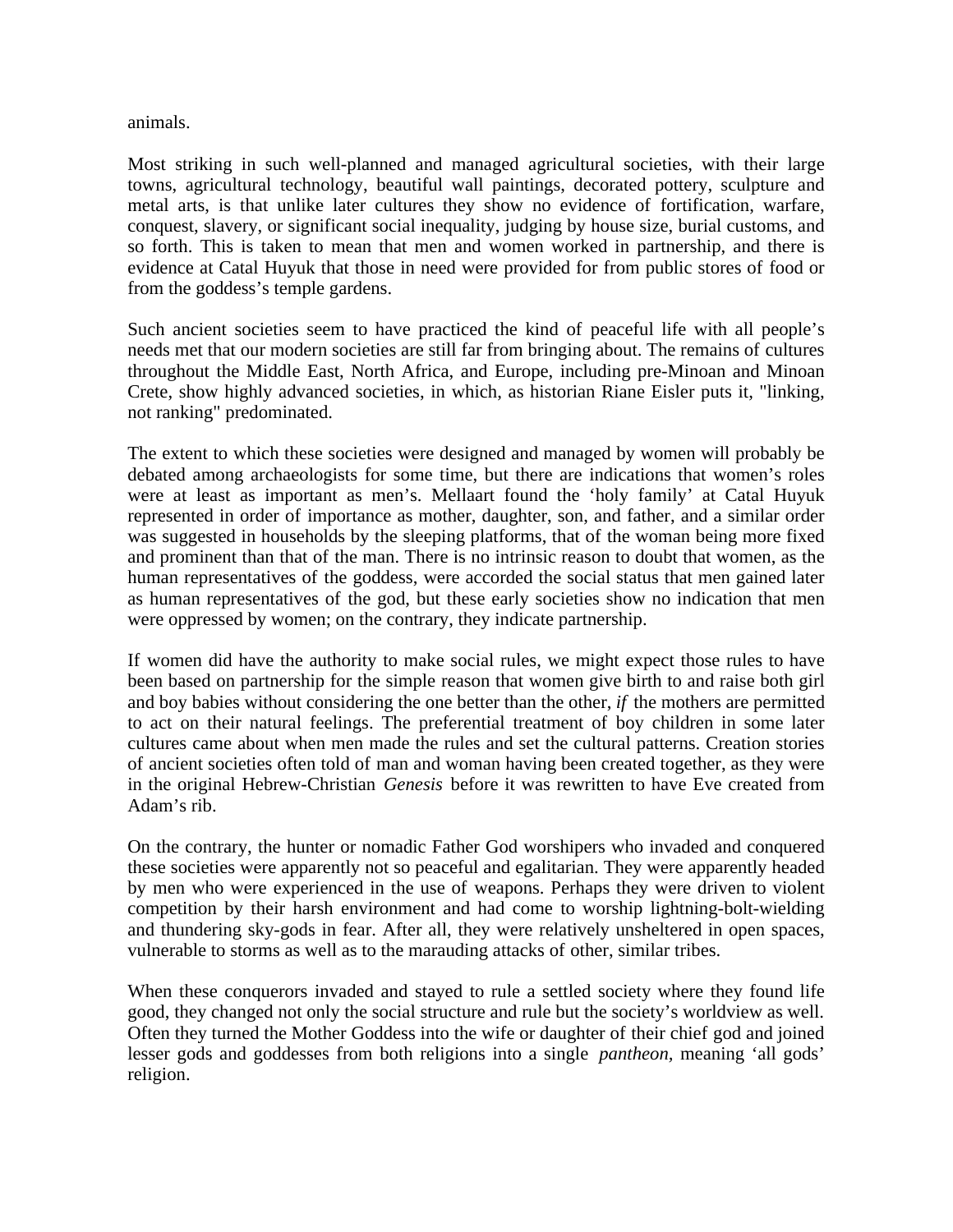animals.

Most striking in such well-planned and managed agricultural societies, with their large towns, agricultural technology, beautiful wall paintings, decorated pottery, sculpture and metal arts, is that unlike later cultures they show no evidence of fortification, warfare, conquest, slavery, or significant social inequality, judging by house size, burial customs, and so forth. This is taken to mean that men and women worked in partnership, and there is evidence at Catal Huyuk that those in need were provided for from public stores of food or from the goddess's temple gardens.

Such ancient societies seem to have practiced the kind of peaceful life with all people's needs met that our modern societies are still far from bringing about. The remains of cultures throughout the Middle East, North Africa, and Europe, including pre-Minoan and Minoan Crete, show highly advanced societies, in which, as historian Riane Eisler puts it, "linking, not ranking" predominated.

The extent to which these societies were designed and managed by women will probably be debated among archaeologists for some time, but there are indications that women's roles were at least as important as men's. Mellaart found the 'holy family' at Catal Huyuk represented in order of importance as mother, daughter, son, and father, and a similar order was suggested in households by the sleeping platforms, that of the woman being more fixed and prominent than that of the man. There is no intrinsic reason to doubt that women, as the human representatives of the goddess, were accorded the social status that men gained later as human representatives of the god, but these early societies show no indication that men were oppressed by women; on the contrary, they indicate partnership.

If women did have the authority to make social rules, we might expect those rules to have been based on partnership for the simple reason that women give birth to and raise both girl and boy babies without considering the one better than the other, *if* the mothers are permitted to act on their natural feelings. The preferential treatment of boy children in some later cultures came about when men made the rules and set the cultural patterns. Creation stories of ancient societies often told of man and woman having been created together, as they were in the original Hebrew-Christian *Genesis* before it was rewritten to have Eve created from Adam's rib.

On the contrary, the hunter or nomadic Father God worshipers who invaded and conquered these societies were apparently not so peaceful and egalitarian. They were apparently headed by men who were experienced in the use of weapons. Perhaps they were driven to violent competition by their harsh environment and had come to worship lightning-bolt-wielding and thundering sky-gods in fear. After all, they were relatively unsheltered in open spaces, vulnerable to storms as well as to the marauding attacks of other, similar tribes.

When these conquerors invaded and stayed to rule a settled society where they found life good, they changed not only the social structure and rule but the society's worldview as well. Often they turned the Mother Goddess into the wife or daughter of their chief god and joined lesser gods and goddesses from both religions into a single *pantheon,* meaning 'all gods' religion.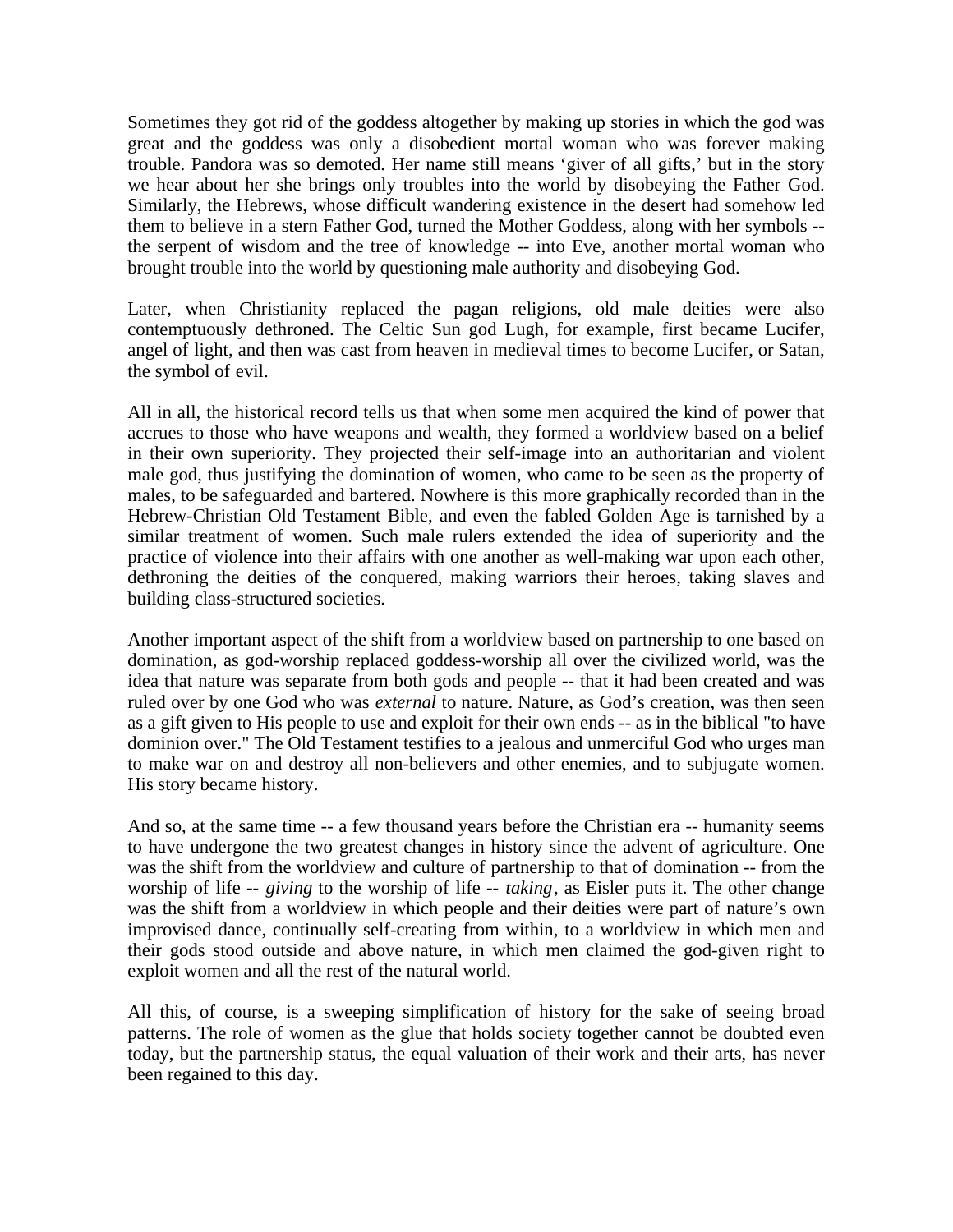Sometimes they got rid of the goddess altogether by making up stories in which the god was great and the goddess was only a disobedient mortal woman who was forever making trouble. Pandora was so demoted. Her name still means 'giver of all gifts,' but in the story we hear about her she brings only troubles into the world by disobeying the Father God. Similarly, the Hebrews, whose difficult wandering existence in the desert had somehow led them to believe in a stern Father God, turned the Mother Goddess, along with her symbols - the serpent of wisdom and the tree of knowledge -- into Eve, another mortal woman who brought trouble into the world by questioning male authority and disobeying God.

Later, when Christianity replaced the pagan religions, old male deities were also contemptuously dethroned. The Celtic Sun god Lugh, for example, first became Lucifer, angel of light, and then was cast from heaven in medieval times to become Lucifer, or Satan, the symbol of evil.

All in all, the historical record tells us that when some men acquired the kind of power that accrues to those who have weapons and wealth, they formed a worldview based on a belief in their own superiority. They projected their self-image into an authoritarian and violent male god, thus justifying the domination of women, who came to be seen as the property of males, to be safeguarded and bartered. Nowhere is this more graphically recorded than in the Hebrew-Christian Old Testament Bible, and even the fabled Golden Age is tarnished by a similar treatment of women. Such male rulers extended the idea of superiority and the practice of violence into their affairs with one another as well-making war upon each other, dethroning the deities of the conquered, making warriors their heroes, taking slaves and building class-structured societies.

Another important aspect of the shift from a worldview based on partnership to one based on domination, as god-worship replaced goddess-worship all over the civilized world, was the idea that nature was separate from both gods and people -- that it had been created and was ruled over by one God who was *external* to nature. Nature, as God's creation, was then seen as a gift given to His people to use and exploit for their own ends -- as in the biblical "to have dominion over." The Old Testament testifies to a jealous and unmerciful God who urges man to make war on and destroy all non-believers and other enemies, and to subjugate women. His story became history.

And so, at the same time -- a few thousand years before the Christian era -- humanity seems to have undergone the two greatest changes in history since the advent of agriculture. One was the shift from the worldview and culture of partnership to that of domination -- from the worship of life -- *giving* to the worship of life -- *taking*, as Eisler puts it. The other change was the shift from a worldview in which people and their deities were part of nature's own improvised dance, continually self-creating from within, to a worldview in which men and their gods stood outside and above nature, in which men claimed the god-given right to exploit women and all the rest of the natural world.

All this, of course, is a sweeping simplification of history for the sake of seeing broad patterns. The role of women as the glue that holds society together cannot be doubted even today, but the partnership status, the equal valuation of their work and their arts, has never been regained to this day.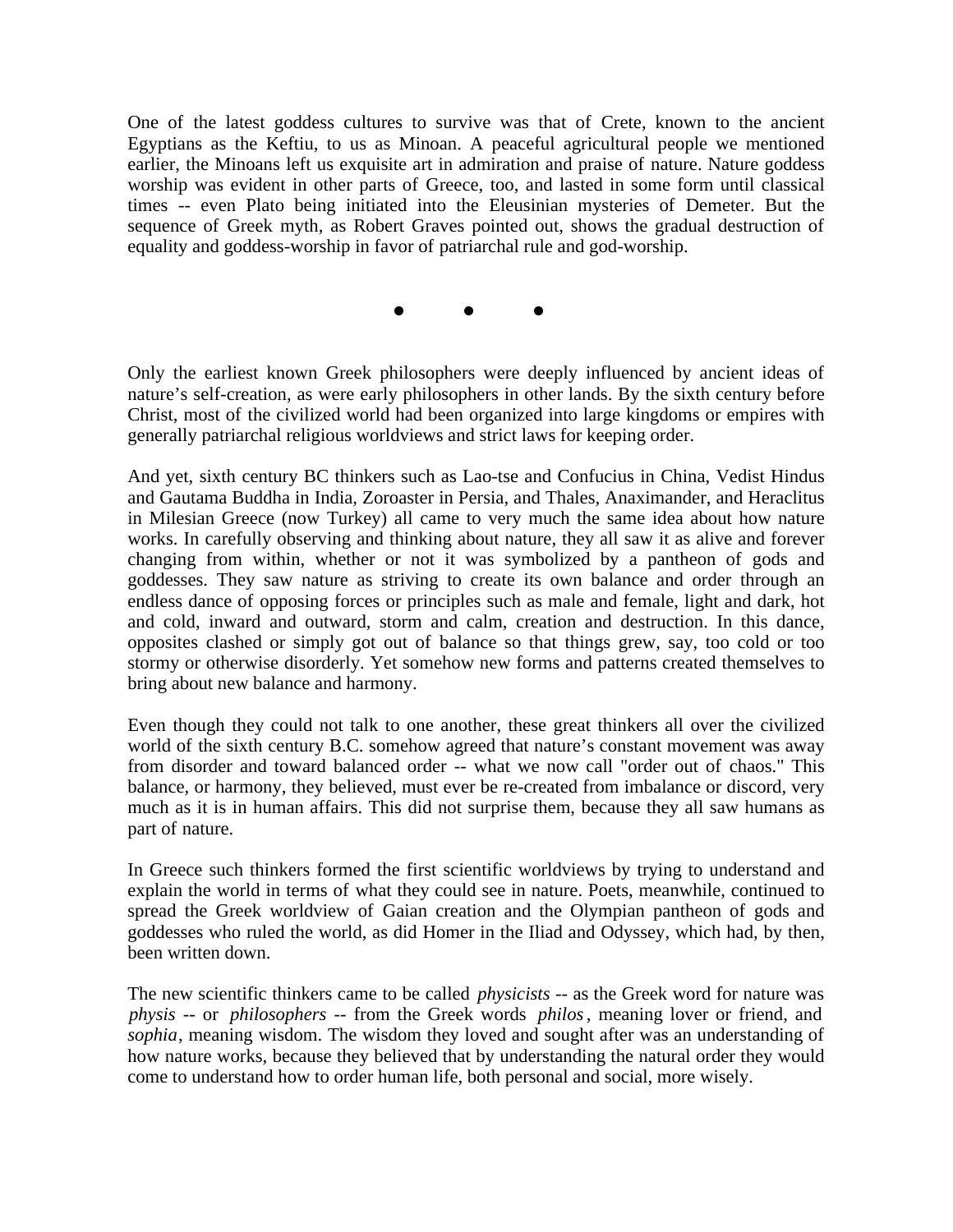One of the latest goddess cultures to survive was that of Crete, known to the ancient Egyptians as the Keftiu, to us as Minoan. A peaceful agricultural people we mentioned earlier, the Minoans left us exquisite art in admiration and praise of nature. Nature goddess worship was evident in other parts of Greece, too, and lasted in some form until classical times -- even Plato being initiated into the Eleusinian mysteries of Demeter. But the sequence of Greek myth, as Robert Graves pointed out, shows the gradual destruction of equality and goddess-worship in favor of patriarchal rule and god-worship.

**· · ·** 

Only the earliest known Greek philosophers were deeply influenced by ancient ideas of nature's self-creation, as were early philosophers in other lands. By the sixth century before Christ, most of the civilized world had been organized into large kingdoms or empires with generally patriarchal religious worldviews and strict laws for keeping order.

And yet, sixth century BC thinkers such as Lao-tse and Confucius in China, Vedist Hindus and Gautama Buddha in India, Zoroaster in Persia, and Thales, Anaximander, and Heraclitus in Milesian Greece (now Turkey) all came to very much the same idea about how nature works. In carefully observing and thinking about nature, they all saw it as alive and forever changing from within, whether or not it was symbolized by a pantheon of gods and goddesses. They saw nature as striving to create its own balance and order through an endless dance of opposing forces or principles such as male and female, light and dark, hot and cold, inward and outward, storm and calm, creation and destruction. In this dance, opposites clashed or simply got out of balance so that things grew, say, too cold or too stormy or otherwise disorderly. Yet somehow new forms and patterns created themselves to bring about new balance and harmony.

Even though they could not talk to one another, these great thinkers all over the civilized world of the sixth century B.C. somehow agreed that nature's constant movement was away from disorder and toward balanced order -- what we now call "order out of chaos." This balance, or harmony, they believed, must ever be re-created from imbalance or discord, very much as it is in human affairs. This did not surprise them, because they all saw humans as part of nature.

In Greece such thinkers formed the first scientific worldviews by trying to understand and explain the world in terms of what they could see in nature. Poets, meanwhile, continued to spread the Greek worldview of Gaian creation and the Olympian pantheon of gods and goddesses who ruled the world, as did Homer in the Iliad and Odyssey, which had, by then, been written down.

The new scientific thinkers came to be called *physicists* -- as the Greek word for nature was *physis* -- or *philosophers* -- from the Greek words *philos*, meaning lover or friend, and *sophia*, meaning wisdom. The wisdom they loved and sought after was an understanding of how nature works, because they believed that by understanding the natural order they would come to understand how to order human life, both personal and social, more wisely.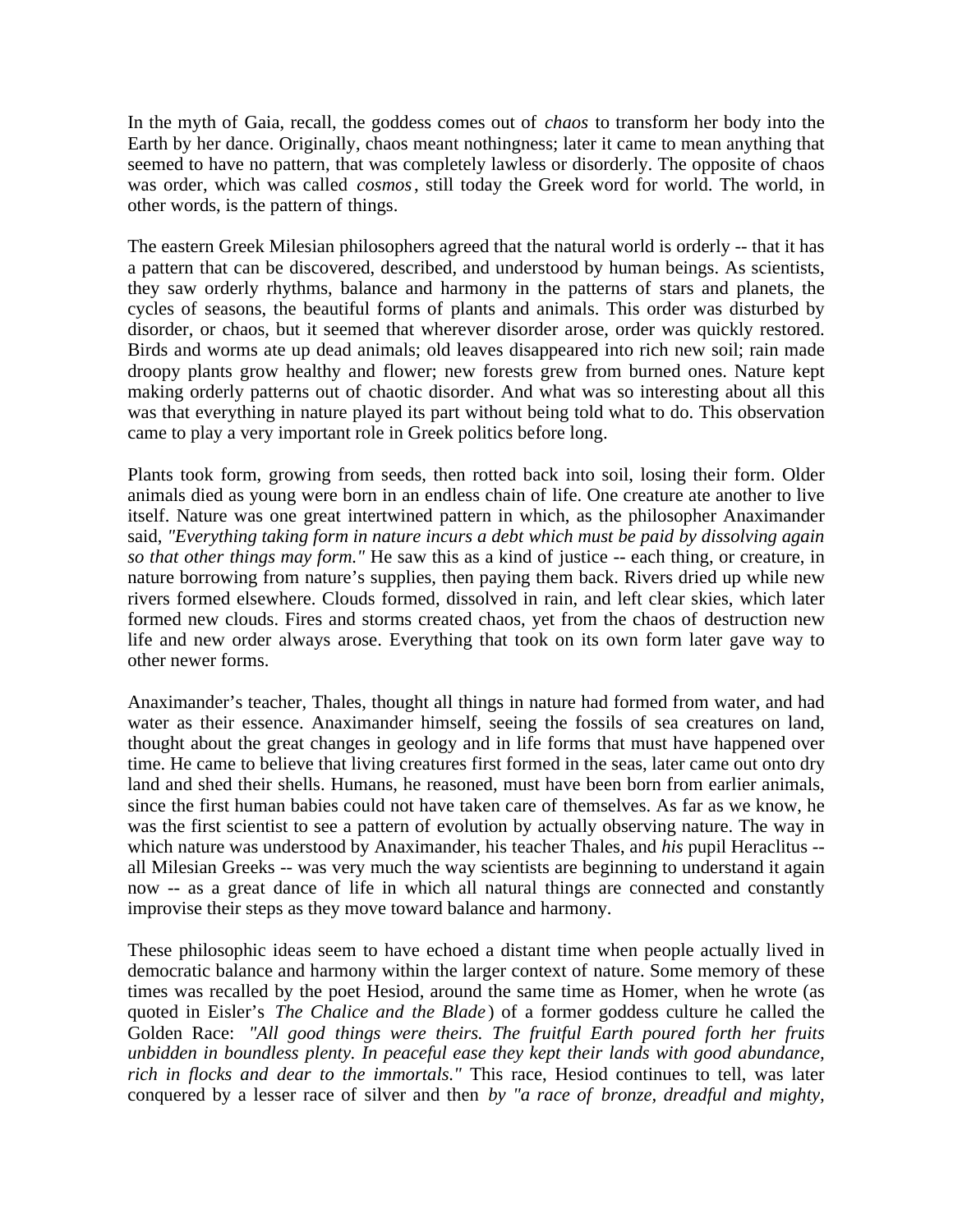In the myth of Gaia, recall, the goddess comes out of *chaos* to transform her body into the Earth by her dance. Originally, chaos meant nothingness; later it came to mean anything that seemed to have no pattern, that was completely lawless or disorderly. The opposite of chaos was order, which was called *cosmos*, still today the Greek word for world. The world, in other words, is the pattern of things.

The eastern Greek Milesian philosophers agreed that the natural world is orderly -- that it has a pattern that can be discovered, described, and understood by human beings. As scientists, they saw orderly rhythms, balance and harmony in the patterns of stars and planets, the cycles of seasons, the beautiful forms of plants and animals. This order was disturbed by disorder, or chaos, but it seemed that wherever disorder arose, order was quickly restored. Birds and worms ate up dead animals; old leaves disappeared into rich new soil; rain made droopy plants grow healthy and flower; new forests grew from burned ones. Nature kept making orderly patterns out of chaotic disorder. And what was so interesting about all this was that everything in nature played its part without being told what to do. This observation came to play a very important role in Greek politics before long.

Plants took form, growing from seeds, then rotted back into soil, losing their form. Older animals died as young were born in an endless chain of life. One creature ate another to live itself. Nature was one great intertwined pattern in which, as the philosopher Anaximander said, *"Everything taking form in nature incurs a debt which must be paid by dissolving again so that other things may form."* He saw this as a kind of justice -- each thing, or creature, in nature borrowing from nature's supplies, then paying them back. Rivers dried up while new rivers formed elsewhere. Clouds formed, dissolved in rain, and left clear skies, which later formed new clouds. Fires and storms created chaos, yet from the chaos of destruction new life and new order always arose. Everything that took on its own form later gave way to other newer forms.

Anaximander's teacher, Thales, thought all things in nature had formed from water, and had water as their essence. Anaximander himself, seeing the fossils of sea creatures on land, thought about the great changes in geology and in life forms that must have happened over time. He came to believe that living creatures first formed in the seas, later came out onto dry land and shed their shells. Humans, he reasoned, must have been born from earlier animals, since the first human babies could not have taken care of themselves. As far as we know, he was the first scientist to see a pattern of evolution by actually observing nature. The way in which nature was understood by Anaximander, his teacher Thales, and *his* pupil Heraclitus - all Milesian Greeks -- was very much the way scientists are beginning to understand it again now -- as a great dance of life in which all natural things are connected and constantly improvise their steps as they move toward balance and harmony.

These philosophic ideas seem to have echoed a distant time when people actually lived in democratic balance and harmony within the larger context of nature. Some memory of these times was recalled by the poet Hesiod, around the same time as Homer, when he wrote (as quoted in Eisler's *The Chalice and the Blade* ) of a former goddess culture he called the Golden Race: *"All good things were theirs. The fruitful Earth poured forth her fruits unbidden in boundless plenty. In peaceful ease they kept their lands with good abundance, rich in flocks and dear to the immortals."* This race, Hesiod continues to tell, was later conquered by a lesser race of silver and then *by "a race of bronze, dreadful and mighty,*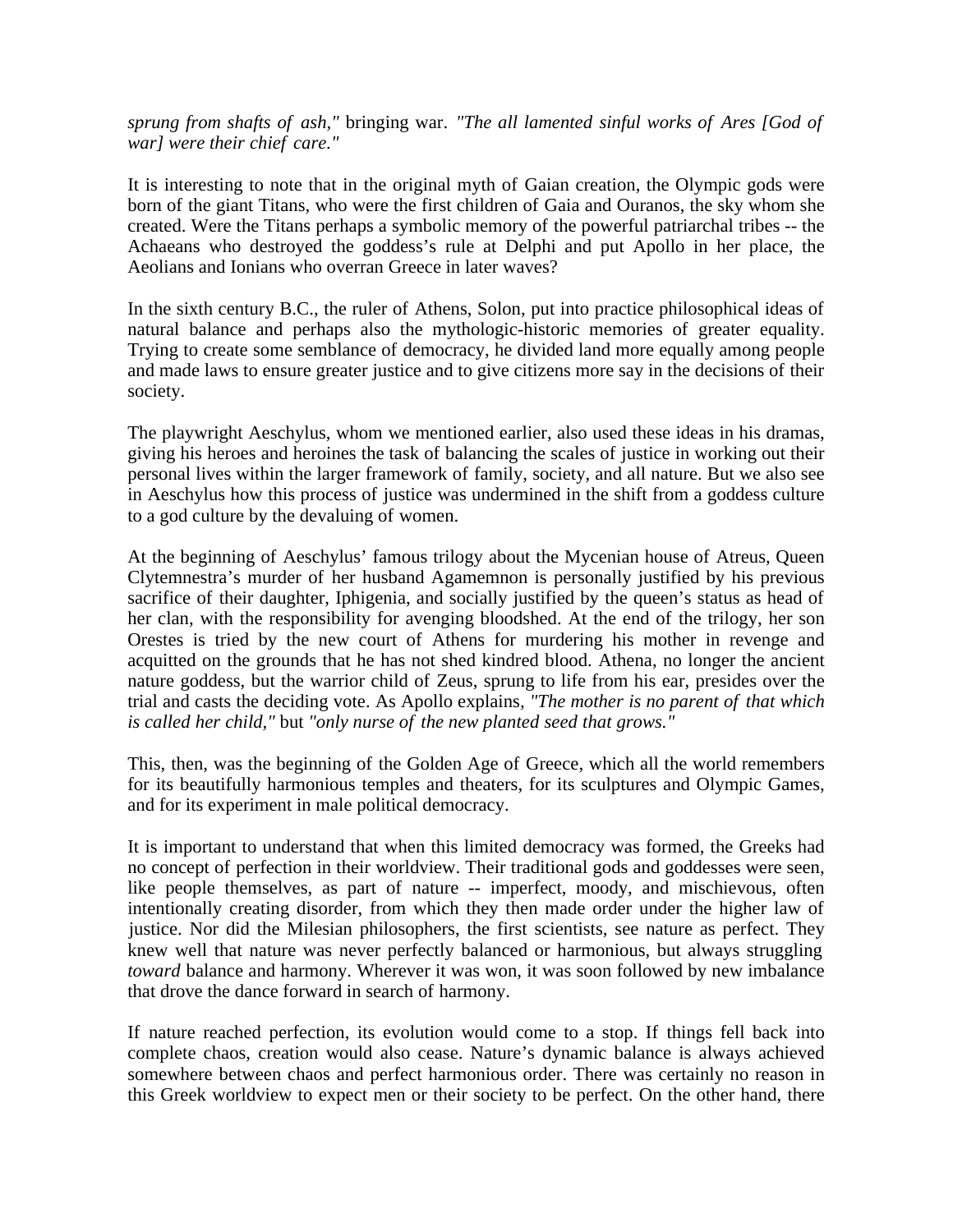*sprung from shafts of ash,"* bringing war. *"The all lamented sinful works of Ares [God of war] were their chief care."* 

It is interesting to note that in the original myth of Gaian creation, the Olympic gods were born of the giant Titans, who were the first children of Gaia and Ouranos, the sky whom she created. Were the Titans perhaps a symbolic memory of the powerful patriarchal tribes -- the Achaeans who destroyed the goddess's rule at Delphi and put Apollo in her place, the Aeolians and Ionians who overran Greece in later waves?

In the sixth century B.C., the ruler of Athens, Solon, put into practice philosophical ideas of natural balance and perhaps also the mythologic-historic memories of greater equality. Trying to create some semblance of democracy, he divided land more equally among people and made laws to ensure greater justice and to give citizens more say in the decisions of their society.

The playwright Aeschylus, whom we mentioned earlier, also used these ideas in his dramas, giving his heroes and heroines the task of balancing the scales of justice in working out their personal lives within the larger framework of family, society, and all nature. But we also see in Aeschylus how this process of justice was undermined in the shift from a goddess culture to a god culture by the devaluing of women.

At the beginning of Aeschylus' famous trilogy about the Mycenian house of Atreus, Queen Clytemnestra's murder of her husband Agamemnon is personally justified by his previous sacrifice of their daughter, Iphigenia, and socially justified by the queen's status as head of her clan, with the responsibility for avenging bloodshed. At the end of the trilogy, her son Orestes is tried by the new court of Athens for murdering his mother in revenge and acquitted on the grounds that he has not shed kindred blood. Athena, no longer the ancient nature goddess, but the warrior child of Zeus, sprung to life from his ear, presides over the trial and casts the deciding vote. As Apollo explains*, "The mother is no parent of that which is called her child,"* but *"only nurse of the new planted seed that grows."* 

This, then, was the beginning of the Golden Age of Greece, which all the world remembers for its beautifully harmonious temples and theaters, for its sculptures and Olympic Games, and for its experiment in male political democracy.

It is important to understand that when this limited democracy was formed, the Greeks had no concept of perfection in their worldview. Their traditional gods and goddesses were seen, like people themselves, as part of nature -- imperfect, moody, and mischievous, often intentionally creating disorder, from which they then made order under the higher law of justice. Nor did the Milesian philosophers, the first scientists, see nature as perfect. They knew well that nature was never perfectly balanced or harmonious, but always struggling *toward* balance and harmony. Wherever it was won, it was soon followed by new imbalance that drove the dance forward in search of harmony.

If nature reached perfection, its evolution would come to a stop. If things fell back into complete chaos, creation would also cease. Nature's dynamic balance is always achieved somewhere between chaos and perfect harmonious order. There was certainly no reason in this Greek worldview to expect men or their society to be perfect. On the other hand, there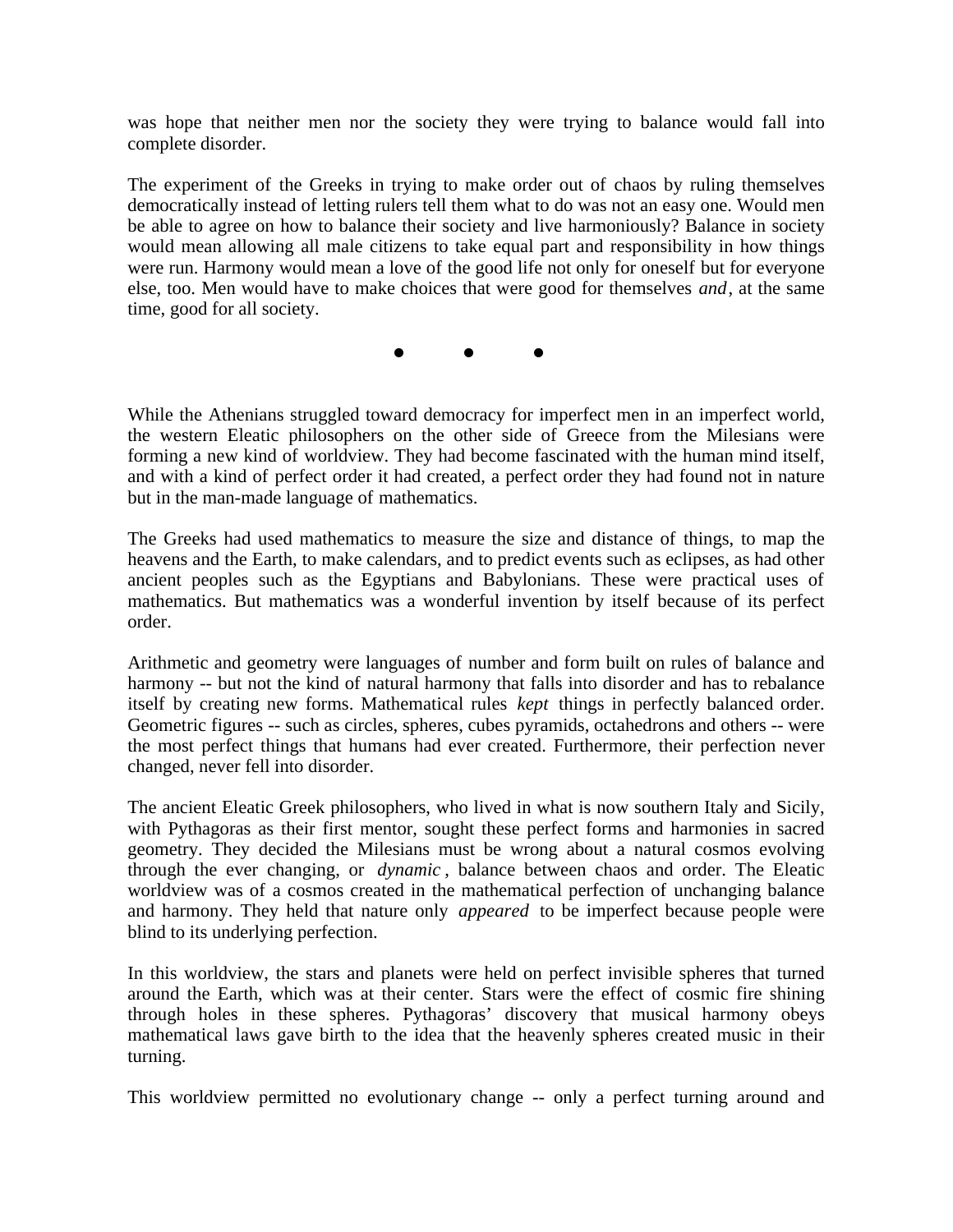was hope that neither men nor the society they were trying to balance would fall into complete disorder.

The experiment of the Greeks in trying to make order out of chaos by ruling themselves democratically instead of letting rulers tell them what to do was not an easy one. Would men be able to agree on how to balance their society and live harmoniously? Balance in society would mean allowing all male citizens to take equal part and responsibility in how things were run. Harmony would mean a love of the good life not only for oneself but for everyone else, too. Men would have to make choices that were good for themselves *and*, at the same time, good for all society.

**· · ·** 

While the Athenians struggled toward democracy for imperfect men in an imperfect world, the western Eleatic philosophers on the other side of Greece from the Milesians were forming a new kind of worldview. They had become fascinated with the human mind itself, and with a kind of perfect order it had created, a perfect order they had found not in nature but in the man-made language of mathematics.

The Greeks had used mathematics to measure the size and distance of things, to map the heavens and the Earth, to make calendars, and to predict events such as eclipses, as had other ancient peoples such as the Egyptians and Babylonians. These were practical uses of mathematics. But mathematics was a wonderful invention by itself because of its perfect order.

Arithmetic and geometry were languages of number and form built on rules of balance and harmony -- but not the kind of natural harmony that falls into disorder and has to rebalance itself by creating new forms. Mathematical rules *kept* things in perfectly balanced order. Geometric figures -- such as circles, spheres, cubes pyramids, octahedrons and others -- were the most perfect things that humans had ever created. Furthermore, their perfection never changed, never fell into disorder.

The ancient Eleatic Greek philosophers, who lived in what is now southern Italy and Sicily, with Pythagoras as their first mentor, sought these perfect forms and harmonies in sacred geometry. They decided the Milesians must be wrong about a natural cosmos evolving through the ever changing, or *dynamic* , balance between chaos and order. The Eleatic worldview was of a cosmos created in the mathematical perfection of unchanging balance and harmony. They held that nature only *appeared* to be imperfect because people were blind to its underlying perfection.

In this worldview, the stars and planets were held on perfect invisible spheres that turned around the Earth, which was at their center. Stars were the effect of cosmic fire shining through holes in these spheres. Pythagoras' discovery that musical harmony obeys mathematical laws gave birth to the idea that the heavenly spheres created music in their turning.

This worldview permitted no evolutionary change -- only a perfect turning around and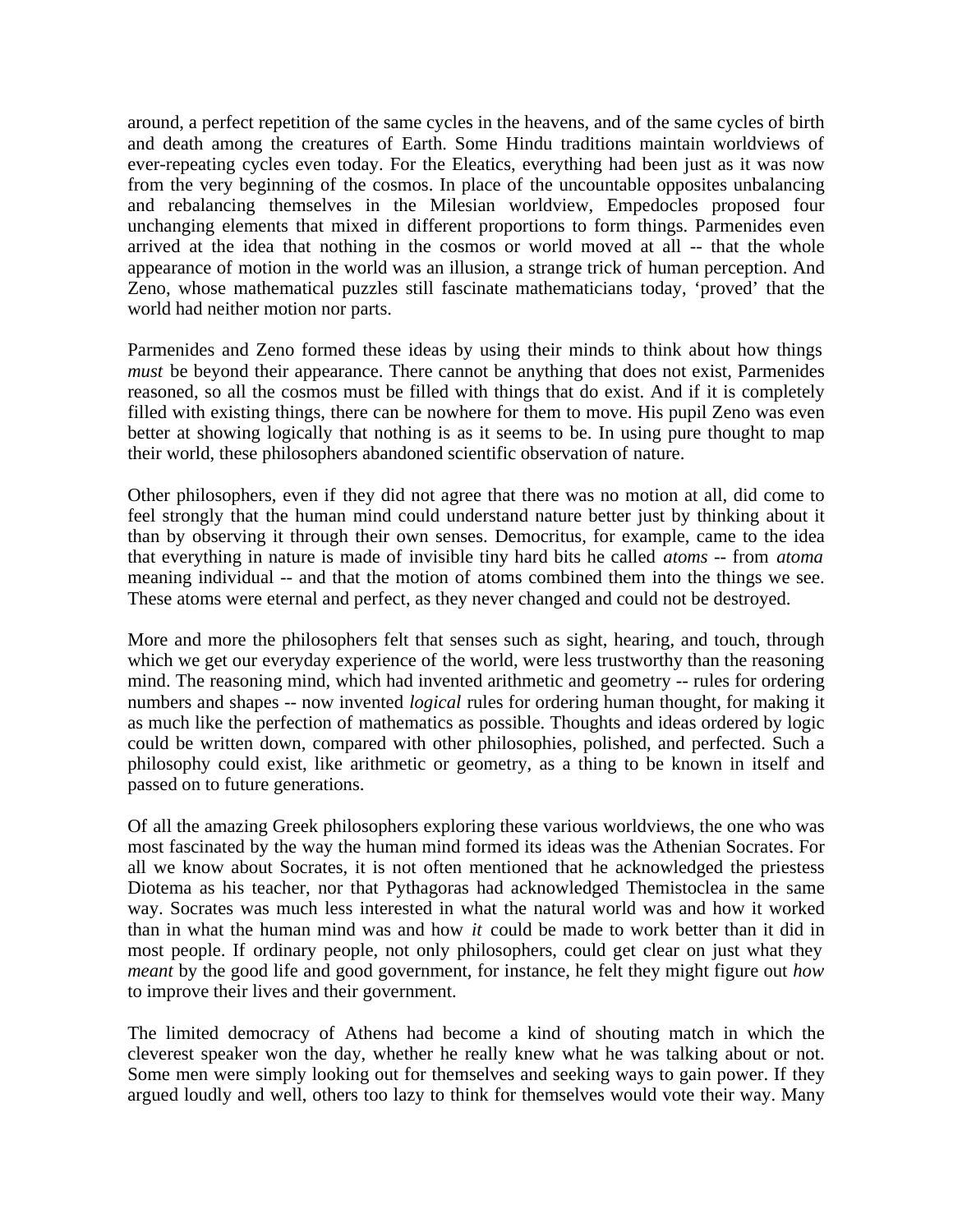around, a perfect repetition of the same cycles in the heavens, and of the same cycles of birth and death among the creatures of Earth. Some Hindu traditions maintain worldviews of ever-repeating cycles even today. For the Eleatics, everything had been just as it was now from the very beginning of the cosmos. In place of the uncountable opposites unbalancing and rebalancing themselves in the Milesian worldview, Empedocles proposed four unchanging elements that mixed in different proportions to form things. Parmenides even arrived at the idea that nothing in the cosmos or world moved at all -- that the whole appearance of motion in the world was an illusion, a strange trick of human perception. And Zeno, whose mathematical puzzles still fascinate mathematicians today, 'proved' that the world had neither motion nor parts.

Parmenides and Zeno formed these ideas by using their minds to think about how things *must* be beyond their appearance. There cannot be anything that does not exist, Parmenides reasoned, so all the cosmos must be filled with things that do exist. And if it is completely filled with existing things, there can be nowhere for them to move. His pupil Zeno was even better at showing logically that nothing is as it seems to be. In using pure thought to map their world, these philosophers abandoned scientific observation of nature.

Other philosophers, even if they did not agree that there was no motion at all, did come to feel strongly that the human mind could understand nature better just by thinking about it than by observing it through their own senses. Democritus, for example, came to the idea that everything in nature is made of invisible tiny hard bits he called *atoms* -- from *atoma* meaning individual -- and that the motion of atoms combined them into the things we see. These atoms were eternal and perfect, as they never changed and could not be destroyed.

More and more the philosophers felt that senses such as sight, hearing, and touch, through which we get our everyday experience of the world, were less trustworthy than the reasoning mind. The reasoning mind, which had invented arithmetic and geometry -- rules for ordering numbers and shapes -- now invented *logical* rules for ordering human thought, for making it as much like the perfection of mathematics as possible. Thoughts and ideas ordered by logic could be written down, compared with other philosophies, polished, and perfected. Such a philosophy could exist, like arithmetic or geometry, as a thing to be known in itself and passed on to future generations.

Of all the amazing Greek philosophers exploring these various worldviews, the one who was most fascinated by the way the human mind formed its ideas was the Athenian Socrates. For all we know about Socrates, it is not often mentioned that he acknowledged the priestess Diotema as his teacher, nor that Pythagoras had acknowledged Themistoclea in the same way. Socrates was much less interested in what the natural world was and how it worked than in what the human mind was and how *it* could be made to work better than it did in most people. If ordinary people, not only philosophers, could get clear on just what they *meant* by the good life and good government, for instance, he felt they might figure out *how* to improve their lives and their government.

The limited democracy of Athens had become a kind of shouting match in which the cleverest speaker won the day, whether he really knew what he was talking about or not. Some men were simply looking out for themselves and seeking ways to gain power. If they argued loudly and well, others too lazy to think for themselves would vote their way. Many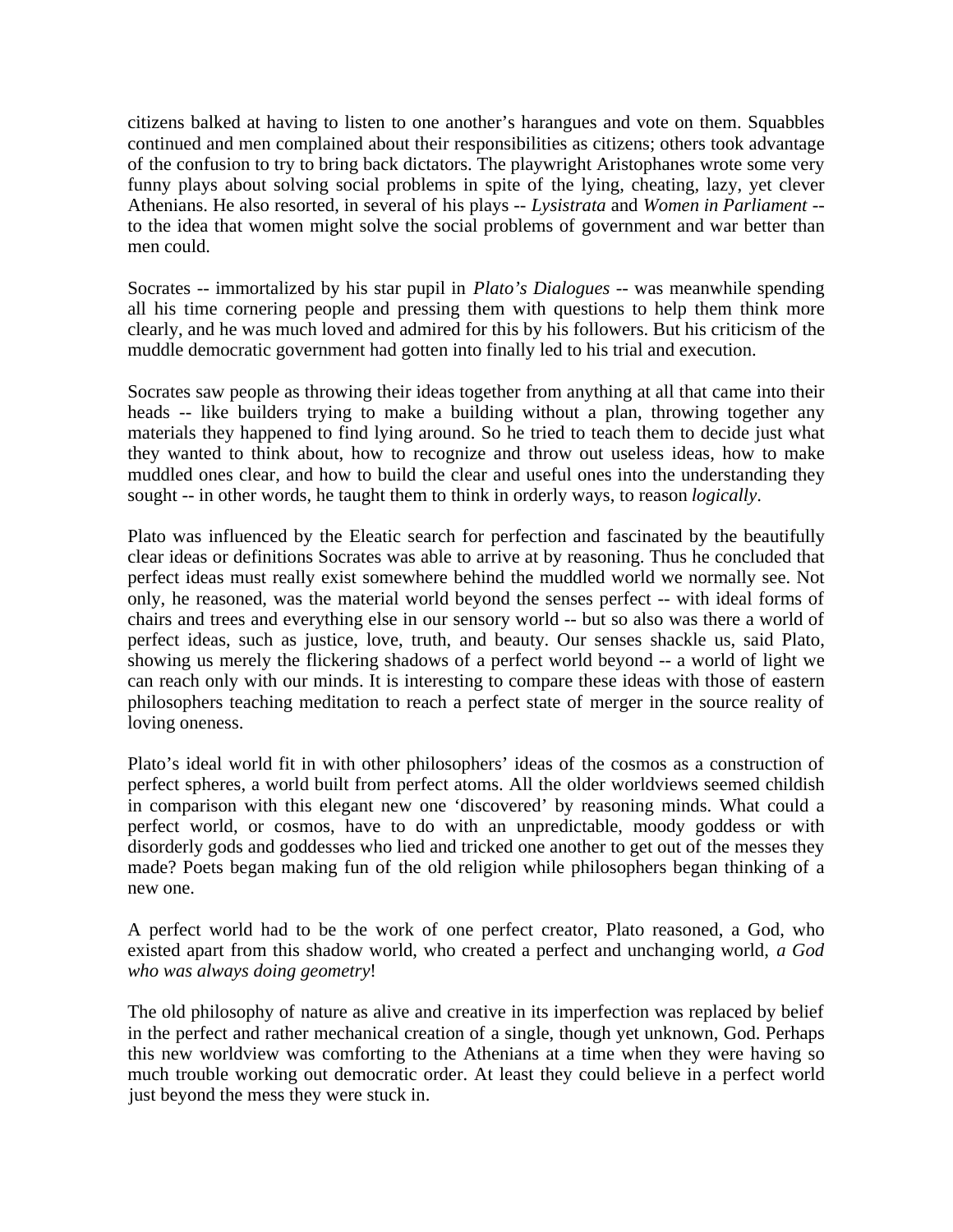citizens balked at having to listen to one another's harangues and vote on them. Squabbles continued and men complained about their responsibilities as citizens; others took advantage of the confusion to try to bring back dictators. The playwright Aristophanes wrote some very funny plays about solving social problems in spite of the lying, cheating, lazy, yet clever Athenians. He also resorted, in several of his plays -- *Lysistrata* and *Women in Parliament* - to the idea that women might solve the social problems of government and war better than men could.

Socrates -- immortalized by his star pupil in *Plato's Dialogues* -- was meanwhile spending all his time cornering people and pressing them with questions to help them think more clearly, and he was much loved and admired for this by his followers. But his criticism of the muddle democratic government had gotten into finally led to his trial and execution.

Socrates saw people as throwing their ideas together from anything at all that came into their heads -- like builders trying to make a building without a plan, throwing together any materials they happened to find lying around. So he tried to teach them to decide just what they wanted to think about, how to recognize and throw out useless ideas, how to make muddled ones clear, and how to build the clear and useful ones into the understanding they sought -- in other words, he taught them to think in orderly ways, to reason *logically*.

Plato was influenced by the Eleatic search for perfection and fascinated by the beautifully clear ideas or definitions Socrates was able to arrive at by reasoning. Thus he concluded that perfect ideas must really exist somewhere behind the muddled world we normally see. Not only, he reasoned, was the material world beyond the senses perfect -- with ideal forms of chairs and trees and everything else in our sensory world -- but so also was there a world of perfect ideas, such as justice, love, truth, and beauty. Our senses shackle us, said Plato, showing us merely the flickering shadows of a perfect world beyond -- a world of light we can reach only with our minds. It is interesting to compare these ideas with those of eastern philosophers teaching meditation to reach a perfect state of merger in the source reality of loving oneness.

Plato's ideal world fit in with other philosophers' ideas of the cosmos as a construction of perfect spheres, a world built from perfect atoms. All the older worldviews seemed childish in comparison with this elegant new one 'discovered' by reasoning minds. What could a perfect world, or cosmos, have to do with an unpredictable, moody goddess or with disorderly gods and goddesses who lied and tricked one another to get out of the messes they made? Poets began making fun of the old religion while philosophers began thinking of a new one.

A perfect world had to be the work of one perfect creator, Plato reasoned, a God, who existed apart from this shadow world, who created a perfect and unchanging world, *a God who was always doing geometry*!

The old philosophy of nature as alive and creative in its imperfection was replaced by belief in the perfect and rather mechanical creation of a single, though yet unknown, God. Perhaps this new worldview was comforting to the Athenians at a time when they were having so much trouble working out democratic order. At least they could believe in a perfect world just beyond the mess they were stuck in.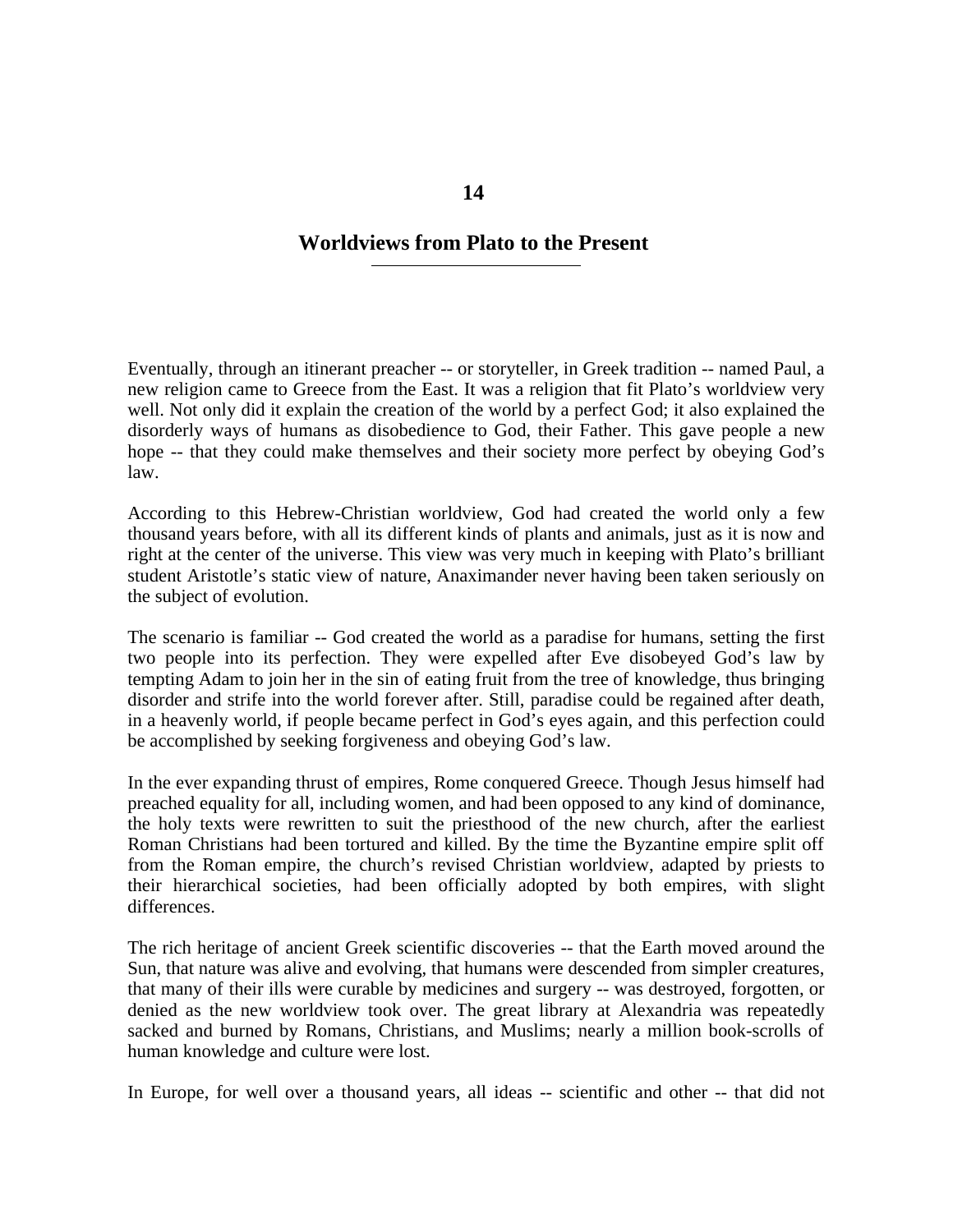## **Worldviews from Plato to the Present**

Eventually, through an itinerant preacher -- or storyteller, in Greek tradition -- named Paul, a new religion came to Greece from the East. It was a religion that fit Plato's worldview very well. Not only did it explain the creation of the world by a perfect God; it also explained the disorderly ways of humans as disobedience to God, their Father. This gave people a new hope -- that they could make themselves and their society more perfect by obeying God's law.

According to this Hebrew-Christian worldview, God had created the world only a few thousand years before, with all its different kinds of plants and animals, just as it is now and right at the center of the universe. This view was very much in keeping with Plato's brilliant student Aristotle's static view of nature, Anaximander never having been taken seriously on the subject of evolution.

The scenario is familiar -- God created the world as a paradise for humans, setting the first two people into its perfection. They were expelled after Eve disobeyed God's law by tempting Adam to join her in the sin of eating fruit from the tree of knowledge, thus bringing disorder and strife into the world forever after. Still, paradise could be regained after death, in a heavenly world, if people became perfect in God's eyes again, and this perfection could be accomplished by seeking forgiveness and obeying God's law.

In the ever expanding thrust of empires, Rome conquered Greece. Though Jesus himself had preached equality for all, including women, and had been opposed to any kind of dominance, the holy texts were rewritten to suit the priesthood of the new church, after the earliest Roman Christians had been tortured and killed. By the time the Byzantine empire split off from the Roman empire, the church's revised Christian worldview, adapted by priests to their hierarchical societies, had been officially adopted by both empires, with slight differences.

The rich heritage of ancient Greek scientific discoveries -- that the Earth moved around the Sun, that nature was alive and evolving, that humans were descended from simpler creatures, that many of their ills were curable by medicines and surgery -- was destroyed, forgotten, or denied as the new worldview took over. The great library at Alexandria was repeatedly sacked and burned by Romans, Christians, and Muslims; nearly a million book-scrolls of human knowledge and culture were lost.

In Europe, for well over a thousand years, all ideas -- scientific and other -- that did not

## **14**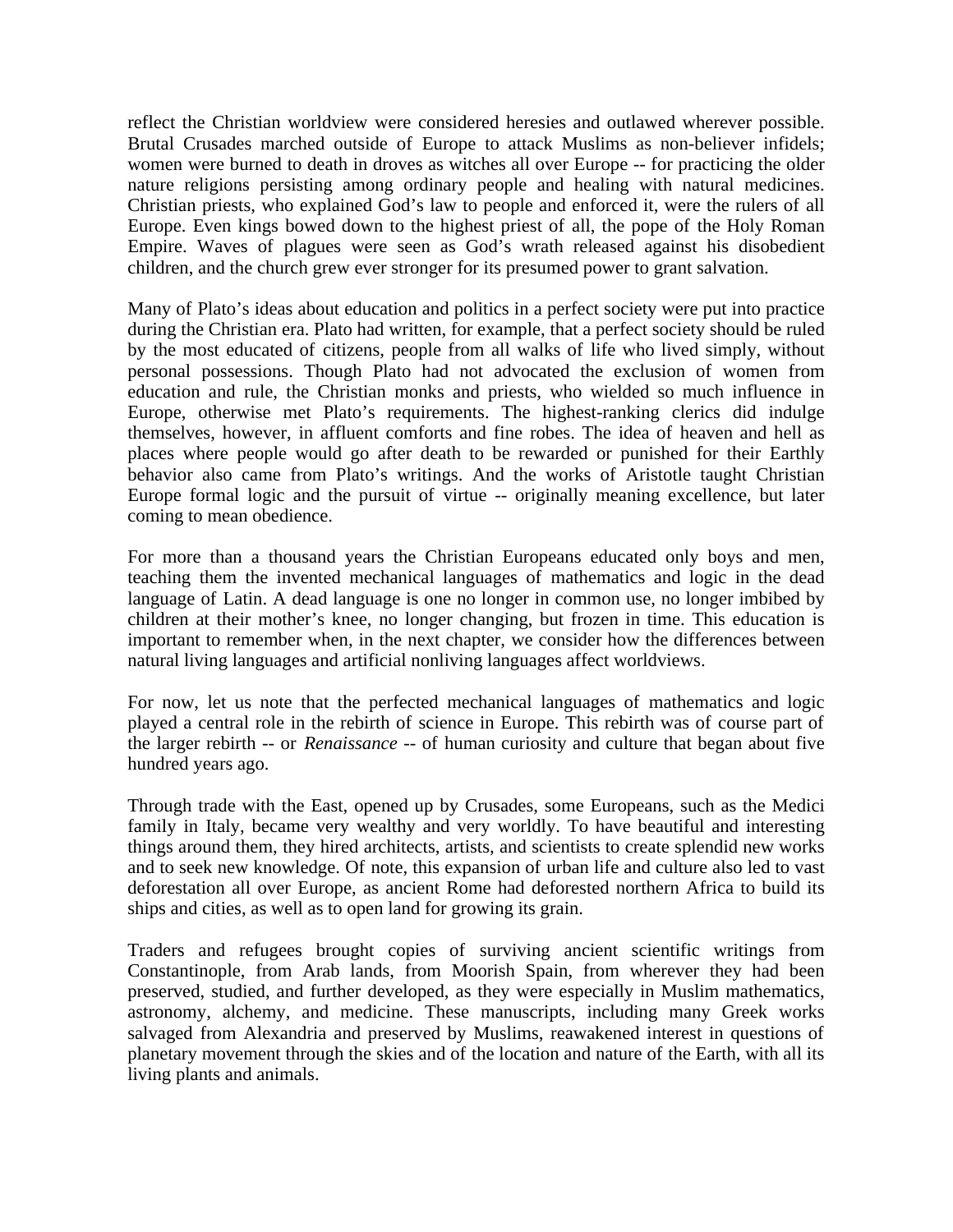reflect the Christian worldview were considered heresies and outlawed wherever possible. Brutal Crusades marched outside of Europe to attack Muslims as non-believer infidels; women were burned to death in droves as witches all over Europe -- for practicing the older nature religions persisting among ordinary people and healing with natural medicines. Christian priests, who explained God's law to people and enforced it, were the rulers of all Europe. Even kings bowed down to the highest priest of all, the pope of the Holy Roman Empire. Waves of plagues were seen as God's wrath released against his disobedient children, and the church grew ever stronger for its presumed power to grant salvation.

Many of Plato's ideas about education and politics in a perfect society were put into practice during the Christian era. Plato had written, for example, that a perfect society should be ruled by the most educated of citizens, people from all walks of life who lived simply, without personal possessions. Though Plato had not advocated the exclusion of women from education and rule, the Christian monks and priests, who wielded so much influence in Europe, otherwise met Plato's requirements. The highest-ranking clerics did indulge themselves, however, in affluent comforts and fine robes. The idea of heaven and hell as places where people would go after death to be rewarded or punished for their Earthly behavior also came from Plato's writings. And the works of Aristotle taught Christian Europe formal logic and the pursuit of virtue -- originally meaning excellence, but later coming to mean obedience.

For more than a thousand years the Christian Europeans educated only boys and men, teaching them the invented mechanical languages of mathematics and logic in the dead language of Latin. A dead language is one no longer in common use, no longer imbibed by children at their mother's knee, no longer changing, but frozen in time. This education is important to remember when, in the next chapter, we consider how the differences between natural living languages and artificial nonliving languages affect worldviews.

For now, let us note that the perfected mechanical languages of mathematics and logic played a central role in the rebirth of science in Europe. This rebirth was of course part of the larger rebirth -- or *Renaissance* -- of human curiosity and culture that began about five hundred years ago.

Through trade with the East, opened up by Crusades, some Europeans, such as the Medici family in Italy, became very wealthy and very worldly. To have beautiful and interesting things around them, they hired architects, artists, and scientists to create splendid new works and to seek new knowledge. Of note, this expansion of urban life and culture also led to vast deforestation all over Europe, as ancient Rome had deforested northern Africa to build its ships and cities, as well as to open land for growing its grain.

Traders and refugees brought copies of surviving ancient scientific writings from Constantinople, from Arab lands, from Moorish Spain, from wherever they had been preserved, studied, and further developed, as they were especially in Muslim mathematics, astronomy, alchemy, and medicine. These manuscripts, including many Greek works salvaged from Alexandria and preserved by Muslims, reawakened interest in questions of planetary movement through the skies and of the location and nature of the Earth, with all its living plants and animals.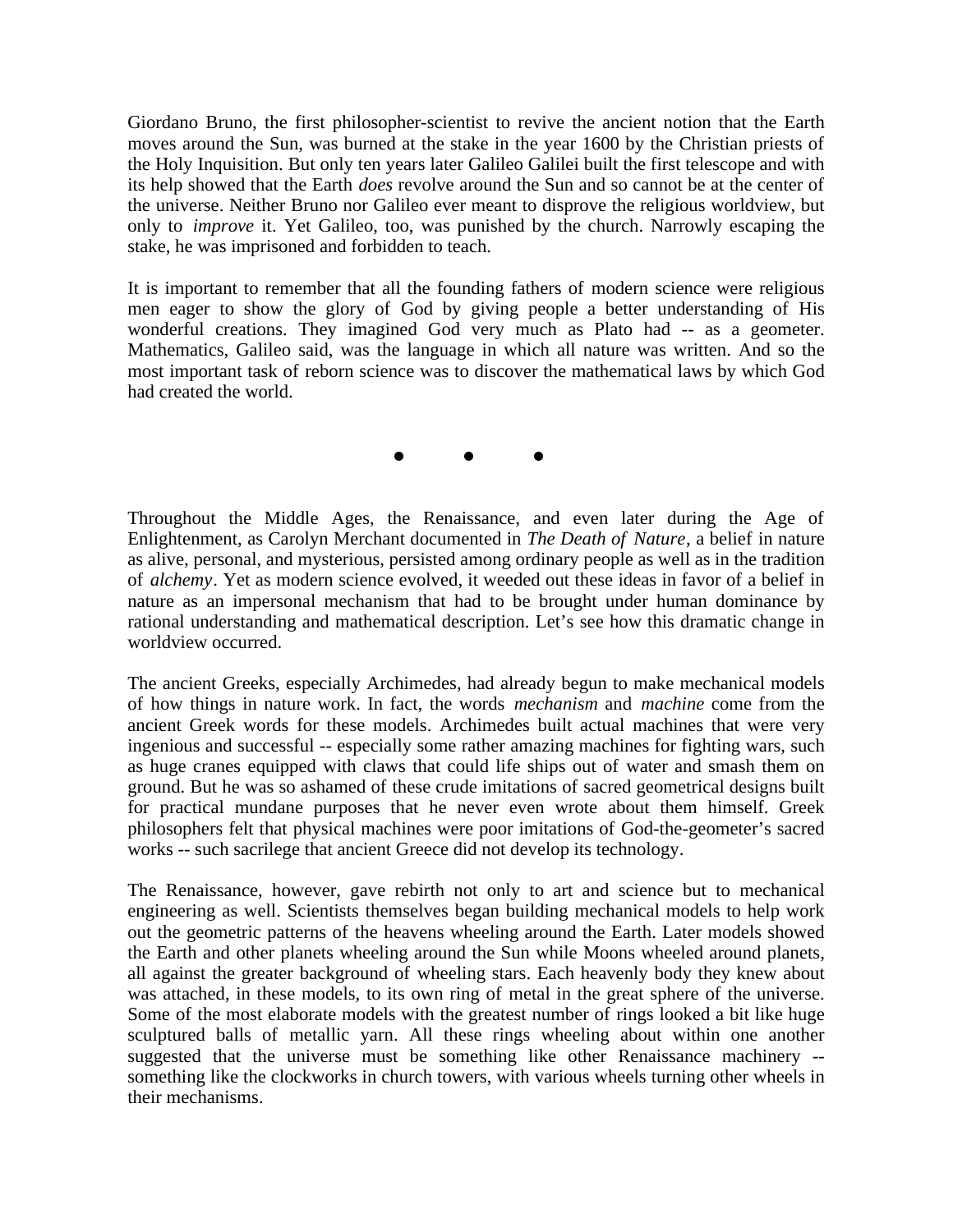Giordano Bruno, the first philosopher-scientist to revive the ancient notion that the Earth moves around the Sun, was burned at the stake in the year 1600 by the Christian priests of the Holy Inquisition. But only ten years later Galileo Galilei built the first telescope and with its help showed that the Earth *does* revolve around the Sun and so cannot be at the center of the universe. Neither Bruno nor Galileo ever meant to disprove the religious worldview, but only to *improve* it. Yet Galileo, too, was punished by the church. Narrowly escaping the stake, he was imprisoned and forbidden to teach.

It is important to remember that all the founding fathers of modern science were religious men eager to show the glory of God by giving people a better understanding of His wonderful creations. They imagined God very much as Plato had -- as a geometer. Mathematics, Galileo said, was the language in which all nature was written. And so the most important task of reborn science was to discover the mathematical laws by which God had created the world.

**· · ·** 

Throughout the Middle Ages, the Renaissance, and even later during the Age of Enlightenment, as Carolyn Merchant documented in *The Death of Nature*, a belief in nature as alive, personal, and mysterious, persisted among ordinary people as well as in the tradition of *alchemy*. Yet as modern science evolved, it weeded out these ideas in favor of a belief in nature as an impersonal mechanism that had to be brought under human dominance by rational understanding and mathematical description. Let's see how this dramatic change in worldview occurred.

The ancient Greeks, especially Archimedes, had already begun to make mechanical models of how things in nature work. In fact, the words *mechanism* and *machine* come from the ancient Greek words for these models. Archimedes built actual machines that were very ingenious and successful -- especially some rather amazing machines for fighting wars, such as huge cranes equipped with claws that could life ships out of water and smash them on ground. But he was so ashamed of these crude imitations of sacred geometrical designs built for practical mundane purposes that he never even wrote about them himself. Greek philosophers felt that physical machines were poor imitations of God-the-geometer's sacred works -- such sacrilege that ancient Greece did not develop its technology.

The Renaissance, however, gave rebirth not only to art and science but to mechanical engineering as well. Scientists themselves began building mechanical models to help work out the geometric patterns of the heavens wheeling around the Earth. Later models showed the Earth and other planets wheeling around the Sun while Moons wheeled around planets, all against the greater background of wheeling stars. Each heavenly body they knew about was attached, in these models, to its own ring of metal in the great sphere of the universe. Some of the most elaborate models with the greatest number of rings looked a bit like huge sculptured balls of metallic yarn. All these rings wheeling about within one another suggested that the universe must be something like other Renaissance machinery - something like the clockworks in church towers, with various wheels turning other wheels in their mechanisms.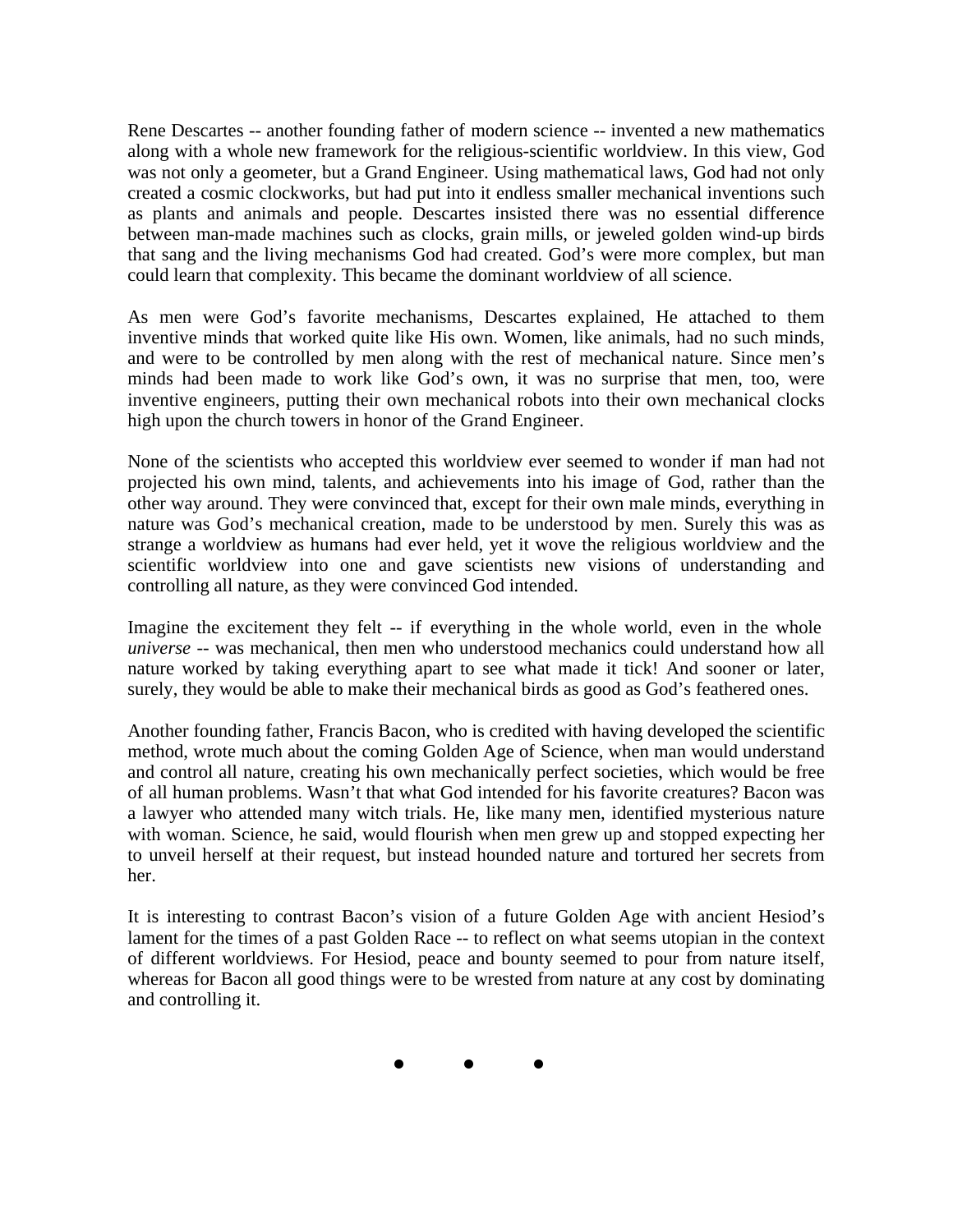Rene Descartes -- another founding father of modern science -- invented a new mathematics along with a whole new framework for the religious-scientific worldview. In this view, God was not only a geometer, but a Grand Engineer. Using mathematical laws, God had not only created a cosmic clockworks, but had put into it endless smaller mechanical inventions such as plants and animals and people. Descartes insisted there was no essential difference between man-made machines such as clocks, grain mills, or jeweled golden wind-up birds that sang and the living mechanisms God had created. God's were more complex, but man could learn that complexity. This became the dominant worldview of all science.

As men were God's favorite mechanisms, Descartes explained, He attached to them inventive minds that worked quite like His own. Women, like animals, had no such minds, and were to be controlled by men along with the rest of mechanical nature. Since men's minds had been made to work like God's own, it was no surprise that men, too, were inventive engineers, putting their own mechanical robots into their own mechanical clocks high upon the church towers in honor of the Grand Engineer.

None of the scientists who accepted this worldview ever seemed to wonder if man had not projected his own mind, talents, and achievements into his image of God, rather than the other way around. They were convinced that, except for their own male minds, everything in nature was God's mechanical creation, made to be understood by men. Surely this was as strange a worldview as humans had ever held, yet it wove the religious worldview and the scientific worldview into one and gave scientists new visions of understanding and controlling all nature, as they were convinced God intended.

Imagine the excitement they felt -- if everything in the whole world, even in the whole *universe* -- was mechanical, then men who understood mechanics could understand how all nature worked by taking everything apart to see what made it tick! And sooner or later, surely, they would be able to make their mechanical birds as good as God's feathered ones.

Another founding father, Francis Bacon, who is credited with having developed the scientific method, wrote much about the coming Golden Age of Science, when man would understand and control all nature, creating his own mechanically perfect societies, which would be free of all human problems. Wasn't that what God intended for his favorite creatures? Bacon was a lawyer who attended many witch trials. He, like many men, identified mysterious nature with woman. Science, he said, would flourish when men grew up and stopped expecting her to unveil herself at their request, but instead hounded nature and tortured her secrets from her.

It is interesting to contrast Bacon's vision of a future Golden Age with ancient Hesiod's lament for the times of a past Golden Race -- to reflect on what seems utopian in the context of different worldviews. For Hesiod, peace and bounty seemed to pour from nature itself, whereas for Bacon all good things were to be wrested from nature at any cost by dominating and controlling it.

**· · ·**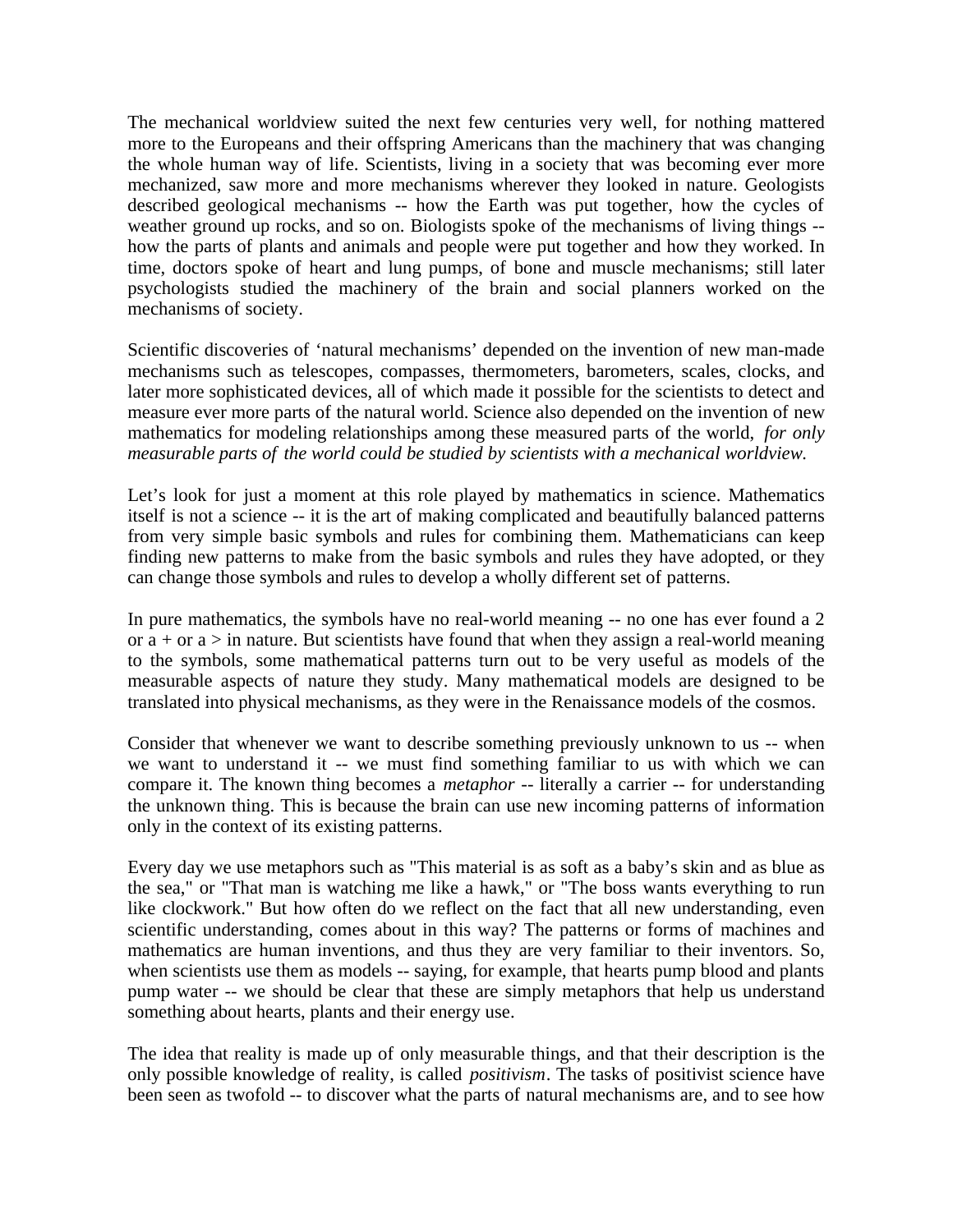The mechanical worldview suited the next few centuries very well, for nothing mattered more to the Europeans and their offspring Americans than the machinery that was changing the whole human way of life. Scientists, living in a society that was becoming ever more mechanized, saw more and more mechanisms wherever they looked in nature. Geologists described geological mechanisms -- how the Earth was put together, how the cycles of weather ground up rocks, and so on. Biologists spoke of the mechanisms of living things - how the parts of plants and animals and people were put together and how they worked. In time, doctors spoke of heart and lung pumps, of bone and muscle mechanisms; still later psychologists studied the machinery of the brain and social planners worked on the mechanisms of society.

Scientific discoveries of 'natural mechanisms' depended on the invention of new man-made mechanisms such as telescopes, compasses, thermometers, barometers, scales, clocks, and later more sophisticated devices, all of which made it possible for the scientists to detect and measure ever more parts of the natural world. Science also depended on the invention of new mathematics for modeling relationships among these measured parts of the world, *for only measurable parts of the world could be studied by scientists with a mechanical worldview.*

Let's look for just a moment at this role played by mathematics in science. Mathematics itself is not a science -- it is the art of making complicated and beautifully balanced patterns from very simple basic symbols and rules for combining them. Mathematicians can keep finding new patterns to make from the basic symbols and rules they have adopted, or they can change those symbols and rules to develop a wholly different set of patterns.

In pure mathematics, the symbols have no real-world meaning -- no one has ever found a 2 or  $a + or a > in$  nature. But scientists have found that when they assign a real-world meaning to the symbols, some mathematical patterns turn out to be very useful as models of the measurable aspects of nature they study. Many mathematical models are designed to be translated into physical mechanisms, as they were in the Renaissance models of the cosmos.

Consider that whenever we want to describe something previously unknown to us -- when we want to understand it -- we must find something familiar to us with which we can compare it. The known thing becomes a *metaphor* -- literally a carrier -- for understanding the unknown thing. This is because the brain can use new incoming patterns of information only in the context of its existing patterns.

Every day we use metaphors such as "This material is as soft as a baby's skin and as blue as the sea," or "That man is watching me like a hawk," or "The boss wants everything to run like clockwork." But how often do we reflect on the fact that all new understanding, even scientific understanding, comes about in this way? The patterns or forms of machines and mathematics are human inventions, and thus they are very familiar to their inventors. So, when scientists use them as models -- saying, for example, that hearts pump blood and plants pump water -- we should be clear that these are simply metaphors that help us understand something about hearts, plants and their energy use.

The idea that reality is made up of only measurable things, and that their description is the only possible knowledge of reality, is called *positivism*. The tasks of positivist science have been seen as twofold -- to discover what the parts of natural mechanisms are, and to see how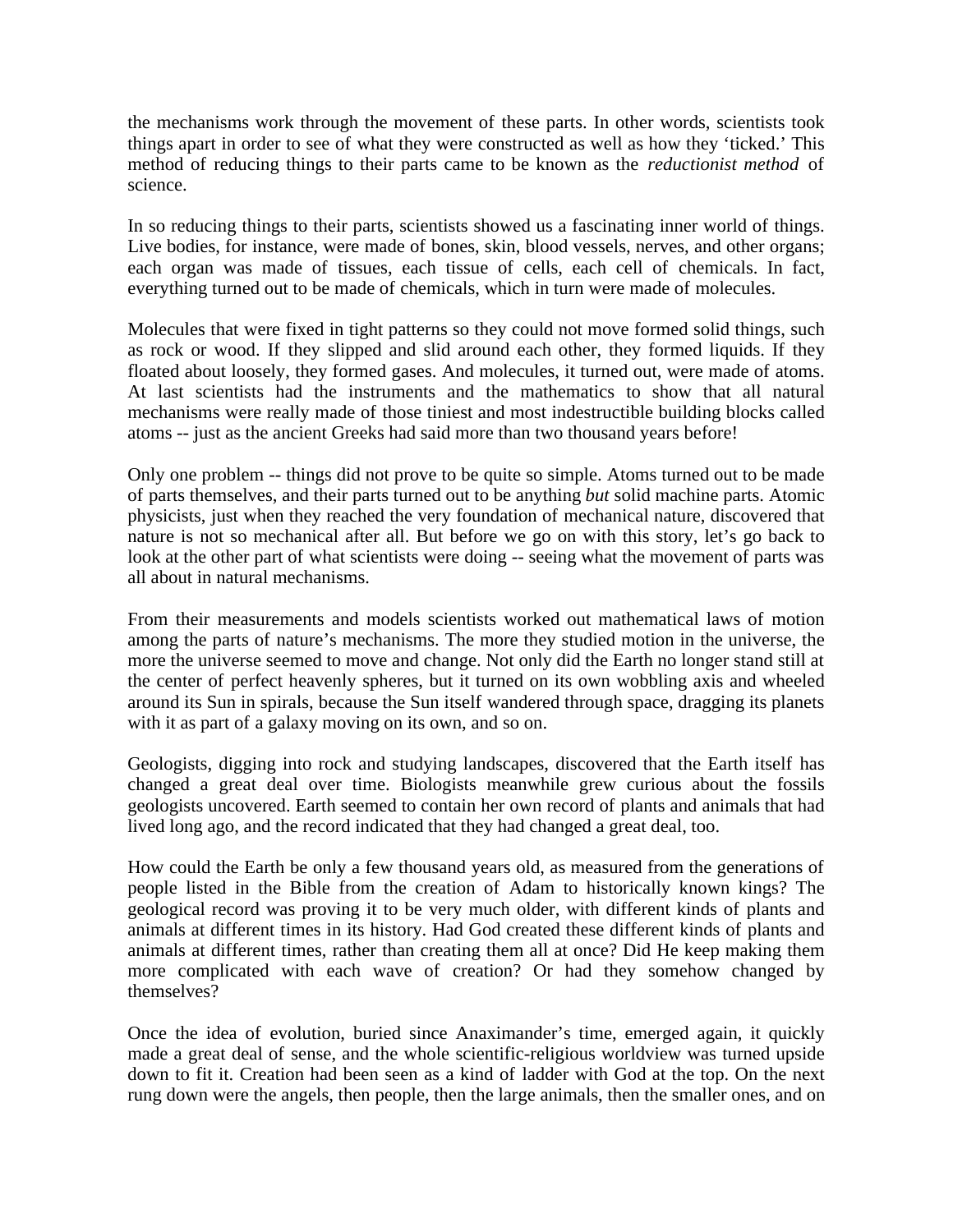the mechanisms work through the movement of these parts. In other words, scientists took things apart in order to see of what they were constructed as well as how they 'ticked.' This method of reducing things to their parts came to be known as the *reductionist method* of science.

In so reducing things to their parts, scientists showed us a fascinating inner world of things. Live bodies, for instance, were made of bones, skin, blood vessels, nerves, and other organs; each organ was made of tissues, each tissue of cells, each cell of chemicals. In fact, everything turned out to be made of chemicals, which in turn were made of molecules.

Molecules that were fixed in tight patterns so they could not move formed solid things, such as rock or wood. If they slipped and slid around each other, they formed liquids. If they floated about loosely, they formed gases. And molecules, it turned out, were made of atoms. At last scientists had the instruments and the mathematics to show that all natural mechanisms were really made of those tiniest and most indestructible building blocks called atoms -- just as the ancient Greeks had said more than two thousand years before!

Only one problem -- things did not prove to be quite so simple. Atoms turned out to be made of parts themselves, and their parts turned out to be anything *but* solid machine parts. Atomic physicists, just when they reached the very foundation of mechanical nature, discovered that nature is not so mechanical after all. But before we go on with this story, let's go back to look at the other part of what scientists were doing -- seeing what the movement of parts was all about in natural mechanisms.

From their measurements and models scientists worked out mathematical laws of motion among the parts of nature's mechanisms. The more they studied motion in the universe, the more the universe seemed to move and change. Not only did the Earth no longer stand still at the center of perfect heavenly spheres, but it turned on its own wobbling axis and wheeled around its Sun in spirals, because the Sun itself wandered through space, dragging its planets with it as part of a galaxy moving on its own, and so on.

Geologists, digging into rock and studying landscapes, discovered that the Earth itself has changed a great deal over time. Biologists meanwhile grew curious about the fossils geologists uncovered. Earth seemed to contain her own record of plants and animals that had lived long ago, and the record indicated that they had changed a great deal, too.

How could the Earth be only a few thousand years old, as measured from the generations of people listed in the Bible from the creation of Adam to historically known kings? The geological record was proving it to be very much older, with different kinds of plants and animals at different times in its history. Had God created these different kinds of plants and animals at different times, rather than creating them all at once? Did He keep making them more complicated with each wave of creation? Or had they somehow changed by themselves?

Once the idea of evolution, buried since Anaximander's time, emerged again, it quickly made a great deal of sense, and the whole scientific-religious worldview was turned upside down to fit it. Creation had been seen as a kind of ladder with God at the top. On the next rung down were the angels, then people, then the large animals, then the smaller ones, and on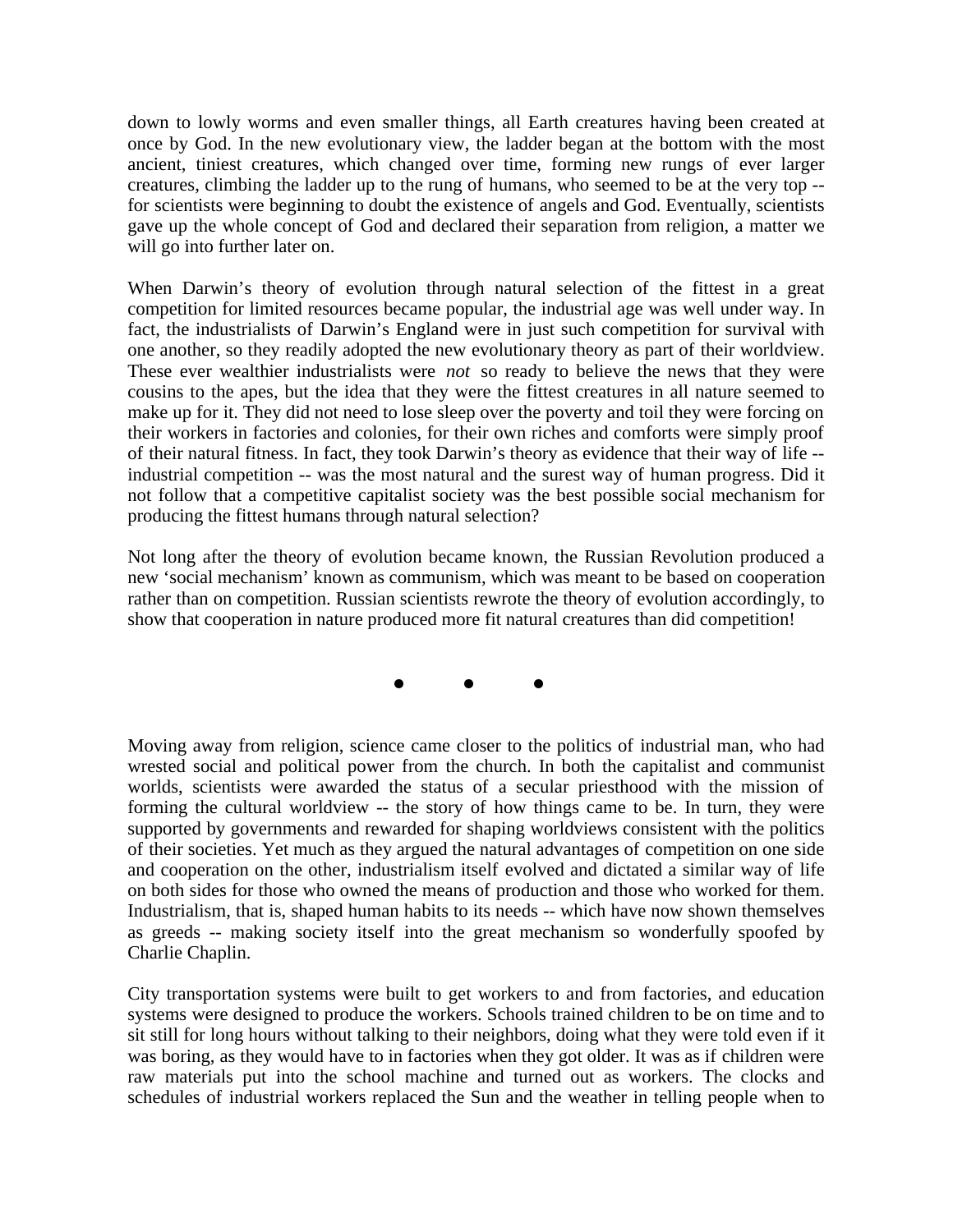down to lowly worms and even smaller things, all Earth creatures having been created at once by God. In the new evolutionary view, the ladder began at the bottom with the most ancient, tiniest creatures, which changed over time, forming new rungs of ever larger creatures, climbing the ladder up to the rung of humans, who seemed to be at the very top - for scientists were beginning to doubt the existence of angels and God. Eventually, scientists gave up the whole concept of God and declared their separation from religion, a matter we will go into further later on.

When Darwin's theory of evolution through natural selection of the fittest in a great competition for limited resources became popular, the industrial age was well under way. In fact, the industrialists of Darwin's England were in just such competition for survival with one another, so they readily adopted the new evolutionary theory as part of their worldview. These ever wealthier industrialists were *not* so ready to believe the news that they were cousins to the apes, but the idea that they were the fittest creatures in all nature seemed to make up for it. They did not need to lose sleep over the poverty and toil they were forcing on their workers in factories and colonies, for their own riches and comforts were simply proof of their natural fitness. In fact, they took Darwin's theory as evidence that their way of life - industrial competition -- was the most natural and the surest way of human progress. Did it not follow that a competitive capitalist society was the best possible social mechanism for producing the fittest humans through natural selection?

Not long after the theory of evolution became known, the Russian Revolution produced a new 'social mechanism' known as communism, which was meant to be based on cooperation rather than on competition. Russian scientists rewrote the theory of evolution accordingly, to show that cooperation in nature produced more fit natural creatures than did competition!

**· · ·** 

Moving away from religion, science came closer to the politics of industrial man, who had wrested social and political power from the church. In both the capitalist and communist worlds, scientists were awarded the status of a secular priesthood with the mission of forming the cultural worldview -- the story of how things came to be. In turn, they were supported by governments and rewarded for shaping worldviews consistent with the politics of their societies. Yet much as they argued the natural advantages of competition on one side and cooperation on the other, industrialism itself evolved and dictated a similar way of life on both sides for those who owned the means of production and those who worked for them. Industrialism, that is, shaped human habits to its needs -- which have now shown themselves as greeds -- making society itself into the great mechanism so wonderfully spoofed by Charlie Chaplin.

City transportation systems were built to get workers to and from factories, and education systems were designed to produce the workers. Schools trained children to be on time and to sit still for long hours without talking to their neighbors, doing what they were told even if it was boring, as they would have to in factories when they got older. It was as if children were raw materials put into the school machine and turned out as workers. The clocks and schedules of industrial workers replaced the Sun and the weather in telling people when to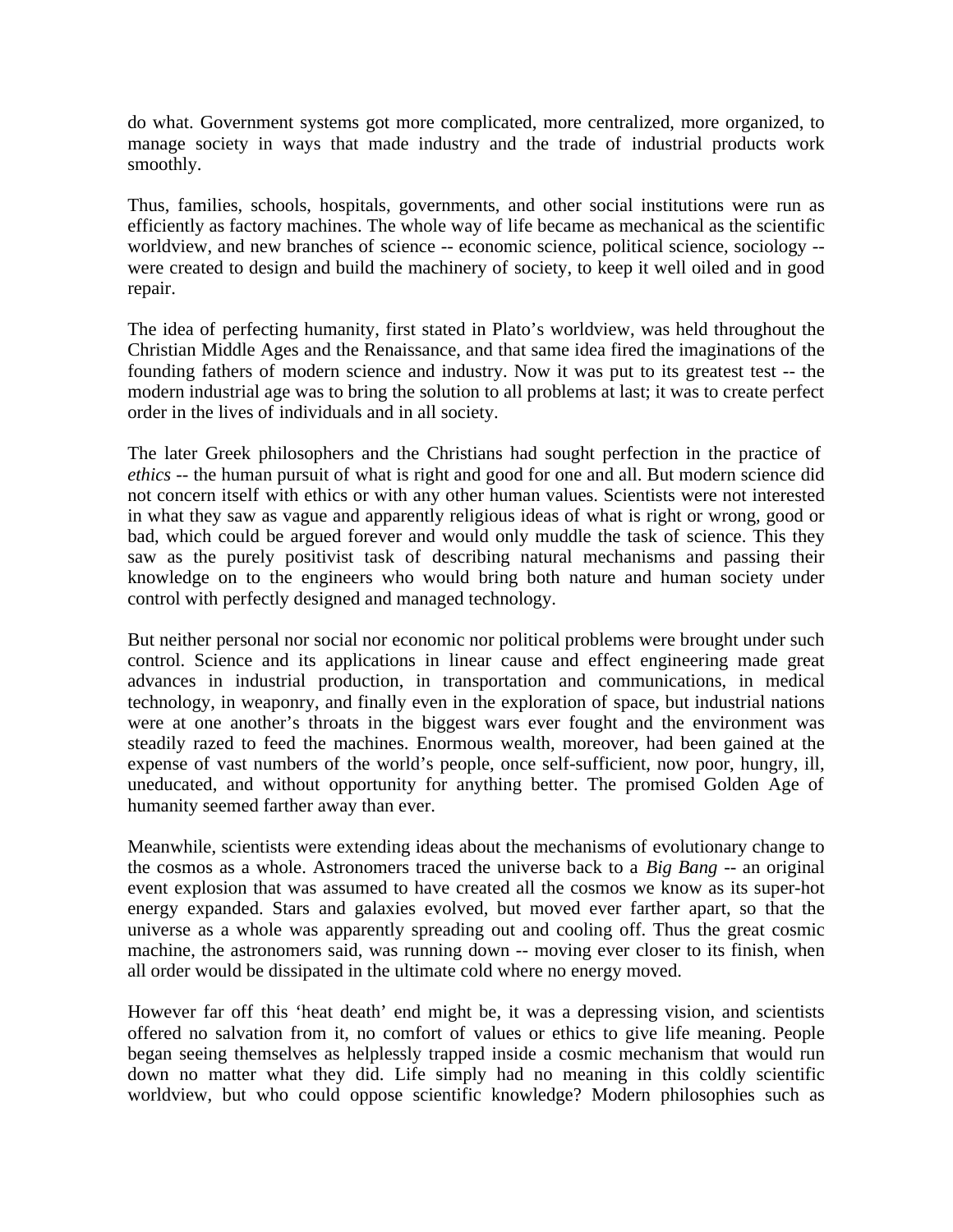do what. Government systems got more complicated, more centralized, more organized, to manage society in ways that made industry and the trade of industrial products work smoothly.

Thus, families, schools, hospitals, governments, and other social institutions were run as efficiently as factory machines. The whole way of life became as mechanical as the scientific worldview, and new branches of science -- economic science, political science, sociology - were created to design and build the machinery of society, to keep it well oiled and in good repair.

The idea of perfecting humanity, first stated in Plato's worldview, was held throughout the Christian Middle Ages and the Renaissance, and that same idea fired the imaginations of the founding fathers of modern science and industry. Now it was put to its greatest test -- the modern industrial age was to bring the solution to all problems at last; it was to create perfect order in the lives of individuals and in all society.

The later Greek philosophers and the Christians had sought perfection in the practice of *ethics* -- the human pursuit of what is right and good for one and all. But modern science did not concern itself with ethics or with any other human values. Scientists were not interested in what they saw as vague and apparently religious ideas of what is right or wrong, good or bad, which could be argued forever and would only muddle the task of science. This they saw as the purely positivist task of describing natural mechanisms and passing their knowledge on to the engineers who would bring both nature and human society under control with perfectly designed and managed technology.

But neither personal nor social nor economic nor political problems were brought under such control. Science and its applications in linear cause and effect engineering made great advances in industrial production, in transportation and communications, in medical technology, in weaponry, and finally even in the exploration of space, but industrial nations were at one another's throats in the biggest wars ever fought and the environment was steadily razed to feed the machines. Enormous wealth, moreover, had been gained at the expense of vast numbers of the world's people, once self-sufficient, now poor, hungry, ill, uneducated, and without opportunity for anything better. The promised Golden Age of humanity seemed farther away than ever.

Meanwhile, scientists were extending ideas about the mechanisms of evolutionary change to the cosmos as a whole. Astronomers traced the universe back to a *Big Bang* -- an original event explosion that was assumed to have created all the cosmos we know as its super-hot energy expanded. Stars and galaxies evolved, but moved ever farther apart, so that the universe as a whole was apparently spreading out and cooling off. Thus the great cosmic machine, the astronomers said, was running down -- moving ever closer to its finish, when all order would be dissipated in the ultimate cold where no energy moved.

However far off this 'heat death' end might be, it was a depressing vision, and scientists offered no salvation from it, no comfort of values or ethics to give life meaning. People began seeing themselves as helplessly trapped inside a cosmic mechanism that would run down no matter what they did. Life simply had no meaning in this coldly scientific worldview, but who could oppose scientific knowledge? Modern philosophies such as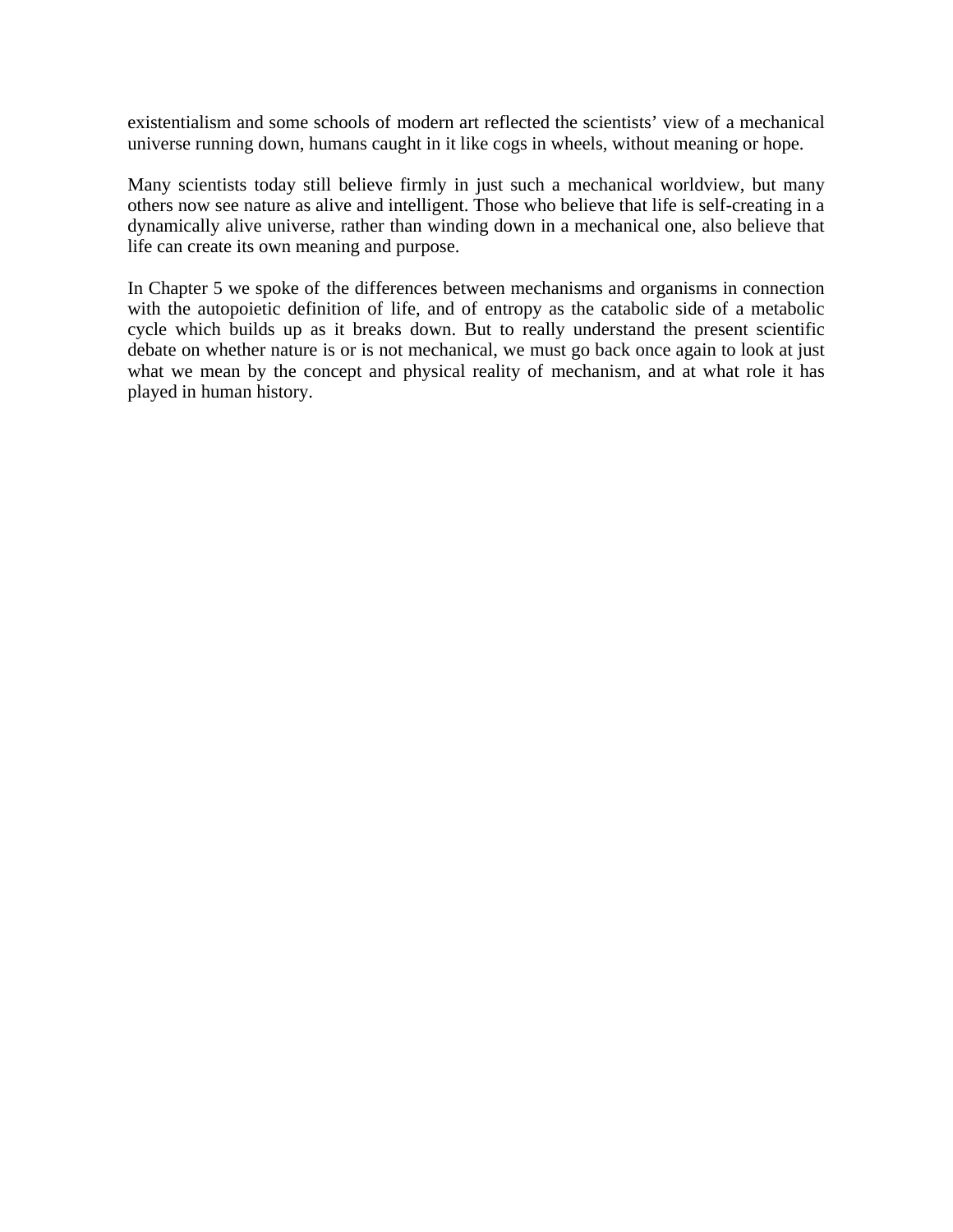existentialism and some schools of modern art reflected the scientists' view of a mechanical universe running down, humans caught in it like cogs in wheels, without meaning or hope.

Many scientists today still believe firmly in just such a mechanical worldview, but many others now see nature as alive and intelligent. Those who believe that life is self-creating in a dynamically alive universe, rather than winding down in a mechanical one, also believe that life can create its own meaning and purpose.

In Chapter 5 we spoke of the differences between mechanisms and organisms in connection with the autopoietic definition of life, and of entropy as the catabolic side of a metabolic cycle which builds up as it breaks down. But to really understand the present scientific debate on whether nature is or is not mechanical, we must go back once again to look at just what we mean by the concept and physical reality of mechanism, and at what role it has played in human history.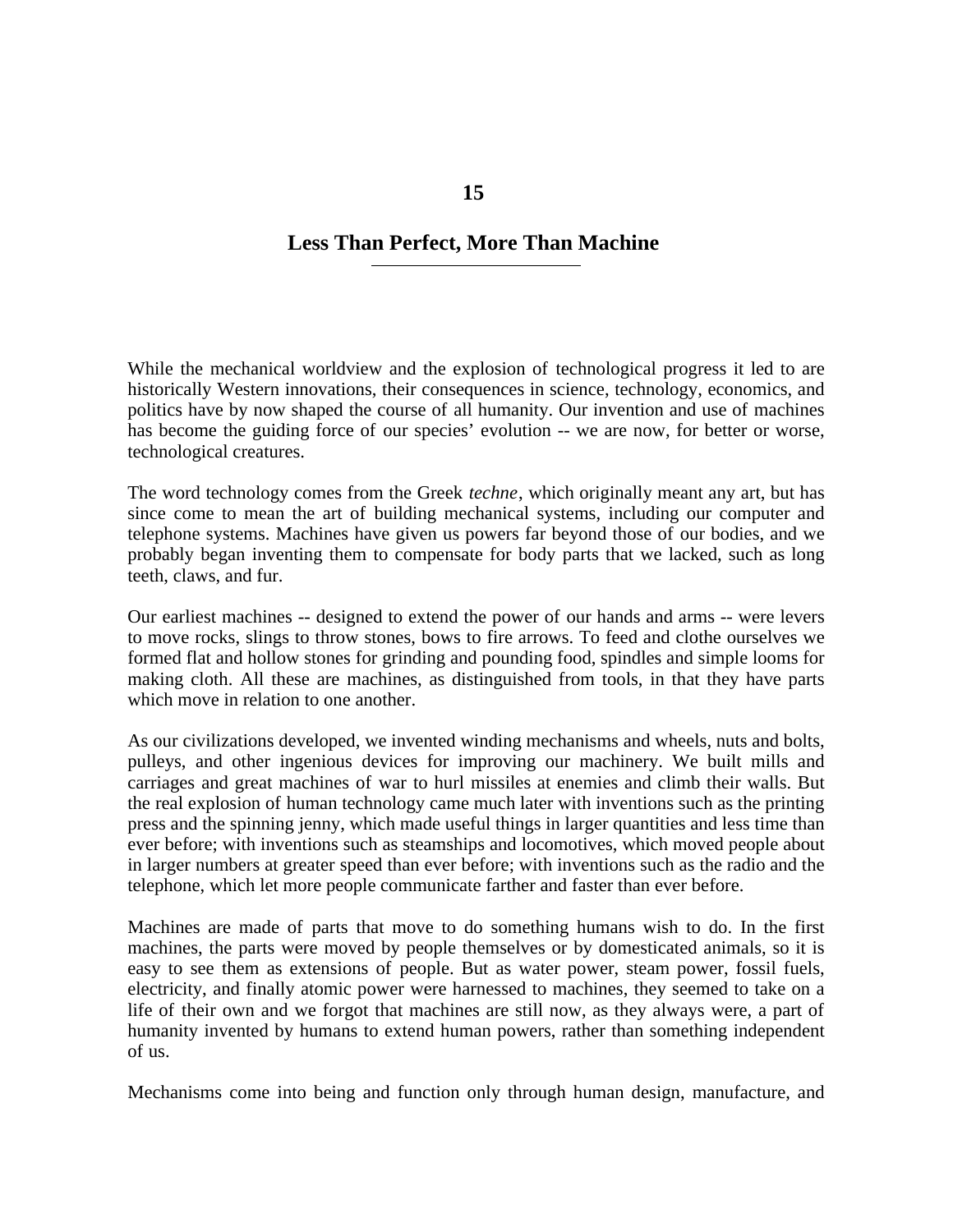## **Less Than Perfect, More Than Machine**

While the mechanical worldview and the explosion of technological progress it led to are historically Western innovations, their consequences in science, technology, economics, and politics have by now shaped the course of all humanity. Our invention and use of machines has become the guiding force of our species' evolution -- we are now, for better or worse, technological creatures.

The word technology comes from the Greek *techne*, which originally meant any art, but has since come to mean the art of building mechanical systems, including our computer and telephone systems. Machines have given us powers far beyond those of our bodies, and we probably began inventing them to compensate for body parts that we lacked, such as long teeth, claws, and fur.

Our earliest machines -- designed to extend the power of our hands and arms -- were levers to move rocks, slings to throw stones, bows to fire arrows. To feed and clothe ourselves we formed flat and hollow stones for grinding and pounding food, spindles and simple looms for making cloth. All these are machines, as distinguished from tools, in that they have parts which move in relation to one another.

As our civilizations developed, we invented winding mechanisms and wheels, nuts and bolts, pulleys, and other ingenious devices for improving our machinery. We built mills and carriages and great machines of war to hurl missiles at enemies and climb their walls. But the real explosion of human technology came much later with inventions such as the printing press and the spinning jenny, which made useful things in larger quantities and less time than ever before; with inventions such as steamships and locomotives, which moved people about in larger numbers at greater speed than ever before; with inventions such as the radio and the telephone, which let more people communicate farther and faster than ever before.

Machines are made of parts that move to do something humans wish to do. In the first machines, the parts were moved by people themselves or by domesticated animals, so it is easy to see them as extensions of people. But as water power, steam power, fossil fuels, electricity, and finally atomic power were harnessed to machines, they seemed to take on a life of their own and we forgot that machines are still now, as they always were, a part of humanity invented by humans to extend human powers, rather than something independent of us.

Mechanisms come into being and function only through human design, manufacture, and

**15**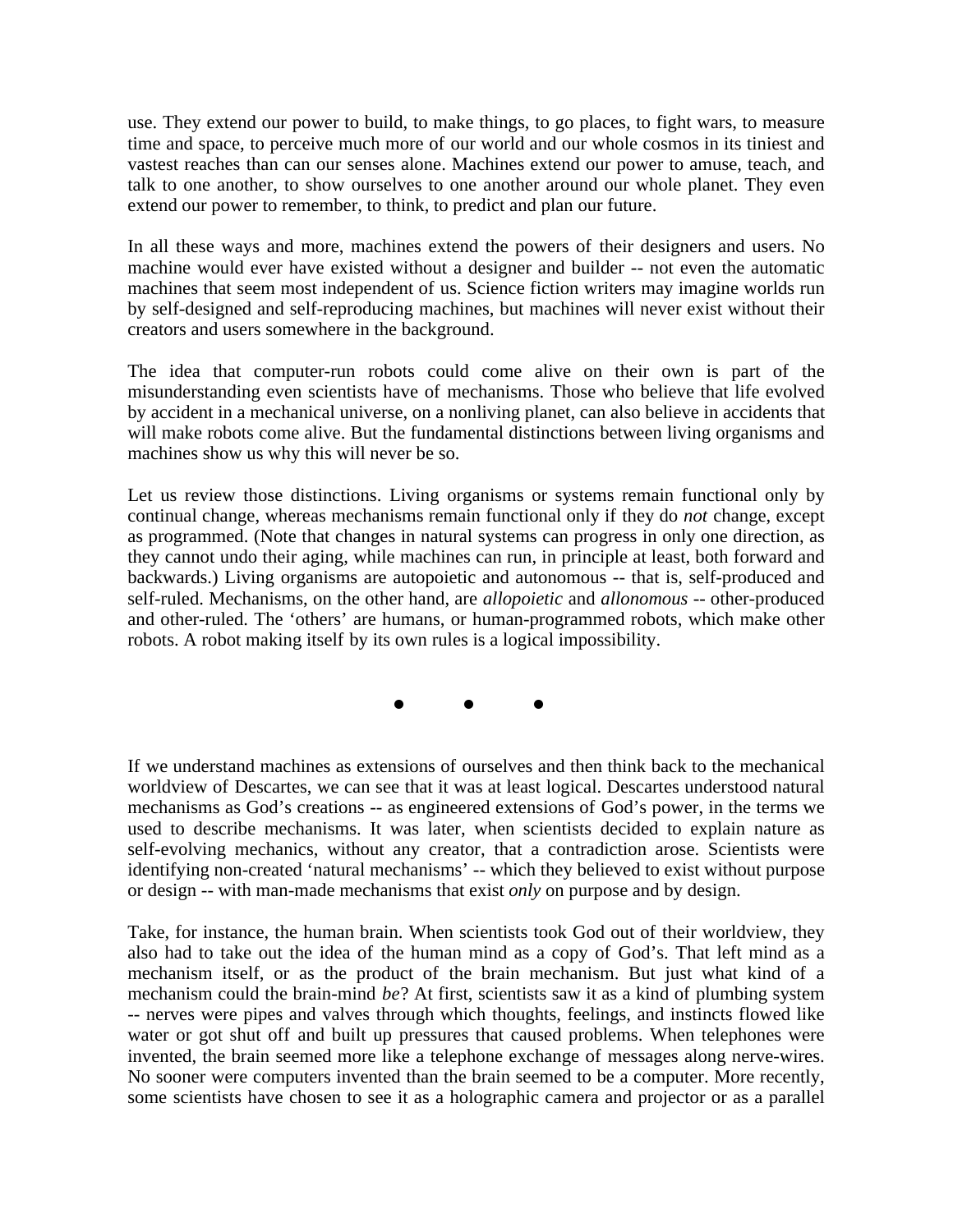use. They extend our power to build, to make things, to go places, to fight wars, to measure time and space, to perceive much more of our world and our whole cosmos in its tiniest and vastest reaches than can our senses alone. Machines extend our power to amuse, teach, and talk to one another, to show ourselves to one another around our whole planet. They even extend our power to remember, to think, to predict and plan our future.

In all these ways and more, machines extend the powers of their designers and users. No machine would ever have existed without a designer and builder -- not even the automatic machines that seem most independent of us. Science fiction writers may imagine worlds run by self-designed and self-reproducing machines, but machines will never exist without their creators and users somewhere in the background.

The idea that computer-run robots could come alive on their own is part of the misunderstanding even scientists have of mechanisms. Those who believe that life evolved by accident in a mechanical universe, on a nonliving planet, can also believe in accidents that will make robots come alive. But the fundamental distinctions between living organisms and machines show us why this will never be so.

Let us review those distinctions. Living organisms or systems remain functional only by continual change, whereas mechanisms remain functional only if they do *not* change, except as programmed. (Note that changes in natural systems can progress in only one direction, as they cannot undo their aging, while machines can run, in principle at least, both forward and backwards.) Living organisms are autopoietic and autonomous -- that is, self-produced and self-ruled. Mechanisms, on the other hand, are *allopoietic* and *allonomous* -- other-produced and other-ruled. The 'others' are humans, or human-programmed robots, which make other robots. A robot making itself by its own rules is a logical impossibility.

**· · ·** 

If we understand machines as extensions of ourselves and then think back to the mechanical worldview of Descartes, we can see that it was at least logical. Descartes understood natural mechanisms as God's creations -- as engineered extensions of God's power, in the terms we used to describe mechanisms. It was later, when scientists decided to explain nature as self-evolving mechanics, without any creator, that a contradiction arose. Scientists were identifying non-created 'natural mechanisms' -- which they believed to exist without purpose or design -- with man-made mechanisms that exist *only* on purpose and by design.

Take, for instance, the human brain. When scientists took God out of their worldview, they also had to take out the idea of the human mind as a copy of God's. That left mind as a mechanism itself, or as the product of the brain mechanism. But just what kind of a mechanism could the brain-mind *be*? At first, scientists saw it as a kind of plumbing system -- nerves were pipes and valves through which thoughts, feelings, and instincts flowed like water or got shut off and built up pressures that caused problems. When telephones were invented, the brain seemed more like a telephone exchange of messages along nerve-wires. No sooner were computers invented than the brain seemed to be a computer. More recently, some scientists have chosen to see it as a holographic camera and projector or as a parallel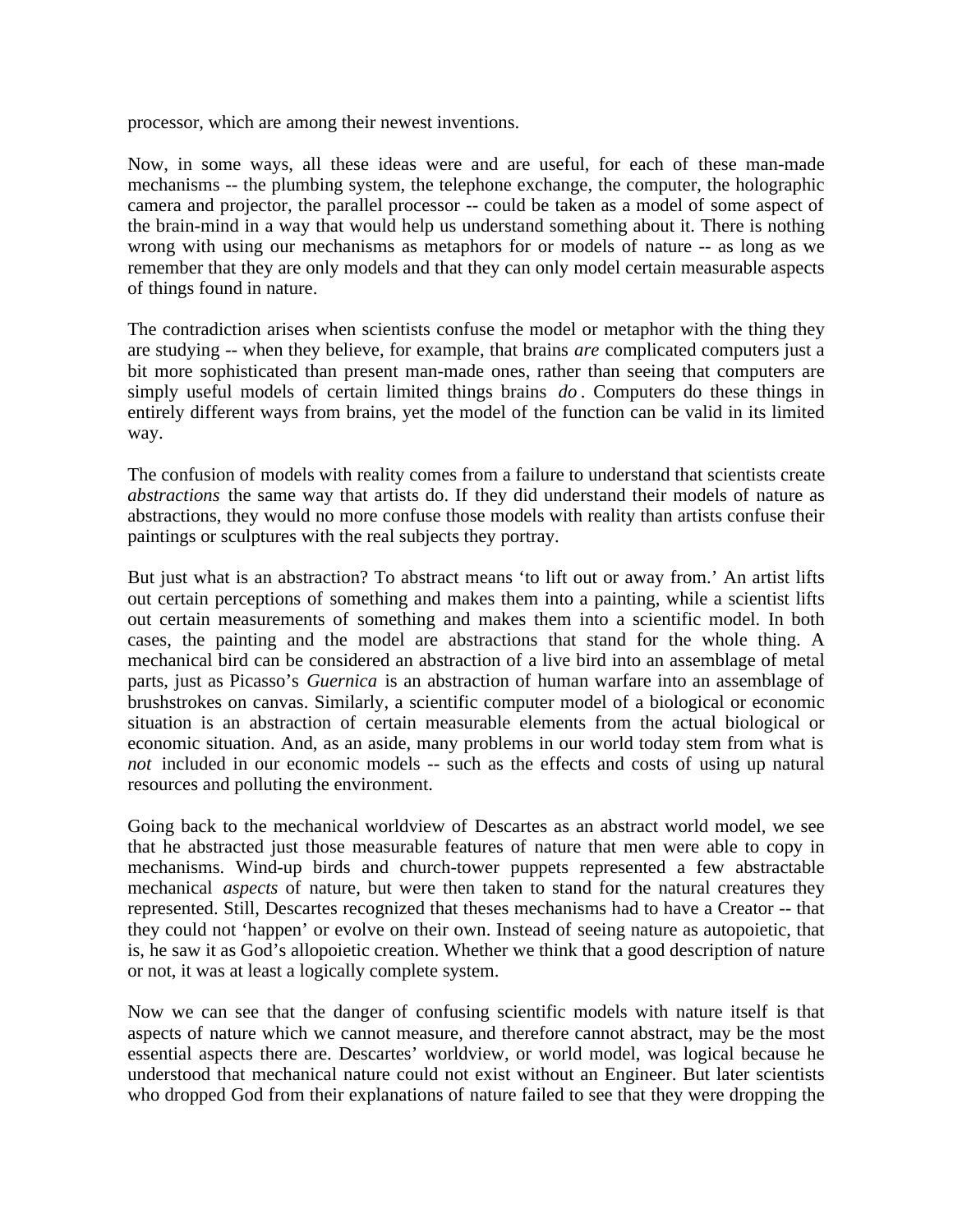processor, which are among their newest inventions.

Now, in some ways, all these ideas were and are useful, for each of these man-made mechanisms -- the plumbing system, the telephone exchange, the computer, the holographic camera and projector, the parallel processor -- could be taken as a model of some aspect of the brain-mind in a way that would help us understand something about it. There is nothing wrong with using our mechanisms as metaphors for or models of nature -- as long as we remember that they are only models and that they can only model certain measurable aspects of things found in nature.

The contradiction arises when scientists confuse the model or metaphor with the thing they are studying -- when they believe, for example, that brains *are* complicated computers just a bit more sophisticated than present man-made ones, rather than seeing that computers are simply useful models of certain limited things brains *do* . Computers do these things in entirely different ways from brains, yet the model of the function can be valid in its limited way.

The confusion of models with reality comes from a failure to understand that scientists create *abstractions* the same way that artists do. If they did understand their models of nature as abstractions, they would no more confuse those models with reality than artists confuse their paintings or sculptures with the real subjects they portray.

But just what is an abstraction? To abstract means 'to lift out or away from.' An artist lifts out certain perceptions of something and makes them into a painting, while a scientist lifts out certain measurements of something and makes them into a scientific model. In both cases, the painting and the model are abstractions that stand for the whole thing. A mechanical bird can be considered an abstraction of a live bird into an assemblage of metal parts, just as Picasso's *Guernica* is an abstraction of human warfare into an assemblage of brushstrokes on canvas. Similarly, a scientific computer model of a biological or economic situation is an abstraction of certain measurable elements from the actual biological or economic situation. And, as an aside, many problems in our world today stem from what is *not* included in our economic models -- such as the effects and costs of using up natural resources and polluting the environment.

Going back to the mechanical worldview of Descartes as an abstract world model, we see that he abstracted just those measurable features of nature that men were able to copy in mechanisms. Wind-up birds and church-tower puppets represented a few abstractable mechanical *aspects* of nature, but were then taken to stand for the natural creatures they represented. Still, Descartes recognized that theses mechanisms had to have a Creator -- that they could not 'happen' or evolve on their own. Instead of seeing nature as autopoietic, that is, he saw it as God's allopoietic creation. Whether we think that a good description of nature or not, it was at least a logically complete system.

Now we can see that the danger of confusing scientific models with nature itself is that aspects of nature which we cannot measure, and therefore cannot abstract, may be the most essential aspects there are. Descartes' worldview, or world model, was logical because he understood that mechanical nature could not exist without an Engineer. But later scientists who dropped God from their explanations of nature failed to see that they were dropping the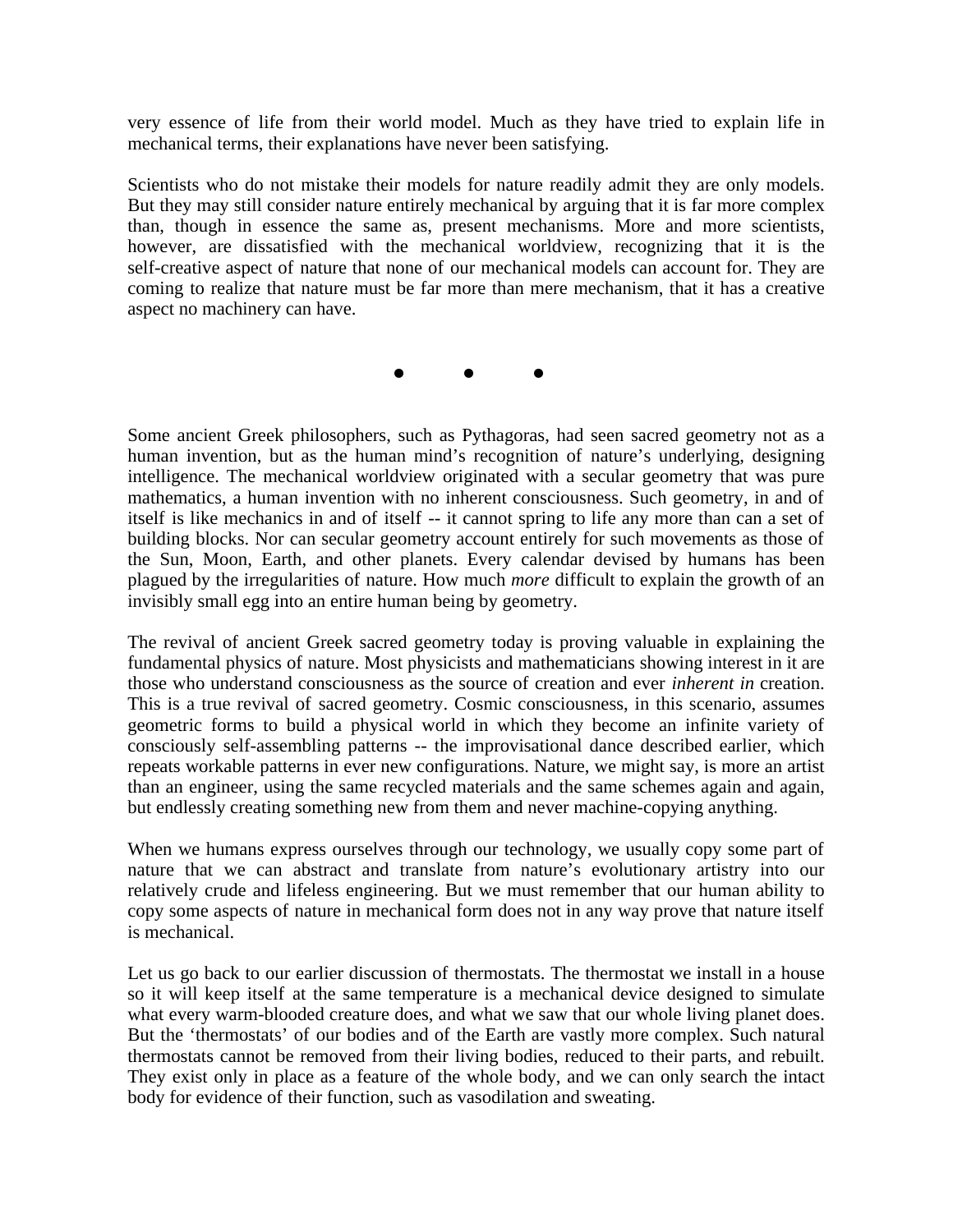very essence of life from their world model. Much as they have tried to explain life in mechanical terms, their explanations have never been satisfying.

Scientists who do not mistake their models for nature readily admit they are only models. But they may still consider nature entirely mechanical by arguing that it is far more complex than, though in essence the same as, present mechanisms. More and more scientists, however, are dissatisfied with the mechanical worldview, recognizing that it is the self-creative aspect of nature that none of our mechanical models can account for. They are coming to realize that nature must be far more than mere mechanism, that it has a creative aspect no machinery can have.

**· · ·** 

Some ancient Greek philosophers, such as Pythagoras, had seen sacred geometry not as a human invention, but as the human mind's recognition of nature's underlying, designing intelligence. The mechanical worldview originated with a secular geometry that was pure mathematics, a human invention with no inherent consciousness. Such geometry, in and of itself is like mechanics in and of itself -- it cannot spring to life any more than can a set of building blocks. Nor can secular geometry account entirely for such movements as those of the Sun, Moon, Earth, and other planets. Every calendar devised by humans has been plagued by the irregularities of nature. How much *more* difficult to explain the growth of an invisibly small egg into an entire human being by geometry.

The revival of ancient Greek sacred geometry today is proving valuable in explaining the fundamental physics of nature. Most physicists and mathematicians showing interest in it are those who understand consciousness as the source of creation and ever *inherent in* creation. This is a true revival of sacred geometry. Cosmic consciousness, in this scenario, assumes geometric forms to build a physical world in which they become an infinite variety of consciously self-assembling patterns -- the improvisational dance described earlier, which repeats workable patterns in ever new configurations. Nature, we might say, is more an artist than an engineer, using the same recycled materials and the same schemes again and again, but endlessly creating something new from them and never machine-copying anything.

When we humans express ourselves through our technology, we usually copy some part of nature that we can abstract and translate from nature's evolutionary artistry into our relatively crude and lifeless engineering. But we must remember that our human ability to copy some aspects of nature in mechanical form does not in any way prove that nature itself is mechanical.

Let us go back to our earlier discussion of thermostats. The thermostat we install in a house so it will keep itself at the same temperature is a mechanical device designed to simulate what every warm-blooded creature does, and what we saw that our whole living planet does. But the 'thermostats' of our bodies and of the Earth are vastly more complex. Such natural thermostats cannot be removed from their living bodies, reduced to their parts, and rebuilt. They exist only in place as a feature of the whole body, and we can only search the intact body for evidence of their function, such as vasodilation and sweating.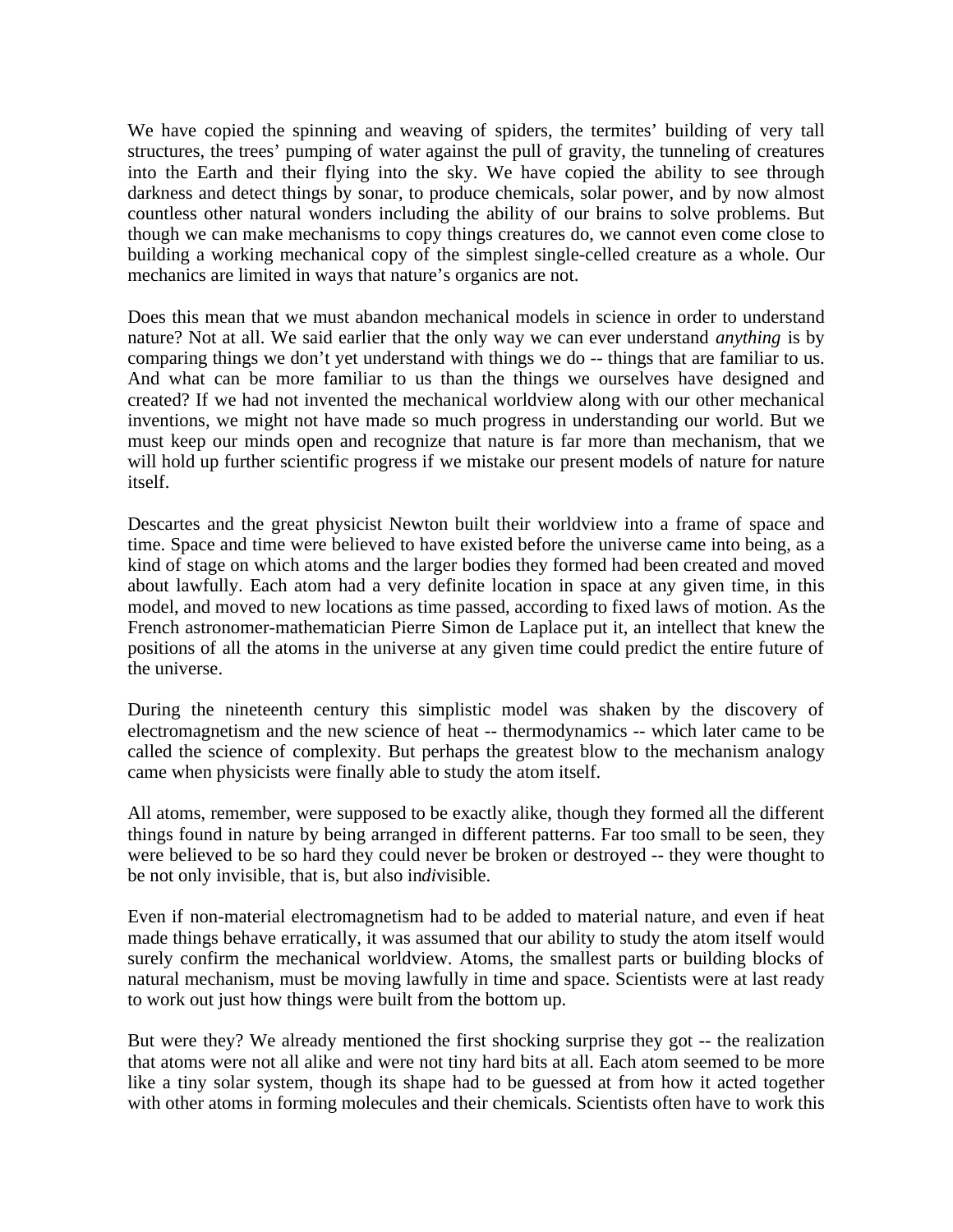We have copied the spinning and weaving of spiders, the termites' building of very tall structures, the trees' pumping of water against the pull of gravity, the tunneling of creatures into the Earth and their flying into the sky. We have copied the ability to see through darkness and detect things by sonar, to produce chemicals, solar power, and by now almost countless other natural wonders including the ability of our brains to solve problems. But though we can make mechanisms to copy things creatures do, we cannot even come close to building a working mechanical copy of the simplest single-celled creature as a whole. Our mechanics are limited in ways that nature's organics are not.

Does this mean that we must abandon mechanical models in science in order to understand nature? Not at all. We said earlier that the only way we can ever understand *anything* is by comparing things we don't yet understand with things we do -- things that are familiar to us. And what can be more familiar to us than the things we ourselves have designed and created? If we had not invented the mechanical worldview along with our other mechanical inventions, we might not have made so much progress in understanding our world. But we must keep our minds open and recognize that nature is far more than mechanism, that we will hold up further scientific progress if we mistake our present models of nature for nature itself.

Descartes and the great physicist Newton built their worldview into a frame of space and time. Space and time were believed to have existed before the universe came into being, as a kind of stage on which atoms and the larger bodies they formed had been created and moved about lawfully. Each atom had a very definite location in space at any given time, in this model, and moved to new locations as time passed, according to fixed laws of motion. As the French astronomer-mathematician Pierre Simon de Laplace put it, an intellect that knew the positions of all the atoms in the universe at any given time could predict the entire future of the universe.

During the nineteenth century this simplistic model was shaken by the discovery of electromagnetism and the new science of heat -- thermodynamics -- which later came to be called the science of complexity. But perhaps the greatest blow to the mechanism analogy came when physicists were finally able to study the atom itself.

All atoms, remember, were supposed to be exactly alike, though they formed all the different things found in nature by being arranged in different patterns. Far too small to be seen, they were believed to be so hard they could never be broken or destroyed -- they were thought to be not only invisible, that is, but also in*di*visible.

Even if non-material electromagnetism had to be added to material nature, and even if heat made things behave erratically, it was assumed that our ability to study the atom itself would surely confirm the mechanical worldview. Atoms, the smallest parts or building blocks of natural mechanism, must be moving lawfully in time and space. Scientists were at last ready to work out just how things were built from the bottom up.

But were they? We already mentioned the first shocking surprise they got -- the realization that atoms were not all alike and were not tiny hard bits at all. Each atom seemed to be more like a tiny solar system, though its shape had to be guessed at from how it acted together with other atoms in forming molecules and their chemicals. Scientists often have to work this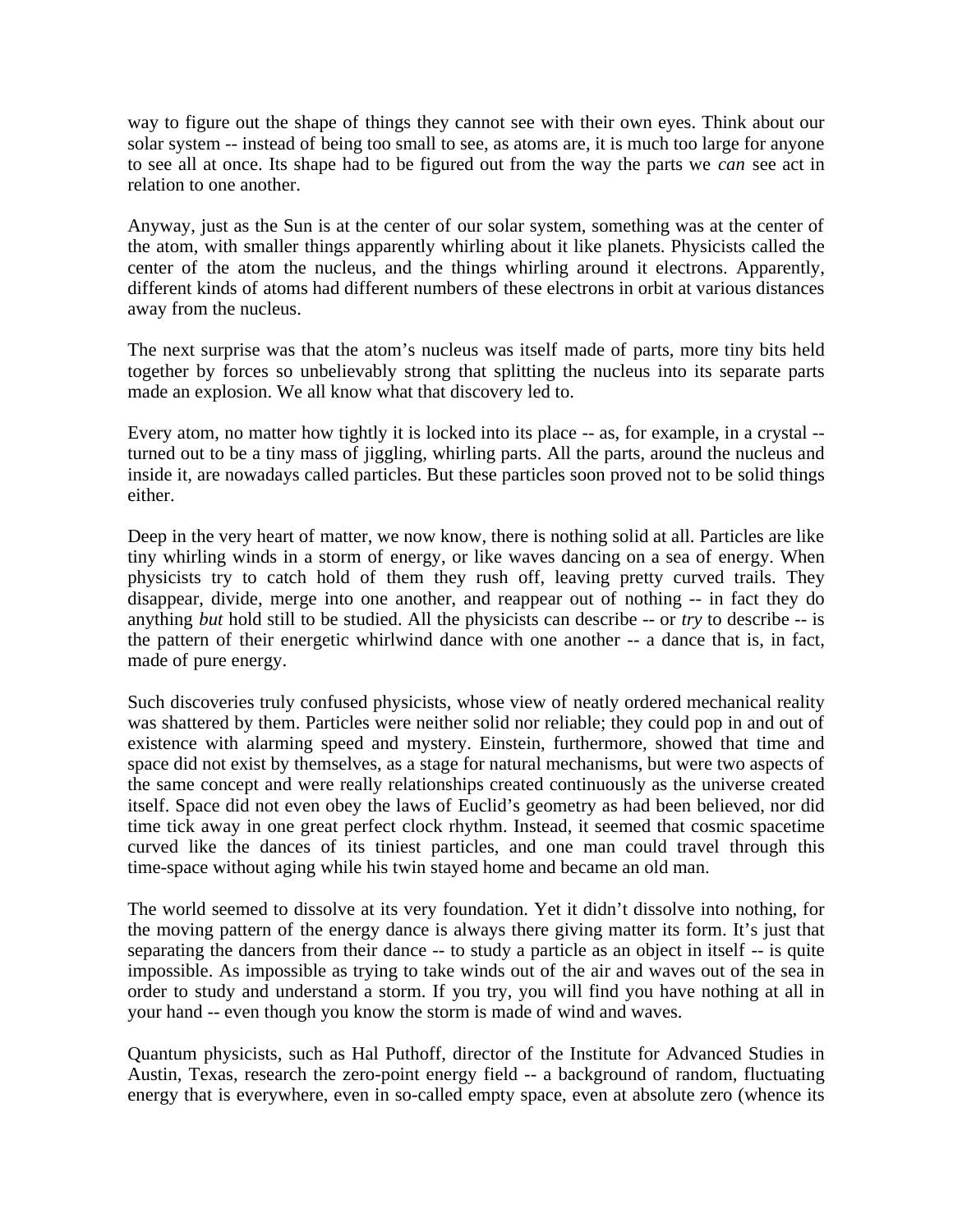way to figure out the shape of things they cannot see with their own eyes. Think about our solar system -- instead of being too small to see, as atoms are, it is much too large for anyone to see all at once. Its shape had to be figured out from the way the parts we *can* see act in relation to one another.

Anyway, just as the Sun is at the center of our solar system, something was at the center of the atom, with smaller things apparently whirling about it like planets. Physicists called the center of the atom the nucleus, and the things whirling around it electrons. Apparently, different kinds of atoms had different numbers of these electrons in orbit at various distances away from the nucleus.

The next surprise was that the atom's nucleus was itself made of parts, more tiny bits held together by forces so unbelievably strong that splitting the nucleus into its separate parts made an explosion. We all know what that discovery led to.

Every atom, no matter how tightly it is locked into its place -- as, for example, in a crystal - turned out to be a tiny mass of jiggling, whirling parts. All the parts, around the nucleus and inside it, are nowadays called particles. But these particles soon proved not to be solid things either.

Deep in the very heart of matter, we now know, there is nothing solid at all. Particles are like tiny whirling winds in a storm of energy, or like waves dancing on a sea of energy. When physicists try to catch hold of them they rush off, leaving pretty curved trails. They disappear, divide, merge into one another, and reappear out of nothing -- in fact they do anything *but* hold still to be studied. All the physicists can describe -- or *try* to describe -- is the pattern of their energetic whirlwind dance with one another -- a dance that is, in fact, made of pure energy.

Such discoveries truly confused physicists, whose view of neatly ordered mechanical reality was shattered by them. Particles were neither solid nor reliable; they could pop in and out of existence with alarming speed and mystery. Einstein, furthermore, showed that time and space did not exist by themselves, as a stage for natural mechanisms, but were two aspects of the same concept and were really relationships created continuously as the universe created itself. Space did not even obey the laws of Euclid's geometry as had been believed, nor did time tick away in one great perfect clock rhythm. Instead, it seemed that cosmic spacetime curved like the dances of its tiniest particles, and one man could travel through this time-space without aging while his twin stayed home and became an old man.

The world seemed to dissolve at its very foundation. Yet it didn't dissolve into nothing, for the moving pattern of the energy dance is always there giving matter its form. It's just that separating the dancers from their dance -- to study a particle as an object in itself -- is quite impossible. As impossible as trying to take winds out of the air and waves out of the sea in order to study and understand a storm. If you try, you will find you have nothing at all in your hand -- even though you know the storm is made of wind and waves.

Quantum physicists, such as Hal Puthoff, director of the Institute for Advanced Studies in Austin, Texas, research the zero-point energy field -- a background of random, fluctuating energy that is everywhere, even in so-called empty space, even at absolute zero (whence its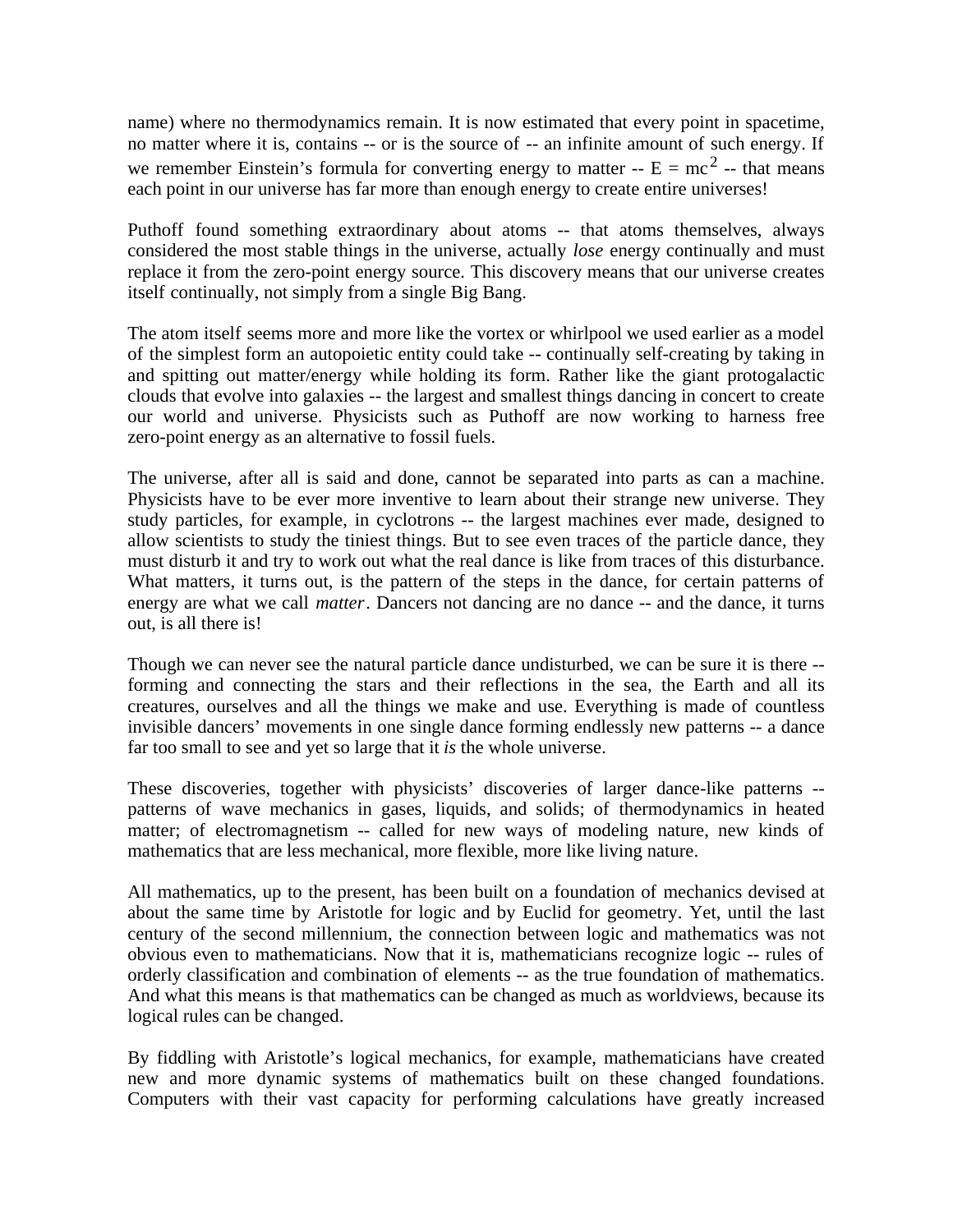name) where no thermodynamics remain. It is now estimated that every point in spacetime, no matter where it is, contains -- or is the source of -- an infinite amount of such energy. If we remember Einstein's formula for converting energy to matter  $- E = mc^2 - \text{ that means}$ each point in our universe has far more than enough energy to create entire universes!

Puthoff found something extraordinary about atoms -- that atoms themselves, always considered the most stable things in the universe, actually *lose* energy continually and must replace it from the zero-point energy source. This discovery means that our universe creates itself continually, not simply from a single Big Bang.

The atom itself seems more and more like the vortex or whirlpool we used earlier as a model of the simplest form an autopoietic entity could take -- continually self-creating by taking in and spitting out matter/energy while holding its form. Rather like the giant protogalactic clouds that evolve into galaxies -- the largest and smallest things dancing in concert to create our world and universe. Physicists such as Puthoff are now working to harness free zero-point energy as an alternative to fossil fuels.

The universe, after all is said and done, cannot be separated into parts as can a machine. Physicists have to be ever more inventive to learn about their strange new universe. They study particles, for example, in cyclotrons -- the largest machines ever made, designed to allow scientists to study the tiniest things. But to see even traces of the particle dance, they must disturb it and try to work out what the real dance is like from traces of this disturbance. What matters, it turns out, is the pattern of the steps in the dance, for certain patterns of energy are what we call *matter*. Dancers not dancing are no dance -- and the dance, it turns out, is all there is!

Though we can never see the natural particle dance undisturbed, we can be sure it is there - forming and connecting the stars and their reflections in the sea, the Earth and all its creatures, ourselves and all the things we make and use. Everything is made of countless invisible dancers' movements in one single dance forming endlessly new patterns -- a dance far too small to see and yet so large that it *is* the whole universe.

These discoveries, together with physicists' discoveries of larger dance-like patterns - patterns of wave mechanics in gases, liquids, and solids; of thermodynamics in heated matter; of electromagnetism -- called for new ways of modeling nature, new kinds of mathematics that are less mechanical, more flexible, more like living nature.

All mathematics, up to the present, has been built on a foundation of mechanics devised at about the same time by Aristotle for logic and by Euclid for geometry. Yet, until the last century of the second millennium, the connection between logic and mathematics was not obvious even to mathematicians. Now that it is, mathematicians recognize logic -- rules of orderly classification and combination of elements -- as the true foundation of mathematics. And what this means is that mathematics can be changed as much as worldviews, because its logical rules can be changed.

By fiddling with Aristotle's logical mechanics, for example, mathematicians have created new and more dynamic systems of mathematics built on these changed foundations. Computers with their vast capacity for performing calculations have greatly increased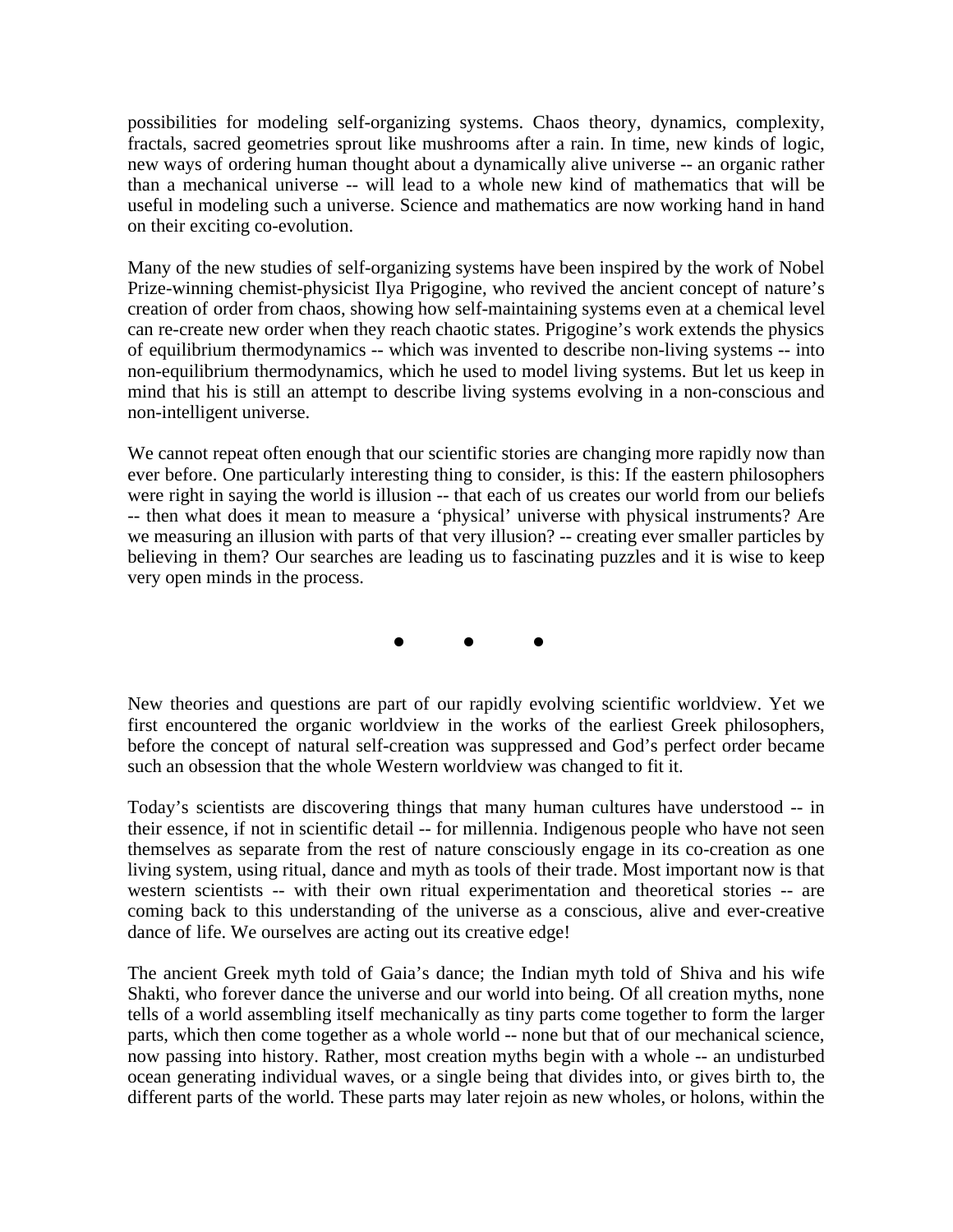possibilities for modeling self-organizing systems. Chaos theory, dynamics, complexity, fractals, sacred geometries sprout like mushrooms after a rain. In time, new kinds of logic, new ways of ordering human thought about a dynamically alive universe -- an organic rather than a mechanical universe -- will lead to a whole new kind of mathematics that will be useful in modeling such a universe. Science and mathematics are now working hand in hand on their exciting co-evolution.

Many of the new studies of self-organizing systems have been inspired by the work of Nobel Prize-winning chemist-physicist Ilya Prigogine, who revived the ancient concept of nature's creation of order from chaos, showing how self-maintaining systems even at a chemical level can re-create new order when they reach chaotic states. Prigogine's work extends the physics of equilibrium thermodynamics -- which was invented to describe non-living systems -- into non-equilibrium thermodynamics, which he used to model living systems. But let us keep in mind that his is still an attempt to describe living systems evolving in a non-conscious and non-intelligent universe.

We cannot repeat often enough that our scientific stories are changing more rapidly now than ever before. One particularly interesting thing to consider, is this: If the eastern philosophers were right in saying the world is illusion -- that each of us creates our world from our beliefs -- then what does it mean to measure a 'physical' universe with physical instruments? Are we measuring an illusion with parts of that very illusion? -- creating ever smaller particles by believing in them? Our searches are leading us to fascinating puzzles and it is wise to keep very open minds in the process.

**· · ·** 

New theories and questions are part of our rapidly evolving scientific worldview. Yet we first encountered the organic worldview in the works of the earliest Greek philosophers, before the concept of natural self-creation was suppressed and God's perfect order became such an obsession that the whole Western worldview was changed to fit it.

Today's scientists are discovering things that many human cultures have understood -- in their essence, if not in scientific detail -- for millennia. Indigenous people who have not seen themselves as separate from the rest of nature consciously engage in its co-creation as one living system, using ritual, dance and myth as tools of their trade. Most important now is that western scientists -- with their own ritual experimentation and theoretical stories -- are coming back to this understanding of the universe as a conscious, alive and ever-creative dance of life. We ourselves are acting out its creative edge!

The ancient Greek myth told of Gaia's dance; the Indian myth told of Shiva and his wife Shakti, who forever dance the universe and our world into being. Of all creation myths, none tells of a world assembling itself mechanically as tiny parts come together to form the larger parts, which then come together as a whole world -- none but that of our mechanical science, now passing into history. Rather, most creation myths begin with a whole -- an undisturbed ocean generating individual waves, or a single being that divides into, or gives birth to, the different parts of the world. These parts may later rejoin as new wholes, or holons, within the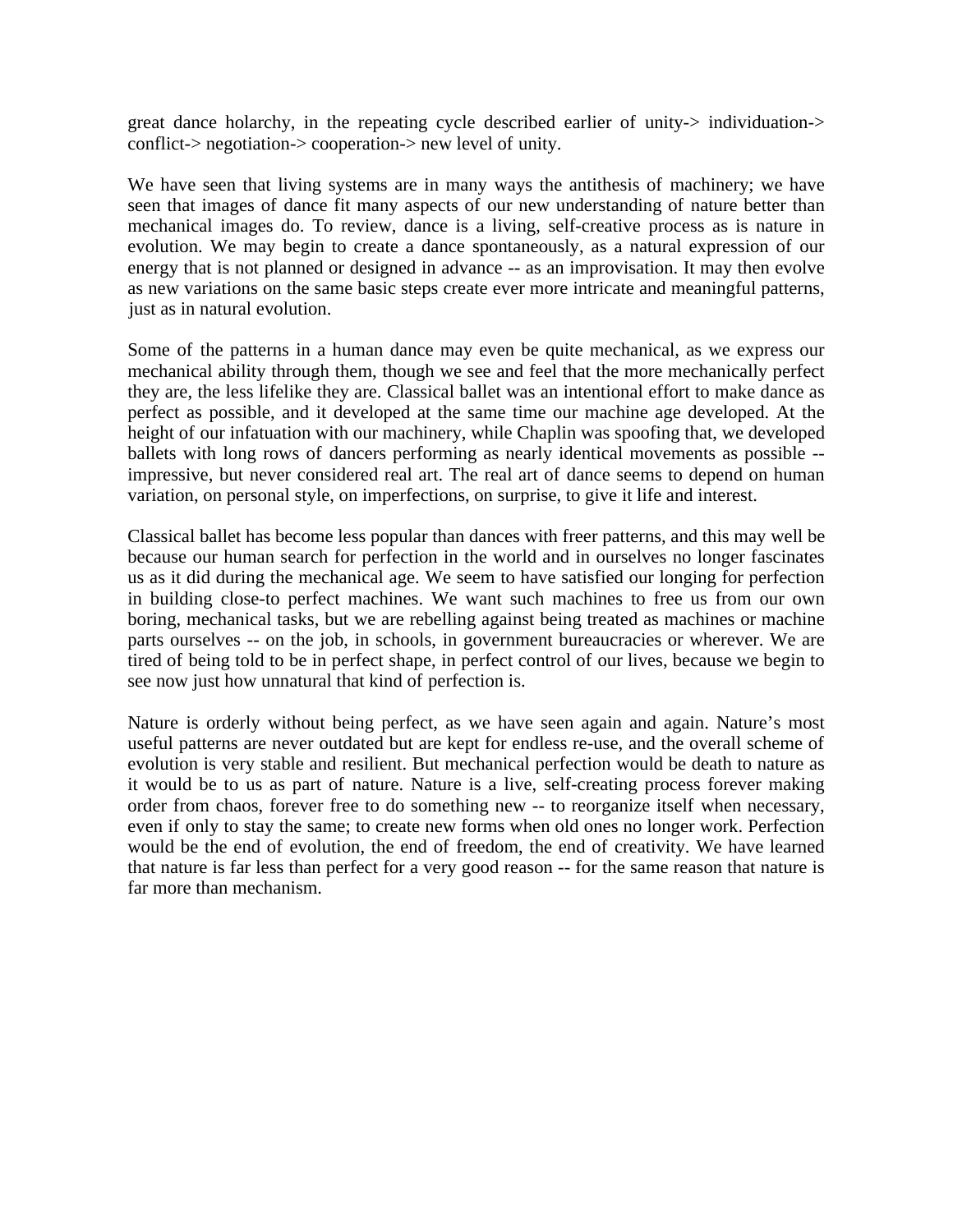great dance holarchy, in the repeating cycle described earlier of unity-> individuation-> conflict-> negotiation-> cooperation-> new level of unity.

We have seen that living systems are in many ways the antithesis of machinery; we have seen that images of dance fit many aspects of our new understanding of nature better than mechanical images do. To review, dance is a living, self-creative process as is nature in evolution. We may begin to create a dance spontaneously, as a natural expression of our energy that is not planned or designed in advance -- as an improvisation. It may then evolve as new variations on the same basic steps create ever more intricate and meaningful patterns, just as in natural evolution.

Some of the patterns in a human dance may even be quite mechanical, as we express our mechanical ability through them, though we see and feel that the more mechanically perfect they are, the less lifelike they are. Classical ballet was an intentional effort to make dance as perfect as possible, and it developed at the same time our machine age developed. At the height of our infatuation with our machinery, while Chaplin was spoofing that, we developed ballets with long rows of dancers performing as nearly identical movements as possible - impressive, but never considered real art. The real art of dance seems to depend on human variation, on personal style, on imperfections, on surprise, to give it life and interest.

Classical ballet has become less popular than dances with freer patterns, and this may well be because our human search for perfection in the world and in ourselves no longer fascinates us as it did during the mechanical age. We seem to have satisfied our longing for perfection in building close-to perfect machines. We want such machines to free us from our own boring, mechanical tasks, but we are rebelling against being treated as machines or machine parts ourselves -- on the job, in schools, in government bureaucracies or wherever. We are tired of being told to be in perfect shape, in perfect control of our lives, because we begin to see now just how unnatural that kind of perfection is.

Nature is orderly without being perfect, as we have seen again and again. Nature's most useful patterns are never outdated but are kept for endless re-use, and the overall scheme of evolution is very stable and resilient. But mechanical perfection would be death to nature as it would be to us as part of nature. Nature is a live, self-creating process forever making order from chaos, forever free to do something new -- to reorganize itself when necessary, even if only to stay the same; to create new forms when old ones no longer work. Perfection would be the end of evolution, the end of freedom, the end of creativity. We have learned that nature is far less than perfect for a very good reason -- for the same reason that nature is far more than mechanism.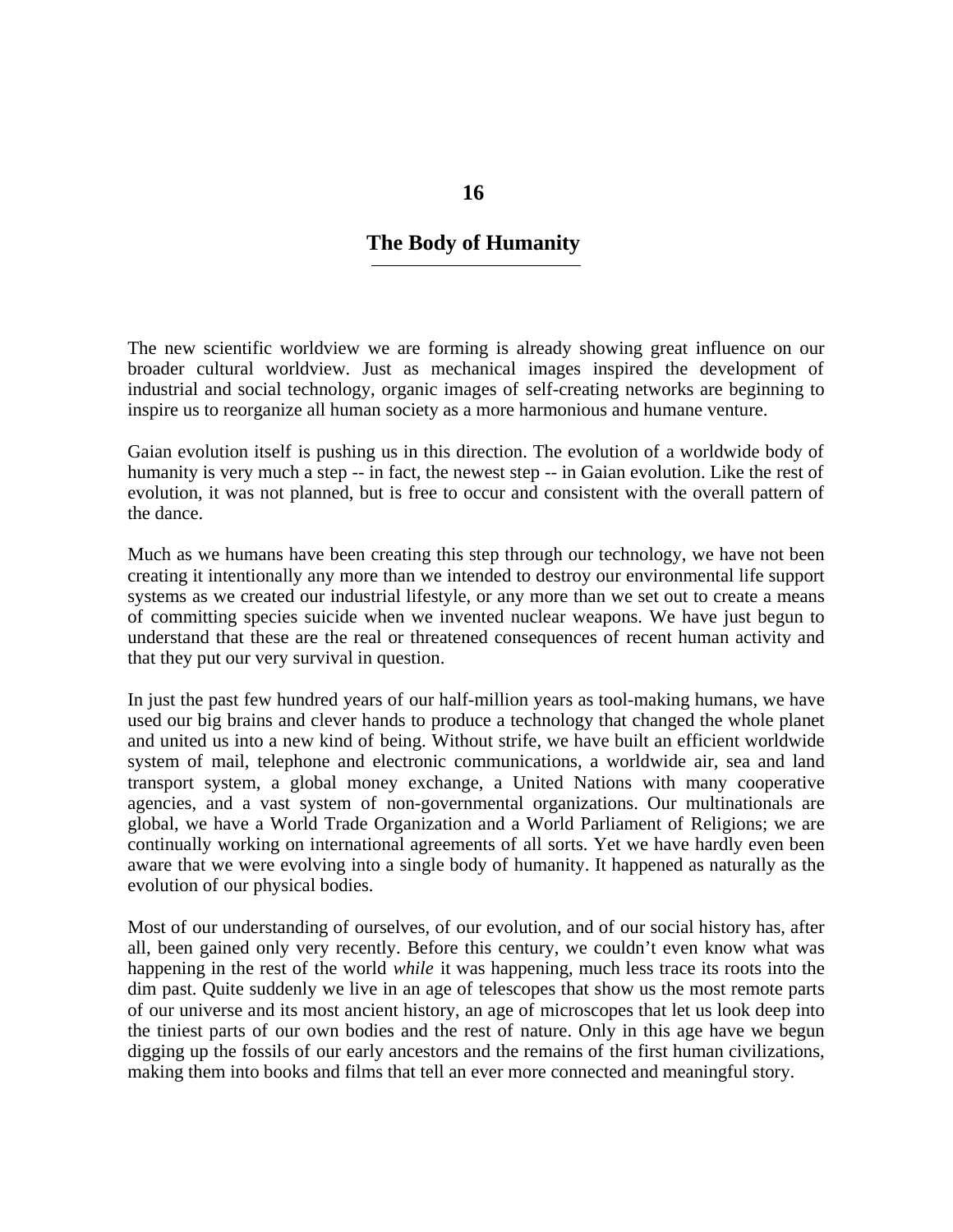## **The Body of Humanity**

The new scientific worldview we are forming is already showing great influence on our broader cultural worldview. Just as mechanical images inspired the development of industrial and social technology, organic images of self-creating networks are beginning to inspire us to reorganize all human society as a more harmonious and humane venture.

Gaian evolution itself is pushing us in this direction. The evolution of a worldwide body of humanity is very much a step -- in fact, the newest step -- in Gaian evolution. Like the rest of evolution, it was not planned, but is free to occur and consistent with the overall pattern of the dance.

Much as we humans have been creating this step through our technology, we have not been creating it intentionally any more than we intended to destroy our environmental life support systems as we created our industrial lifestyle, or any more than we set out to create a means of committing species suicide when we invented nuclear weapons. We have just begun to understand that these are the real or threatened consequences of recent human activity and that they put our very survival in question.

In just the past few hundred years of our half-million years as tool-making humans, we have used our big brains and clever hands to produce a technology that changed the whole planet and united us into a new kind of being. Without strife, we have built an efficient worldwide system of mail, telephone and electronic communications, a worldwide air, sea and land transport system, a global money exchange, a United Nations with many cooperative agencies, and a vast system of non-governmental organizations. Our multinationals are global, we have a World Trade Organization and a World Parliament of Religions; we are continually working on international agreements of all sorts. Yet we have hardly even been aware that we were evolving into a single body of humanity. It happened as naturally as the evolution of our physical bodies.

Most of our understanding of ourselves, of our evolution, and of our social history has, after all, been gained only very recently. Before this century, we couldn't even know what was happening in the rest of the world *while* it was happening, much less trace its roots into the dim past. Quite suddenly we live in an age of telescopes that show us the most remote parts of our universe and its most ancient history, an age of microscopes that let us look deep into the tiniest parts of our own bodies and the rest of nature. Only in this age have we begun digging up the fossils of our early ancestors and the remains of the first human civilizations, making them into books and films that tell an ever more connected and meaningful story.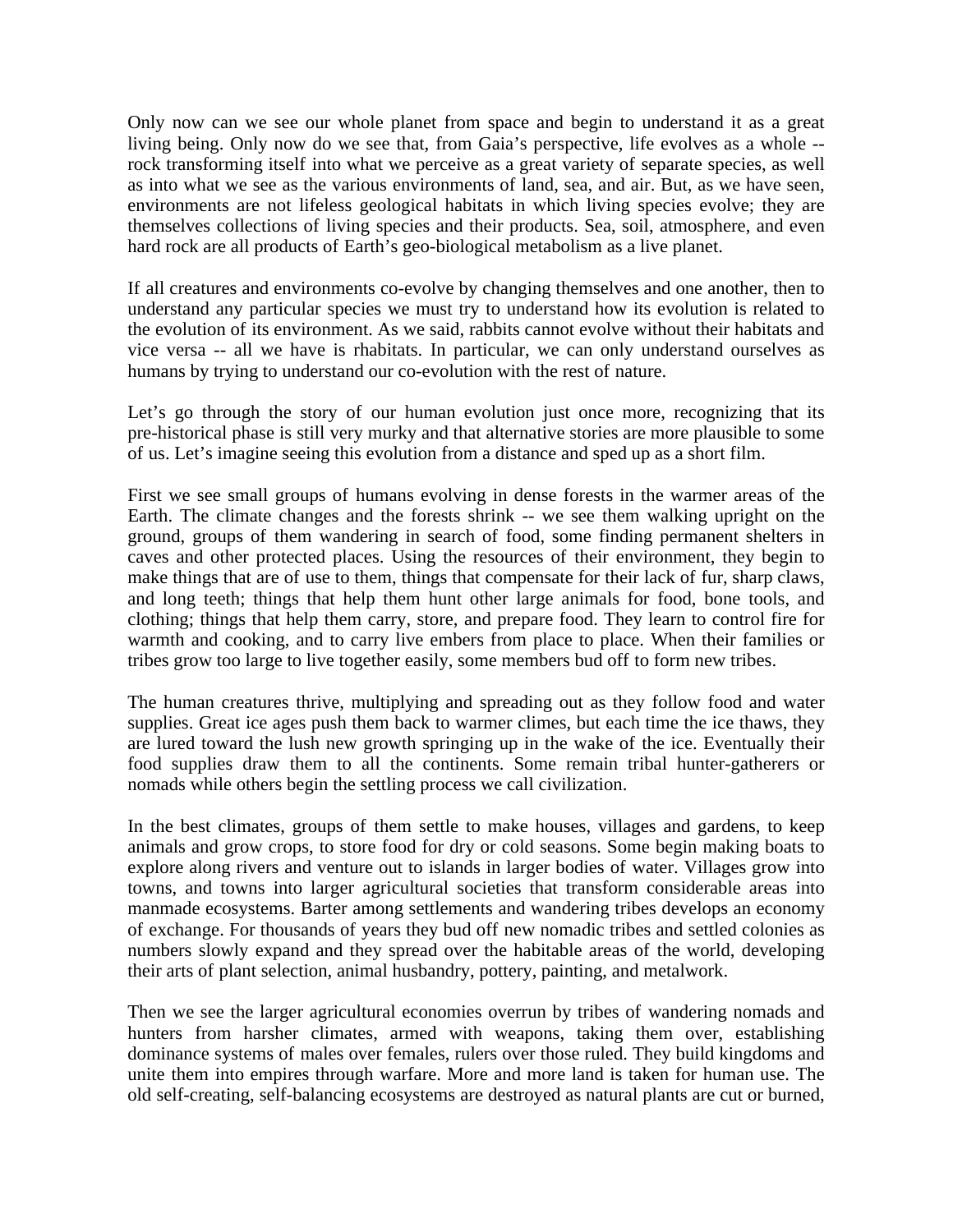Only now can we see our whole planet from space and begin to understand it as a great living being. Only now do we see that, from Gaia's perspective, life evolves as a whole - rock transforming itself into what we perceive as a great variety of separate species, as well as into what we see as the various environments of land, sea, and air. But, as we have seen, environments are not lifeless geological habitats in which living species evolve; they are themselves collections of living species and their products. Sea, soil, atmosphere, and even hard rock are all products of Earth's geo-biological metabolism as a live planet.

If all creatures and environments co-evolve by changing themselves and one another, then to understand any particular species we must try to understand how its evolution is related to the evolution of its environment. As we said, rabbits cannot evolve without their habitats and vice versa -- all we have is rhabitats. In particular, we can only understand ourselves as humans by trying to understand our co-evolution with the rest of nature.

Let's go through the story of our human evolution just once more, recognizing that its pre-historical phase is still very murky and that alternative stories are more plausible to some of us. Let's imagine seeing this evolution from a distance and sped up as a short film.

First we see small groups of humans evolving in dense forests in the warmer areas of the Earth. The climate changes and the forests shrink -- we see them walking upright on the ground, groups of them wandering in search of food, some finding permanent shelters in caves and other protected places. Using the resources of their environment, they begin to make things that are of use to them, things that compensate for their lack of fur, sharp claws, and long teeth; things that help them hunt other large animals for food, bone tools, and clothing; things that help them carry, store, and prepare food. They learn to control fire for warmth and cooking, and to carry live embers from place to place. When their families or tribes grow too large to live together easily, some members bud off to form new tribes.

The human creatures thrive, multiplying and spreading out as they follow food and water supplies. Great ice ages push them back to warmer climes, but each time the ice thaws, they are lured toward the lush new growth springing up in the wake of the ice. Eventually their food supplies draw them to all the continents. Some remain tribal hunter-gatherers or nomads while others begin the settling process we call civilization.

In the best climates, groups of them settle to make houses, villages and gardens, to keep animals and grow crops, to store food for dry or cold seasons. Some begin making boats to explore along rivers and venture out to islands in larger bodies of water. Villages grow into towns, and towns into larger agricultural societies that transform considerable areas into manmade ecosystems. Barter among settlements and wandering tribes develops an economy of exchange. For thousands of years they bud off new nomadic tribes and settled colonies as numbers slowly expand and they spread over the habitable areas of the world, developing their arts of plant selection, animal husbandry, pottery, painting, and metalwork.

Then we see the larger agricultural economies overrun by tribes of wandering nomads and hunters from harsher climates, armed with weapons, taking them over, establishing dominance systems of males over females, rulers over those ruled. They build kingdoms and unite them into empires through warfare. More and more land is taken for human use. The old self-creating, self-balancing ecosystems are destroyed as natural plants are cut or burned,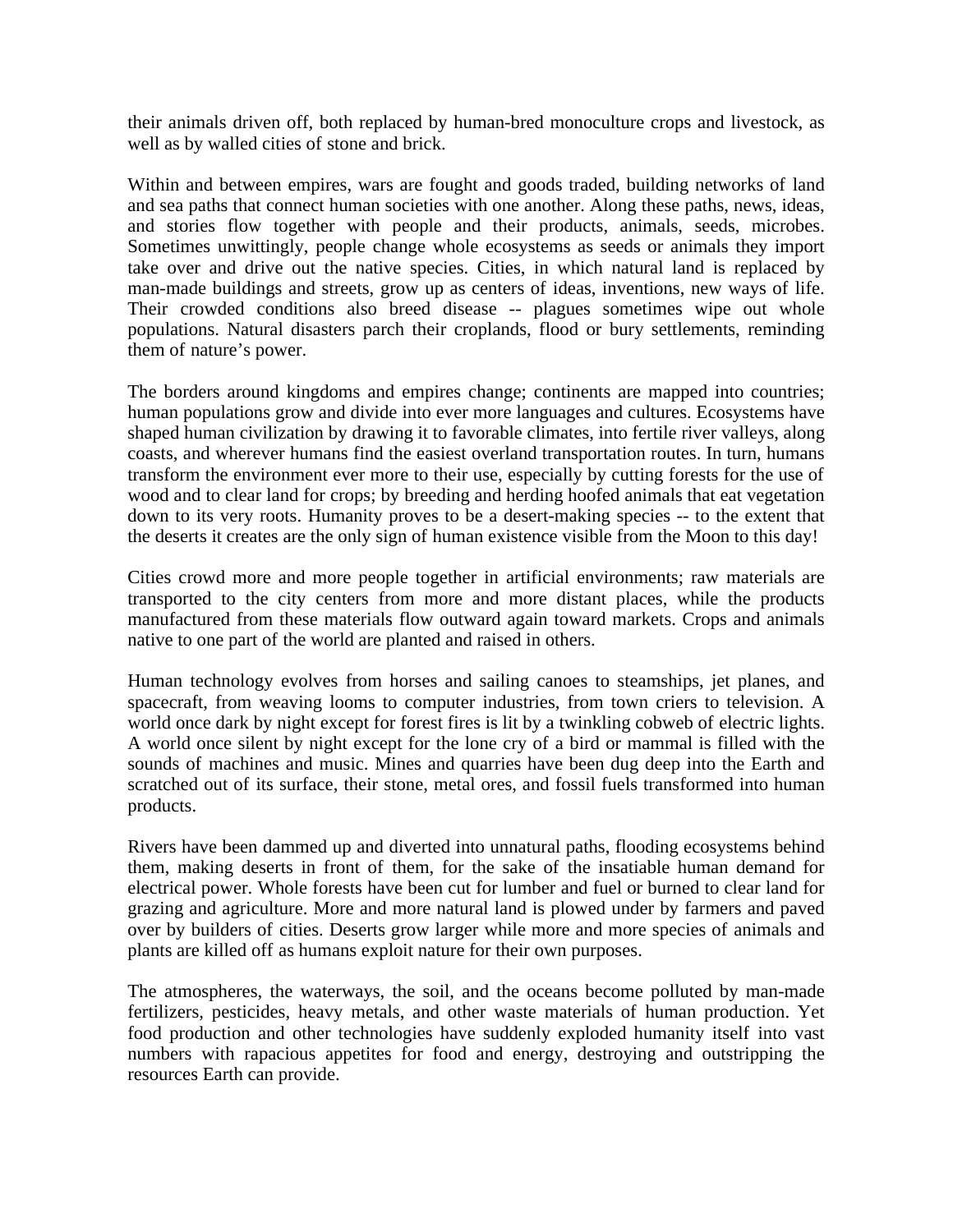their animals driven off, both replaced by human-bred monoculture crops and livestock, as well as by walled cities of stone and brick.

Within and between empires, wars are fought and goods traded, building networks of land and sea paths that connect human societies with one another. Along these paths, news, ideas, and stories flow together with people and their products, animals, seeds, microbes. Sometimes unwittingly, people change whole ecosystems as seeds or animals they import take over and drive out the native species. Cities, in which natural land is replaced by man-made buildings and streets, grow up as centers of ideas, inventions, new ways of life. Their crowded conditions also breed disease -- plagues sometimes wipe out whole populations. Natural disasters parch their croplands, flood or bury settlements, reminding them of nature's power.

The borders around kingdoms and empires change; continents are mapped into countries; human populations grow and divide into ever more languages and cultures. Ecosystems have shaped human civilization by drawing it to favorable climates, into fertile river valleys, along coasts, and wherever humans find the easiest overland transportation routes. In turn, humans transform the environment ever more to their use, especially by cutting forests for the use of wood and to clear land for crops; by breeding and herding hoofed animals that eat vegetation down to its very roots. Humanity proves to be a desert-making species -- to the extent that the deserts it creates are the only sign of human existence visible from the Moon to this day!

Cities crowd more and more people together in artificial environments; raw materials are transported to the city centers from more and more distant places, while the products manufactured from these materials flow outward again toward markets. Crops and animals native to one part of the world are planted and raised in others.

Human technology evolves from horses and sailing canoes to steamships, jet planes, and spacecraft, from weaving looms to computer industries, from town criers to television. A world once dark by night except for forest fires is lit by a twinkling cobweb of electric lights. A world once silent by night except for the lone cry of a bird or mammal is filled with the sounds of machines and music. Mines and quarries have been dug deep into the Earth and scratched out of its surface, their stone, metal ores, and fossil fuels transformed into human products.

Rivers have been dammed up and diverted into unnatural paths, flooding ecosystems behind them, making deserts in front of them, for the sake of the insatiable human demand for electrical power. Whole forests have been cut for lumber and fuel or burned to clear land for grazing and agriculture. More and more natural land is plowed under by farmers and paved over by builders of cities. Deserts grow larger while more and more species of animals and plants are killed off as humans exploit nature for their own purposes.

The atmospheres, the waterways, the soil, and the oceans become polluted by man-made fertilizers, pesticides, heavy metals, and other waste materials of human production. Yet food production and other technologies have suddenly exploded humanity itself into vast numbers with rapacious appetites for food and energy, destroying and outstripping the resources Earth can provide.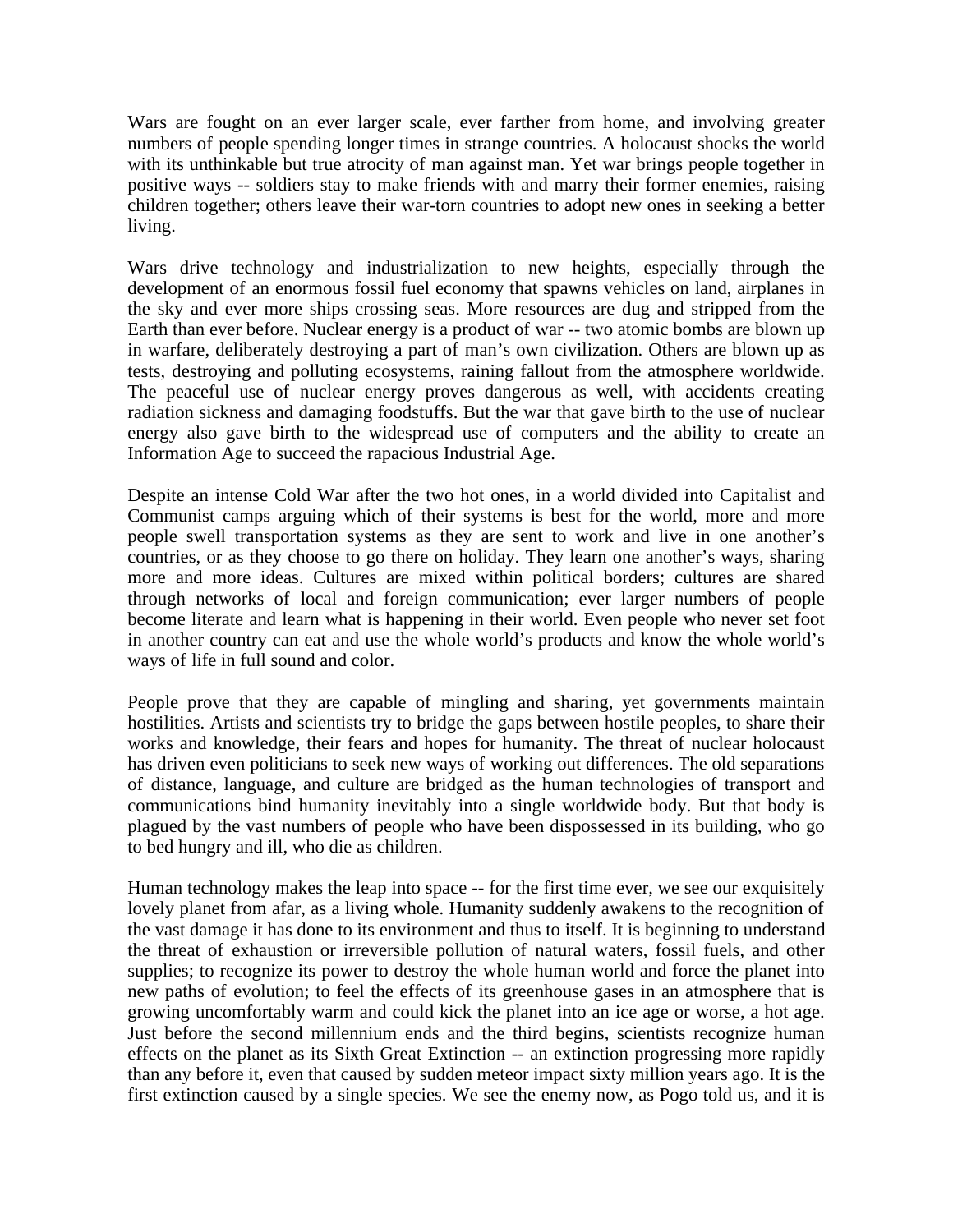Wars are fought on an ever larger scale, ever farther from home, and involving greater numbers of people spending longer times in strange countries. A holocaust shocks the world with its unthinkable but true atrocity of man against man. Yet war brings people together in positive ways -- soldiers stay to make friends with and marry their former enemies, raising children together; others leave their war-torn countries to adopt new ones in seeking a better living.

Wars drive technology and industrialization to new heights, especially through the development of an enormous fossil fuel economy that spawns vehicles on land, airplanes in the sky and ever more ships crossing seas. More resources are dug and stripped from the Earth than ever before. Nuclear energy is a product of war -- two atomic bombs are blown up in warfare, deliberately destroying a part of man's own civilization. Others are blown up as tests, destroying and polluting ecosystems, raining fallout from the atmosphere worldwide. The peaceful use of nuclear energy proves dangerous as well, with accidents creating radiation sickness and damaging foodstuffs. But the war that gave birth to the use of nuclear energy also gave birth to the widespread use of computers and the ability to create an Information Age to succeed the rapacious Industrial Age.

Despite an intense Cold War after the two hot ones, in a world divided into Capitalist and Communist camps arguing which of their systems is best for the world, more and more people swell transportation systems as they are sent to work and live in one another's countries, or as they choose to go there on holiday. They learn one another's ways, sharing more and more ideas. Cultures are mixed within political borders; cultures are shared through networks of local and foreign communication; ever larger numbers of people become literate and learn what is happening in their world. Even people who never set foot in another country can eat and use the whole world's products and know the whole world's ways of life in full sound and color.

People prove that they are capable of mingling and sharing, yet governments maintain hostilities. Artists and scientists try to bridge the gaps between hostile peoples, to share their works and knowledge, their fears and hopes for humanity. The threat of nuclear holocaust has driven even politicians to seek new ways of working out differences. The old separations of distance, language, and culture are bridged as the human technologies of transport and communications bind humanity inevitably into a single worldwide body. But that body is plagued by the vast numbers of people who have been dispossessed in its building, who go to bed hungry and ill, who die as children.

Human technology makes the leap into space -- for the first time ever, we see our exquisitely lovely planet from afar, as a living whole. Humanity suddenly awakens to the recognition of the vast damage it has done to its environment and thus to itself. It is beginning to understand the threat of exhaustion or irreversible pollution of natural waters, fossil fuels, and other supplies; to recognize its power to destroy the whole human world and force the planet into new paths of evolution; to feel the effects of its greenhouse gases in an atmosphere that is growing uncomfortably warm and could kick the planet into an ice age or worse, a hot age. Just before the second millennium ends and the third begins, scientists recognize human effects on the planet as its Sixth Great Extinction -- an extinction progressing more rapidly than any before it, even that caused by sudden meteor impact sixty million years ago. It is the first extinction caused by a single species. We see the enemy now, as Pogo told us, and it is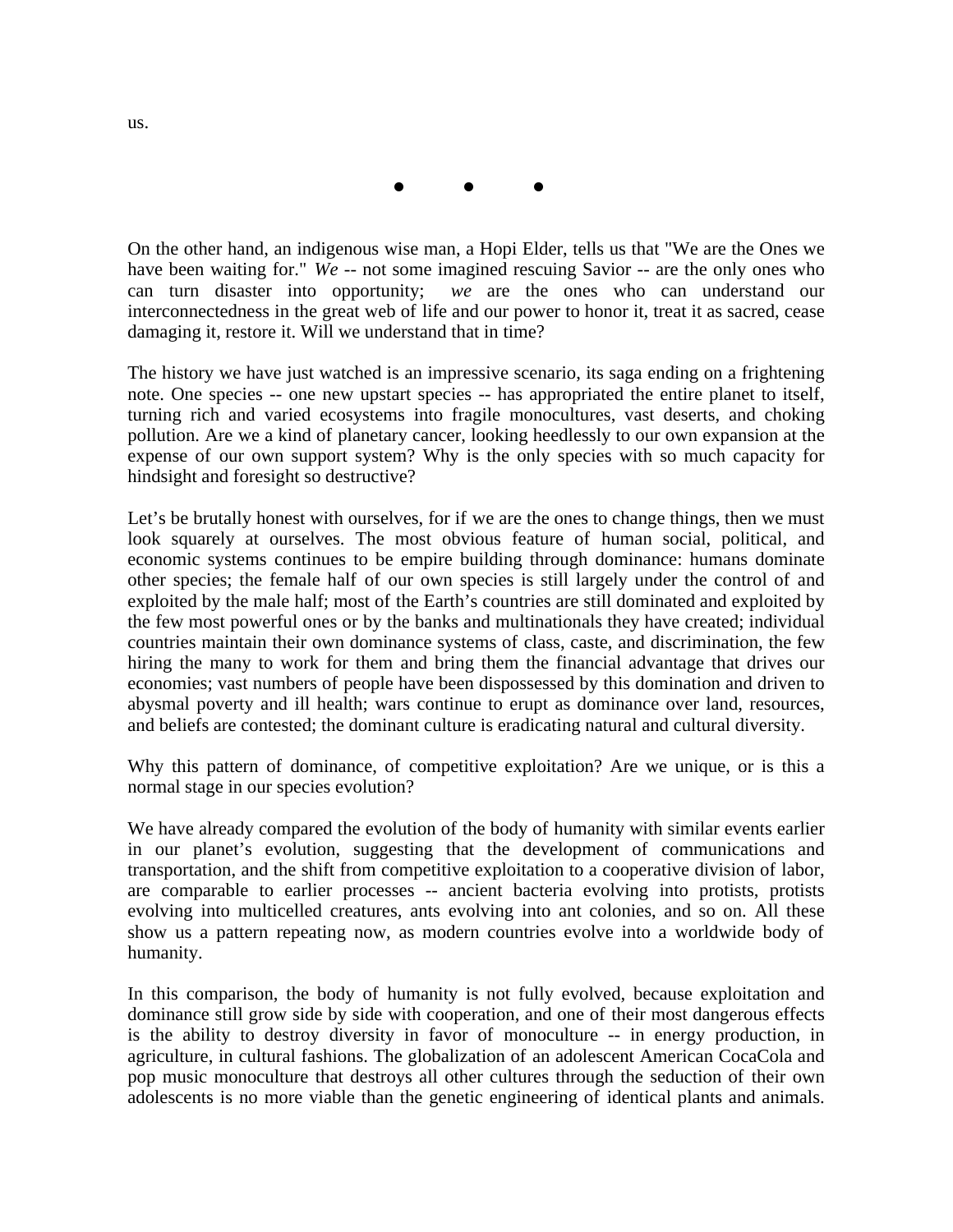

On the other hand, an indigenous wise man, a Hopi Elder, tells us that "We are the Ones we have been waiting for." We -- not some imagined rescuing Savior -- are the only ones who can turn disaster into opportunity; we are the ones who can understand our we are the ones who can understand our interconnectedness in the great web of life and our power to honor it, treat it as sacred, cease damaging it, restore it. Will we understand that in time?

The history we have just watched is an impressive scenario, its saga ending on a frightening note. One species -- one new upstart species -- has appropriated the entire planet to itself, turning rich and varied ecosystems into fragile monocultures, vast deserts, and choking pollution. Are we a kind of planetary cancer, looking heedlessly to our own expansion at the expense of our own support system? Why is the only species with so much capacity for hindsight and foresight so destructive?

Let's be brutally honest with ourselves, for if we are the ones to change things, then we must look squarely at ourselves. The most obvious feature of human social, political, and economic systems continues to be empire building through dominance: humans dominate other species; the female half of our own species is still largely under the control of and exploited by the male half; most of the Earth's countries are still dominated and exploited by the few most powerful ones or by the banks and multinationals they have created; individual countries maintain their own dominance systems of class, caste, and discrimination, the few hiring the many to work for them and bring them the financial advantage that drives our economies; vast numbers of people have been dispossessed by this domination and driven to abysmal poverty and ill health; wars continue to erupt as dominance over land, resources, and beliefs are contested; the dominant culture is eradicating natural and cultural diversity.

Why this pattern of dominance, of competitive exploitation? Are we unique, or is this a normal stage in our species evolution?

We have already compared the evolution of the body of humanity with similar events earlier in our planet's evolution, suggesting that the development of communications and transportation, and the shift from competitive exploitation to a cooperative division of labor, are comparable to earlier processes -- ancient bacteria evolving into protists, protists evolving into multicelled creatures, ants evolving into ant colonies, and so on. All these show us a pattern repeating now, as modern countries evolve into a worldwide body of humanity.

In this comparison, the body of humanity is not fully evolved, because exploitation and dominance still grow side by side with cooperation, and one of their most dangerous effects is the ability to destroy diversity in favor of monoculture -- in energy production, in agriculture, in cultural fashions. The globalization of an adolescent American CocaCola and pop music monoculture that destroys all other cultures through the seduction of their own adolescents is no more viable than the genetic engineering of identical plants and animals.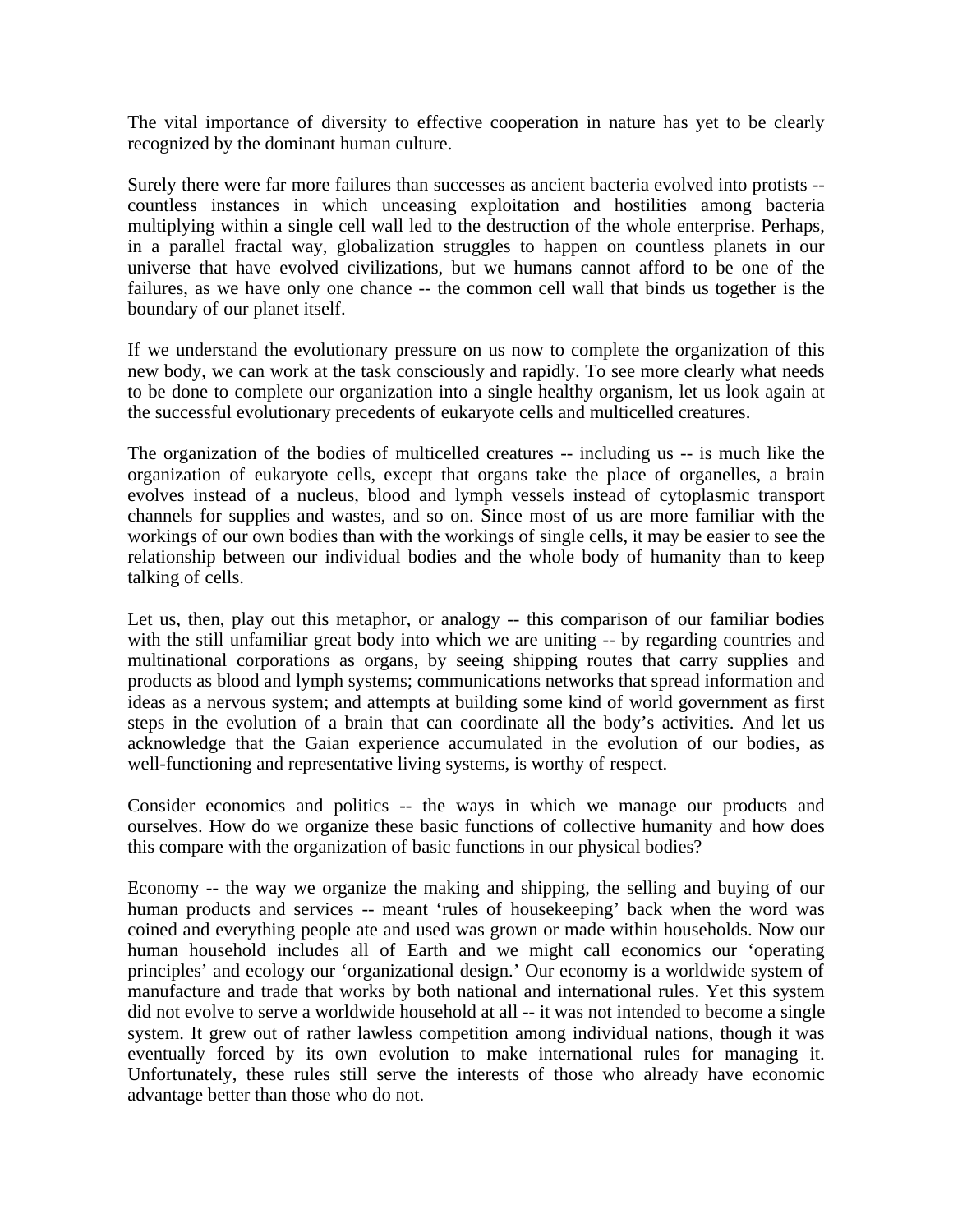The vital importance of diversity to effective cooperation in nature has yet to be clearly recognized by the dominant human culture.

Surely there were far more failures than successes as ancient bacteria evolved into protists - countless instances in which unceasing exploitation and hostilities among bacteria multiplying within a single cell wall led to the destruction of the whole enterprise. Perhaps, in a parallel fractal way, globalization struggles to happen on countless planets in our universe that have evolved civilizations, but we humans cannot afford to be one of the failures, as we have only one chance -- the common cell wall that binds us together is the boundary of our planet itself.

If we understand the evolutionary pressure on us now to complete the organization of this new body, we can work at the task consciously and rapidly. To see more clearly what needs to be done to complete our organization into a single healthy organism, let us look again at the successful evolutionary precedents of eukaryote cells and multicelled creatures.

The organization of the bodies of multicelled creatures -- including us -- is much like the organization of eukaryote cells, except that organs take the place of organelles, a brain evolves instead of a nucleus, blood and lymph vessels instead of cytoplasmic transport channels for supplies and wastes, and so on. Since most of us are more familiar with the workings of our own bodies than with the workings of single cells, it may be easier to see the relationship between our individual bodies and the whole body of humanity than to keep talking of cells.

Let us, then, play out this metaphor, or analogy -- this comparison of our familiar bodies with the still unfamiliar great body into which we are uniting -- by regarding countries and multinational corporations as organs, by seeing shipping routes that carry supplies and products as blood and lymph systems; communications networks that spread information and ideas as a nervous system; and attempts at building some kind of world government as first steps in the evolution of a brain that can coordinate all the body's activities. And let us acknowledge that the Gaian experience accumulated in the evolution of our bodies, as well-functioning and representative living systems, is worthy of respect.

Consider economics and politics -- the ways in which we manage our products and ourselves. How do we organize these basic functions of collective humanity and how does this compare with the organization of basic functions in our physical bodies?

Economy -- the way we organize the making and shipping, the selling and buying of our human products and services -- meant 'rules of housekeeping' back when the word was coined and everything people ate and used was grown or made within households. Now our human household includes all of Earth and we might call economics our 'operating principles' and ecology our 'organizational design.' Our economy is a worldwide system of manufacture and trade that works by both national and international rules. Yet this system did not evolve to serve a worldwide household at all -- it was not intended to become a single system. It grew out of rather lawless competition among individual nations, though it was eventually forced by its own evolution to make international rules for managing it. Unfortunately, these rules still serve the interests of those who already have economic advantage better than those who do not.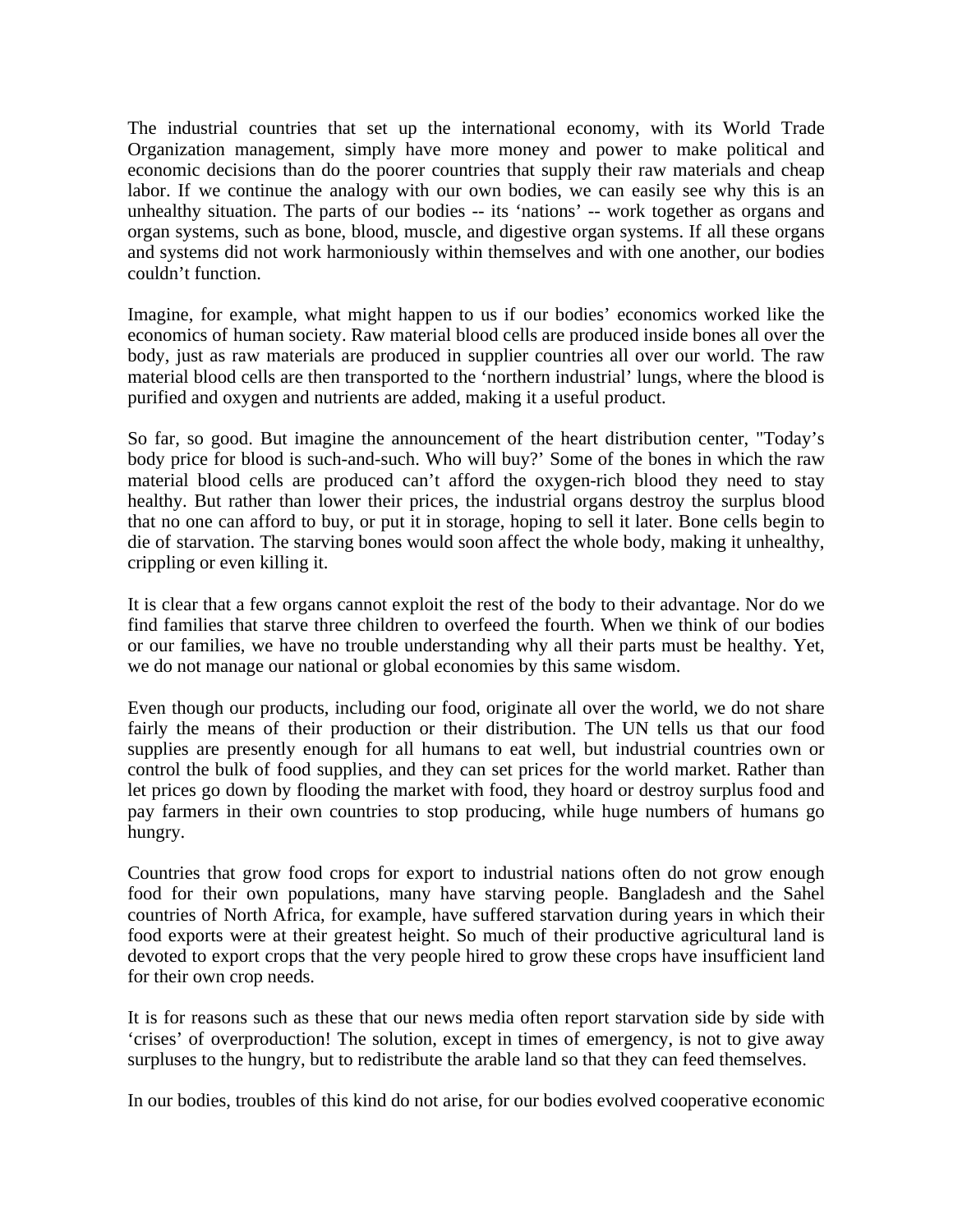The industrial countries that set up the international economy, with its World Trade Organization management, simply have more money and power to make political and economic decisions than do the poorer countries that supply their raw materials and cheap labor. If we continue the analogy with our own bodies, we can easily see why this is an unhealthy situation. The parts of our bodies -- its 'nations' -- work together as organs and organ systems, such as bone, blood, muscle, and digestive organ systems. If all these organs and systems did not work harmoniously within themselves and with one another, our bodies couldn't function.

Imagine, for example, what might happen to us if our bodies' economics worked like the economics of human society. Raw material blood cells are produced inside bones all over the body, just as raw materials are produced in supplier countries all over our world. The raw material blood cells are then transported to the 'northern industrial' lungs, where the blood is purified and oxygen and nutrients are added, making it a useful product.

So far, so good. But imagine the announcement of the heart distribution center, "Today's body price for blood is such-and-such. Who will buy?' Some of the bones in which the raw material blood cells are produced can't afford the oxygen-rich blood they need to stay healthy. But rather than lower their prices, the industrial organs destroy the surplus blood that no one can afford to buy, or put it in storage, hoping to sell it later. Bone cells begin to die of starvation. The starving bones would soon affect the whole body, making it unhealthy, crippling or even killing it.

It is clear that a few organs cannot exploit the rest of the body to their advantage. Nor do we find families that starve three children to overfeed the fourth. When we think of our bodies or our families, we have no trouble understanding why all their parts must be healthy. Yet, we do not manage our national or global economies by this same wisdom.

Even though our products, including our food, originate all over the world, we do not share fairly the means of their production or their distribution. The UN tells us that our food supplies are presently enough for all humans to eat well, but industrial countries own or control the bulk of food supplies, and they can set prices for the world market. Rather than let prices go down by flooding the market with food, they hoard or destroy surplus food and pay farmers in their own countries to stop producing, while huge numbers of humans go hungry.

Countries that grow food crops for export to industrial nations often do not grow enough food for their own populations, many have starving people. Bangladesh and the Sahel countries of North Africa, for example, have suffered starvation during years in which their food exports were at their greatest height. So much of their productive agricultural land is devoted to export crops that the very people hired to grow these crops have insufficient land for their own crop needs.

It is for reasons such as these that our news media often report starvation side by side with 'crises' of overproduction! The solution, except in times of emergency, is not to give away surpluses to the hungry, but to redistribute the arable land so that they can feed themselves.

In our bodies, troubles of this kind do not arise, for our bodies evolved cooperative economic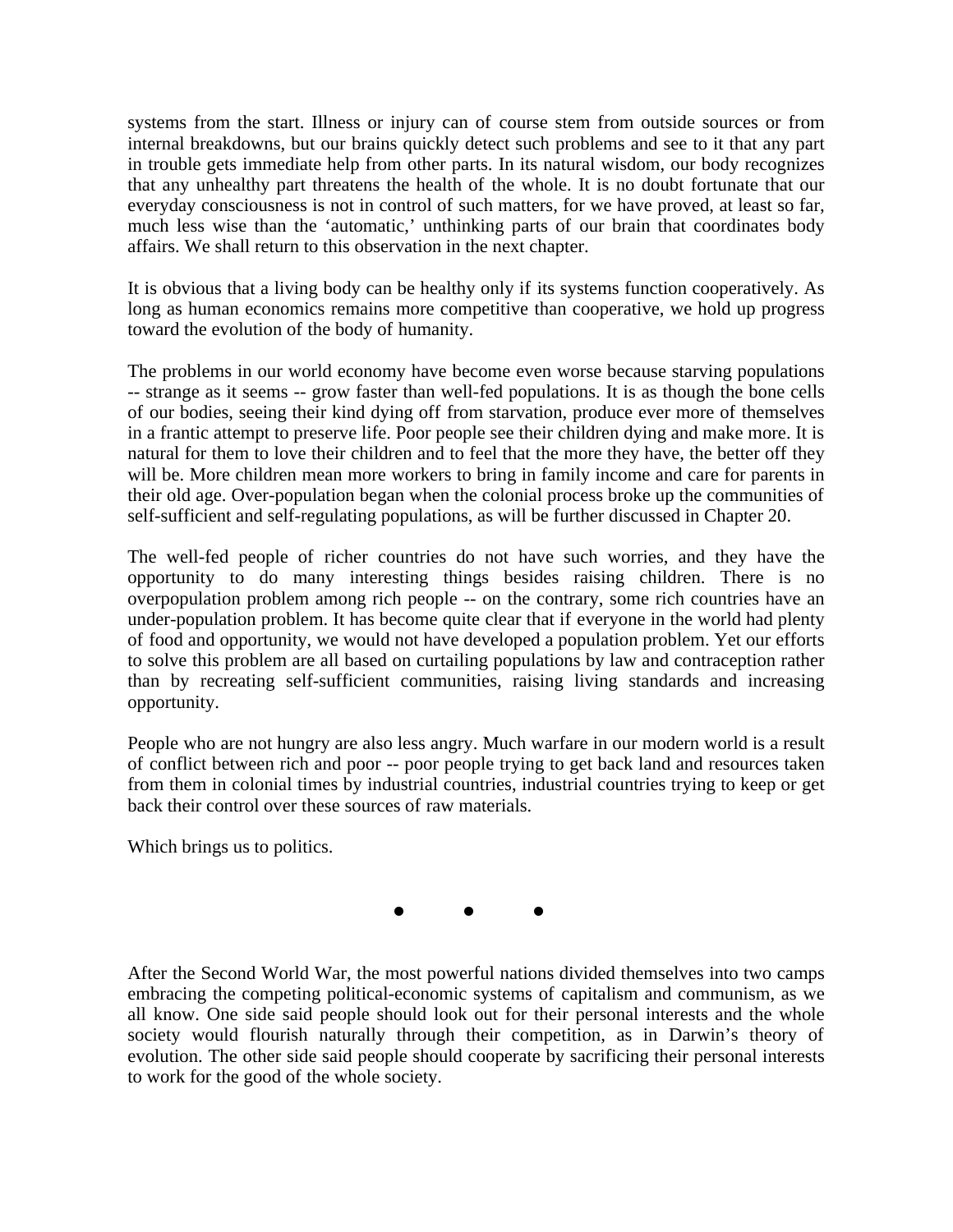systems from the start. Illness or injury can of course stem from outside sources or from internal breakdowns, but our brains quickly detect such problems and see to it that any part in trouble gets immediate help from other parts. In its natural wisdom, our body recognizes that any unhealthy part threatens the health of the whole. It is no doubt fortunate that our everyday consciousness is not in control of such matters, for we have proved, at least so far, much less wise than the 'automatic,' unthinking parts of our brain that coordinates body affairs. We shall return to this observation in the next chapter.

It is obvious that a living body can be healthy only if its systems function cooperatively. As long as human economics remains more competitive than cooperative, we hold up progress toward the evolution of the body of humanity.

The problems in our world economy have become even worse because starving populations -- strange as it seems -- grow faster than well-fed populations. It is as though the bone cells of our bodies, seeing their kind dying off from starvation, produce ever more of themselves in a frantic attempt to preserve life. Poor people see their children dying and make more. It is natural for them to love their children and to feel that the more they have, the better off they will be. More children mean more workers to bring in family income and care for parents in their old age. Over-population began when the colonial process broke up the communities of self-sufficient and self-regulating populations, as will be further discussed in Chapter 20.

The well-fed people of richer countries do not have such worries, and they have the opportunity to do many interesting things besides raising children. There is no overpopulation problem among rich people -- on the contrary, some rich countries have an under-population problem. It has become quite clear that if everyone in the world had plenty of food and opportunity, we would not have developed a population problem. Yet our efforts to solve this problem are all based on curtailing populations by law and contraception rather than by recreating self-sufficient communities, raising living standards and increasing opportunity.

People who are not hungry are also less angry. Much warfare in our modern world is a result of conflict between rich and poor -- poor people trying to get back land and resources taken from them in colonial times by industrial countries, industrial countries trying to keep or get back their control over these sources of raw materials.

Which brings us to politics.



After the Second World War, the most powerful nations divided themselves into two camps embracing the competing political-economic systems of capitalism and communism, as we all know. One side said people should look out for their personal interests and the whole society would flourish naturally through their competition, as in Darwin's theory of evolution. The other side said people should cooperate by sacrificing their personal interests to work for the good of the whole society.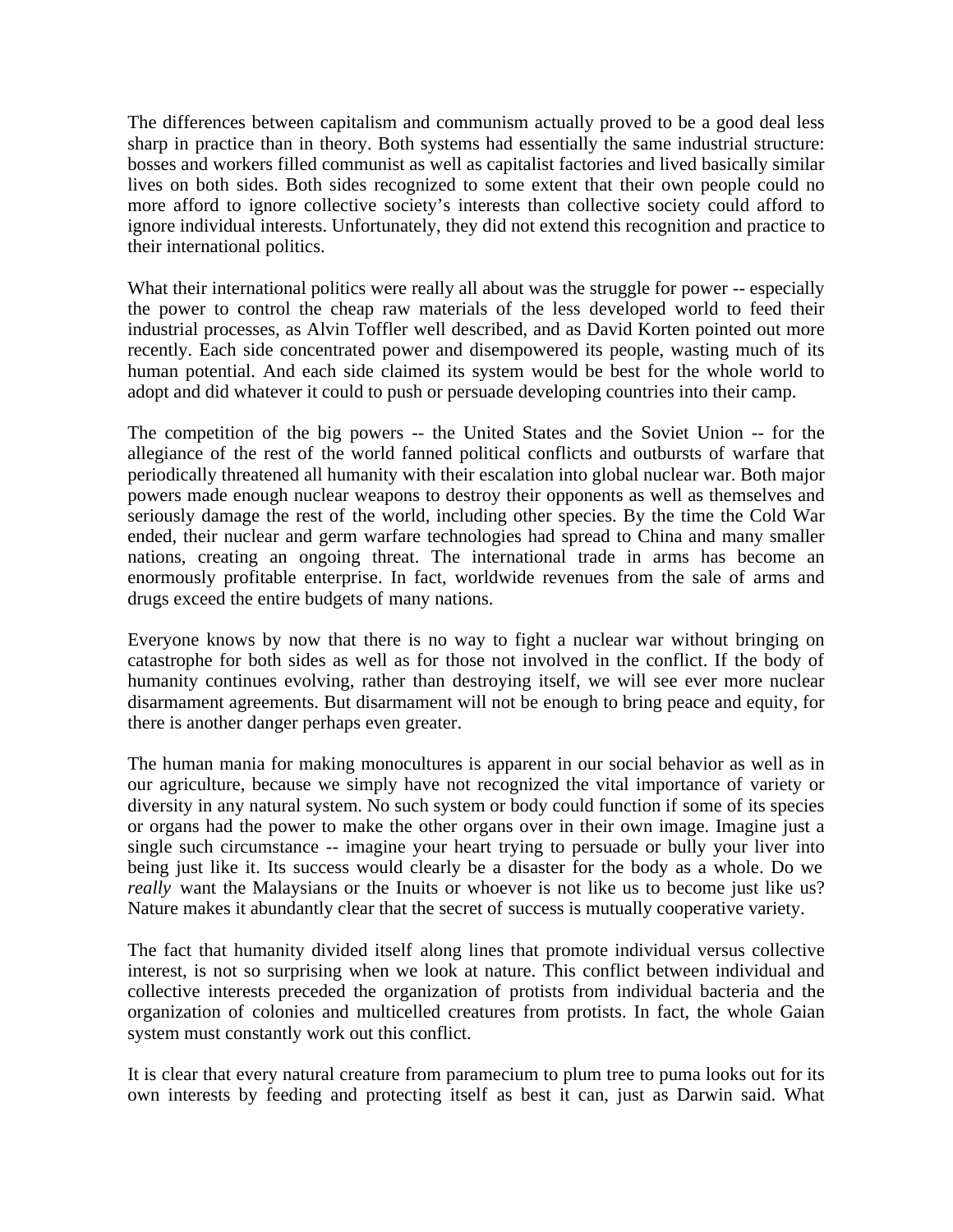The differences between capitalism and communism actually proved to be a good deal less sharp in practice than in theory. Both systems had essentially the same industrial structure: bosses and workers filled communist as well as capitalist factories and lived basically similar lives on both sides. Both sides recognized to some extent that their own people could no more afford to ignore collective society's interests than collective society could afford to ignore individual interests. Unfortunately, they did not extend this recognition and practice to their international politics.

What their international politics were really all about was the struggle for power -- especially the power to control the cheap raw materials of the less developed world to feed their industrial processes, as Alvin Toffler well described, and as David Korten pointed out more recently. Each side concentrated power and disempowered its people, wasting much of its human potential. And each side claimed its system would be best for the whole world to adopt and did whatever it could to push or persuade developing countries into their camp.

The competition of the big powers -- the United States and the Soviet Union -- for the allegiance of the rest of the world fanned political conflicts and outbursts of warfare that periodically threatened all humanity with their escalation into global nuclear war. Both major powers made enough nuclear weapons to destroy their opponents as well as themselves and seriously damage the rest of the world, including other species. By the time the Cold War ended, their nuclear and germ warfare technologies had spread to China and many smaller nations, creating an ongoing threat. The international trade in arms has become an enormously profitable enterprise. In fact, worldwide revenues from the sale of arms and drugs exceed the entire budgets of many nations.

Everyone knows by now that there is no way to fight a nuclear war without bringing on catastrophe for both sides as well as for those not involved in the conflict. If the body of humanity continues evolving, rather than destroying itself, we will see ever more nuclear disarmament agreements. But disarmament will not be enough to bring peace and equity, for there is another danger perhaps even greater.

The human mania for making monocultures is apparent in our social behavior as well as in our agriculture, because we simply have not recognized the vital importance of variety or diversity in any natural system. No such system or body could function if some of its species or organs had the power to make the other organs over in their own image. Imagine just a single such circumstance -- imagine your heart trying to persuade or bully your liver into being just like it. Its success would clearly be a disaster for the body as a whole. Do we *really* want the Malaysians or the Inuits or whoever is not like us to become just like us? Nature makes it abundantly clear that the secret of success is mutually cooperative variety.

The fact that humanity divided itself along lines that promote individual versus collective interest, is not so surprising when we look at nature. This conflict between individual and collective interests preceded the organization of protists from individual bacteria and the organization of colonies and multicelled creatures from protists. In fact, the whole Gaian system must constantly work out this conflict.

It is clear that every natural creature from paramecium to plum tree to puma looks out for its own interests by feeding and protecting itself as best it can, just as Darwin said. What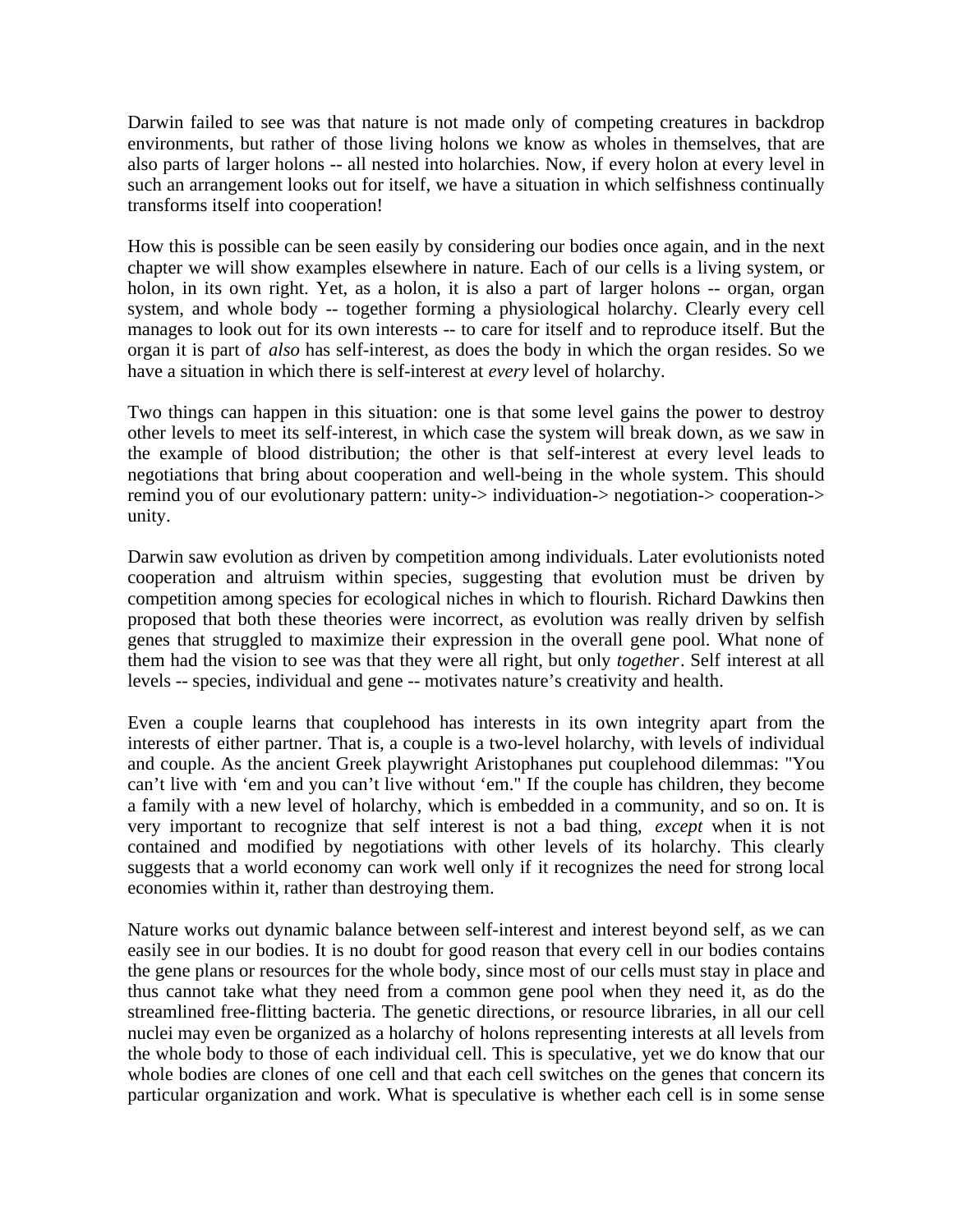Darwin failed to see was that nature is not made only of competing creatures in backdrop environments, but rather of those living holons we know as wholes in themselves, that are also parts of larger holons -- all nested into holarchies. Now, if every holon at every level in such an arrangement looks out for itself, we have a situation in which selfishness continually transforms itself into cooperation!

How this is possible can be seen easily by considering our bodies once again, and in the next chapter we will show examples elsewhere in nature. Each of our cells is a living system, or holon, in its own right. Yet, as a holon, it is also a part of larger holons -- organ, organ system, and whole body -- together forming a physiological holarchy. Clearly every cell manages to look out for its own interests -- to care for itself and to reproduce itself. But the organ it is part of *also* has self-interest, as does the body in which the organ resides. So we have a situation in which there is self-interest at *every* level of holarchy.

Two things can happen in this situation: one is that some level gains the power to destroy other levels to meet its self-interest, in which case the system will break down, as we saw in the example of blood distribution; the other is that self-interest at every level leads to negotiations that bring about cooperation and well-being in the whole system. This should remind you of our evolutionary pattern: unity-> individuation-> negotiation-> cooperation-> unity.

Darwin saw evolution as driven by competition among individuals. Later evolutionists noted cooperation and altruism within species, suggesting that evolution must be driven by competition among species for ecological niches in which to flourish. Richard Dawkins then proposed that both these theories were incorrect, as evolution was really driven by selfish genes that struggled to maximize their expression in the overall gene pool. What none of them had the vision to see was that they were all right, but only *together*. Self interest at all levels -- species, individual and gene -- motivates nature's creativity and health.

Even a couple learns that couplehood has interests in its own integrity apart from the interests of either partner. That is, a couple is a two-level holarchy, with levels of individual and couple. As the ancient Greek playwright Aristophanes put couplehood dilemmas: "You can't live with 'em and you can't live without 'em." If the couple has children, they become a family with a new level of holarchy, which is embedded in a community, and so on. It is very important to recognize that self interest is not a bad thing, *except* when it is not contained and modified by negotiations with other levels of its holarchy. This clearly suggests that a world economy can work well only if it recognizes the need for strong local economies within it, rather than destroying them.

Nature works out dynamic balance between self-interest and interest beyond self, as we can easily see in our bodies. It is no doubt for good reason that every cell in our bodies contains the gene plans or resources for the whole body, since most of our cells must stay in place and thus cannot take what they need from a common gene pool when they need it, as do the streamlined free-flitting bacteria. The genetic directions, or resource libraries, in all our cell nuclei may even be organized as a holarchy of holons representing interests at all levels from the whole body to those of each individual cell. This is speculative, yet we do know that our whole bodies are clones of one cell and that each cell switches on the genes that concern its particular organization and work. What is speculative is whether each cell is in some sense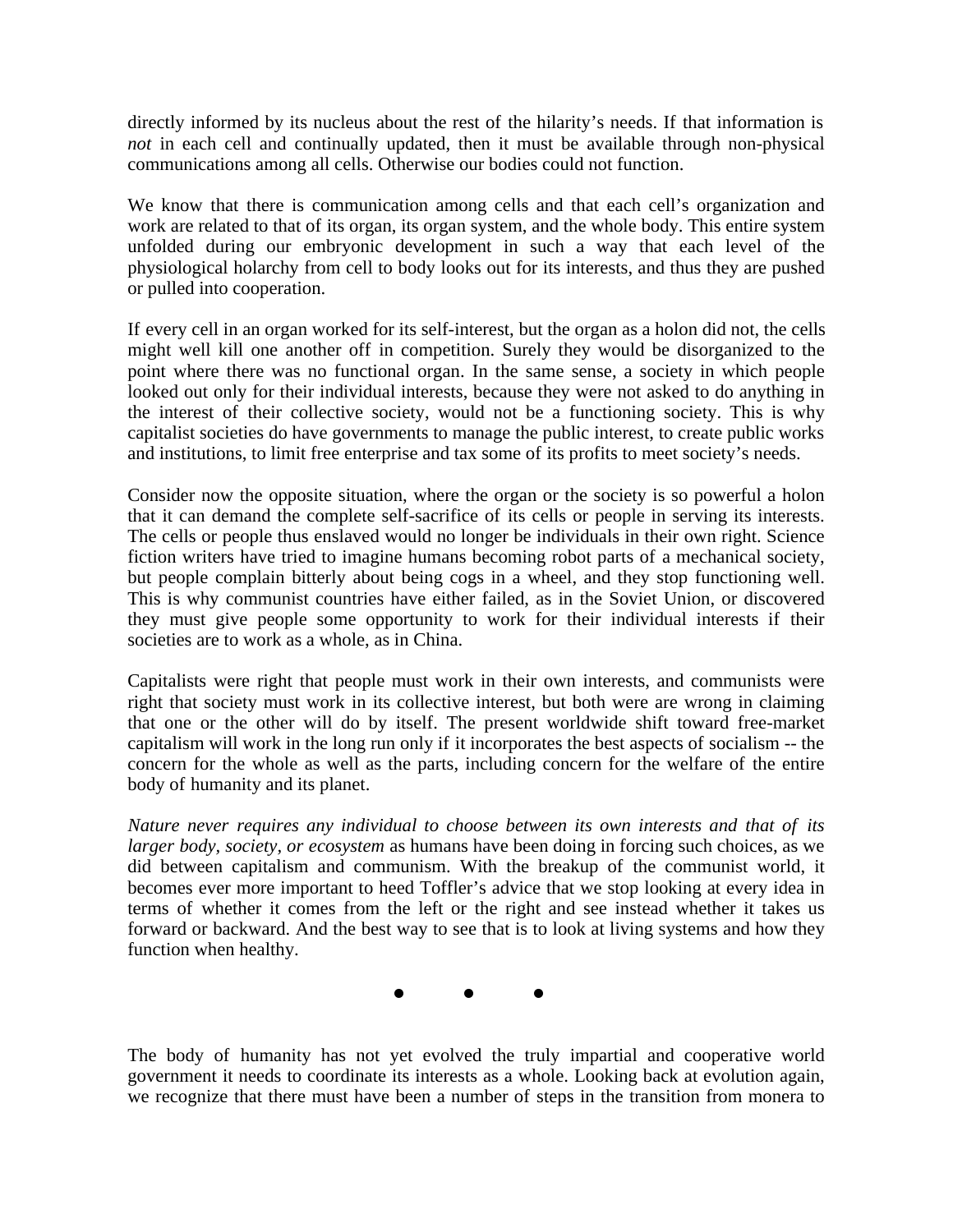directly informed by its nucleus about the rest of the hilarity's needs. If that information is *not* in each cell and continually updated, then it must be available through non-physical communications among all cells. Otherwise our bodies could not function.

We know that there is communication among cells and that each cell's organization and work are related to that of its organ, its organ system, and the whole body. This entire system unfolded during our embryonic development in such a way that each level of the physiological holarchy from cell to body looks out for its interests, and thus they are pushed or pulled into cooperation.

If every cell in an organ worked for its self-interest, but the organ as a holon did not, the cells might well kill one another off in competition. Surely they would be disorganized to the point where there was no functional organ. In the same sense, a society in which people looked out only for their individual interests, because they were not asked to do anything in the interest of their collective society, would not be a functioning society. This is why capitalist societies do have governments to manage the public interest, to create public works and institutions, to limit free enterprise and tax some of its profits to meet society's needs.

Consider now the opposite situation, where the organ or the society is so powerful a holon that it can demand the complete self-sacrifice of its cells or people in serving its interests. The cells or people thus enslaved would no longer be individuals in their own right. Science fiction writers have tried to imagine humans becoming robot parts of a mechanical society, but people complain bitterly about being cogs in a wheel, and they stop functioning well. This is why communist countries have either failed, as in the Soviet Union, or discovered they must give people some opportunity to work for their individual interests if their societies are to work as a whole, as in China.

Capitalists were right that people must work in their own interests, and communists were right that society must work in its collective interest, but both were are wrong in claiming that one or the other will do by itself. The present worldwide shift toward free-market capitalism will work in the long run only if it incorporates the best aspects of socialism -- the concern for the whole as well as the parts, including concern for the welfare of the entire body of humanity and its planet.

*Nature never requires any individual to choose between its own interests and that of its larger body, society, or ecosystem* as humans have been doing in forcing such choices, as we did between capitalism and communism. With the breakup of the communist world, it becomes ever more important to heed Toffler's advice that we stop looking at every idea in terms of whether it comes from the left or the right and see instead whether it takes us forward or backward. And the best way to see that is to look at living systems and how they function when healthy.

**· · ·** 

The body of humanity has not yet evolved the truly impartial and cooperative world government it needs to coordinate its interests as a whole. Looking back at evolution again, we recognize that there must have been a number of steps in the transition from monera to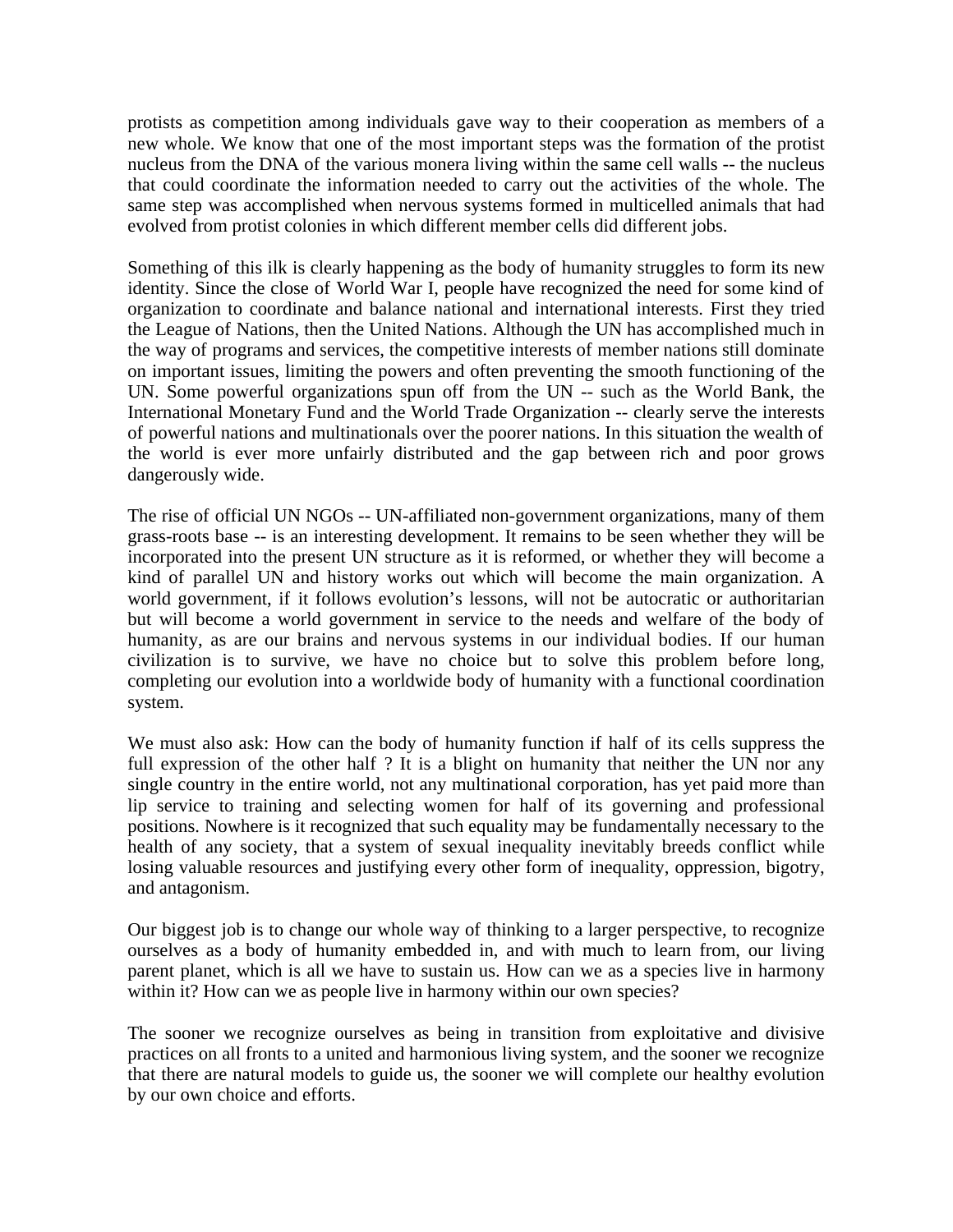protists as competition among individuals gave way to their cooperation as members of a new whole. We know that one of the most important steps was the formation of the protist nucleus from the DNA of the various monera living within the same cell walls -- the nucleus that could coordinate the information needed to carry out the activities of the whole. The same step was accomplished when nervous systems formed in multicelled animals that had evolved from protist colonies in which different member cells did different jobs.

Something of this ilk is clearly happening as the body of humanity struggles to form its new identity. Since the close of World War I, people have recognized the need for some kind of organization to coordinate and balance national and international interests. First they tried the League of Nations, then the United Nations. Although the UN has accomplished much in the way of programs and services, the competitive interests of member nations still dominate on important issues, limiting the powers and often preventing the smooth functioning of the UN. Some powerful organizations spun off from the UN -- such as the World Bank, the International Monetary Fund and the World Trade Organization -- clearly serve the interests of powerful nations and multinationals over the poorer nations. In this situation the wealth of the world is ever more unfairly distributed and the gap between rich and poor grows dangerously wide.

The rise of official UN NGOs -- UN-affiliated non-government organizations, many of them grass-roots base -- is an interesting development. It remains to be seen whether they will be incorporated into the present UN structure as it is reformed, or whether they will become a kind of parallel UN and history works out which will become the main organization. A world government, if it follows evolution's lessons, will not be autocratic or authoritarian but will become a world government in service to the needs and welfare of the body of humanity, as are our brains and nervous systems in our individual bodies. If our human civilization is to survive, we have no choice but to solve this problem before long, completing our evolution into a worldwide body of humanity with a functional coordination system.

We must also ask: How can the body of humanity function if half of its cells suppress the full expression of the other half ? It is a blight on humanity that neither the UN nor any single country in the entire world, not any multinational corporation, has yet paid more than lip service to training and selecting women for half of its governing and professional positions. Nowhere is it recognized that such equality may be fundamentally necessary to the health of any society, that a system of sexual inequality inevitably breeds conflict while losing valuable resources and justifying every other form of inequality, oppression, bigotry, and antagonism.

Our biggest job is to change our whole way of thinking to a larger perspective, to recognize ourselves as a body of humanity embedded in, and with much to learn from, our living parent planet, which is all we have to sustain us. How can we as a species live in harmony within it? How can we as people live in harmony within our own species?

The sooner we recognize ourselves as being in transition from exploitative and divisive practices on all fronts to a united and harmonious living system, and the sooner we recognize that there are natural models to guide us, the sooner we will complete our healthy evolution by our own choice and efforts.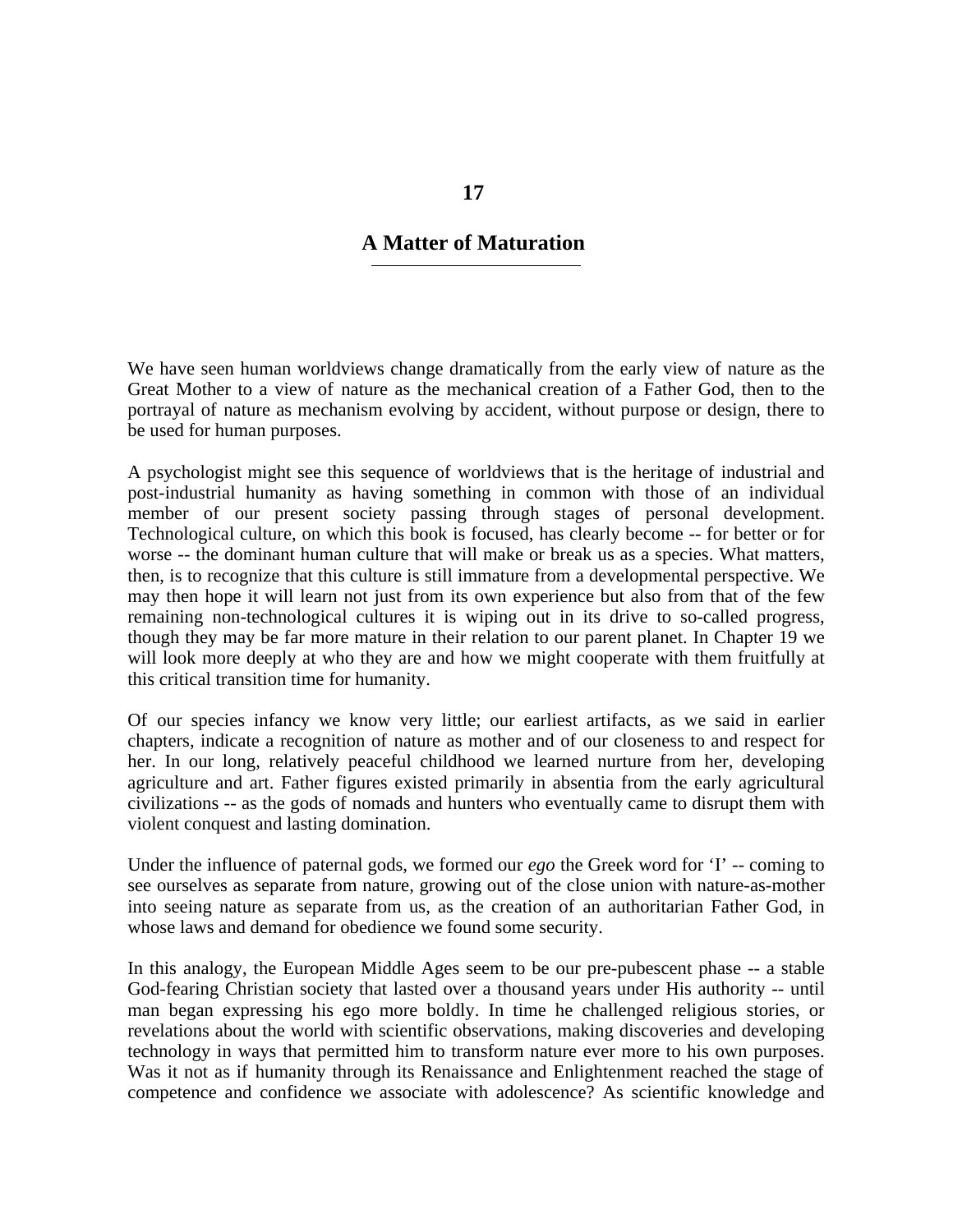## **A Matter of Maturation**

We have seen human worldviews change dramatically from the early view of nature as the Great Mother to a view of nature as the mechanical creation of a Father God, then to the portrayal of nature as mechanism evolving by accident, without purpose or design, there to be used for human purposes.

A psychologist might see this sequence of worldviews that is the heritage of industrial and post-industrial humanity as having something in common with those of an individual member of our present society passing through stages of personal development. Technological culture, on which this book is focused, has clearly become -- for better or for worse -- the dominant human culture that will make or break us as a species. What matters, then, is to recognize that this culture is still immature from a developmental perspective. We may then hope it will learn not just from its own experience but also from that of the few remaining non-technological cultures it is wiping out in its drive to so-called progress, though they may be far more mature in their relation to our parent planet. In Chapter 19 we will look more deeply at who they are and how we might cooperate with them fruitfully at this critical transition time for humanity.

Of our species infancy we know very little; our earliest artifacts, as we said in earlier chapters, indicate a recognition of nature as mother and of our closeness to and respect for her. In our long, relatively peaceful childhood we learned nurture from her, developing agriculture and art. Father figures existed primarily in absentia from the early agricultural civilizations -- as the gods of nomads and hunters who eventually came to disrupt them with violent conquest and lasting domination.

Under the influence of paternal gods, we formed our *ego* the Greek word for 'I' -- coming to see ourselves as separate from nature, growing out of the close union with nature-as-mother into seeing nature as separate from us, as the creation of an authoritarian Father God, in whose laws and demand for obedience we found some security.

In this analogy, the European Middle Ages seem to be our pre-pubescent phase -- a stable God-fearing Christian society that lasted over a thousand years under His authority -- until man began expressing his ego more boldly. In time he challenged religious stories, or revelations about the world with scientific observations, making discoveries and developing technology in ways that permitted him to transform nature ever more to his own purposes. Was it not as if humanity through its Renaissance and Enlightenment reached the stage of competence and confidence we associate with adolescence? As scientific knowledge and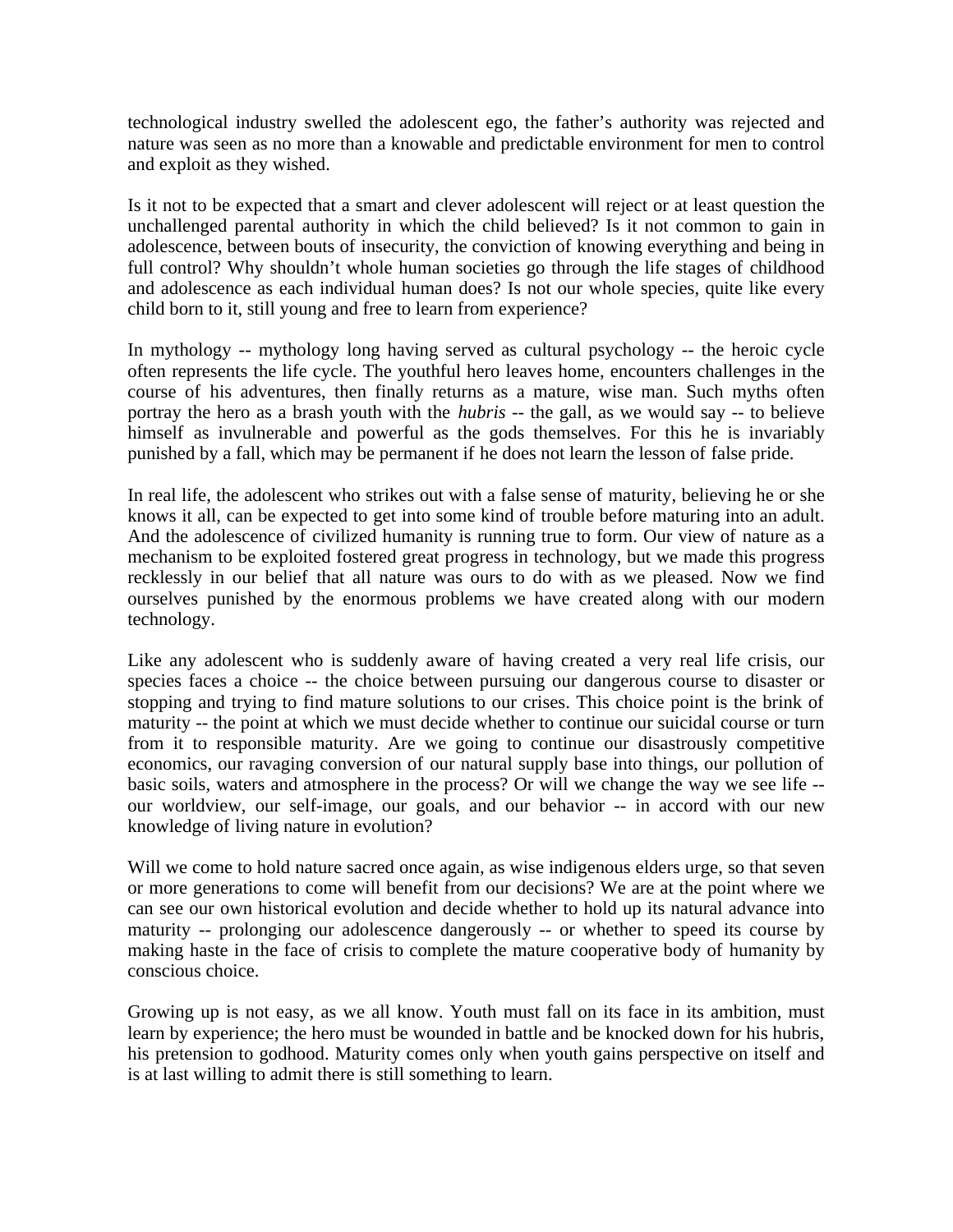technological industry swelled the adolescent ego, the father's authority was rejected and nature was seen as no more than a knowable and predictable environment for men to control and exploit as they wished.

Is it not to be expected that a smart and clever adolescent will reject or at least question the unchallenged parental authority in which the child believed? Is it not common to gain in adolescence, between bouts of insecurity, the conviction of knowing everything and being in full control? Why shouldn't whole human societies go through the life stages of childhood and adolescence as each individual human does? Is not our whole species, quite like every child born to it, still young and free to learn from experience?

In mythology -- mythology long having served as cultural psychology -- the heroic cycle often represents the life cycle. The youthful hero leaves home, encounters challenges in the course of his adventures, then finally returns as a mature, wise man. Such myths often portray the hero as a brash youth with the *hubris* -- the gall, as we would say -- to believe himself as invulnerable and powerful as the gods themselves. For this he is invariably punished by a fall, which may be permanent if he does not learn the lesson of false pride.

In real life, the adolescent who strikes out with a false sense of maturity, believing he or she knows it all, can be expected to get into some kind of trouble before maturing into an adult. And the adolescence of civilized humanity is running true to form. Our view of nature as a mechanism to be exploited fostered great progress in technology, but we made this progress recklessly in our belief that all nature was ours to do with as we pleased. Now we find ourselves punished by the enormous problems we have created along with our modern technology.

Like any adolescent who is suddenly aware of having created a very real life crisis, our species faces a choice -- the choice between pursuing our dangerous course to disaster or stopping and trying to find mature solutions to our crises. This choice point is the brink of maturity -- the point at which we must decide whether to continue our suicidal course or turn from it to responsible maturity. Are we going to continue our disastrously competitive economics, our ravaging conversion of our natural supply base into things, our pollution of basic soils, waters and atmosphere in the process? Or will we change the way we see life - our worldview, our self-image, our goals, and our behavior -- in accord with our new knowledge of living nature in evolution?

Will we come to hold nature sacred once again, as wise indigenous elders urge, so that seven or more generations to come will benefit from our decisions? We are at the point where we can see our own historical evolution and decide whether to hold up its natural advance into maturity -- prolonging our adolescence dangerously -- or whether to speed its course by making haste in the face of crisis to complete the mature cooperative body of humanity by conscious choice.

Growing up is not easy, as we all know. Youth must fall on its face in its ambition, must learn by experience; the hero must be wounded in battle and be knocked down for his hubris, his pretension to godhood. Maturity comes only when youth gains perspective on itself and is at last willing to admit there is still something to learn.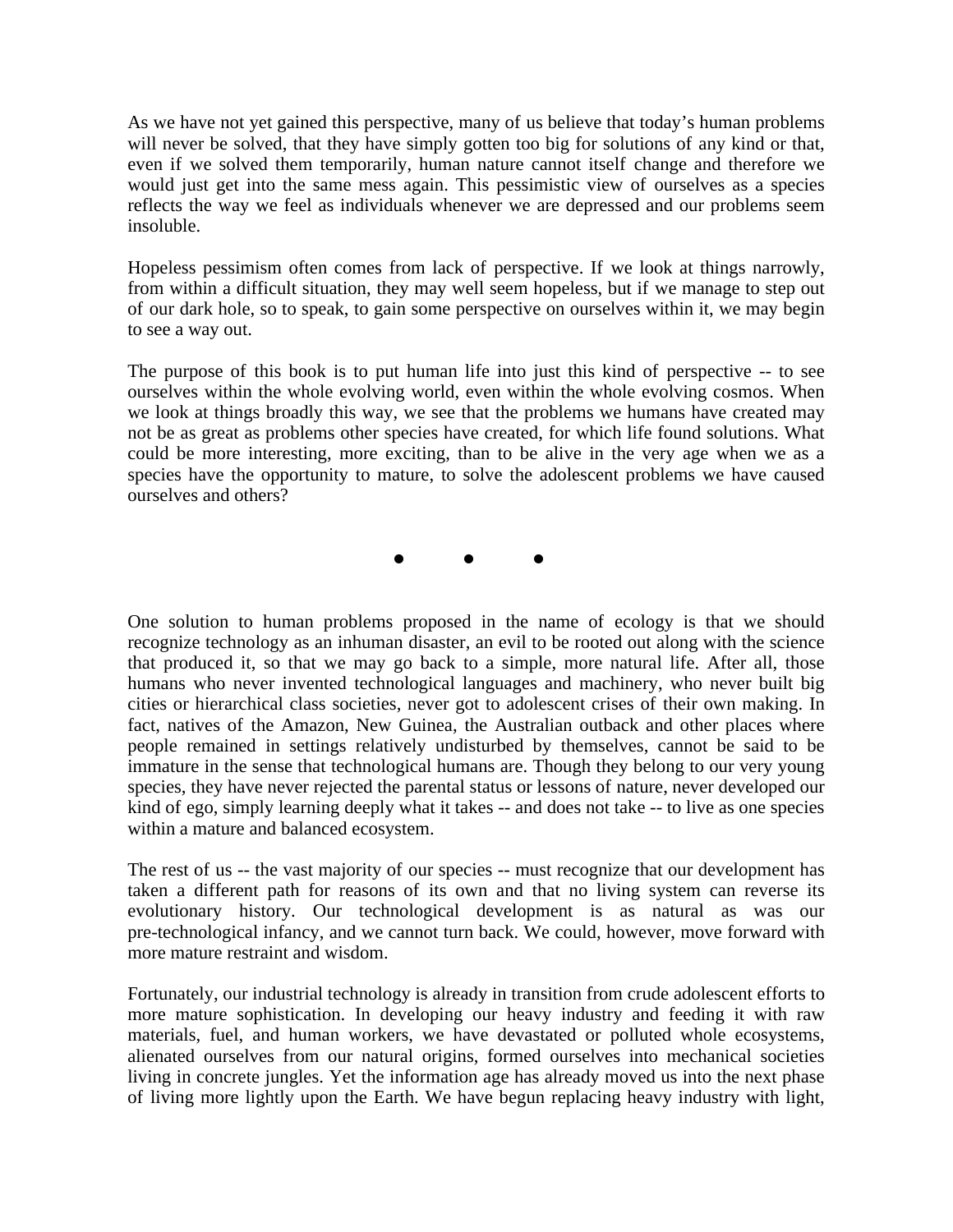As we have not yet gained this perspective, many of us believe that today's human problems will never be solved, that they have simply gotten too big for solutions of any kind or that, even if we solved them temporarily, human nature cannot itself change and therefore we would just get into the same mess again. This pessimistic view of ourselves as a species reflects the way we feel as individuals whenever we are depressed and our problems seem insoluble.

Hopeless pessimism often comes from lack of perspective. If we look at things narrowly, from within a difficult situation, they may well seem hopeless, but if we manage to step out of our dark hole, so to speak, to gain some perspective on ourselves within it, we may begin to see a way out.

The purpose of this book is to put human life into just this kind of perspective -- to see ourselves within the whole evolving world, even within the whole evolving cosmos. When we look at things broadly this way, we see that the problems we humans have created may not be as great as problems other species have created, for which life found solutions. What could be more interesting, more exciting, than to be alive in the very age when we as a species have the opportunity to mature, to solve the adolescent problems we have caused ourselves and others?

**· · ·** 

One solution to human problems proposed in the name of ecology is that we should recognize technology as an inhuman disaster, an evil to be rooted out along with the science that produced it, so that we may go back to a simple, more natural life. After all, those humans who never invented technological languages and machinery, who never built big cities or hierarchical class societies, never got to adolescent crises of their own making. In fact, natives of the Amazon, New Guinea, the Australian outback and other places where people remained in settings relatively undisturbed by themselves, cannot be said to be immature in the sense that technological humans are. Though they belong to our very young species, they have never rejected the parental status or lessons of nature, never developed our kind of ego, simply learning deeply what it takes -- and does not take -- to live as one species within a mature and balanced ecosystem.

The rest of us -- the vast majority of our species -- must recognize that our development has taken a different path for reasons of its own and that no living system can reverse its evolutionary history. Our technological development is as natural as was our pre-technological infancy, and we cannot turn back. We could, however, move forward with more mature restraint and wisdom.

Fortunately, our industrial technology is already in transition from crude adolescent efforts to more mature sophistication. In developing our heavy industry and feeding it with raw materials, fuel, and human workers, we have devastated or polluted whole ecosystems, alienated ourselves from our natural origins, formed ourselves into mechanical societies living in concrete jungles. Yet the information age has already moved us into the next phase of living more lightly upon the Earth. We have begun replacing heavy industry with light,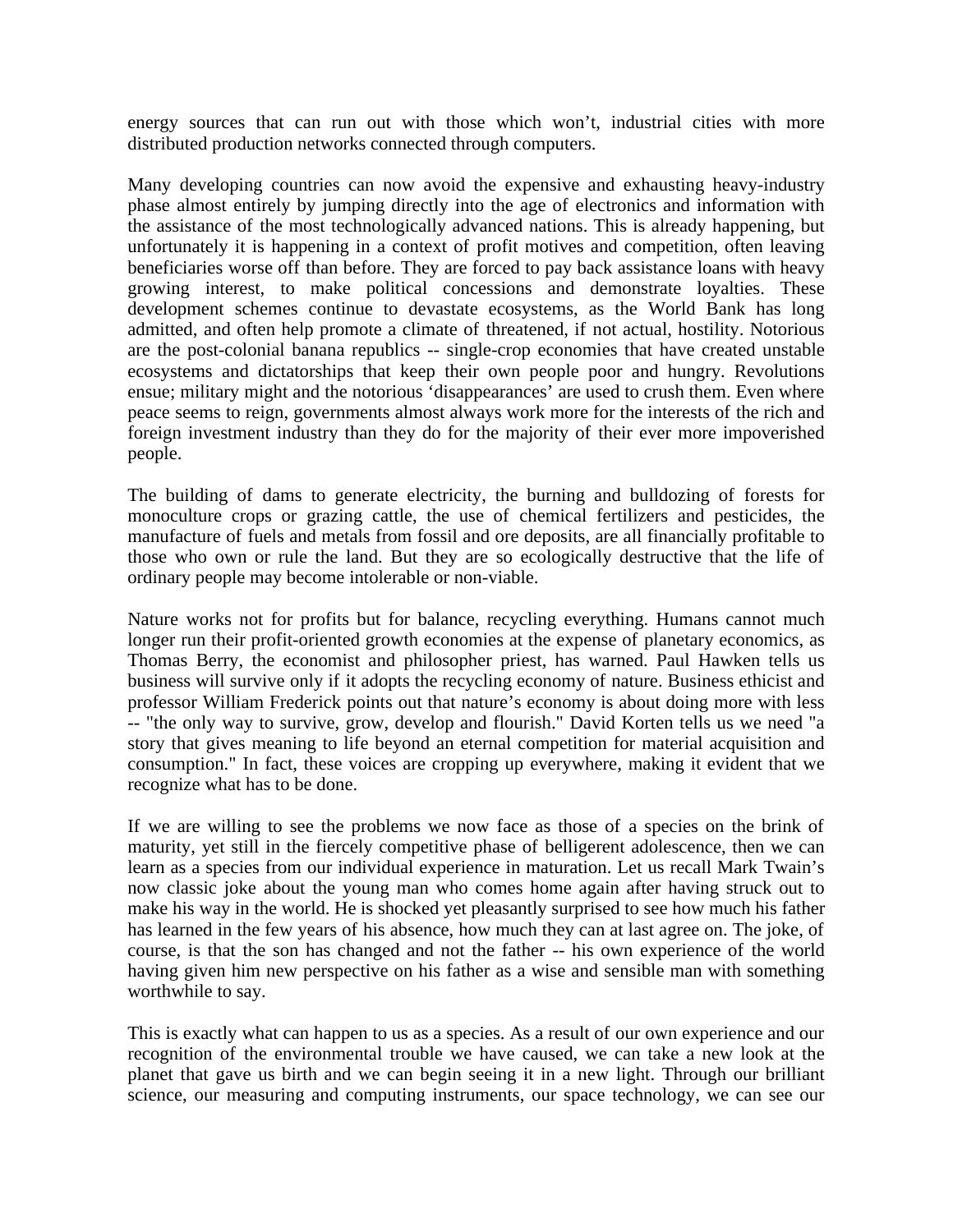energy sources that can run out with those which won't, industrial cities with more distributed production networks connected through computers.

Many developing countries can now avoid the expensive and exhausting heavy-industry phase almost entirely by jumping directly into the age of electronics and information with the assistance of the most technologically advanced nations. This is already happening, but unfortunately it is happening in a context of profit motives and competition, often leaving beneficiaries worse off than before. They are forced to pay back assistance loans with heavy growing interest, to make political concessions and demonstrate loyalties. These development schemes continue to devastate ecosystems, as the World Bank has long admitted, and often help promote a climate of threatened, if not actual, hostility. Notorious are the post-colonial banana republics -- single-crop economies that have created unstable ecosystems and dictatorships that keep their own people poor and hungry. Revolutions ensue; military might and the notorious 'disappearances' are used to crush them. Even where peace seems to reign, governments almost always work more for the interests of the rich and foreign investment industry than they do for the majority of their ever more impoverished people.

The building of dams to generate electricity, the burning and bulldozing of forests for monoculture crops or grazing cattle, the use of chemical fertilizers and pesticides, the manufacture of fuels and metals from fossil and ore deposits, are all financially profitable to those who own or rule the land. But they are so ecologically destructive that the life of ordinary people may become intolerable or non-viable.

Nature works not for profits but for balance, recycling everything. Humans cannot much longer run their profit-oriented growth economies at the expense of planetary economics, as Thomas Berry, the economist and philosopher priest, has warned. Paul Hawken tells us business will survive only if it adopts the recycling economy of nature. Business ethicist and professor William Frederick points out that nature's economy is about doing more with less -- "the only way to survive, grow, develop and flourish." David Korten tells us we need "a story that gives meaning to life beyond an eternal competition for material acquisition and consumption." In fact, these voices are cropping up everywhere, making it evident that we recognize what has to be done.

If we are willing to see the problems we now face as those of a species on the brink of maturity, yet still in the fiercely competitive phase of belligerent adolescence, then we can learn as a species from our individual experience in maturation. Let us recall Mark Twain's now classic joke about the young man who comes home again after having struck out to make his way in the world. He is shocked yet pleasantly surprised to see how much his father has learned in the few years of his absence, how much they can at last agree on. The joke, of course, is that the son has changed and not the father -- his own experience of the world having given him new perspective on his father as a wise and sensible man with something worthwhile to say.

This is exactly what can happen to us as a species. As a result of our own experience and our recognition of the environmental trouble we have caused, we can take a new look at the planet that gave us birth and we can begin seeing it in a new light. Through our brilliant science, our measuring and computing instruments, our space technology, we can see our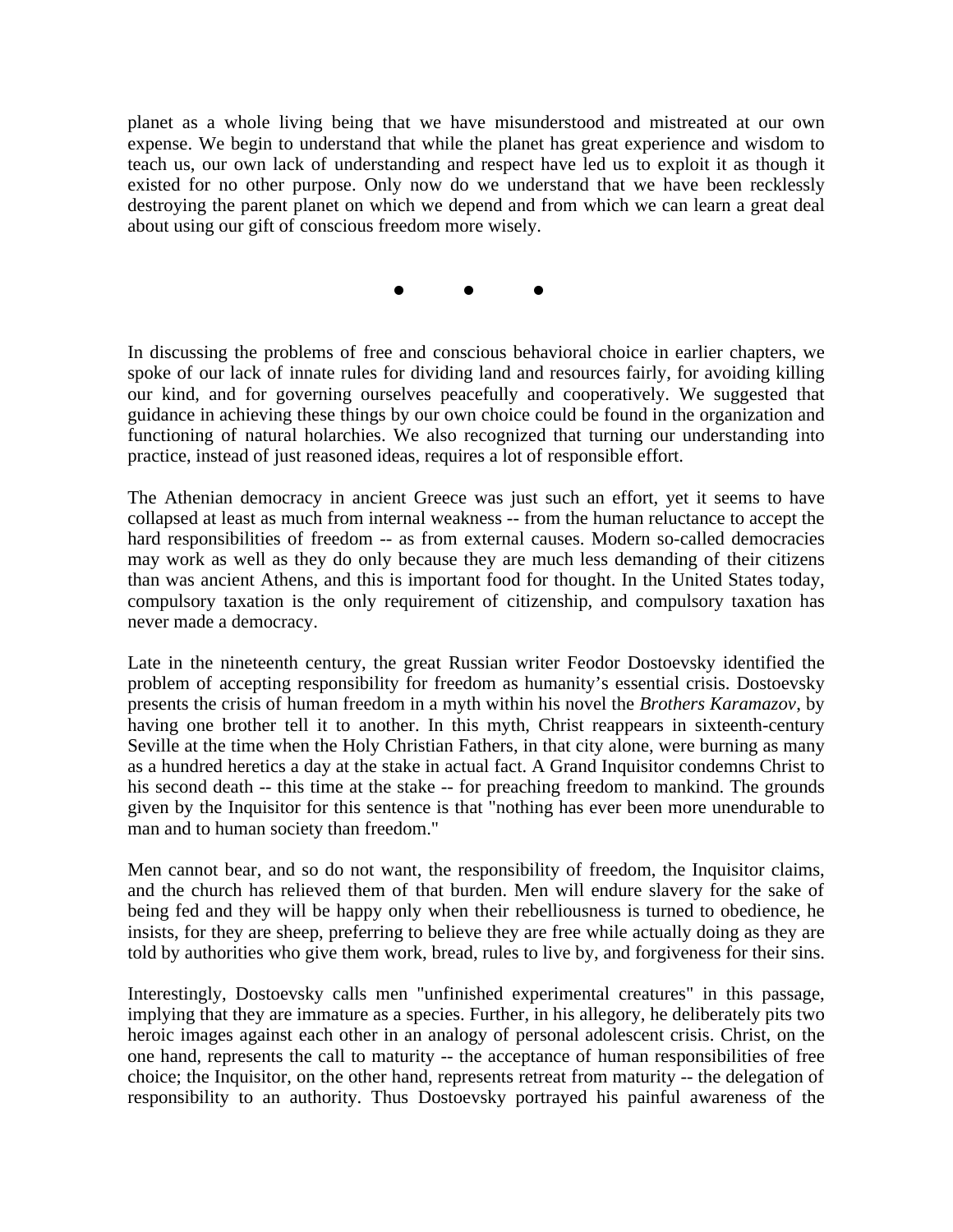planet as a whole living being that we have misunderstood and mistreated at our own expense. We begin to understand that while the planet has great experience and wisdom to teach us, our own lack of understanding and respect have led us to exploit it as though it existed for no other purpose. Only now do we understand that we have been recklessly destroying the parent planet on which we depend and from which we can learn a great deal about using our gift of conscious freedom more wisely.

**· · ·** 

In discussing the problems of free and conscious behavioral choice in earlier chapters, we spoke of our lack of innate rules for dividing land and resources fairly, for avoiding killing our kind, and for governing ourselves peacefully and cooperatively. We suggested that guidance in achieving these things by our own choice could be found in the organization and functioning of natural holarchies. We also recognized that turning our understanding into practice, instead of just reasoned ideas, requires a lot of responsible effort.

The Athenian democracy in ancient Greece was just such an effort, yet it seems to have collapsed at least as much from internal weakness -- from the human reluctance to accept the hard responsibilities of freedom -- as from external causes. Modern so-called democracies may work as well as they do only because they are much less demanding of their citizens than was ancient Athens, and this is important food for thought. In the United States today, compulsory taxation is the only requirement of citizenship, and compulsory taxation has never made a democracy.

Late in the nineteenth century, the great Russian writer Feodor Dostoevsky identified the problem of accepting responsibility for freedom as humanity's essential crisis. Dostoevsky presents the crisis of human freedom in a myth within his novel the *Brothers Karamazov*, by having one brother tell it to another. In this myth, Christ reappears in sixteenth-century Seville at the time when the Holy Christian Fathers, in that city alone, were burning as many as a hundred heretics a day at the stake in actual fact. A Grand Inquisitor condemns Christ to his second death -- this time at the stake -- for preaching freedom to mankind. The grounds given by the Inquisitor for this sentence is that "nothing has ever been more unendurable to man and to human society than freedom."

Men cannot bear, and so do not want, the responsibility of freedom, the Inquisitor claims, and the church has relieved them of that burden. Men will endure slavery for the sake of being fed and they will be happy only when their rebelliousness is turned to obedience, he insists, for they are sheep, preferring to believe they are free while actually doing as they are told by authorities who give them work, bread, rules to live by, and forgiveness for their sins.

Interestingly, Dostoevsky calls men "unfinished experimental creatures" in this passage, implying that they are immature as a species. Further, in his allegory, he deliberately pits two heroic images against each other in an analogy of personal adolescent crisis. Christ, on the one hand, represents the call to maturity -- the acceptance of human responsibilities of free choice; the Inquisitor, on the other hand, represents retreat from maturity -- the delegation of responsibility to an authority. Thus Dostoevsky portrayed his painful awareness of the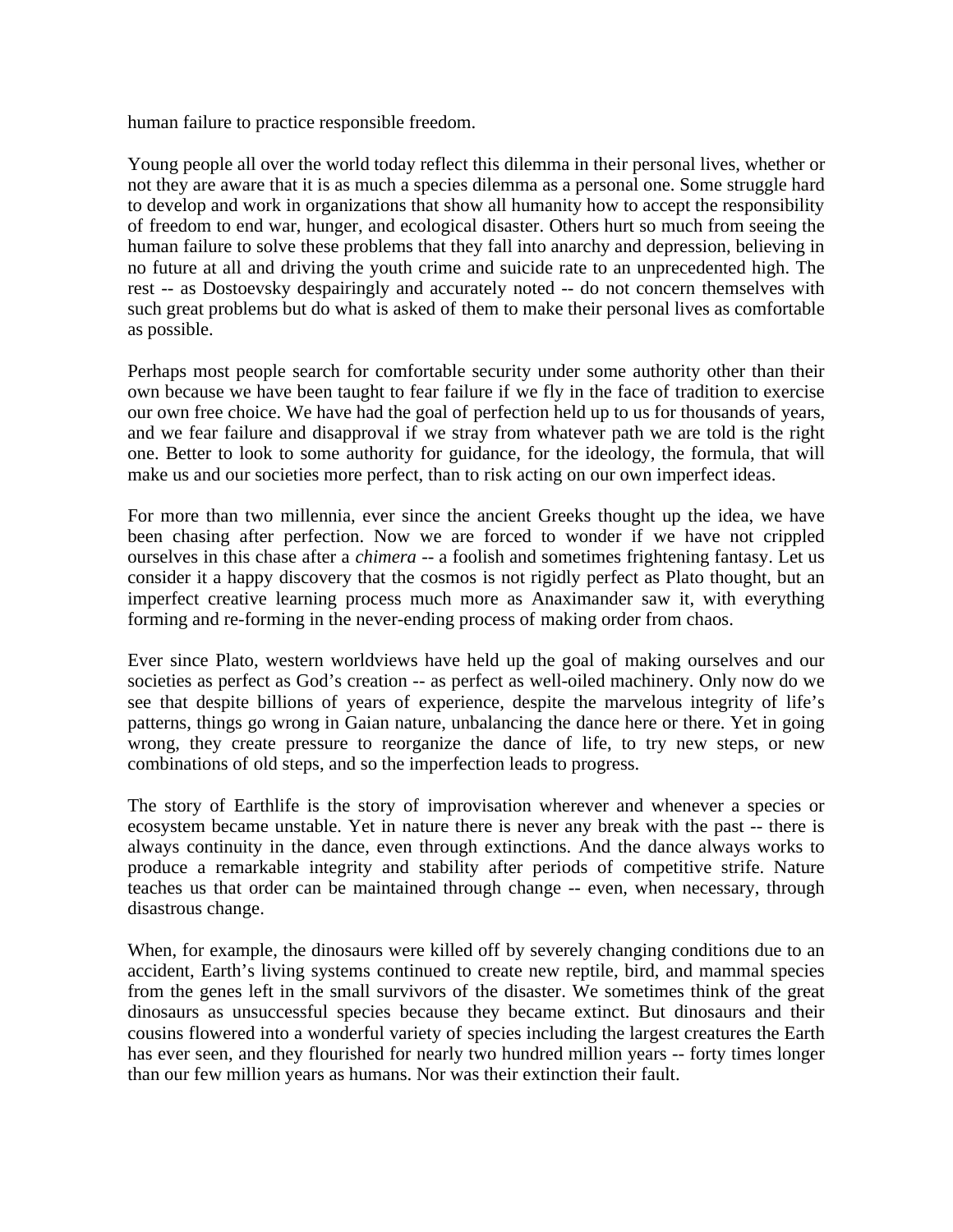human failure to practice responsible freedom.

Young people all over the world today reflect this dilemma in their personal lives, whether or not they are aware that it is as much a species dilemma as a personal one. Some struggle hard to develop and work in organizations that show all humanity how to accept the responsibility of freedom to end war, hunger, and ecological disaster. Others hurt so much from seeing the human failure to solve these problems that they fall into anarchy and depression, believing in no future at all and driving the youth crime and suicide rate to an unprecedented high. The rest -- as Dostoevsky despairingly and accurately noted -- do not concern themselves with such great problems but do what is asked of them to make their personal lives as comfortable as possible.

Perhaps most people search for comfortable security under some authority other than their own because we have been taught to fear failure if we fly in the face of tradition to exercise our own free choice. We have had the goal of perfection held up to us for thousands of years, and we fear failure and disapproval if we stray from whatever path we are told is the right one. Better to look to some authority for guidance, for the ideology, the formula, that will make us and our societies more perfect, than to risk acting on our own imperfect ideas.

For more than two millennia, ever since the ancient Greeks thought up the idea, we have been chasing after perfection. Now we are forced to wonder if we have not crippled ourselves in this chase after a *chimera* -- a foolish and sometimes frightening fantasy. Let us consider it a happy discovery that the cosmos is not rigidly perfect as Plato thought, but an imperfect creative learning process much more as Anaximander saw it, with everything forming and re-forming in the never-ending process of making order from chaos.

Ever since Plato, western worldviews have held up the goal of making ourselves and our societies as perfect as God's creation -- as perfect as well-oiled machinery. Only now do we see that despite billions of years of experience, despite the marvelous integrity of life's patterns, things go wrong in Gaian nature, unbalancing the dance here or there. Yet in going wrong, they create pressure to reorganize the dance of life, to try new steps, or new combinations of old steps, and so the imperfection leads to progress.

The story of Earthlife is the story of improvisation wherever and whenever a species or ecosystem became unstable. Yet in nature there is never any break with the past -- there is always continuity in the dance, even through extinctions. And the dance always works to produce a remarkable integrity and stability after periods of competitive strife. Nature teaches us that order can be maintained through change -- even, when necessary, through disastrous change.

When, for example, the dinosaurs were killed off by severely changing conditions due to an accident, Earth's living systems continued to create new reptile, bird, and mammal species from the genes left in the small survivors of the disaster. We sometimes think of the great dinosaurs as unsuccessful species because they became extinct. But dinosaurs and their cousins flowered into a wonderful variety of species including the largest creatures the Earth has ever seen, and they flourished for nearly two hundred million years -- forty times longer than our few million years as humans. Nor was their extinction their fault.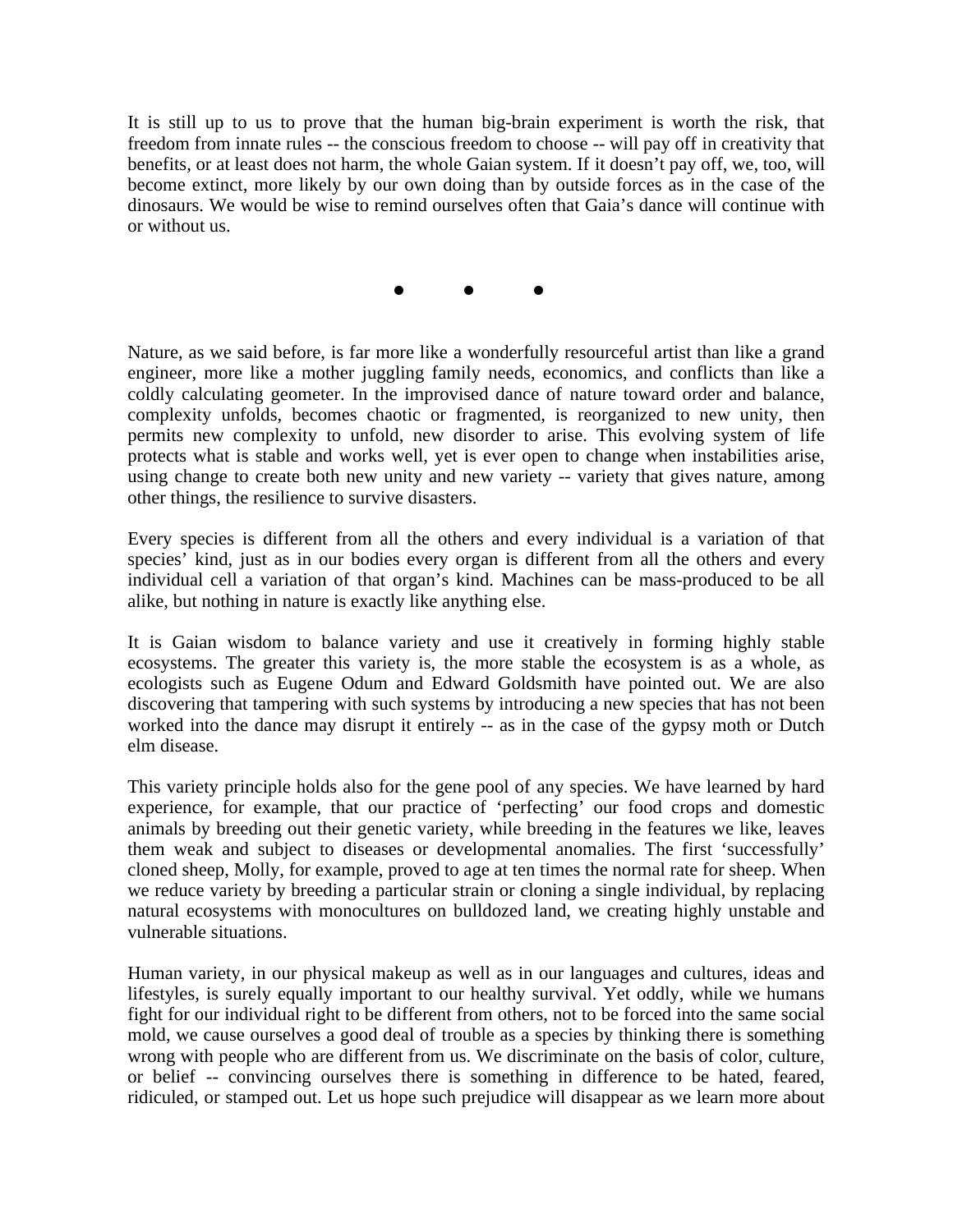It is still up to us to prove that the human big-brain experiment is worth the risk, that freedom from innate rules -- the conscious freedom to choose -- will pay off in creativity that benefits, or at least does not harm, the whole Gaian system. If it doesn't pay off, we, too, will become extinct, more likely by our own doing than by outside forces as in the case of the dinosaurs. We would be wise to remind ourselves often that Gaia's dance will continue with or without us.

**· · ·** 

Nature, as we said before, is far more like a wonderfully resourceful artist than like a grand engineer, more like a mother juggling family needs, economics, and conflicts than like a coldly calculating geometer. In the improvised dance of nature toward order and balance, complexity unfolds, becomes chaotic or fragmented, is reorganized to new unity, then permits new complexity to unfold, new disorder to arise. This evolving system of life protects what is stable and works well, yet is ever open to change when instabilities arise, using change to create both new unity and new variety -- variety that gives nature, among other things, the resilience to survive disasters.

Every species is different from all the others and every individual is a variation of that species' kind, just as in our bodies every organ is different from all the others and every individual cell a variation of that organ's kind. Machines can be mass-produced to be all alike, but nothing in nature is exactly like anything else.

It is Gaian wisdom to balance variety and use it creatively in forming highly stable ecosystems. The greater this variety is, the more stable the ecosystem is as a whole, as ecologists such as Eugene Odum and Edward Goldsmith have pointed out. We are also discovering that tampering with such systems by introducing a new species that has not been worked into the dance may disrupt it entirely -- as in the case of the gypsy moth or Dutch elm disease.

This variety principle holds also for the gene pool of any species. We have learned by hard experience, for example, that our practice of 'perfecting' our food crops and domestic animals by breeding out their genetic variety, while breeding in the features we like, leaves them weak and subject to diseases or developmental anomalies. The first 'successfully' cloned sheep, Molly, for example, proved to age at ten times the normal rate for sheep. When we reduce variety by breeding a particular strain or cloning a single individual, by replacing natural ecosystems with monocultures on bulldozed land, we creating highly unstable and vulnerable situations.

Human variety, in our physical makeup as well as in our languages and cultures, ideas and lifestyles, is surely equally important to our healthy survival. Yet oddly, while we humans fight for our individual right to be different from others, not to be forced into the same social mold, we cause ourselves a good deal of trouble as a species by thinking there is something wrong with people who are different from us. We discriminate on the basis of color, culture, or belief -- convincing ourselves there is something in difference to be hated, feared, ridiculed, or stamped out. Let us hope such prejudice will disappear as we learn more about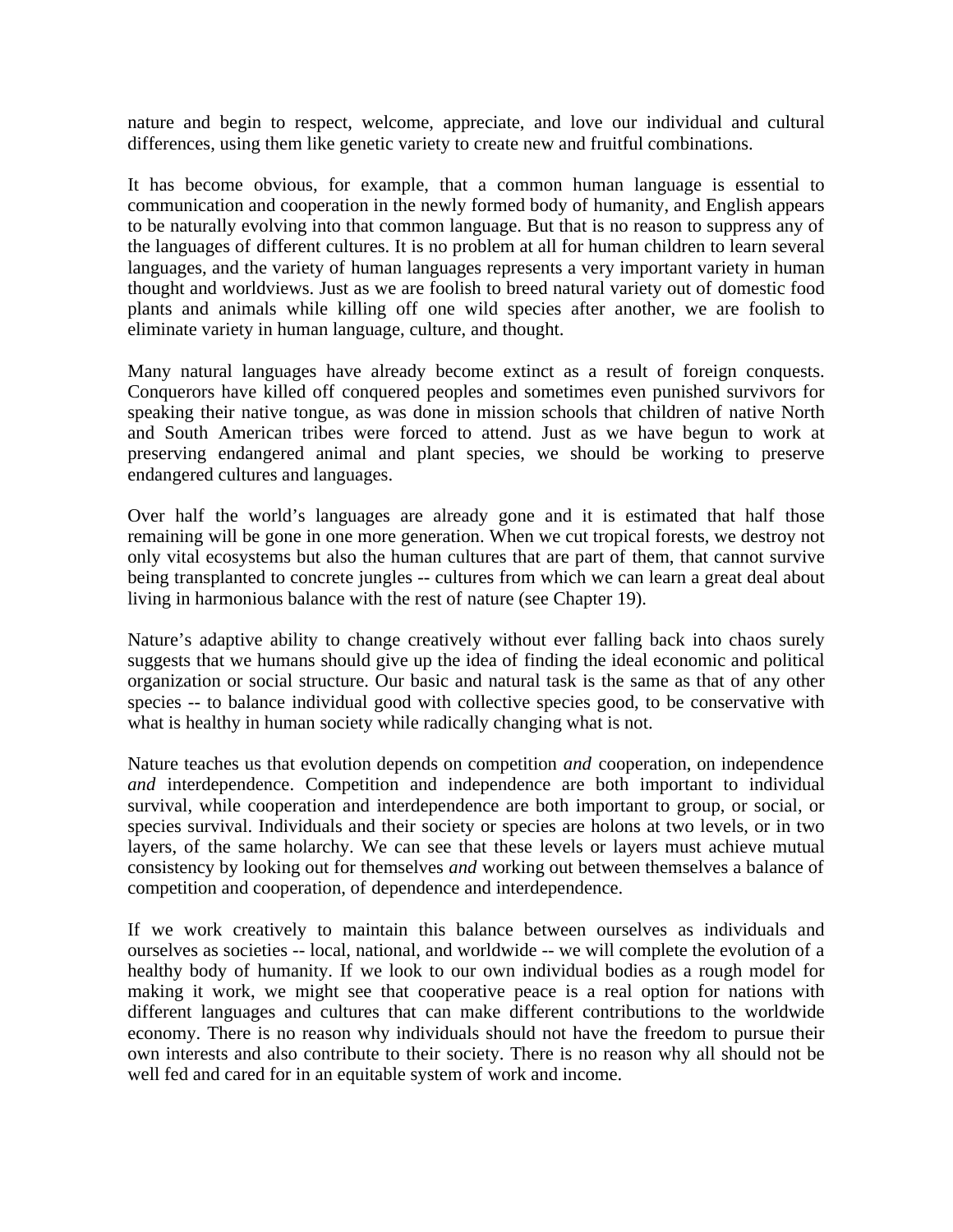nature and begin to respect, welcome, appreciate, and love our individual and cultural differences, using them like genetic variety to create new and fruitful combinations.

It has become obvious, for example, that a common human language is essential to communication and cooperation in the newly formed body of humanity, and English appears to be naturally evolving into that common language. But that is no reason to suppress any of the languages of different cultures. It is no problem at all for human children to learn several languages, and the variety of human languages represents a very important variety in human thought and worldviews. Just as we are foolish to breed natural variety out of domestic food plants and animals while killing off one wild species after another, we are foolish to eliminate variety in human language, culture, and thought.

Many natural languages have already become extinct as a result of foreign conquests. Conquerors have killed off conquered peoples and sometimes even punished survivors for speaking their native tongue, as was done in mission schools that children of native North and South American tribes were forced to attend. Just as we have begun to work at preserving endangered animal and plant species, we should be working to preserve endangered cultures and languages.

Over half the world's languages are already gone and it is estimated that half those remaining will be gone in one more generation. When we cut tropical forests, we destroy not only vital ecosystems but also the human cultures that are part of them, that cannot survive being transplanted to concrete jungles -- cultures from which we can learn a great deal about living in harmonious balance with the rest of nature (see Chapter 19).

Nature's adaptive ability to change creatively without ever falling back into chaos surely suggests that we humans should give up the idea of finding the ideal economic and political organization or social structure. Our basic and natural task is the same as that of any other species -- to balance individual good with collective species good, to be conservative with what is healthy in human society while radically changing what is not.

Nature teaches us that evolution depends on competition *and* cooperation, on independence *and* interdependence. Competition and independence are both important to individual survival, while cooperation and interdependence are both important to group, or social, or species survival. Individuals and their society or species are holons at two levels, or in two layers, of the same holarchy. We can see that these levels or layers must achieve mutual consistency by looking out for themselves *and* working out between themselves a balance of competition and cooperation, of dependence and interdependence.

If we work creatively to maintain this balance between ourselves as individuals and ourselves as societies -- local, national, and worldwide -- we will complete the evolution of a healthy body of humanity. If we look to our own individual bodies as a rough model for making it work, we might see that cooperative peace is a real option for nations with different languages and cultures that can make different contributions to the worldwide economy. There is no reason why individuals should not have the freedom to pursue their own interests and also contribute to their society. There is no reason why all should not be well fed and cared for in an equitable system of work and income.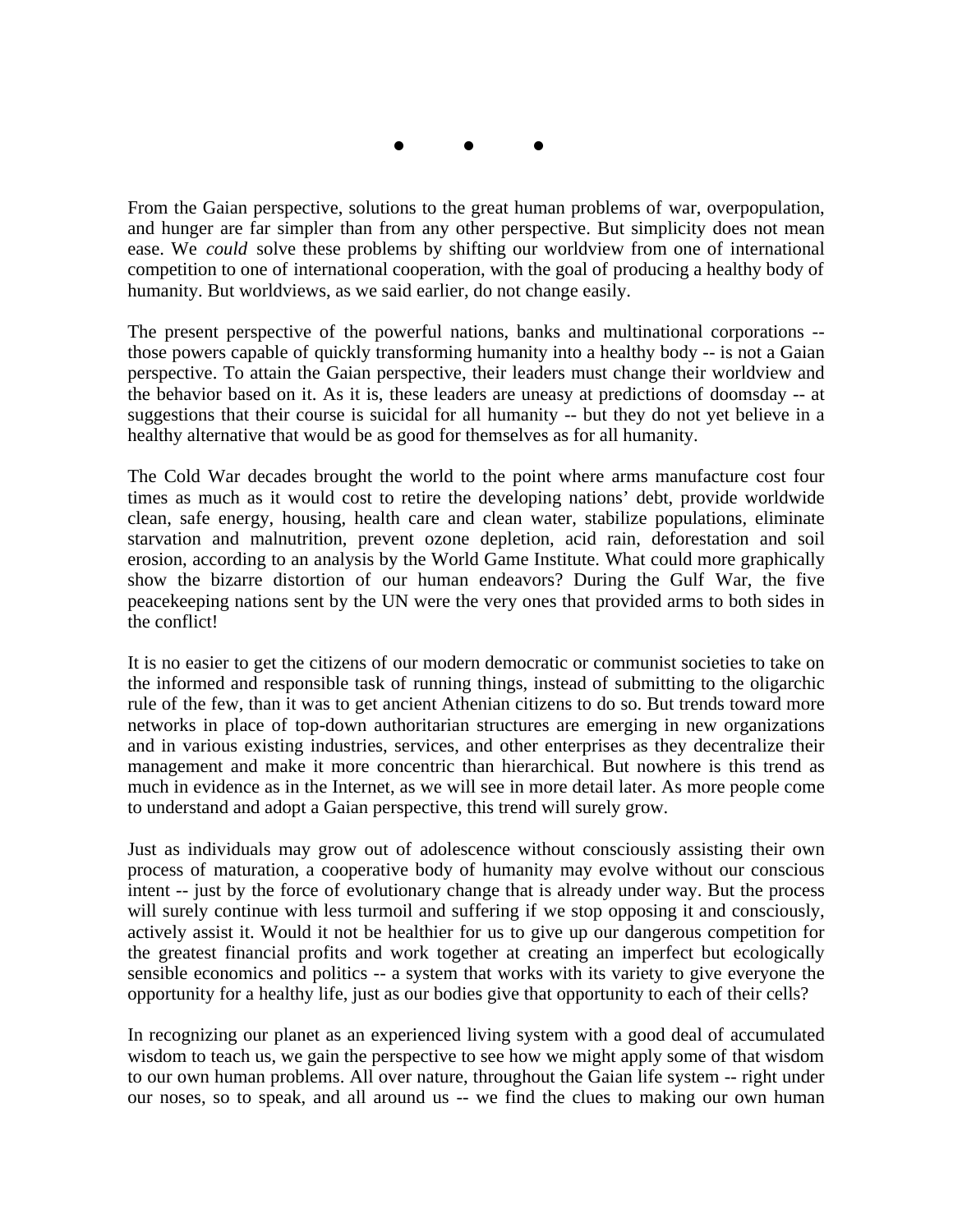

From the Gaian perspective, solutions to the great human problems of war, overpopulation, and hunger are far simpler than from any other perspective. But simplicity does not mean ease. We *could* solve these problems by shifting our worldview from one of international competition to one of international cooperation, with the goal of producing a healthy body of humanity. But worldviews, as we said earlier, do not change easily.

The present perspective of the powerful nations, banks and multinational corporations - those powers capable of quickly transforming humanity into a healthy body -- is not a Gaian perspective. To attain the Gaian perspective, their leaders must change their worldview and the behavior based on it. As it is, these leaders are uneasy at predictions of doomsday -- at suggestions that their course is suicidal for all humanity -- but they do not yet believe in a healthy alternative that would be as good for themselves as for all humanity.

The Cold War decades brought the world to the point where arms manufacture cost four times as much as it would cost to retire the developing nations' debt, provide worldwide clean, safe energy, housing, health care and clean water, stabilize populations, eliminate starvation and malnutrition, prevent ozone depletion, acid rain, deforestation and soil erosion, according to an analysis by the World Game Institute. What could more graphically show the bizarre distortion of our human endeavors? During the Gulf War, the five peacekeeping nations sent by the UN were the very ones that provided arms to both sides in the conflict!

It is no easier to get the citizens of our modern democratic or communist societies to take on the informed and responsible task of running things, instead of submitting to the oligarchic rule of the few, than it was to get ancient Athenian citizens to do so. But trends toward more networks in place of top-down authoritarian structures are emerging in new organizations and in various existing industries, services, and other enterprises as they decentralize their management and make it more concentric than hierarchical. But nowhere is this trend as much in evidence as in the Internet, as we will see in more detail later. As more people come to understand and adopt a Gaian perspective, this trend will surely grow.

Just as individuals may grow out of adolescence without consciously assisting their own process of maturation, a cooperative body of humanity may evolve without our conscious intent -- just by the force of evolutionary change that is already under way. But the process will surely continue with less turmoil and suffering if we stop opposing it and consciously, actively assist it. Would it not be healthier for us to give up our dangerous competition for the greatest financial profits and work together at creating an imperfect but ecologically sensible economics and politics -- a system that works with its variety to give everyone the opportunity for a healthy life, just as our bodies give that opportunity to each of their cells?

In recognizing our planet as an experienced living system with a good deal of accumulated wisdom to teach us, we gain the perspective to see how we might apply some of that wisdom to our own human problems. All over nature, throughout the Gaian life system -- right under our noses, so to speak, and all around us -- we find the clues to making our own human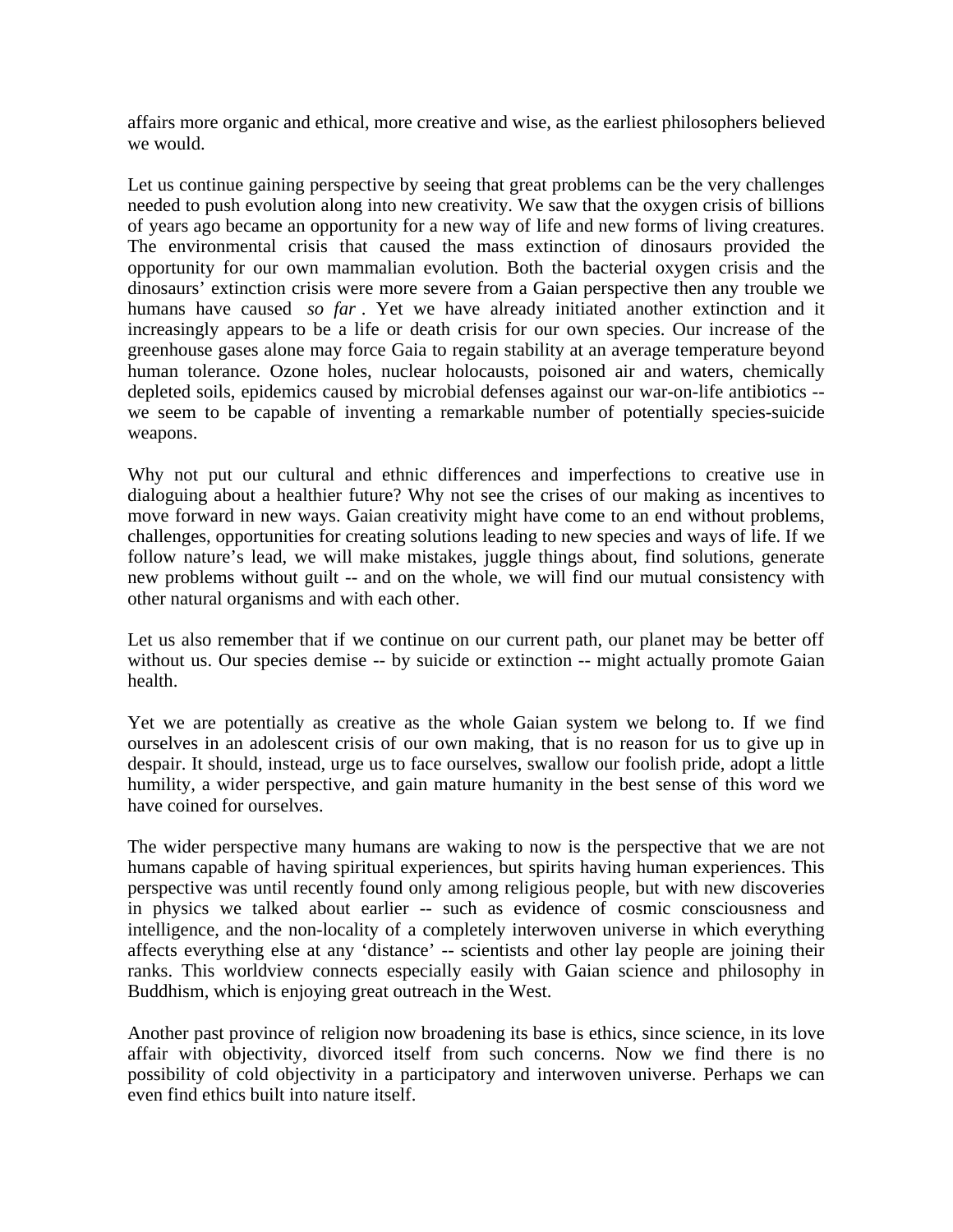affairs more organic and ethical, more creative and wise, as the earliest philosophers believed we would.

Let us continue gaining perspective by seeing that great problems can be the very challenges needed to push evolution along into new creativity. We saw that the oxygen crisis of billions of years ago became an opportunity for a new way of life and new forms of living creatures. The environmental crisis that caused the mass extinction of dinosaurs provided the opportunity for our own mammalian evolution. Both the bacterial oxygen crisis and the dinosaurs' extinction crisis were more severe from a Gaian perspective then any trouble we humans have caused *so far* . Yet we have already initiated another extinction and it increasingly appears to be a life or death crisis for our own species. Our increase of the greenhouse gases alone may force Gaia to regain stability at an average temperature beyond human tolerance. Ozone holes, nuclear holocausts, poisoned air and waters, chemically depleted soils, epidemics caused by microbial defenses against our war-on-life antibiotics - we seem to be capable of inventing a remarkable number of potentially species-suicide weapons.

Why not put our cultural and ethnic differences and imperfections to creative use in dialoguing about a healthier future? Why not see the crises of our making as incentives to move forward in new ways. Gaian creativity might have come to an end without problems, challenges, opportunities for creating solutions leading to new species and ways of life. If we follow nature's lead, we will make mistakes, juggle things about, find solutions, generate new problems without guilt -- and on the whole, we will find our mutual consistency with other natural organisms and with each other.

Let us also remember that if we continue on our current path, our planet may be better off without us. Our species demise -- by suicide or extinction -- might actually promote Gaian health.

Yet we are potentially as creative as the whole Gaian system we belong to. If we find ourselves in an adolescent crisis of our own making, that is no reason for us to give up in despair. It should, instead, urge us to face ourselves, swallow our foolish pride, adopt a little humility, a wider perspective, and gain mature humanity in the best sense of this word we have coined for ourselves.

The wider perspective many humans are waking to now is the perspective that we are not humans capable of having spiritual experiences, but spirits having human experiences. This perspective was until recently found only among religious people, but with new discoveries in physics we talked about earlier -- such as evidence of cosmic consciousness and intelligence, and the non-locality of a completely interwoven universe in which everything affects everything else at any 'distance' -- scientists and other lay people are joining their ranks. This worldview connects especially easily with Gaian science and philosophy in Buddhism, which is enjoying great outreach in the West.

Another past province of religion now broadening its base is ethics, since science, in its love affair with objectivity, divorced itself from such concerns. Now we find there is no possibility of cold objectivity in a participatory and interwoven universe. Perhaps we can even find ethics built into nature itself.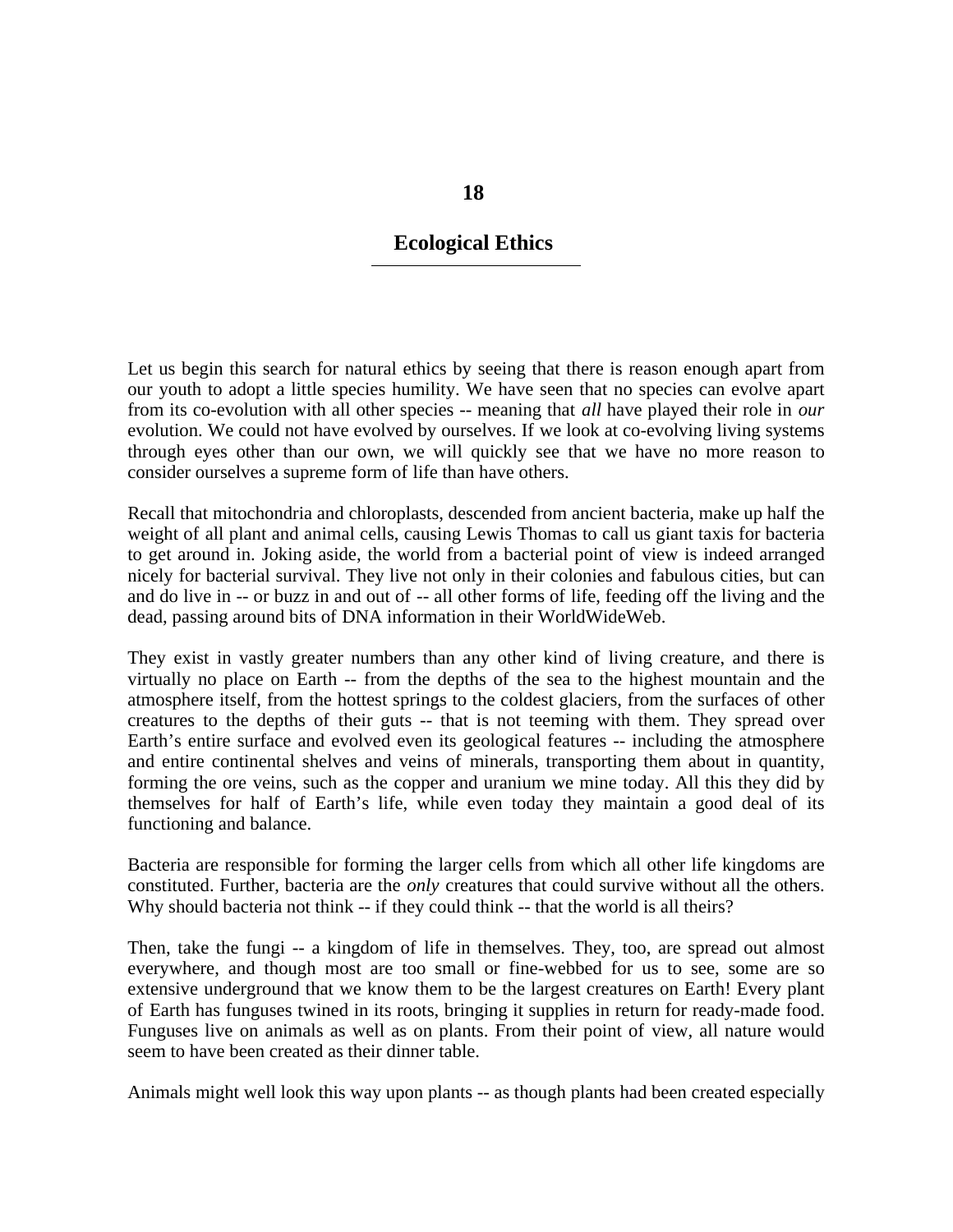## **Ecological Ethics**

Let us begin this search for natural ethics by seeing that there is reason enough apart from our youth to adopt a little species humility. We have seen that no species can evolve apart from its co-evolution with all other species -- meaning that *all* have played their role in *our* evolution. We could not have evolved by ourselves. If we look at co-evolving living systems through eyes other than our own, we will quickly see that we have no more reason to consider ourselves a supreme form of life than have others.

Recall that mitochondria and chloroplasts, descended from ancient bacteria, make up half the weight of all plant and animal cells, causing Lewis Thomas to call us giant taxis for bacteria to get around in. Joking aside, the world from a bacterial point of view is indeed arranged nicely for bacterial survival. They live not only in their colonies and fabulous cities, but can and do live in -- or buzz in and out of -- all other forms of life, feeding off the living and the dead, passing around bits of DNA information in their WorldWideWeb.

They exist in vastly greater numbers than any other kind of living creature, and there is virtually no place on Earth -- from the depths of the sea to the highest mountain and the atmosphere itself, from the hottest springs to the coldest glaciers, from the surfaces of other creatures to the depths of their guts -- that is not teeming with them. They spread over Earth's entire surface and evolved even its geological features -- including the atmosphere and entire continental shelves and veins of minerals, transporting them about in quantity, forming the ore veins, such as the copper and uranium we mine today. All this they did by themselves for half of Earth's life, while even today they maintain a good deal of its functioning and balance.

Bacteria are responsible for forming the larger cells from which all other life kingdoms are constituted. Further, bacteria are the *only* creatures that could survive without all the others. Why should bacteria not think -- if they could think -- that the world is all theirs?

Then, take the fungi -- a kingdom of life in themselves. They, too, are spread out almost everywhere, and though most are too small or fine-webbed for us to see, some are so extensive underground that we know them to be the largest creatures on Earth! Every plant of Earth has funguses twined in its roots, bringing it supplies in return for ready-made food. Funguses live on animals as well as on plants. From their point of view, all nature would seem to have been created as their dinner table.

Animals might well look this way upon plants -- as though plants had been created especially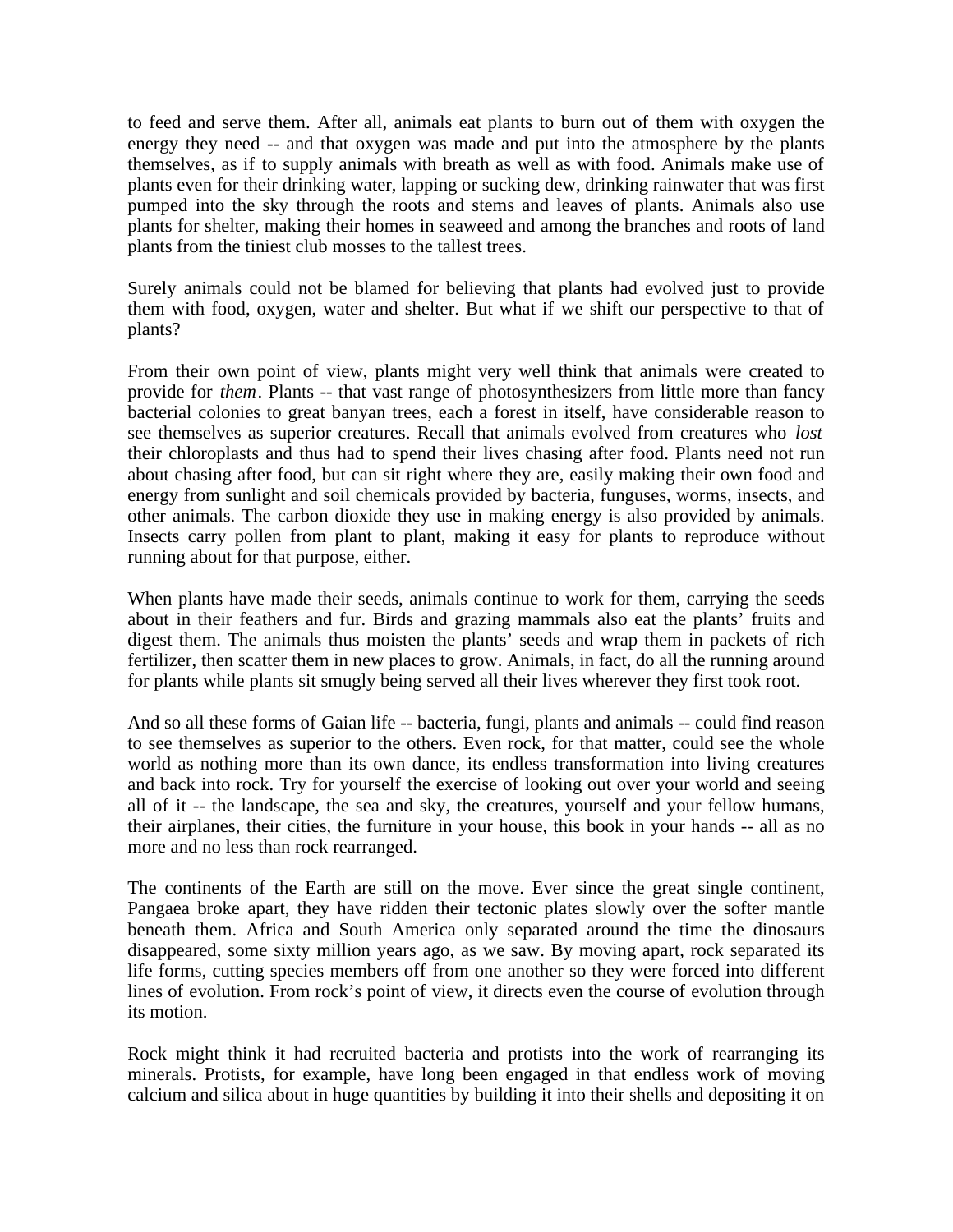to feed and serve them. After all, animals eat plants to burn out of them with oxygen the energy they need -- and that oxygen was made and put into the atmosphere by the plants themselves, as if to supply animals with breath as well as with food. Animals make use of plants even for their drinking water, lapping or sucking dew, drinking rainwater that was first pumped into the sky through the roots and stems and leaves of plants. Animals also use plants for shelter, making their homes in seaweed and among the branches and roots of land plants from the tiniest club mosses to the tallest trees.

Surely animals could not be blamed for believing that plants had evolved just to provide them with food, oxygen, water and shelter. But what if we shift our perspective to that of plants?

From their own point of view, plants might very well think that animals were created to provide for *them*. Plants -- that vast range of photosynthesizers from little more than fancy bacterial colonies to great banyan trees, each a forest in itself, have considerable reason to see themselves as superior creatures. Recall that animals evolved from creatures who *lost* their chloroplasts and thus had to spend their lives chasing after food. Plants need not run about chasing after food, but can sit right where they are, easily making their own food and energy from sunlight and soil chemicals provided by bacteria, funguses, worms, insects, and other animals. The carbon dioxide they use in making energy is also provided by animals. Insects carry pollen from plant to plant, making it easy for plants to reproduce without running about for that purpose, either.

When plants have made their seeds, animals continue to work for them, carrying the seeds about in their feathers and fur. Birds and grazing mammals also eat the plants' fruits and digest them. The animals thus moisten the plants' seeds and wrap them in packets of rich fertilizer, then scatter them in new places to grow. Animals, in fact, do all the running around for plants while plants sit smugly being served all their lives wherever they first took root.

And so all these forms of Gaian life -- bacteria, fungi, plants and animals -- could find reason to see themselves as superior to the others. Even rock, for that matter, could see the whole world as nothing more than its own dance, its endless transformation into living creatures and back into rock. Try for yourself the exercise of looking out over your world and seeing all of it -- the landscape, the sea and sky, the creatures, yourself and your fellow humans, their airplanes, their cities, the furniture in your house, this book in your hands -- all as no more and no less than rock rearranged.

The continents of the Earth are still on the move. Ever since the great single continent, Pangaea broke apart, they have ridden their tectonic plates slowly over the softer mantle beneath them. Africa and South America only separated around the time the dinosaurs disappeared, some sixty million years ago, as we saw. By moving apart, rock separated its life forms, cutting species members off from one another so they were forced into different lines of evolution. From rock's point of view, it directs even the course of evolution through its motion.

Rock might think it had recruited bacteria and protists into the work of rearranging its minerals. Protists, for example, have long been engaged in that endless work of moving calcium and silica about in huge quantities by building it into their shells and depositing it on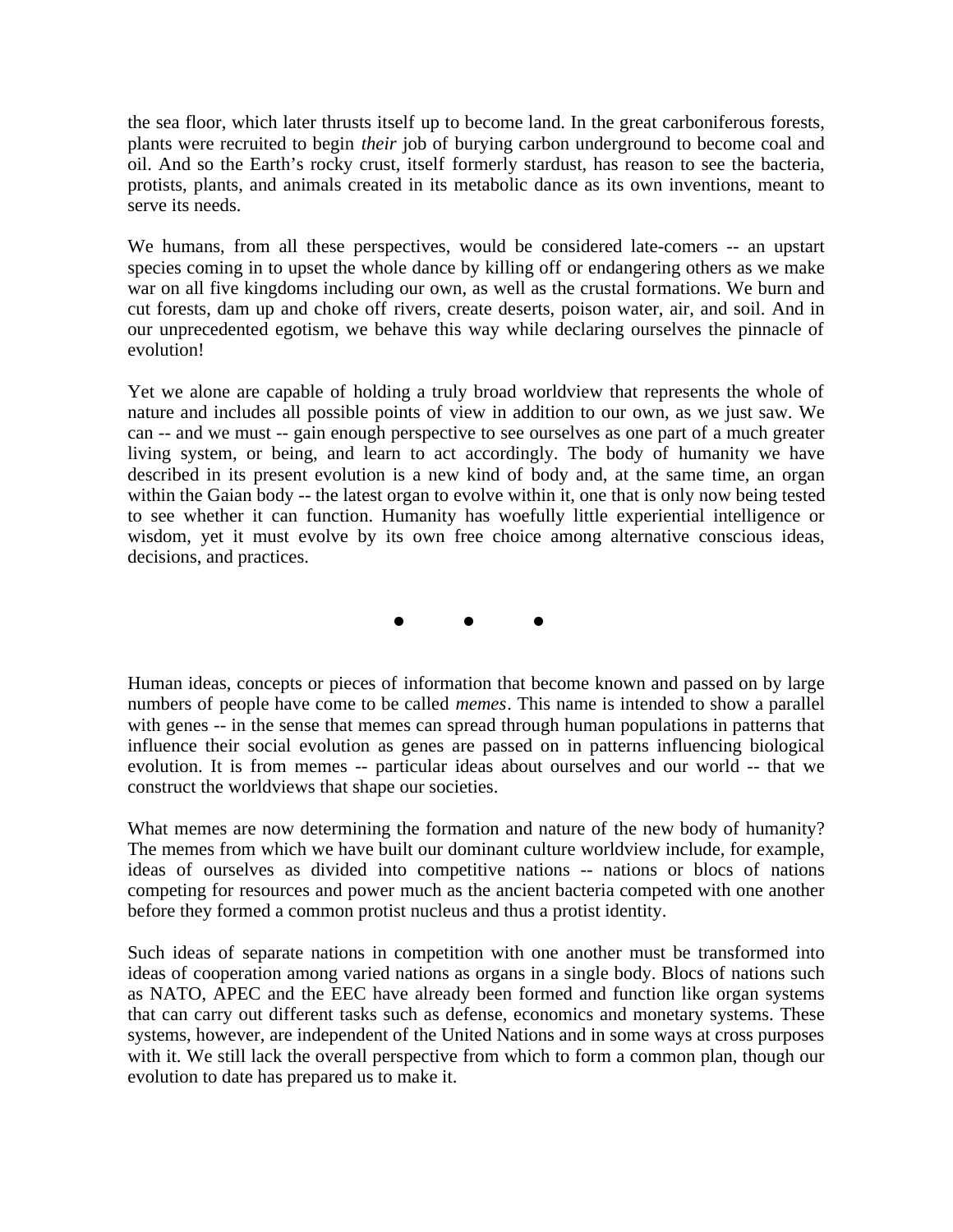the sea floor, which later thrusts itself up to become land. In the great carboniferous forests, plants were recruited to begin *their* job of burying carbon underground to become coal and oil. And so the Earth's rocky crust, itself formerly stardust, has reason to see the bacteria, protists, plants, and animals created in its metabolic dance as its own inventions, meant to serve its needs.

We humans, from all these perspectives, would be considered late-comers -- an upstart species coming in to upset the whole dance by killing off or endangering others as we make war on all five kingdoms including our own, as well as the crustal formations. We burn and cut forests, dam up and choke off rivers, create deserts, poison water, air, and soil. And in our unprecedented egotism, we behave this way while declaring ourselves the pinnacle of evolution!

Yet we alone are capable of holding a truly broad worldview that represents the whole of nature and includes all possible points of view in addition to our own, as we just saw. We can -- and we must -- gain enough perspective to see ourselves as one part of a much greater living system, or being, and learn to act accordingly. The body of humanity we have described in its present evolution is a new kind of body and, at the same time, an organ within the Gaian body -- the latest organ to evolve within it, one that is only now being tested to see whether it can function. Humanity has woefully little experiential intelligence or wisdom, yet it must evolve by its own free choice among alternative conscious ideas, decisions, and practices.

**· · ·** 

Human ideas, concepts or pieces of information that become known and passed on by large numbers of people have come to be called *memes*. This name is intended to show a parallel with genes -- in the sense that memes can spread through human populations in patterns that influence their social evolution as genes are passed on in patterns influencing biological evolution. It is from memes -- particular ideas about ourselves and our world -- that we construct the worldviews that shape our societies.

What memes are now determining the formation and nature of the new body of humanity? The memes from which we have built our dominant culture worldview include, for example, ideas of ourselves as divided into competitive nations -- nations or blocs of nations competing for resources and power much as the ancient bacteria competed with one another before they formed a common protist nucleus and thus a protist identity.

Such ideas of separate nations in competition with one another must be transformed into ideas of cooperation among varied nations as organs in a single body. Blocs of nations such as NATO, APEC and the EEC have already been formed and function like organ systems that can carry out different tasks such as defense, economics and monetary systems. These systems, however, are independent of the United Nations and in some ways at cross purposes with it. We still lack the overall perspective from which to form a common plan, though our evolution to date has prepared us to make it.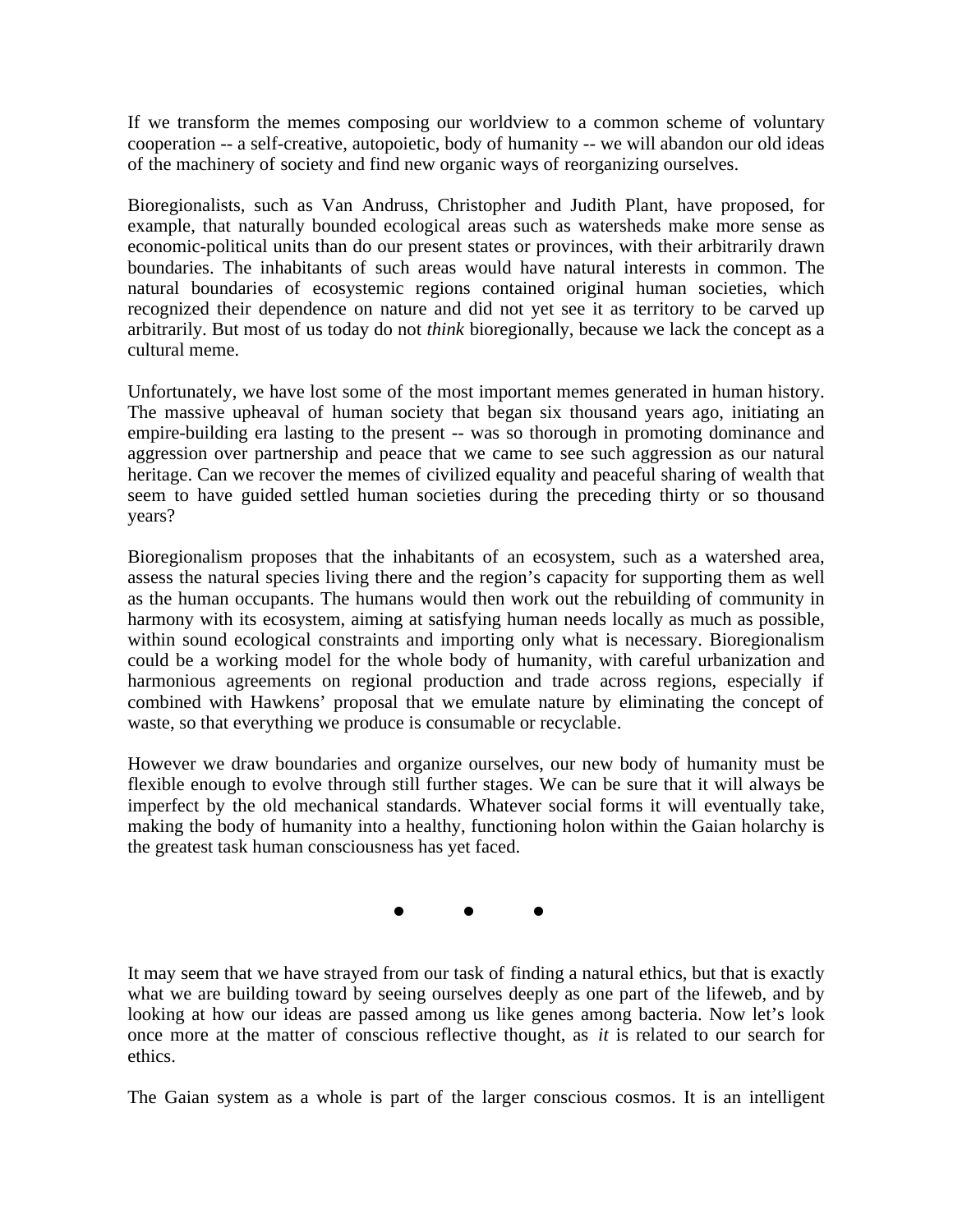If we transform the memes composing our worldview to a common scheme of voluntary cooperation -- a self-creative, autopoietic, body of humanity -- we will abandon our old ideas of the machinery of society and find new organic ways of reorganizing ourselves.

Bioregionalists, such as Van Andruss, Christopher and Judith Plant, have proposed, for example, that naturally bounded ecological areas such as watersheds make more sense as economic-political units than do our present states or provinces, with their arbitrarily drawn boundaries. The inhabitants of such areas would have natural interests in common. The natural boundaries of ecosystemic regions contained original human societies, which recognized their dependence on nature and did not yet see it as territory to be carved up arbitrarily. But most of us today do not *think* bioregionally, because we lack the concept as a cultural meme.

Unfortunately, we have lost some of the most important memes generated in human history. The massive upheaval of human society that began six thousand years ago, initiating an empire-building era lasting to the present -- was so thorough in promoting dominance and aggression over partnership and peace that we came to see such aggression as our natural heritage. Can we recover the memes of civilized equality and peaceful sharing of wealth that seem to have guided settled human societies during the preceding thirty or so thousand years?

Bioregionalism proposes that the inhabitants of an ecosystem, such as a watershed area, assess the natural species living there and the region's capacity for supporting them as well as the human occupants. The humans would then work out the rebuilding of community in harmony with its ecosystem, aiming at satisfying human needs locally as much as possible, within sound ecological constraints and importing only what is necessary. Bioregionalism could be a working model for the whole body of humanity, with careful urbanization and harmonious agreements on regional production and trade across regions, especially if combined with Hawkens' proposal that we emulate nature by eliminating the concept of waste, so that everything we produce is consumable or recyclable.

However we draw boundaries and organize ourselves, our new body of humanity must be flexible enough to evolve through still further stages. We can be sure that it will always be imperfect by the old mechanical standards. Whatever social forms it will eventually take, making the body of humanity into a healthy, functioning holon within the Gaian holarchy is the greatest task human consciousness has yet faced.

**· · ·** 

It may seem that we have strayed from our task of finding a natural ethics, but that is exactly what we are building toward by seeing ourselves deeply as one part of the lifeweb, and by looking at how our ideas are passed among us like genes among bacteria. Now let's look once more at the matter of conscious reflective thought, as *it* is related to our search for ethics.

The Gaian system as a whole is part of the larger conscious cosmos. It is an intelligent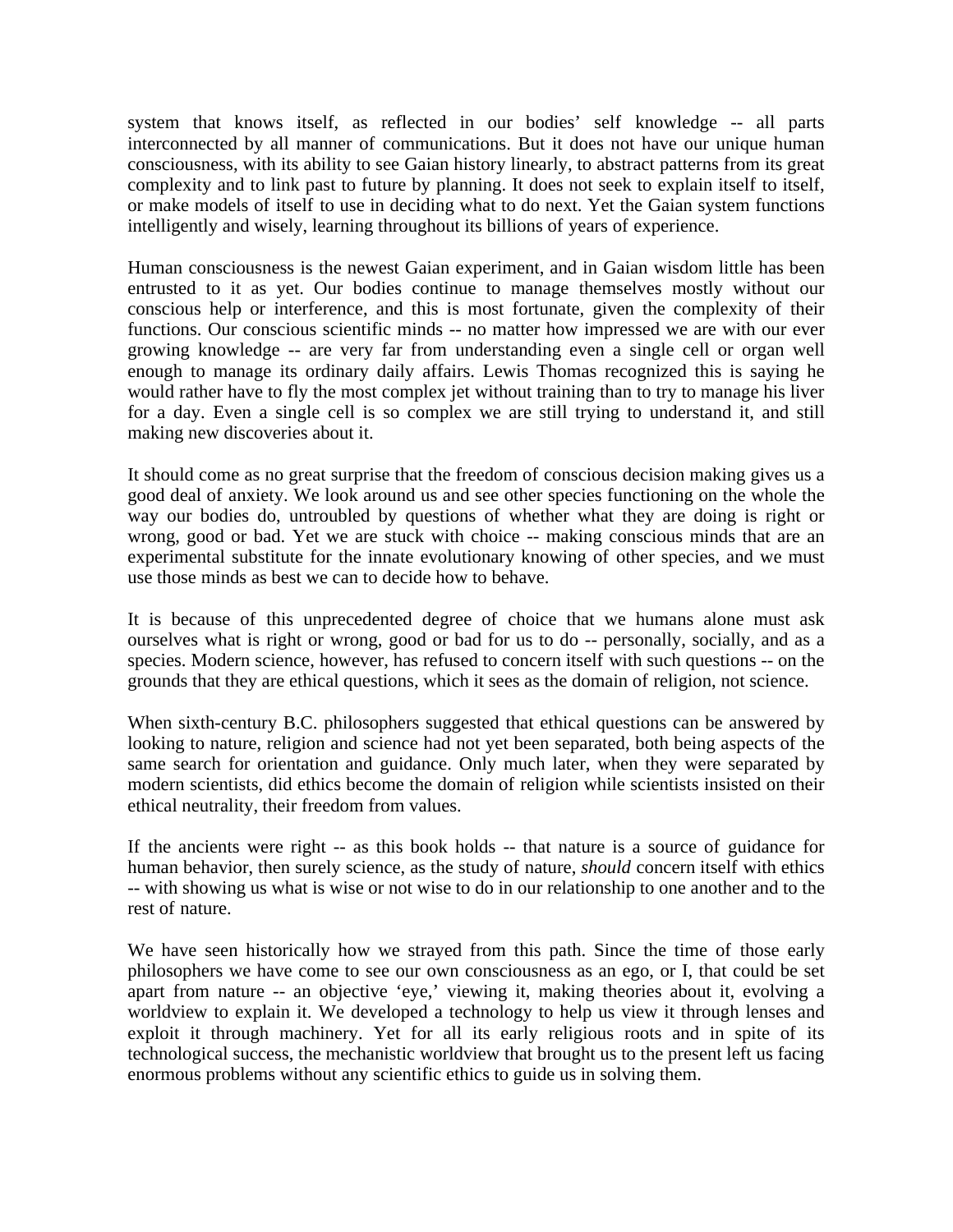system that knows itself, as reflected in our bodies' self knowledge -- all parts interconnected by all manner of communications. But it does not have our unique human consciousness, with its ability to see Gaian history linearly, to abstract patterns from its great complexity and to link past to future by planning. It does not seek to explain itself to itself, or make models of itself to use in deciding what to do next. Yet the Gaian system functions intelligently and wisely, learning throughout its billions of years of experience.

Human consciousness is the newest Gaian experiment, and in Gaian wisdom little has been entrusted to it as yet. Our bodies continue to manage themselves mostly without our conscious help or interference, and this is most fortunate, given the complexity of their functions. Our conscious scientific minds -- no matter how impressed we are with our ever growing knowledge -- are very far from understanding even a single cell or organ well enough to manage its ordinary daily affairs. Lewis Thomas recognized this is saying he would rather have to fly the most complex jet without training than to try to manage his liver for a day. Even a single cell is so complex we are still trying to understand it, and still making new discoveries about it.

It should come as no great surprise that the freedom of conscious decision making gives us a good deal of anxiety. We look around us and see other species functioning on the whole the way our bodies do, untroubled by questions of whether what they are doing is right or wrong, good or bad. Yet we are stuck with choice -- making conscious minds that are an experimental substitute for the innate evolutionary knowing of other species, and we must use those minds as best we can to decide how to behave.

It is because of this unprecedented degree of choice that we humans alone must ask ourselves what is right or wrong, good or bad for us to do -- personally, socially, and as a species. Modern science, however, has refused to concern itself with such questions -- on the grounds that they are ethical questions, which it sees as the domain of religion, not science.

When sixth-century B.C. philosophers suggested that ethical questions can be answered by looking to nature, religion and science had not yet been separated, both being aspects of the same search for orientation and guidance. Only much later, when they were separated by modern scientists, did ethics become the domain of religion while scientists insisted on their ethical neutrality, their freedom from values.

If the ancients were right -- as this book holds -- that nature is a source of guidance for human behavior, then surely science, as the study of nature, *should* concern itself with ethics -- with showing us what is wise or not wise to do in our relationship to one another and to the rest of nature.

We have seen historically how we strayed from this path. Since the time of those early philosophers we have come to see our own consciousness as an ego, or I, that could be set apart from nature -- an objective 'eye,' viewing it, making theories about it, evolving a worldview to explain it. We developed a technology to help us view it through lenses and exploit it through machinery. Yet for all its early religious roots and in spite of its technological success, the mechanistic worldview that brought us to the present left us facing enormous problems without any scientific ethics to guide us in solving them.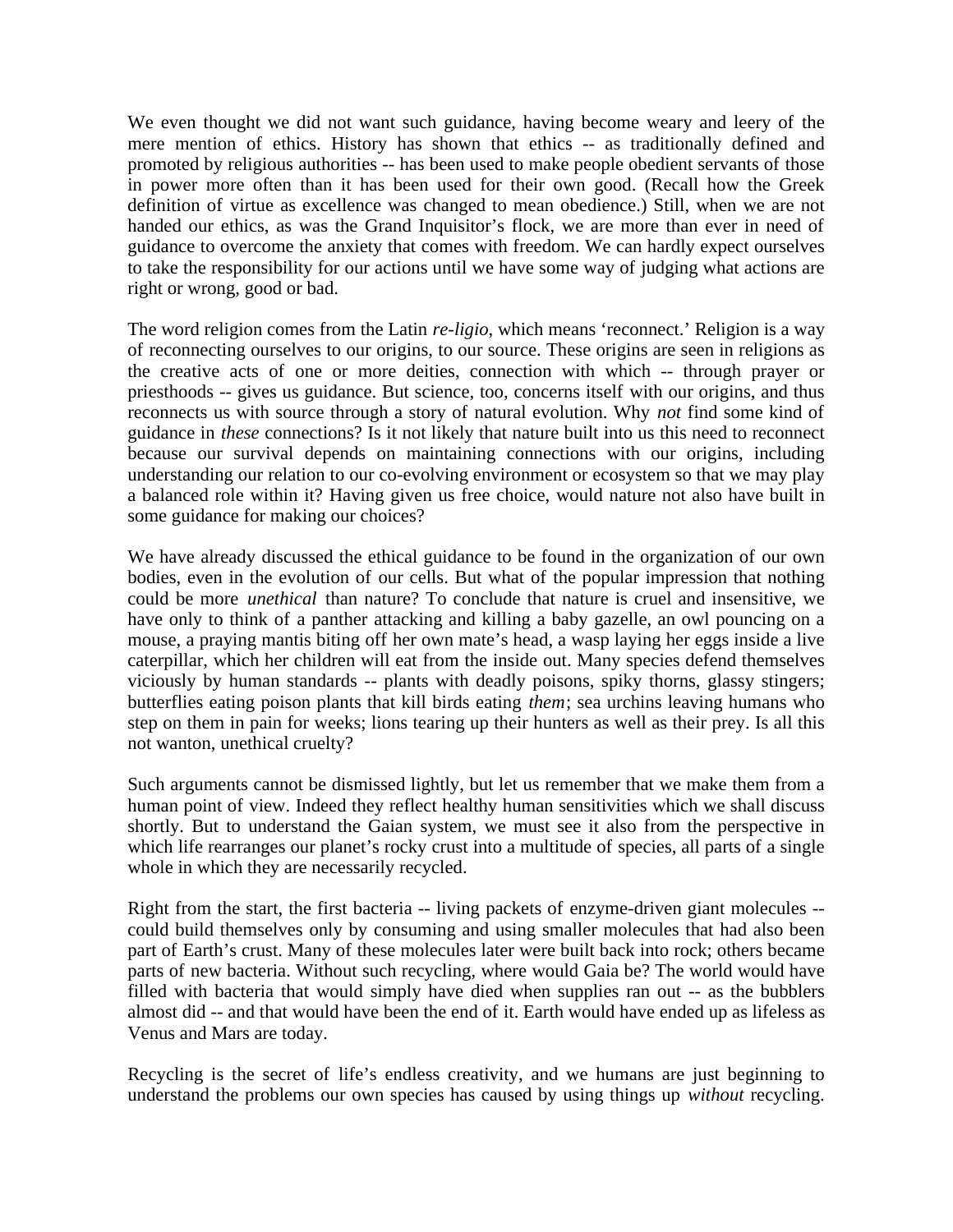We even thought we did not want such guidance, having become weary and leery of the mere mention of ethics. History has shown that ethics -- as traditionally defined and promoted by religious authorities -- has been used to make people obedient servants of those in power more often than it has been used for their own good. (Recall how the Greek definition of virtue as excellence was changed to mean obedience.) Still, when we are not handed our ethics, as was the Grand Inquisitor's flock, we are more than ever in need of guidance to overcome the anxiety that comes with freedom. We can hardly expect ourselves to take the responsibility for our actions until we have some way of judging what actions are right or wrong, good or bad.

The word religion comes from the Latin *re-ligio*, which means 'reconnect.' Religion is a way of reconnecting ourselves to our origins, to our source. These origins are seen in religions as the creative acts of one or more deities, connection with which -- through prayer or priesthoods -- gives us guidance. But science, too, concerns itself with our origins, and thus reconnects us with source through a story of natural evolution. Why *not* find some kind of guidance in *these* connections? Is it not likely that nature built into us this need to reconnect because our survival depends on maintaining connections with our origins, including understanding our relation to our co-evolving environment or ecosystem so that we may play a balanced role within it? Having given us free choice, would nature not also have built in some guidance for making our choices?

We have already discussed the ethical guidance to be found in the organization of our own bodies, even in the evolution of our cells. But what of the popular impression that nothing could be more *unethical* than nature? To conclude that nature is cruel and insensitive, we have only to think of a panther attacking and killing a baby gazelle, an owl pouncing on a mouse, a praying mantis biting off her own mate's head, a wasp laying her eggs inside a live caterpillar, which her children will eat from the inside out. Many species defend themselves viciously by human standards -- plants with deadly poisons, spiky thorns, glassy stingers; butterflies eating poison plants that kill birds eating *them*; sea urchins leaving humans who step on them in pain for weeks; lions tearing up their hunters as well as their prey. Is all this not wanton, unethical cruelty?

Such arguments cannot be dismissed lightly, but let us remember that we make them from a human point of view. Indeed they reflect healthy human sensitivities which we shall discuss shortly. But to understand the Gaian system, we must see it also from the perspective in which life rearranges our planet's rocky crust into a multitude of species, all parts of a single whole in which they are necessarily recycled.

Right from the start, the first bacteria -- living packets of enzyme-driven giant molecules - could build themselves only by consuming and using smaller molecules that had also been part of Earth's crust. Many of these molecules later were built back into rock; others became parts of new bacteria. Without such recycling, where would Gaia be? The world would have filled with bacteria that would simply have died when supplies ran out -- as the bubblers almost did -- and that would have been the end of it. Earth would have ended up as lifeless as Venus and Mars are today.

Recycling is the secret of life's endless creativity, and we humans are just beginning to understand the problems our own species has caused by using things up *without* recycling.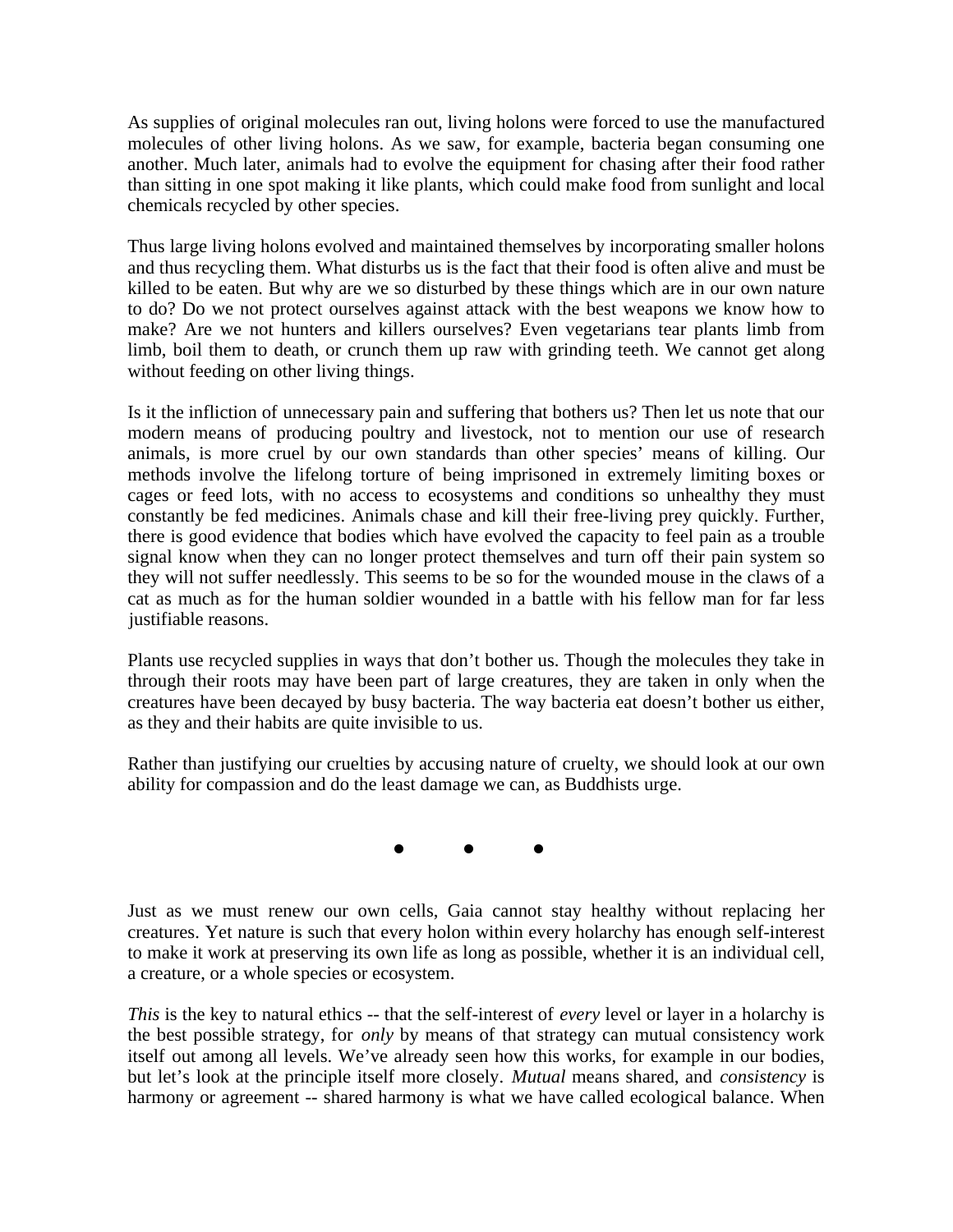As supplies of original molecules ran out, living holons were forced to use the manufactured molecules of other living holons. As we saw, for example, bacteria began consuming one another. Much later, animals had to evolve the equipment for chasing after their food rather than sitting in one spot making it like plants, which could make food from sunlight and local chemicals recycled by other species.

Thus large living holons evolved and maintained themselves by incorporating smaller holons and thus recycling them. What disturbs us is the fact that their food is often alive and must be killed to be eaten. But why are we so disturbed by these things which are in our own nature to do? Do we not protect ourselves against attack with the best weapons we know how to make? Are we not hunters and killers ourselves? Even vegetarians tear plants limb from limb, boil them to death, or crunch them up raw with grinding teeth. We cannot get along without feeding on other living things.

Is it the infliction of unnecessary pain and suffering that bothers us? Then let us note that our modern means of producing poultry and livestock, not to mention our use of research animals, is more cruel by our own standards than other species' means of killing. Our methods involve the lifelong torture of being imprisoned in extremely limiting boxes or cages or feed lots, with no access to ecosystems and conditions so unhealthy they must constantly be fed medicines. Animals chase and kill their free-living prey quickly. Further, there is good evidence that bodies which have evolved the capacity to feel pain as a trouble signal know when they can no longer protect themselves and turn off their pain system so they will not suffer needlessly. This seems to be so for the wounded mouse in the claws of a cat as much as for the human soldier wounded in a battle with his fellow man for far less justifiable reasons.

Plants use recycled supplies in ways that don't bother us. Though the molecules they take in through their roots may have been part of large creatures, they are taken in only when the creatures have been decayed by busy bacteria. The way bacteria eat doesn't bother us either, as they and their habits are quite invisible to us.

Rather than justifying our cruelties by accusing nature of cruelty, we should look at our own ability for compassion and do the least damage we can, as Buddhists urge.

**· · ·** 

Just as we must renew our own cells, Gaia cannot stay healthy without replacing her creatures. Yet nature is such that every holon within every holarchy has enough self-interest to make it work at preserving its own life as long as possible, whether it is an individual cell, a creature, or a whole species or ecosystem.

*This* is the key to natural ethics -- that the self-interest of *every* level or layer in a holarchy is the best possible strategy, for *only* by means of that strategy can mutual consistency work itself out among all levels. We've already seen how this works, for example in our bodies, but let's look at the principle itself more closely. *Mutual* means shared, and *consistency* is harmony or agreement -- shared harmony is what we have called ecological balance. When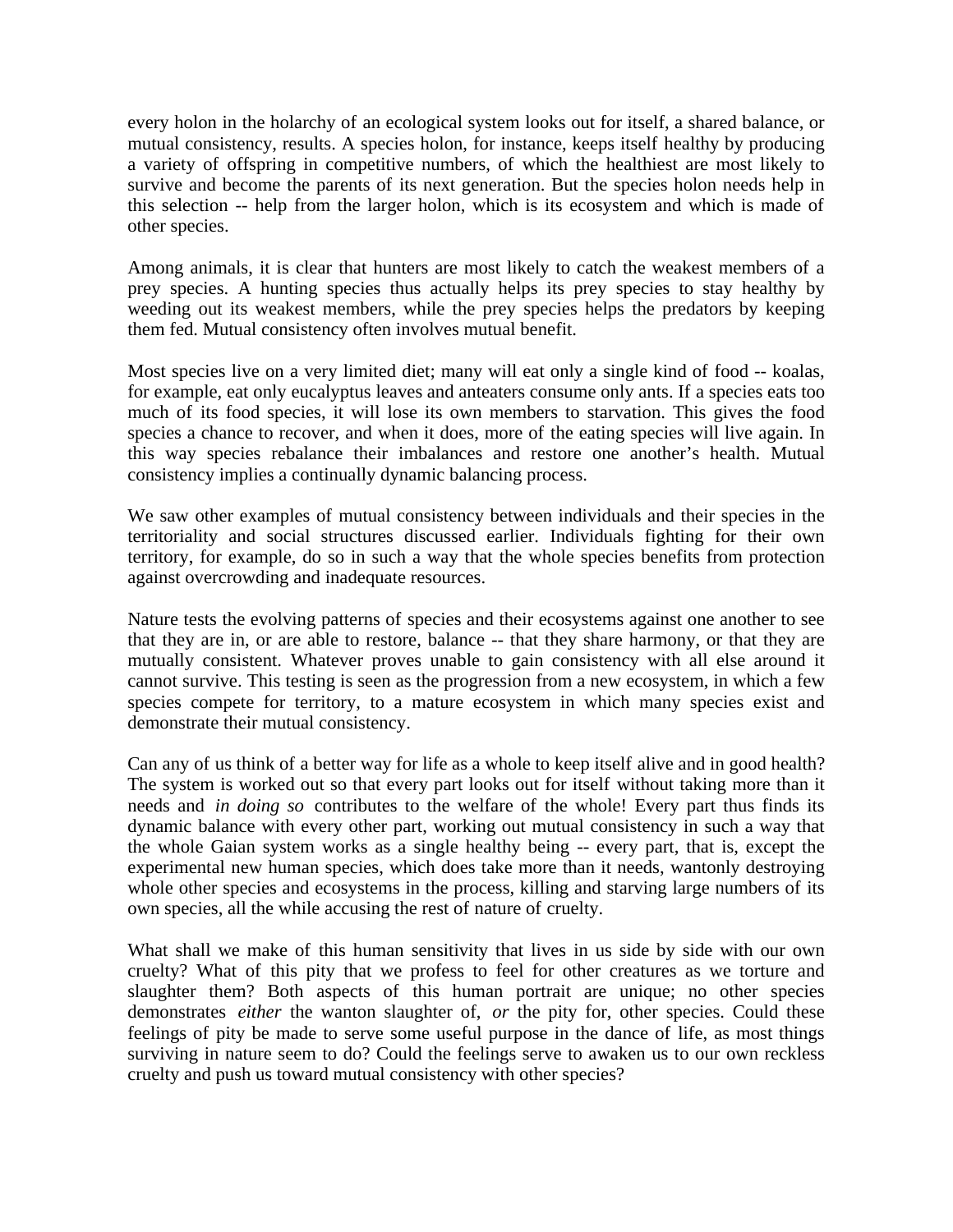every holon in the holarchy of an ecological system looks out for itself, a shared balance, or mutual consistency, results. A species holon, for instance, keeps itself healthy by producing a variety of offspring in competitive numbers, of which the healthiest are most likely to survive and become the parents of its next generation. But the species holon needs help in this selection -- help from the larger holon, which is its ecosystem and which is made of other species.

Among animals, it is clear that hunters are most likely to catch the weakest members of a prey species. A hunting species thus actually helps its prey species to stay healthy by weeding out its weakest members, while the prey species helps the predators by keeping them fed. Mutual consistency often involves mutual benefit.

Most species live on a very limited diet; many will eat only a single kind of food -- koalas, for example, eat only eucalyptus leaves and anteaters consume only ants. If a species eats too much of its food species, it will lose its own members to starvation. This gives the food species a chance to recover, and when it does, more of the eating species will live again. In this way species rebalance their imbalances and restore one another's health. Mutual consistency implies a continually dynamic balancing process.

We saw other examples of mutual consistency between individuals and their species in the territoriality and social structures discussed earlier. Individuals fighting for their own territory, for example, do so in such a way that the whole species benefits from protection against overcrowding and inadequate resources.

Nature tests the evolving patterns of species and their ecosystems against one another to see that they are in, or are able to restore, balance -- that they share harmony, or that they are mutually consistent. Whatever proves unable to gain consistency with all else around it cannot survive. This testing is seen as the progression from a new ecosystem, in which a few species compete for territory, to a mature ecosystem in which many species exist and demonstrate their mutual consistency.

Can any of us think of a better way for life as a whole to keep itself alive and in good health? The system is worked out so that every part looks out for itself without taking more than it needs and *in doing so* contributes to the welfare of the whole! Every part thus finds its dynamic balance with every other part, working out mutual consistency in such a way that the whole Gaian system works as a single healthy being -- every part, that is, except the experimental new human species, which does take more than it needs, wantonly destroying whole other species and ecosystems in the process, killing and starving large numbers of its own species, all the while accusing the rest of nature of cruelty.

What shall we make of this human sensitivity that lives in us side by side with our own cruelty? What of this pity that we profess to feel for other creatures as we torture and slaughter them? Both aspects of this human portrait are unique; no other species demonstrates *either* the wanton slaughter of, *or* the pity for, other species. Could these feelings of pity be made to serve some useful purpose in the dance of life, as most things surviving in nature seem to do? Could the feelings serve to awaken us to our own reckless cruelty and push us toward mutual consistency with other species?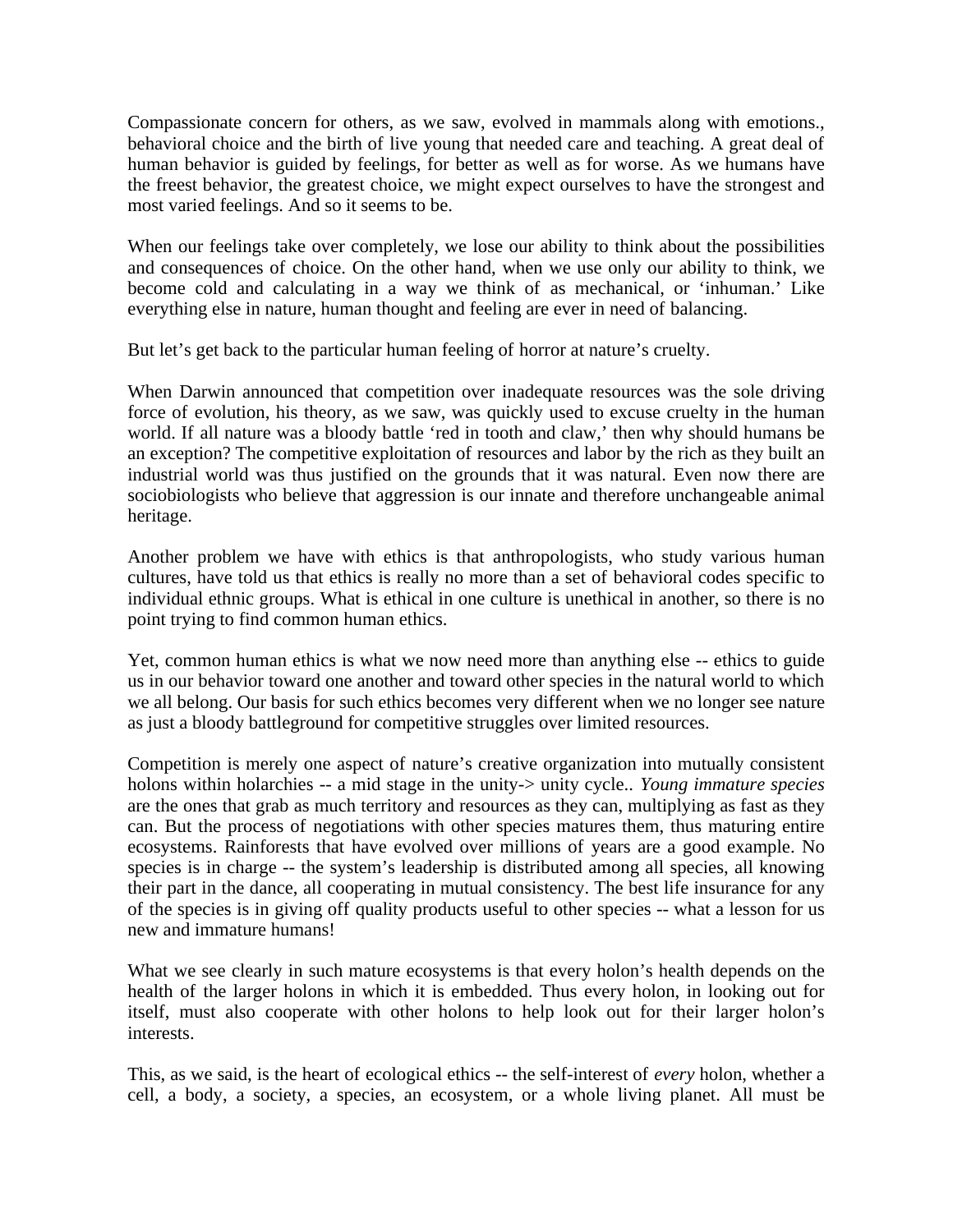Compassionate concern for others, as we saw, evolved in mammals along with emotions., behavioral choice and the birth of live young that needed care and teaching. A great deal of human behavior is guided by feelings, for better as well as for worse. As we humans have the freest behavior, the greatest choice, we might expect ourselves to have the strongest and most varied feelings. And so it seems to be.

When our feelings take over completely, we lose our ability to think about the possibilities and consequences of choice. On the other hand, when we use only our ability to think, we become cold and calculating in a way we think of as mechanical, or 'inhuman.' Like everything else in nature, human thought and feeling are ever in need of balancing.

But let's get back to the particular human feeling of horror at nature's cruelty.

When Darwin announced that competition over inadequate resources was the sole driving force of evolution, his theory, as we saw, was quickly used to excuse cruelty in the human world. If all nature was a bloody battle 'red in tooth and claw,' then why should humans be an exception? The competitive exploitation of resources and labor by the rich as they built an industrial world was thus justified on the grounds that it was natural. Even now there are sociobiologists who believe that aggression is our innate and therefore unchangeable animal heritage.

Another problem we have with ethics is that anthropologists, who study various human cultures, have told us that ethics is really no more than a set of behavioral codes specific to individual ethnic groups. What is ethical in one culture is unethical in another, so there is no point trying to find common human ethics.

Yet, common human ethics is what we now need more than anything else -- ethics to guide us in our behavior toward one another and toward other species in the natural world to which we all belong. Our basis for such ethics becomes very different when we no longer see nature as just a bloody battleground for competitive struggles over limited resources.

Competition is merely one aspect of nature's creative organization into mutually consistent holons within holarchies -- a mid stage in the unity-> unity cycle.. *Young immature species* are the ones that grab as much territory and resources as they can, multiplying as fast as they can. But the process of negotiations with other species matures them, thus maturing entire ecosystems. Rainforests that have evolved over millions of years are a good example. No species is in charge -- the system's leadership is distributed among all species, all knowing their part in the dance, all cooperating in mutual consistency. The best life insurance for any of the species is in giving off quality products useful to other species -- what a lesson for us new and immature humans!

What we see clearly in such mature ecosystems is that every holon's health depends on the health of the larger holons in which it is embedded. Thus every holon, in looking out for itself, must also cooperate with other holons to help look out for their larger holon's interests.

This, as we said, is the heart of ecological ethics -- the self-interest of *every* holon, whether a cell, a body, a society, a species, an ecosystem, or a whole living planet. All must be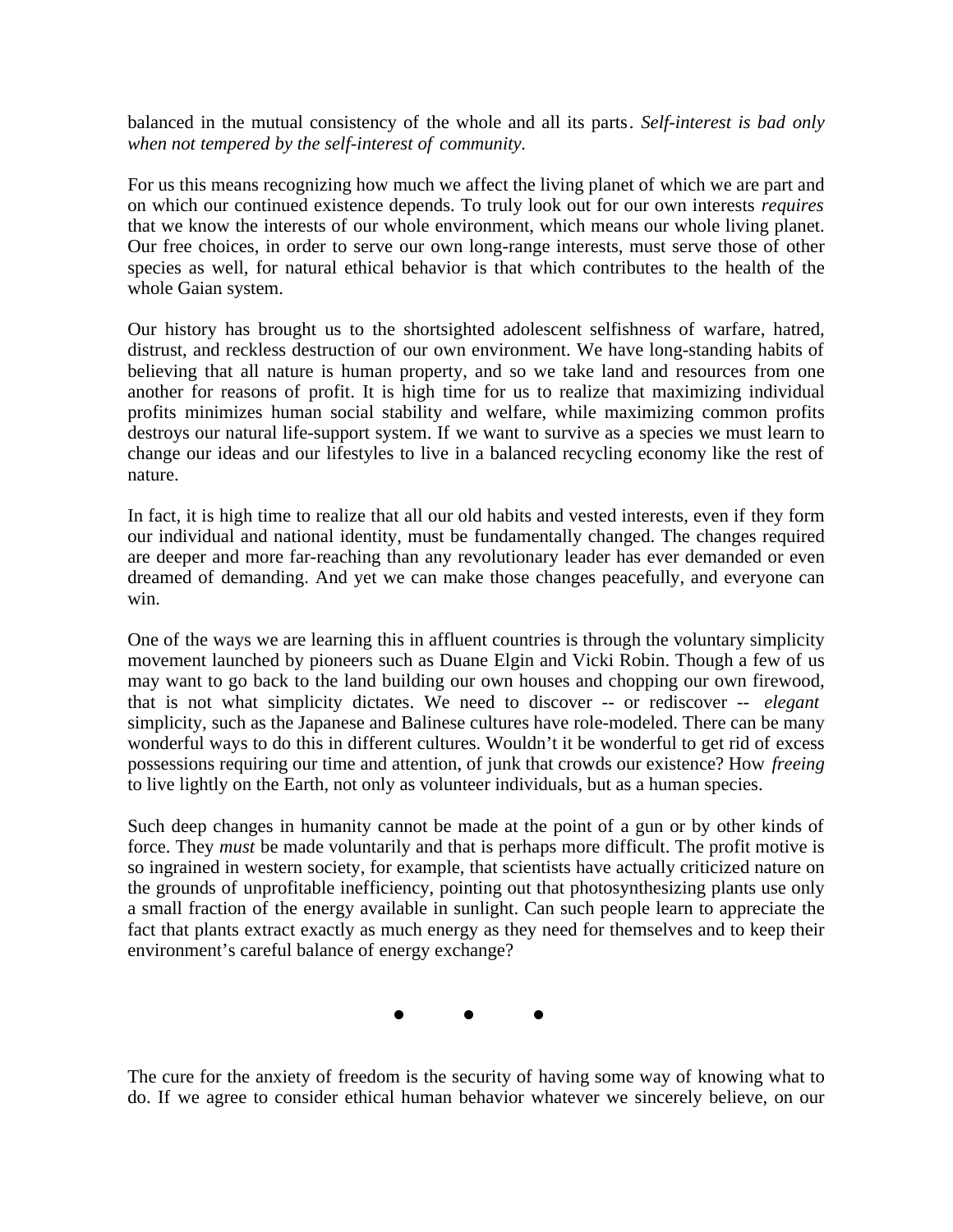balanced in the mutual consistency of the whole and all its parts*. Self-interest is bad only when not tempered by the self-interest of community.*

For us this means recognizing how much we affect the living planet of which we are part and on which our continued existence depends. To truly look out for our own interests *requires* that we know the interests of our whole environment, which means our whole living planet. Our free choices, in order to serve our own long-range interests, must serve those of other species as well, for natural ethical behavior is that which contributes to the health of the whole Gaian system.

Our history has brought us to the shortsighted adolescent selfishness of warfare, hatred, distrust, and reckless destruction of our own environment. We have long-standing habits of believing that all nature is human property, and so we take land and resources from one another for reasons of profit. It is high time for us to realize that maximizing individual profits minimizes human social stability and welfare, while maximizing common profits destroys our natural life-support system. If we want to survive as a species we must learn to change our ideas and our lifestyles to live in a balanced recycling economy like the rest of nature.

In fact, it is high time to realize that all our old habits and vested interests, even if they form our individual and national identity, must be fundamentally changed. The changes required are deeper and more far-reaching than any revolutionary leader has ever demanded or even dreamed of demanding. And yet we can make those changes peacefully, and everyone can win.

One of the ways we are learning this in affluent countries is through the voluntary simplicity movement launched by pioneers such as Duane Elgin and Vicki Robin. Though a few of us may want to go back to the land building our own houses and chopping our own firewood, that is not what simplicity dictates. We need to discover -- or rediscover -- *elegant* simplicity, such as the Japanese and Balinese cultures have role-modeled. There can be many wonderful ways to do this in different cultures. Wouldn't it be wonderful to get rid of excess possessions requiring our time and attention, of junk that crowds our existence? How *freeing* to live lightly on the Earth, not only as volunteer individuals, but as a human species.

Such deep changes in humanity cannot be made at the point of a gun or by other kinds of force. They *must* be made voluntarily and that is perhaps more difficult. The profit motive is so ingrained in western society, for example, that scientists have actually criticized nature on the grounds of unprofitable inefficiency, pointing out that photosynthesizing plants use only a small fraction of the energy available in sunlight. Can such people learn to appreciate the fact that plants extract exactly as much energy as they need for themselves and to keep their environment's careful balance of energy exchange?

**· · ·** 

The cure for the anxiety of freedom is the security of having some way of knowing what to do. If we agree to consider ethical human behavior whatever we sincerely believe, on our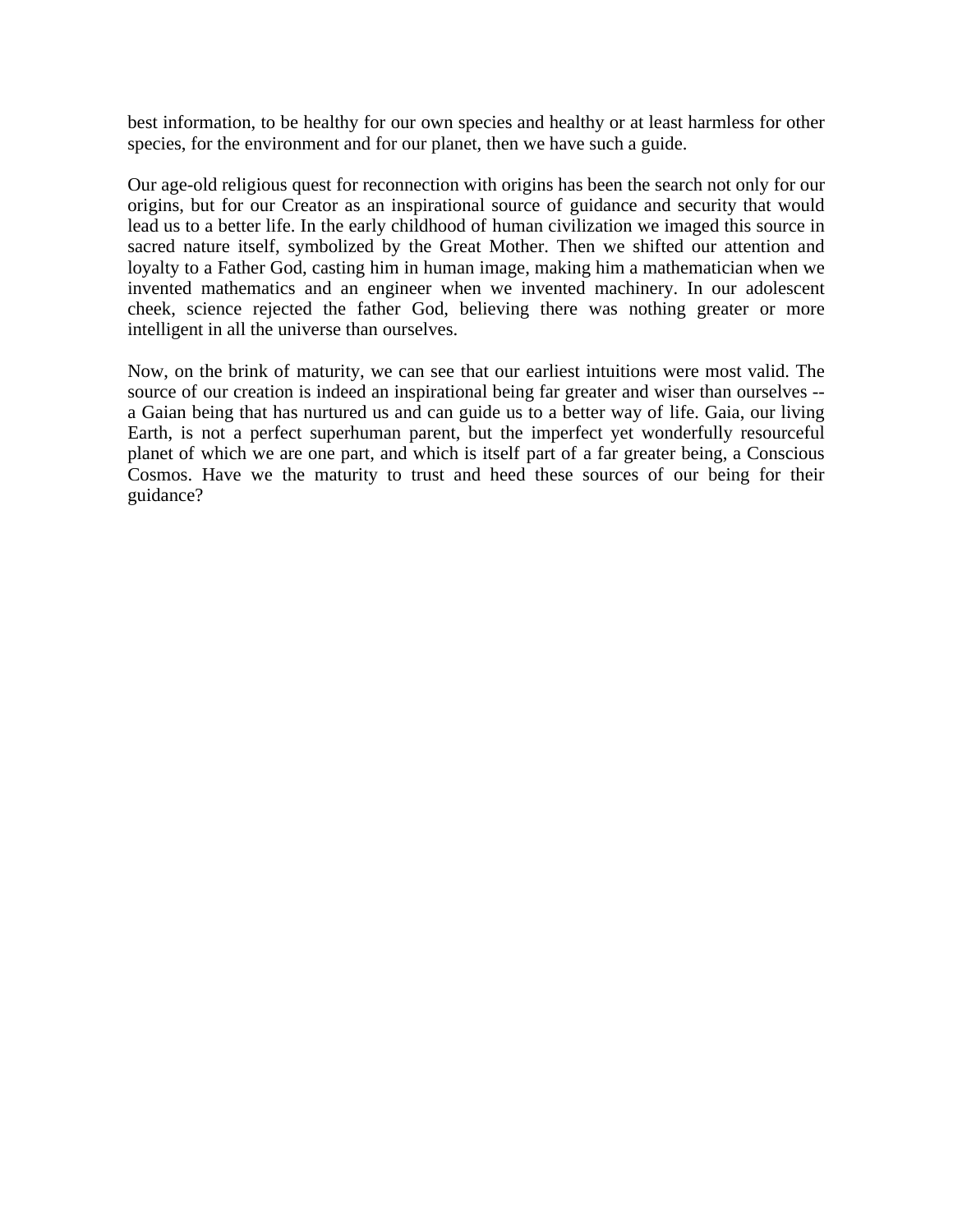best information, to be healthy for our own species and healthy or at least harmless for other species, for the environment and for our planet, then we have such a guide.

Our age-old religious quest for reconnection with origins has been the search not only for our origins, but for our Creator as an inspirational source of guidance and security that would lead us to a better life. In the early childhood of human civilization we imaged this source in sacred nature itself, symbolized by the Great Mother. Then we shifted our attention and loyalty to a Father God, casting him in human image, making him a mathematician when we invented mathematics and an engineer when we invented machinery. In our adolescent cheek, science rejected the father God, believing there was nothing greater or more intelligent in all the universe than ourselves.

Now, on the brink of maturity, we can see that our earliest intuitions were most valid. The source of our creation is indeed an inspirational being far greater and wiser than ourselves - a Gaian being that has nurtured us and can guide us to a better way of life. Gaia, our living Earth, is not a perfect superhuman parent, but the imperfect yet wonderfully resourceful planet of which we are one part, and which is itself part of a far greater being, a Conscious Cosmos. Have we the maturity to trust and heed these sources of our being for their guidance?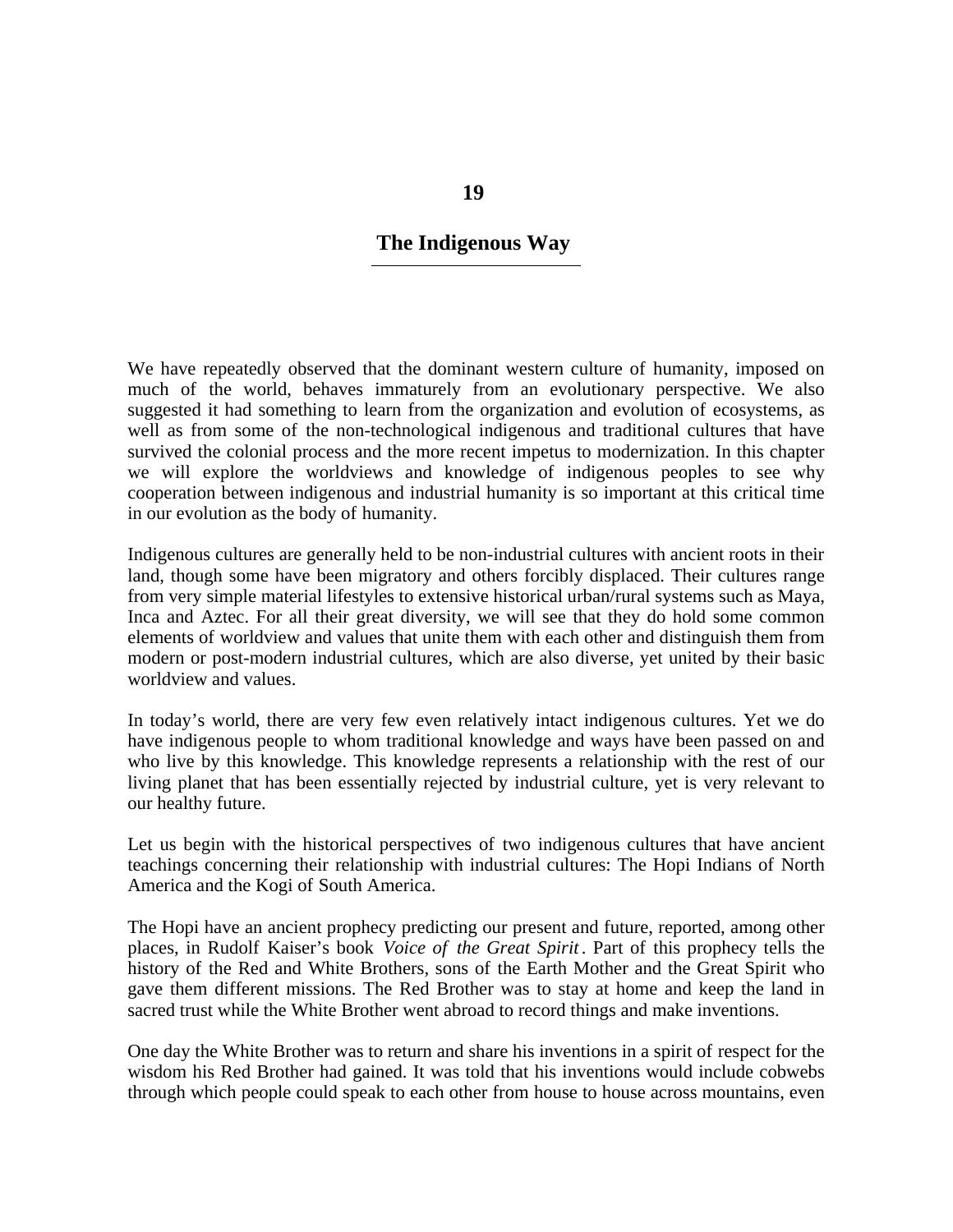# **The Indigenous Way**

We have repeatedly observed that the dominant western culture of humanity, imposed on much of the world, behaves immaturely from an evolutionary perspective. We also suggested it had something to learn from the organization and evolution of ecosystems, as well as from some of the non-technological indigenous and traditional cultures that have survived the colonial process and the more recent impetus to modernization. In this chapter we will explore the worldviews and knowledge of indigenous peoples to see why cooperation between indigenous and industrial humanity is so important at this critical time in our evolution as the body of humanity.

Indigenous cultures are generally held to be non-industrial cultures with ancient roots in their land, though some have been migratory and others forcibly displaced. Their cultures range from very simple material lifestyles to extensive historical urban/rural systems such as Maya, Inca and Aztec. For all their great diversity, we will see that they do hold some common elements of worldview and values that unite them with each other and distinguish them from modern or post-modern industrial cultures, which are also diverse, yet united by their basic worldview and values.

In today's world, there are very few even relatively intact indigenous cultures. Yet we do have indigenous people to whom traditional knowledge and ways have been passed on and who live by this knowledge. This knowledge represents a relationship with the rest of our living planet that has been essentially rejected by industrial culture, yet is very relevant to our healthy future.

Let us begin with the historical perspectives of two indigenous cultures that have ancient teachings concerning their relationship with industrial cultures: The Hopi Indians of North America and the Kogi of South America.

The Hopi have an ancient prophecy predicting our present and future, reported, among other places, in Rudolf Kaiser's book *Voice of the Great Spirit*. Part of this prophecy tells the history of the Red and White Brothers, sons of the Earth Mother and the Great Spirit who gave them different missions. The Red Brother was to stay at home and keep the land in sacred trust while the White Brother went abroad to record things and make inventions.

One day the White Brother was to return and share his inventions in a spirit of respect for the wisdom his Red Brother had gained. It was told that his inventions would include cobwebs through which people could speak to each other from house to house across mountains, even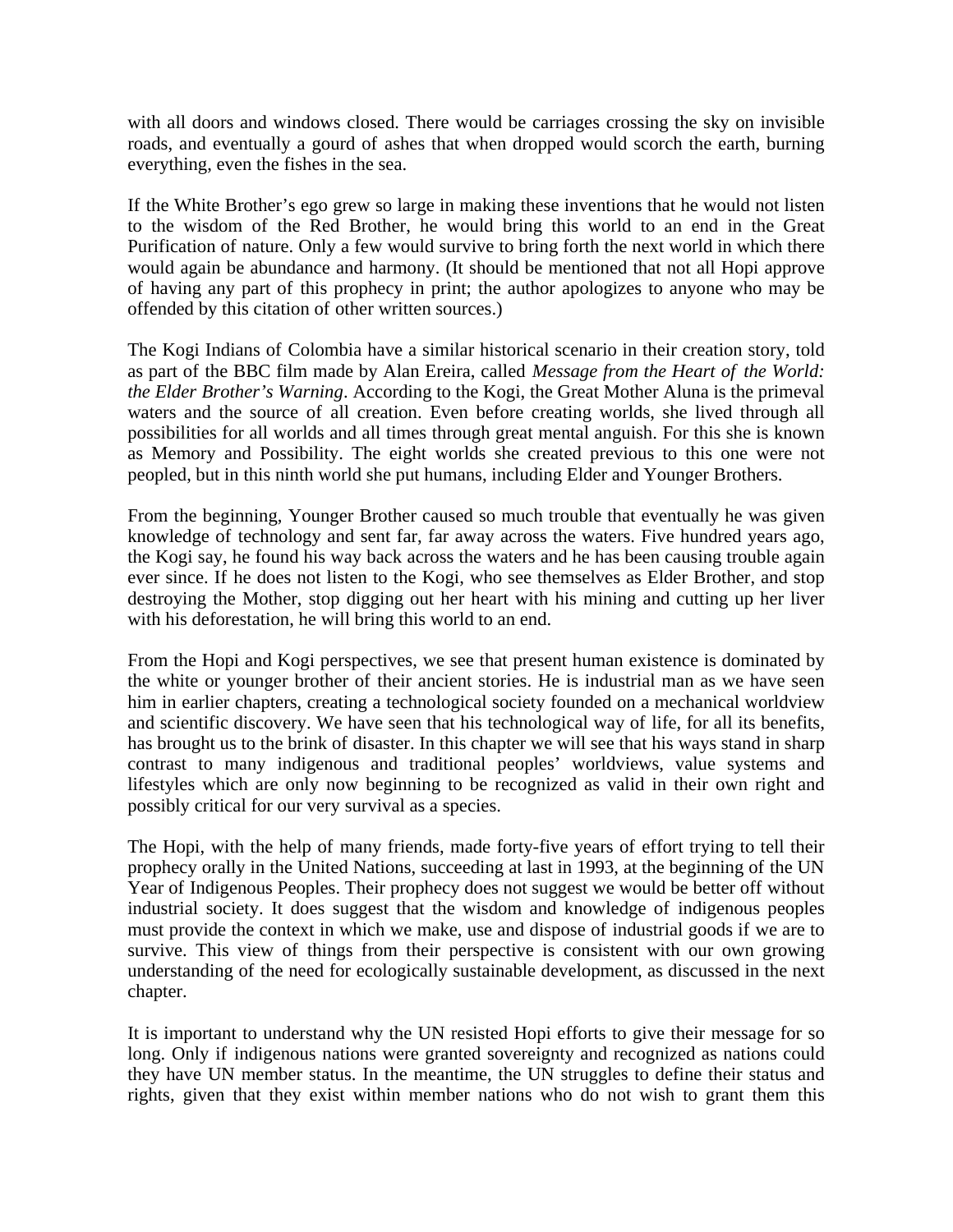with all doors and windows closed. There would be carriages crossing the sky on invisible roads, and eventually a gourd of ashes that when dropped would scorch the earth, burning everything, even the fishes in the sea.

If the White Brother's ego grew so large in making these inventions that he would not listen to the wisdom of the Red Brother, he would bring this world to an end in the Great Purification of nature. Only a few would survive to bring forth the next world in which there would again be abundance and harmony. (It should be mentioned that not all Hopi approve of having any part of this prophecy in print; the author apologizes to anyone who may be offended by this citation of other written sources.)

The Kogi Indians of Colombia have a similar historical scenario in their creation story, told as part of the BBC film made by Alan Ereira, called *Message from the Heart of the World: the Elder Brother's Warning*. According to the Kogi, the Great Mother Aluna is the primeval waters and the source of all creation. Even before creating worlds, she lived through all possibilities for all worlds and all times through great mental anguish. For this she is known as Memory and Possibility. The eight worlds she created previous to this one were not peopled, but in this ninth world she put humans, including Elder and Younger Brothers.

From the beginning, Younger Brother caused so much trouble that eventually he was given knowledge of technology and sent far, far away across the waters. Five hundred years ago, the Kogi say, he found his way back across the waters and he has been causing trouble again ever since. If he does not listen to the Kogi, who see themselves as Elder Brother, and stop destroying the Mother, stop digging out her heart with his mining and cutting up her liver with his deforestation, he will bring this world to an end.

From the Hopi and Kogi perspectives, we see that present human existence is dominated by the white or younger brother of their ancient stories. He is industrial man as we have seen him in earlier chapters, creating a technological society founded on a mechanical worldview and scientific discovery. We have seen that his technological way of life, for all its benefits, has brought us to the brink of disaster. In this chapter we will see that his ways stand in sharp contrast to many indigenous and traditional peoples' worldviews, value systems and lifestyles which are only now beginning to be recognized as valid in their own right and possibly critical for our very survival as a species.

The Hopi, with the help of many friends, made forty-five years of effort trying to tell their prophecy orally in the United Nations, succeeding at last in 1993, at the beginning of the UN Year of Indigenous Peoples. Their prophecy does not suggest we would be better off without industrial society. It does suggest that the wisdom and knowledge of indigenous peoples must provide the context in which we make, use and dispose of industrial goods if we are to survive. This view of things from their perspective is consistent with our own growing understanding of the need for ecologically sustainable development, as discussed in the next chapter.

It is important to understand why the UN resisted Hopi efforts to give their message for so long. Only if indigenous nations were granted sovereignty and recognized as nations could they have UN member status. In the meantime, the UN struggles to define their status and rights, given that they exist within member nations who do not wish to grant them this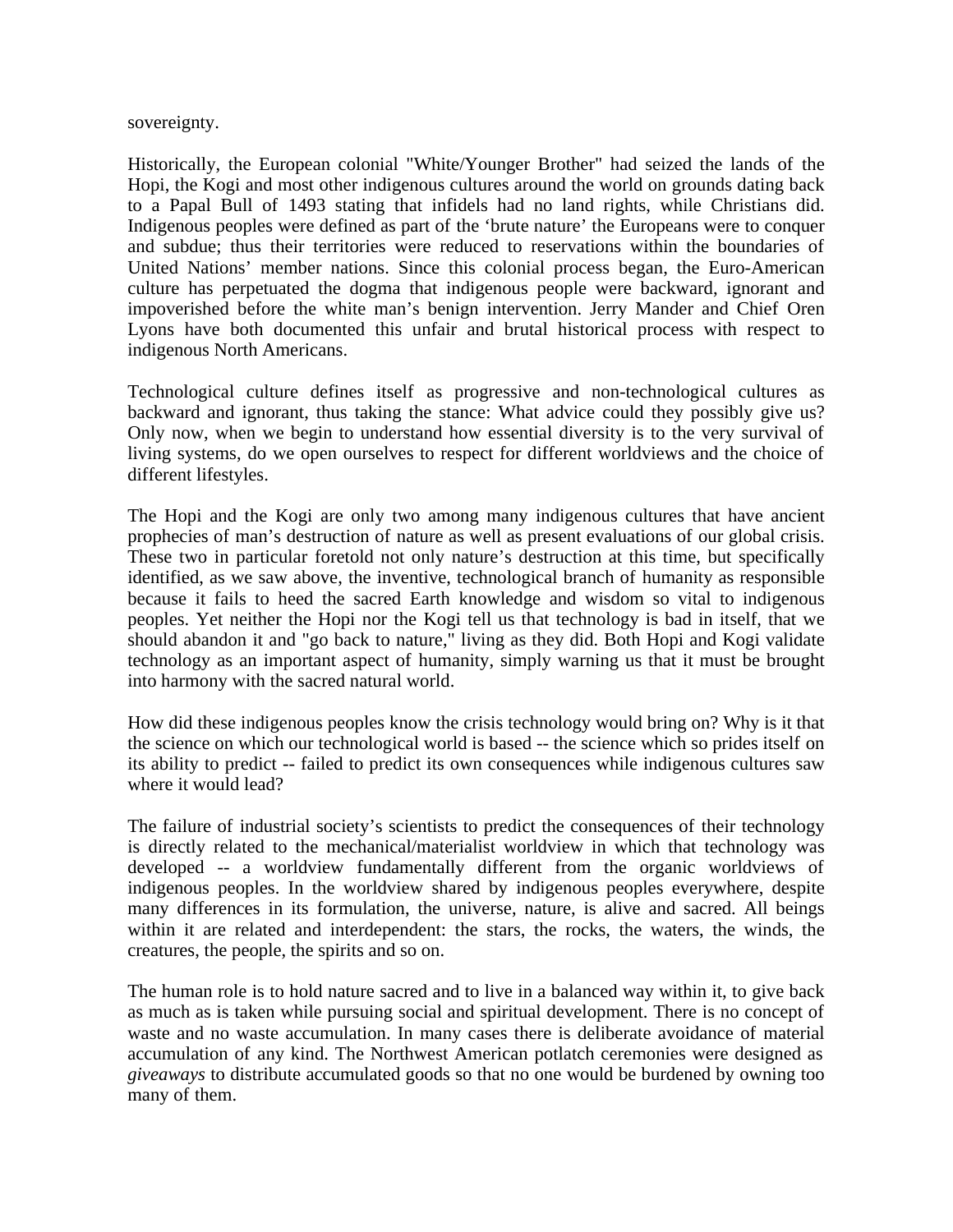sovereignty.

Historically, the European colonial "White/Younger Brother" had seized the lands of the Hopi, the Kogi and most other indigenous cultures around the world on grounds dating back to a Papal Bull of 1493 stating that infidels had no land rights, while Christians did. Indigenous peoples were defined as part of the 'brute nature' the Europeans were to conquer and subdue; thus their territories were reduced to reservations within the boundaries of United Nations' member nations. Since this colonial process began, the Euro-American culture has perpetuated the dogma that indigenous people were backward, ignorant and impoverished before the white man's benign intervention. Jerry Mander and Chief Oren Lyons have both documented this unfair and brutal historical process with respect to indigenous North Americans.

Technological culture defines itself as progressive and non-technological cultures as backward and ignorant, thus taking the stance: What advice could they possibly give us? Only now, when we begin to understand how essential diversity is to the very survival of living systems, do we open ourselves to respect for different worldviews and the choice of different lifestyles.

The Hopi and the Kogi are only two among many indigenous cultures that have ancient prophecies of man's destruction of nature as well as present evaluations of our global crisis. These two in particular foretold not only nature's destruction at this time, but specifically identified, as we saw above, the inventive, technological branch of humanity as responsible because it fails to heed the sacred Earth knowledge and wisdom so vital to indigenous peoples. Yet neither the Hopi nor the Kogi tell us that technology is bad in itself, that we should abandon it and "go back to nature," living as they did. Both Hopi and Kogi validate technology as an important aspect of humanity, simply warning us that it must be brought into harmony with the sacred natural world.

How did these indigenous peoples know the crisis technology would bring on? Why is it that the science on which our technological world is based -- the science which so prides itself on its ability to predict -- failed to predict its own consequences while indigenous cultures saw where it would lead?

The failure of industrial society's scientists to predict the consequences of their technology is directly related to the mechanical/materialist worldview in which that technology was developed -- a worldview fundamentally different from the organic worldviews of indigenous peoples. In the worldview shared by indigenous peoples everywhere, despite many differences in its formulation, the universe, nature, is alive and sacred. All beings within it are related and interdependent: the stars, the rocks, the waters, the winds, the creatures, the people, the spirits and so on.

The human role is to hold nature sacred and to live in a balanced way within it, to give back as much as is taken while pursuing social and spiritual development. There is no concept of waste and no waste accumulation. In many cases there is deliberate avoidance of material accumulation of any kind. The Northwest American potlatch ceremonies were designed as *giveaways* to distribute accumulated goods so that no one would be burdened by owning too many of them.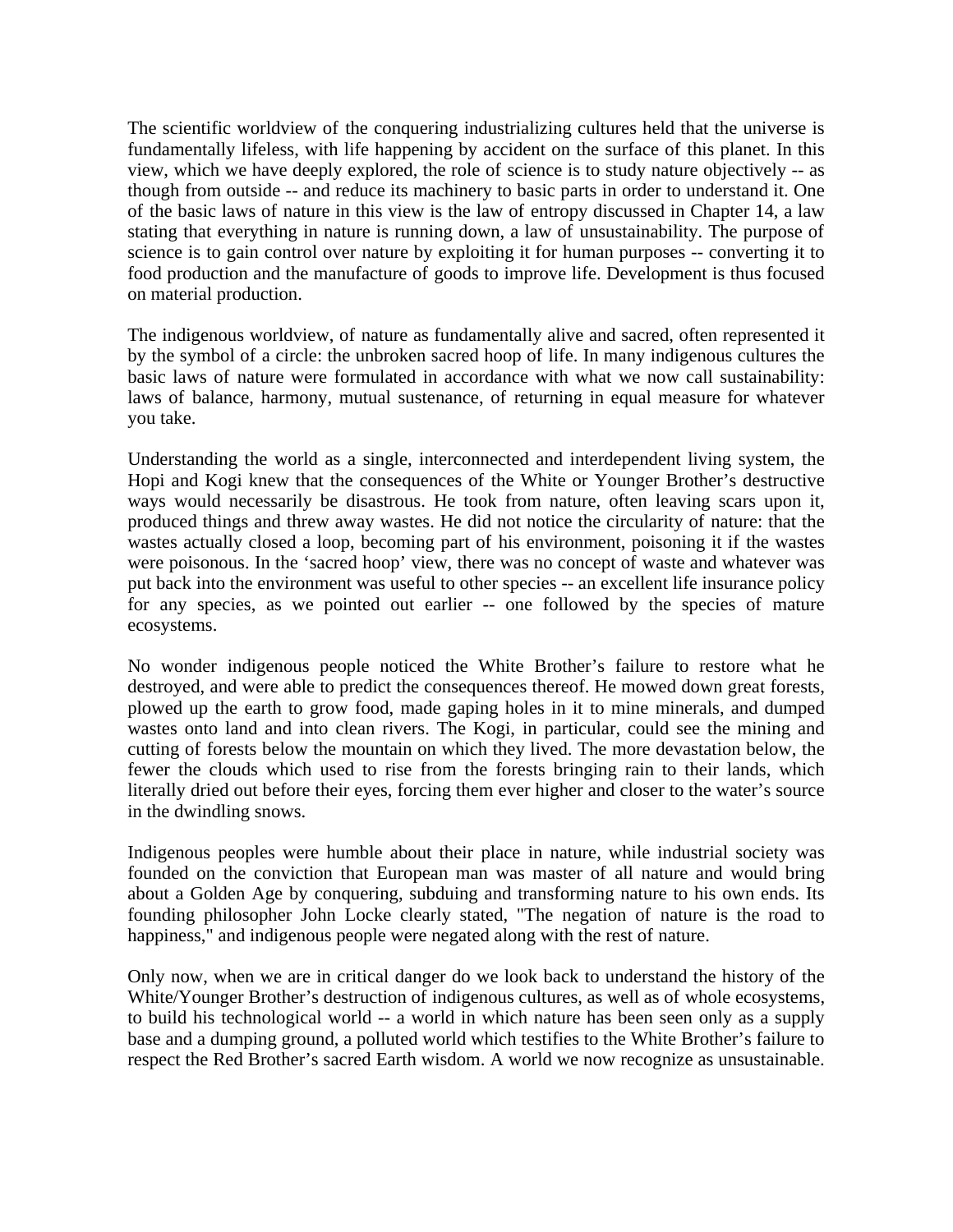The scientific worldview of the conquering industrializing cultures held that the universe is fundamentally lifeless, with life happening by accident on the surface of this planet. In this view, which we have deeply explored, the role of science is to study nature objectively -- as though from outside -- and reduce its machinery to basic parts in order to understand it. One of the basic laws of nature in this view is the law of entropy discussed in Chapter 14, a law stating that everything in nature is running down, a law of unsustainability. The purpose of science is to gain control over nature by exploiting it for human purposes -- converting it to food production and the manufacture of goods to improve life. Development is thus focused on material production.

The indigenous worldview, of nature as fundamentally alive and sacred, often represented it by the symbol of a circle: the unbroken sacred hoop of life. In many indigenous cultures the basic laws of nature were formulated in accordance with what we now call sustainability: laws of balance, harmony, mutual sustenance, of returning in equal measure for whatever you take.

Understanding the world as a single, interconnected and interdependent living system, the Hopi and Kogi knew that the consequences of the White or Younger Brother's destructive ways would necessarily be disastrous. He took from nature, often leaving scars upon it, produced things and threw away wastes. He did not notice the circularity of nature: that the wastes actually closed a loop, becoming part of his environment, poisoning it if the wastes were poisonous. In the 'sacred hoop' view, there was no concept of waste and whatever was put back into the environment was useful to other species -- an excellent life insurance policy for any species, as we pointed out earlier -- one followed by the species of mature ecosystems.

No wonder indigenous people noticed the White Brother's failure to restore what he destroyed, and were able to predict the consequences thereof. He mowed down great forests, plowed up the earth to grow food, made gaping holes in it to mine minerals, and dumped wastes onto land and into clean rivers. The Kogi, in particular, could see the mining and cutting of forests below the mountain on which they lived. The more devastation below, the fewer the clouds which used to rise from the forests bringing rain to their lands, which literally dried out before their eyes, forcing them ever higher and closer to the water's source in the dwindling snows.

Indigenous peoples were humble about their place in nature, while industrial society was founded on the conviction that European man was master of all nature and would bring about a Golden Age by conquering, subduing and transforming nature to his own ends. Its founding philosopher John Locke clearly stated, "The negation of nature is the road to happiness," and indigenous people were negated along with the rest of nature.

Only now, when we are in critical danger do we look back to understand the history of the White/Younger Brother's destruction of indigenous cultures, as well as of whole ecosystems, to build his technological world -- a world in which nature has been seen only as a supply base and a dumping ground, a polluted world which testifies to the White Brother's failure to respect the Red Brother's sacred Earth wisdom. A world we now recognize as unsustainable.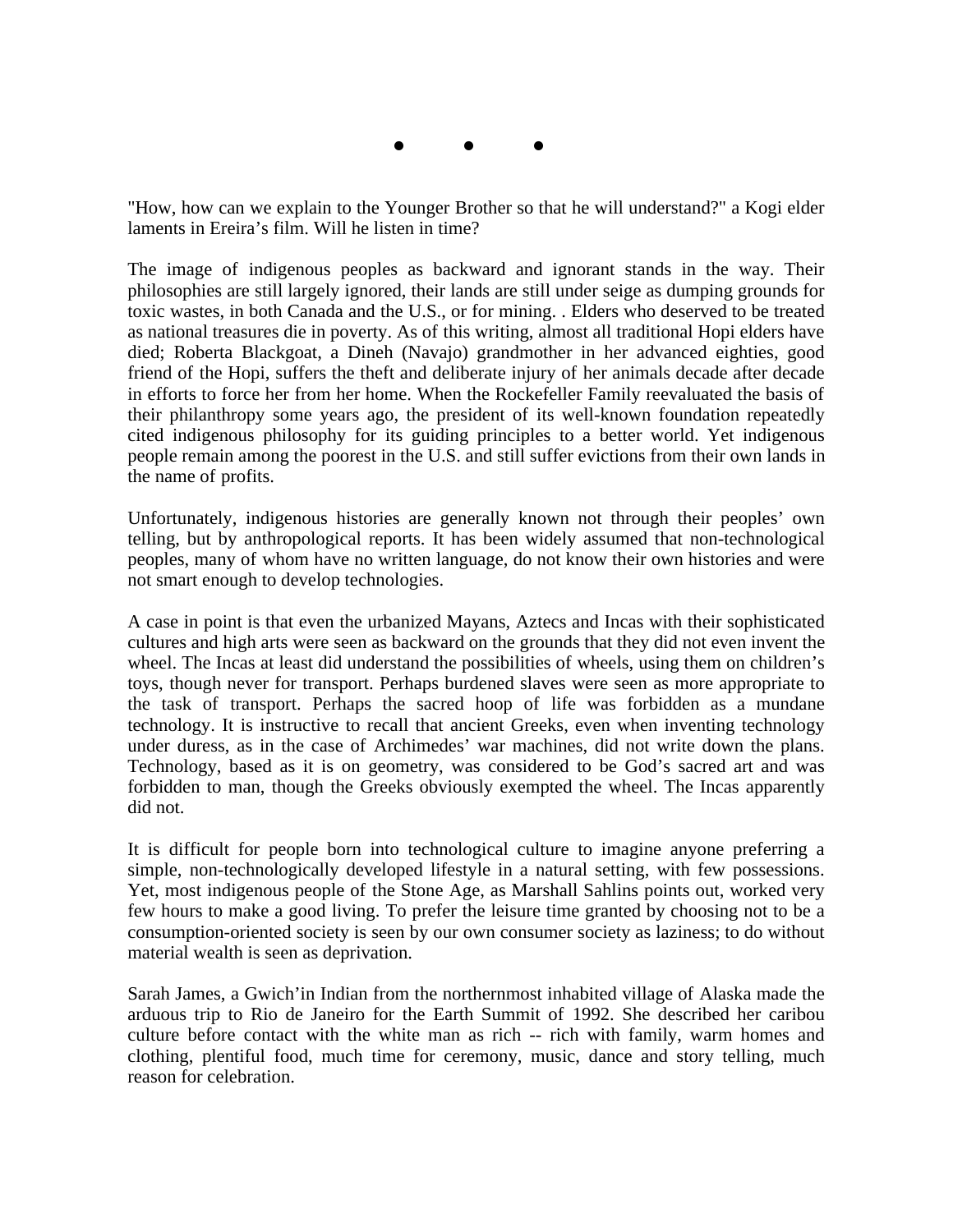

"How, how can we explain to the Younger Brother so that he will understand?" a Kogi elder laments in Ereira's film. Will he listen in time?

The image of indigenous peoples as backward and ignorant stands in the way. Their philosophies are still largely ignored, their lands are still under seige as dumping grounds for toxic wastes, in both Canada and the U.S., or for mining. . Elders who deserved to be treated as national treasures die in poverty. As of this writing, almost all traditional Hopi elders have died; Roberta Blackgoat, a Dineh (Navajo) grandmother in her advanced eighties, good friend of the Hopi, suffers the theft and deliberate injury of her animals decade after decade in efforts to force her from her home. When the Rockefeller Family reevaluated the basis of their philanthropy some years ago, the president of its well-known foundation repeatedly cited indigenous philosophy for its guiding principles to a better world. Yet indigenous people remain among the poorest in the U.S. and still suffer evictions from their own lands in the name of profits.

Unfortunately, indigenous histories are generally known not through their peoples' own telling, but by anthropological reports. It has been widely assumed that non-technological peoples, many of whom have no written language, do not know their own histories and were not smart enough to develop technologies.

A case in point is that even the urbanized Mayans, Aztecs and Incas with their sophisticated cultures and high arts were seen as backward on the grounds that they did not even invent the wheel. The Incas at least did understand the possibilities of wheels, using them on children's toys, though never for transport. Perhaps burdened slaves were seen as more appropriate to the task of transport. Perhaps the sacred hoop of life was forbidden as a mundane technology. It is instructive to recall that ancient Greeks, even when inventing technology under duress, as in the case of Archimedes' war machines, did not write down the plans. Technology, based as it is on geometry, was considered to be God's sacred art and was forbidden to man, though the Greeks obviously exempted the wheel. The Incas apparently did not.

It is difficult for people born into technological culture to imagine anyone preferring a simple, non-technologically developed lifestyle in a natural setting, with few possessions. Yet, most indigenous people of the Stone Age, as Marshall Sahlins points out, worked very few hours to make a good living. To prefer the leisure time granted by choosing not to be a consumption-oriented society is seen by our own consumer society as laziness; to do without material wealth is seen as deprivation.

Sarah James, a Gwich'in Indian from the northernmost inhabited village of Alaska made the arduous trip to Rio de Janeiro for the Earth Summit of 1992. She described her caribou culture before contact with the white man as rich -- rich with family, warm homes and clothing, plentiful food, much time for ceremony, music, dance and story telling, much reason for celebration.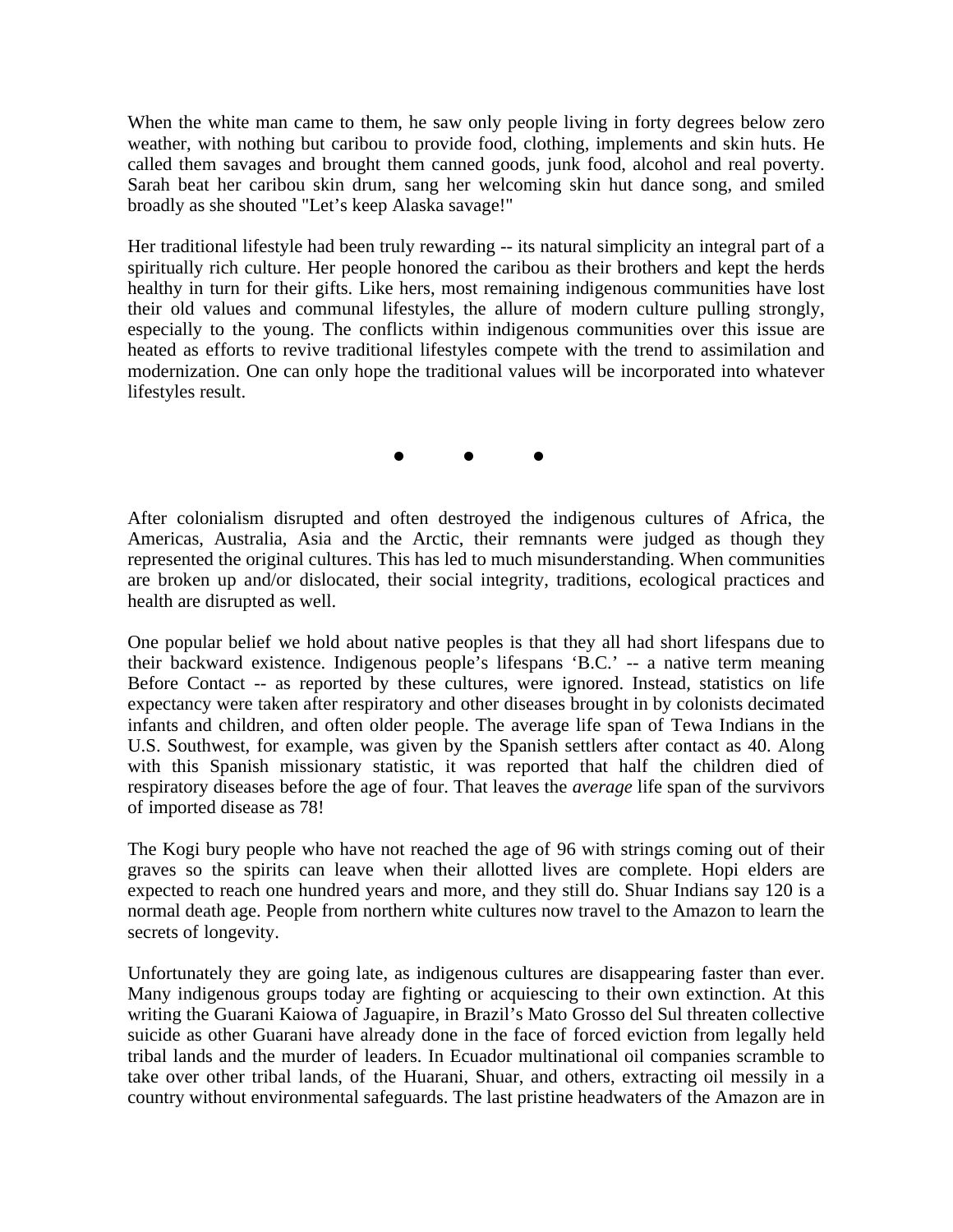When the white man came to them, he saw only people living in forty degrees below zero weather, with nothing but caribou to provide food, clothing, implements and skin huts. He called them savages and brought them canned goods, junk food, alcohol and real poverty. Sarah beat her caribou skin drum, sang her welcoming skin hut dance song, and smiled broadly as she shouted "Let's keep Alaska savage!"

Her traditional lifestyle had been truly rewarding -- its natural simplicity an integral part of a spiritually rich culture. Her people honored the caribou as their brothers and kept the herds healthy in turn for their gifts. Like hers, most remaining indigenous communities have lost their old values and communal lifestyles, the allure of modern culture pulling strongly, especially to the young. The conflicts within indigenous communities over this issue are heated as efforts to revive traditional lifestyles compete with the trend to assimilation and modernization. One can only hope the traditional values will be incorporated into whatever lifestyles result.

**· · ·** 

After colonialism disrupted and often destroyed the indigenous cultures of Africa, the Americas, Australia, Asia and the Arctic, their remnants were judged as though they represented the original cultures. This has led to much misunderstanding. When communities are broken up and/or dislocated, their social integrity, traditions, ecological practices and health are disrupted as well.

One popular belief we hold about native peoples is that they all had short lifespans due to their backward existence. Indigenous people's lifespans 'B.C.' -- a native term meaning Before Contact -- as reported by these cultures, were ignored. Instead, statistics on life expectancy were taken after respiratory and other diseases brought in by colonists decimated infants and children, and often older people. The average life span of Tewa Indians in the U.S. Southwest, for example, was given by the Spanish settlers after contact as 40. Along with this Spanish missionary statistic, it was reported that half the children died of respiratory diseases before the age of four. That leaves the *average* life span of the survivors of imported disease as 78!

The Kogi bury people who have not reached the age of 96 with strings coming out of their graves so the spirits can leave when their allotted lives are complete. Hopi elders are expected to reach one hundred years and more, and they still do. Shuar Indians say 120 is a normal death age. People from northern white cultures now travel to the Amazon to learn the secrets of longevity.

Unfortunately they are going late, as indigenous cultures are disappearing faster than ever. Many indigenous groups today are fighting or acquiescing to their own extinction. At this writing the Guarani Kaiowa of Jaguapire, in Brazil's Mato Grosso del Sul threaten collective suicide as other Guarani have already done in the face of forced eviction from legally held tribal lands and the murder of leaders. In Ecuador multinational oil companies scramble to take over other tribal lands, of the Huarani, Shuar, and others, extracting oil messily in a country without environmental safeguards. The last pristine headwaters of the Amazon are in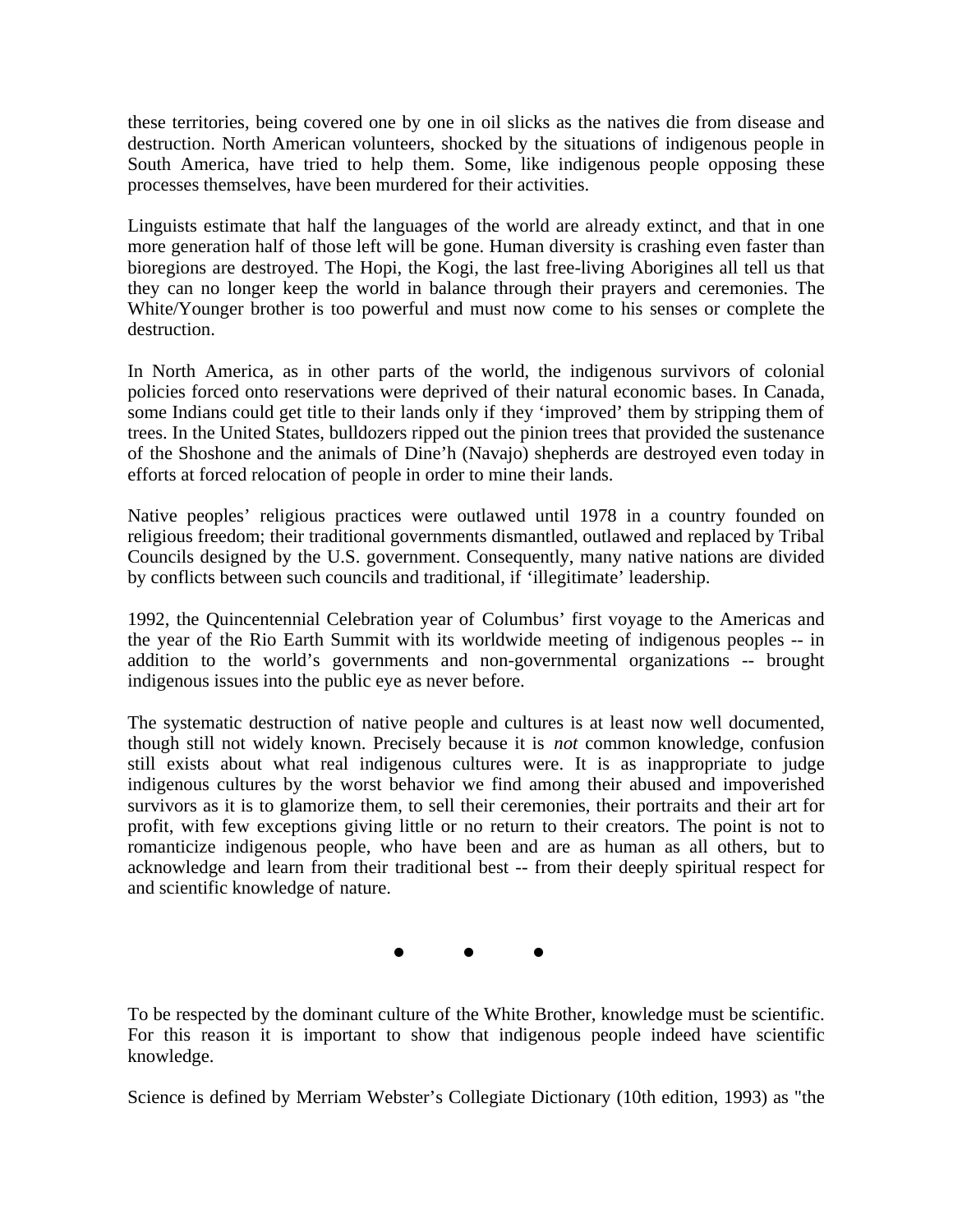these territories, being covered one by one in oil slicks as the natives die from disease and destruction. North American volunteers, shocked by the situations of indigenous people in South America, have tried to help them. Some, like indigenous people opposing these processes themselves, have been murdered for their activities.

Linguists estimate that half the languages of the world are already extinct, and that in one more generation half of those left will be gone. Human diversity is crashing even faster than bioregions are destroyed. The Hopi, the Kogi, the last free-living Aborigines all tell us that they can no longer keep the world in balance through their prayers and ceremonies. The White/Younger brother is too powerful and must now come to his senses or complete the destruction.

In North America, as in other parts of the world, the indigenous survivors of colonial policies forced onto reservations were deprived of their natural economic bases. In Canada, some Indians could get title to their lands only if they 'improved' them by stripping them of trees. In the United States, bulldozers ripped out the pinion trees that provided the sustenance of the Shoshone and the animals of Dine'h (Navajo) shepherds are destroyed even today in efforts at forced relocation of people in order to mine their lands.

Native peoples' religious practices were outlawed until 1978 in a country founded on religious freedom; their traditional governments dismantled, outlawed and replaced by Tribal Councils designed by the U.S. government. Consequently, many native nations are divided by conflicts between such councils and traditional, if 'illegitimate' leadership.

1992, the Quincentennial Celebration year of Columbus' first voyage to the Americas and the year of the Rio Earth Summit with its worldwide meeting of indigenous peoples -- in addition to the world's governments and non-governmental organizations -- brought indigenous issues into the public eye as never before.

The systematic destruction of native people and cultures is at least now well documented, though still not widely known. Precisely because it is *not* common knowledge, confusion still exists about what real indigenous cultures were. It is as inappropriate to judge indigenous cultures by the worst behavior we find among their abused and impoverished survivors as it is to glamorize them, to sell their ceremonies, their portraits and their art for profit, with few exceptions giving little or no return to their creators. The point is not to romanticize indigenous people, who have been and are as human as all others, but to acknowledge and learn from their traditional best -- from their deeply spiritual respect for and scientific knowledge of nature.

**· · ·** 

To be respected by the dominant culture of the White Brother, knowledge must be scientific. For this reason it is important to show that indigenous people indeed have scientific knowledge.

Science is defined by Merriam Webster's Collegiate Dictionary (10th edition, 1993) as "the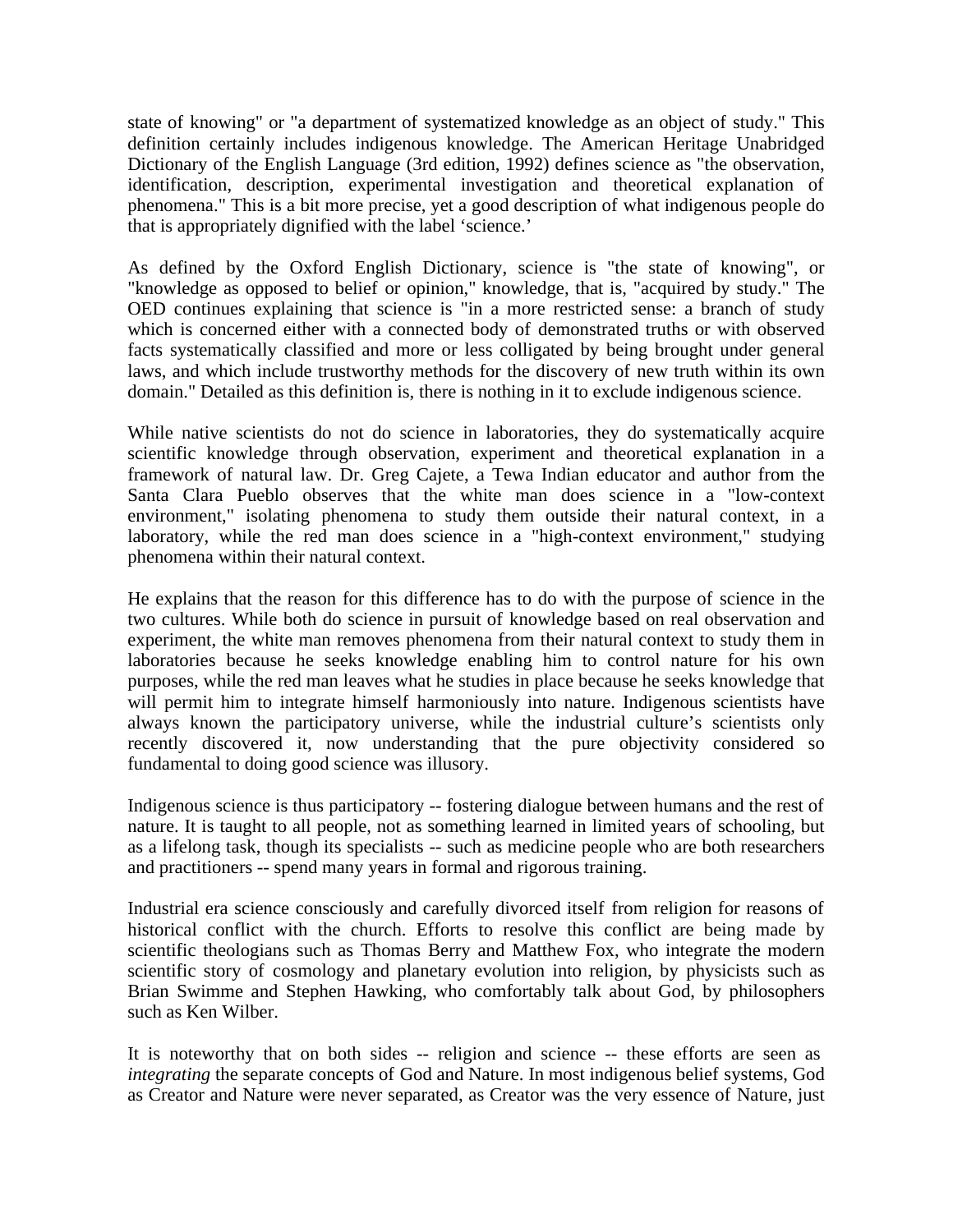state of knowing" or "a department of systematized knowledge as an object of study." This definition certainly includes indigenous knowledge. The American Heritage Unabridged Dictionary of the English Language (3rd edition, 1992) defines science as "the observation, identification, description, experimental investigation and theoretical explanation of phenomena." This is a bit more precise, yet a good description of what indigenous people do that is appropriately dignified with the label 'science.'

As defined by the Oxford English Dictionary, science is "the state of knowing", or "knowledge as opposed to belief or opinion," knowledge, that is, "acquired by study." The OED continues explaining that science is "in a more restricted sense: a branch of study which is concerned either with a connected body of demonstrated truths or with observed facts systematically classified and more or less colligated by being brought under general laws, and which include trustworthy methods for the discovery of new truth within its own domain." Detailed as this definition is, there is nothing in it to exclude indigenous science.

While native scientists do not do science in laboratories, they do systematically acquire scientific knowledge through observation, experiment and theoretical explanation in a framework of natural law. Dr. Greg Cajete, a Tewa Indian educator and author from the Santa Clara Pueblo observes that the white man does science in a "low-context environment," isolating phenomena to study them outside their natural context, in a laboratory, while the red man does science in a "high-context environment," studying phenomena within their natural context.

He explains that the reason for this difference has to do with the purpose of science in the two cultures. While both do science in pursuit of knowledge based on real observation and experiment, the white man removes phenomena from their natural context to study them in laboratories because he seeks knowledge enabling him to control nature for his own purposes, while the red man leaves what he studies in place because he seeks knowledge that will permit him to integrate himself harmoniously into nature. Indigenous scientists have always known the participatory universe, while the industrial culture's scientists only recently discovered it, now understanding that the pure objectivity considered so fundamental to doing good science was illusory.

Indigenous science is thus participatory -- fostering dialogue between humans and the rest of nature. It is taught to all people, not as something learned in limited years of schooling, but as a lifelong task, though its specialists -- such as medicine people who are both researchers and practitioners -- spend many years in formal and rigorous training.

Industrial era science consciously and carefully divorced itself from religion for reasons of historical conflict with the church. Efforts to resolve this conflict are being made by scientific theologians such as Thomas Berry and Matthew Fox, who integrate the modern scientific story of cosmology and planetary evolution into religion, by physicists such as Brian Swimme and Stephen Hawking, who comfortably talk about God, by philosophers such as Ken Wilber.

It is noteworthy that on both sides -- religion and science -- these efforts are seen as *integrating* the separate concepts of God and Nature. In most indigenous belief systems, God as Creator and Nature were never separated, as Creator was the very essence of Nature, just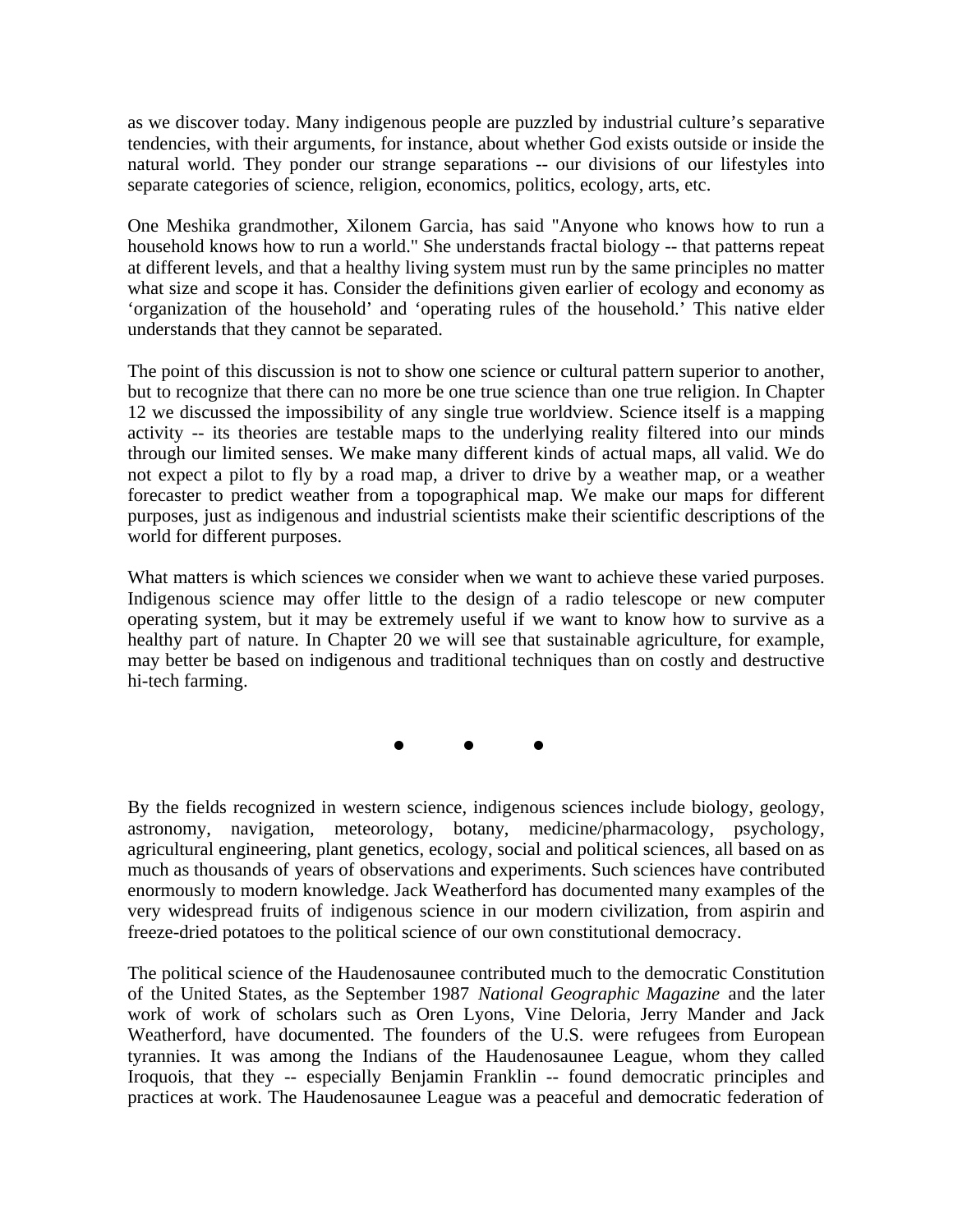as we discover today. Many indigenous people are puzzled by industrial culture's separative tendencies, with their arguments, for instance, about whether God exists outside or inside the natural world. They ponder our strange separations -- our divisions of our lifestyles into separate categories of science, religion, economics, politics, ecology, arts, etc.

One Meshika grandmother, Xilonem Garcia, has said "Anyone who knows how to run a household knows how to run a world." She understands fractal biology -- that patterns repeat at different levels, and that a healthy living system must run by the same principles no matter what size and scope it has. Consider the definitions given earlier of ecology and economy as 'organization of the household' and 'operating rules of the household.' This native elder understands that they cannot be separated.

The point of this discussion is not to show one science or cultural pattern superior to another, but to recognize that there can no more be one true science than one true religion. In Chapter 12 we discussed the impossibility of any single true worldview. Science itself is a mapping activity -- its theories are testable maps to the underlying reality filtered into our minds through our limited senses. We make many different kinds of actual maps, all valid. We do not expect a pilot to fly by a road map, a driver to drive by a weather map, or a weather forecaster to predict weather from a topographical map. We make our maps for different purposes, just as indigenous and industrial scientists make their scientific descriptions of the world for different purposes.

What matters is which sciences we consider when we want to achieve these varied purposes. Indigenous science may offer little to the design of a radio telescope or new computer operating system, but it may be extremely useful if we want to know how to survive as a healthy part of nature. In Chapter 20 we will see that sustainable agriculture, for example, may better be based on indigenous and traditional techniques than on costly and destructive hi-tech farming.

**· · ·** 

By the fields recognized in western science, indigenous sciences include biology, geology, astronomy, navigation, meteorology, botany, medicine/pharmacology, psychology, agricultural engineering, plant genetics, ecology, social and political sciences, all based on as much as thousands of years of observations and experiments. Such sciences have contributed enormously to modern knowledge. Jack Weatherford has documented many examples of the very widespread fruits of indigenous science in our modern civilization, from aspirin and freeze-dried potatoes to the political science of our own constitutional democracy.

The political science of the Haudenosaunee contributed much to the democratic Constitution of the United States, as the September 1987 *National Geographic Magazine* and the later work of work of scholars such as Oren Lyons, Vine Deloria, Jerry Mander and Jack Weatherford, have documented. The founders of the U.S. were refugees from European tyrannies. It was among the Indians of the Haudenosaunee League, whom they called Iroquois, that they -- especially Benjamin Franklin -- found democratic principles and practices at work. The Haudenosaunee League was a peaceful and democratic federation of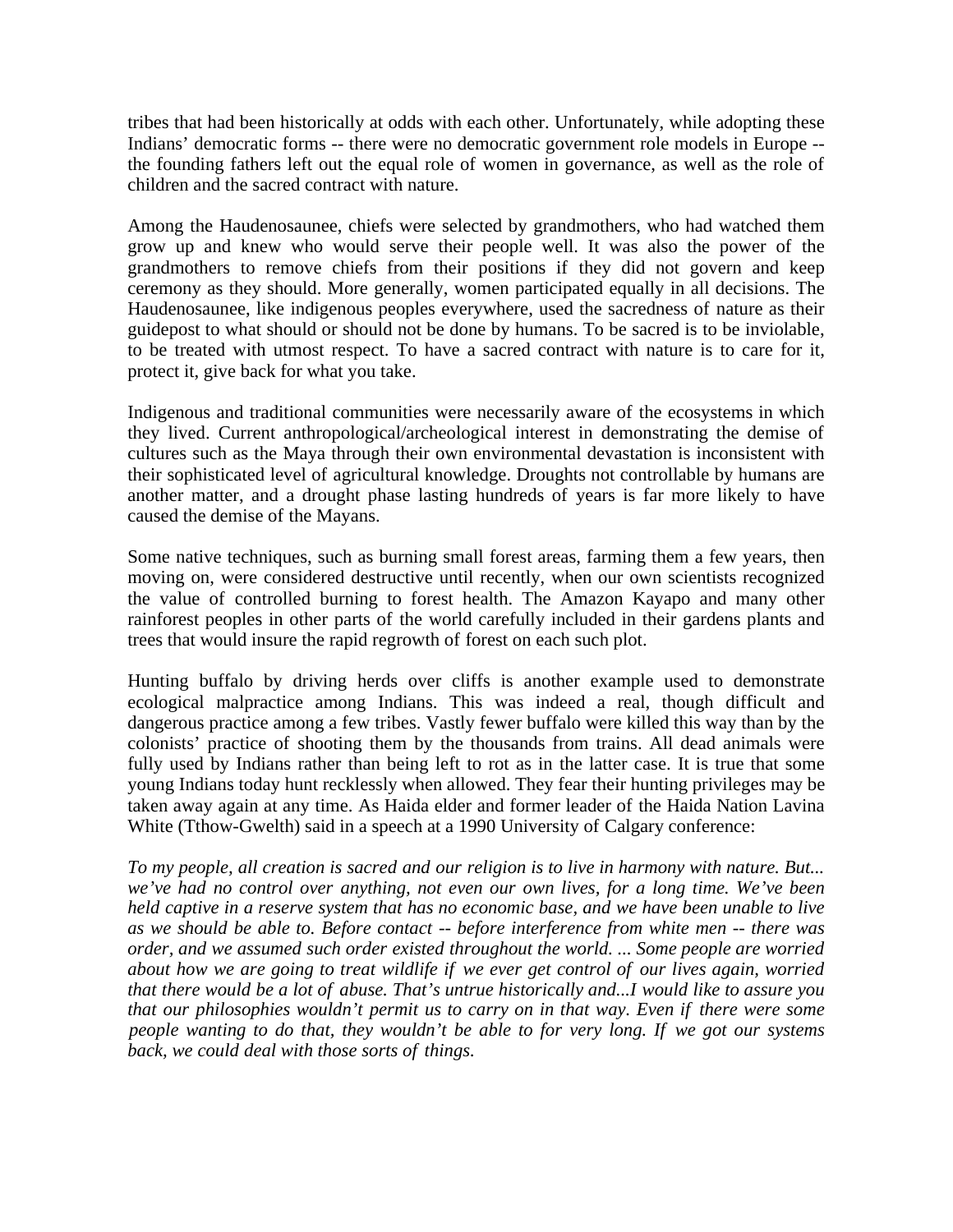tribes that had been historically at odds with each other. Unfortunately, while adopting these Indians' democratic forms -- there were no democratic government role models in Europe - the founding fathers left out the equal role of women in governance, as well as the role of children and the sacred contract with nature.

Among the Haudenosaunee, chiefs were selected by grandmothers, who had watched them grow up and knew who would serve their people well. It was also the power of the grandmothers to remove chiefs from their positions if they did not govern and keep ceremony as they should. More generally, women participated equally in all decisions. The Haudenosaunee, like indigenous peoples everywhere, used the sacredness of nature as their guidepost to what should or should not be done by humans. To be sacred is to be inviolable, to be treated with utmost respect. To have a sacred contract with nature is to care for it, protect it, give back for what you take.

Indigenous and traditional communities were necessarily aware of the ecosystems in which they lived. Current anthropological/archeological interest in demonstrating the demise of cultures such as the Maya through their own environmental devastation is inconsistent with their sophisticated level of agricultural knowledge. Droughts not controllable by humans are another matter, and a drought phase lasting hundreds of years is far more likely to have caused the demise of the Mayans.

Some native techniques, such as burning small forest areas, farming them a few years, then moving on, were considered destructive until recently, when our own scientists recognized the value of controlled burning to forest health. The Amazon Kayapo and many other rainforest peoples in other parts of the world carefully included in their gardens plants and trees that would insure the rapid regrowth of forest on each such plot.

Hunting buffalo by driving herds over cliffs is another example used to demonstrate ecological malpractice among Indians. This was indeed a real, though difficult and dangerous practice among a few tribes. Vastly fewer buffalo were killed this way than by the colonists' practice of shooting them by the thousands from trains. All dead animals were fully used by Indians rather than being left to rot as in the latter case. It is true that some young Indians today hunt recklessly when allowed. They fear their hunting privileges may be taken away again at any time. As Haida elder and former leader of the Haida Nation Lavina White (Tthow-Gwelth) said in a speech at a 1990 University of Calgary conference:

*To my people, all creation is sacred and our religion is to live in harmony with nature. But... we've had no control over anything, not even our own lives, for a long time. We've been held captive in a reserve system that has no economic base, and we have been unable to live as we should be able to. Before contact -- before interference from white men -- there was order, and we assumed such order existed throughout the world. ... Some people are worried about how we are going to treat wildlife if we ever get control of our lives again, worried that there would be a lot of abuse. That's untrue historically and...I would like to assure you that our philosophies wouldn't permit us to carry on in that way. Even if there were some people wanting to do that, they wouldn't be able to for very long. If we got our systems back, we could deal with those sorts of things*.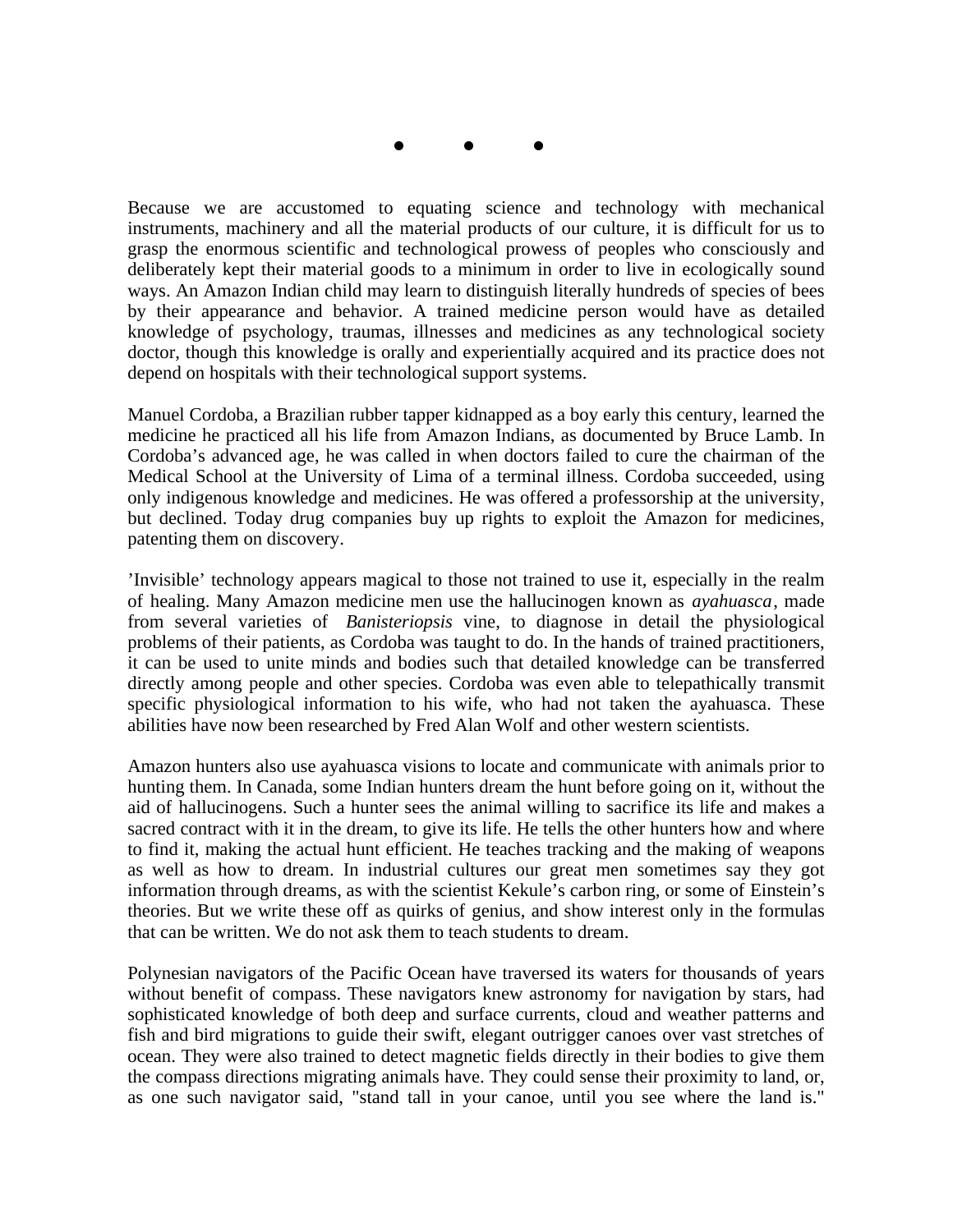

Because we are accustomed to equating science and technology with mechanical instruments, machinery and all the material products of our culture, it is difficult for us to grasp the enormous scientific and technological prowess of peoples who consciously and deliberately kept their material goods to a minimum in order to live in ecologically sound ways. An Amazon Indian child may learn to distinguish literally hundreds of species of bees by their appearance and behavior. A trained medicine person would have as detailed knowledge of psychology, traumas, illnesses and medicines as any technological society doctor, though this knowledge is orally and experientially acquired and its practice does not depend on hospitals with their technological support systems.

Manuel Cordoba, a Brazilian rubber tapper kidnapped as a boy early this century, learned the medicine he practiced all his life from Amazon Indians, as documented by Bruce Lamb. In Cordoba's advanced age, he was called in when doctors failed to cure the chairman of the Medical School at the University of Lima of a terminal illness. Cordoba succeeded, using only indigenous knowledge and medicines. He was offered a professorship at the university, but declined. Today drug companies buy up rights to exploit the Amazon for medicines, patenting them on discovery.

'Invisible' technology appears magical to those not trained to use it, especially in the realm of healing. Many Amazon medicine men use the hallucinogen known as *ayahuasca*, made from several varieties of *Banisteriopsis* vine, to diagnose in detail the physiological problems of their patients, as Cordoba was taught to do. In the hands of trained practitioners, it can be used to unite minds and bodies such that detailed knowledge can be transferred directly among people and other species. Cordoba was even able to telepathically transmit specific physiological information to his wife, who had not taken the ayahuasca. These abilities have now been researched by Fred Alan Wolf and other western scientists.

Amazon hunters also use ayahuasca visions to locate and communicate with animals prior to hunting them. In Canada, some Indian hunters dream the hunt before going on it, without the aid of hallucinogens. Such a hunter sees the animal willing to sacrifice its life and makes a sacred contract with it in the dream, to give its life. He tells the other hunters how and where to find it, making the actual hunt efficient. He teaches tracking and the making of weapons as well as how to dream. In industrial cultures our great men sometimes say they got information through dreams, as with the scientist Kekule's carbon ring, or some of Einstein's theories. But we write these off as quirks of genius, and show interest only in the formulas that can be written. We do not ask them to teach students to dream.

Polynesian navigators of the Pacific Ocean have traversed its waters for thousands of years without benefit of compass. These navigators knew astronomy for navigation by stars, had sophisticated knowledge of both deep and surface currents, cloud and weather patterns and fish and bird migrations to guide their swift, elegant outrigger canoes over vast stretches of ocean. They were also trained to detect magnetic fields directly in their bodies to give them the compass directions migrating animals have. They could sense their proximity to land, or, as one such navigator said, "stand tall in your canoe, until you see where the land is."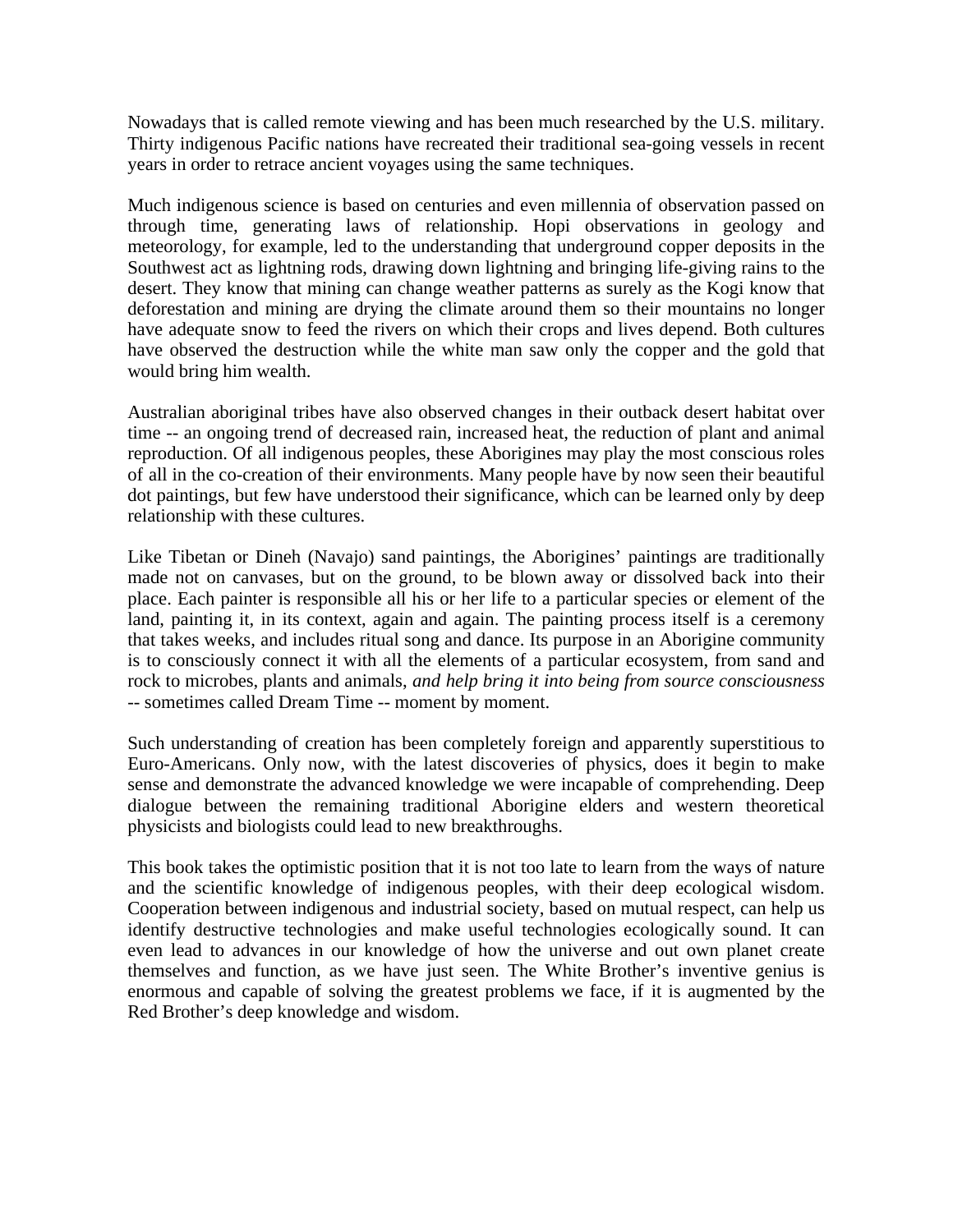Nowadays that is called remote viewing and has been much researched by the U.S. military. Thirty indigenous Pacific nations have recreated their traditional sea-going vessels in recent years in order to retrace ancient voyages using the same techniques.

Much indigenous science is based on centuries and even millennia of observation passed on through time, generating laws of relationship. Hopi observations in geology and meteorology, for example, led to the understanding that underground copper deposits in the Southwest act as lightning rods, drawing down lightning and bringing life-giving rains to the desert. They know that mining can change weather patterns as surely as the Kogi know that deforestation and mining are drying the climate around them so their mountains no longer have adequate snow to feed the rivers on which their crops and lives depend. Both cultures have observed the destruction while the white man saw only the copper and the gold that would bring him wealth.

Australian aboriginal tribes have also observed changes in their outback desert habitat over time -- an ongoing trend of decreased rain, increased heat, the reduction of plant and animal reproduction. Of all indigenous peoples, these Aborigines may play the most conscious roles of all in the co-creation of their environments. Many people have by now seen their beautiful dot paintings, but few have understood their significance, which can be learned only by deep relationship with these cultures.

Like Tibetan or Dineh (Navajo) sand paintings, the Aborigines' paintings are traditionally made not on canvases, but on the ground, to be blown away or dissolved back into their place. Each painter is responsible all his or her life to a particular species or element of the land, painting it, in its context, again and again. The painting process itself is a ceremony that takes weeks, and includes ritual song and dance. Its purpose in an Aborigine community is to consciously connect it with all the elements of a particular ecosystem, from sand and rock to microbes, plants and animals, *and help bring it into being from source consciousness* -- sometimes called Dream Time -- moment by moment.

Such understanding of creation has been completely foreign and apparently superstitious to Euro-Americans. Only now, with the latest discoveries of physics, does it begin to make sense and demonstrate the advanced knowledge we were incapable of comprehending. Deep dialogue between the remaining traditional Aborigine elders and western theoretical physicists and biologists could lead to new breakthroughs.

This book takes the optimistic position that it is not too late to learn from the ways of nature and the scientific knowledge of indigenous peoples, with their deep ecological wisdom. Cooperation between indigenous and industrial society, based on mutual respect, can help us identify destructive technologies and make useful technologies ecologically sound. It can even lead to advances in our knowledge of how the universe and out own planet create themselves and function, as we have just seen. The White Brother's inventive genius is enormous and capable of solving the greatest problems we face, if it is augmented by the Red Brother's deep knowledge and wisdom.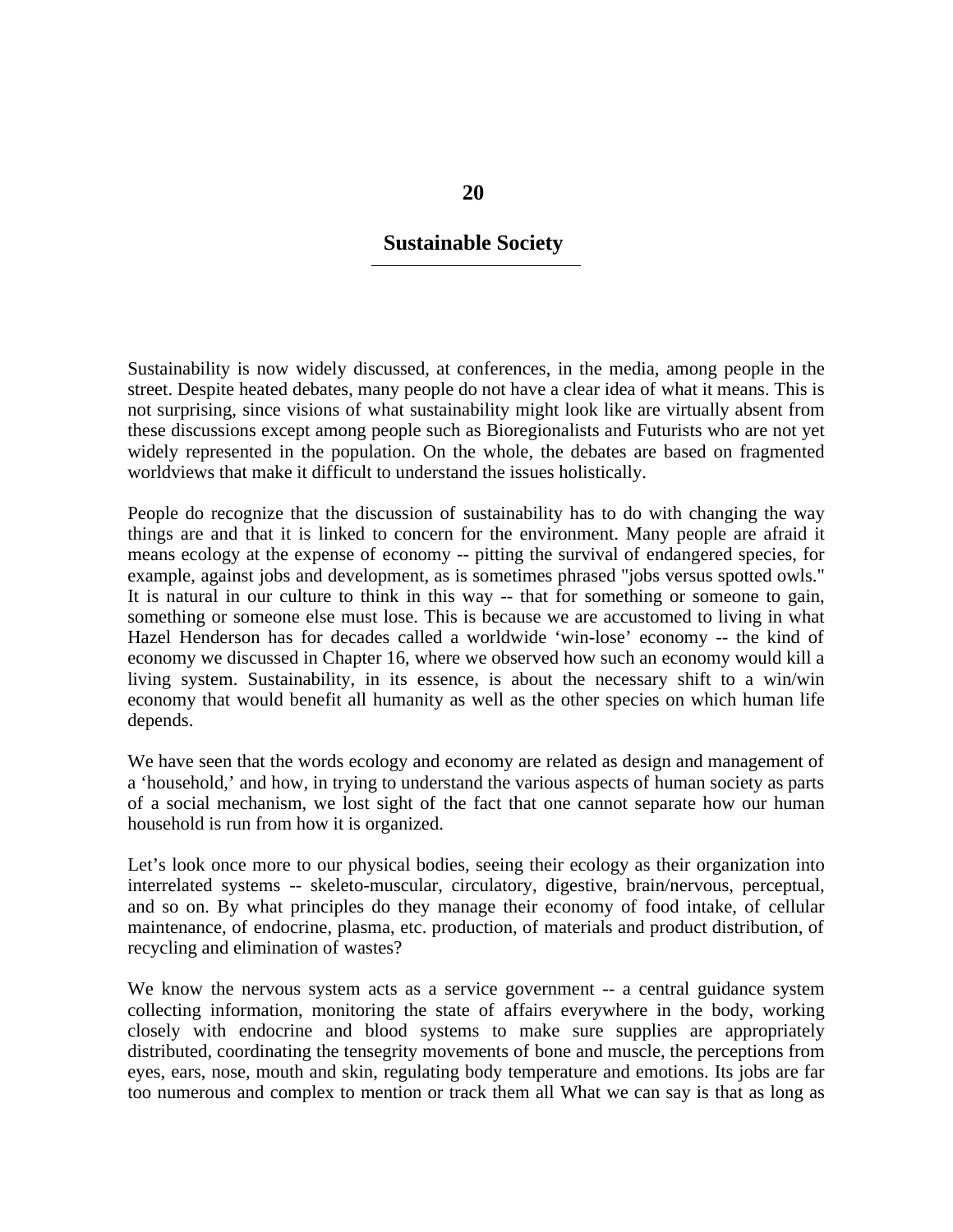## **Sustainable Society**

Sustainability is now widely discussed, at conferences, in the media, among people in the street. Despite heated debates, many people do not have a clear idea of what it means. This is not surprising, since visions of what sustainability might look like are virtually absent from these discussions except among people such as Bioregionalists and Futurists who are not yet widely represented in the population. On the whole, the debates are based on fragmented worldviews that make it difficult to understand the issues holistically.

People do recognize that the discussion of sustainability has to do with changing the way things are and that it is linked to concern for the environment. Many people are afraid it means ecology at the expense of economy -- pitting the survival of endangered species, for example, against jobs and development, as is sometimes phrased "jobs versus spotted owls." It is natural in our culture to think in this way -- that for something or someone to gain, something or someone else must lose. This is because we are accustomed to living in what Hazel Henderson has for decades called a worldwide 'win-lose' economy -- the kind of economy we discussed in Chapter 16, where we observed how such an economy would kill a living system. Sustainability, in its essence, is about the necessary shift to a win/win economy that would benefit all humanity as well as the other species on which human life depends.

We have seen that the words ecology and economy are related as design and management of a 'household,' and how, in trying to understand the various aspects of human society as parts of a social mechanism, we lost sight of the fact that one cannot separate how our human household is run from how it is organized.

Let's look once more to our physical bodies, seeing their ecology as their organization into interrelated systems -- skeleto-muscular, circulatory, digestive, brain/nervous, perceptual, and so on. By what principles do they manage their economy of food intake, of cellular maintenance, of endocrine, plasma, etc. production, of materials and product distribution, of recycling and elimination of wastes?

We know the nervous system acts as a service government -- a central guidance system collecting information, monitoring the state of affairs everywhere in the body, working closely with endocrine and blood systems to make sure supplies are appropriately distributed, coordinating the tensegrity movements of bone and muscle, the perceptions from eyes, ears, nose, mouth and skin, regulating body temperature and emotions. Its jobs are far too numerous and complex to mention or track them all What we can say is that as long as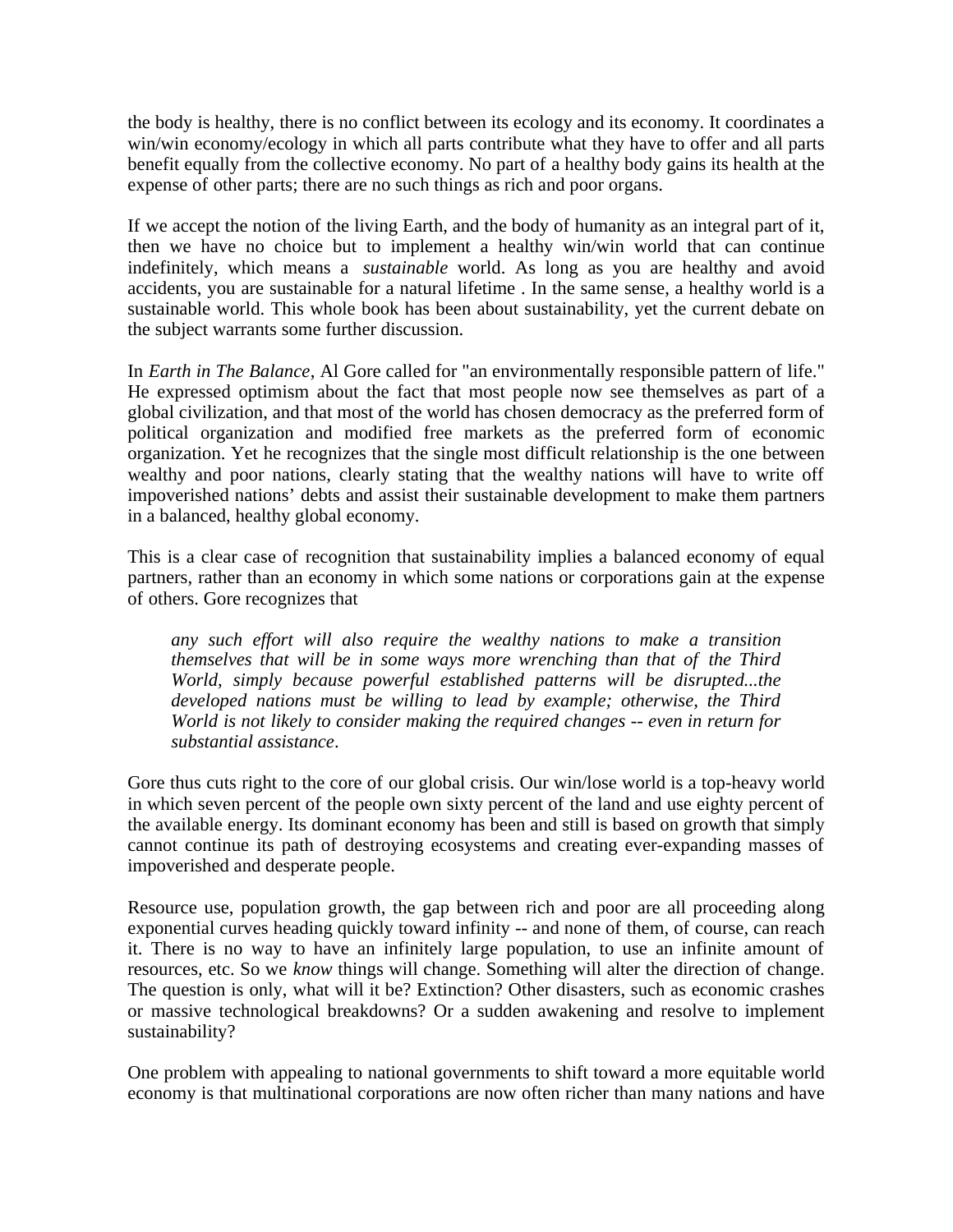the body is healthy, there is no conflict between its ecology and its economy. It coordinates a win/win economy/ecology in which all parts contribute what they have to offer and all parts benefit equally from the collective economy. No part of a healthy body gains its health at the expense of other parts; there are no such things as rich and poor organs.

If we accept the notion of the living Earth, and the body of humanity as an integral part of it, then we have no choice but to implement a healthy win/win world that can continue indefinitely, which means a *sustainable* world. As long as you are healthy and avoid accidents, you are sustainable for a natural lifetime . In the same sense, a healthy world is a sustainable world. This whole book has been about sustainability, yet the current debate on the subject warrants some further discussion.

In *Earth in The Balance*, Al Gore called for "an environmentally responsible pattern of life." He expressed optimism about the fact that most people now see themselves as part of a global civilization, and that most of the world has chosen democracy as the preferred form of political organization and modified free markets as the preferred form of economic organization. Yet he recognizes that the single most difficult relationship is the one between wealthy and poor nations, clearly stating that the wealthy nations will have to write off impoverished nations' debts and assist their sustainable development to make them partners in a balanced, healthy global economy.

This is a clear case of recognition that sustainability implies a balanced economy of equal partners, rather than an economy in which some nations or corporations gain at the expense of others. Gore recognizes that

*any such effort will also require the wealthy nations to make a transition themselves that will be in some ways more wrenching than that of the Third World, simply because powerful established patterns will be disrupted...the developed nations must be willing to lead by example; otherwise, the Third World is not likely to consider making the required changes -- even in return for substantial assistance*.

Gore thus cuts right to the core of our global crisis. Our win/lose world is a top-heavy world in which seven percent of the people own sixty percent of the land and use eighty percent of the available energy. Its dominant economy has been and still is based on growth that simply cannot continue its path of destroying ecosystems and creating ever-expanding masses of impoverished and desperate people.

Resource use, population growth, the gap between rich and poor are all proceeding along exponential curves heading quickly toward infinity -- and none of them, of course, can reach it. There is no way to have an infinitely large population, to use an infinite amount of resources, etc. So we *know* things will change. Something will alter the direction of change. The question is only, what will it be? Extinction? Other disasters, such as economic crashes or massive technological breakdowns? Or a sudden awakening and resolve to implement sustainability?

One problem with appealing to national governments to shift toward a more equitable world economy is that multinational corporations are now often richer than many nations and have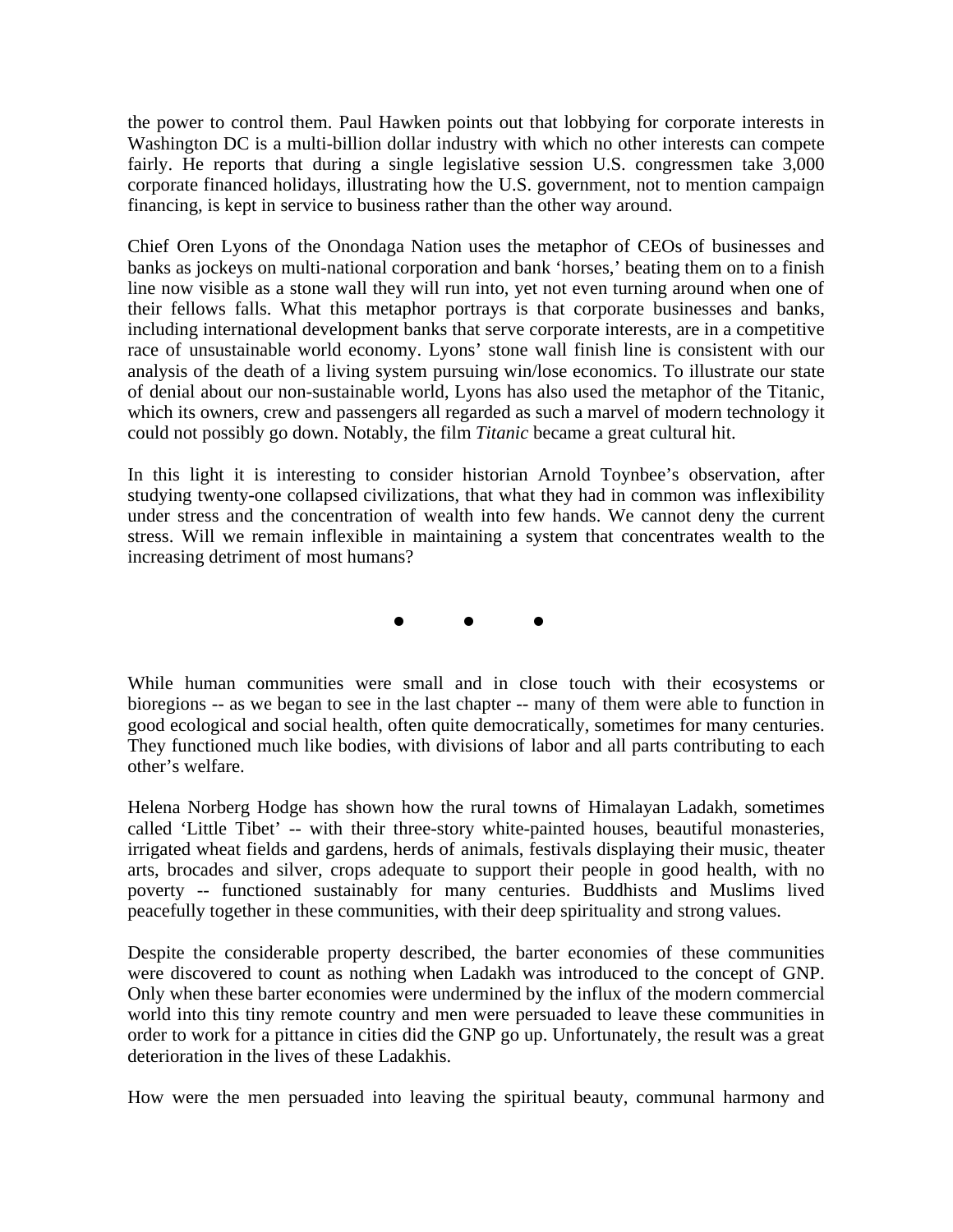the power to control them. Paul Hawken points out that lobbying for corporate interests in Washington DC is a multi-billion dollar industry with which no other interests can compete fairly. He reports that during a single legislative session U.S. congressmen take 3,000 corporate financed holidays, illustrating how the U.S. government, not to mention campaign financing, is kept in service to business rather than the other way around.

Chief Oren Lyons of the Onondaga Nation uses the metaphor of CEOs of businesses and banks as jockeys on multi-national corporation and bank 'horses,' beating them on to a finish line now visible as a stone wall they will run into, yet not even turning around when one of their fellows falls. What this metaphor portrays is that corporate businesses and banks, including international development banks that serve corporate interests, are in a competitive race of unsustainable world economy. Lyons' stone wall finish line is consistent with our analysis of the death of a living system pursuing win/lose economics. To illustrate our state of denial about our non-sustainable world, Lyons has also used the metaphor of the Titanic, which its owners, crew and passengers all regarded as such a marvel of modern technology it could not possibly go down. Notably, the film *Titanic* became a great cultural hit.

In this light it is interesting to consider historian Arnold Toynbee's observation, after studying twenty-one collapsed civilizations, that what they had in common was inflexibility under stress and the concentration of wealth into few hands. We cannot deny the current stress. Will we remain inflexible in maintaining a system that concentrates wealth to the increasing detriment of most humans?

**· · ·** 

While human communities were small and in close touch with their ecosystems or bioregions -- as we began to see in the last chapter -- many of them were able to function in good ecological and social health, often quite democratically, sometimes for many centuries. They functioned much like bodies, with divisions of labor and all parts contributing to each other's welfare.

Helena Norberg Hodge has shown how the rural towns of Himalayan Ladakh, sometimes called 'Little Tibet' -- with their three-story white-painted houses, beautiful monasteries, irrigated wheat fields and gardens, herds of animals, festivals displaying their music, theater arts, brocades and silver, crops adequate to support their people in good health, with no poverty -- functioned sustainably for many centuries. Buddhists and Muslims lived peacefully together in these communities, with their deep spirituality and strong values.

Despite the considerable property described, the barter economies of these communities were discovered to count as nothing when Ladakh was introduced to the concept of GNP. Only when these barter economies were undermined by the influx of the modern commercial world into this tiny remote country and men were persuaded to leave these communities in order to work for a pittance in cities did the GNP go up. Unfortunately, the result was a great deterioration in the lives of these Ladakhis.

How were the men persuaded into leaving the spiritual beauty, communal harmony and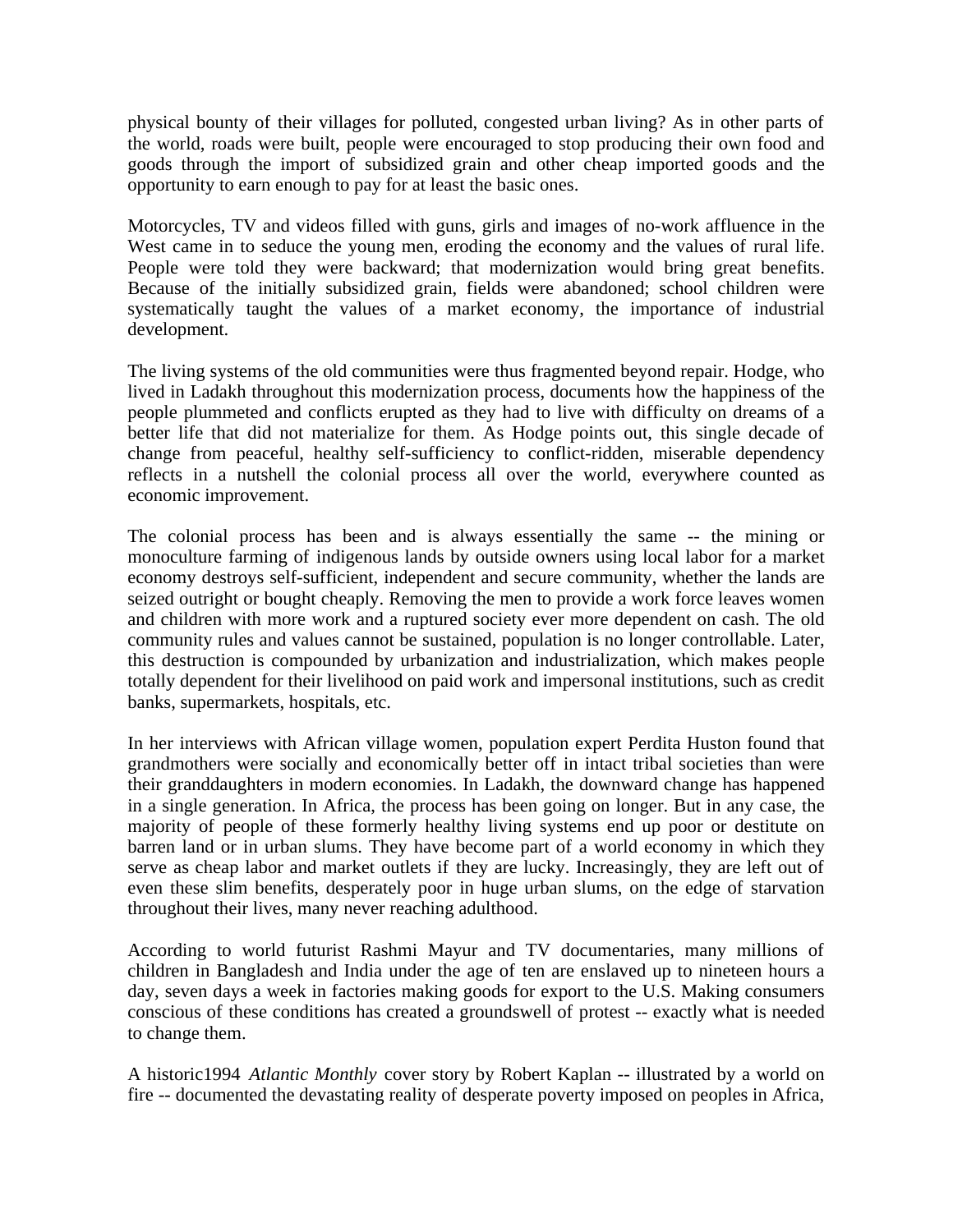physical bounty of their villages for polluted, congested urban living? As in other parts of the world, roads were built, people were encouraged to stop producing their own food and goods through the import of subsidized grain and other cheap imported goods and the opportunity to earn enough to pay for at least the basic ones.

Motorcycles, TV and videos filled with guns, girls and images of no-work affluence in the West came in to seduce the young men, eroding the economy and the values of rural life. People were told they were backward; that modernization would bring great benefits. Because of the initially subsidized grain, fields were abandoned; school children were systematically taught the values of a market economy, the importance of industrial development.

The living systems of the old communities were thus fragmented beyond repair. Hodge, who lived in Ladakh throughout this modernization process, documents how the happiness of the people plummeted and conflicts erupted as they had to live with difficulty on dreams of a better life that did not materialize for them. As Hodge points out, this single decade of change from peaceful, healthy self-sufficiency to conflict-ridden, miserable dependency reflects in a nutshell the colonial process all over the world, everywhere counted as economic improvement.

The colonial process has been and is always essentially the same -- the mining or monoculture farming of indigenous lands by outside owners using local labor for a market economy destroys self-sufficient, independent and secure community, whether the lands are seized outright or bought cheaply. Removing the men to provide a work force leaves women and children with more work and a ruptured society ever more dependent on cash. The old community rules and values cannot be sustained, population is no longer controllable. Later, this destruction is compounded by urbanization and industrialization, which makes people totally dependent for their livelihood on paid work and impersonal institutions, such as credit banks, supermarkets, hospitals, etc.

In her interviews with African village women, population expert Perdita Huston found that grandmothers were socially and economically better off in intact tribal societies than were their granddaughters in modern economies. In Ladakh, the downward change has happened in a single generation. In Africa, the process has been going on longer. But in any case, the majority of people of these formerly healthy living systems end up poor or destitute on barren land or in urban slums. They have become part of a world economy in which they serve as cheap labor and market outlets if they are lucky. Increasingly, they are left out of even these slim benefits, desperately poor in huge urban slums, on the edge of starvation throughout their lives, many never reaching adulthood.

According to world futurist Rashmi Mayur and TV documentaries, many millions of children in Bangladesh and India under the age of ten are enslaved up to nineteen hours a day, seven days a week in factories making goods for export to the U.S. Making consumers conscious of these conditions has created a groundswell of protest -- exactly what is needed to change them.

A historic1994 *Atlantic Monthly* cover story by Robert Kaplan -- illustrated by a world on fire -- documented the devastating reality of desperate poverty imposed on peoples in Africa,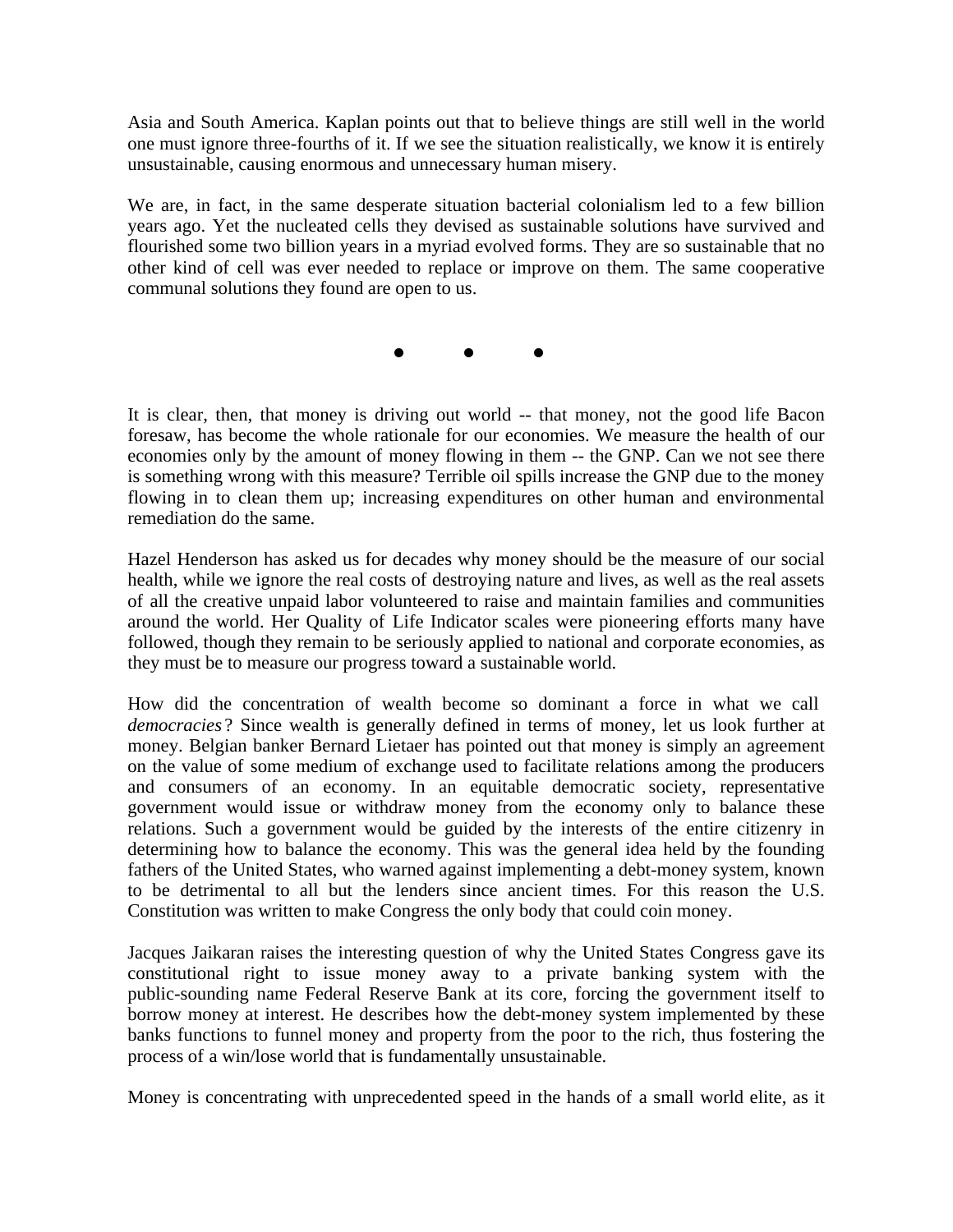Asia and South America. Kaplan points out that to believe things are still well in the world one must ignore three-fourths of it. If we see the situation realistically, we know it is entirely unsustainable, causing enormous and unnecessary human misery.

We are, in fact, in the same desperate situation bacterial colonialism led to a few billion years ago. Yet the nucleated cells they devised as sustainable solutions have survived and flourished some two billion years in a myriad evolved forms. They are so sustainable that no other kind of cell was ever needed to replace or improve on them. The same cooperative communal solutions they found are open to us.

**· · ·** 

It is clear, then, that money is driving out world -- that money, not the good life Bacon foresaw, has become the whole rationale for our economies. We measure the health of our economies only by the amount of money flowing in them -- the GNP. Can we not see there is something wrong with this measure? Terrible oil spills increase the GNP due to the money flowing in to clean them up; increasing expenditures on other human and environmental remediation do the same.

Hazel Henderson has asked us for decades why money should be the measure of our social health, while we ignore the real costs of destroying nature and lives, as well as the real assets of all the creative unpaid labor volunteered to raise and maintain families and communities around the world. Her Quality of Life Indicator scales were pioneering efforts many have followed, though they remain to be seriously applied to national and corporate economies, as they must be to measure our progress toward a sustainable world.

How did the concentration of wealth become so dominant a force in what we call *democracies* ? Since wealth is generally defined in terms of money, let us look further at money. Belgian banker Bernard Lietaer has pointed out that money is simply an agreement on the value of some medium of exchange used to facilitate relations among the producers and consumers of an economy. In an equitable democratic society, representative government would issue or withdraw money from the economy only to balance these relations. Such a government would be guided by the interests of the entire citizenry in determining how to balance the economy. This was the general idea held by the founding fathers of the United States, who warned against implementing a debt-money system, known to be detrimental to all but the lenders since ancient times. For this reason the U.S. Constitution was written to make Congress the only body that could coin money.

Jacques Jaikaran raises the interesting question of why the United States Congress gave its constitutional right to issue money away to a private banking system with the public-sounding name Federal Reserve Bank at its core, forcing the government itself to borrow money at interest. He describes how the debt-money system implemented by these banks functions to funnel money and property from the poor to the rich, thus fostering the process of a win/lose world that is fundamentally unsustainable.

Money is concentrating with unprecedented speed in the hands of a small world elite, as it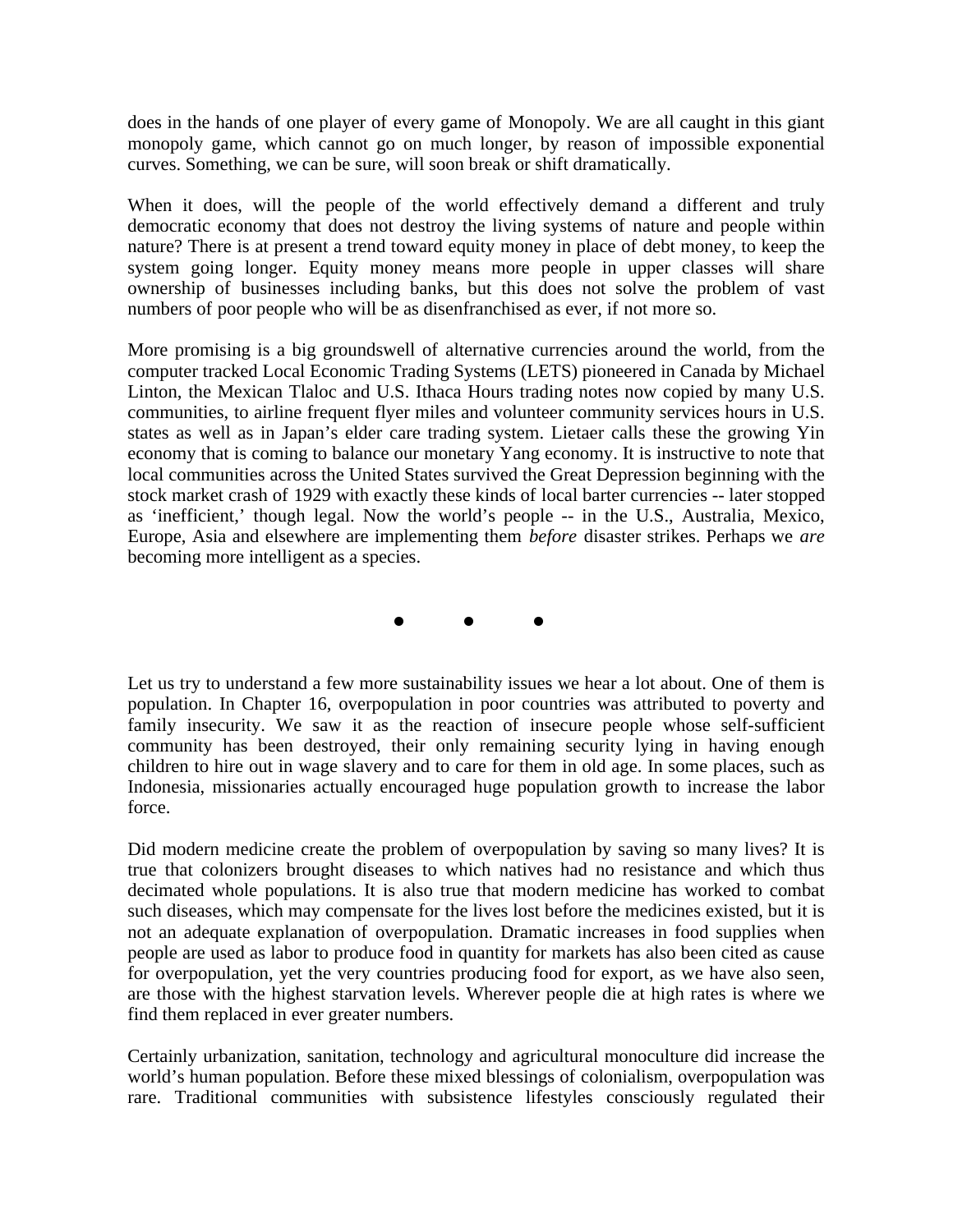does in the hands of one player of every game of Monopoly. We are all caught in this giant monopoly game, which cannot go on much longer, by reason of impossible exponential curves. Something, we can be sure, will soon break or shift dramatically.

When it does, will the people of the world effectively demand a different and truly democratic economy that does not destroy the living systems of nature and people within nature? There is at present a trend toward equity money in place of debt money, to keep the system going longer. Equity money means more people in upper classes will share ownership of businesses including banks, but this does not solve the problem of vast numbers of poor people who will be as disenfranchised as ever, if not more so.

More promising is a big groundswell of alternative currencies around the world, from the computer tracked Local Economic Trading Systems (LETS) pioneered in Canada by Michael Linton, the Mexican Tlaloc and U.S. Ithaca Hours trading notes now copied by many U.S. communities, to airline frequent flyer miles and volunteer community services hours in U.S. states as well as in Japan's elder care trading system. Lietaer calls these the growing Yin economy that is coming to balance our monetary Yang economy. It is instructive to note that local communities across the United States survived the Great Depression beginning with the stock market crash of 1929 with exactly these kinds of local barter currencies -- later stopped as 'inefficient,' though legal. Now the world's people -- in the U.S., Australia, Mexico, Europe, Asia and elsewhere are implementing them *before* disaster strikes. Perhaps we *are* becoming more intelligent as a species.

**· · ·** 

Let us try to understand a few more sustainability issues we hear a lot about. One of them is population. In Chapter 16, overpopulation in poor countries was attributed to poverty and family insecurity. We saw it as the reaction of insecure people whose self-sufficient community has been destroyed, their only remaining security lying in having enough children to hire out in wage slavery and to care for them in old age. In some places, such as Indonesia, missionaries actually encouraged huge population growth to increase the labor force.

Did modern medicine create the problem of overpopulation by saving so many lives? It is true that colonizers brought diseases to which natives had no resistance and which thus decimated whole populations. It is also true that modern medicine has worked to combat such diseases, which may compensate for the lives lost before the medicines existed, but it is not an adequate explanation of overpopulation. Dramatic increases in food supplies when people are used as labor to produce food in quantity for markets has also been cited as cause for overpopulation, yet the very countries producing food for export, as we have also seen, are those with the highest starvation levels. Wherever people die at high rates is where we find them replaced in ever greater numbers.

Certainly urbanization, sanitation, technology and agricultural monoculture did increase the world's human population. Before these mixed blessings of colonialism, overpopulation was rare. Traditional communities with subsistence lifestyles consciously regulated their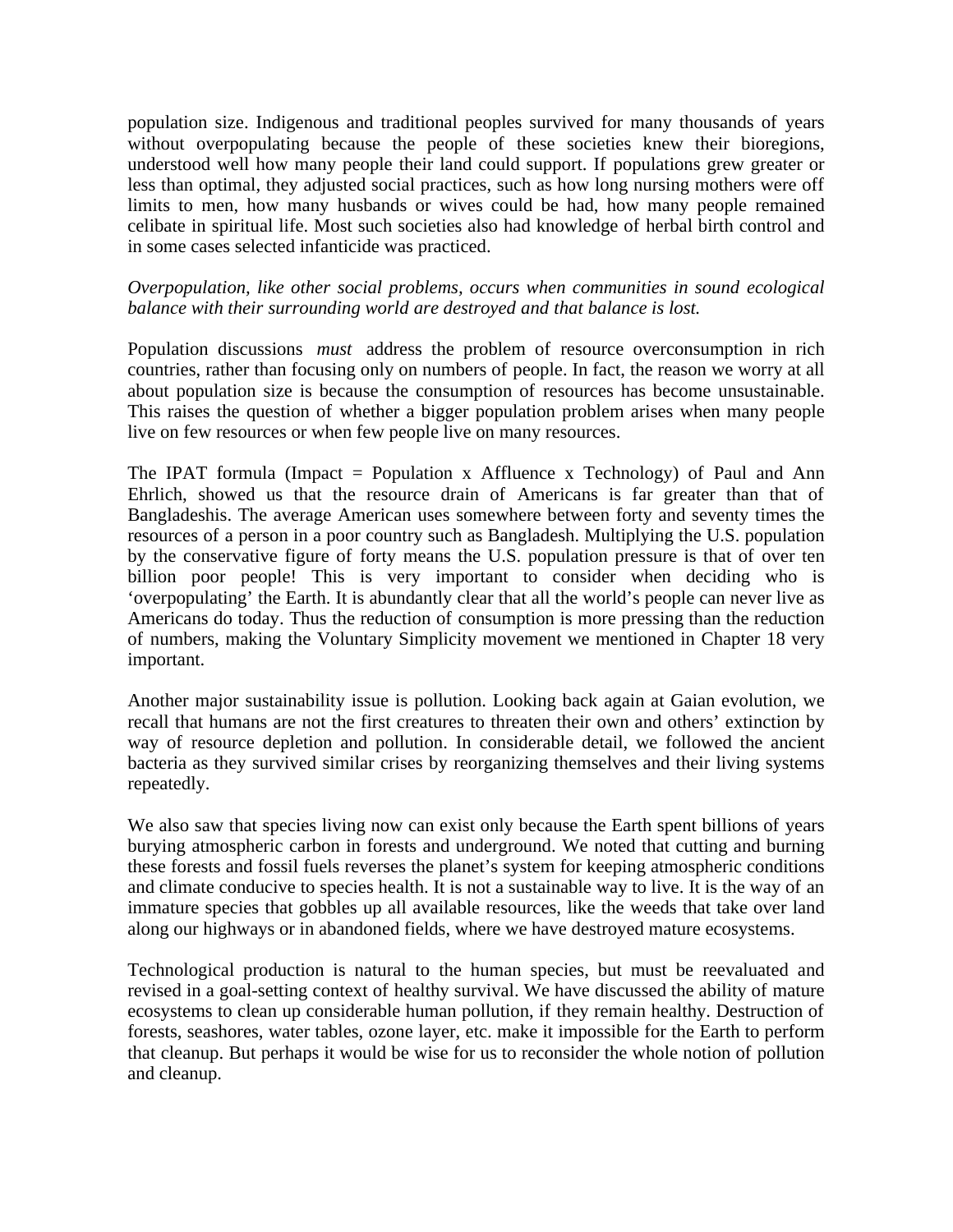population size. Indigenous and traditional peoples survived for many thousands of years without overpopulating because the people of these societies knew their bioregions, understood well how many people their land could support. If populations grew greater or less than optimal, they adjusted social practices, such as how long nursing mothers were off limits to men, how many husbands or wives could be had, how many people remained celibate in spiritual life. Most such societies also had knowledge of herbal birth control and in some cases selected infanticide was practiced.

#### *Overpopulation, like other social problems, occurs when communities in sound ecological balance with their surrounding world are destroyed and that balance is lost.*

Population discussions *must* address the problem of resource overconsumption in rich countries, rather than focusing only on numbers of people. In fact, the reason we worry at all about population size is because the consumption of resources has become unsustainable. This raises the question of whether a bigger population problem arises when many people live on few resources or when few people live on many resources.

The IPAT formula (Impact  $=$  Population x Affluence x Technology) of Paul and Ann Ehrlich, showed us that the resource drain of Americans is far greater than that of Bangladeshis. The average American uses somewhere between forty and seventy times the resources of a person in a poor country such as Bangladesh. Multiplying the U.S. population by the conservative figure of forty means the U.S. population pressure is that of over ten billion poor people! This is very important to consider when deciding who is 'overpopulating' the Earth. It is abundantly clear that all the world's people can never live as Americans do today. Thus the reduction of consumption is more pressing than the reduction of numbers, making the Voluntary Simplicity movement we mentioned in Chapter 18 very important.

Another major sustainability issue is pollution. Looking back again at Gaian evolution, we recall that humans are not the first creatures to threaten their own and others' extinction by way of resource depletion and pollution. In considerable detail, we followed the ancient bacteria as they survived similar crises by reorganizing themselves and their living systems repeatedly.

We also saw that species living now can exist only because the Earth spent billions of years burying atmospheric carbon in forests and underground. We noted that cutting and burning these forests and fossil fuels reverses the planet's system for keeping atmospheric conditions and climate conducive to species health. It is not a sustainable way to live. It is the way of an immature species that gobbles up all available resources, like the weeds that take over land along our highways or in abandoned fields, where we have destroyed mature ecosystems.

Technological production is natural to the human species, but must be reevaluated and revised in a goal-setting context of healthy survival. We have discussed the ability of mature ecosystems to clean up considerable human pollution, if they remain healthy. Destruction of forests, seashores, water tables, ozone layer, etc. make it impossible for the Earth to perform that cleanup. But perhaps it would be wise for us to reconsider the whole notion of pollution and cleanup.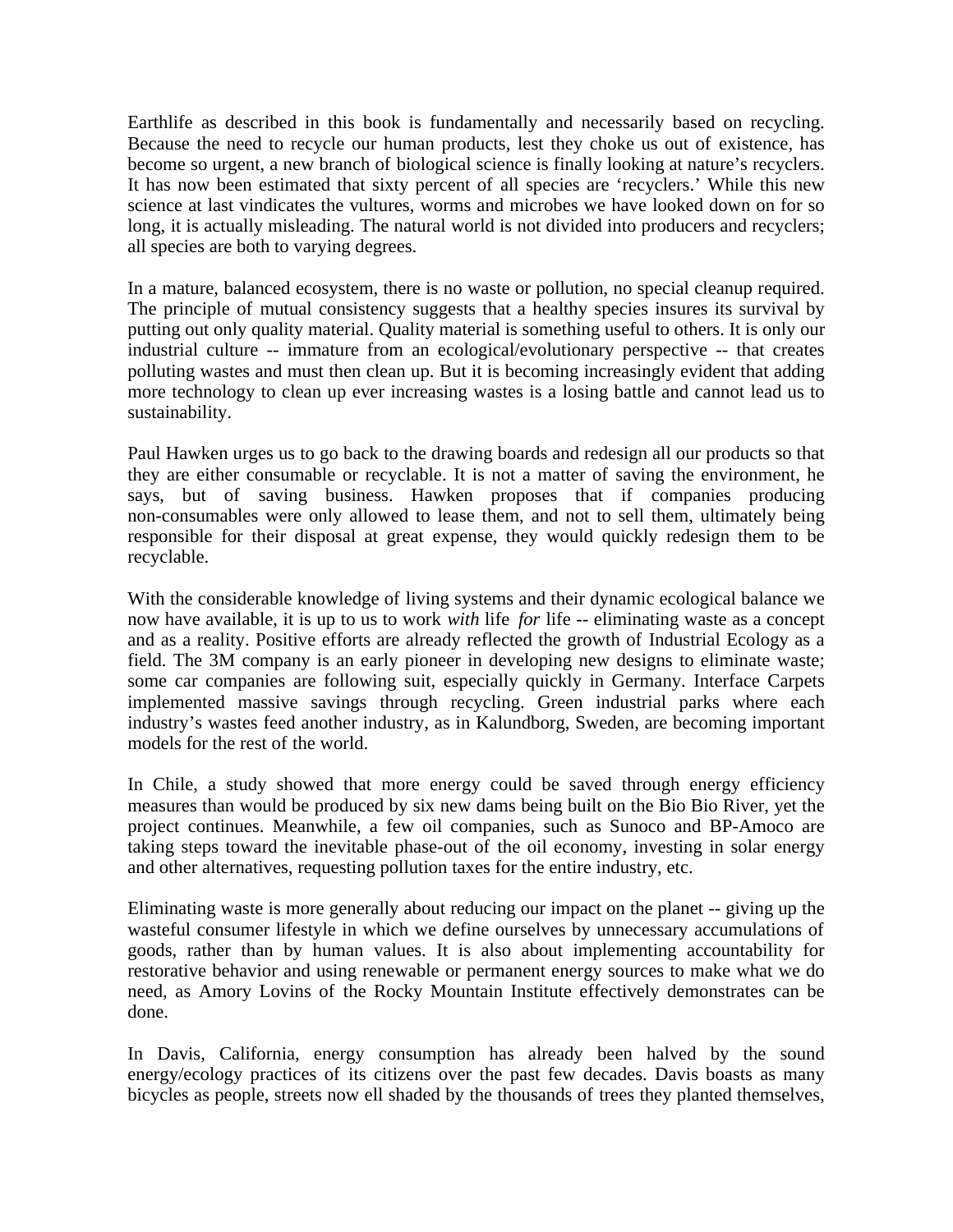Earthlife as described in this book is fundamentally and necessarily based on recycling. Because the need to recycle our human products, lest they choke us out of existence, has become so urgent, a new branch of biological science is finally looking at nature's recyclers. It has now been estimated that sixty percent of all species are 'recyclers.' While this new science at last vindicates the vultures, worms and microbes we have looked down on for so long, it is actually misleading. The natural world is not divided into producers and recyclers; all species are both to varying degrees.

In a mature, balanced ecosystem, there is no waste or pollution, no special cleanup required. The principle of mutual consistency suggests that a healthy species insures its survival by putting out only quality material. Quality material is something useful to others. It is only our industrial culture -- immature from an ecological/evolutionary perspective -- that creates polluting wastes and must then clean up. But it is becoming increasingly evident that adding more technology to clean up ever increasing wastes is a losing battle and cannot lead us to sustainability.

Paul Hawken urges us to go back to the drawing boards and redesign all our products so that they are either consumable or recyclable. It is not a matter of saving the environment, he says, but of saving business. Hawken proposes that if companies producing non-consumables were only allowed to lease them, and not to sell them, ultimately being responsible for their disposal at great expense, they would quickly redesign them to be recyclable.

With the considerable knowledge of living systems and their dynamic ecological balance we now have available, it is up to us to work *with* life *for* life -- eliminating waste as a concept and as a reality. Positive efforts are already reflected the growth of Industrial Ecology as a field. The 3M company is an early pioneer in developing new designs to eliminate waste; some car companies are following suit, especially quickly in Germany. Interface Carpets implemented massive savings through recycling. Green industrial parks where each industry's wastes feed another industry, as in Kalundborg, Sweden, are becoming important models for the rest of the world.

In Chile, a study showed that more energy could be saved through energy efficiency measures than would be produced by six new dams being built on the Bio Bio River, yet the project continues. Meanwhile, a few oil companies, such as Sunoco and BP-Amoco are taking steps toward the inevitable phase-out of the oil economy, investing in solar energy and other alternatives, requesting pollution taxes for the entire industry, etc.

Eliminating waste is more generally about reducing our impact on the planet -- giving up the wasteful consumer lifestyle in which we define ourselves by unnecessary accumulations of goods, rather than by human values. It is also about implementing accountability for restorative behavior and using renewable or permanent energy sources to make what we do need, as Amory Lovins of the Rocky Mountain Institute effectively demonstrates can be done.

In Davis, California, energy consumption has already been halved by the sound energy/ecology practices of its citizens over the past few decades. Davis boasts as many bicycles as people, streets now ell shaded by the thousands of trees they planted themselves,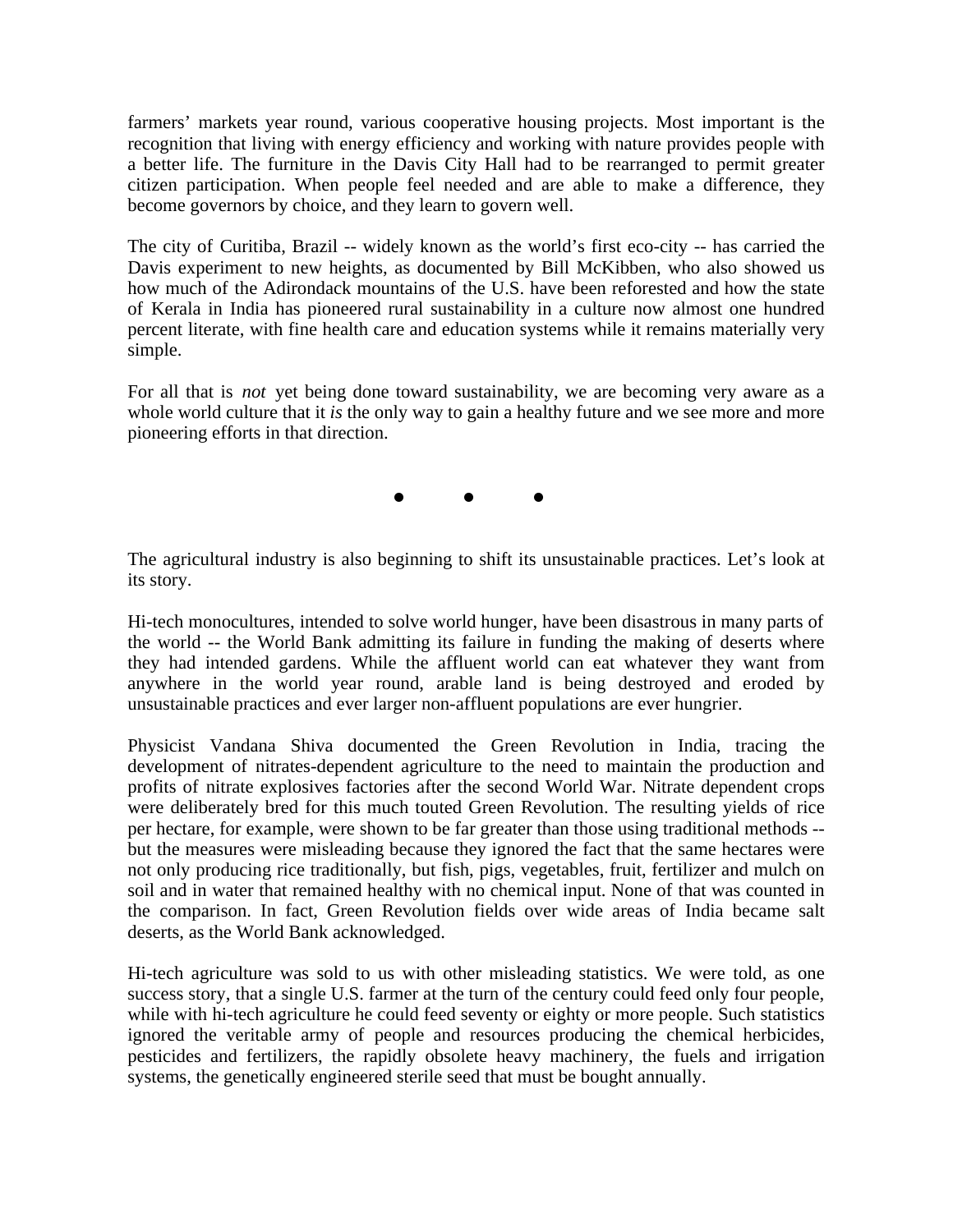farmers' markets year round, various cooperative housing projects. Most important is the recognition that living with energy efficiency and working with nature provides people with a better life. The furniture in the Davis City Hall had to be rearranged to permit greater citizen participation. When people feel needed and are able to make a difference, they become governors by choice, and they learn to govern well.

The city of Curitiba, Brazil -- widely known as the world's first eco-city -- has carried the Davis experiment to new heights, as documented by Bill McKibben, who also showed us how much of the Adirondack mountains of the U.S. have been reforested and how the state of Kerala in India has pioneered rural sustainability in a culture now almost one hundred percent literate, with fine health care and education systems while it remains materially very simple.

For all that is *not* yet being done toward sustainability, we are becoming very aware as a whole world culture that it *is* the only way to gain a healthy future and we see more and more pioneering efforts in that direction.

**· · ·** 

The agricultural industry is also beginning to shift its unsustainable practices. Let's look at its story.

Hi-tech monocultures, intended to solve world hunger, have been disastrous in many parts of the world -- the World Bank admitting its failure in funding the making of deserts where they had intended gardens. While the affluent world can eat whatever they want from anywhere in the world year round, arable land is being destroyed and eroded by unsustainable practices and ever larger non-affluent populations are ever hungrier.

Physicist Vandana Shiva documented the Green Revolution in India, tracing the development of nitrates-dependent agriculture to the need to maintain the production and profits of nitrate explosives factories after the second World War. Nitrate dependent crops were deliberately bred for this much touted Green Revolution. The resulting yields of rice per hectare, for example, were shown to be far greater than those using traditional methods - but the measures were misleading because they ignored the fact that the same hectares were not only producing rice traditionally, but fish, pigs, vegetables, fruit, fertilizer and mulch on soil and in water that remained healthy with no chemical input. None of that was counted in the comparison. In fact, Green Revolution fields over wide areas of India became salt deserts, as the World Bank acknowledged.

Hi-tech agriculture was sold to us with other misleading statistics. We were told, as one success story, that a single U.S. farmer at the turn of the century could feed only four people, while with hi-tech agriculture he could feed seventy or eighty or more people. Such statistics ignored the veritable army of people and resources producing the chemical herbicides, pesticides and fertilizers, the rapidly obsolete heavy machinery, the fuels and irrigation systems, the genetically engineered sterile seed that must be bought annually.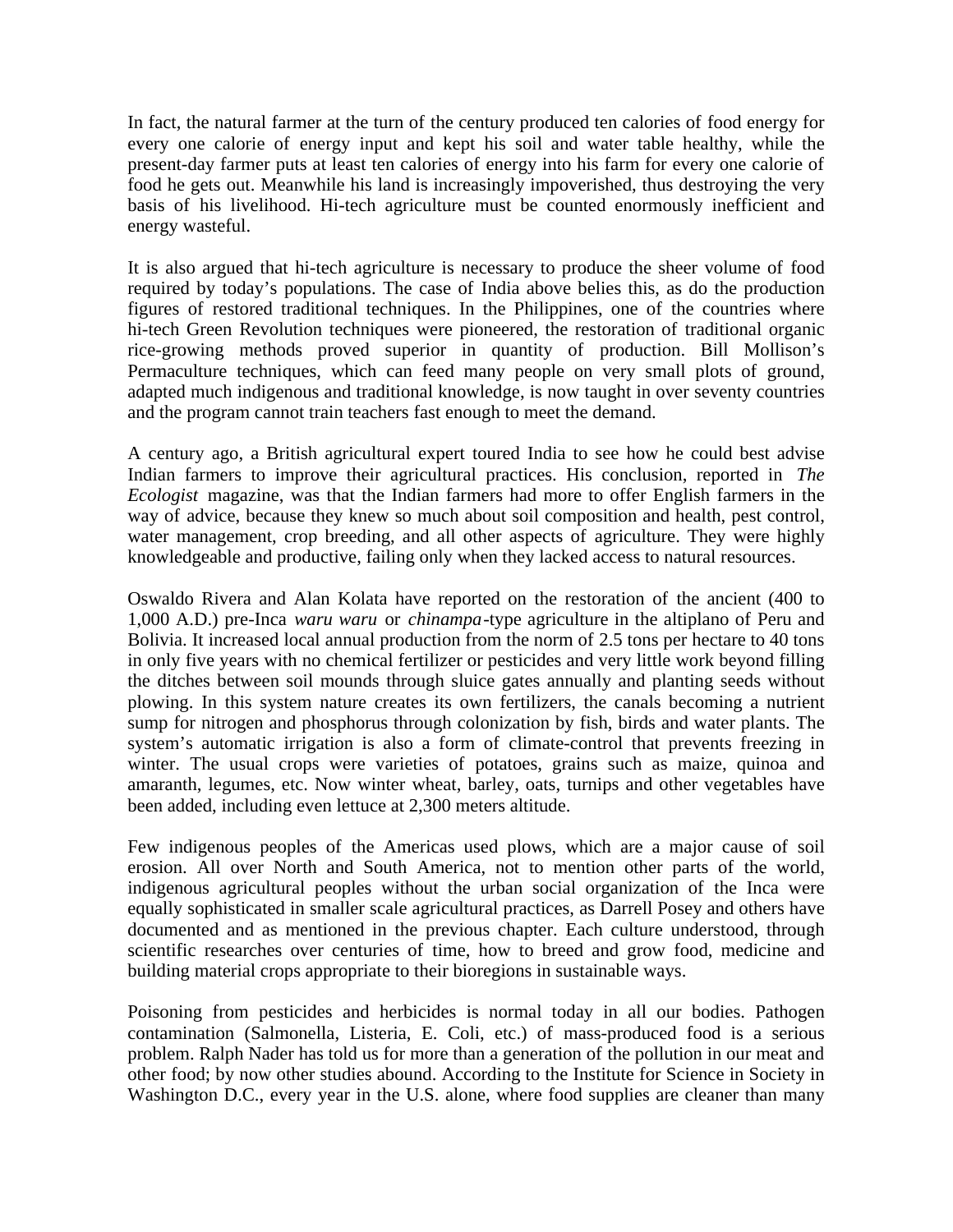In fact, the natural farmer at the turn of the century produced ten calories of food energy for every one calorie of energy input and kept his soil and water table healthy, while the present-day farmer puts at least ten calories of energy into his farm for every one calorie of food he gets out. Meanwhile his land is increasingly impoverished, thus destroying the very basis of his livelihood. Hi-tech agriculture must be counted enormously inefficient and energy wasteful.

It is also argued that hi-tech agriculture is necessary to produce the sheer volume of food required by today's populations. The case of India above belies this, as do the production figures of restored traditional techniques. In the Philippines, one of the countries where hi-tech Green Revolution techniques were pioneered, the restoration of traditional organic rice-growing methods proved superior in quantity of production. Bill Mollison's Permaculture techniques, which can feed many people on very small plots of ground, adapted much indigenous and traditional knowledge, is now taught in over seventy countries and the program cannot train teachers fast enough to meet the demand.

A century ago, a British agricultural expert toured India to see how he could best advise Indian farmers to improve their agricultural practices. His conclusion, reported in *The Ecologist* magazine, was that the Indian farmers had more to offer English farmers in the way of advice, because they knew so much about soil composition and health, pest control, water management, crop breeding, and all other aspects of agriculture. They were highly knowledgeable and productive, failing only when they lacked access to natural resources.

Oswaldo Rivera and Alan Kolata have reported on the restoration of the ancient (400 to 1,000 A.D.) pre-Inca *waru waru* or *chinampa*-type agriculture in the altiplano of Peru and Bolivia. It increased local annual production from the norm of 2.5 tons per hectare to 40 tons in only five years with no chemical fertilizer or pesticides and very little work beyond filling the ditches between soil mounds through sluice gates annually and planting seeds without plowing. In this system nature creates its own fertilizers, the canals becoming a nutrient sump for nitrogen and phosphorus through colonization by fish, birds and water plants. The system's automatic irrigation is also a form of climate-control that prevents freezing in winter. The usual crops were varieties of potatoes, grains such as maize, quinoa and amaranth, legumes, etc. Now winter wheat, barley, oats, turnips and other vegetables have been added, including even lettuce at 2,300 meters altitude.

Few indigenous peoples of the Americas used plows, which are a major cause of soil erosion. All over North and South America, not to mention other parts of the world, indigenous agricultural peoples without the urban social organization of the Inca were equally sophisticated in smaller scale agricultural practices, as Darrell Posey and others have documented and as mentioned in the previous chapter. Each culture understood, through scientific researches over centuries of time, how to breed and grow food, medicine and building material crops appropriate to their bioregions in sustainable ways.

Poisoning from pesticides and herbicides is normal today in all our bodies. Pathogen contamination (Salmonella, Listeria, E. Coli, etc.) of mass-produced food is a serious problem. Ralph Nader has told us for more than a generation of the pollution in our meat and other food; by now other studies abound. According to the Institute for Science in Society in Washington D.C., every year in the U.S. alone, where food supplies are cleaner than many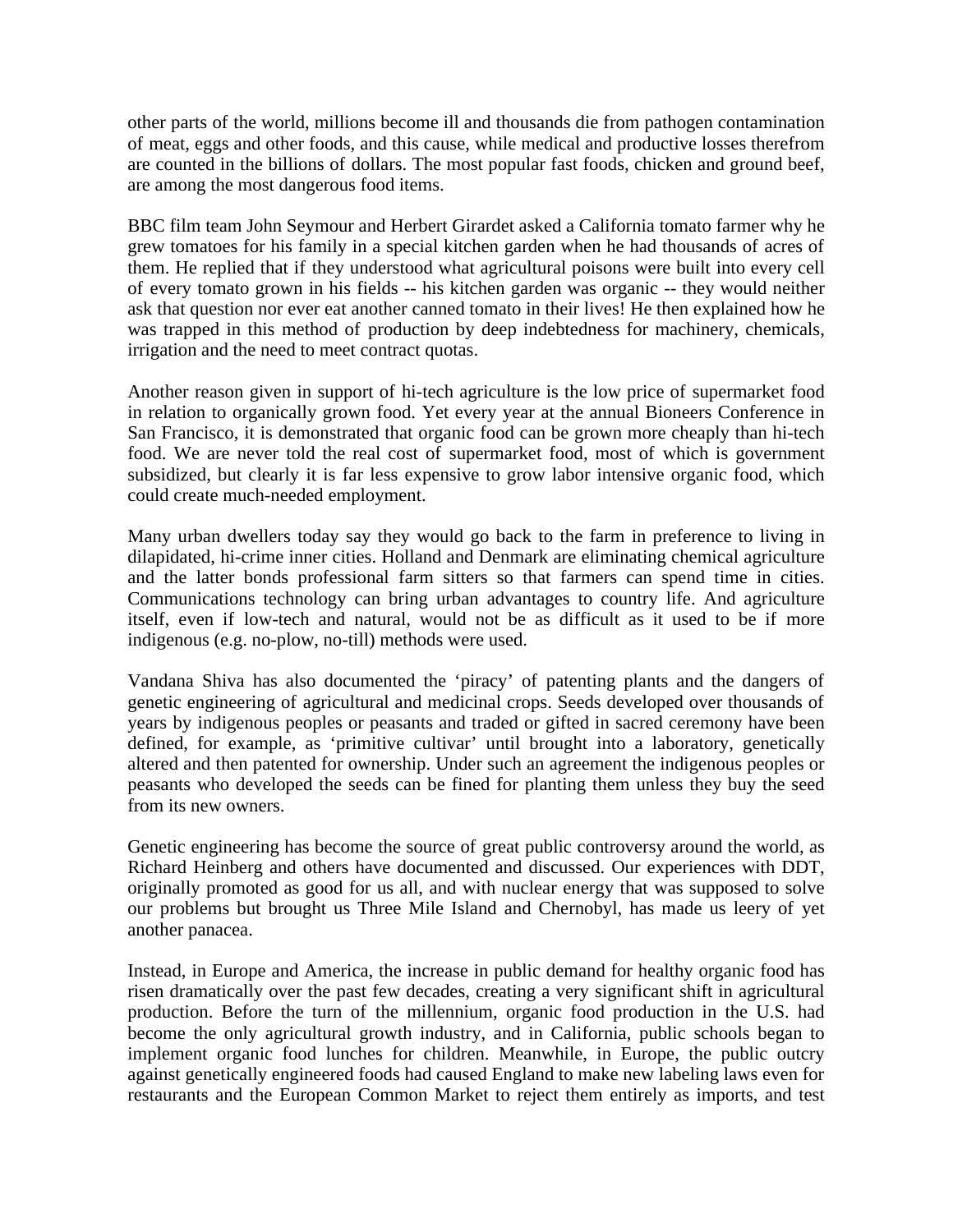other parts of the world, millions become ill and thousands die from pathogen contamination of meat, eggs and other foods, and this cause, while medical and productive losses therefrom are counted in the billions of dollars. The most popular fast foods, chicken and ground beef, are among the most dangerous food items.

BBC film team John Seymour and Herbert Girardet asked a California tomato farmer why he grew tomatoes for his family in a special kitchen garden when he had thousands of acres of them. He replied that if they understood what agricultural poisons were built into every cell of every tomato grown in his fields -- his kitchen garden was organic -- they would neither ask that question nor ever eat another canned tomato in their lives! He then explained how he was trapped in this method of production by deep indebtedness for machinery, chemicals, irrigation and the need to meet contract quotas.

Another reason given in support of hi-tech agriculture is the low price of supermarket food in relation to organically grown food. Yet every year at the annual Bioneers Conference in San Francisco, it is demonstrated that organic food can be grown more cheaply than hi-tech food. We are never told the real cost of supermarket food, most of which is government subsidized, but clearly it is far less expensive to grow labor intensive organic food, which could create much-needed employment.

Many urban dwellers today say they would go back to the farm in preference to living in dilapidated, hi-crime inner cities. Holland and Denmark are eliminating chemical agriculture and the latter bonds professional farm sitters so that farmers can spend time in cities. Communications technology can bring urban advantages to country life. And agriculture itself, even if low-tech and natural, would not be as difficult as it used to be if more indigenous (e.g. no-plow, no-till) methods were used.

Vandana Shiva has also documented the 'piracy' of patenting plants and the dangers of genetic engineering of agricultural and medicinal crops. Seeds developed over thousands of years by indigenous peoples or peasants and traded or gifted in sacred ceremony have been defined, for example, as 'primitive cultivar' until brought into a laboratory, genetically altered and then patented for ownership. Under such an agreement the indigenous peoples or peasants who developed the seeds can be fined for planting them unless they buy the seed from its new owners.

Genetic engineering has become the source of great public controversy around the world, as Richard Heinberg and others have documented and discussed. Our experiences with DDT, originally promoted as good for us all, and with nuclear energy that was supposed to solve our problems but brought us Three Mile Island and Chernobyl, has made us leery of yet another panacea.

Instead, in Europe and America, the increase in public demand for healthy organic food has risen dramatically over the past few decades, creating a very significant shift in agricultural production. Before the turn of the millennium, organic food production in the U.S. had become the only agricultural growth industry, and in California, public schools began to implement organic food lunches for children. Meanwhile, in Europe, the public outcry against genetically engineered foods had caused England to make new labeling laws even for restaurants and the European Common Market to reject them entirely as imports, and test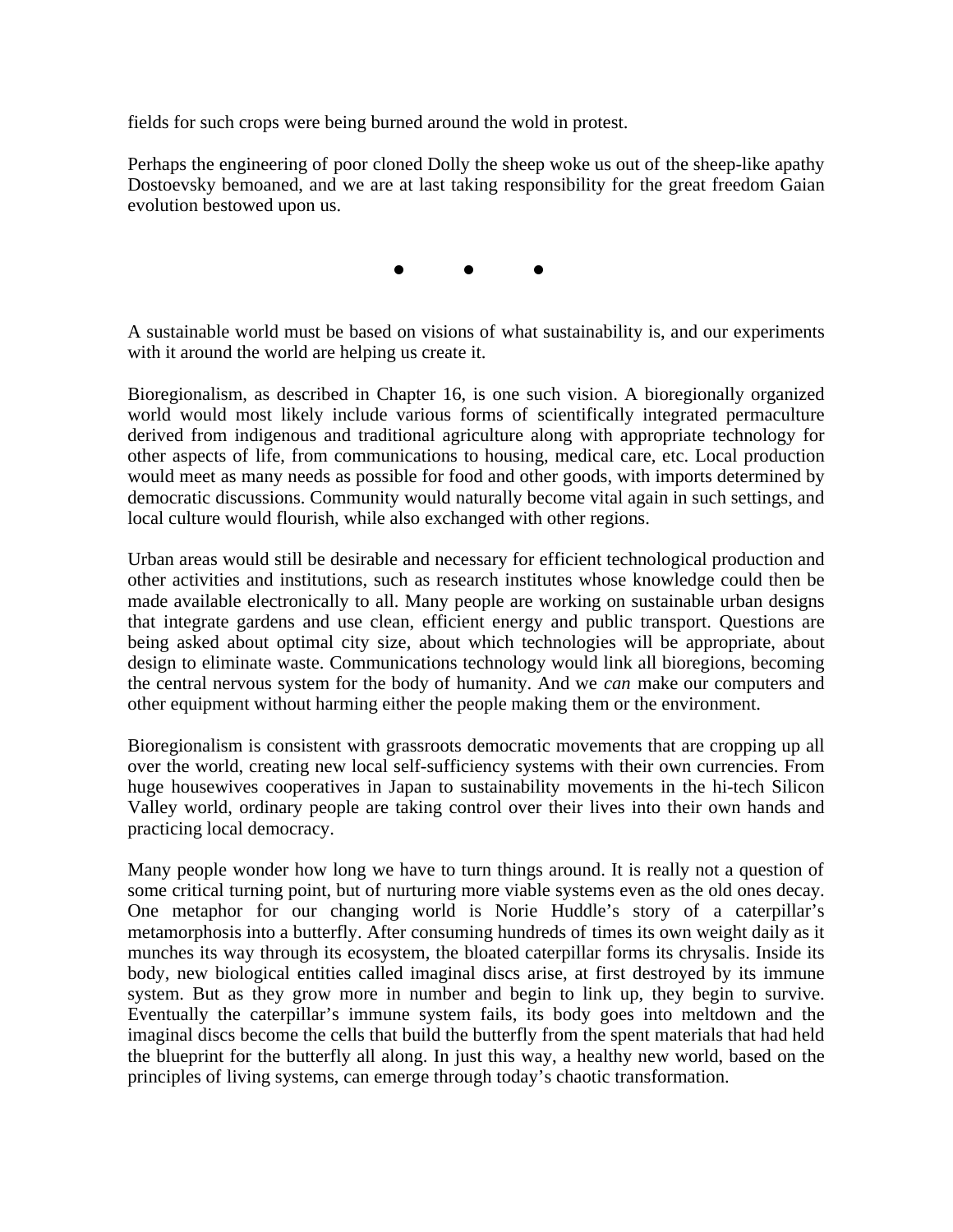fields for such crops were being burned around the wold in protest.

Perhaps the engineering of poor cloned Dolly the sheep woke us out of the sheep-like apathy Dostoevsky bemoaned, and we are at last taking responsibility for the great freedom Gaian evolution bestowed upon us.

**· · ·** 

A sustainable world must be based on visions of what sustainability is, and our experiments with it around the world are helping us create it.

Bioregionalism, as described in Chapter 16, is one such vision. A bioregionally organized world would most likely include various forms of scientifically integrated permaculture derived from indigenous and traditional agriculture along with appropriate technology for other aspects of life, from communications to housing, medical care, etc. Local production would meet as many needs as possible for food and other goods, with imports determined by democratic discussions. Community would naturally become vital again in such settings, and local culture would flourish, while also exchanged with other regions.

Urban areas would still be desirable and necessary for efficient technological production and other activities and institutions, such as research institutes whose knowledge could then be made available electronically to all. Many people are working on sustainable urban designs that integrate gardens and use clean, efficient energy and public transport. Questions are being asked about optimal city size, about which technologies will be appropriate, about design to eliminate waste. Communications technology would link all bioregions, becoming the central nervous system for the body of humanity. And we *can* make our computers and other equipment without harming either the people making them or the environment.

Bioregionalism is consistent with grassroots democratic movements that are cropping up all over the world, creating new local self-sufficiency systems with their own currencies. From huge housewives cooperatives in Japan to sustainability movements in the hi-tech Silicon Valley world, ordinary people are taking control over their lives into their own hands and practicing local democracy.

Many people wonder how long we have to turn things around. It is really not a question of some critical turning point, but of nurturing more viable systems even as the old ones decay. One metaphor for our changing world is Norie Huddle's story of a caterpillar's metamorphosis into a butterfly. After consuming hundreds of times its own weight daily as it munches its way through its ecosystem, the bloated caterpillar forms its chrysalis. Inside its body, new biological entities called imaginal discs arise, at first destroyed by its immune system. But as they grow more in number and begin to link up, they begin to survive. Eventually the caterpillar's immune system fails, its body goes into meltdown and the imaginal discs become the cells that build the butterfly from the spent materials that had held the blueprint for the butterfly all along. In just this way, a healthy new world, based on the principles of living systems, can emerge through today's chaotic transformation.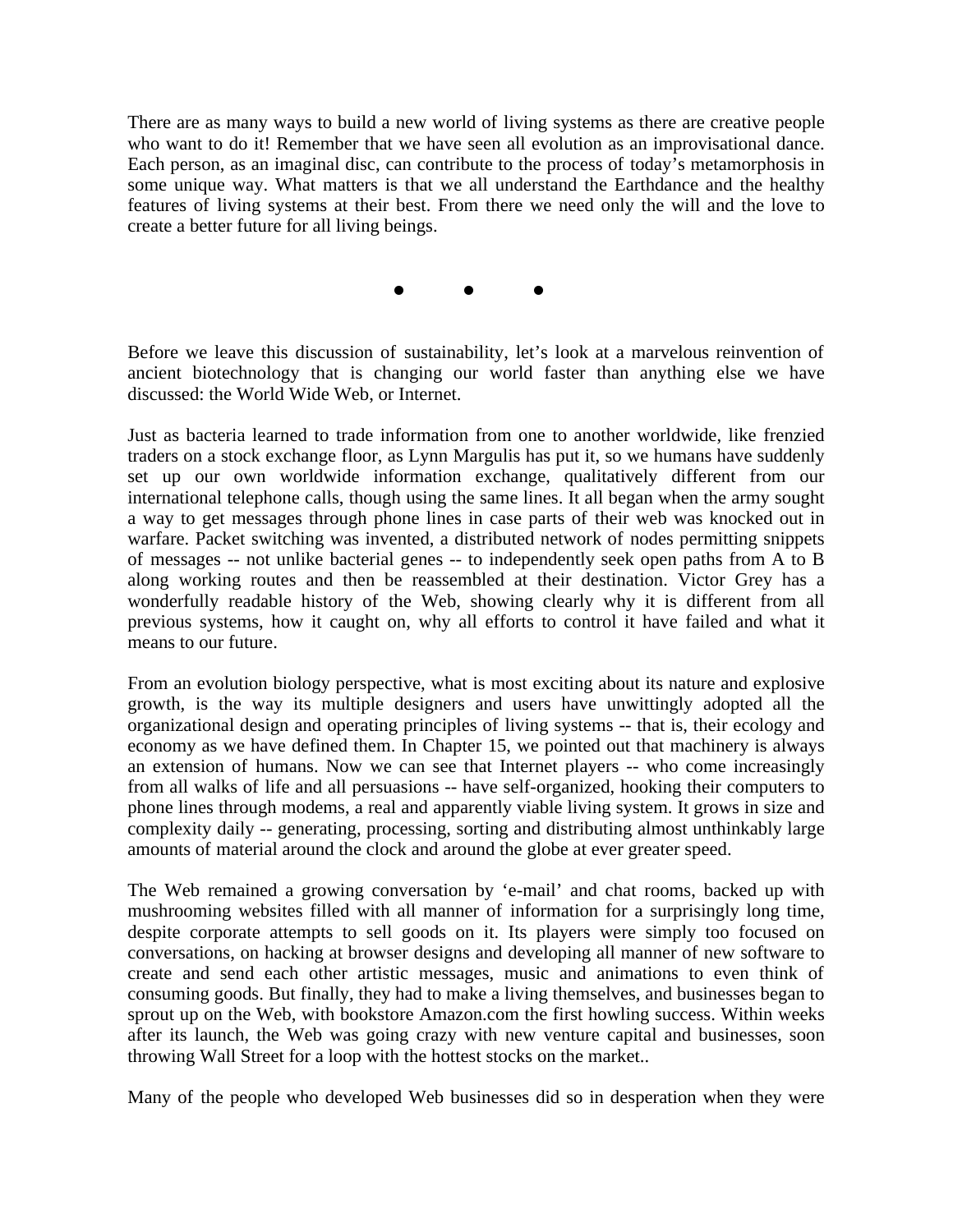There are as many ways to build a new world of living systems as there are creative people who want to do it! Remember that we have seen all evolution as an improvisational dance. Each person, as an imaginal disc, can contribute to the process of today's metamorphosis in some unique way. What matters is that we all understand the Earthdance and the healthy features of living systems at their best. From there we need only the will and the love to create a better future for all living beings.

**· · ·** 

Before we leave this discussion of sustainability, let's look at a marvelous reinvention of ancient biotechnology that is changing our world faster than anything else we have discussed: the World Wide Web, or Internet.

Just as bacteria learned to trade information from one to another worldwide, like frenzied traders on a stock exchange floor, as Lynn Margulis has put it, so we humans have suddenly set up our own worldwide information exchange, qualitatively different from our international telephone calls, though using the same lines. It all began when the army sought a way to get messages through phone lines in case parts of their web was knocked out in warfare. Packet switching was invented, a distributed network of nodes permitting snippets of messages -- not unlike bacterial genes -- to independently seek open paths from A to B along working routes and then be reassembled at their destination. Victor Grey has a wonderfully readable history of the Web, showing clearly why it is different from all previous systems, how it caught on, why all efforts to control it have failed and what it means to our future.

From an evolution biology perspective, what is most exciting about its nature and explosive growth, is the way its multiple designers and users have unwittingly adopted all the organizational design and operating principles of living systems -- that is, their ecology and economy as we have defined them. In Chapter 15, we pointed out that machinery is always an extension of humans. Now we can see that Internet players -- who come increasingly from all walks of life and all persuasions -- have self-organized, hooking their computers to phone lines through modems, a real and apparently viable living system. It grows in size and complexity daily -- generating, processing, sorting and distributing almost unthinkably large amounts of material around the clock and around the globe at ever greater speed.

The Web remained a growing conversation by 'e-mail' and chat rooms, backed up with mushrooming websites filled with all manner of information for a surprisingly long time, despite corporate attempts to sell goods on it. Its players were simply too focused on conversations, on hacking at browser designs and developing all manner of new software to create and send each other artistic messages, music and animations to even think of consuming goods. But finally, they had to make a living themselves, and businesses began to sprout up on the Web, with bookstore Amazon.com the first howling success. Within weeks after its launch, the Web was going crazy with new venture capital and businesses, soon throwing Wall Street for a loop with the hottest stocks on the market..

Many of the people who developed Web businesses did so in desperation when they were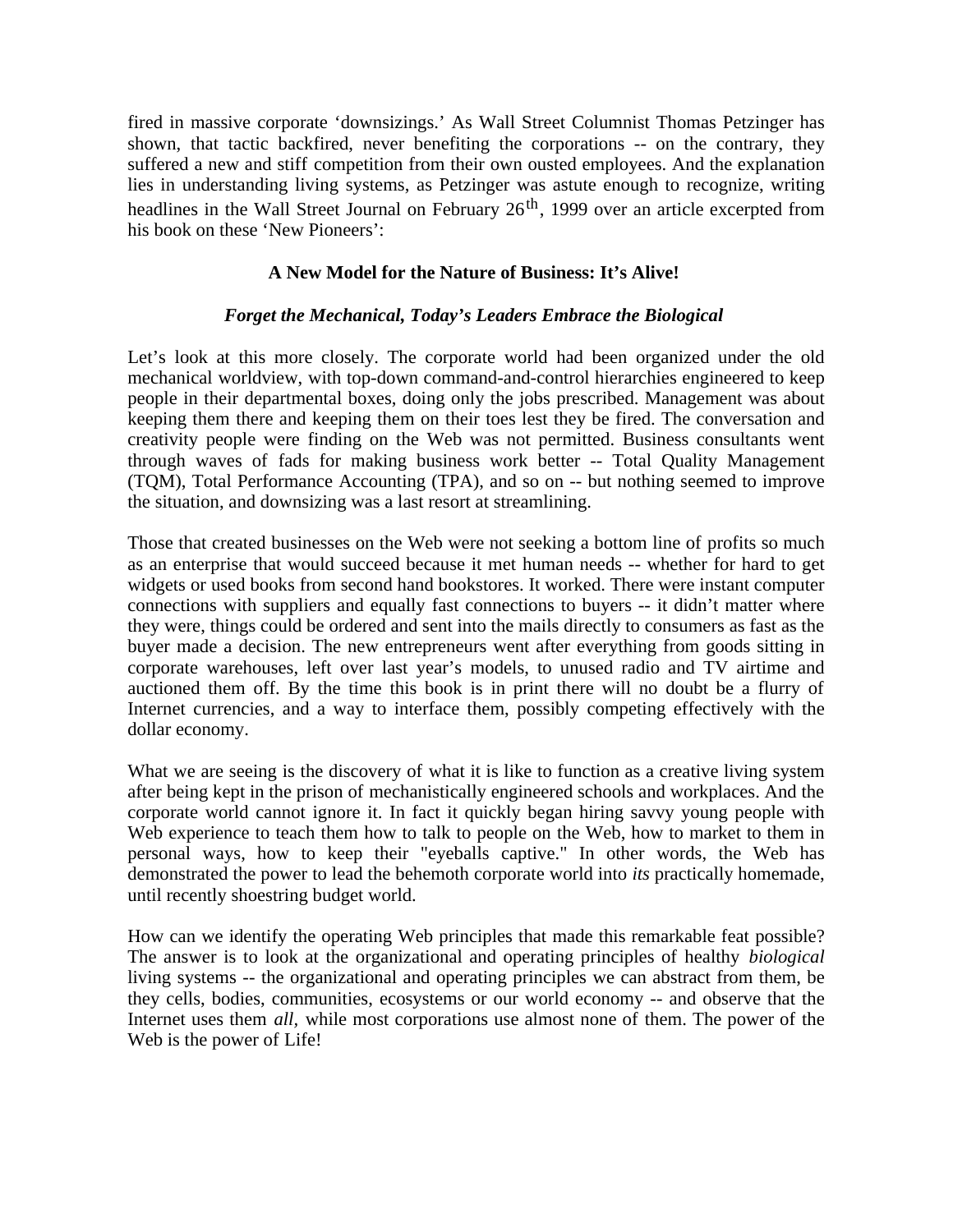fired in massive corporate 'downsizings.' As Wall Street Columnist Thomas Petzinger has shown, that tactic backfired, never benefiting the corporations -- on the contrary, they suffered a new and stiff competition from their own ousted employees. And the explanation lies in understanding living systems, as Petzinger was astute enough to recognize, writing headlines in the Wall Street Journal on February  $26<sup>th</sup>$ , 1999 over an article excerpted from his book on these 'New Pioneers':

## **A New Model for the Nature of Business: It's Alive!**

#### *Forget the Mechanical, Today's Leaders Embrace the Biological*

Let's look at this more closely. The corporate world had been organized under the old mechanical worldview, with top-down command-and-control hierarchies engineered to keep people in their departmental boxes, doing only the jobs prescribed. Management was about keeping them there and keeping them on their toes lest they be fired. The conversation and creativity people were finding on the Web was not permitted. Business consultants went through waves of fads for making business work better -- Total Quality Management (TQM), Total Performance Accounting (TPA), and so on -- but nothing seemed to improve the situation, and downsizing was a last resort at streamlining.

Those that created businesses on the Web were not seeking a bottom line of profits so much as an enterprise that would succeed because it met human needs -- whether for hard to get widgets or used books from second hand bookstores. It worked. There were instant computer connections with suppliers and equally fast connections to buyers -- it didn't matter where they were, things could be ordered and sent into the mails directly to consumers as fast as the buyer made a decision. The new entrepreneurs went after everything from goods sitting in corporate warehouses, left over last year's models, to unused radio and TV airtime and auctioned them off. By the time this book is in print there will no doubt be a flurry of Internet currencies, and a way to interface them, possibly competing effectively with the dollar economy.

What we are seeing is the discovery of what it is like to function as a creative living system after being kept in the prison of mechanistically engineered schools and workplaces. And the corporate world cannot ignore it. In fact it quickly began hiring savvy young people with Web experience to teach them how to talk to people on the Web, how to market to them in personal ways, how to keep their "eyeballs captive." In other words, the Web has demonstrated the power to lead the behemoth corporate world into *its* practically homemade, until recently shoestring budget world.

How can we identify the operating Web principles that made this remarkable feat possible? The answer is to look at the organizational and operating principles of healthy *biological* living systems -- the organizational and operating principles we can abstract from them, be they cells, bodies, communities, ecosystems or our world economy -- and observe that the Internet uses them *all,* while most corporations use almost none of them. The power of the Web is the power of Life!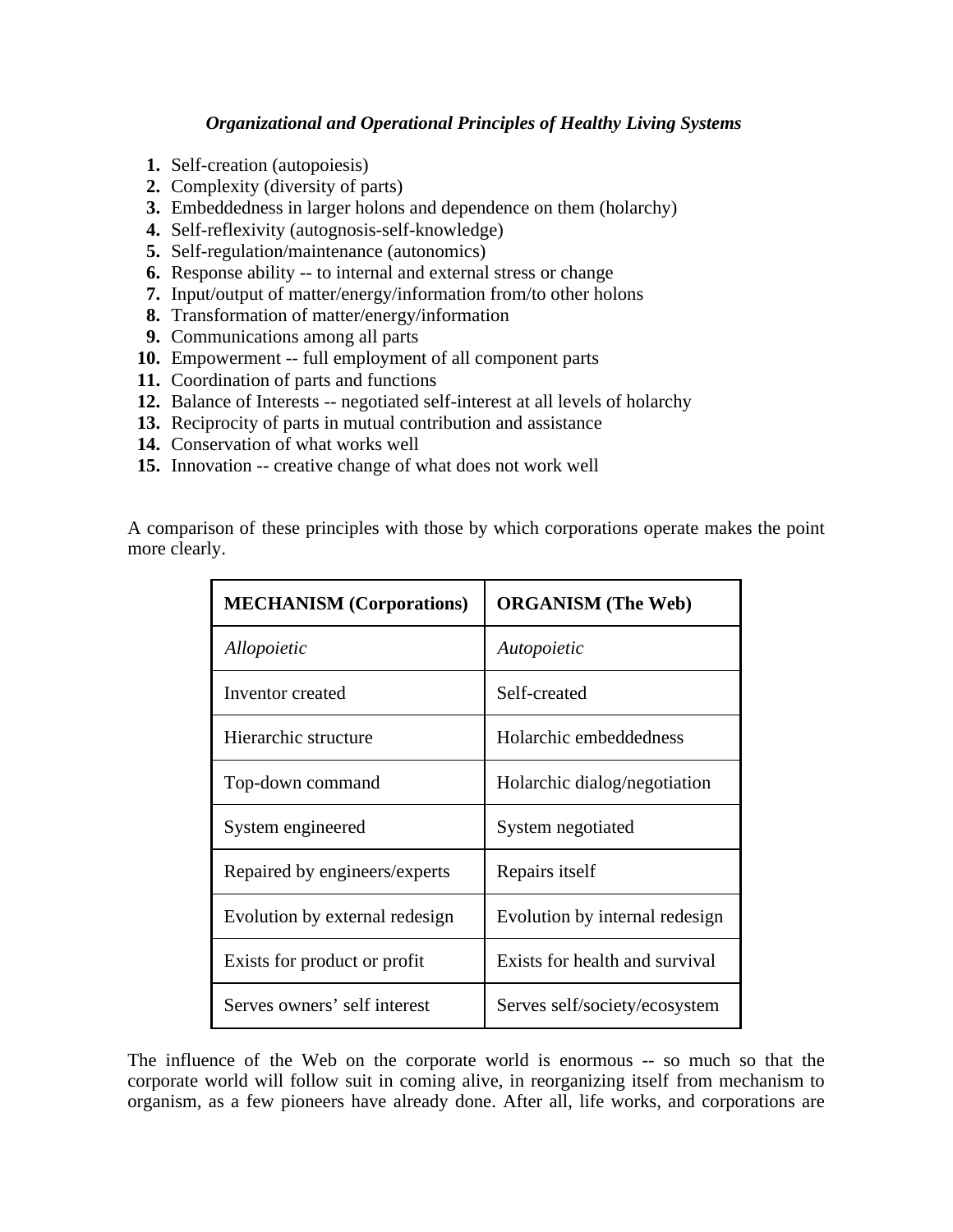## *Organizational and Operational Principles of Healthy Living Systems*

- **1.** Self-creation (autopoiesis)
- **2.** Complexity (diversity of parts)
- **3.** Embeddedness in larger holons and dependence on them (holarchy)
- **4.** Self-reflexivity (autognosis-self-knowledge)
- **5.** Self-regulation/maintenance (autonomics)
- **6.** Response ability -- to internal and external stress or change
- **7.** Input/output of matter/energy/information from/to other holons
- **8.** Transformation of matter/energy/information
- **9.** Communications among all parts
- **10.** Empowerment -- full employment of all component parts
- **11.** Coordination of parts and functions
- **12.** Balance of Interests -- negotiated self-interest at all levels of holarchy
- **13.** Reciprocity of parts in mutual contribution and assistance
- **14.** Conservation of what works well
- **15.** Innovation -- creative change of what does not work well

A comparison of these principles with those by which corporations operate makes the point more clearly.

| <b>MECHANISM</b> (Corporations) | <b>ORGANISM</b> (The Web)      |
|---------------------------------|--------------------------------|
| Allopoietic                     | Autopoietic                    |
| Inventor created                | Self-created                   |
| Hierarchic structure            | Holarchic embeddedness         |
| Top-down command                | Holarchic dialog/negotiation   |
| System engineered               | System negotiated              |
| Repaired by engineers/experts   | Repairs itself                 |
| Evolution by external redesign  | Evolution by internal redesign |
| Exists for product or profit    | Exists for health and survival |
| Serves owners' self interest    | Serves self/society/ecosystem  |

The influence of the Web on the corporate world is enormous -- so much so that the corporate world will follow suit in coming alive, in reorganizing itself from mechanism to organism, as a few pioneers have already done. After all, life works, and corporations are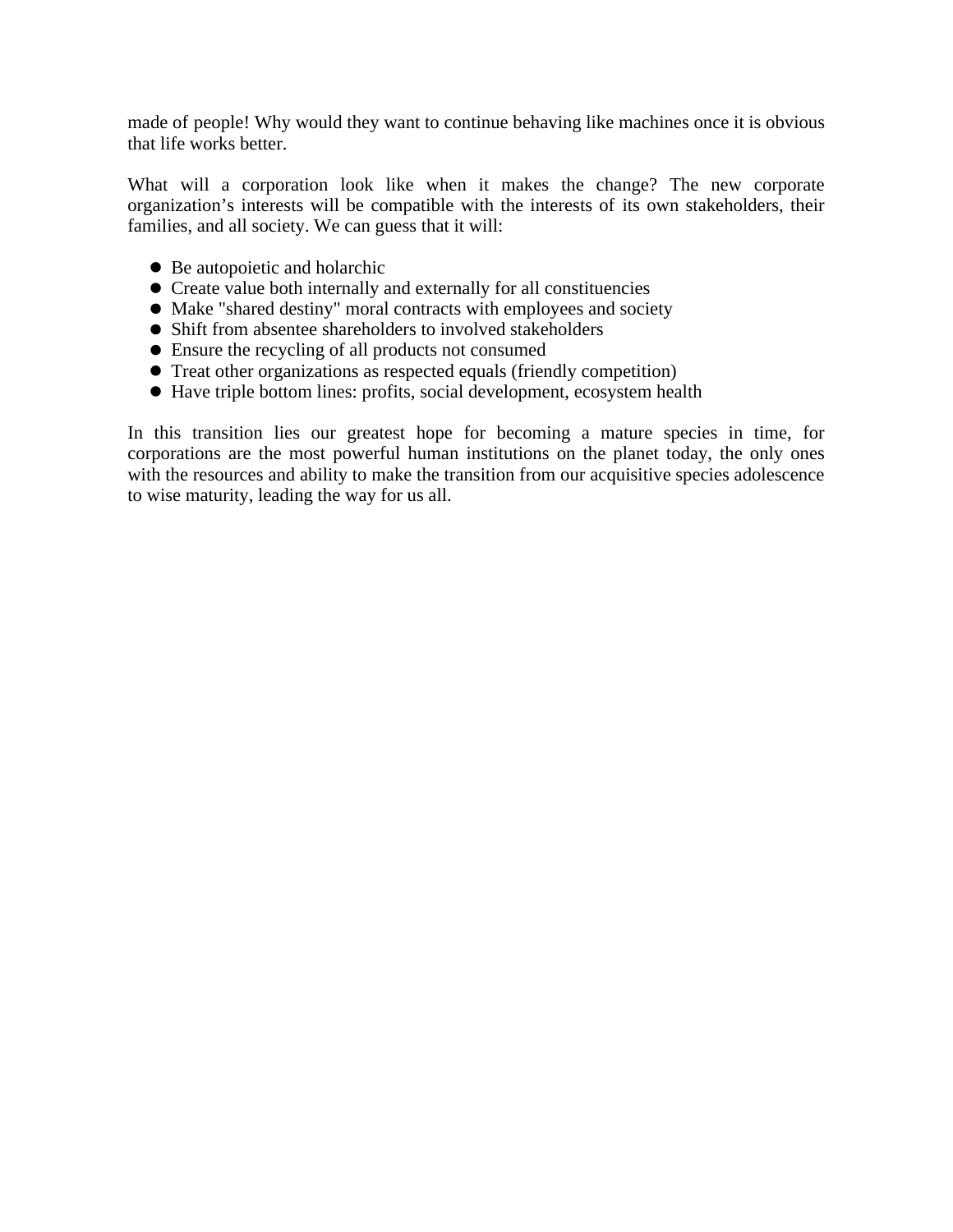made of people! Why would they want to continue behaving like machines once it is obvious that life works better.

What will a corporation look like when it makes the change? The new corporate organization's interests will be compatible with the interests of its own stakeholders, their families, and all society. We can guess that it will:

- Be autopoietic and holarchic
- Create value both internally and externally for all constituencies
- Make "shared destiny" moral contracts with employees and society
- Shift from absentee shareholders to involved stakeholders
- Ensure the recycling of all products not consumed
- Treat other organizations as respected equals (friendly competition)
- Have triple bottom lines: profits, social development, ecosystem health

In this transition lies our greatest hope for becoming a mature species in time, for corporations are the most powerful human institutions on the planet today, the only ones with the resources and ability to make the transition from our acquisitive species adolescence to wise maturity, leading the way for us all.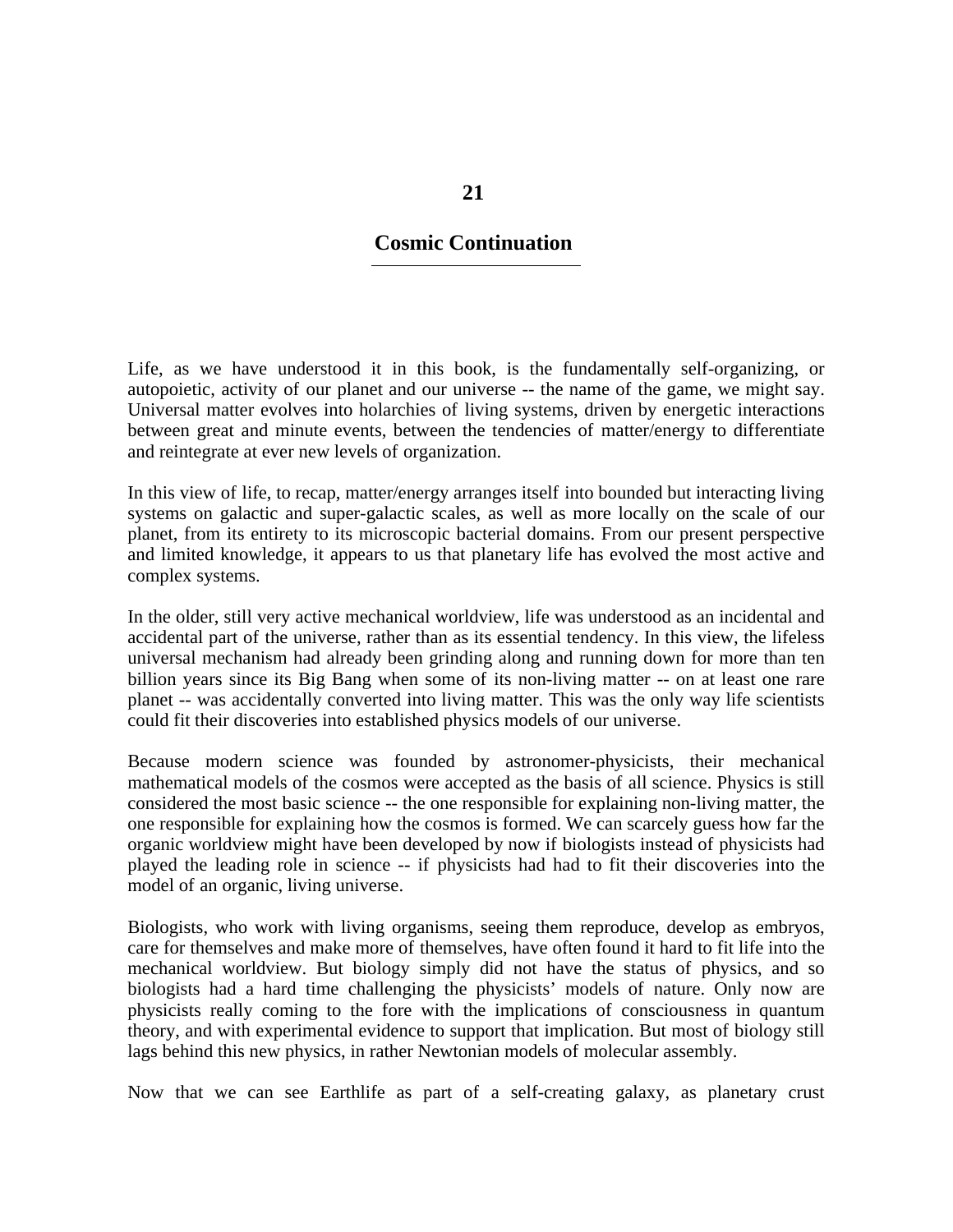## **Cosmic Continuation**

Life, as we have understood it in this book, is the fundamentally self-organizing, or autopoietic, activity of our planet and our universe -- the name of the game, we might say. Universal matter evolves into holarchies of living systems, driven by energetic interactions between great and minute events, between the tendencies of matter/energy to differentiate and reintegrate at ever new levels of organization.

In this view of life, to recap, matter/energy arranges itself into bounded but interacting living systems on galactic and super-galactic scales, as well as more locally on the scale of our planet, from its entirety to its microscopic bacterial domains. From our present perspective and limited knowledge, it appears to us that planetary life has evolved the most active and complex systems.

In the older, still very active mechanical worldview, life was understood as an incidental and accidental part of the universe, rather than as its essential tendency. In this view, the lifeless universal mechanism had already been grinding along and running down for more than ten billion years since its Big Bang when some of its non-living matter -- on at least one rare planet -- was accidentally converted into living matter. This was the only way life scientists could fit their discoveries into established physics models of our universe.

Because modern science was founded by astronomer-physicists, their mechanical mathematical models of the cosmos were accepted as the basis of all science. Physics is still considered the most basic science -- the one responsible for explaining non-living matter, the one responsible for explaining how the cosmos is formed. We can scarcely guess how far the organic worldview might have been developed by now if biologists instead of physicists had played the leading role in science -- if physicists had had to fit their discoveries into the model of an organic, living universe.

Biologists, who work with living organisms, seeing them reproduce, develop as embryos, care for themselves and make more of themselves, have often found it hard to fit life into the mechanical worldview. But biology simply did not have the status of physics, and so biologists had a hard time challenging the physicists' models of nature. Only now are physicists really coming to the fore with the implications of consciousness in quantum theory, and with experimental evidence to support that implication. But most of biology still lags behind this new physics, in rather Newtonian models of molecular assembly.

Now that we can see Earthlife as part of a self-creating galaxy, as planetary crust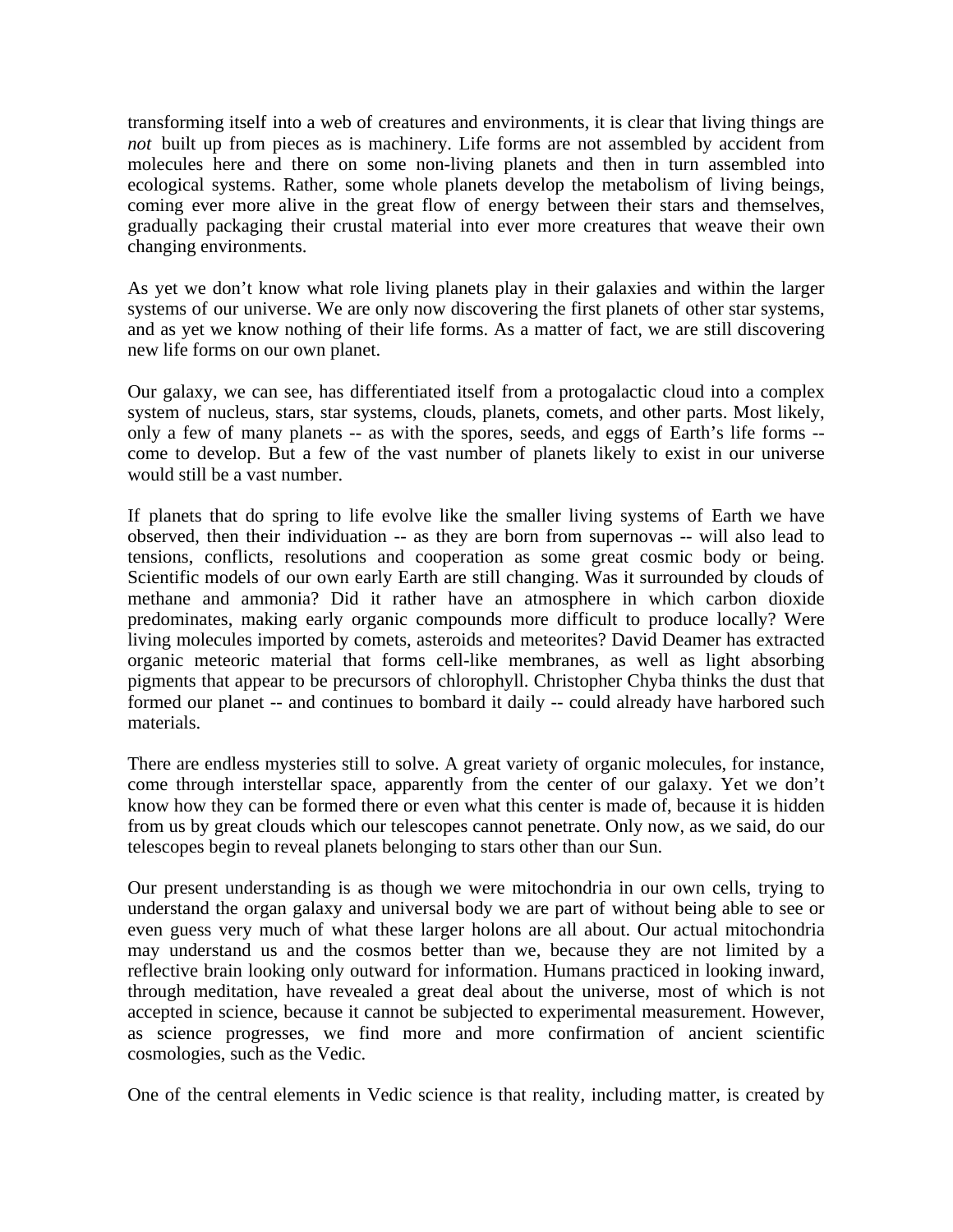transforming itself into a web of creatures and environments, it is clear that living things are *not* built up from pieces as is machinery. Life forms are not assembled by accident from molecules here and there on some non-living planets and then in turn assembled into ecological systems. Rather, some whole planets develop the metabolism of living beings, coming ever more alive in the great flow of energy between their stars and themselves, gradually packaging their crustal material into ever more creatures that weave their own changing environments.

As yet we don't know what role living planets play in their galaxies and within the larger systems of our universe. We are only now discovering the first planets of other star systems, and as yet we know nothing of their life forms. As a matter of fact, we are still discovering new life forms on our own planet.

Our galaxy, we can see, has differentiated itself from a protogalactic cloud into a complex system of nucleus, stars, star systems, clouds, planets, comets, and other parts. Most likely, only a few of many planets -- as with the spores, seeds, and eggs of Earth's life forms - come to develop. But a few of the vast number of planets likely to exist in our universe would still be a vast number.

If planets that do spring to life evolve like the smaller living systems of Earth we have observed, then their individuation -- as they are born from supernovas -- will also lead to tensions, conflicts, resolutions and cooperation as some great cosmic body or being. Scientific models of our own early Earth are still changing. Was it surrounded by clouds of methane and ammonia? Did it rather have an atmosphere in which carbon dioxide predominates, making early organic compounds more difficult to produce locally? Were living molecules imported by comets, asteroids and meteorites? David Deamer has extracted organic meteoric material that forms cell-like membranes, as well as light absorbing pigments that appear to be precursors of chlorophyll. Christopher Chyba thinks the dust that formed our planet -- and continues to bombard it daily -- could already have harbored such materials.

There are endless mysteries still to solve. A great variety of organic molecules, for instance, come through interstellar space, apparently from the center of our galaxy. Yet we don't know how they can be formed there or even what this center is made of, because it is hidden from us by great clouds which our telescopes cannot penetrate. Only now, as we said, do our telescopes begin to reveal planets belonging to stars other than our Sun.

Our present understanding is as though we were mitochondria in our own cells, trying to understand the organ galaxy and universal body we are part of without being able to see or even guess very much of what these larger holons are all about. Our actual mitochondria may understand us and the cosmos better than we, because they are not limited by a reflective brain looking only outward for information. Humans practiced in looking inward, through meditation, have revealed a great deal about the universe, most of which is not accepted in science, because it cannot be subjected to experimental measurement. However, as science progresses, we find more and more confirmation of ancient scientific cosmologies, such as the Vedic.

One of the central elements in Vedic science is that reality, including matter, is created by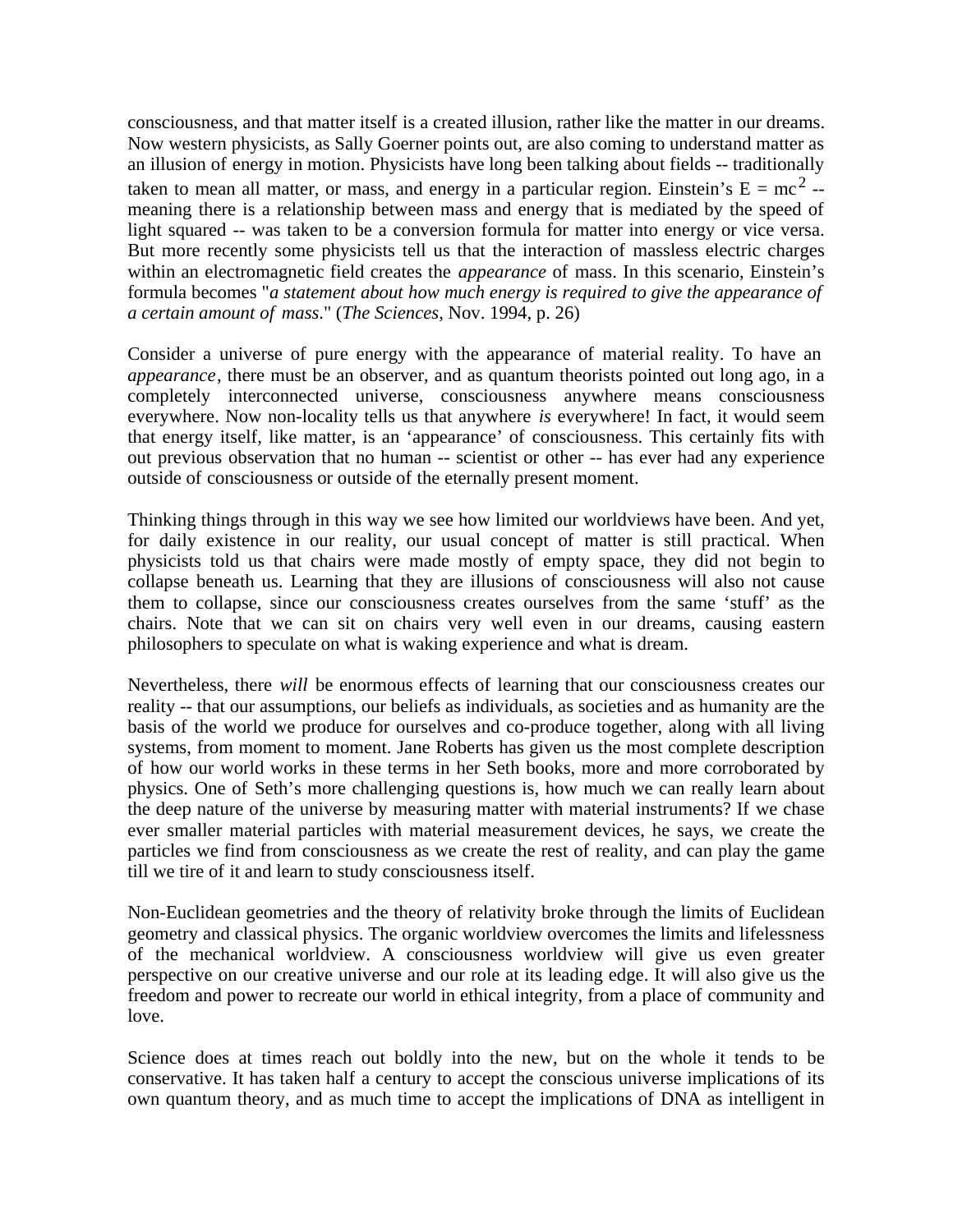consciousness, and that matter itself is a created illusion, rather like the matter in our dreams. Now western physicists, as Sally Goerner points out, are also coming to understand matter as an illusion of energy in motion. Physicists have long been talking about fields -- traditionally taken to mean all matter, or mass, and energy in a particular region. Einstein's  $E = mc^2$  -meaning there is a relationship between mass and energy that is mediated by the speed of light squared -- was taken to be a conversion formula for matter into energy or vice versa. But more recently some physicists tell us that the interaction of massless electric charges within an electromagnetic field creates the *appearance* of mass. In this scenario, Einstein's formula becomes "*a statement about how much energy is required to give the appearance of a certain amount of mass*." (*The Sciences*, Nov. 1994, p. 26)

Consider a universe of pure energy with the appearance of material reality. To have an *appearance*, there must be an observer, and as quantum theorists pointed out long ago, in a completely interconnected universe, consciousness anywhere means consciousness everywhere. Now non-locality tells us that anywhere *is* everywhere! In fact, it would seem that energy itself, like matter, is an 'appearance' of consciousness. This certainly fits with out previous observation that no human -- scientist or other -- has ever had any experience outside of consciousness or outside of the eternally present moment.

Thinking things through in this way we see how limited our worldviews have been. And yet, for daily existence in our reality, our usual concept of matter is still practical. When physicists told us that chairs were made mostly of empty space, they did not begin to collapse beneath us. Learning that they are illusions of consciousness will also not cause them to collapse, since our consciousness creates ourselves from the same 'stuff' as the chairs. Note that we can sit on chairs very well even in our dreams, causing eastern philosophers to speculate on what is waking experience and what is dream.

Nevertheless, there *will* be enormous effects of learning that our consciousness creates our reality -- that our assumptions, our beliefs as individuals, as societies and as humanity are the basis of the world we produce for ourselves and co-produce together, along with all living systems, from moment to moment. Jane Roberts has given us the most complete description of how our world works in these terms in her Seth books, more and more corroborated by physics. One of Seth's more challenging questions is, how much we can really learn about the deep nature of the universe by measuring matter with material instruments? If we chase ever smaller material particles with material measurement devices, he says, we create the particles we find from consciousness as we create the rest of reality, and can play the game till we tire of it and learn to study consciousness itself.

Non-Euclidean geometries and the theory of relativity broke through the limits of Euclidean geometry and classical physics. The organic worldview overcomes the limits and lifelessness of the mechanical worldview. A consciousness worldview will give us even greater perspective on our creative universe and our role at its leading edge. It will also give us the freedom and power to recreate our world in ethical integrity, from a place of community and love.

Science does at times reach out boldly into the new, but on the whole it tends to be conservative. It has taken half a century to accept the conscious universe implications of its own quantum theory, and as much time to accept the implications of DNA as intelligent in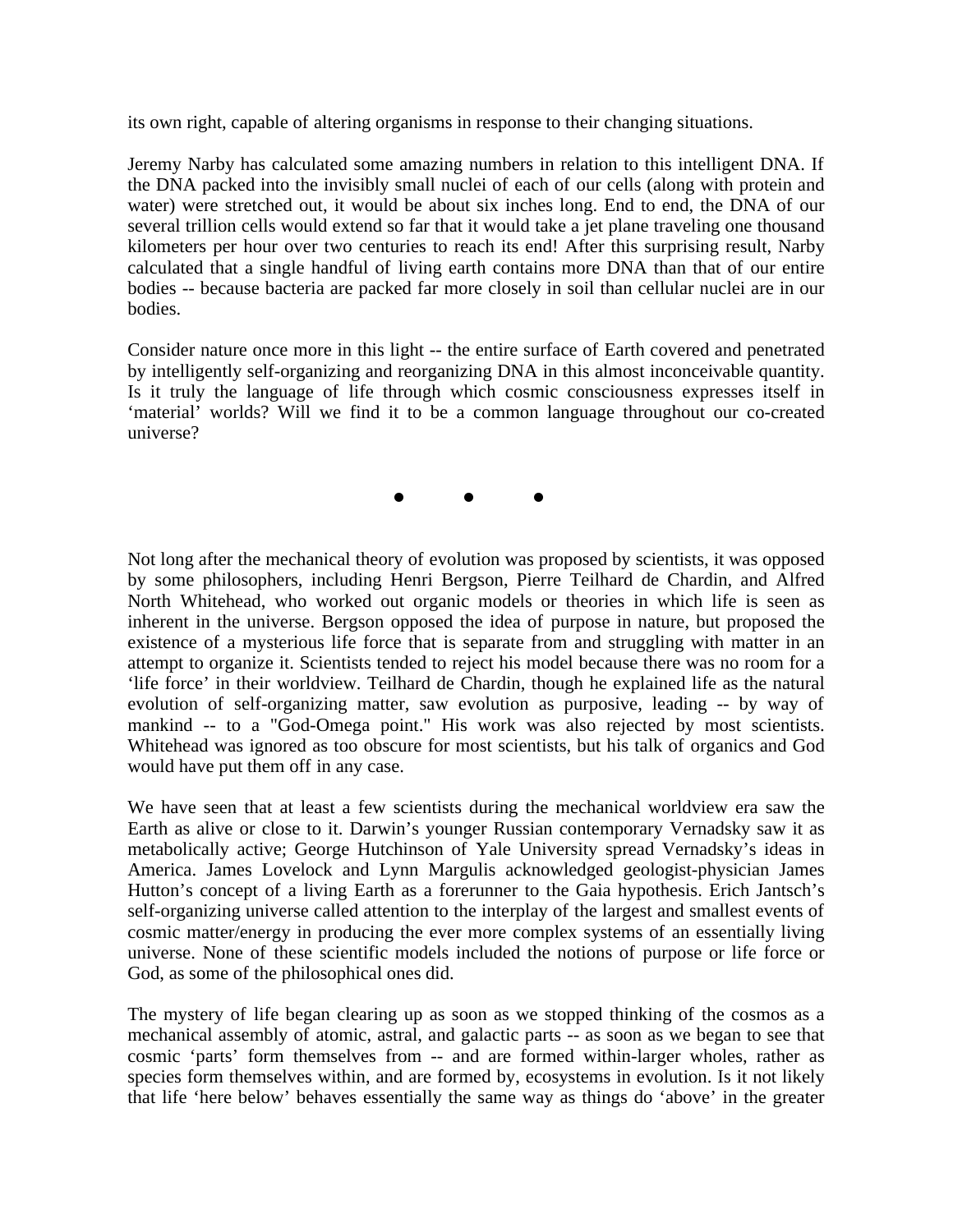its own right, capable of altering organisms in response to their changing situations.

Jeremy Narby has calculated some amazing numbers in relation to this intelligent DNA. If the DNA packed into the invisibly small nuclei of each of our cells (along with protein and water) were stretched out, it would be about six inches long. End to end, the DNA of our several trillion cells would extend so far that it would take a jet plane traveling one thousand kilometers per hour over two centuries to reach its end! After this surprising result, Narby calculated that a single handful of living earth contains more DNA than that of our entire bodies -- because bacteria are packed far more closely in soil than cellular nuclei are in our bodies.

Consider nature once more in this light -- the entire surface of Earth covered and penetrated by intelligently self-organizing and reorganizing DNA in this almost inconceivable quantity. Is it truly the language of life through which cosmic consciousness expresses itself in 'material' worlds? Will we find it to be a common language throughout our co-created universe?

**· · ·** 

Not long after the mechanical theory of evolution was proposed by scientists, it was opposed by some philosophers, including Henri Bergson, Pierre Teilhard de Chardin, and Alfred North Whitehead, who worked out organic models or theories in which life is seen as inherent in the universe. Bergson opposed the idea of purpose in nature, but proposed the existence of a mysterious life force that is separate from and struggling with matter in an attempt to organize it. Scientists tended to reject his model because there was no room for a 'life force' in their worldview. Teilhard de Chardin, though he explained life as the natural evolution of self-organizing matter, saw evolution as purposive, leading -- by way of mankind -- to a "God-Omega point." His work was also rejected by most scientists. Whitehead was ignored as too obscure for most scientists, but his talk of organics and God would have put them off in any case.

We have seen that at least a few scientists during the mechanical worldview era saw the Earth as alive or close to it. Darwin's younger Russian contemporary Vernadsky saw it as metabolically active; George Hutchinson of Yale University spread Vernadsky's ideas in America. James Lovelock and Lynn Margulis acknowledged geologist-physician James Hutton's concept of a living Earth as a forerunner to the Gaia hypothesis. Erich Jantsch's self-organizing universe called attention to the interplay of the largest and smallest events of cosmic matter/energy in producing the ever more complex systems of an essentially living universe. None of these scientific models included the notions of purpose or life force or God, as some of the philosophical ones did.

The mystery of life began clearing up as soon as we stopped thinking of the cosmos as a mechanical assembly of atomic, astral, and galactic parts -- as soon as we began to see that cosmic 'parts' form themselves from -- and are formed within-larger wholes, rather as species form themselves within, and are formed by, ecosystems in evolution. Is it not likely that life 'here below' behaves essentially the same way as things do 'above' in the greater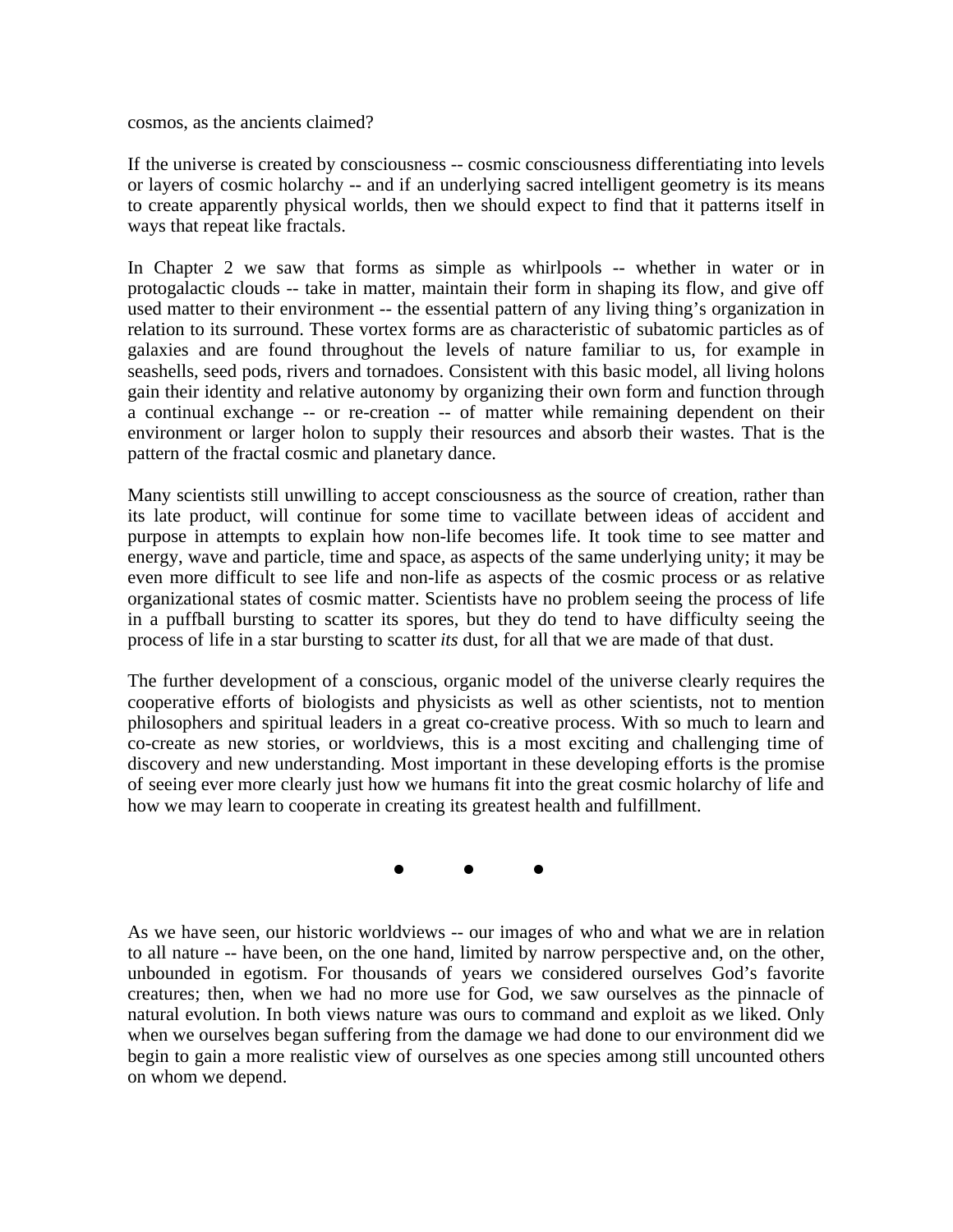cosmos, as the ancients claimed?

If the universe is created by consciousness -- cosmic consciousness differentiating into levels or layers of cosmic holarchy -- and if an underlying sacred intelligent geometry is its means to create apparently physical worlds, then we should expect to find that it patterns itself in ways that repeat like fractals.

In Chapter 2 we saw that forms as simple as whirlpools -- whether in water or in protogalactic clouds -- take in matter, maintain their form in shaping its flow, and give off used matter to their environment -- the essential pattern of any living thing's organization in relation to its surround. These vortex forms are as characteristic of subatomic particles as of galaxies and are found throughout the levels of nature familiar to us, for example in seashells, seed pods, rivers and tornadoes. Consistent with this basic model, all living holons gain their identity and relative autonomy by organizing their own form and function through a continual exchange -- or re-creation -- of matter while remaining dependent on their environment or larger holon to supply their resources and absorb their wastes. That is the pattern of the fractal cosmic and planetary dance.

Many scientists still unwilling to accept consciousness as the source of creation, rather than its late product, will continue for some time to vacillate between ideas of accident and purpose in attempts to explain how non-life becomes life. It took time to see matter and energy, wave and particle, time and space, as aspects of the same underlying unity; it may be even more difficult to see life and non-life as aspects of the cosmic process or as relative organizational states of cosmic matter. Scientists have no problem seeing the process of life in a puffball bursting to scatter its spores, but they do tend to have difficulty seeing the process of life in a star bursting to scatter *its* dust, for all that we are made of that dust.

The further development of a conscious, organic model of the universe clearly requires the cooperative efforts of biologists and physicists as well as other scientists, not to mention philosophers and spiritual leaders in a great co-creative process. With so much to learn and co-create as new stories, or worldviews, this is a most exciting and challenging time of discovery and new understanding. Most important in these developing efforts is the promise of seeing ever more clearly just how we humans fit into the great cosmic holarchy of life and how we may learn to cooperate in creating its greatest health and fulfillment.

**· · ·** 

As we have seen, our historic worldviews -- our images of who and what we are in relation to all nature -- have been, on the one hand, limited by narrow perspective and, on the other, unbounded in egotism. For thousands of years we considered ourselves God's favorite creatures; then, when we had no more use for God, we saw ourselves as the pinnacle of natural evolution. In both views nature was ours to command and exploit as we liked. Only when we ourselves began suffering from the damage we had done to our environment did we begin to gain a more realistic view of ourselves as one species among still uncounted others on whom we depend.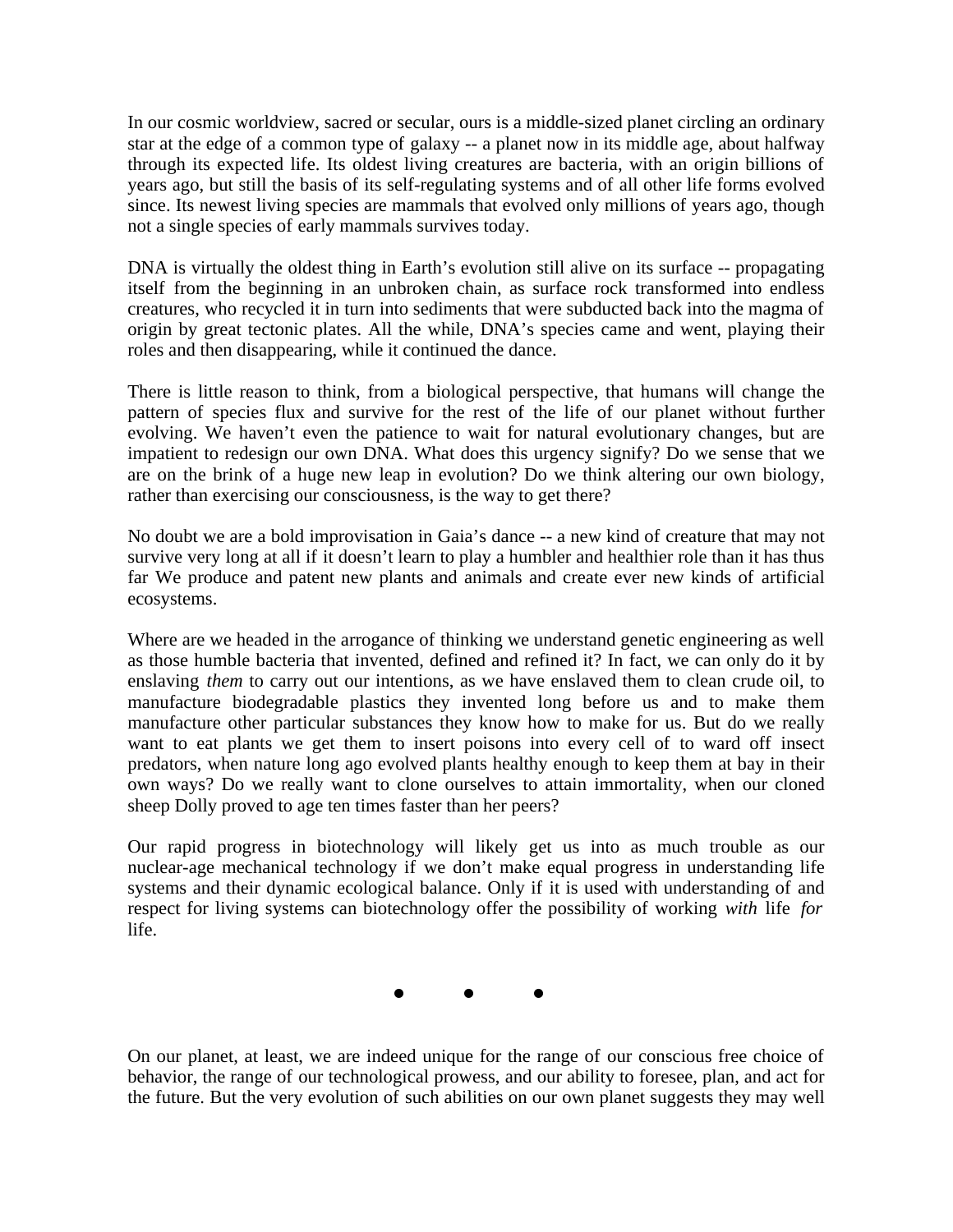In our cosmic worldview, sacred or secular, ours is a middle-sized planet circling an ordinary star at the edge of a common type of galaxy -- a planet now in its middle age, about halfway through its expected life. Its oldest living creatures are bacteria, with an origin billions of years ago, but still the basis of its self-regulating systems and of all other life forms evolved since. Its newest living species are mammals that evolved only millions of years ago, though not a single species of early mammals survives today.

DNA is virtually the oldest thing in Earth's evolution still alive on its surface -- propagating itself from the beginning in an unbroken chain, as surface rock transformed into endless creatures, who recycled it in turn into sediments that were subducted back into the magma of origin by great tectonic plates. All the while, DNA's species came and went, playing their roles and then disappearing, while it continued the dance.

There is little reason to think, from a biological perspective, that humans will change the pattern of species flux and survive for the rest of the life of our planet without further evolving. We haven't even the patience to wait for natural evolutionary changes, but are impatient to redesign our own DNA. What does this urgency signify? Do we sense that we are on the brink of a huge new leap in evolution? Do we think altering our own biology, rather than exercising our consciousness, is the way to get there?

No doubt we are a bold improvisation in Gaia's dance -- a new kind of creature that may not survive very long at all if it doesn't learn to play a humbler and healthier role than it has thus far We produce and patent new plants and animals and create ever new kinds of artificial ecosystems.

Where are we headed in the arrogance of thinking we understand genetic engineering as well as those humble bacteria that invented, defined and refined it? In fact, we can only do it by enslaving *them* to carry out our intentions, as we have enslaved them to clean crude oil, to manufacture biodegradable plastics they invented long before us and to make them manufacture other particular substances they know how to make for us. But do we really want to eat plants we get them to insert poisons into every cell of to ward off insect predators, when nature long ago evolved plants healthy enough to keep them at bay in their own ways? Do we really want to clone ourselves to attain immortality, when our cloned sheep Dolly proved to age ten times faster than her peers?

Our rapid progress in biotechnology will likely get us into as much trouble as our nuclear-age mechanical technology if we don't make equal progress in understanding life systems and their dynamic ecological balance. Only if it is used with understanding of and respect for living systems can biotechnology offer the possibility of working *with* life *for* life.

**· · ·** 

On our planet, at least, we are indeed unique for the range of our conscious free choice of behavior, the range of our technological prowess, and our ability to foresee, plan, and act for the future. But the very evolution of such abilities on our own planet suggests they may well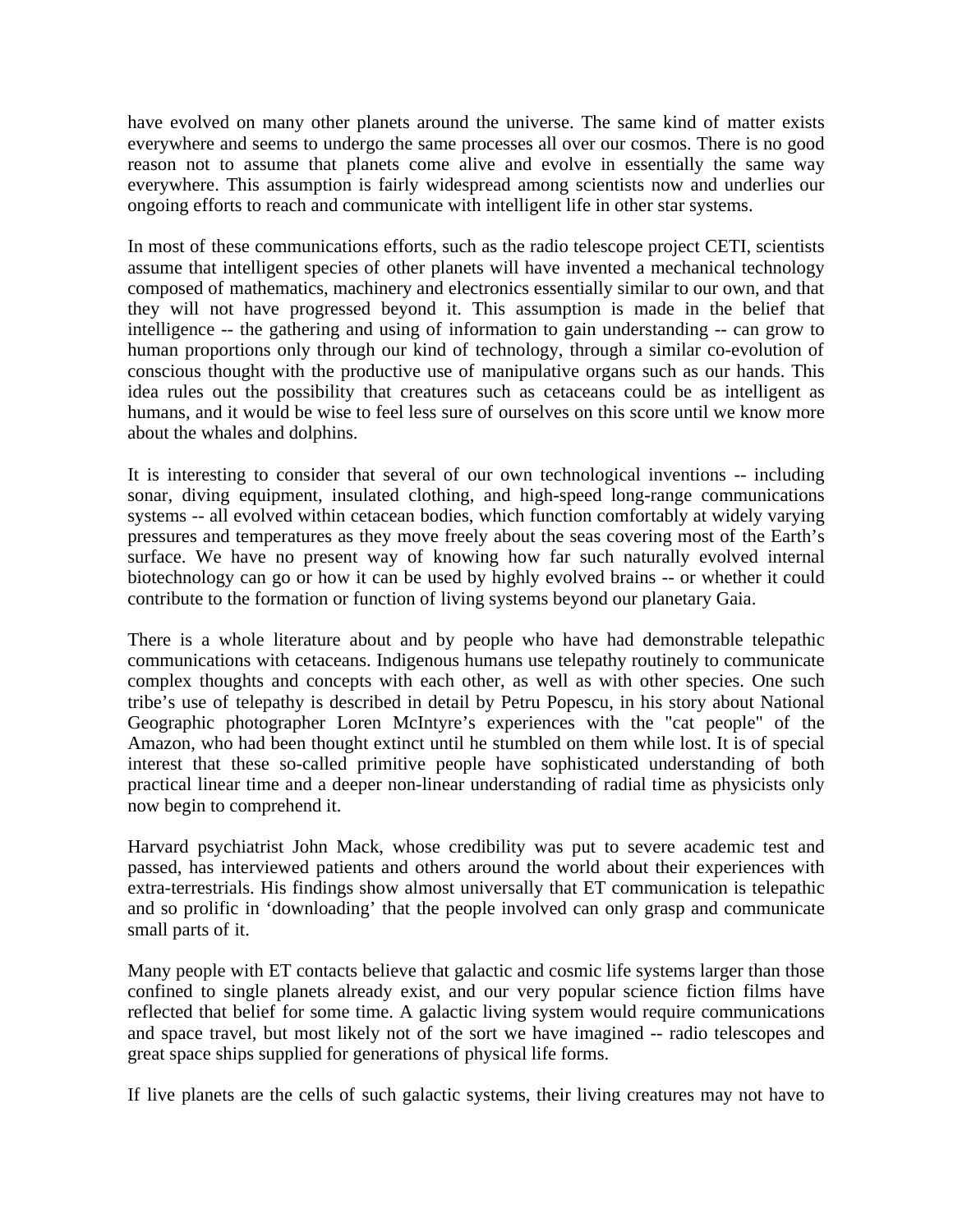have evolved on many other planets around the universe. The same kind of matter exists everywhere and seems to undergo the same processes all over our cosmos. There is no good reason not to assume that planets come alive and evolve in essentially the same way everywhere. This assumption is fairly widespread among scientists now and underlies our ongoing efforts to reach and communicate with intelligent life in other star systems.

In most of these communications efforts, such as the radio telescope project CETI, scientists assume that intelligent species of other planets will have invented a mechanical technology composed of mathematics, machinery and electronics essentially similar to our own, and that they will not have progressed beyond it. This assumption is made in the belief that intelligence -- the gathering and using of information to gain understanding -- can grow to human proportions only through our kind of technology, through a similar co-evolution of conscious thought with the productive use of manipulative organs such as our hands. This idea rules out the possibility that creatures such as cetaceans could be as intelligent as humans, and it would be wise to feel less sure of ourselves on this score until we know more about the whales and dolphins.

It is interesting to consider that several of our own technological inventions -- including sonar, diving equipment, insulated clothing, and high-speed long-range communications systems -- all evolved within cetacean bodies, which function comfortably at widely varying pressures and temperatures as they move freely about the seas covering most of the Earth's surface. We have no present way of knowing how far such naturally evolved internal biotechnology can go or how it can be used by highly evolved brains -- or whether it could contribute to the formation or function of living systems beyond our planetary Gaia.

There is a whole literature about and by people who have had demonstrable telepathic communications with cetaceans. Indigenous humans use telepathy routinely to communicate complex thoughts and concepts with each other, as well as with other species. One such tribe's use of telepathy is described in detail by Petru Popescu, in his story about National Geographic photographer Loren McIntyre's experiences with the "cat people" of the Amazon, who had been thought extinct until he stumbled on them while lost. It is of special interest that these so-called primitive people have sophisticated understanding of both practical linear time and a deeper non-linear understanding of radial time as physicists only now begin to comprehend it.

Harvard psychiatrist John Mack, whose credibility was put to severe academic test and passed, has interviewed patients and others around the world about their experiences with extra-terrestrials. His findings show almost universally that ET communication is telepathic and so prolific in 'downloading' that the people involved can only grasp and communicate small parts of it.

Many people with ET contacts believe that galactic and cosmic life systems larger than those confined to single planets already exist, and our very popular science fiction films have reflected that belief for some time. A galactic living system would require communications and space travel, but most likely not of the sort we have imagined -- radio telescopes and great space ships supplied for generations of physical life forms.

If live planets are the cells of such galactic systems, their living creatures may not have to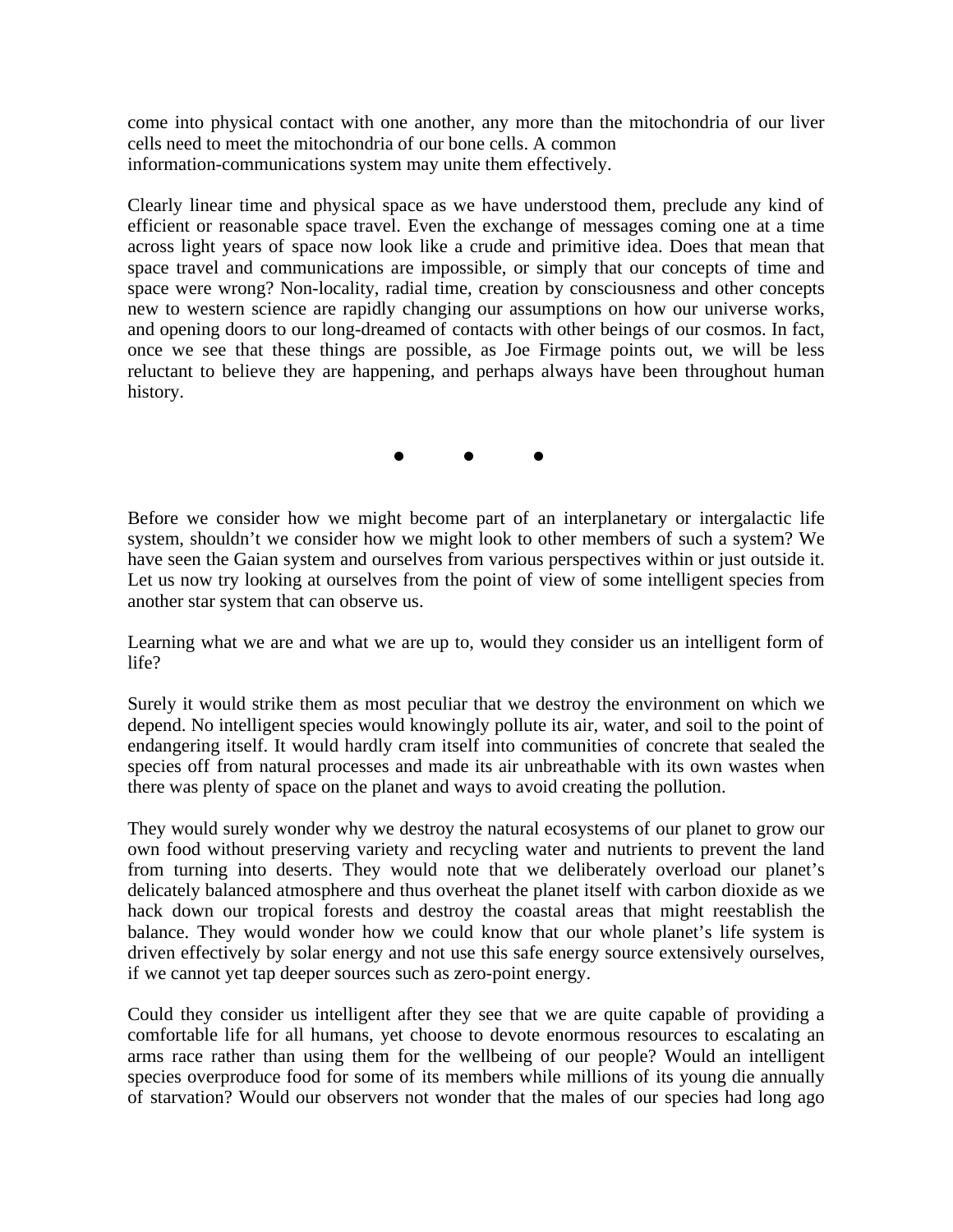come into physical contact with one another, any more than the mitochondria of our liver cells need to meet the mitochondria of our bone cells. A common information-communications system may unite them effectively.

Clearly linear time and physical space as we have understood them, preclude any kind of efficient or reasonable space travel. Even the exchange of messages coming one at a time across light years of space now look like a crude and primitive idea. Does that mean that space travel and communications are impossible, or simply that our concepts of time and space were wrong? Non-locality, radial time, creation by consciousness and other concepts new to western science are rapidly changing our assumptions on how our universe works, and opening doors to our long-dreamed of contacts with other beings of our cosmos. In fact, once we see that these things are possible, as Joe Firmage points out, we will be less reluctant to believe they are happening, and perhaps always have been throughout human history.

**· · ·** 

Before we consider how we might become part of an interplanetary or intergalactic life system, shouldn't we consider how we might look to other members of such a system? We have seen the Gaian system and ourselves from various perspectives within or just outside it. Let us now try looking at ourselves from the point of view of some intelligent species from another star system that can observe us.

Learning what we are and what we are up to, would they consider us an intelligent form of life?

Surely it would strike them as most peculiar that we destroy the environment on which we depend. No intelligent species would knowingly pollute its air, water, and soil to the point of endangering itself. It would hardly cram itself into communities of concrete that sealed the species off from natural processes and made its air unbreathable with its own wastes when there was plenty of space on the planet and ways to avoid creating the pollution.

They would surely wonder why we destroy the natural ecosystems of our planet to grow our own food without preserving variety and recycling water and nutrients to prevent the land from turning into deserts. They would note that we deliberately overload our planet's delicately balanced atmosphere and thus overheat the planet itself with carbon dioxide as we hack down our tropical forests and destroy the coastal areas that might reestablish the balance. They would wonder how we could know that our whole planet's life system is driven effectively by solar energy and not use this safe energy source extensively ourselves, if we cannot yet tap deeper sources such as zero-point energy.

Could they consider us intelligent after they see that we are quite capable of providing a comfortable life for all humans, yet choose to devote enormous resources to escalating an arms race rather than using them for the wellbeing of our people? Would an intelligent species overproduce food for some of its members while millions of its young die annually of starvation? Would our observers not wonder that the males of our species had long ago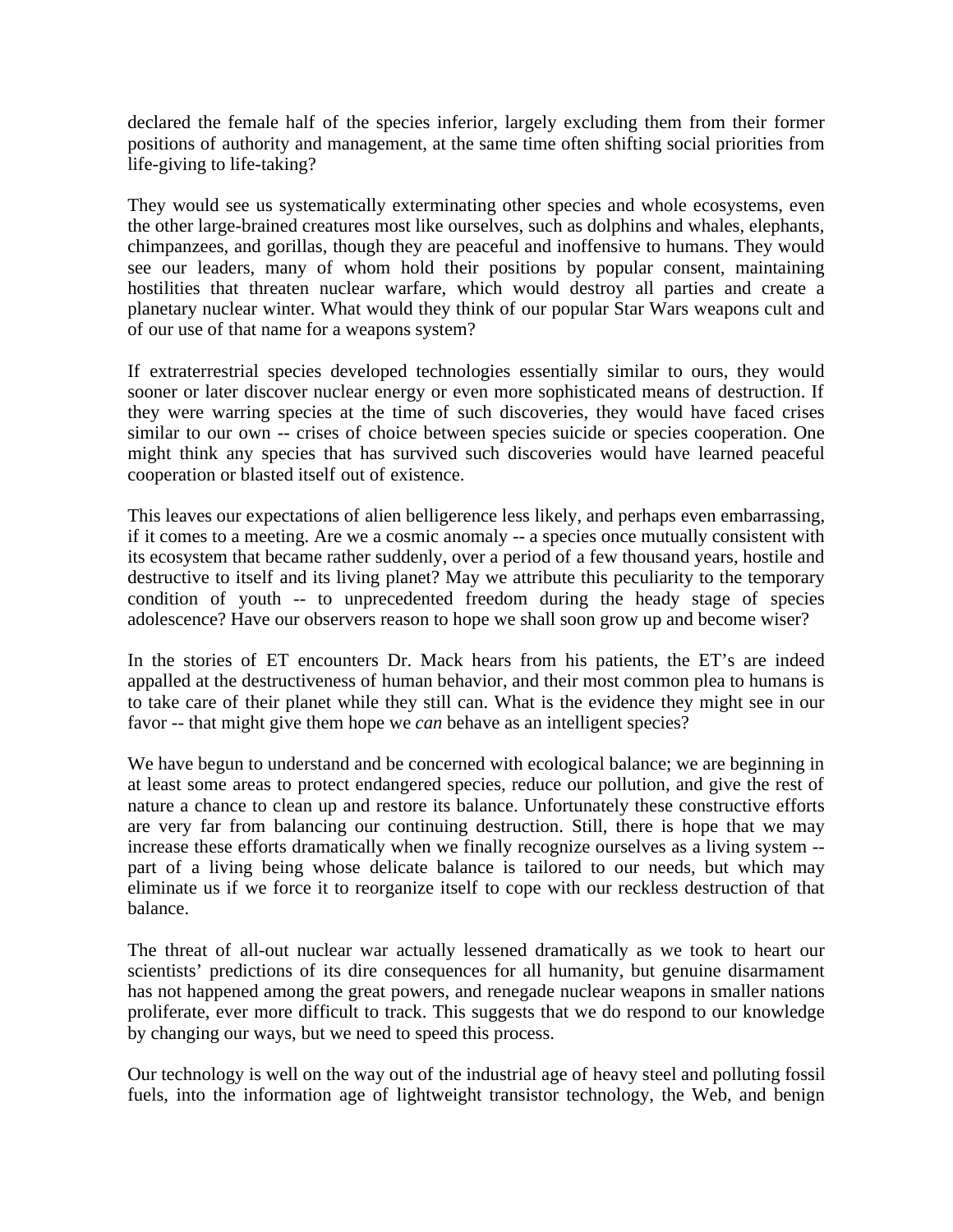declared the female half of the species inferior, largely excluding them from their former positions of authority and management, at the same time often shifting social priorities from life-giving to life-taking?

They would see us systematically exterminating other species and whole ecosystems, even the other large-brained creatures most like ourselves, such as dolphins and whales, elephants, chimpanzees, and gorillas, though they are peaceful and inoffensive to humans. They would see our leaders, many of whom hold their positions by popular consent, maintaining hostilities that threaten nuclear warfare, which would destroy all parties and create a planetary nuclear winter. What would they think of our popular Star Wars weapons cult and of our use of that name for a weapons system?

If extraterrestrial species developed technologies essentially similar to ours, they would sooner or later discover nuclear energy or even more sophisticated means of destruction. If they were warring species at the time of such discoveries, they would have faced crises similar to our own -- crises of choice between species suicide or species cooperation. One might think any species that has survived such discoveries would have learned peaceful cooperation or blasted itself out of existence.

This leaves our expectations of alien belligerence less likely, and perhaps even embarrassing, if it comes to a meeting. Are we a cosmic anomaly -- a species once mutually consistent with its ecosystem that became rather suddenly, over a period of a few thousand years, hostile and destructive to itself and its living planet? May we attribute this peculiarity to the temporary condition of youth -- to unprecedented freedom during the heady stage of species adolescence? Have our observers reason to hope we shall soon grow up and become wiser?

In the stories of ET encounters Dr. Mack hears from his patients, the ET's are indeed appalled at the destructiveness of human behavior, and their most common plea to humans is to take care of their planet while they still can. What is the evidence they might see in our favor -- that might give them hope we *can* behave as an intelligent species?

We have begun to understand and be concerned with ecological balance; we are beginning in at least some areas to protect endangered species, reduce our pollution, and give the rest of nature a chance to clean up and restore its balance. Unfortunately these constructive efforts are very far from balancing our continuing destruction. Still, there is hope that we may increase these efforts dramatically when we finally recognize ourselves as a living system - part of a living being whose delicate balance is tailored to our needs, but which may eliminate us if we force it to reorganize itself to cope with our reckless destruction of that balance.

The threat of all-out nuclear war actually lessened dramatically as we took to heart our scientists' predictions of its dire consequences for all humanity, but genuine disarmament has not happened among the great powers, and renegade nuclear weapons in smaller nations proliferate, ever more difficult to track. This suggests that we do respond to our knowledge by changing our ways, but we need to speed this process.

Our technology is well on the way out of the industrial age of heavy steel and polluting fossil fuels, into the information age of lightweight transistor technology, the Web, and benign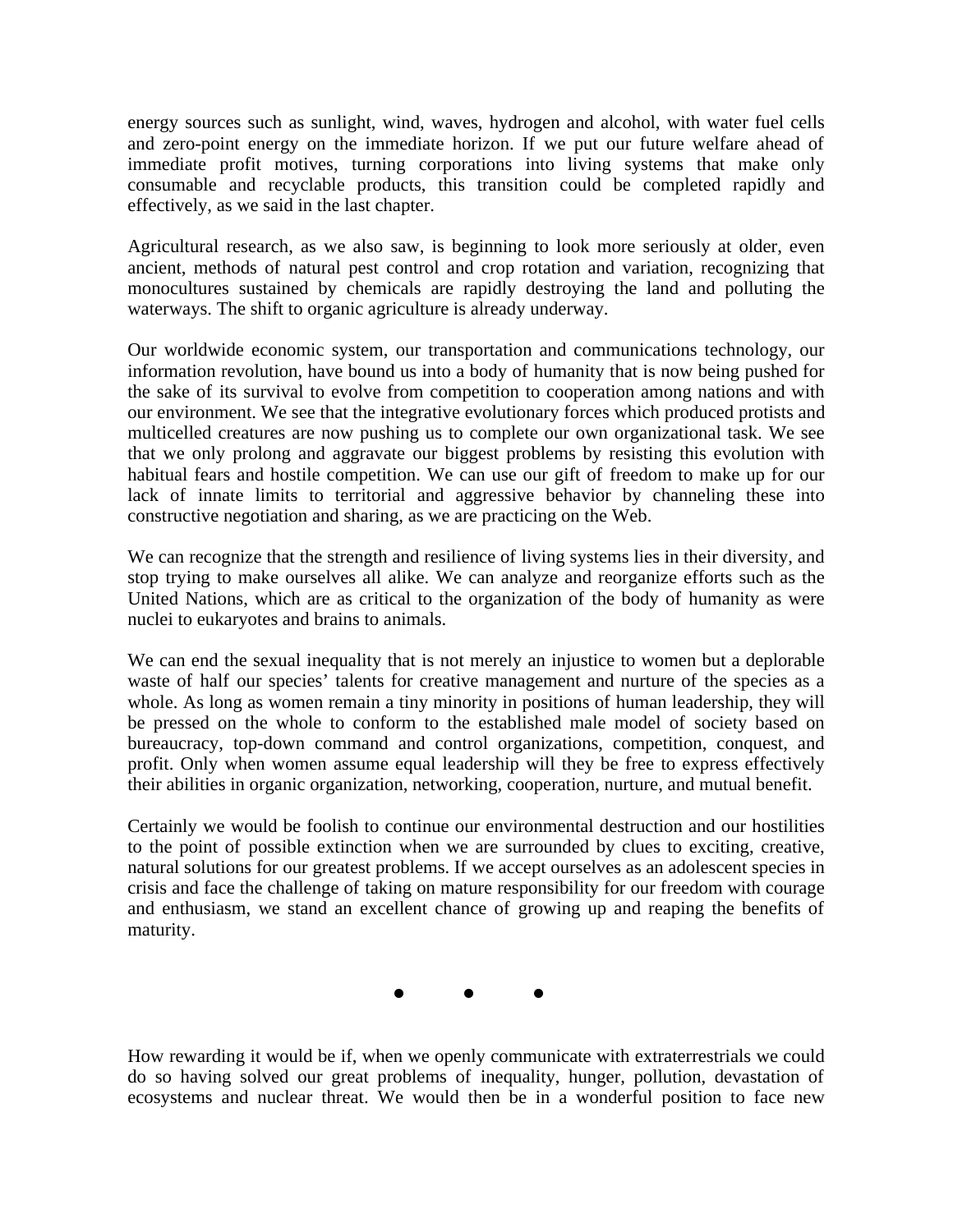energy sources such as sunlight, wind, waves, hydrogen and alcohol, with water fuel cells and zero-point energy on the immediate horizon. If we put our future welfare ahead of immediate profit motives, turning corporations into living systems that make only consumable and recyclable products, this transition could be completed rapidly and effectively, as we said in the last chapter.

Agricultural research, as we also saw, is beginning to look more seriously at older, even ancient, methods of natural pest control and crop rotation and variation, recognizing that monocultures sustained by chemicals are rapidly destroying the land and polluting the waterways. The shift to organic agriculture is already underway.

Our worldwide economic system, our transportation and communications technology, our information revolution, have bound us into a body of humanity that is now being pushed for the sake of its survival to evolve from competition to cooperation among nations and with our environment. We see that the integrative evolutionary forces which produced protists and multicelled creatures are now pushing us to complete our own organizational task. We see that we only prolong and aggravate our biggest problems by resisting this evolution with habitual fears and hostile competition. We can use our gift of freedom to make up for our lack of innate limits to territorial and aggressive behavior by channeling these into constructive negotiation and sharing, as we are practicing on the Web.

We can recognize that the strength and resilience of living systems lies in their diversity, and stop trying to make ourselves all alike. We can analyze and reorganize efforts such as the United Nations, which are as critical to the organization of the body of humanity as were nuclei to eukaryotes and brains to animals.

We can end the sexual inequality that is not merely an injustice to women but a deplorable waste of half our species' talents for creative management and nurture of the species as a whole. As long as women remain a tiny minority in positions of human leadership, they will be pressed on the whole to conform to the established male model of society based on bureaucracy, top-down command and control organizations, competition, conquest, and profit. Only when women assume equal leadership will they be free to express effectively their abilities in organic organization, networking, cooperation, nurture, and mutual benefit.

Certainly we would be foolish to continue our environmental destruction and our hostilities to the point of possible extinction when we are surrounded by clues to exciting, creative, natural solutions for our greatest problems. If we accept ourselves as an adolescent species in crisis and face the challenge of taking on mature responsibility for our freedom with courage and enthusiasm, we stand an excellent chance of growing up and reaping the benefits of maturity.

**· · ·** 

How rewarding it would be if, when we openly communicate with extraterrestrials we could do so having solved our great problems of inequality, hunger, pollution, devastation of ecosystems and nuclear threat. We would then be in a wonderful position to face new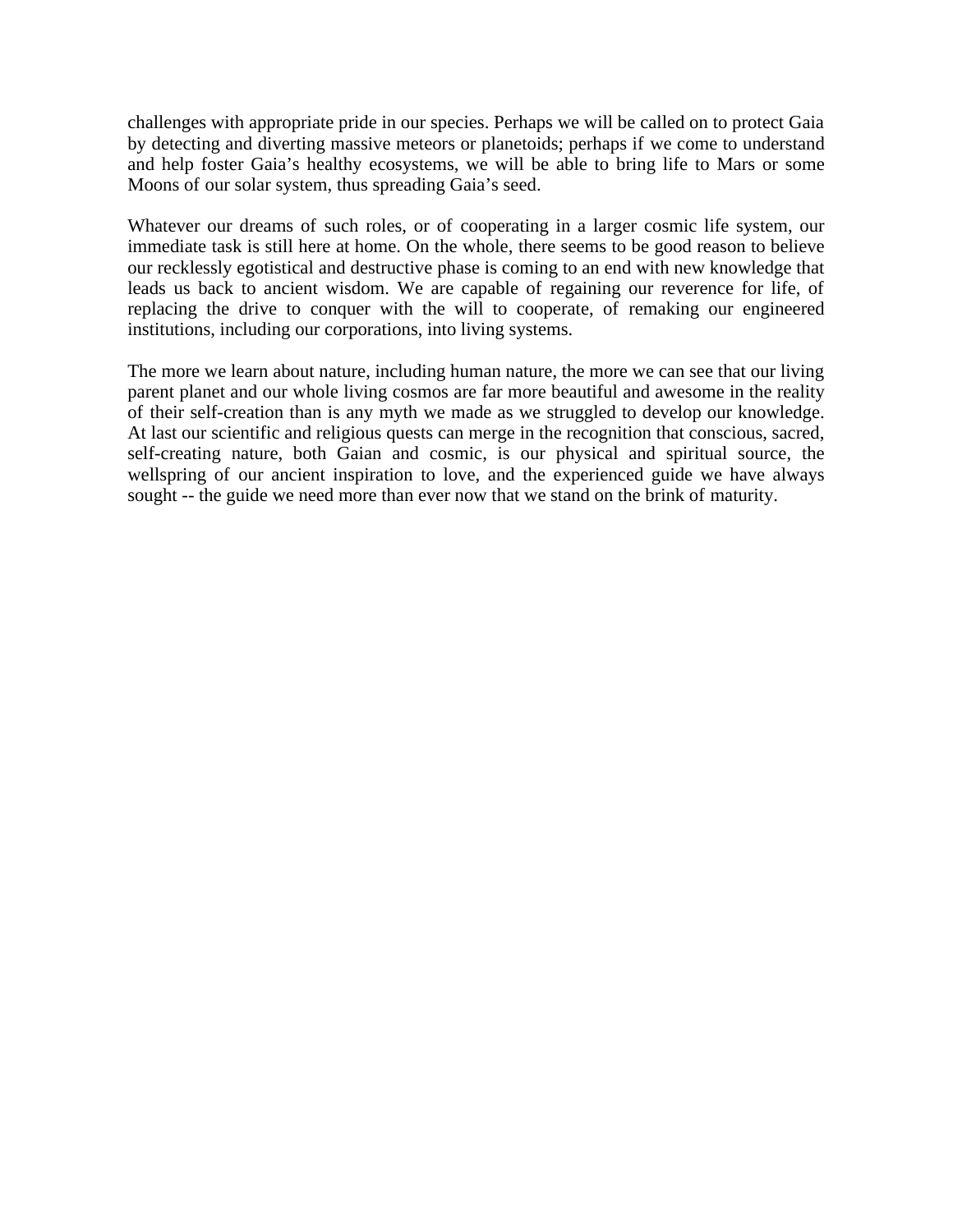challenges with appropriate pride in our species. Perhaps we will be called on to protect Gaia by detecting and diverting massive meteors or planetoids; perhaps if we come to understand and help foster Gaia's healthy ecosystems, we will be able to bring life to Mars or some Moons of our solar system, thus spreading Gaia's seed.

Whatever our dreams of such roles, or of cooperating in a larger cosmic life system, our immediate task is still here at home. On the whole, there seems to be good reason to believe our recklessly egotistical and destructive phase is coming to an end with new knowledge that leads us back to ancient wisdom. We are capable of regaining our reverence for life, of replacing the drive to conquer with the will to cooperate, of remaking our engineered institutions, including our corporations, into living systems.

The more we learn about nature, including human nature, the more we can see that our living parent planet and our whole living cosmos are far more beautiful and awesome in the reality of their self-creation than is any myth we made as we struggled to develop our knowledge. At last our scientific and religious quests can merge in the recognition that conscious, sacred, self-creating nature, both Gaian and cosmic, is our physical and spiritual source, the wellspring of our ancient inspiration to love, and the experienced guide we have always sought -- the guide we need more than ever now that we stand on the brink of maturity.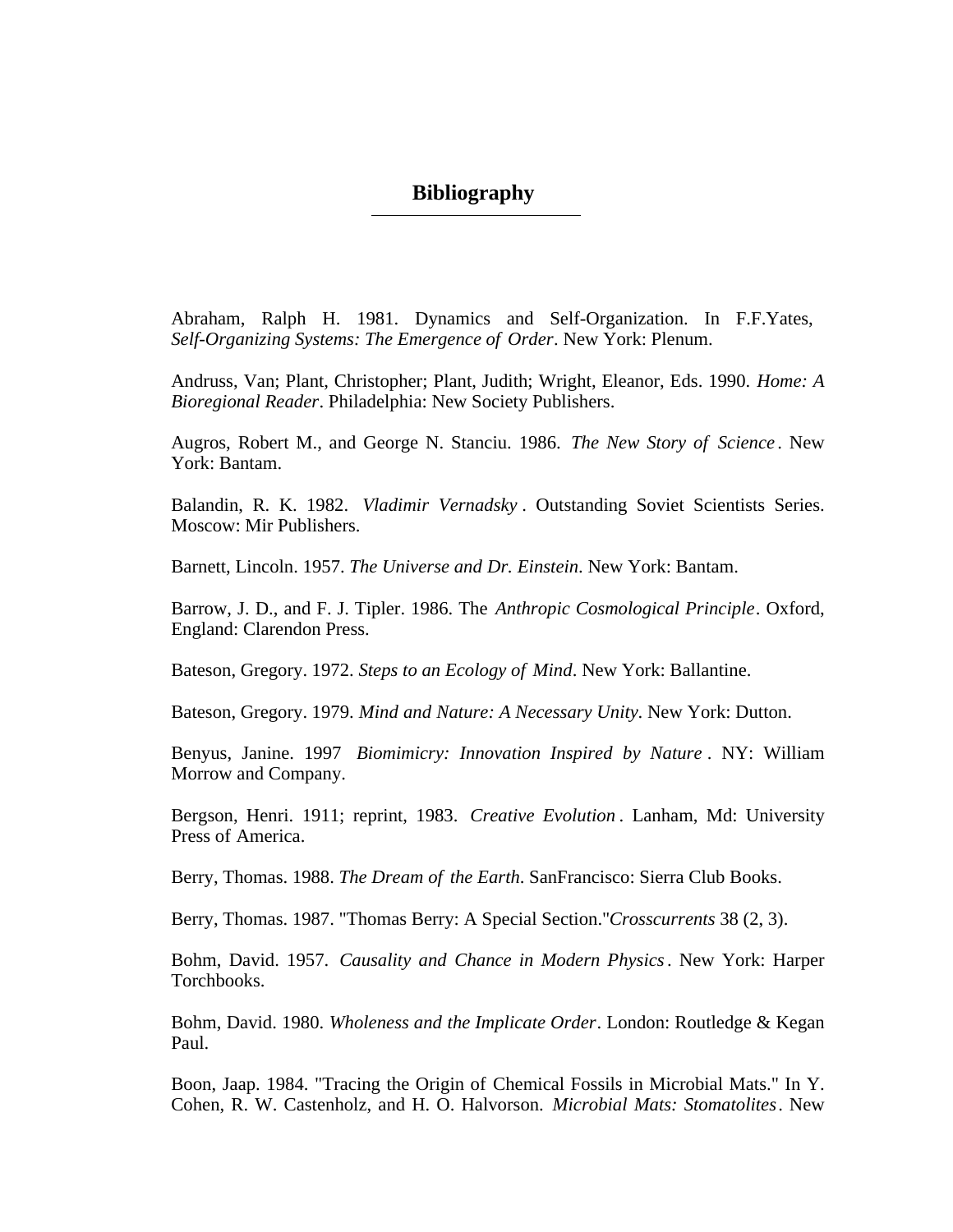## **Bibliography**

Abraham, Ralph H. 1981. Dynamics and Self-Organization. In F.F.Yates, *Self-Organizing Systems: The Emergence of Order*. New York: Plenum.

Andruss, Van; Plant, Christopher; Plant, Judith; Wright, Eleanor, Eds. 1990. *Home: A Bioregional Reader*. Philadelphia: New Society Publishers.

Augros, Robert M., and George N. Stanciu. 1986. *The New Story of Science* . New York: Bantam.

Balandin, R. K. 1982. *Vladimir Vernadsky* . Outstanding Soviet Scientists Series. Moscow: Mir Publishers.

Barnett, Lincoln. 1957. *The Universe and Dr. Einstein*. New York: Bantam.

Barrow, J. D., and F. J. Tipler. 1986. The *Anthropic Cosmological Principle*. Oxford, England: Clarendon Press.

Bateson, Gregory. 1972. *Steps to an Ecology of Mind*. New York: Ballantine.

Bateson, Gregory. 1979. *Mind and Nature: A Necessary Unity*. New York: Dutton.

Benyus, Janine. 1997 *Biomimicry: Innovation Inspired by Nature* . NY: William Morrow and Company.

Bergson, Henri. 1911; reprint, 1983. *Creative Evolution* . Lanham, Md: University Press of America.

Berry, Thomas. 1988. *The Dream of the Earth*. SanFrancisco: Sierra Club Books.

Berry, Thomas. 1987. "Thomas Berry: A Special Section."*Crosscurrents* 38 (2, 3).

Bohm, David. 1957. *Causality and Chance in Modern Physics*. New York: Harper Torchbooks.

Bohm, David. 1980. *Wholeness and the Implicate Order*. London: Routledge & Kegan Paul.

Boon, Jaap. 1984. "Tracing the Origin of Chemical Fossils in Microbial Mats." In Y. Cohen, R. W. Castenholz, and H. O. Halvorson. *Microbial Mats: Stomatolites*. New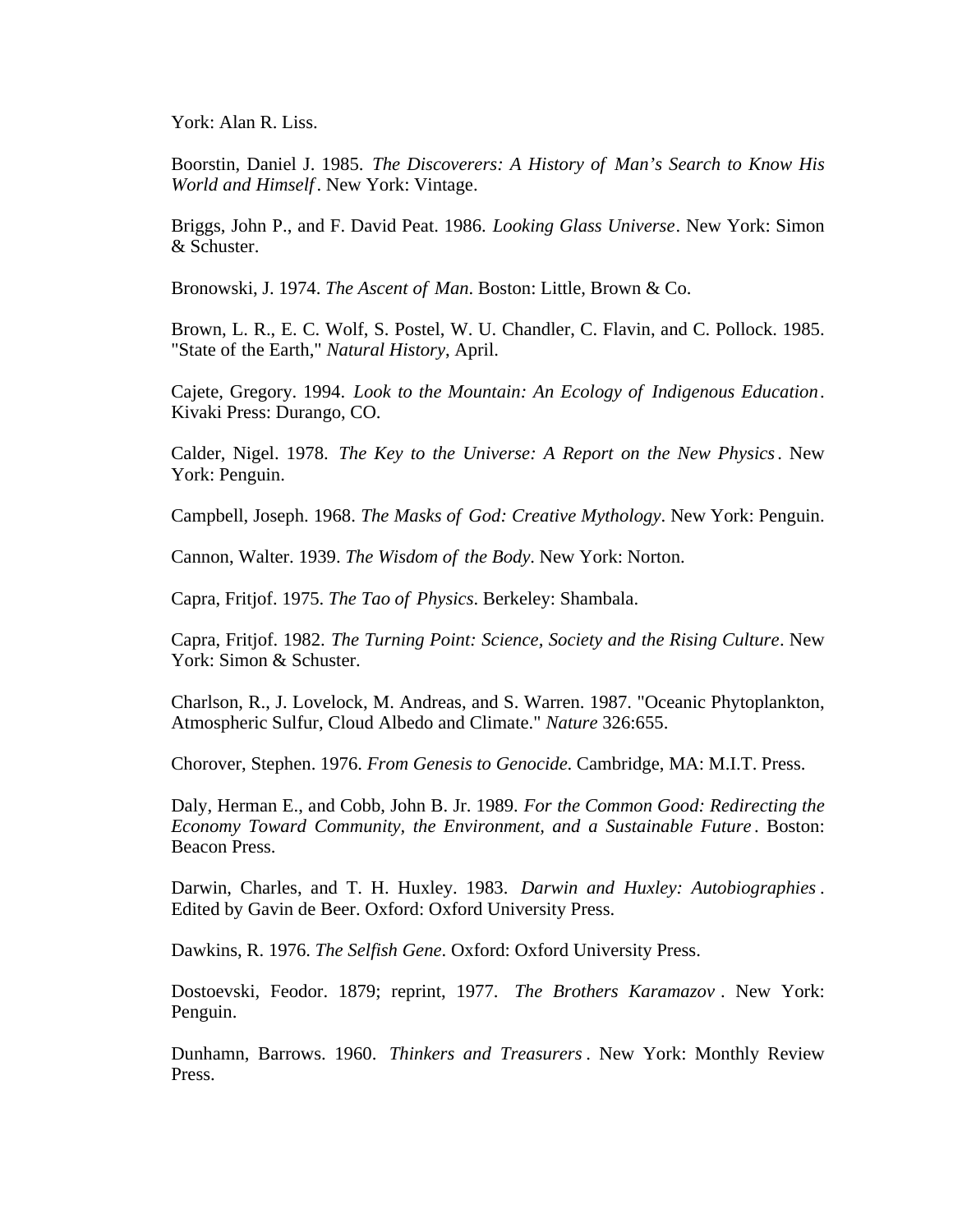York: Alan R. Liss.

Boorstin, Daniel J. 1985. *The Discoverers: A History of Man's Search to Know His World and Himself*. New York: Vintage.

Briggs, John P., and F. David Peat. 1986. *Looking Glass Universe*. New York: Simon & Schuster.

Bronowski, J. 1974. *The Ascent of Man*. Boston: Little, Brown & Co.

Brown, L. R., E. C. Wolf, S. Postel, W. U. Chandler, C. Flavin, and C. Pollock. 1985. "State of the Earth," *Natural History*, April.

Cajete, Gregory. 1994. *Look to the Mountain: An Ecology of Indigenous Education*. Kivaki Press: Durango, CO.

Calder, Nigel. 1978. *The Key to the Universe: A Report on the New Physics*. New York: Penguin.

Campbell, Joseph. 1968. *The Masks of God: Creative Mythology*. New York: Penguin.

Cannon, Walter. 1939. *The Wisdom of the Body*. New York: Norton.

Capra, Fritjof. 1975. *The Tao of Physics*. Berkeley: Shambala.

Capra, Fritjof. 1982. *The Turning Point: Science, Society and the Rising Culture*. New York: Simon & Schuster.

Charlson, R., J. Lovelock, M. Andreas, and S. Warren. 1987. "Oceanic Phytoplankton, Atmospheric Sulfur, Cloud Albedo and Climate." *Nature* 326:655.

Chorover, Stephen. 1976. *From Genesis to Genocide*. Cambridge, MA: M.I.T. Press.

Daly, Herman E., and Cobb, John B. Jr. 1989. *For the Common Good: Redirecting the Economy Toward Community, the Environment, and a Sustainable Future* . Boston: Beacon Press.

Darwin, Charles, and T. H. Huxley. 1983. *Darwin and Huxley: Autobiographies* . Edited by Gavin de Beer. Oxford: Oxford University Press.

Dawkins, R. 1976. *The Selfish Gene*. Oxford: Oxford University Press.

Dostoevski, Feodor. 1879; reprint, 1977. *The Brothers Karamazov* . New York: Penguin.

Dunhamn, Barrows. 1960. *Thinkers and Treasurers* . New York: Monthly Review Press.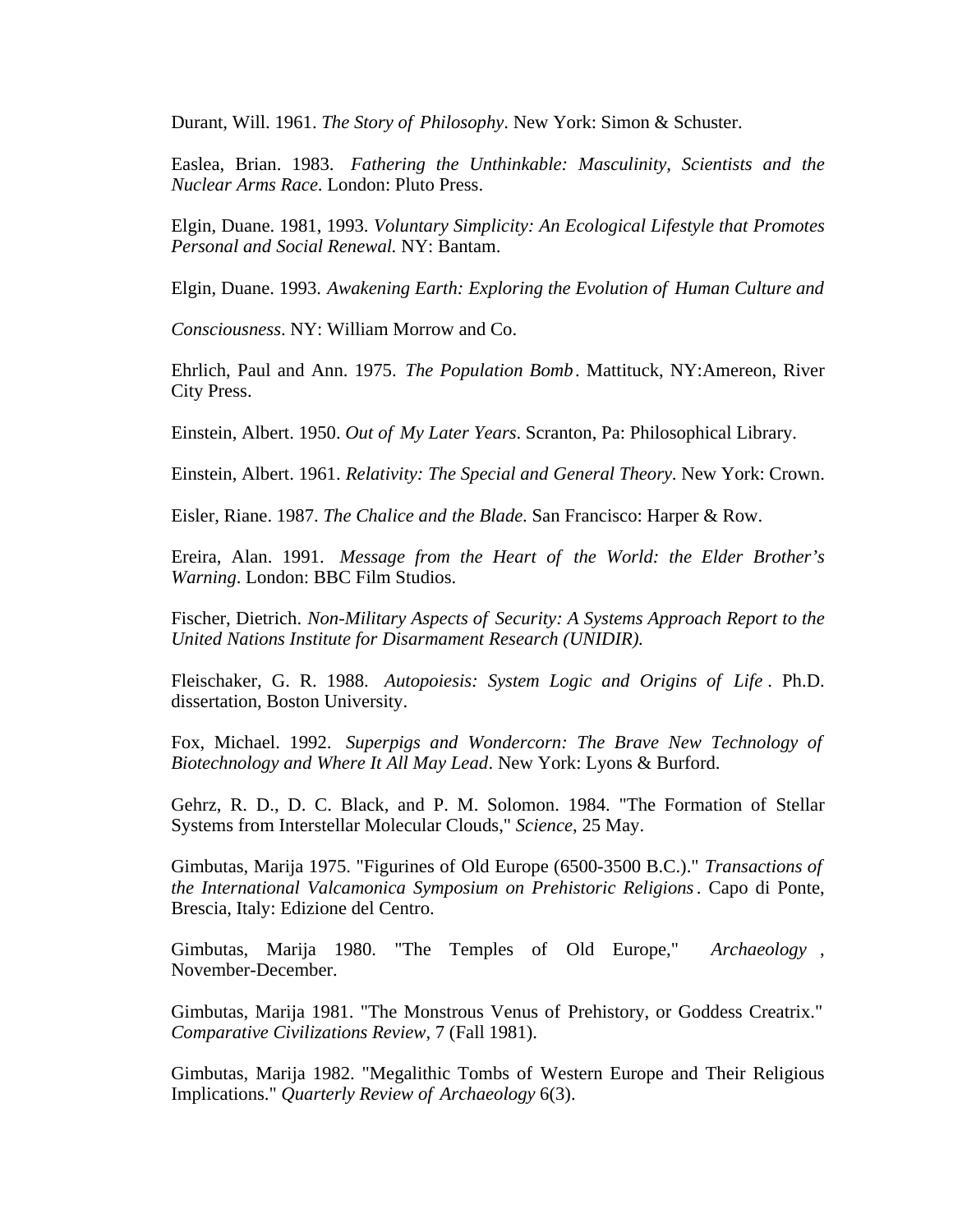Durant, Will. 1961. *The Story of Philosophy*. New York: Simon & Schuster.

Easlea, Brian. 1983. *Fathering the Unthinkable: Masculinity, Scientists and the Nuclear Arms Race*. London: Pluto Press.

Elgin, Duane. 1981, 1993. *Voluntary Simplicity: An Ecological Lifestyle that Promotes Personal and Social Renewal.* NY: Bantam.

Elgin, Duane. 1993. *Awakening Earth: Exploring the Evolution of Human Culture and*

*Consciousness*. NY: William Morrow and Co.

Ehrlich, Paul and Ann. 1975. *The Population Bomb*. Mattituck, NY:Amereon, River City Press.

Einstein, Albert. 1950. *Out of My Later Years*. Scranton, Pa: Philosophical Library.

Einstein, Albert. 1961. *Relativity: The Special and General Theory*. New York: Crown.

Eisler, Riane. 1987. *The Chalice and the Blade*. San Francisco: Harper & Row.

Ereira, Alan. 1991. *Message from the Heart of the World: the Elder Brother's Warning*. London: BBC Film Studios.

Fischer, Dietrich. *Non-Military Aspects of Security: A Systems Approach Report to the United Nations Institute for Disarmament Research (UNIDIR).* 

Fleischaker, G. R. 1988. *Autopoiesis: System Logic and Origins of Life* . Ph.D. dissertation, Boston University.

Fox, Michael. 1992. *Superpigs and Wondercorn: The Brave New Technology of Biotechnology and Where It All May Lead*. New York: Lyons & Burford.

Gehrz, R. D., D. C. Black, and P. M. Solomon. 1984. "The Formation of Stellar Systems from Interstellar Molecular Clouds," *Science*, 25 May.

Gimbutas, Marija 1975. "Figurines of Old Europe (6500-3500 B.C.)." *Transactions of the International Valcamonica Symposium on Prehistoric Religions*. Capo di Ponte, Brescia, Italy: Edizione del Centro.

Gimbutas, Marija 1980. "The Temples of Old Europe," *Archaeology* , November-December.

Gimbutas, Marija 1981. "The Monstrous Venus of Prehistory, or Goddess Creatrix." *Comparative Civilizations Review*, 7 (Fall 1981).

Gimbutas, Marija 1982. "Megalithic Tombs of Western Europe and Their Religious Implications." *Quarterly Review of Archaeology* 6(3).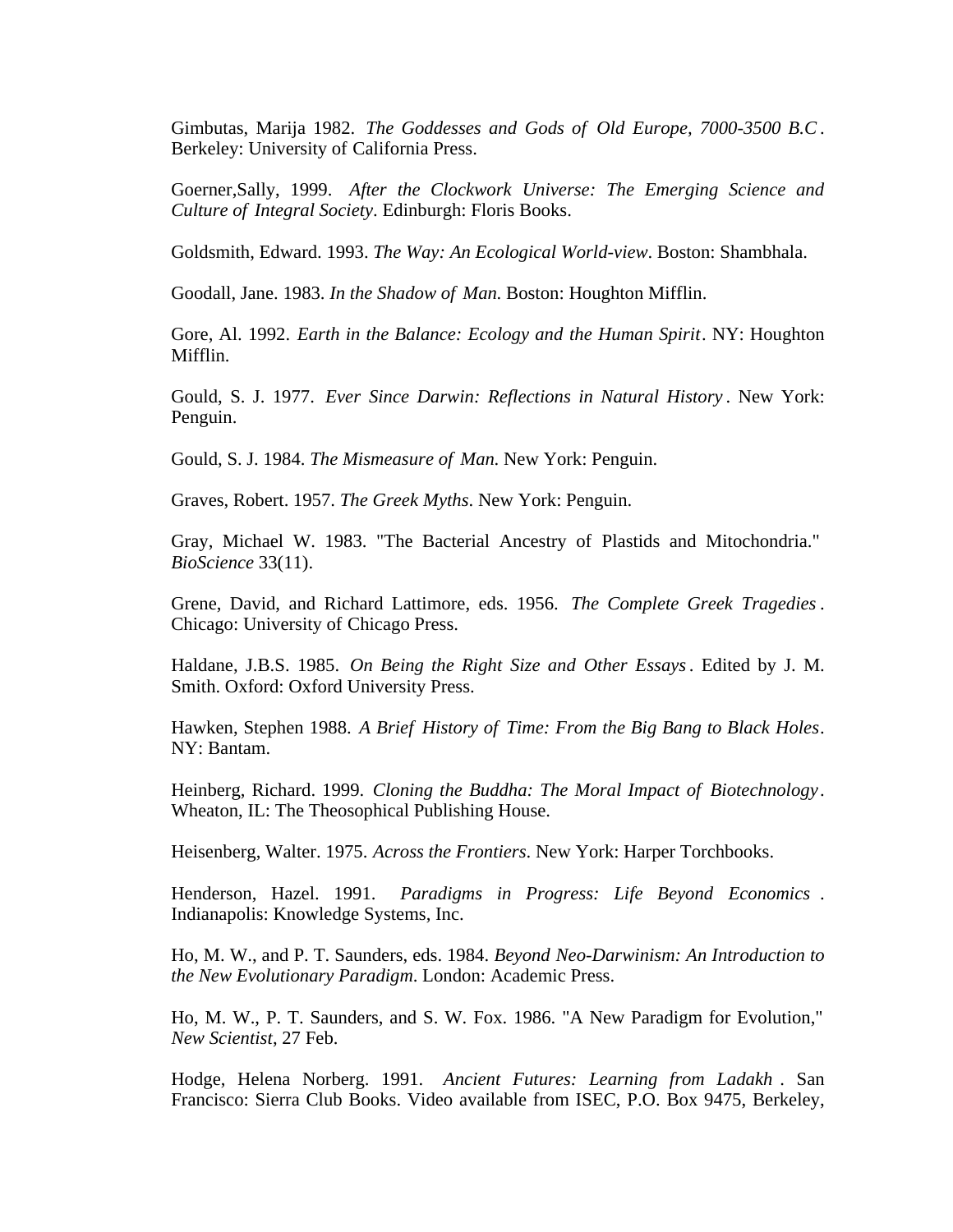Gimbutas, Marija 1982. *The Goddesses and Gods of Old Europe, 7000-3500 B.C* . Berkeley: University of California Press.

Goerner,Sally, 1999. *After the Clockwork Universe: The Emerging Science and Culture of Integral Society*. Edinburgh: Floris Books.

Goldsmith, Edward. 1993. *The Way: An Ecological World-view*. Boston: Shambhala.

Goodall, Jane. 1983. *In the Shadow of Man*. Boston: Houghton Mifflin.

Gore, Al. 1992. *Earth in the Balance: Ecology and the Human Spirit*. NY: Houghton Mifflin.

Gould, S. J. 1977. *Ever Since Darwin: Reflections in Natural History* . New York: Penguin.

Gould, S. J. 1984. *The Mismeasure of Man*. New York: Penguin.

Graves, Robert. 1957. *The Greek Myths*. New York: Penguin.

Gray, Michael W. 1983. "The Bacterial Ancestry of Plastids and Mitochondria." *BioScience* 33(11).

Grene, David, and Richard Lattimore, eds. 1956. *The Complete Greek Tragedies* . Chicago: University of Chicago Press.

Haldane, J.B.S. 1985. *On Being the Right Size and Other Essays*. Edited by J. M. Smith. Oxford: Oxford University Press.

Hawken, Stephen 1988. *A Brief History of Time: From the Big Bang to Black Holes*. NY: Bantam.

Heinberg, Richard. 1999. *Cloning the Buddha: The Moral Impact of Biotechnology*. Wheaton, IL: The Theosophical Publishing House.

Heisenberg, Walter. 1975. *Across the Frontiers*. New York: Harper Torchbooks.

Henderson, Hazel. 1991. *Paradigms in Progress: Life Beyond Economics* . Indianapolis: Knowledge Systems, Inc.

Ho, M. W., and P. T. Saunders, eds. 1984. *Beyond Neo-Darwinism: An Introduction to the New Evolutionary Paradigm*. London: Academic Press.

Ho, M. W., P. T. Saunders, and S. W. Fox. 1986. "A New Paradigm for Evolution," *New Scientist*, 27 Feb.

Hodge, Helena Norberg. 1991. *Ancient Futures: Learning from Ladakh* . San Francisco: Sierra Club Books. Video available from ISEC, P.O. Box 9475, Berkeley,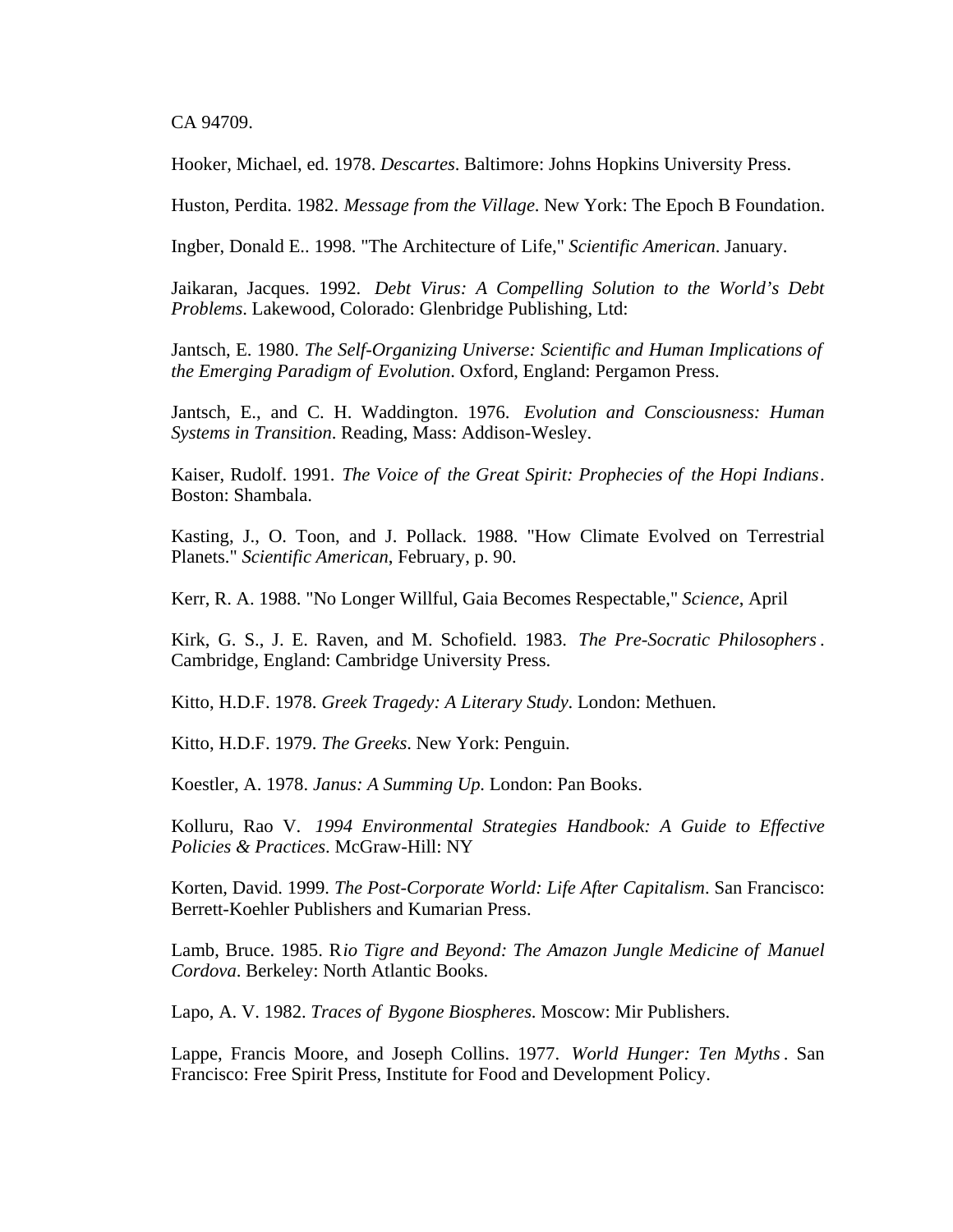CA 94709.

Hooker, Michael, ed. 1978. *Descartes*. Baltimore: Johns Hopkins University Press.

Huston, Perdita. 1982. *Message from the Village*. New York: The Epoch B Foundation.

Ingber, Donald E.. 1998. "The Architecture of Life," *Scientific American*. January.

Jaikaran, Jacques. 1992. *Debt Virus: A Compelling Solution to the World's Debt Problems*. Lakewood, Colorado: Glenbridge Publishing, Ltd:

Jantsch, E. 1980. *The Self-Organizing Universe: Scientific and Human Implications of the Emerging Paradigm of Evolution*. Oxford, England: Pergamon Press.

Jantsch, E., and C. H. Waddington. 1976. *Evolution and Consciousness: Human Systems in Transition*. Reading, Mass: Addison-Wesley.

Kaiser, Rudolf. 1991. *The Voice of the Great Spirit: Prophecies of the Hopi Indians*. Boston: Shambala.

Kasting, J., O. Toon, and J. Pollack. 1988. "How Climate Evolved on Terrestrial Planets." *Scientific American*, February, p. 90.

Kerr, R. A. 1988. "No Longer Willful, Gaia Becomes Respectable," *Science*, April

Kirk, G. S., J. E. Raven, and M. Schofield. 1983. *The Pre-Socratic Philosophers*. Cambridge, England: Cambridge University Press.

Kitto, H.D.F. 1978. *Greek Tragedy: A Literary Study*. London: Methuen.

Kitto, H.D.F. 1979. *The Greeks*. New York: Penguin.

Koestler, A. 1978. *Janus: A Summing Up*. London: Pan Books.

Kolluru, Rao V. *1994 Environmental Strategies Handbook: A Guide to Effective Policies & Practices*. McGraw-Hill: NY

Korten, David. 1999. *The Post-Corporate World: Life After Capitalism*. San Francisco: Berrett-Koehler Publishers and Kumarian Press.

Lamb, Bruce. 1985. R*io Tigre and Beyond: The Amazon Jungle Medicine of Manuel Cordova*. Berkeley: North Atlantic Books.

Lapo, A. V. 1982. *Traces of Bygone Biospheres*. Moscow: Mir Publishers.

Lappe, Francis Moore, and Joseph Collins. 1977. *World Hunger: Ten Myths*. San Francisco: Free Spirit Press, Institute for Food and Development Policy.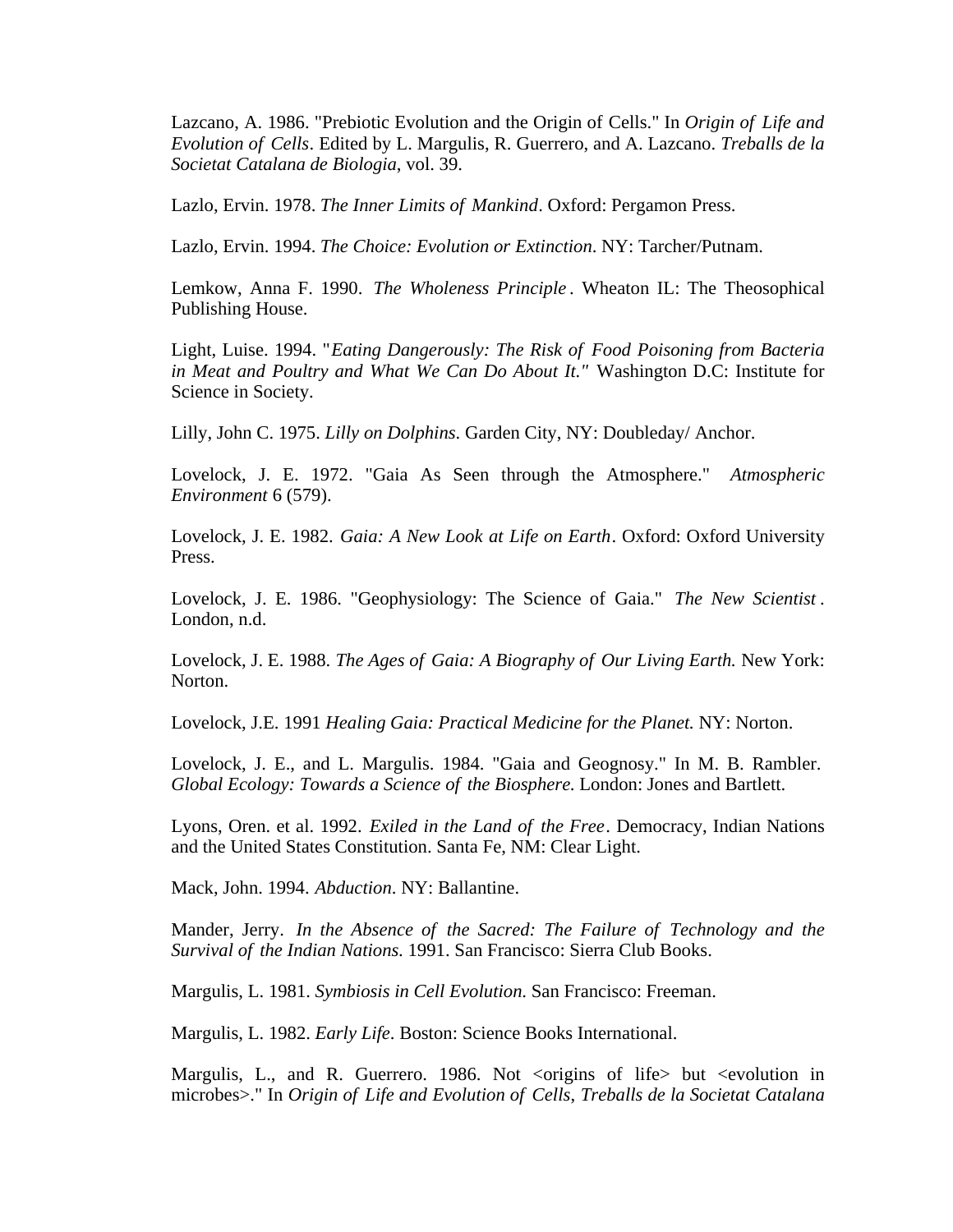Lazcano, A. 1986. "Prebiotic Evolution and the Origin of Cells." In *Origin of Life and Evolution of Cells*. Edited by L. Margulis, R. Guerrero, and A. Lazcano. *Treballs de la Societat Catalana de Biologia*, vol. 39.

Lazlo, Ervin. 1978. *The Inner Limits of Mankind*. Oxford: Pergamon Press.

Lazlo, Ervin. 1994. *The Choice: Evolution or Extinction*. NY: Tarcher/Putnam.

Lemkow, Anna F. 1990. *The Wholeness Principle* . Wheaton IL: The Theosophical Publishing House.

Light, Luise. 1994. "*Eating Dangerously: The Risk of Food Poisoning from Bacteria in Meat and Poultry and What We Can Do About It."* Washington D.C: Institute for Science in Society.

Lilly, John C. 1975. *Lilly on Dolphins*. Garden City, NY: Doubleday/ Anchor.

Lovelock, J. E. 1972. "Gaia As Seen through the Atmosphere." *Atmospheric Environment* 6 (579).

Lovelock, J. E. 1982. *Gaia: A New Look at Life on Earth*. Oxford: Oxford University Press.

Lovelock, J. E. 1986. "Geophysiology: The Science of Gaia." *The New Scientist* . London, n.d.

Lovelock, J. E. 1988. *The Ages of Gaia: A Biography of Our Living Earth.* New York: Norton.

Lovelock, J.E. 1991 *Healing Gaia: Practical Medicine for the Planet.* NY: Norton.

Lovelock, J. E., and L. Margulis. 1984. "Gaia and Geognosy." In M. B. Rambler. *Global Ecology: Towards a Science of the Biosphere*. London: Jones and Bartlett.

Lyons, Oren. et al. 1992. *Exiled in the Land of the Free*. Democracy, Indian Nations and the United States Constitution. Santa Fe, NM: Clear Light.

Mack, John. 1994. *Abduction*. NY: Ballantine.

Mander, Jerry. *In the Absence of the Sacred: The Failure of Technology and the Survival of the Indian Nations*. 1991. San Francisco: Sierra Club Books.

Margulis, L. 1981. *Symbiosis in Cell Evolution*. San Francisco: Freeman.

Margulis, L. 1982. *Early Life*. Boston: Science Books International.

Margulis, L., and R. Guerrero. 1986. Not <origins of life> but <evolution in microbes>." In *Origin of Life and Evolution of Cells*, *Treballs de la Societat Catalana*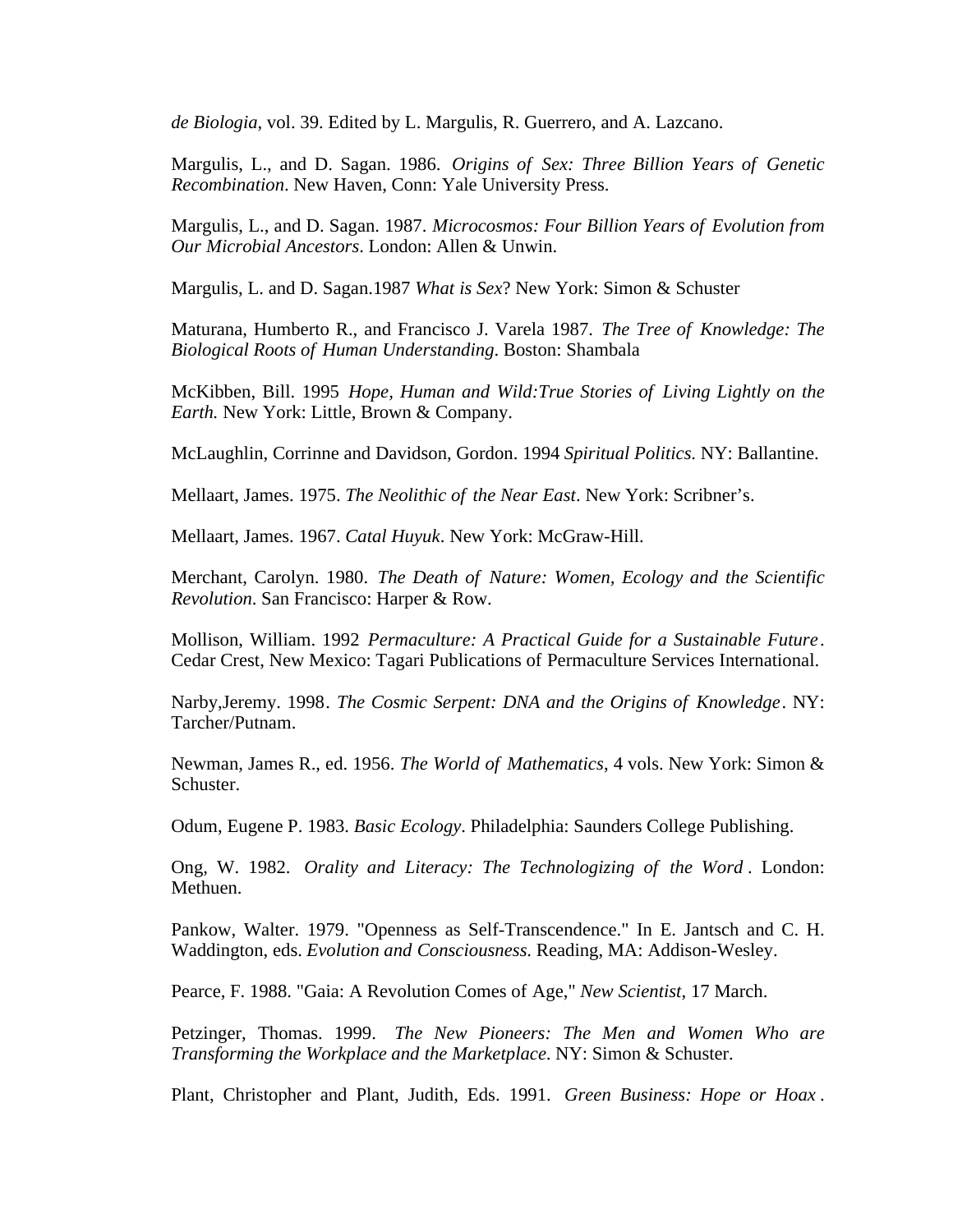*de Biologia*, vol. 39. Edited by L. Margulis, R. Guerrero, and A. Lazcano.

Margulis, L., and D. Sagan. 1986. *Origins of Sex: Three Billion Years of Genetic Recombination*. New Haven, Conn: Yale University Press.

Margulis, L., and D. Sagan. 1987. *Microcosmos: Four Billion Years of Evolution from Our Microbial Ancestors*. London: Allen & Unwin.

Margulis, L. and D. Sagan.1987 *What is Sex*? New York: Simon & Schuster

Maturana, Humberto R., and Francisco J. Varela 1987. *The Tree of Knowledge: The Biological Roots of Human Understanding*. Boston: Shambala

McKibben, Bill. 1995 *Hope, Human and Wild:True Stories of Living Lightly on the Earth.* New York: Little, Brown & Company.

McLaughlin, Corrinne and Davidson, Gordon. 1994 *Spiritual Politics*. NY: Ballantine.

Mellaart, James. 1975. *The Neolithic of the Near East*. New York: Scribner's.

Mellaart, James. 1967. *Catal Huyuk*. New York: McGraw-Hill.

Merchant, Carolyn. 1980. *The Death of Nature: Women, Ecology and the Scientific Revolution*. San Francisco: Harper & Row.

Mollison, William. 1992 *Permaculture: A Practical Guide for a Sustainable Future*. Cedar Crest, New Mexico: Tagari Publications of Permaculture Services International.

Narby,Jeremy. 1998*. The Cosmic Serpent: DNA and the Origins of Knowledge*. NY: Tarcher/Putnam.

Newman, James R., ed. 1956. *The World of Mathematics*, 4 vols. New York: Simon & Schuster.

Odum, Eugene P. 1983. *Basic Ecology*. Philadelphia: Saunders College Publishing.

Ong, W. 1982. *Orality and Literacy: The Technologizing of the Word* . London: Methuen.

Pankow, Walter. 1979. "Openness as Self-Transcendence." In E. Jantsch and C. H. Waddington, eds. *Evolution and Consciousness*. Reading, MA: Addison-Wesley.

Pearce, F. 1988. "Gaia: A Revolution Comes of Age," *New Scientist*, 17 March.

Petzinger, Thomas. 1999. *The New Pioneers: The Men and Women Who are Transforming the Workplace and the Marketplace*. NY: Simon & Schuster.

Plant, Christopher and Plant, Judith, Eds. 1991. *Green Business: Hope or Hoax* .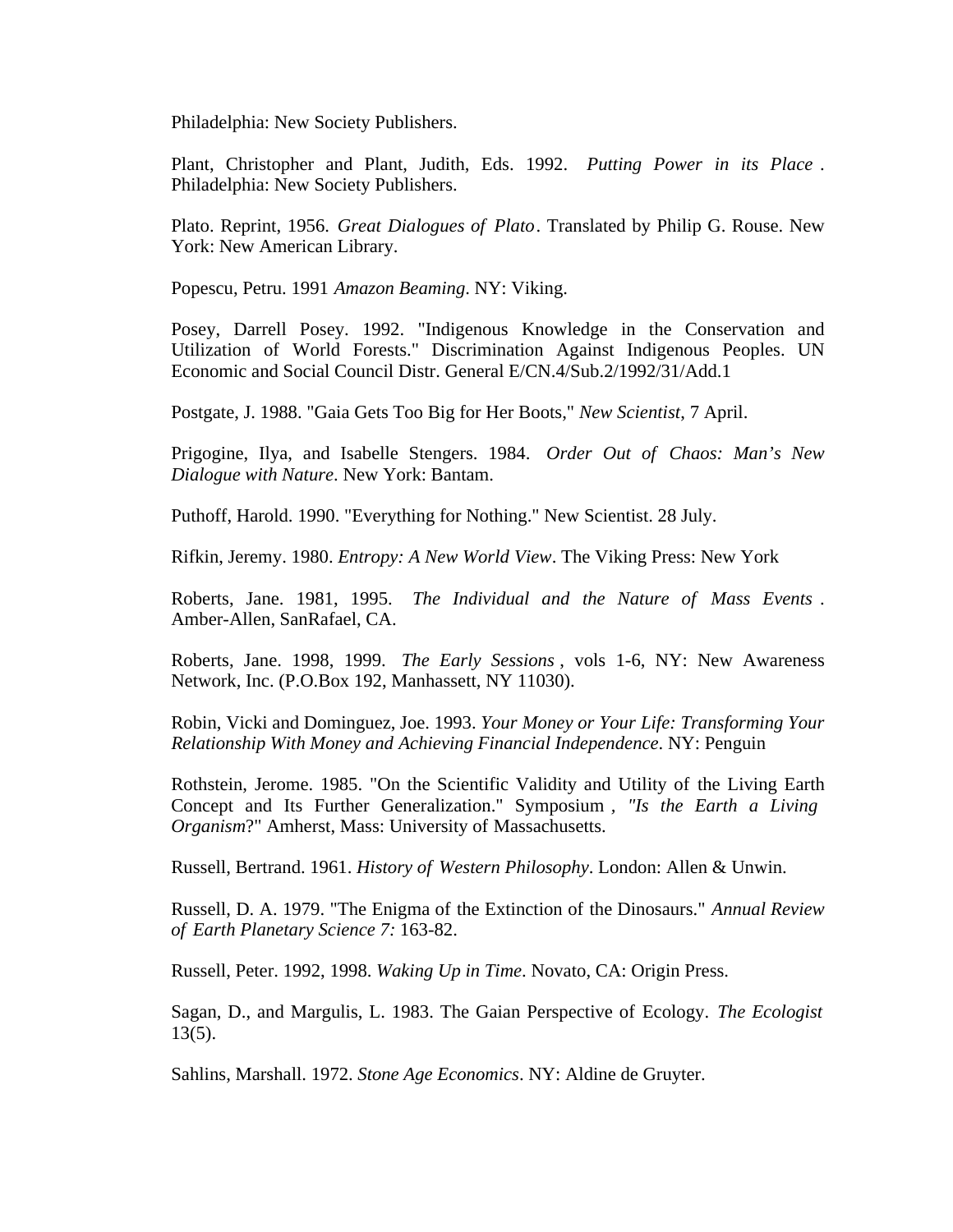Philadelphia: New Society Publishers.

Plant, Christopher and Plant, Judith, Eds. 1992. *Putting Power in its Place* . Philadelphia: New Society Publishers.

Plato. Reprint, 1956. *Great Dialogues of Plato*. Translated by Philip G. Rouse. New York: New American Library.

Popescu, Petru. 1991 *Amazon Beaming*. NY: Viking.

Posey, Darrell Posey. 1992. "Indigenous Knowledge in the Conservation and Utilization of World Forests." Discrimination Against Indigenous Peoples. UN Economic and Social Council Distr. General E/CN.4/Sub.2/1992/31/Add.1

Postgate, J. 1988. "Gaia Gets Too Big for Her Boots," *New Scientist*, 7 April.

Prigogine, Ilya, and Isabelle Stengers. 1984. *Order Out of Chaos: Man's New Dialogue with Nature*. New York: Bantam.

Puthoff, Harold. 1990. "Everything for Nothing." New Scientist. 28 July.

Rifkin, Jeremy. 1980. *Entropy: A New World View*. The Viking Press: New York

Roberts, Jane. 1981, 1995. *The Individual and the Nature of Mass Events* . Amber-Allen, SanRafael, CA.

Roberts, Jane. 1998, 1999. *The Early Sessions* , vols 1-6, NY: New Awareness Network, Inc. (P.O.Box 192, Manhassett, NY 11030).

Robin, Vicki and Dominguez, Joe. 1993. *Your Money or Your Life: Transforming Your Relationship With Money and Achieving Financial Independence*. NY: Penguin

Rothstein, Jerome. 1985. "On the Scientific Validity and Utility of the Living Earth Concept and Its Further Generalization." Symposium *, "Is the Earth a Living Organism*?" Amherst, Mass: University of Massachusetts.

Russell, Bertrand. 1961. *History of Western Philosophy*. London: Allen & Unwin.

Russell, D. A. 1979. "The Enigma of the Extinction of the Dinosaurs." *Annual Review of Earth Planetary Science 7:* 163-82.

Russell, Peter. 1992, 1998. *Waking Up in Time*. Novato, CA: Origin Press.

Sagan, D., and Margulis, L. 1983. The Gaian Perspective of Ecology. *The Ecologist* 13(5).

Sahlins, Marshall. 1972. *Stone Age Economics*. NY: Aldine de Gruyter.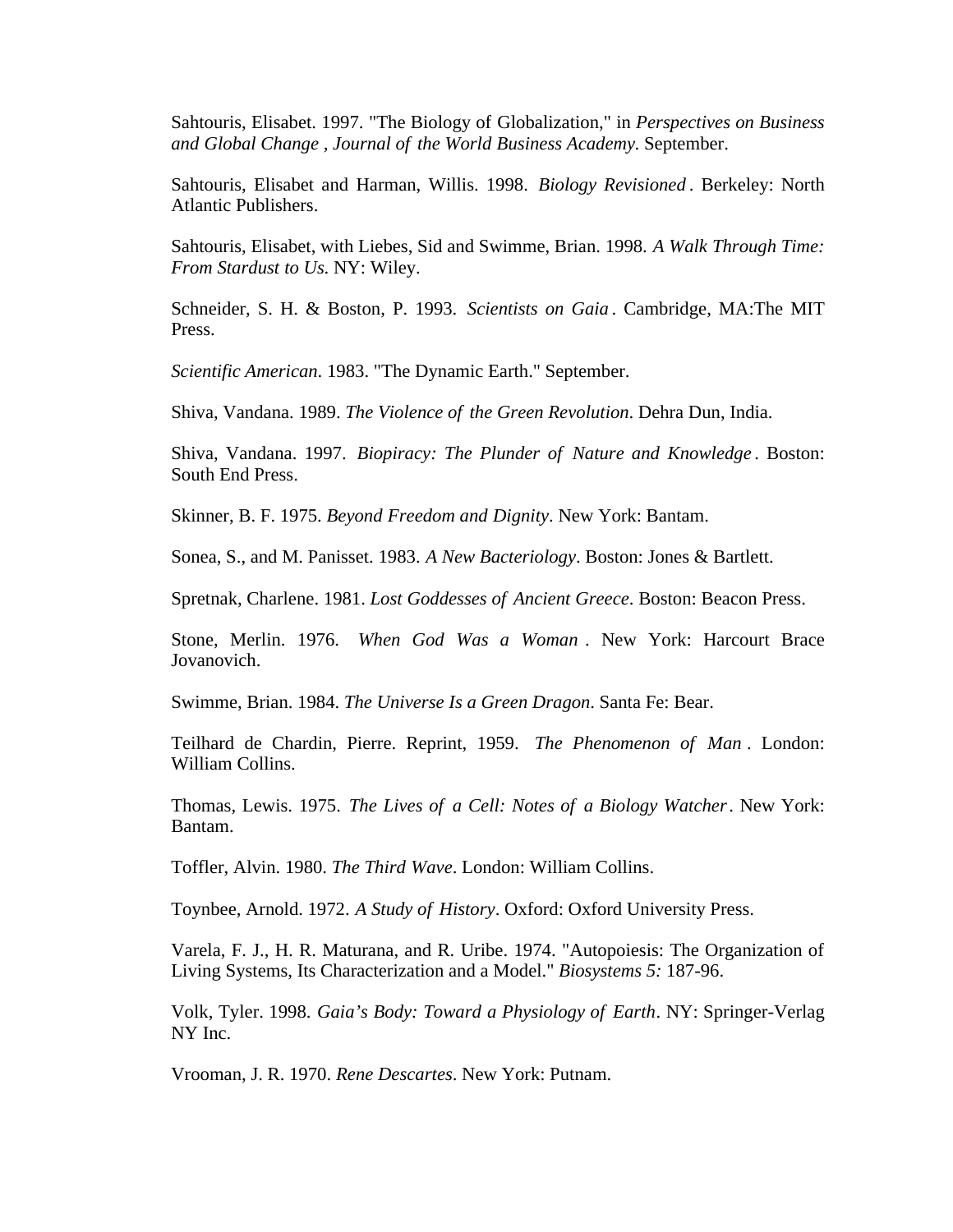Sahtouris, Elisabet. 1997. "The Biology of Globalization," in *Perspectives on Business and Global Change , Journal of the World Business Academy*. September.

Sahtouris, Elisabet and Harman, Willis. 1998. *Biology Revisioned* . Berkeley: North Atlantic Publishers.

Sahtouris, Elisabet, with Liebes, Sid and Swimme, Brian. 1998. *A Walk Through Time: From Stardust to Us*. NY: Wiley.

Schneider, S. H. & Boston, P. 1993. *Scientists on Gaia* . Cambridge, MA:The MIT Press.

*Scientific American*. 1983. "The Dynamic Earth." September.

Shiva, Vandana. 1989. *The Violence of the Green Revolution*. Dehra Dun, India.

Shiva, Vandana. 1997. *Biopiracy: The Plunder of Nature and Knowledge* . Boston: South End Press.

Skinner, B. F. 1975. *Beyond Freedom and Dignity*. New York: Bantam.

Sonea, S., and M. Panisset. 1983. *A New Bacteriology*. Boston: Jones & Bartlett.

Spretnak, Charlene. 1981. *Lost Goddesses of Ancient Greece*. Boston: Beacon Press.

Stone, Merlin. 1976. *When God Was a Woman* . New York: Harcourt Brace Jovanovich.

Swimme, Brian. 1984. *The Universe Is a Green Dragon*. Santa Fe: Bear.

Teilhard de Chardin, Pierre. Reprint, 1959. *The Phenomenon of Man* . London: William Collins.

Thomas, Lewis. 1975. *The Lives of a Cell: Notes of a Biology Watcher*. New York: Bantam.

Toffler, Alvin. 1980. *The Third Wave*. London: William Collins.

Toynbee, Arnold. 1972. *A Study of History*. Oxford: Oxford University Press.

Varela, F. J., H. R. Maturana, and R. Uribe. 1974. "Autopoiesis: The Organization of Living Systems, Its Characterization and a Model." *Biosystems 5:* 187-96.

Volk, Tyler. 1998. *Gaia's Body: Toward a Physiology of Earth*. NY: Springer-Verlag NY Inc.

Vrooman, J. R. 1970. *Rene Descartes*. New York: Putnam.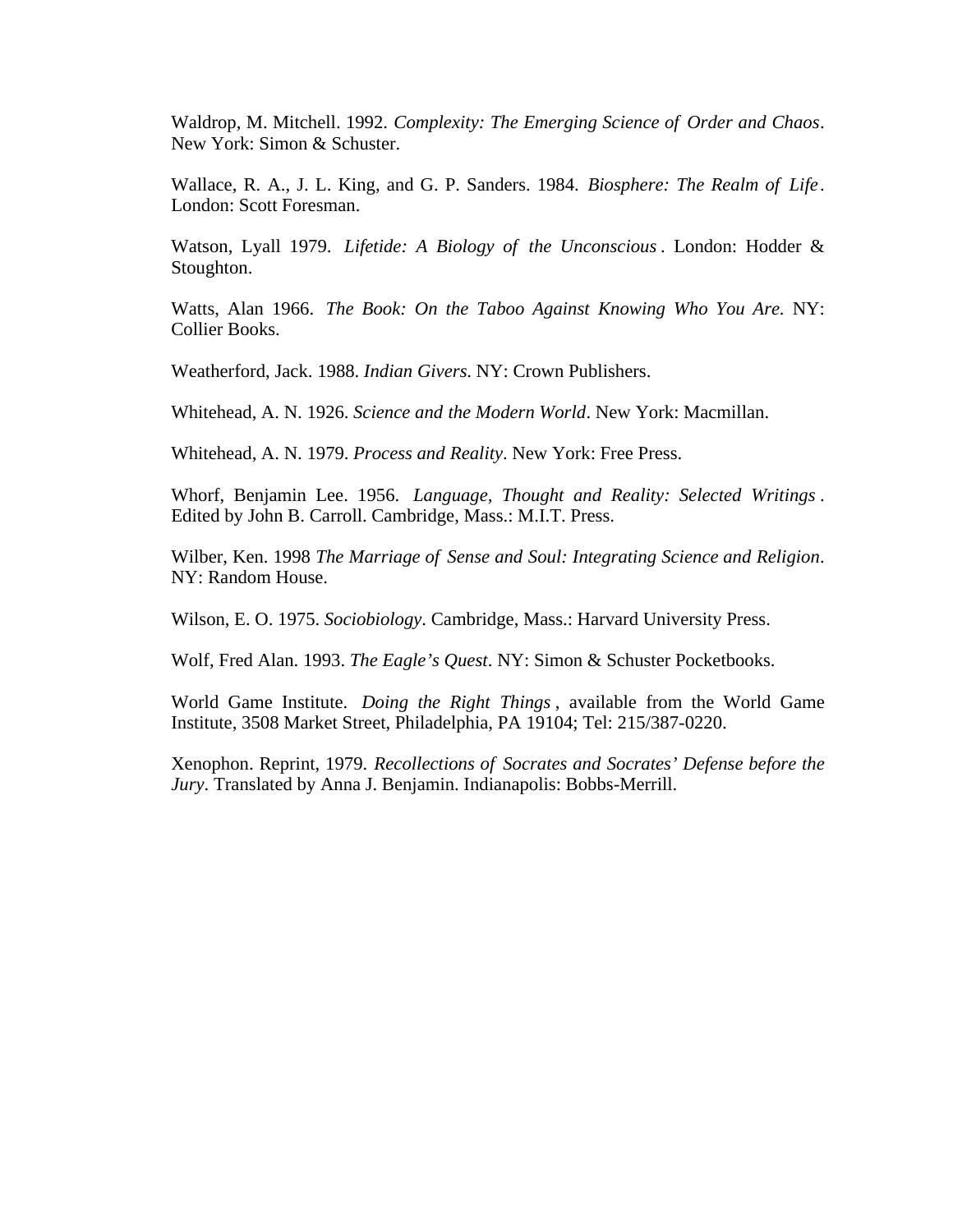Waldrop, M. Mitchell. 1992. *Complexity: The Emerging Science of Order and Chaos*. New York: Simon & Schuster.

Wallace, R. A., J. L. King, and G. P. Sanders. 1984. *Biosphere: The Realm of Life*. London: Scott Foresman.

Watson, Lyall 1979. *Lifetide: A Biology of the Unconscious* . London: Hodder & Stoughton.

Watts, Alan 1966. *The Book: On the Taboo Against Knowing Who You Are.* NY: Collier Books.

Weatherford, Jack. 1988. *Indian Givers*. NY: Crown Publishers.

Whitehead, A. N. 1926. *Science and the Modern World*. New York: Macmillan.

Whitehead, A. N. 1979. *Process and Reality*. New York: Free Press.

Whorf, Benjamin Lee. 1956. *Language, Thought and Reality: Selected Writings* . Edited by John B. Carroll. Cambridge, Mass.: M.I.T. Press.

Wilber, Ken. 1998 *The Marriage of Sense and Soul: Integrating Science and Religion*. NY: Random House.

Wilson, E. O. 1975. *Sociobiology*. Cambridge, Mass.: Harvard University Press.

Wolf, Fred Alan. 1993. *The Eagle's Quest*. NY: Simon & Schuster Pocketbooks.

World Game Institute. *Doing the Right Things* , available from the World Game Institute, 3508 Market Street, Philadelphia, PA 19104; Tel: 215/387-0220.

Xenophon. Reprint, 1979. *Recollections of Socrates and Socrates' Defense before the Jury*. Translated by Anna J. Benjamin. Indianapolis: Bobbs-Merrill.